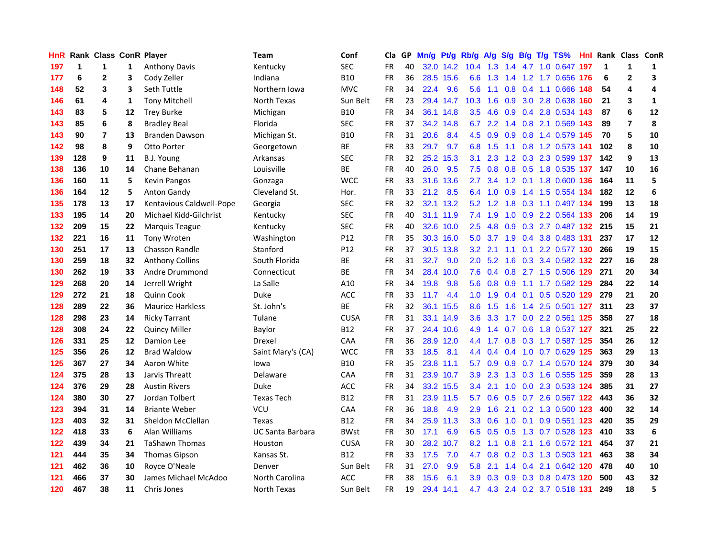| HnR |     | Rank Class ConR Player |    |                          | <b>Team</b>             | Conf            | Cla       |    | GP Mn/g Pt/g Rb/g A/g |           |                  |                 |                  |                 |     | S/g B/g T/g TS%               |     | Hnl Rank Class ConR |                         |              |
|-----|-----|------------------------|----|--------------------------|-------------------------|-----------------|-----------|----|-----------------------|-----------|------------------|-----------------|------------------|-----------------|-----|-------------------------------|-----|---------------------|-------------------------|--------------|
| 197 | 1   | 1                      | 1  | <b>Anthony Davis</b>     | Kentucky                | <b>SEC</b>      | FR.       | 40 |                       | 32.0 14.2 | 10.4             | 1.3             | 1.4              | 4.7             | 1.0 | 0.647                         | 197 | $\mathbf 1$         | $\mathbf 1$             | 1            |
| 177 | 6   | $\mathbf{2}$           | 3  | Cody Zeller              | Indiana                 | <b>B10</b>      | <b>FR</b> | 36 |                       | 28.5 15.6 | 6.6              | 1.3             | 1.4              | 1.2             |     | 1.7 0.656 176                 |     | 6                   | $\mathbf{2}$            | 3            |
| 148 | 52  | 3                      | 3  | Seth Tuttle              | Northern Iowa           | <b>MVC</b>      | <b>FR</b> | 34 | 22.4                  | 9.6       | 5.6              | 1.1             | 0.8              | 0.4             |     | 1.1 0.666                     | 148 | 54                  | $\overline{\mathbf{4}}$ | 4            |
| 146 | 61  | 4                      | 1  | <b>Tony Mitchell</b>     | North Texas             | Sun Belt        | <b>FR</b> | 23 |                       | 29.4 14.7 | 10.3             | 1.6             | 0.9              |                 |     | 3.0 2.8 0.638                 | 160 | 21                  | 3                       | $\mathbf{1}$ |
| 143 | 83  | 5                      | 12 | <b>Trey Burke</b>        | Michigan                | <b>B10</b>      | FR        | 34 |                       | 36.1 14.8 | 3.5              | 4.6             |                  |                 |     | 0.9 0.4 2.8 0.534 143         |     | 87                  | 6                       | ${\bf 12}$   |
| 143 | 85  | 6                      | 8  | <b>Bradley Beal</b>      | Florida                 | <b>SEC</b>      | <b>FR</b> | 37 |                       | 34.2 14.8 | 6.7              | 2.2             |                  |                 |     | 1.4 0.8 2.1 0.569 143         |     | 89                  | $\overline{7}$          | 8            |
| 143 | 90  | $\overline{7}$         | 13 | <b>Branden Dawson</b>    | Michigan St.            | <b>B10</b>      | <b>FR</b> | 31 | 20.6                  | 8.4       | 4.5              | 0.9             |                  |                 |     | 0.9 0.8 1.4 0.579 145         |     | 70                  | 5                       | 10           |
| 142 | 98  | 8                      | 9  | <b>Otto Porter</b>       | Georgetown              | <b>BE</b>       | FR        | 33 | 29.7                  | 9.7       |                  | 6.8 1.5         |                  |                 |     | 1.1 0.8 1.2 0.573 141         |     | 102                 | 8                       | 10           |
| 139 | 128 | 9                      | 11 | B.J. Young               | Arkansas                | <b>SEC</b>      | <b>FR</b> | 32 |                       | 25.2 15.3 | 3.1              | 2.3             |                  |                 |     | 1.2 0.3 2.3 0.599 137         |     | 142                 | 9                       | 13           |
| 138 | 136 | 10                     | 14 | Chane Behanan            | Louisville              | BE              | FR        | 40 | 26.0                  | 9.5       | 7.5              | 0.8             |                  | $0.8\ 0.5$      |     | 1.8 0.535 137                 |     | 147                 | 10                      | 16           |
| 136 | 160 | 11                     | 5  | <b>Kevin Pangos</b>      | Gonzaga                 | <b>WCC</b>      | <b>FR</b> | 33 |                       | 31.6 13.6 | 2.7              | 3.4             |                  | $1.2 \quad 0.1$ |     | 1.8 0.600 136                 |     | 164                 | 11                      | 5            |
| 136 | 164 | 12                     | 5  | <b>Anton Gandy</b>       | Cleveland St.           | Hor.            | <b>FR</b> | 33 | 21.2                  | 8.5       |                  | 6.4 1.0         | 0.9              | 1.4             |     | 1.5 0.554 134                 |     | 182                 | 12                      | 6            |
| 135 | 178 | 13                     | 17 | Kentavious Caldwell-Pope | Georgia                 | <b>SEC</b>      | FR        | 32 |                       | 32.1 13.2 | 5.2              | 1.2             | 1.8              | 0.3             |     | 1.1 0.497 134                 |     | 199                 | 13                      | 18           |
| 133 | 195 | 14                     | 20 | Michael Kidd-Gilchrist   | Kentucky                | <b>SEC</b>      | <b>FR</b> | 40 |                       | 31.1 11.9 |                  | $7.4$ 1.9       | 1.0              | 0.9             |     | 2.2 0.564 133                 |     | 206                 | 14                      | 19           |
| 132 | 209 | 15                     | 22 | Marquis Teague           | Kentucky                | <b>SEC</b>      | FR        | 40 |                       | 32.6 10.0 | 2.5              | 4.8             | 0.9              | 0.3             |     | 2.7 0.487 132                 |     | 215                 | 15                      | 21           |
| 132 | 221 | 16                     | 11 | <b>Tony Wroten</b>       | Washington              | P <sub>12</sub> | <b>FR</b> | 35 |                       | 30.3 16.0 | 5.0              | 3.7             | 1.9              |                 |     | 0.4 3.8 0.483 131             |     | 237                 | 17                      | 12           |
| 130 | 251 | 17                     | 13 | <b>Chasson Randle</b>    | Stanford                | P <sub>12</sub> | <b>FR</b> | 37 |                       | 30.5 13.8 | 3.2              | 2.1             | 1.1              | 0.1             |     | 2.2 0.577 130                 |     | 266                 | 19                      | 15           |
| 130 | 259 | 18                     | 32 | <b>Anthony Collins</b>   | South Florida           | ВE              | <b>FR</b> | 31 | 32.7                  | 9.0       | 2.0 <sub>2</sub> | 5.2             | 1.6              |                 |     | 0.3 3.4 0.582 132             |     | 227                 | 16                      | 28           |
| 130 | 262 | 19                     | 33 | Andre Drummond           | Connecticut             | <b>BE</b>       | <b>FR</b> | 34 |                       | 28.4 10.0 |                  |                 |                  |                 |     | 7.6 0.4 0.8 2.7 1.5 0.506 129 |     | 271                 | 20                      | 34           |
| 129 | 268 | 20                     | 14 | Jerrell Wright           | La Salle                | A10             | FR        | 34 | 19.8                  | 9.8       |                  | $5.6 \quad 0.8$ | 0.9              |                 |     | 1.1 1.7 0.582 129             |     | 284                 | 22                      | 14           |
| 129 | 272 | 21                     | 18 | <b>Quinn Cook</b>        | <b>Duke</b>             | <b>ACC</b>      | <b>FR</b> | 33 | 11.7                  | 4.4       |                  | $1.0 \quad 1.9$ |                  |                 |     | 0.4 0.1 0.5 0.520 129         |     | 279                 | 21                      | 20           |
| 128 | 289 | 22                     | 36 | <b>Maurice Harkless</b>  | St. John's              | <b>BE</b>       | <b>FR</b> | 32 |                       | 36.1 15.5 | 8.6              | 1.5             | 1.6              |                 |     | 1.4 2.5 0.501 127             |     | 311                 | 23                      | 37           |
| 128 | 298 | 23                     | 14 | <b>Ricky Tarrant</b>     | Tulane                  | <b>CUSA</b>     | <b>FR</b> | 31 |                       | 33.1 14.9 | 3.6 <sup>°</sup> | 3.3             |                  |                 |     | 1.7 0.0 2.2 0.561 125         |     | 358                 | 27                      | 18           |
| 128 | 308 | 24                     | 22 | <b>Quincy Miller</b>     | Baylor                  | <b>B12</b>      | <b>FR</b> | 37 |                       | 24.4 10.6 | 4.9              | 1.4             |                  |                 |     | 0.7 0.6 1.8 0.537 127         |     | 321                 | 25                      | 22           |
| 126 | 331 | 25                     | 12 | Damion Lee               | Drexel                  | CAA             | FR        | 36 |                       | 28.9 12.0 | 4.4              | 1.7             |                  |                 |     | 0.8 0.3 1.7 0.587 125         |     | 354                 | 26                      | 12           |
| 125 | 356 | 26                     | 12 | <b>Brad Waldow</b>       | Saint Mary's (CA)       | <b>WCC</b>      | <b>FR</b> | 33 | 18.5                  | 8.1       |                  | 4.4 0.4         | 0.4              |                 |     | 1.0 0.7 0.629 125             |     | 363                 | 29                      | 13           |
| 125 | 367 | 27                     | 34 | Aaron White              | lowa                    | <b>B10</b>      | FR        | 35 |                       | 23.8 11.1 | 5.7              | 0.9             | 0.9 <sup>°</sup> |                 |     | 0.7 1.4 0.570 124             |     | 379                 | 30                      | 34           |
| 124 | 375 | 28                     | 13 | Jarvis Threatt           | Delaware                | <b>CAA</b>      | FR.       | 31 |                       | 23.9 10.7 | 3.9              | 2.3             |                  |                 |     | 1.3 0.3 1.6 0.555 125         |     | 359                 | 28                      | 13           |
| 124 | 376 | 29                     | 28 | <b>Austin Rivers</b>     | <b>Duke</b>             | <b>ACC</b>      | <b>FR</b> | 34 |                       | 33.2 15.5 | $3.4^{\circ}$    | 2.1             | 1.0              | 0.0             |     | 2.3 0.533 124                 |     | 385                 | 31                      | 27           |
| 124 | 380 | 30                     | 27 | Jordan Tolbert           | <b>Texas Tech</b>       | <b>B12</b>      | FR        | 31 |                       | 23.9 11.5 | 5.7              | 0.6             | 0.5              |                 |     | 0.7 2.6 0.567 122             |     | 443                 | 36                      | 32           |
| 123 | 394 | 31                     | 14 | <b>Briante Weber</b>     | <b>VCU</b>              | CAA             | <b>FR</b> | 36 | 18.8                  | 4.9       | 2.9              | 1.6             |                  |                 |     | 2.1 0.2 1.3 0.500 123         |     | 400                 | 32                      | 14           |
| 123 | 403 | 32                     | 31 | Sheldon McClellan        | Texas                   | <b>B12</b>      | FR        | 34 |                       | 25.9 11.3 | 3.3 <sub>2</sub> | 0.6             |                  |                 |     | 1.0 0.1 0.9 0.551 123         |     | 420                 | 35                      | 29           |
| 122 | 418 | 33                     | 6  | Alan Williams            | <b>UC Santa Barbara</b> | <b>BWst</b>     | FR        | 30 | 17.1                  | 6.9       |                  |                 |                  |                 |     | 6.5 0.5 0.5 1.3 0.7 0.528 123 |     | 410                 | 33                      | 6            |
| 122 | 439 | 34                     | 21 | <b>TaShawn Thomas</b>    | Houston                 | <b>CUSA</b>     | <b>FR</b> | 30 |                       | 28.2 10.7 | 8.2              | 1.1             |                  |                 |     | 0.8 2.1 1.6 0.572 121         |     | 454                 | 37                      | 21           |
| 121 | 444 | 35                     | 34 | <b>Thomas Gipson</b>     | Kansas St.              | <b>B12</b>      | FR        | 33 | 17.5                  | 7.0       | 4.7              | 0.8             |                  |                 |     | 0.2 0.3 1.3 0.503 121         |     | 463                 | 38                      | 34           |
| 121 | 462 | 36                     | 10 | Royce O'Neale            | Denver                  | Sun Belt        | <b>FR</b> | 31 | 27.0                  | 9.9       | 5.8              | 2.1             |                  |                 |     | 1.4 0.4 2.1 0.642 120         |     | 478                 | 40                      | 10           |
| 121 | 466 | 37                     | 30 | James Michael McAdoo     | North Carolina          | ACC             | <b>FR</b> | 38 | 15.6                  | 6.1       | 3.9              | 0.3             | 0.9              |                 |     | 0.3 0.8 0.473 120             |     | 500                 | 43                      | 32           |
| 120 | 467 | 38                     | 11 | Chris Jones              | North Texas             | Sun Belt        | FR        | 19 | 29.4                  | 14.1      |                  |                 |                  |                 |     | 4.7 4.3 2.4 0.2 3.7 0.518 131 |     | 249                 | 18                      | 5            |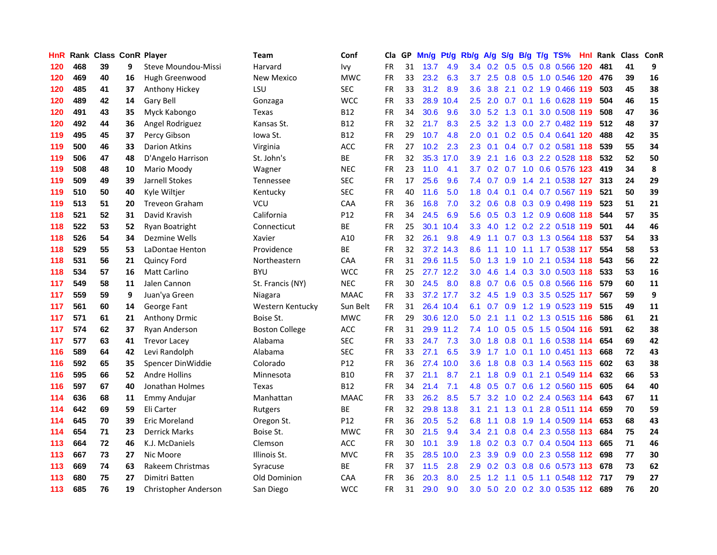| HnR |     | Rank Class ConR Player |    |                       | <b>Team</b>      | Conf        | Cla       |    | GP Mn/g Pt/g Rb/g |           |                  | A/g                  |                 |                | S/g B/g T/g TS%           | Hnl  |     | Rank Class ConR |    |
|-----|-----|------------------------|----|-----------------------|------------------|-------------|-----------|----|-------------------|-----------|------------------|----------------------|-----------------|----------------|---------------------------|------|-----|-----------------|----|
| 120 | 468 | 39                     | 9  | Steve Moundou-Missi   | Harvard          | Ivy         | FR        | 31 | 13.7              | 4.9       | 3.4              | 0.2                  | 0.5             | 0.5            | 0.8 0.566                 | 120  | 481 | 41              | 9  |
| 120 | 469 | 40                     | 16 | Hugh Greenwood        | New Mexico       | <b>MWC</b>  | <b>FR</b> | 33 | 23.2              | 6.3       | 3.7              | 2.5                  | 0.8             | 0.5            | 1.0 0.546 120             |      | 476 | 39              | 16 |
| 120 | 485 | 41                     | 37 | Anthony Hickey        | LSU              | <b>SEC</b>  | FR        | 33 | 31.2              | 8.9       | 3.6              | 3.8                  | 2.1             | 0.2            | 1.9 0.466 119             |      | 503 | 45              | 38 |
| 120 | 489 | 42                     | 14 | Gary Bell             | Gonzaga          | <b>WCC</b>  | FR        | 33 | 28.9              | 10.4      | 2.5              | 2.0                  | $0.7 \quad 0.1$ |                | 1.6 0.628 119             |      | 504 | 46              | 15 |
| 120 | 491 | 43                     | 35 | Myck Kabongo          | Texas            | <b>B12</b>  | FR        | 34 | 30.6              | 9.6       |                  | $3.0 \quad 5.2$      | $1.3 \quad 0.1$ |                | 3.0 0.508 119             |      | 508 | 47              | 36 |
| 120 | 492 | 44                     | 36 | Angel Rodriguez       | Kansas St.       | <b>B12</b>  | FR        | 32 | 21.7              | 8.3       | $2.5^{\circ}$    | 3.2                  |                 |                | 1.3 0.0 2.7 0.482 119     |      | 512 | 48              | 37 |
| 119 | 495 | 45                     | 37 | Percy Gibson          | Iowa St.         | <b>B12</b>  | FR        | 29 | 10.7              | 4.8       | 2.0              | 0.1                  |                 |                | 0.2 0.5 0.4 0.641 120     |      | 488 | 42              | 35 |
| 119 | 500 | 46                     | 33 | Darion Atkins         | Virginia         | ACC         | FR        | 27 | 10.2              | 2.3       | 2.3              | 0.1                  |                 |                | 0.4 0.7 0.2 0.581 118     |      | 539 | 55              | 34 |
| 119 | 506 | 47                     | 48 | D'Angelo Harrison     | St. John's       | BE          | <b>FR</b> | 32 | 35.3              | 17.0      | 3.9              | 2.1                  | 1.6             |                | 0.3 2.2 0.528             | 118  | 532 | 52              | 50 |
| 119 | 508 | 48                     | 10 | Mario Moody           | Wagner           | <b>NEC</b>  | <b>FR</b> | 23 | 11.0              | 4.1       | 3.7              | 0.2                  |                 |                | 0.7 1.0 0.6 0.576         | 123  | 419 | 34              | 8  |
| 119 | 509 | 49                     | 39 | Jarnell Stokes        | Tennessee        | <b>SEC</b>  | FR        | 17 | 25.6              | 9.6       | 7.4              | 0.7                  | 0.9             | 1.4            | 2.1 0.538 127             |      | 313 | 24              | 29 |
| 119 | 510 | 50                     | 40 | Kyle Wiltjer          | Kentucky         | <b>SEC</b>  | FR        | 40 | 11.6              | 5.0       | 1.8              | 0.4                  | 0.1             |                | 0.4 0.7 0.567 119         |      | 521 | 50              | 39 |
| 119 | 513 | 51                     | 20 | <b>Treveon Graham</b> | <b>VCU</b>       | <b>CAA</b>  | <b>FR</b> | 36 | 16.8              | 7.0       | 3.2 <sub>2</sub> | 0.6                  |                 |                | 0.8 0.3 0.9 0.498         | -119 | 523 | 51              | 21 |
| 118 | 521 | 52                     | 31 | David Kravish         | California       | P12         | <b>FR</b> | 34 | 24.5              | 6.9       | 5.6              | 0.5                  | 0.3             |                | 1.2 0.9 0.608 118         |      | 544 | 57              | 35 |
| 118 | 522 | 53                     | 52 | Ryan Boatright        | Connecticut      | BE          | <b>FR</b> | 25 | 30.1              | 10.4      | 3.3 <sub>2</sub> | 4.0                  |                 |                | 1.2 0.2 2.2 0.518 119     |      | 501 | 44              | 46 |
| 118 | 526 | 54                     | 34 | Dezmine Wells         | Xavier           | A10         | <b>FR</b> | 32 | 26.1              | 9.8       | 4.9              | 1.1                  |                 |                | 0.7 0.3 1.3 0.564 118     |      | 537 | 54              | 33 |
| 118 | 529 | 55                     | 53 | LaDontae Henton       | Providence       | ВE          | FR        | 32 |                   | 37.2 14.3 | 8.6              | 1.1                  | 1.0             |                | 1.1 1.7 0.538 117         |      | 554 | 58              | 53 |
| 118 | 531 | 56                     | 21 | <b>Quincy Ford</b>    | Northeastern     | <b>CAA</b>  | FR        | 31 |                   | 29.6 11.5 |                  | $5.0 \quad 1.3$      | 1.9             |                | 1.0 2.1 0.534 118         |      | 543 | 56              | 22 |
| 118 | 534 | 57                     | 16 | <b>Matt Carlino</b>   | <b>BYU</b>       | <b>WCC</b>  | <b>FR</b> | 25 |                   | 27.7 12.2 | 3.0 <sub>1</sub> | 4.6                  |                 |                | 1.4 0.3 3.0 0.503 118     |      | 533 | 53              | 16 |
| 117 | 549 | 58                     | 11 | Jalen Cannon          | St. Francis (NY) | <b>NEC</b>  | FR        | 30 | 24.5              | 8.0       | 8.8              |                      |                 |                | 0.7 0.6 0.5 0.8 0.566 116 |      | 579 | 60              | 11 |
| 117 | 559 | 59                     | 9  | Juan'ya Green         | Niagara          | <b>MAAC</b> | FR        | 33 |                   | 37.2 17.7 | 3.2 <sub>2</sub> | 4.5                  |                 |                | 1.9 0.3 3.5 0.525 117     |      | 567 | 59              | 9  |
| 117 | 561 | 60                     | 14 | George Fant           | Western Kentucky | Sun Belt    | FR        | 31 |                   | 26.4 10.4 | 6.1              | 0.7                  | 0.9             |                | 1.2 1.9 0.523 119         |      | 515 | 49              | 11 |
| 117 | 571 | 61                     | 21 | <b>Anthony Drmic</b>  | Boise St.        | <b>MWC</b>  | FR        | 29 |                   | 30.6 12.0 | 5.0              | 2.1                  | 1.1             |                | 0.2 1.3 0.515 116         |      | 586 | 61              | 21 |
| 117 | 574 | 62                     | 37 | Ryan Anderson         | Boston College   | <b>ACC</b>  | FR        | 31 |                   | 29.9 11.2 | 7.4              | 1.0                  |                 |                | 0.5 0.5 1.5 0.504 116     |      | 591 | 62              | 38 |
| 117 | 577 | 63                     | 41 | <b>Trevor Lacey</b>   | Alabama          | <b>SEC</b>  | FR        | 33 | 24.7              | 7.3       | 3.0              | 1.8                  |                 | $0.8\quad 0.1$ | 1.6 0.538 114             |      | 654 | 69              | 42 |
| 116 | 589 | 64                     | 42 | Levi Randolph         | Alabama          | <b>SEC</b>  | <b>FR</b> | 33 | 27.1              | 6.5       | 3.9              | 1.7                  | 1.0             |                | $0.1$ 1.0 0.451 113       |      | 668 | 72              | 43 |
| 116 | 592 | 65                     | 35 | Spencer DinWiddie     | Colorado         | P12         | <b>FR</b> | 36 |                   | 27.4 10.0 | 3.6              | 1.8                  | 0.8             |                | 0.3 1.4 0.563 115         |      | 602 | 63              | 38 |
| 116 | 595 | 66                     | 52 | <b>Andre Hollins</b>  | Minnesota        | <b>B10</b>  | FR        | 37 | 21.1              | 8.7       | 2.1              | 1.8                  | 0.9             | 0.1            | 2.1 0.549 114             |      | 632 | 66              | 53 |
| 116 | 597 | 67                     | 40 | Jonathan Holmes       | <b>Texas</b>     | <b>B12</b>  | <b>FR</b> | 34 | 21.4              | 7.1       | 4.8              | 0.5                  | 0.7             | 0.6            | 1.2 0.560 115             |      | 605 | 64              | 40 |
| 114 | 636 | 68                     | 11 | <b>Emmy Andujar</b>   | Manhattan        | <b>MAAC</b> | <b>FR</b> | 33 | 26.2              | 8.5       | 5.7              | 3.2                  |                 |                | 1.0 0.2 2.4 0.563 114     |      | 643 | 67              | 11 |
| 114 | 642 | 69                     | 59 | Eli Carter            | Rutgers          | ВE          | FR        | 32 |                   | 29.8 13.8 | 3.1              | 2.1                  |                 |                | 1.3 0.1 2.8 0.511 114     |      | 659 | 70              | 59 |
| 114 | 645 | 70                     | 39 | Eric Moreland         | Oregon St.       | P12         | <b>FR</b> | 36 | 20.5              | 5.2       | 6.8              | 1.1                  |                 |                | 0.8 1.9 1.4 0.509 114     |      | 653 | 68              | 43 |
| 114 | 654 | 71                     | 23 | <b>Derrick Marks</b>  | Boise St.        | <b>MWC</b>  | <b>FR</b> | 30 | 21.5              | 9.4       | 3.4              | 2.1                  |                 |                | 0.8 0.4 2.3 0.558 113     |      | 684 | 75              | 24 |
| 113 | 664 | 72                     | 46 | K.J. McDaniels        | Clemson          | ACC         | FR        | 30 | 10.1              | 3.9       | 1.8 <sup>1</sup> | 0.2                  |                 |                | 0.3 0.7 0.4 0.504 113     |      | 665 | 71              | 46 |
| 113 | 667 | 73                     | 27 | Nic Moore             | Illinois St.     | <b>MVC</b>  | <b>FR</b> | 35 | 28.5              | 10.0      | $2.3^{\circ}$    | 3.9                  | 0.9             |                | 0.0 2.3 0.558 112         |      | 698 | 77              | 30 |
| 113 | 669 | 74                     | 63 | Rakeem Christmas      | Syracuse         | BE          | <b>FR</b> | 37 | 11.5              | 2.8       | 2.9              | 0.2                  | 0.3             | 0.8            | 0.6 0.573                 | -113 | 678 | 73              | 62 |
| 113 | 680 | 75                     | 27 | Dimitri Batten        | Old Dominion     | CAA         | FR        | 36 | 20.3              | 8.0       | 2.5              | $\overline{2}$<br>-1 | 1.1             | 0.5            | 1.1 0.548                 | 112  | 717 | 79              | 27 |
| 113 | 685 | 76                     | 19 | Christopher Anderson  | San Diego        | <b>WCC</b>  | <b>FR</b> | 31 | 29.0              | 9.0       | 3.0              |                      |                 |                | 5.0 2.0 0.2 3.0 0.535 112 |      | 689 | 76              | 20 |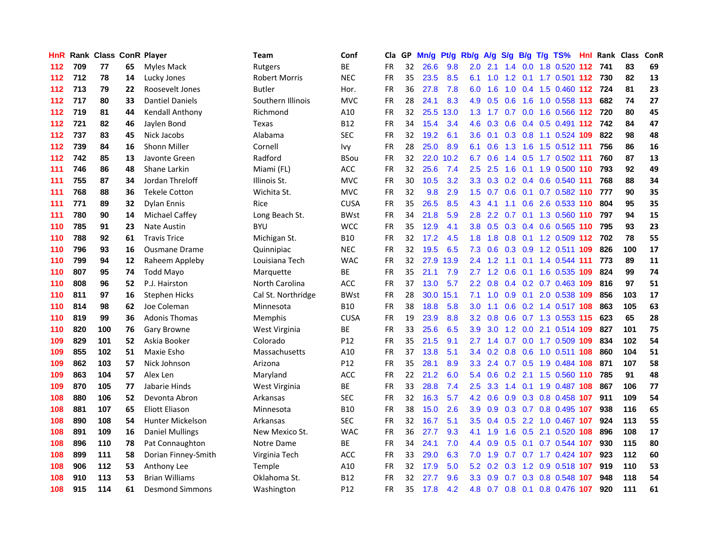| HnR. |     | Rank Class ConR Player |    |                         | Team                 | Conf        | Cla       |    | GP Mn/g | Pt/g | Rb/g             | <b>A/g</b>      | S/g           |     | B/g T/g TS%                   | Hnl |     | <b>Rank Class</b> | ConR |
|------|-----|------------------------|----|-------------------------|----------------------|-------------|-----------|----|---------|------|------------------|-----------------|---------------|-----|-------------------------------|-----|-----|-------------------|------|
| 112  | 709 | 77                     | 65 | Myles Mack              | Rutgers              | ВE          | FR        | 32 | 26.6    | 9.8  | 2.0              | 2.1             | 1.4           | 0.0 | 1.8 0.520                     | 112 | 741 | 83                | 69   |
| 112  | 712 | 78                     | 14 | Lucky Jones             | <b>Robert Morris</b> | <b>NEC</b>  | <b>FR</b> | 35 | 23.5    | 8.5  | 6.1              | 1.0             | 1.2           | 0.1 | 1.7 0.501 112                 |     | 730 | 82                | 13   |
| 112  | 713 | 79                     | 22 | Roosevelt Jones         | <b>Butler</b>        | Hor.        | <b>FR</b> | 36 | 27.8    | 7.8  | 6.0              | 1.6             | 1.0           |     | 0.4 1.5 0.460 112 724         |     |     | 81                | 23   |
| 112  | 717 | 80                     | 33 | <b>Dantiel Daniels</b>  | Southern Illinois    | <b>MVC</b>  | FR        | 28 | 24.1    | 8.3  | 4.9              | 0.5             | 0.6           | 1.6 | 1.0 0.558 113                 |     | 682 | 74                | 27   |
| 112  | 719 | 81                     | 44 | Kendall Anthony         | Richmond             | A10         | FR        | 32 | 25.5    | 13.0 |                  | $1.3 \quad 1.7$ |               |     | 0.7 0.0 1.6 0.566 112 720     |     |     | 80                | 45   |
| 112  | 721 | 82                     | 46 | Jaylen Bond             | Texas                | B12         | FR        | 34 | 15.4    | 3.4  | 4.6              | 0.3             |               |     | 0.6 0.4 0.5 0.491 112 742     |     |     | 84                | 47   |
| 112  | 737 | 83                     | 45 | Nick Jacobs             | Alabama              | <b>SEC</b>  | <b>FR</b> | 32 | 19.2    | 6.1  | 3.6 <sup>°</sup> | 0.1             |               |     | 0.3 0.8 1.1 0.524 109         |     | 822 | 98                | 48   |
| 112  | 739 | 84                     | 16 | <b>Shonn Miller</b>     | Cornell              | lvy         | FR        | 28 | 25.0    | 8.9  | 6.1              | 0.6             | 1.3           |     | 1.6 1.5 0.512 111             |     | 756 | 86                | 16   |
| 112  | 742 | 85                     | 13 | Javonte Green           | Radford              | BSou        | <b>FR</b> | 32 | 22.0    | 10.2 | 6.7              | 0.6             |               |     | 1.4 0.5 1.7 0.502 111         |     | 760 | 87                | 13   |
| 111  | 746 | 86                     | 48 | Shane Larkin            | Miami (FL)           | ACC         | <b>FR</b> | 32 | 25.6    | 7.4  | $2.5^{\circ}$    | 2.5             | 1.6           |     | 0.1 1.9 0.500 110             |     | 793 | 92                | 49   |
| 111  | 755 | 87                     | 34 | Jordan Threloff         | Illinois St.         | <b>MVC</b>  | FR        | 30 | 10.5    | 3.2  | 3.3 <sub>2</sub> |                 |               |     | 0.3 0.2 0.4 0.6 0.540 111     |     | 768 | 88                | 34   |
| 111  | 768 | 88                     | 36 | <b>Tekele Cotton</b>    | Wichita St.          | <b>MVC</b>  | <b>FR</b> | 32 | 9.8     | 2.9  | 1.5              | 0.7             | 0.6           |     | 0.1 0.7 0.582 110             |     | 777 | 90                | 35   |
| 111  | 771 | 89                     | 32 | Dylan Ennis             | Rice                 | <b>CUSA</b> | FR        | 35 | 26.5    | 8.5  | 4.3              | 4.1             | 1.1           | 0.6 | 2.6 0.533 110                 |     | 804 | 95                | 35   |
| 111  | 780 | 90                     | 14 | Michael Caffey          | Long Beach St.       | <b>BWst</b> | <b>FR</b> | 34 | 21.8    | 5.9  | 2.8              | 2.2             | 0.7           |     | 0.1 1.3 0.560 110             |     | 797 | 94                | 15   |
| 110  | 785 | 91                     | 23 | Nate Austin             | <b>BYU</b>           | <b>WCC</b>  | FR        | 35 | 12.9    | 4.1  | 3.8 <sub>1</sub> | 0.5             | 0.3           |     | 0.4 0.6 0.565 110             |     | 795 | 93                | 23   |
| 110  | 788 | 92                     | 61 | <b>Travis Trice</b>     | Michigan St.         | <b>B10</b>  | <b>FR</b> | 32 | 17.2    | 4.5  | 1.8              | 1.8             | 0.8           | 0.1 | 1.2 0.509 112                 |     | 702 | 78                | 55   |
| 110  | 796 | 93                     | 16 | <b>Ousmane Drame</b>    | Quinnipiac           | <b>NEC</b>  | <b>FR</b> | 32 | 19.5    | 6.5  | 7.3              | 0.6             |               |     | 0.3 0.9 1.2 0.511 109         |     | 826 | 100               | 17   |
| 110  | 799 | 94                     | 12 | Raheem Appleby          | Louisiana Tech       | <b>WAC</b>  | FR        | 32 | 27.9    | 13.9 |                  | $2.4$ 1.2       |               |     | 1.1 0.1 1.4 0.544 111         |     | 773 | 89                | 11   |
| 110  | 807 | 95                     | 74 | Todd Mayo               | Marquette            | ВE          | FR        | 35 | 21.1    | 7.9  |                  |                 |               |     | 2.7 1.2 0.6 0.1 1.6 0.535 109 |     | 824 | 99                | 74   |
| 110  | 808 | 96                     | 52 | P.J. Hairston           | North Carolina       | ACC         | <b>FR</b> | 37 | 13.0    | 5.7  |                  | $2.2 \quad 0.8$ |               |     | 0.4 0.2 0.7 0.463 109         |     | 816 | 97                | 51   |
| 110  | 811 | 97                     | 16 | <b>Stephen Hicks</b>    | Cal St. Northridge   | <b>BWst</b> | <b>FR</b> | 28 | 30.0    | 15.1 | 7.1              | 1.0             |               |     | 0.9 0.1 2.0 0.538 109         |     | 856 | 103               | 17   |
| 110  | 814 | 98                     | 62 | Joe Coleman             | Minnesota            | B10         | <b>FR</b> | 38 | 18.8    | 5.8  | 3.0              | 1.1             |               |     | 0.6 0.2 1.4 0.517 108         |     | 863 | 105               | 63   |
| 110  | 819 | 99                     | 36 | <b>Adonis Thomas</b>    | Memphis              | <b>CUSA</b> | <b>FR</b> | 19 | 23.9    | 8.8  | 3.2 <sub>2</sub> | 0.8             | 0.6           |     | 0.7 1.3 0.553 115             |     | 623 | 65                | 28   |
| 110  | 820 | 100                    | 76 | Gary Browne             | West Virginia        | ВE          | FR        | 33 | 25.6    | 6.5  | 3.9              | 3.0             |               |     | 1.2 0.0 2.1 0.514 109         |     | 827 | 101               | 75   |
| 109  | 829 | 101                    | 52 | Askia Booker            | Colorado             | P12         | <b>FR</b> | 35 | 21.5    | 9.1  | 2.7              | 1.4             |               |     | 0.7 0.0 1.7 0.509 109         |     | 834 | 102               | 54   |
| 109  | 855 | 102                    | 51 | Maxie Esho              | Massachusetts        | A10         | <b>FR</b> | 37 | 13.8    | 5.1  | 3.4              | 0.2             | 0.8           | 0.6 | 1.0 0.511 108                 |     | 860 | 104               | 51   |
| 109  | 862 | 103                    | 57 | Nick Johnson            | Arizona              | P12         | <b>FR</b> | 35 | 28.1    | 8.9  | 3.3 <sub>1</sub> | 2.4             | 0.7           | 0.5 | 1.9 0.484 108                 |     | 871 | 107               | 58   |
| 109  | 863 | 104                    | 57 | Alex Len                | Maryland             | <b>ACC</b>  | <b>FR</b> | 22 | 21.2    | 6.0  | 5.4              | 0.6             | 0.2           |     | 2.1 1.5 0.560 110             |     | 785 | 91                | 48   |
| 109  | 870 | 105                    | 77 | Jabarie Hinds           | West Virginia        | BE          | <b>FR</b> | 33 | 28.8    | 7.4  | 2.5              | 3.3             | 1.4           | 0.1 | 1.9 0.487 108                 |     | 867 | 106               | 77   |
| 108  | 880 | 106                    | 52 | Devonta Abron           | Arkansas             | <b>SEC</b>  | <b>FR</b> | 32 | 16.3    | 5.7  | 4.2              | 0.6             | 0.9           |     | 0.3 0.8 0.458 107             |     | 911 | 109               | 54   |
| 108  | 881 | 107                    | 65 | Eliott Eliason          | Minnesota            | <b>B10</b>  | <b>FR</b> | 38 | 15.0    | 2.6  | 3.9 <sup>°</sup> | 0.9             |               |     | 0.3 0.7 0.8 0.495 107         |     | 938 | 116               | 65   |
| 108  | 890 | 108                    | 54 | <b>Hunter Mickelson</b> | Arkansas             | <b>SEC</b>  | FR        | 32 | 16.7    | 5.1  |                  |                 |               |     | 3.5 0.4 0.5 2.2 1.0 0.467 107 |     | 924 | 113               | 55   |
| 108  | 891 | 109                    | 16 | Daniel Mullings         | New Mexico St.       | WAC         | <b>FR</b> | 36 | 27.7    | 9.3  | 4.1              | 1.9             |               |     | 1.6 0.5 2.1 0.520 108         |     | 896 | 108               | 17   |
| 108  | 896 | 110                    | 78 | Pat Connaughton         | Notre Dame           | ВE          | <b>FR</b> | 34 | 24.1    | 7.0  | 4.4              | 0.9             | 0.5           |     | 0.1 0.7 0.544 107             |     | 930 | 115               | 80   |
| 108  | 899 | 111                    | 58 | Dorian Finney-Smith     | Virginia Tech        | <b>ACC</b>  | FR        | 33 | 29.0    | 6.3  | 7.0              | 1.9             |               |     | 0.7 0.7 1.7 0.424 107         |     | 923 | 112               | 60   |
| 108  | 906 | 112                    | 53 | Anthony Lee             | <b>Temple</b>        | A10         | <b>FR</b> | 32 | 17.9    | 5.0  | 5.2              | 0.2             | 0.3           | 1.2 | 0.9 0.518 107                 |     | 919 | 110               | 53   |
| 108  | 910 | 113                    | 53 | <b>Brian Williams</b>   | Oklahoma St.         | B12         | <b>FR</b> | 32 | 27.7    | 9.6  | 3.3 <sub>2</sub> | 0.9             | 0.7           | 0.3 | 0.8 0.548                     | 107 | 948 | 118               | 54   |
| 108  | 915 | 114                    | 61 | <b>Desmond Simmons</b>  | Washington           | P12         | FR        | 35 | 17.8    | 4.2  | 4.8              |                 | $0.7$ 0.8 0.1 |     | 0.8 0.476 107                 |     | 920 | 111               | 61   |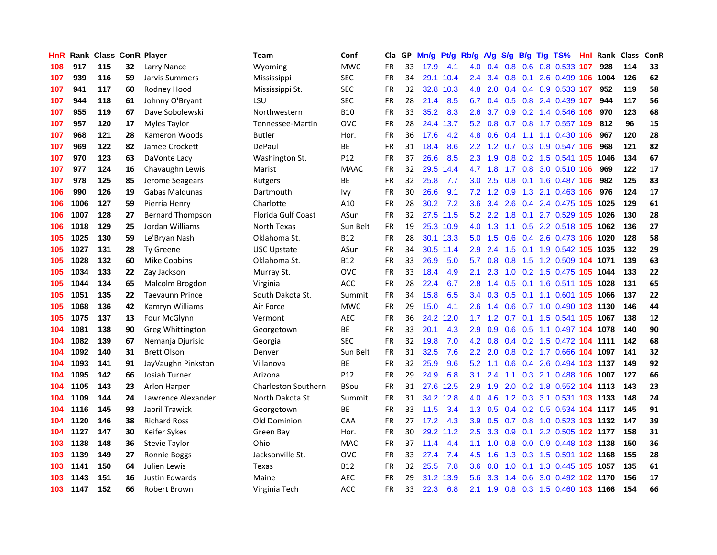| HnR |      | <b>Rank Class ConR Player</b> |    |                         | Team                       | Conf            | Cla       |    | GP Mn/g | Pt/g      | Rb/g             | <b>A/g</b>     | <b>S/g</b> |                 | B/g T/g TS%                   | Hnl | Rank Class |     | ConR |
|-----|------|-------------------------------|----|-------------------------|----------------------------|-----------------|-----------|----|---------|-----------|------------------|----------------|------------|-----------------|-------------------------------|-----|------------|-----|------|
| 108 | 917  | 115                           | 32 | Larry Nance             | Wyoming                    | <b>MWC</b>      | FR        | 33 | 17.9    | 4.1       | 4.0              | 0.4            | 0.8        | 0.6             | 0.8 0.533                     | 107 | 928        | 114 | 33   |
| 107 | 939  | 116                           | 59 | Jarvis Summers          | Mississippi                | <b>SEC</b>      | <b>FR</b> | 34 | 29.1    | 10.4      | 2.4              | 3.4            | 0.8        | 0.1             | 2.6 0.499 106                 |     | 1004       | 126 | 62   |
| 107 | 941  | 117                           | 60 | Rodney Hood             | Mississippi St.            | <b>SEC</b>      | <b>FR</b> | 32 | 32.8    | 10.3      | 4.8              | 2.0            | 0.4        | 0.4             | 0.9 0.533 107                 |     | 952        | 119 | 58   |
| 107 | 944  | 118                           | 61 | Johnny O'Bryant         | LSU                        | <b>SEC</b>      | FR        | 28 | 21.4    | 8.5       | 6.7              |                |            |                 | 0.4 0.5 0.8 2.4 0.439 107     |     | 944        | 117 | 56   |
| 107 | 955  | 119                           | 67 | Dave Sobolewski         | Northwestern               | <b>B10</b>      | <b>FR</b> | 33 | 35.2    | 8.3       | $2.6^{\circ}$    | 3.7            |            |                 | 0.9 0.2 1.4 0.546 106         |     | 970        | 123 | 68   |
| 107 | 957  | 120                           | 17 | Myles Taylor            | Tennessee-Martin           | <b>OVC</b>      | FR        | 28 | 24.4    | 13.7      | 5.2              | 0.8            |            |                 | 0.7 0.8 1.7 0.557 109         |     | 812        | 96  | 15   |
| 107 | 968  | 121                           | 28 | Kameron Woods           | <b>Butler</b>              | Hor.            | <b>FR</b> | 36 | 17.6    | 4.2       | 4.8              | 0.6            | 0.4        |                 | 1.1 1.1 0.430 106             |     | 967        | 120 | 28   |
| 107 | 969  | 122                           | 82 | Jamee Crockett          | DePaul                     | BE              | <b>FR</b> | 31 | 18.4    | 8.6       | 2.2 <sub>2</sub> | 1.2            | 0.7        |                 | 0.3 0.9 0.547 106             |     | 968        | 121 | 82   |
| 107 | 970  | 123                           | 63 | DaVonte Lacy            | Washington St.             | P12             | <b>FR</b> | 37 | 26.6    | 8.5       | 2.3              | 1.9            | 0.8        |                 | 0.2 1.5 0.541 105             |     | 1046       | 134 | 67   |
| 107 | 977  | 124                           | 16 | Chavaughn Lewis         | Marist                     | <b>MAAC</b>     | <b>FR</b> | 32 | 29.5    | 14.4      | 4.7              | 1.8            | 1.7        |                 | 0.8 3.0 0.510 106             |     | 969        | 122 | 17   |
| 107 | 978  | 125                           | 85 | Jerome Seagears         | Rutgers                    | <b>BE</b>       | <b>FR</b> | 32 | 25.8    | 7.7       | $3.0\,$          | 2.5            | 0.8        | 0.1             | 1.6 0.487                     | 106 | 982        | 125 | 83   |
| 106 | 990  | 126                           | 19 | Gabas Maldunas          | Dartmouth                  | <b>Ivy</b>      | FR        | 30 | 26.6    | 9.1       | 7.2              | 1.2            | 0.9        | 1.3             | 2.1 0.463 106                 |     | 976        | 124 | 17   |
| 106 | 1006 | 127                           | 59 | Pierria Henry           | Charlotte                  | A10             | FR        | 28 | 30.2    | 7.2       | 3.6 <sup>°</sup> | 3.4            | 2.6        | 0.4             | 2.4 0.475 105                 |     | 1025       | 129 | 61   |
| 106 | 1007 | 128                           | 27 | <b>Bernard Thompson</b> | Florida Gulf Coast         | ASun            | FR        | 32 |         | 27.5 11.5 | 5.2              | 2.2            | 1.8        | 0.1             | 2.7 0.529 105                 |     | 1026       | 130 | 28   |
| 106 | 1018 | 129                           | 25 | Jordan Williams         | North Texas                | Sun Belt        | <b>FR</b> | 19 |         | 25.3 10.9 | 4.0              | 1.3            | 1.1        | 0.5             | 2.2 0.518 105                 |     | 1062       | 136 | 27   |
| 105 | 1025 | 130                           | 59 | Le'Bryan Nash           | Oklahoma St.               | <b>B12</b>      | FR        | 28 |         | 30.1 13.3 | 5.0              | 1.5            | 0.6        | 0.4             | 2.6 0.473 106                 |     | 1020       | 128 | 58   |
| 105 | 1027 | 131                           | 28 | <b>Ty Greene</b>        | <b>USC Upstate</b>         | ASun            | <b>FR</b> | 34 |         | 30.5 11.4 | 2.9              | 2.4            | 1.5        | 0.1             | 1.9 0.542 105 1035            |     |            | 132 | 29   |
| 105 | 1028 | 132                           | 60 | Mike Cobbins            | Oklahoma St.               | <b>B12</b>      | FR        | 33 | 26.9    | 5.0       | 5.7              |                | $0.8\ 0.8$ |                 | 1.5 1.2 0.509 104 1071        |     |            | 139 | 63   |
| 105 | 1034 | 133                           | 22 | Zay Jackson             | Murray St.                 | <b>OVC</b>      | FR        | 33 | 18.4    | 4.9       | 2.1              | 2.3            |            |                 | 1.0 0.2 1.5 0.475 105 1044    |     |            | 133 | 22   |
| 105 | 1044 | 134                           | 65 | Malcolm Brogdon         | Virginia                   | ACC             | FR        | 28 | 22.4    | 6.7       | 2.8              | 1.4            |            |                 | 0.5 0.1 1.6 0.511 105 1028    |     |            | 131 | 65   |
| 105 | 1051 | 135                           | 22 | <b>Taevaunn Prince</b>  | South Dakota St.           | Summit          | <b>FR</b> | 34 | 15.8    | 6.5       |                  | $3.4\quad 0.3$ | 0.5        |                 | 0.1 1.1 0.601 105 1066        |     |            | 137 | 22   |
| 105 | 1068 | 136                           | 42 | Kamryn Williams         | Air Force                  | <b>MWC</b>      | <b>FR</b> | 29 | 15.0    | 4.1       | 2.6              | 1.4            | 0.6        |                 | 0.7 1.0 0.490 103 1130        |     |            | 146 | 44   |
| 105 | 1075 | 137                           | 13 | Four McGlynn            | Vermont                    | <b>AEC</b>      | <b>FR</b> | 36 | 24.2    | 12.0      | 1.7              | 1.2            |            | $0.7 \quad 0.1$ | 1.5 0.541 105                 |     | 1067       | 138 | 12   |
| 104 | 1081 | 138                           | 90 | Greg Whittington        | Georgetown                 | <b>BE</b>       | <b>FR</b> | 33 | 20.1    | 4.3       | 2.9              | 0.9            | 0.6        | 0.5             | 1.1 0.497 104 1078            |     |            | 140 | 90   |
| 104 | 1082 | 139                           | 67 | Nemanja Djurisic        | Georgia                    | <b>SEC</b>      | FR        | 32 | 19.8    | 7.0       | 4.2 <sub>1</sub> | 0.8            |            |                 | 0.4 0.2 1.5 0.472 104 1111    |     |            | 142 | 68   |
| 104 | 1092 | 140                           | 31 | <b>Brett Olson</b>      | Denver                     | Sun Belt        | <b>FR</b> | 31 | 32.5    | 7.6       | $2.2\phantom{0}$ | 2.0            | 0.8        |                 | 0.2 1.7 0.666 104             |     | 1097       | 141 | 32   |
| 104 | 1093 | 141                           | 91 | JayVaughn Pinkston      | Villanova                  | <b>BE</b>       | <b>FR</b> | 32 | 25.9    | 9.6       | 5.2              | 1.1            | 0.6        | 0.4             | 2.6 0.494 103                 |     | 1137       | 149 | 92   |
| 104 | 1095 | 142                           | 66 | Josiah Turner           | Arizona                    | P <sub>12</sub> | FR        | 29 | 24.9    | 6.8       | 3.1              | 2.4            | 1.1        | 0.3             | 2.1 0.488 106                 |     | 1007       | 127 | 66   |
| 104 | 1105 | 143                           | 23 | Arlon Harper            | <b>Charleston Southern</b> | <b>BSou</b>     | <b>FR</b> | 31 | 27.6    | 12.5      | 2.9              | 1.9            | 2.0        | 0.2             | 1.8 0.552 104                 |     | 1113       | 143 | 23   |
| 104 | 1109 | 144                           | 24 | Lawrence Alexander      | North Dakota St.           | Summit          | <b>FR</b> | 31 |         | 34.2 12.8 | 4.0              | 4.6            |            |                 | 1.2 0.3 3.1 0.531 103 1133    |     |            | 148 | 24   |
| 104 | 1116 | 145                           | 93 | Jabril Trawick          | Georgetown                 | ВE              | <b>FR</b> | 33 | 11.5    | 3.4       | 1.3 <sup>°</sup> | 0.5            |            |                 | 0.4 0.2 0.5 0.534 104 1117    |     |            | 145 | 91   |
| 104 | 1120 | 146                           | 38 | <b>Richard Ross</b>     | <b>Old Dominion</b>        | CAA             | FR        | 27 | 17.2    | 4.3       | 3.9              | 0.5            |            |                 | 0.7 0.8 1.0 0.523 103 1132    |     |            | 147 | 39   |
| 104 | 1127 | 147                           | 30 | Keifer Sykes            | Green Bay                  | Hor.            | <b>FR</b> | 30 |         | 29.2 11.2 | $2.5^{\circ}$    | 3.3            | 0.9        | 0.1             | 2.2 0.505 102 1177            |     |            | 158 | 31   |
| 103 | 1138 | 148                           | 36 | Stevie Taylor           | Ohio                       | <b>MAC</b>      | <b>FR</b> | 37 | 11.4    | 4.4       | 1.1              | 1.0            | 0.8        |                 | 0.0 0.9 0.448 103 1138        |     |            | 150 | 36   |
| 103 | 1139 | 149                           | 27 | Ronnie Boggs            | Jacksonville St.           | <b>OVC</b>      | FR        | 33 | 27.4    | 7.4       | 4.5              | 1.6            | 1.3        |                 | 0.3 1.5 0.591 <b>102 1168</b> |     |            | 155 | 28   |
| 103 | 1141 | 150                           | 64 | Julien Lewis            | <b>Texas</b>               | <b>B12</b>      | <b>FR</b> | 32 | 25.5    | 7.8       | 3.6              | 0.8            | 1.0        | 0.1             | 1.3 0.445                     | 105 | 1057       | 135 | 61   |
| 103 | 1143 | 151                           | 16 | Justin Edwards          | Maine                      | <b>AEC</b>      | <b>FR</b> | 29 | 31.2    | 13.9      | 5.6              | 3.3            | 1.4        | 0.6             | 3.0 0.492                     | 102 | 1170       | 156 | 17   |
| 103 | 1147 | 152                           | 66 | Robert Brown            | Virginia Tech              | ACC             | FR        | 33 | 22.3    | 6.8       | 2.1              | 1.9            |            |                 | 0.8 0.3 1.5 0.460 103 1166    |     |            | 154 | 66   |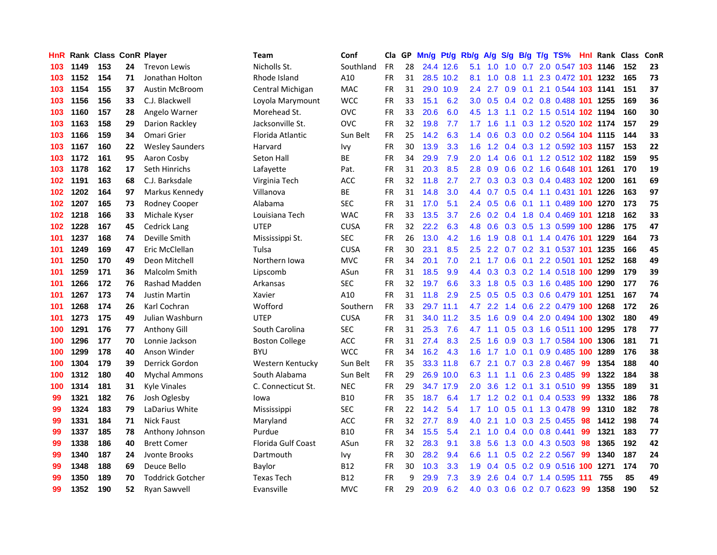| HnR |      | <b>Rank Class ConR Player</b> |    |                         | Team                  | Conf        | Cla       |    | GP Mn/g | Pt/g      | Rb/g A/g         |                 | <b>S/g</b> |     | B/g T/g TS%                        |     | <b>Hnl Rank Class</b> |     | ConR |
|-----|------|-------------------------------|----|-------------------------|-----------------------|-------------|-----------|----|---------|-----------|------------------|-----------------|------------|-----|------------------------------------|-----|-----------------------|-----|------|
| 103 | 1149 | 153                           | 24 | <b>Trevon Lewis</b>     | Nicholls St.          | Southland   | <b>FR</b> | 28 |         | 24.4 12.6 | 5.1              | 1.0             | 1.0        | 0.7 | 2.0 0.547                          | 103 | 1146                  | 152 | 23   |
| 103 | 1152 | 154                           | 71 | Jonathan Holton         | Rhode Island          | A10         | FR        | 31 |         | 28.5 10.2 | 8.1              | 1.0             | 0.8        | 1.1 | 2.3 0.472 101                      |     | 1232                  | 165 | 73   |
| 103 | 1154 | 155                           | 37 | <b>Austin McBroom</b>   | Central Michigan      | <b>MAC</b>  | <b>FR</b> | 31 | 29.0    | 10.9      | 2.4              | 2.7             | 0.9        | 0.1 | 2.1 0.544 103 1141                 |     |                       | 151 | 37   |
| 103 | 1156 | 156                           | 33 | C.J. Blackwell          | Loyola Marymount      | <b>WCC</b>  | <b>FR</b> | 33 | 15.1    | 6.2       | 3.0 <sub>2</sub> | 0.5             | 0.4        |     | 0.2 0.8 0.488 101 1255             |     |                       | 169 | 36   |
| 103 | 1160 | 157                           | 28 | Angelo Warner           | Morehead St.          | <b>OVC</b>  | FR        | 33 | 20.6    | 6.0       | 4.5              | 1.3             |            |     | 1.1 0.2 1.5 0.514 102 1194         |     |                       | 160 | 30   |
| 103 | 1163 | 158                           | 29 | Darion Rackley          | Jacksonville St.      | OVC         | <b>FR</b> | 32 | 19.8    | 7.7       |                  | $1.7 \quad 1.6$ |            |     | 1.1 0.3 1.2 0.520 102 1174         |     |                       | 157 | 29   |
| 103 | 1166 | 159                           | 34 | Omari Grier             | Florida Atlantic      | Sun Belt    | <b>FR</b> | 25 | 14.2    | 6.3       | $1.4^{\circ}$    | 0.6             |            |     | 0.3 0.0 0.2 0.564 104 1115         |     |                       | 144 | 33   |
| 103 | 1167 | 160                           | 22 | <b>Wesley Saunders</b>  | Harvard               | Ivy         | FR        | 30 | 13.9    | 3.3       | 1.6              |                 |            |     | 1.2 0.4 0.3 1.2 0.592 103 1157     |     |                       | 153 | 22   |
| 103 | 1172 | 161                           | 95 | Aaron Cosby             | Seton Hall            | ВE          | <b>FR</b> | 34 | 29.9    | 7.9       | 2.0              | 1.4             | 0.6        |     | 0.1 1.2 0.512 102 1182             |     |                       | 159 | 95   |
| 103 | 1178 | 162                           | 17 | Seth Hinrichs           | Lafayette             | Pat.        | <b>FR</b> | 31 | 20.3    | 8.5       | 2.8              | 0.9             | 0.6        |     | 0.2 1.6 0.648 101 1261             |     |                       | 170 | 19   |
| 102 | 1191 | 163                           | 68 | C.J. Barksdale          | Virginia Tech         | <b>ACC</b>  | FR        | 32 | 11.8    | 2.7       | $2.7^{\circ}$    | 0.3             |            |     | 0.3 0.3 0.4 0.483 102 1200         |     |                       | 161 | 69   |
| 102 | 1202 | 164                           | 97 | Markus Kennedy          | Villanova             | BE          | FR        | 31 | 14.8    | 3.0       | 4.4              | 0.7             |            |     | 0.5 0.4 1.1 0.431 101              |     | 1226                  | 163 | 97   |
| 102 | 1207 | 165                           | 73 | <b>Rodney Cooper</b>    | Alabama               | <b>SEC</b>  | <b>FR</b> | 31 | 17.0    | 5.1       |                  | $2.4\quad 0.5$  | 0.6        | 0.1 | 1.1 0.489 100                      |     | 1270                  | 173 | 75   |
| 102 | 1218 | 166                           | 33 | Michale Kyser           | Louisiana Tech        | WAC         | <b>FR</b> | 33 | 13.5    | 3.7       | 2.6              | 0.2             | 0.4        | 1.8 | 0.4 0.469 101                      |     | 1218                  | 162 | 33   |
| 102 | 1228 | 167                           | 45 | Cedrick Lang            | <b>UTEP</b>           | <b>CUSA</b> | <b>FR</b> | 32 | 22.2    | 6.3       | 4.8              | 0.6             | 0.3        | 0.5 | 1.3 0.599 100                      |     | 1286                  | 175 | 47   |
| 101 | 1237 | 168                           | 74 | Deville Smith           | Mississippi St.       | <b>SEC</b>  | <b>FR</b> | 26 | 13.0    | 4.2       | 1.6 <sup>°</sup> | 1.9             | 0.8        | 0.1 | 1.4 0.476 101                      |     | 1229                  | 164 | 73   |
| 101 | 1249 | 169                           | 47 | Eric McClellan          | Tulsa                 | <b>CUSA</b> | <b>FR</b> | 30 | 23.1    | 8.5       | 2.5              | 2.2             | 0.7        |     | 0.2 3.1 0.537 101                  |     | 1235                  | 166 | 45   |
| 101 | 1250 | 170                           | 49 | Deon Mitchell           | Northern Iowa         | <b>MVC</b>  | FR        | 34 | 20.1    | 7.0       | 2.1              | 1.7             | 0.6        |     | 0.1 2.2 0.501 101 1252             |     |                       | 168 | 49   |
| 101 | 1259 | 171                           | 36 | Malcolm Smith           | Lipscomb              | ASun        | FR        | 31 | 18.5    | 9.9       |                  |                 |            |     | 4.4 0.3 0.3 0.2 1.4 0.518 100 1299 |     |                       | 179 | 39   |
| 101 | 1266 | 172                           | 76 | Rashad Madden           | Arkansas              | <b>SEC</b>  | <b>FR</b> | 32 | 19.7    | 6.6       |                  |                 |            |     | 3.3 1.8 0.5 0.3 1.6 0.485 100 1290 |     |                       | 177 | 76   |
| 101 | 1267 | 173                           | 74 | <b>Justin Martin</b>    | Xavier                | A10         | <b>FR</b> | 31 | 11.8    | 2.9       | $2.5^{\circ}$    |                 |            |     | 0.5 0.5 0.3 0.6 0.479 101          |     | 1251                  | 167 | 74   |
| 101 | 1268 | 174                           | 26 | Karl Cochran            | Wofford               | Southern    | <b>FR</b> | 33 |         | 29.7 11.1 | 4.7              | 2.2             |            |     | 1.4 0.6 2.2 0.479 100 1268         |     |                       | 172 | 26   |
| 101 | 1273 | 175                           | 49 | Julian Washburn         | <b>UTEP</b>           | <b>CUSA</b> | <b>FR</b> | 31 |         | 34.0 11.2 | 3.5              | 1.6             |            |     | 0.9 0.4 2.0 0.494 100              |     | 1302                  | 180 | 49   |
| 100 | 1291 | 176                           | 77 | <b>Anthony Gill</b>     | South Carolina        | <b>SEC</b>  | FR        | 31 | 25.3    | 7.6       | 4.7              | 1.1             | 0.5        |     | 0.3 1.6 0.511 100 1295             |     |                       | 178 | 77   |
| 100 | 1296 | 177                           | 70 | Lonnie Jackson          | <b>Boston College</b> | <b>ACC</b>  | <b>FR</b> | 31 | 27.4    | 8.3       | $2.5^{\circ}$    | 1.6             | 0.9        |     | 0.3 1.7 0.584 100                  |     | 1306                  | 181 | 71   |
| 100 | 1299 | 178                           | 40 | Anson Winder            | <b>BYU</b>            | <b>WCC</b>  | FR        | 34 | 16.2    | 4.3       | 1.6              | 1.7             | 1.0        | 0.1 | 0.9 0.485 100                      |     | 1289                  | 176 | 38   |
| 100 | 1304 | 179                           | 39 | Derrick Gordon          | Western Kentucky      | Sun Belt    | <b>FR</b> | 35 |         | 33.3 11.8 | 6.7              | 2.1             | 0.7        |     | 0.3 2.8 0.467                      | -99 | 1354                  | 188 | 40   |
| 100 | 1312 | 180                           | 40 | <b>Mychal Ammons</b>    | South Alabama         | Sun Belt    | <b>FR</b> | 29 |         | 26.9 10.0 | 6.3              | 1.1             | 1.1        | 0.6 | 2.3 0.485                          | -99 | 1322                  | 184 | 38   |
| 100 | 1314 | 181                           | 31 | Kyle Vinales            | C. Connecticut St.    | <b>NEC</b>  | FR        | 29 |         | 34.7 17.9 | 2.0              | 3.6             | 1.2        | 0.1 | 3.1 0.510                          | 99  | 1355                  | 189 | 31   |
| 99  | 1321 | 182                           | 76 | Josh Oglesby            | lowa                  | <b>B10</b>  | <b>FR</b> | 35 | 18.7    | 6.4       | 1.7 <sub>z</sub> | 1.2             | 0.2        | 0.1 | 0.4 0.533                          | -99 | 1332                  | 186 | 78   |
| 99  | 1324 | 183                           | 79 | LaDarius White          | Mississippi           | <b>SEC</b>  | <b>FR</b> | 22 | 14.2    | 5.4       | 1.7              | 1.0             | 0.5        | 0.1 | 1.3 0.478                          | 99  | 1310                  | 182 | 78   |
| 99  | 1331 | 184                           | 71 | <b>Nick Faust</b>       | Maryland              | <b>ACC</b>  | <b>FR</b> | 32 | 27.7    | 8.9       | 4.0              | 2.1             | 1.0        |     | 0.3 2.5 0.455                      | -98 | 1412                  | 198 | 74   |
| 99  | 1337 | 185                           | 78 | Anthony Johnson         | Purdue                | B10         | FR        | 34 | 15.5    | 5.4       | 2.1              |                 |            |     | 1.0 0.4 0.0 0.8 0.441              | 99  | 1321                  | 183 | 77   |
| 99  | 1338 | 186                           | 40 | <b>Brett Comer</b>      | Florida Gulf Coast    | ASun        | <b>FR</b> | 32 | 28.3    | 9.1       |                  | $3.8\quad 5.6$  |            |     | 1.3 0.0 4.3 0.503                  | -98 | 1365                  | 192 | 42   |
| 99  | 1340 | 187                           | 24 | Jyonte Brooks           | Dartmouth             | Ivy         | FR        | 30 | 28.2    | 9.4       | 6.6              | 1.1             |            |     | $0.5$ $0.2$ $2.2$ $0.567$          | -99 | 1340                  | 187 | 24   |
| 99  | 1348 | 188                           | 69 | Deuce Bello             | Baylor                | B12         | FR        | 30 | 10.3    | 3.3       | 1.9              | 0.4             | 0.5        |     | 0.2 0.9 0.516 100                  |     | 1271                  | 174 | 70   |
| 99  | 1350 | 189                           | 70 | <b>Toddrick Gotcher</b> | <b>Texas Tech</b>     | B12         | <b>FR</b> | 9  | 29.9    | 7.3       | 3.9              | 2.6             |            |     | 0.4 0.7 1.4 0.595 111              |     | 755                   | 85  | 49   |
| 99  | 1352 | 190                           | 52 | <b>Ryan Sawvell</b>     | Evansville            | <b>MVC</b>  | FR        | 29 | 20.9    | 6.2       | 4.0              |                 |            |     | 0.3 0.6 0.2 0.7 0.623              | -99 | 1358                  | 190 | 52   |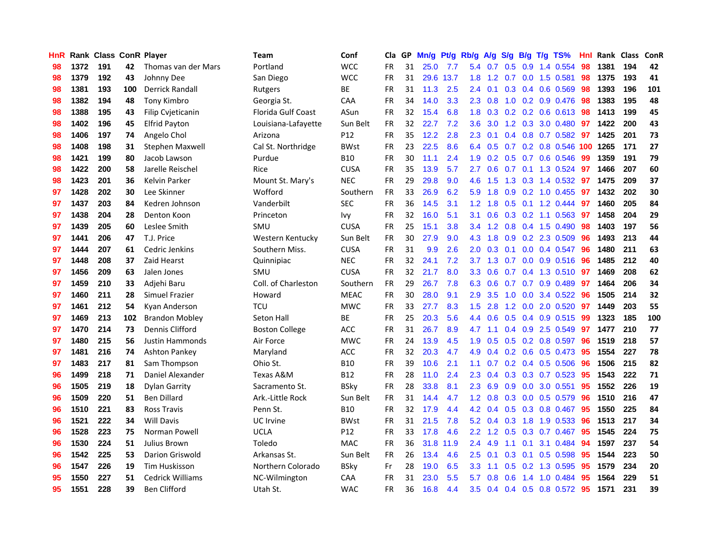| <b>HnR</b> |      | Rank Class ConR Player |     |                        | <b>Team</b>               | Conf        | Cla       |    | GP Mn/g Pt/g Rb/g A/g S/g B/g T/g TS% |           |                  |                 |     |                 |                              | Hnl |      | Rank Class | ConR |
|------------|------|------------------------|-----|------------------------|---------------------------|-------------|-----------|----|---------------------------------------|-----------|------------------|-----------------|-----|-----------------|------------------------------|-----|------|------------|------|
| 98         | 1372 | 191                    | 42  | Thomas van der Mars    | Portland                  | <b>WCC</b>  | <b>FR</b> | 31 | 25.0                                  | 7.7       | 5.4              | 0.7             | 0.5 | 0.9             | 1.4 0.554                    | 98  | 1381 | 194        | 42   |
| 98         | 1379 | 192                    | 43  | Johnny Dee             | San Diego                 | <b>WCC</b>  | <b>FR</b> | 31 | 29.6                                  | 13.7      | 1.8              | 1.2             | 0.7 | 0.0             | 1.5 0.581                    | 98  | 1375 | 193        | 41   |
| 98         | 1381 | 193                    | 100 | <b>Derrick Randall</b> | Rutgers                   | ВE          | <b>FR</b> | 31 | 11.3                                  | 2.5       | 2.4              | 0.1             |     | $0.3 \quad 0.4$ | 0.6 0.569                    | 98  | 1393 | 196        | 101  |
| 98         | 1382 | 194                    | 48  | <b>Tony Kimbro</b>     | Georgia St.               | CAA         | <b>FR</b> | 34 | 14.0                                  | 3.3       | 2.3              | 0.8             |     |                 | 1.0 0.2 0.9 0.476            | -98 | 1383 | 195        | 48   |
| 98         | 1388 | 195                    | 43  | Filip Cvjeticanin      | <b>Florida Gulf Coast</b> | ASun        | <b>FR</b> | 32 | 15.4                                  | 6.8       |                  |                 |     |                 | 1.8 0.3 0.2 0.2 0.6 0.613 98 |     | 1413 | 199        | 45   |
| 98         | 1402 | 196                    | 45  | <b>Elfrid Payton</b>   | Louisiana-Lafayette       | Sun Belt    | <b>FR</b> | 32 | 22.7                                  | 7.2       | 3.6 <sub>2</sub> | 3.0             |     |                 | 1.2 0.3 3.0 0.480            | 97  | 1422 | 200        | 43   |
| 98         | 1406 | 197                    | 74  | Angelo Chol            | Arizona                   | P12         | <b>FR</b> | 35 | 12.2                                  | 2.8       | $2.3^{\circ}$    | 0.1             |     |                 | $0.4$ 0.8 0.7 0.582          | 97  | 1425 | 201        | 73   |
| 98         | 1408 | 198                    | 31  | Stephen Maxwell        | Cal St. Northridge        | <b>BWst</b> | <b>FR</b> | 23 | 22.5                                  | 8.6       | 6.4              | 0.5             |     |                 | 0.7 0.2 0.8 0.546 100        |     | 1265 | 171        | 27   |
| 98         | 1421 | 199                    | 80  | Jacob Lawson           | Purdue                    | <b>B10</b>  | <b>FR</b> | 30 | 11.1                                  | 2.4       | 1.9              | 0.2             |     |                 | 0.5 0.7 0.6 0.546            | 99  | 1359 | 191        | 79   |
| 98         | 1422 | 200                    | 58  | Jarelle Reischel       | Rice                      | <b>CUSA</b> | <b>FR</b> | 35 | 13.9                                  | 5.7       | 2.7              | 0.6             | 0.7 |                 | $0.1$ 1.3 0.524              | -97 | 1466 | 207        | 60   |
| 98         | 1423 | 201                    | 36  | Kelvin Parker          | Mount St. Mary's          | <b>NEC</b>  | <b>FR</b> | 29 | 29.8                                  | 9.0       | 4.6              | 1.5             | 1.3 |                 | 0.3 1.4 0.532                | 97  | 1475 | 209        | 37   |
| 97         | 1428 | 202                    | 30  | Lee Skinner            | Wofford                   | Southern    | <b>FR</b> | 33 | 26.9                                  | 6.2       | 5.9              | 1.8             | 0.9 |                 | 0.2 1.0 0.455                | 97  | 1432 | 202        | 30   |
| 97         | 1437 | 203                    | 84  | Kedren Johnson         | Vanderbilt                | <b>SEC</b>  | <b>FR</b> | 36 | 14.5                                  | 3.1       | 1.2 <sub>1</sub> | 1.8             | 0.5 |                 | $0.1$ 1.2 0.444              | 97  | 1460 | 205        | 84   |
| 97         | 1438 | 204                    | 28  | Denton Koon            | Princeton                 | <b>Ivy</b>  | <b>FR</b> | 32 | 16.0                                  | 5.1       | 3.1              | 0.6             | 0.3 |                 | $0.2$ 1.1 0.563              | 97  | 1458 | 204        | 29   |
| 97         | 1439 | 205                    | 60  | Leslee Smith           | SMU                       | <b>CUSA</b> | <b>FR</b> | 25 | 15.1                                  | 3.8       | 3.4              | 1.2             | 0.8 |                 | 0.4 1.5 0.490                | 98  | 1403 | 197        | 56   |
| 97         | 1441 | 206                    | 47  | T.J. Price             | Western Kentucky          | Sun Belt    | <b>FR</b> | 30 | 27.9                                  | 9.0       | 4.3 <sup>°</sup> | 1.8             | 0.9 |                 | 0.2 2.3 0.509                | 96  | 1493 | 213        | 44   |
| 97         | 1444 | 207                    | 61  | Cedric Jenkins         | Southern Miss.            | <b>CUSA</b> | <b>FR</b> | 31 | 9.9                                   | 2.6       | 2.0 <sub>1</sub> | 0.3             | 0.1 |                 | $0.0$ 0.4 0.547              | -96 | 1480 | 211        | 63   |
| 97         | 1448 | 208                    | 37  | Zaid Hearst            | Quinnipiac                | <b>NEC</b>  | <b>FR</b> | 32 | 24.1                                  | 7.2       |                  | $3.7 \quad 1.3$ |     |                 | $0.7$ $0.0$ $0.9$ $0.516$    | -96 | 1485 | 212        | 40   |
| 97         | 1456 | 209                    | 63  | Jalen Jones            | SMU                       | <b>CUSA</b> | <b>FR</b> | 32 | 21.7                                  | 8.0       |                  | $3.3 \quad 0.6$ |     |                 | 0.7 0.4 1.3 0.510 97         |     | 1469 | 208        | 62   |
| 97         | 1459 | 210                    | 33  | Adjehi Baru            | Coll. of Charleston       | Southern    | <b>FR</b> | 29 | 26.7                                  | 7.8       | 6.3              | 0.6             |     |                 | $0.7$ $0.7$ $0.9$ $0.489$    | -97 | 1464 | 206        | 34   |
| 97         | 1460 | 211                    | 28  | Simuel Frazier         | Howard                    | <b>MEAC</b> | <b>FR</b> | 30 | 28.0                                  | 9.1       | 2.9              | 3.5             |     |                 | 1.0 0.0 3.4 0.522            | 96  | 1505 | 214        | 32   |
| 97         | 1461 | 212                    | 54  | Kyan Anderson          | <b>TCU</b>                | <b>MWC</b>  | FR        | 33 | 27.7                                  | 8.3       | 1.5              | 2.8             |     |                 | 1.2 0.0 2.0 0.520            | 97  | 1449 | 203        | 55   |
| 97         | 1469 | 213                    | 102 | <b>Brandon Mobley</b>  | Seton Hall                | ВE          | <b>FR</b> | 25 | 20.3                                  | 5.6       | 4.4              | 0.6             |     |                 | $0.5$ 0.4 0.9 0.515          | -99 | 1323 | 185        | 100  |
| 97         | 1470 | 214                    | 73  | Dennis Clifford        | <b>Boston College</b>     | <b>ACC</b>  | <b>FR</b> | 31 | 26.7                                  | 8.9       | 4.7              | 1.1             |     |                 | $0.4$ 0.9 2.5 0.549          | 97  | 1477 | 210        | 77   |
| 97         | 1480 | 215                    | 56  | Justin Hammonds        | Air Force                 | <b>MWC</b>  | FR        | 24 | 13.9                                  | 4.5       | 1.9              | 0.5             |     |                 | $0.5$ 0.2 0.8 0.597          | 96  | 1519 | 218        | 57   |
| 97         | 1481 | 216                    | 74  | <b>Ashton Pankey</b>   | Maryland                  | ACC         | <b>FR</b> | 32 | 20.3                                  | 4.7       | 4.9              | 0.4             |     |                 | 0.2 0.6 0.5 0.473            | 95  | 1554 | 227        | 78   |
| 97         | 1483 | 217                    | 81  | Sam Thompson           | Ohio St.                  | <b>B10</b>  | <b>FR</b> | 39 | 10.6                                  | 2.1       | 1.1              | 0.7             |     |                 | $0.2$ 0.4 0.5 0.506          | -96 | 1506 | 215        | 82   |
| 96         | 1499 | 218                    | 71  | Daniel Alexander       | Texas A&M                 | <b>B12</b>  | <b>FR</b> | 28 | 11.0                                  | 2.4       | $2.3\phantom{0}$ | 0.4             |     |                 | $0.3$ $0.3$ $0.7$ $0.523$    | 95  | 1543 | 222        | 71   |
| 96         | 1505 | 219                    | 18  | Dylan Garrity          | Sacramento St.            | <b>BSky</b> | <b>FR</b> | 28 | 33.8                                  | 8.1       | 2.3              | 6.9             | 0.9 | 0.0             | 3.0 0.551                    | 95  | 1552 | 226        | 19   |
| 96         | 1509 | 220                    | 51  | <b>Ben Dillard</b>     | Ark .- Little Rock        | Sun Belt    | <b>FR</b> | 31 | 14.4                                  | 4.7       | 1.2 <sub>1</sub> | 0.8             |     | $0.3 \ 0.0$     | 0.5 0.579                    | -96 | 1510 | 216        | 47   |
| 96         | 1510 | 221                    | 83  | Ross Travis            | Penn St.                  | <b>B10</b>  | <b>FR</b> | 32 | 17.9                                  | 4.4       | 4.2              | 0.4             |     |                 | 0.5 0.3 0.8 0.467            | -95 | 1550 | 225        | 84   |
| 96         | 1521 | 222                    | 34  | <b>Will Davis</b>      | UC Irvine                 | <b>BWst</b> | <b>FR</b> | 31 | 21.5                                  | 7.8       |                  | $5.2 \quad 0.4$ | 0.3 |                 | 1.8 1.9 0.533                | -96 | 1513 | 217        | 34   |
| 96         | 1528 | 223                    | 75  | Norman Powell          | <b>UCLA</b>               | P12         | <b>FR</b> | 33 | 17.8                                  | 4.6       |                  | $2.2 \quad 1.2$ |     |                 | 0.5 0.3 0.7 0.467            | -95 | 1545 | 224        | 75   |
| 96         | 1530 | 224                    | 51  | Julius Brown           | Toledo                    | <b>MAC</b>  | <b>FR</b> | 36 |                                       | 31.8 11.9 | 2.4              | 4.9             | 1.1 | 0.1             | 3.1 0.484                    | -94 | 1597 | 237        | 54   |
| 96         | 1542 | 225                    | 53  | Darion Griswold        | Arkansas St.              | Sun Belt    | FR        | 26 | 13.4                                  | 4.6       | 2.5              | 0.1             |     |                 | 0.3 0.1 0.5 0.598            | 95  | 1544 | 223        | 50   |
| 96         | 1547 | 226                    | 19  | <b>Tim Huskisson</b>   | Northern Colorado         | <b>BSky</b> | Fr        | 28 | 19.0                                  | 6.5       | 3.3              | 1.1             |     |                 | $0.5$ $0.2$ 1.3 $0.595$      | 95  | 1579 | 234        | 20   |
| 95         | 1550 | 227                    | 51  | Cedrick Williams       | NC-Wilmington             | CAA         | FR        | 31 | 23.0                                  | 5.5       | 5.7              | 0.8             | 0.6 | 1.4             | $1.0$ 0.484                  | 95  | 1564 | 229        | 51   |
| 95         | 1551 | 228                    | 39  | <b>Ben Clifford</b>    | Utah St.                  | <b>WAC</b>  | <b>FR</b> | 36 | 16.8                                  | 4.4       | $3.5^{\circ}$    |                 |     |                 | 0.4 0.4 0.5 0.8 0.572 95     |     | 1571 | 231        | 39   |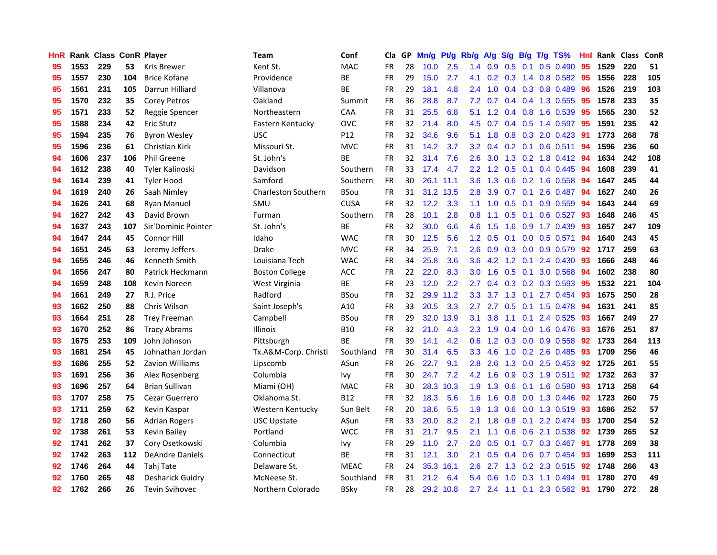| <b>HnR</b> |      | Rank Class ConR Player |     |                        | <b>Team</b>                | Conf        | Cla       |     | GP Mn/g | Pt/g Rb/g |                  |                |     |                 | A/g S/g B/g T/g TS%       | Hnl | Rank Class |     | ConR |
|------------|------|------------------------|-----|------------------------|----------------------------|-------------|-----------|-----|---------|-----------|------------------|----------------|-----|-----------------|---------------------------|-----|------------|-----|------|
| 95         | 1553 | 229                    | 53  | <b>Kris Brewer</b>     | Kent St.                   | <b>MAC</b>  | <b>FR</b> | 28  | 10.0    | 2.5       | 1.4              | 0.9            | 0.5 | 0.1             | $0.5$ 0.490               | 95  | 1529       | 220 | 51   |
| 95         | 1557 | 230                    | 104 | <b>Brice Kofane</b>    | Providence                 | BE          | <b>FR</b> | 29  | 15.0    | 2.7       | 4.1              | 0.2            | 0.3 | 1.4             | 0.8 0.582                 | 95  | 1556       | 228 | 105  |
| 95         | 1561 | 231                    | 105 | Darrun Hilliard        | Villanova                  | ВE          | <b>FR</b> | 29  | 18.1    | 4.8       | 2.4              | 1.0            |     | $0.4 \quad 0.3$ | 0.8 0.489                 | 96  | 1526       | 219 | 103  |
| 95         | 1570 | 232                    | 35  | Corey Petros           | Oakland                    | Summit      | <b>FR</b> | 36  | 28.8    | 8.7       |                  | $7.2\quad 0.7$ |     |                 | 0.4 0.4 1.3 0.555         | -95 | 1578       | 233 | 35   |
| 95         | 1571 | 233                    | 52  | Reggie Spencer         | Northeastern               | CAA         | <b>FR</b> | 31  | 25.5    | 6.8       | 5.1              |                |     |                 | 1.2 0.4 0.8 1.6 0.539     | -95 | 1565       | 230 | 52   |
| 95         | 1588 | 234                    | 42  | <b>Eric Stutz</b>      | Eastern Kentucky           | <b>OVC</b>  | <b>FR</b> | 32. | 21.4    | 8.0       | 4.5              | 0.7            |     |                 | $0.4$ 0.5 1.4 0.597       | -95 | 1591       | 235 | 42   |
| 95         | 1594 | 235                    | 76  | <b>Byron Wesley</b>    | <b>USC</b>                 | P12         | <b>FR</b> | 32  | 34.6    | 9.6       | 5.1              | 1.8            |     |                 | $0.8$ $0.3$ 2.0 $0.423$   | 91  | 1773       | 268 | 78   |
| 95         | 1596 | 236                    | 61  | Christian Kirk         | Missouri St.               | <b>MVC</b>  | <b>FR</b> | 31  | 14.2    | 3.7       | 3.2              | 0.4            |     |                 | $0.2$ 0.1 0.6 0.511       | 94  | 1596       | 236 | 60   |
| 94         | 1606 | 237                    | 106 | <b>Phil Greene</b>     | St. John's                 | ВE          | <b>FR</b> | 32  | 31.4    | 7.6       | 2.6              | 3.0            |     |                 | 1.3 0.2 1.8 0.412         | 94  | 1634       | 242 | 108  |
| 94         | 1612 | 238                    | 40  | Tyler Kalinoski        | Davidson                   | Southern    | <b>FR</b> | 33  | 17.4    | 4.7       | 2.2 <sub>2</sub> | 1.2            | 0.5 | 0.1             | 0.4 0.445                 | 94  | 1608       | 239 | 41   |
| 94         | 1614 | 239                    | 41  | <b>Tyler Hood</b>      | Samford                    | Southern    | <b>FR</b> | 30  |         | 26.1 11.1 | 3.6              | 1.3            |     |                 | $0.6$ $0.2$ 1.6 $0.558$   | 94  | 1647       | 245 | 44   |
| 94         | 1619 | 240                    | 26  | Saah Nimley            | <b>Charleston Southern</b> | <b>BSou</b> | <b>FR</b> | 31  |         | 31.2 13.5 | 2.8              | 3.9            | 0.7 | 0.1             | 2.6 0.487                 | 94  | 1627       | 240 | 26   |
| 94         | 1626 | 241                    | 68  | <b>Ryan Manuel</b>     | SMU                        | <b>CUSA</b> | <b>FR</b> | 32  | 12.2    | 3.3       | 1.1              | 1.0            | 0.5 | 0.1             | 0.9 0.559                 | 94  | 1643       | 244 | 69   |
| 94         | 1627 | 242                    | 43  | David Brown            | Furman                     | Southern    | <b>FR</b> | 28  | 10.1    | 2.8       | 0.8              | 1.1            | 0.5 | 0.1             | $0.6$ 0.527               | 93  | 1648       | 246 | 45   |
| 94         | 1637 | 243                    | 107 | Sir'Dominic Pointer    | St. John's                 | BE          | <b>FR</b> | 32  | 30.0    | 6.6       | 4.6              | 1.5            | 1.6 | 0.9             | 1.7 0.439                 | 93  | 1657       | 247 | 109  |
| 94         | 1647 | 244                    | 45  | <b>Connor Hill</b>     | Idaho                      | <b>WAC</b>  | <b>FR</b> | 30  | 12.5    | 5.6       | 1.2 <sub>1</sub> | 0.5            | 0.1 | 0.0             | $0.5$ 0.571               | 94  | 1640       | 243 | 45   |
| 94         | 1651 | 245                    | 63  | Jeremy Jeffers         | <b>Drake</b>               | <b>MVC</b>  | <b>FR</b> | 34  | 25.9    | 7.1       | 2.6              | 0.9            |     |                 | 0.3 0.0 0.9 0.579         | -92 | 1717       | 259 | 63   |
| 94         | 1655 | 246                    | 46  | Kenneth Smith          | Louisiana Tech             | <b>WAC</b>  | <b>FR</b> | 34  | 25.8    | 3.6       | 3.6 <sup>2</sup> | 4.2            |     |                 | 1.2 0.1 2.4 0.430         | 93  | 1666       | 248 | 46   |
| 94         | 1656 | 247                    | 80  | Patrick Heckmann       | <b>Boston College</b>      | ACC         | <b>FR</b> | 22  | 22.0    | 8.3       | 3.0 <sub>1</sub> | 1.6            |     | $0.5 \quad 0.1$ | 3.0 0.568                 | 94  | 1602       | 238 | 80   |
| 94         | 1659 | 248                    | 108 | Kevin Noreen           | West Virginia              | ВE          | <b>FR</b> | 23  | 12.0    | 2.2       | 2.7              | $0.4^{\circ}$  |     |                 | $0.3$ $0.2$ $0.3$ $0.593$ | 95  | 1532       | 221 | 104  |
| 94         | 1661 | 249                    | 27  | R.J. Price             | Radford                    | <b>BSou</b> | <b>FR</b> | 32  |         | 29.9 11.2 | 3.3              | 3.7            |     |                 | 1.3 0.1 2.7 0.454         | 93  | 1675       | 250 | 28   |
| 93         | 1662 | 250                    | 88  | Chris Wilson           | Saint Joseph's             | A10         | <b>FR</b> | 33  | 20.5    | 3.3       | 2.7              | 2.7            |     |                 | 0.5 0.1 1.5 0.478         | 94  | 1631       | 241 | 85   |
| 93         | 1664 | 251                    | 28  | <b>Trey Freeman</b>    | Campbell                   | <b>BSou</b> | <b>FR</b> | 29  | 32.0    | 13.9      | 3.1              | 3.8            | 1.1 | 0.1             | 2.4 0.525                 | 93  | 1667       | 249 | 27   |
| 93         | 1670 | 252                    | 86  | <b>Tracy Abrams</b>    | <b>Illinois</b>            | <b>B10</b>  | <b>FR</b> | 32  | 21.0    | 4.3       | 2.3              | 1.9            |     |                 | $0.4$ 0.0 1.6 0.476       | 93  | 1676       | 251 | 87   |
| 93         | 1675 | 253                    | 109 | John Johnson           | Pittsburgh                 | ВE          | FR        | 39  | 14.1    | 4.2       | 0.6              | 1.2            |     |                 | 0.3 0.0 0.9 0.558         | 92  | 1733       | 264 | 113  |
| 93         | 1681 | 254                    | 45  | Johnathan Jordan       | Tx.A&M-Corp. Christi       | Southland   | <b>FR</b> | 30  | 31.4    | 6.5       | 3.3              | 4.6            |     |                 | 1.0 0.2 2.6 0.485         | 93  | 1709       | 256 | 46   |
| 93         | 1686 | 255                    | 52  | <b>Zavion Williams</b> | Lipscomb                   | ASun        | <b>FR</b> | 26  | 22.7    | 9.1       | 2.8              | 2.6            | 1.3 | 0.0             | 2.5 0.453                 | 92  | 1725       | 261 | 55   |
| 93         | 1691 | 256                    | 36  | Alex Rosenberg         | Columbia                   | Ivy         | <b>FR</b> | 30  | 24.7    | 7.2       | 4.2              | 1.6            | 0.9 |                 | $0.3$ 1.9 0.511           | 92  | 1732       | 263 | 37   |
| 93         | 1696 | 257                    | 64  | Brian Sullivan         | Miami (OH)                 | MAC         | <b>FR</b> | 30  | 28.3    | 10.3      | 1.9              | 1.3            | 0.6 | 0.1             | 1.6 0.590                 | 93  | 1713       | 258 | 64   |
| 93         | 1707 | 258                    | 75  | Cezar Guerrero         | Oklahoma St.               | <b>B12</b>  | <b>FR</b> | 32  | 18.3    | 5.6       | 1.6              | 1.6            | 0.8 | 0.0             | 1.3 0.446                 | 92  | 1723       | 260 | 75   |
| 93         | 1711 | 259                    | 62  | Kevin Kaspar           | Western Kentucky           | Sun Belt    | <b>FR</b> | 20  | 18.6    | 5.5       | 1.9              | 1.3            | 0.6 |                 | 0.0 1.3 0.519             | -93 | 1686       | 252 | 57   |
| 92         | 1718 | 260                    | 56  | <b>Adrian Rogers</b>   | USC Upstate                | ASun        | <b>FR</b> | 33  | 20.0    | 8.2       | 2.1              | 1.8            |     |                 | 0.8 0.1 2.2 0.474         | -93 | 1700       | 254 | 52   |
| 92         | 1738 | 261                    | 53  | <b>Kevin Bailey</b>    | Portland                   | <b>WCC</b>  | <b>FR</b> | 31  | 21.7    | 9.5       | 2.1              | 1.1            |     |                 | 0.6 0.6 2.1 0.538         | 92  | 1739       | 265 | 52   |
| 92         | 1741 | 262                    | 37  | Cory Osetkowski        | Columbia                   | lvy         | <b>FR</b> | 29  | 11.0    | 2.7       | 2.0              | 0.5            |     |                 | $0.1$ $0.7$ $0.3$ $0.467$ | -91 | 1778       | 269 | 38   |
| 92         | 1742 | 263                    | 112 | <b>DeAndre Daniels</b> | Connecticut                | ВE          | FR        | 31  | 12.1    | 3.0       | 2.1              | 0.5            |     |                 | 0.4 0.6 0.7 0.454         | 93  | 1699       | 253 | 111  |
| 92         | 1746 | 264                    | 44  | Tahj Tate              | Delaware St.               | <b>MEAC</b> | <b>FR</b> | 24  | 35.3    | 16.1      | 2.6              | 2.7            |     |                 | 1.3 0.2 2.3 0.515         | 92  | 1748       | 266 | 43   |
| 92         | 1760 | 265                    | 48  | Desharick Guidry       | McNeese St.                | Southland   | <b>FR</b> | 31  | 21.2    | 6.4       | 5.4              | 0.6            | 1.0 | 0.3             | 1.1 0.494                 | 91  | 1780       | 270 | 49   |
| 92         | 1762 | 266                    | 26  | <b>Tevin Svihovec</b>  | Northern Colorado          | BSkv        | FR.       | 28  |         | 29.2 10.8 |                  |                |     |                 | 2.7 2.4 1.1 0.1 2.3 0.562 | -91 | 1790       | 272 | 28   |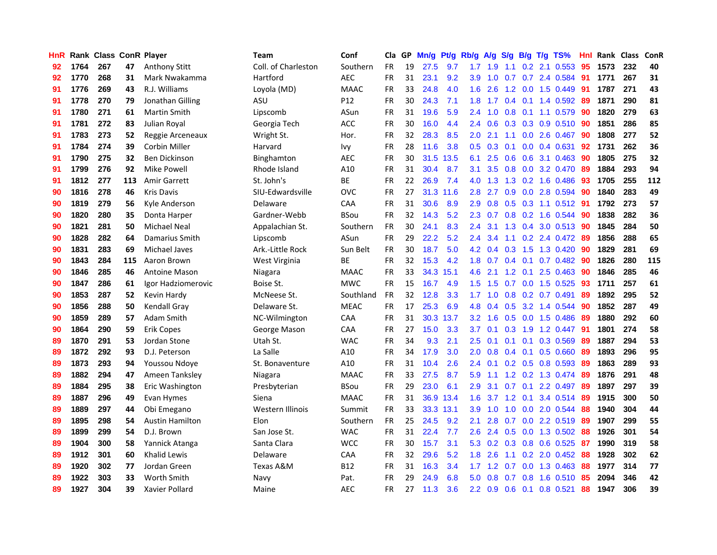| HnR |      | Rank Class ConR Player |     |                        | <b>Team</b>         | Conf        | Cla       | GP. | Mn/g | Pt/g      | Rb/g A/g         |                 |                  |                 | S/g B/g T/g TS%         | Hnl | Rank Class |     | <b>ConR</b> |
|-----|------|------------------------|-----|------------------------|---------------------|-------------|-----------|-----|------|-----------|------------------|-----------------|------------------|-----------------|-------------------------|-----|------------|-----|-------------|
| 92  | 1764 | 267                    | 47  | <b>Anthony Stitt</b>   | Coll. of Charleston | Southern    | <b>FR</b> | 19  | 27.5 | 9.7       | 1.7              | 1.9             | 1.1              | 0.2             | 2.1 0.553               | 95  | 1573       | 232 | 40          |
| 92  | 1770 | 268                    | 31  | Mark Nwakamma          | Hartford            | <b>AEC</b>  | <b>FR</b> | 31  | 23.1 | 9.2       | 3.9              | 1.0             | 0.7              | 0.7             | 2.4 0.584               | -91 | 1771       | 267 | 31          |
| 91  | 1776 | 269                    | 43  | R.J. Williams          | Loyola (MD)         | <b>MAAC</b> | <b>FR</b> | 33  | 24.8 | 4.0       | 1.6              | 2.6             | 1.2              | 0.0             | 1.5 0.449               | 91  | 1787       | 271 | 43          |
| 91  | 1778 | 270                    | 79  | Jonathan Gilling       | ASU                 | P12         | <b>FR</b> | 30  | 24.3 | 7.1       | 1.8 <sup>2</sup> | 1.7             |                  | $0.4 \quad 0.1$ | 1.4 0.592               | -89 | 1871       | 290 | 81          |
| 91  | 1780 | 271                    | 61  | <b>Martin Smith</b>    | Lipscomb            | ASun        | <b>FR</b> | 31  | 19.6 | 5.9       | 2.4              | 1.0             |                  |                 | 0.8 0.1 1.1 0.579       | -90 | 1820       | 279 | 63          |
| 91  | 1781 | 272                    | 83  | Julian Royal           | Georgia Tech        | ACC         | <b>FR</b> | 30  | 16.0 | 4.4       |                  | $2.4\quad0.6$   |                  |                 | $0.3$ 0.3 0.9 0.510     | -90 | 1851       | 286 | 85          |
| 91  | 1783 | 273                    | 52  | Reggie Arceneaux       | Wright St.          | Hor.        | <b>FR</b> | 32  | 28.3 | 8.5       | $2.0^{\circ}$    | 2.1             |                  |                 | 1.1 0.0 2.6 0.467       | 90  | 1808       | 277 | 52          |
| 91  | 1784 | 274                    | 39  | Corbin Miller          | Harvard             | Ivy         | <b>FR</b> | 28  | 11.6 | 3.8       | 0.5 <sub>1</sub> | 0.3             | 0.1              |                 | $0.0$ $0.4$ $0.631$     | 92  | 1731       | 262 | 36          |
| 91  | 1790 | 275                    | 32  | Ben Dickinson          | Binghamton          | <b>AEC</b>  | <b>FR</b> | 30  | 31.5 | 13.5      | 6.1              | 2.5             | 0.6              |                 | 0.6 3.1 0.463           | 90  | 1805       | 275 | 32          |
| 91  | 1799 | 276                    | 92  | <b>Mike Powell</b>     | Rhode Island        | A10         | <b>FR</b> | 31  | 30.4 | 8.7       | 3.1              | 3.5             | 0.8              |                 | 0.0 3.2 0.470           | 89  | 1884       | 293 | 94          |
| 91  | 1812 | 277                    | 113 | <b>Amir Garrett</b>    | St. John's          | ВE          | <b>FR</b> | 22  | 26.9 | 7.4       | 4.0              | 1.3             | 1.3              |                 | 0.2 1.6 0.486           | 93  | 1705       | 255 | 112         |
| 90  | 1816 | 278                    | 46  | Kris Davis             | SIU-Edwardsville    | <b>OVC</b>  | <b>FR</b> | 27  |      | 31.3 11.6 | 2.8              | 2.7             | 0.9 <sub>o</sub> |                 | 0.0 2.8 0.594           | 90  | 1840       | 283 | 49          |
| 90  | 1819 | 279                    | 56  | Kyle Anderson          | Delaware            | CAA         | <b>FR</b> | 31  | 30.6 | 8.9       | 2.9              | 0.8             | 0.5              | 0.3             | 1.1 0.512               | -91 | 1792       | 273 | 57          |
| 90  | 1820 | 280                    | 35  | Donta Harper           | Gardner-Webb        | <b>BSou</b> | <b>FR</b> | 32  | 14.3 | 5.2       | 2.3              | 0.7             | 0.8              | 0.2             | 1.6 0.544               | -90 | 1838       | 282 | 36          |
| 90  | 1821 | 281                    | 50  | Michael Neal           | Appalachian St.     | Southern    | <b>FR</b> | 30  | 24.1 | 8.3       | 2.4              | 3.1             | 1.3              | 0.4             | 3.0 0.513               | -90 | 1845       | 284 | 50          |
| 90  | 1828 | 282                    | 64  | Damarius Smith         | Lipscomb            | ASun        | <b>FR</b> | 29  | 22.2 | 5.2       | 2.4              | 3.4             | 1.1              |                 | $0.2$ 2.4 $0.472$       | -89 | 1856       | 288 | 65          |
| 90  | 1831 | 283                    | 69  | Michael Javes          | Ark .- Little Rock  | Sun Belt    | <b>FR</b> | 30  | 18.7 | 5.0       |                  | $4.2 \quad 0.4$ | 0.3              | 1.5             | 1.3 0.420               | -90 | 1829       | 281 | 69          |
| 90  | 1843 | 284                    | 115 | Aaron Brown            | West Virginia       | ВE          | <b>FR</b> | 32  | 15.3 | 4.2       |                  | $1.8\quad 0.7$  |                  | $0.4 \quad 0.1$ | $0.7$ 0.482             | -90 | 1826       | 280 | 115         |
| 90  | 1846 | 285                    | 46  | Antoine Mason          | Niagara             | <b>MAAC</b> | <b>FR</b> | 33  |      | 34.3 15.1 | 4.6              | 2.1             |                  | $1.2 \quad 0.1$ | 2.5 0.463               | -90 | 1846       | 285 | 46          |
| 90  | 1847 | 286                    | 61  | Igor Hadziomerovic     | Boise St.           | <b>MWC</b>  | <b>FR</b> | 15  | 16.7 | 4.9       | $1.5\,$          | 1.5             |                  |                 | $0.7$ $0.0$ 1.5 $0.525$ | 93  | 1711       | 257 | 61          |
| 90  | 1853 | 287                    | 52  | Kevin Hardy            | McNeese St.         | Southland   | <b>FR</b> | 32  | 12.8 | 3.3       | 1.7 <sub>z</sub> | 1.0             |                  |                 | $0.8$ 0.2 0.7 0.491     | 89  | 1892       | 295 | 52          |
| 90  | 1856 | 288                    | 50  | Kendall Gray           | Delaware St.        | <b>MEAC</b> | <b>FR</b> | 17  | 25.3 | 6.9       | 4.8              | 0.4             |                  |                 | 0.5 3.2 1.4 0.544       | 90  | 1852       | 287 | 49          |
| 90  | 1859 | 289                    | 57  | <b>Adam Smith</b>      | NC-Wilmington       | CAA         | <b>FR</b> | 31  | 30.3 | 13.7      | 3.2              | 1.6             |                  |                 | 0.5 0.0 1.5 0.486       | 89  | 1880       | 292 | 60          |
| 90  | 1864 | 290                    | 59  | <b>Erik Copes</b>      | George Mason        | CAA         | <b>FR</b> | 27  | 15.0 | 3.3       | 3.7              | 0.1             | 0.3              |                 | 1.9 1.2 0.447           | -91 | 1801       | 274 | 58          |
| 89  | 1870 | 291                    | 53  | Jordan Stone           | Utah St.            | <b>WAC</b>  | FR        | 34  | 9.3  | 2.1       | 2.5              | 0.1             | 0.1              | 0.1             | 0.3 0.569               | -89 | 1887       | 294 | 53          |
| 89  | 1872 | 292                    | 93  | D.J. Peterson          | La Salle            | A10         | <b>FR</b> | 34  | 17.9 | 3.0       | 2.0              | 0.8             |                  | $0.4 \quad 0.1$ | 0.5 0.660               | 89  | 1893       | 296 | 95          |
| 89  | 1873 | 293                    | 94  | Youssou Ndoye          | St. Bonaventure     | A10         | <b>FR</b> | 31  | 10.4 | 2.6       | 2.4              | 0.1             |                  | $0.2 \quad 0.5$ | 0.8 0.593               | 89  | 1863       | 289 | 93          |
| 89  | 1882 | 294                    | 47  | Ameen Tanksley         | Niagara             | <b>MAAC</b> | <b>FR</b> | 33  | 27.5 | 8.7       | 5.9              | 1.1             |                  | $1.2 \quad 0.2$ | 1.3 0.474               | 89  | 1876       | 291 | 48          |
| 89  | 1884 | 295                    | 38  | Eric Washington        | Presbyterian        | <b>BSou</b> | <b>FR</b> | 29  | 23.0 | 6.1       | 2.9              | 3.1             | 0.7              | 0.1             | 2.2 0.497               | -89 | 1897       | 297 | 39          |
| 89  | 1887 | 296                    | 49  | Evan Hymes             | Siena               | <b>MAAC</b> | <b>FR</b> | 31  | 36.9 | 13.4      | 1.6              | 3.7             |                  | $1.2 \quad 0.1$ | 3.4 0.514               | -89 | 1915       | 300 | 50          |
| 89  | 1889 | 297                    | 44  | Obi Emegano            | Western Illinois    | Summit      | <b>FR</b> | 33  |      | 33.3 13.1 | 3.9              | 1.0             |                  |                 | 1.0 0.0 2.0 0.544       | -88 | 1940       | 304 | 44          |
| 89  | 1895 | 298                    | 54  | <b>Austin Hamilton</b> | Elon                | Southern    | <b>FR</b> | 25  | 24.5 | 9.2       | 2.1              | 2.8             | 0.7              |                 | 0.0 2.2 0.519           | -89 | 1907       | 299 | 55          |
| 89  | 1899 | 299                    | 54  | D.J. Brown             | San Jose St.        | <b>WAC</b>  | <b>FR</b> | 31  | 22.4 | 7.7       | 2.6              | 2.4             |                  |                 | $0.5$ $0.0$ 1.3 $0.502$ | 88  | 1926       | 301 | 54          |
| 89  | 1904 | 300                    | 58  | Yannick Atanga         | Santa Clara         | <b>WCC</b>  | <b>FR</b> | 30  | 15.7 | 3.1       | 5.3              | 0.2             |                  |                 | 0.3 0.8 0.6 0.525       | -87 | 1990       | 319 | 58          |
| 89  | 1912 | 301                    | 60  | Khalid Lewis           | Delaware            | CAA         | <b>FR</b> | 32  | 29.6 | 5.2       | 1.8              | 2.6             | 1.1              | 0.2             | 2.0 0.452               | 88  | 1928       | 302 | 62          |
| 89  | 1920 | 302                    | 77  | Jordan Green           | Texas A&M           | B12         | <b>FR</b> | 31  | 16.3 | 3.4       | 1.7              | 1.2             | 0.7              | 0.0             | 1.3 0.463               | 88  | 1977       | 314 | 77          |
| 89  | 1922 | 303                    | 33  | Worth Smith            | Navy                | Pat.        | <b>FR</b> | 29  | 24.9 | 6.8       | 5.0              | 0.8             | 0.7              | 0.8             | 1.6 0.510               | 85  | 2094       | 346 | 42          |
| 89  | 1927 | 304                    | 39  | Xavier Pollard         | Maine               | <b>AEC</b>  | FR        | 27  | 11.3 | 3.6       |                  | $2.2 \quad 0.9$ |                  |                 | 0.6 0.1 0.8 0.521       | 88  | 1947       | 306 | 39          |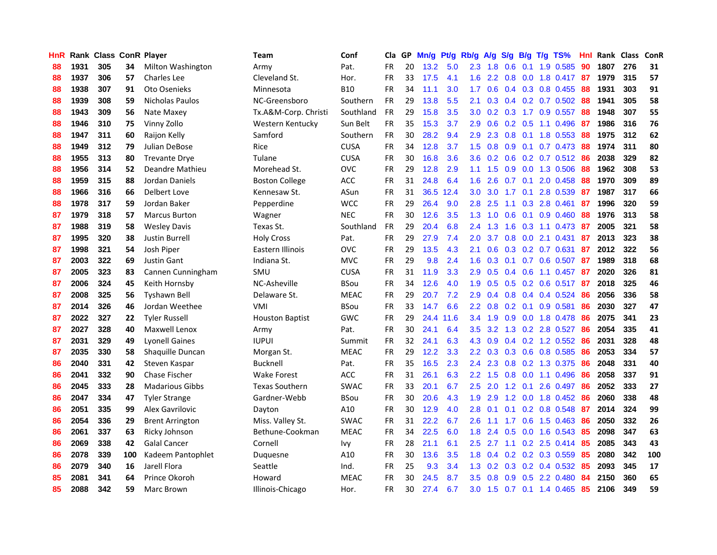| <b>HnR</b> |      | Rank Class ConR Player |     |                          | Team                   | Conf        | Cla       |    | GP Mn/g Pt/g Rb/g |           |                  | A/g             |               |                 | S/g B/g T/g TS%              | Hnl | Rank Class |     | ConR |
|------------|------|------------------------|-----|--------------------------|------------------------|-------------|-----------|----|-------------------|-----------|------------------|-----------------|---------------|-----------------|------------------------------|-----|------------|-----|------|
| 88         | 1931 | 305                    | 34  | <b>Milton Washington</b> | Army                   | Pat.        | <b>FR</b> | 20 | 13.2              | 5.0       | 2.3              | 1.8             | 0.6           | 0.1             | 1.9 0.585                    | 90  | 1807       | 276 | 31   |
| 88         | 1937 | 306                    | 57  | Charles Lee              | Cleveland St.          | Hor.        | <b>FR</b> | 33 | 17.5              | 4.1       | 1.6              | 2.2             | 0.8           | 0.0             | 1.8 0.417 87                 |     | 1979       | 315 | 57   |
| 88         | 1938 | 307                    | 91  | Oto Osenieks             | Minnesota              | <b>B10</b>  | <b>FR</b> | 34 | 11.1              | 3.0       | 1.7              | 0.6             |               | $0.4 \quad 0.3$ | 0.8 0.455                    | -88 | 1931       | 303 | 91   |
| 88         | 1939 | 308                    | 59  | Nicholas Paulos          | NC-Greensboro          | Southern    | FR        | 29 | 13.8              | 5.5       | 2.1              | 0.3             |               |                 | $0.4$ 0.2 0.7 0.502          | -88 | 1941       | 305 | 58   |
| 88         | 1943 | 309                    | 56  | Nate Maxey               | Tx.A&M-Corp. Christi   | Southland   | <b>FR</b> | 29 | 15.8              | 3.5       |                  |                 |               |                 | 3.0 0.2 0.3 1.7 0.9 0.557    | -88 | 1948       | 307 | 55   |
| 88         | 1946 | 310                    | 75  | Vinny Zollo              | Western Kentucky       | Sun Belt    | <b>FR</b> | 35 | 15.3              | 3.7       | 2.9              | 0.6             |               |                 | $0.2$ $0.5$ 1.1 $0.496$      | -87 | 1986       | 316 | 76   |
| 88         | 1947 | 311                    | 60  | Raijon Kelly             | Samford                | Southern    | <b>FR</b> | 30 | 28.2              | 9.4       | $2.9^{\circ}$    | 2.3             |               |                 | 0.8 0.1 1.8 0.553            | 88  | 1975       | 312 | 62   |
| 88         | 1949 | 312                    | 79  | Julian DeBose            | Rice                   | <b>CUSA</b> | <b>FR</b> | 34 | 12.8              | 3.7       | 1.5              | 0.8             |               |                 | 0.9 0.1 0.7 0.473            | 88  | 1974       | 311 | 80   |
| 88         | 1955 | 313                    | 80  | <b>Trevante Drye</b>     | Tulane                 | <b>CUSA</b> | <b>FR</b> | 30 | 16.8              | 3.6       | 3.6 <sub>2</sub> | 0.2             |               |                 | $0.6$ $0.2$ $0.7$ $0.512$    | 86  | 2038       | 329 | 82   |
| 88         | 1956 | 314                    | 52  | Deandre Mathieu          | Morehead St.           | <b>OVC</b>  | <b>FR</b> | 29 | 12.8              | 2.9       | 1.1              | 1.5             | 0.9           |                 | 0.0 1.3 0.506                | 88  | 1962       | 308 | 53   |
| 88         | 1959 | 315                    | 88  | Jordan Daniels           | <b>Boston College</b>  | ACC         | FR        | 31 | 24.8              | 6.4       | 1.6              | 2.6             | 0.7           | 0.1             | 2.0 0.458                    | 88  | 1970       | 309 | 89   |
| 88         | 1966 | 316                    | 66  | Delbert Love             | Kennesaw St.           | ASun        | <b>FR</b> | 31 |                   | 36.5 12.4 | 3.0              | 3.0             | 1.7           | 0.1             | 2.8 0.539                    | 87  | 1987       | 317 | 66   |
| 88         | 1978 | 317                    | 59  | Jordan Baker             | Pepperdine             | <b>WCC</b>  | <b>FR</b> | 29 | 26.4              | 9.0       | 2.8              | 2.5             | 1.1           | 0.3             | 2.8 0.461                    | 87  | 1996       | 320 | 59   |
| 87         | 1979 | 318                    | 57  | <b>Marcus Burton</b>     | Wagner                 | <b>NEC</b>  | <b>FR</b> | 30 | 12.6              | 3.5       | 1.3              | 1.0             | 0.6           | 0.1             | 0.9 0.460                    | 88  | 1976       | 313 | 58   |
| 87         | 1988 | 319                    | 58  | <b>Wesley Davis</b>      | Texas St.              | Southland   | <b>FR</b> | 29 | 20.4              | 6.8       | 2.4              | 1.3             | 1.6           | 0.3             | 1.1 0.473                    | -87 | 2005       | 321 | 58   |
| 87         | 1995 | 320                    | 38  | <b>Justin Burrell</b>    | <b>Holy Cross</b>      | Pat.        | <b>FR</b> | 29 | 27.9              | 7.4       | 2.0              | 3.7             | 0.8           | 0.0             | 2.1 0.431                    | -87 | 2013       | 323 | 38   |
| 87         | 1998 | 321                    | 54  | Josh Piper               | Eastern Illinois       | <b>OVC</b>  | <b>FR</b> | 29 | 13.5              | 4.3       | 2.1              | 0.6             |               |                 | $0.3$ $0.2$ $0.7$ $0.631$    | 87  | 2012       | 322 | 56   |
| 87         | 2003 | 322                    | 69  | <b>Justin Gant</b>       | Indiana St.            | <b>MVC</b>  | FR        | 29 | 9.8               | 2.4       | 1.6              | 0.3             |               |                 | 0.1 0.7 0.6 0.507            | -87 | 1989       | 318 | 68   |
| 87         | 2005 | 323                    | 83  | Cannen Cunningham        | SMU                    | <b>CUSA</b> | <b>FR</b> | 31 | 11.9              | 3.3       | 2.9              | 0.5             |               |                 | 0.4 0.6 1.1 0.457 87         |     | 2020       | 326 | 81   |
| 87         | 2006 | 324                    | 45  | Keith Hornsby            | NC-Asheville           | <b>BSou</b> | <b>FR</b> | 34 | 12.6              | 4.0       | 1.9              | 0.5             |               |                 | $0.5$ $0.2$ $0.6$ $0.517$ 87 |     | 2018       | 325 | 46   |
| 87         | 2008 | 325                    | 56  | <b>Tyshawn Bell</b>      | Delaware St.           | <b>MEAC</b> | <b>FR</b> | 29 | 20.7              | 7.2       | 2.9              | 0.4             |               |                 | 0.8 0.4 0.4 0.524            | 86  | 2056       | 336 | 58   |
| 87         | 2014 | 326                    | 46  | Jordan Weethee           | <b>VMI</b>             | <b>BSou</b> | FR        | 33 | 14.7              | 6.6       | 2.2              | 0.8             |               |                 | $0.2$ 0.1 0.9 0.581          | 86  | 2030       | 327 | 47   |
| 87         | 2022 | 327                    | 22  | <b>Tyler Russell</b>     | <b>Houston Baptist</b> | <b>GWC</b>  | <b>FR</b> | 29 | 24.4              | 11.6      | 3.4              | 1.9             |               |                 | 0.9 0.0 1.8 0.478            | 86  | 2075       | 341 | 23   |
| 87         | 2027 | 328                    | 40  | Maxwell Lenox            | Army                   | Pat.        | <b>FR</b> | 30 | 24.1              | 6.4       | $3.5\,$          | 3.2             |               |                 | 1.3 0.2 2.8 0.527            | 86  | 2054       | 335 | 41   |
| 87         | 2031 | 329                    | 49  | <b>Lyonell Gaines</b>    | <b>IUPUI</b>           | Summit      | FR        | 32 | 24.1              | 6.3       | $4.3^{\circ}$    | 0.9             |               |                 | $0.4$ 0.2 1.2 0.552          | -86 | 2031       | 328 | 48   |
| 87         | 2035 | 330                    | 58  | Shaquille Duncan         | Morgan St.             | <b>MEAC</b> | <b>FR</b> | 29 | 12.2              | 3.3       | $2.2\phantom{0}$ | 0.3             |               |                 | 0.3 0.6 0.8 0.585            | 86  | 2053       | 334 | 57   |
| 86         | 2040 | 331                    | 42  | Steven Kaspar            | <b>Bucknell</b>        | Pat.        | <b>FR</b> | 35 | 16.5              | 2.3       | 2.4              | 2.3             | 0.8           |                 | 0.2 1.3 0.375                | 86  | 2048       | 331 | 40   |
| 86         | 2041 | 332                    | 90  | Chase Fischer            | <b>Wake Forest</b>     | ACC         | <b>FR</b> | 31 | 26.1              | 6.3       | 2.2              | 1.5             | 0.8           | 0.0             | 1.1 0.496                    | 86  | 2058       | 337 | 91   |
| 86         | 2045 | 333                    | 28  | <b>Madarious Gibbs</b>   | <b>Texas Southern</b>  | <b>SWAC</b> | <b>FR</b> | 33 | 20.1              | 6.7       | 2.5              | 2.0             | $1.2^{\circ}$ | 0.1             | 2.6 0.497                    | 86  | 2052       | 333 | 27   |
| 86         | 2047 | 334                    | 47  | <b>Tyler Strange</b>     | Gardner-Webb           | <b>BSou</b> | <b>FR</b> | 30 | 20.6              | 4.3       | 1.9              | 2.9             |               | $1.2 \quad 0.0$ | 1.8 0.452                    | 86  | 2060       | 338 | 48   |
| 86         | 2051 | 335                    | 99  | <b>Alex Gavrilovic</b>   | Dayton                 | A10         | <b>FR</b> | 30 | 12.9              | 4.0       | 2.8              | 0.1             |               |                 | $0.1$ $0.2$ $0.8$ $0.548$    | -87 | 2014       | 324 | 99   |
| 86         | 2054 | 336                    | 29  | <b>Brent Arrington</b>   | Miss. Valley St.       | <b>SWAC</b> | <b>FR</b> | 31 | 22.2              | 6.7       | 2.6              | 1.1             |               |                 | 1.7 0.6 1.5 0.463            | -86 | 2050       | 332 | 26   |
| 86         | 2061 | 337                    | 63  | Ricky Johnson            | Bethune-Cookman        | <b>MEAC</b> | <b>FR</b> | 34 | 22.5              | 6.0       | 1.8              | 2.4             |               |                 | $0.5$ 0.0 1.6 0.543          | 85  | 2098       | 347 | 63   |
| 86         | 2069 | 338                    | 42  | <b>Galal Cancer</b>      | Cornell                | Ivy         | <b>FR</b> | 28 | 21.1              | 6.1       | $2.5^{\circ}$    | 2.7             |               |                 | $1.1$ 0.2 2.5 0.414          | 85  | 2085       | 343 | 43   |
| 86         | 2078 | 339                    | 100 | Kadeem Pantophlet        | Duquesne               | A10         | FR        | 30 | 13.6              | 3.5       | 1.8              | 0.4             |               |                 | 0.2 0.2 0.3 0.559            | 85  | 2080       | 342 | 100  |
| 86         | 2079 | 340                    | 16  | Jarell Flora             | Seattle                | Ind.        | <b>FR</b> | 25 | 9.3               | 3.4       | 1.3              | 0.2             |               |                 | $0.3$ $0.2$ $0.4$ $0.532$    | 85  | 2093       | 345 | 17   |
| 85         | 2081 | 341                    | 64  | Prince Okoroh            | Howard                 | <b>MEAC</b> | FR        | 30 | 24.5              | 8.7       | 3.5              | 0.8             | 0.9           | 0.5             | 2.2 0.480                    | 84  | 2150       | 360 | 65   |
| 85         | 2088 | 342                    | 59  | Marc Brown               | Illinois-Chicago       | Hor.        | <b>FR</b> | 30 | 27.4              | 6.7       |                  | $3.0 \quad 1.5$ |               |                 | $0.7$ 0.1 1.4 0.465          | -85 | 2106       | 349 | 59   |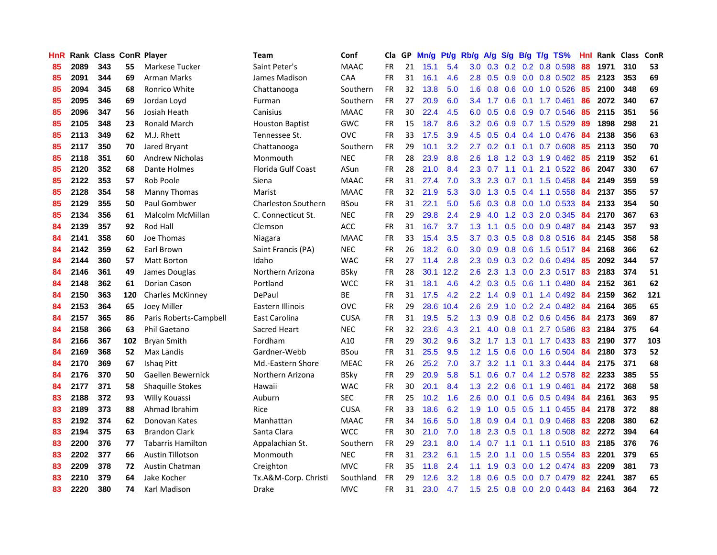| HnR |      | Rank Class ConR Player |     |                          | <b>Team</b>                | Conf        |           |    | Cla GP Mn/g Pt/g Rb/g A/g S/g B/g T/g TS% |           |                  |                 |     |                 |                           | Hnl |      | Rank Class | ConR |
|-----|------|------------------------|-----|--------------------------|----------------------------|-------------|-----------|----|-------------------------------------------|-----------|------------------|-----------------|-----|-----------------|---------------------------|-----|------|------------|------|
| 85  | 2089 | 343                    | 55  | Markese Tucker           | Saint Peter's              | <b>MAAC</b> | <b>FR</b> | 21 | 15.1                                      | 5.4       | 3.0              | 0.3             | 0.2 | 0.2             | 0.8 0.598                 | 88  | 1971 | 310        | 53   |
| 85  | 2091 | 344                    | 69  | Arman Marks              | James Madison              | CAA         | <b>FR</b> | 31 | 16.1                                      | 4.6       | 2.8              | 0.5             | 0.9 | 0.0             | 0.8 0.502                 | 85  | 2123 | 353        | 69   |
| 85  | 2094 | 345                    | 68  | Ronrico White            | Chattanooga                | Southern    | <b>FR</b> | 32 | 13.8                                      | 5.0       | 1.6              | 0.8             |     | $0.6\quad 0.0$  | 1.0 0.526                 | 85  | 2100 | 348        | 69   |
| 85  | 2095 | 346                    | 69  | Jordan Loyd              | Furman                     | Southern    | FR        | 27 | 20.9                                      | 6.0       |                  | $3.4$ 1.7       |     |                 | 0.6 0.1 1.7 0.461         | 86  | 2072 | 340        | 67   |
| 85  | 2096 | 347                    | 56  | Josiah Heath             | Canisius                   | <b>MAAC</b> | <b>FR</b> | 30 | 22.4                                      | 4.5       |                  | $6.0 \quad 0.5$ |     |                 | 0.6 0.9 0.7 0.546         | 85  | 2115 | 351        | 56   |
| 85  | 2105 | 348                    | 23  | <b>Ronald March</b>      | <b>Houston Baptist</b>     | <b>GWC</b>  | <b>FR</b> | 15 | 18.7                                      | 8.6       | 3.2 <sub>2</sub> | 0.6             |     |                 | $0.9$ 0.7 1.5 0.529       | -89 | 1898 | 298        | 21   |
| 85  | 2113 | 349                    | 62  | M.J. Rhett               | Tennessee St.              | <b>OVC</b>  | <b>FR</b> | 33 | 17.5                                      | 3.9       | 4.5              | 0.5             |     |                 | 0.4 0.4 1.0 0.476         | -84 | 2138 | 356        | 63   |
| 85  | 2117 | 350                    | 70  | Jared Bryant             | Chattanooga                | Southern    | <b>FR</b> | 29 | 10.1                                      | 3.2       | 2.7              | 0.2             | 0.1 |                 | 0.1 0.7 0.608             | 85  | 2113 | 350        | 70   |
| 85  | 2118 | 351                    | 60  | <b>Andrew Nicholas</b>   | Monmouth                   | <b>NEC</b>  | <b>FR</b> | 28 | 23.9                                      | 8.8       | 2.6              | 1.8             |     |                 | 1.2 0.3 1.9 0.462         | 85  | 2119 | 352        | 61   |
| 85  | 2120 | 352                    | 68  | Dante Holmes             | <b>Florida Gulf Coast</b>  | ASun        | <b>FR</b> | 28 | 21.0                                      | 8.4       | 2.3              | 0.7             | 1.1 | 0.1             | 2.1 0.522                 | 86  | 2047 | 330        | 67   |
| 85  | 2122 | 353                    | 57  | Rob Poole                | Siena                      | <b>MAAC</b> | FR        | 31 | 27.4                                      | 7.0       | 3.3              | 2.3             | 0.7 |                 | $0.1$ 1.5 0.458           | 84  | 2149 | 359        | 59   |
| 85  | 2128 | 354                    | 58  | <b>Manny Thomas</b>      | Marist                     | <b>MAAC</b> | <b>FR</b> | 32 | 21.9                                      | 5.3       | 3.0 <sub>2</sub> | 1.3             | 0.5 | 0.4             | 1.1 0.558                 | 84  | 2137 | 355        | 57   |
| 85  | 2129 | 355                    | 50  | Paul Gombwer             | <b>Charleston Southern</b> | <b>BSou</b> | <b>FR</b> | 31 | 22.1                                      | 5.0       | 5.6              | 0.3             | 0.8 | 0.0             | 1.0 0.533                 | 84  | 2133 | 354        | 50   |
| 85  | 2134 | 356                    | 61  | Malcolm McMillan         | C. Connecticut St.         | <b>NEC</b>  | <b>FR</b> | 29 | 29.8                                      | 2.4       | 2.9              | 4.0             |     | $1.2 \quad 0.3$ | 2.0 0.345                 | 84  | 2170 | 367        | 63   |
| 84  | 2139 | 357                    | 92  | Rod Hall                 | Clemson                    | ACC         | <b>FR</b> | 31 | 16.7                                      | 3.7       | 1.3              | 1.1             | 0.5 | 0.0             | $0.9$ 0.487               | -84 | 2143 | 357        | 93   |
| 84  | 2141 | 358                    | 60  | Joe Thomas               | Niagara                    | <b>MAAC</b> | <b>FR</b> | 33 | 15.4                                      | 3.5       | 3.7              | 0.3             |     |                 | $0.5$ $0.8$ $0.8$ $0.516$ | -84 | 2145 | 358        | 58   |
| 84  | 2142 | 359                    | 62  | Earl Brown               | Saint Francis (PA)         | <b>NEC</b>  | <b>FR</b> | 26 | 18.2                                      | 6.0       |                  | $3.0 \quad 0.9$ |     |                 | 0.8 0.6 1.5 0.517 84      |     | 2168 | 366        | 62   |
| 84  | 2144 | 360                    | 57  | <b>Matt Borton</b>       | Idaho                      | <b>WAC</b>  | <b>FR</b> | 27 | 11.4                                      | 2.8       |                  | $2.3\quad 0.9$  |     |                 | 0.3 0.2 0.6 0.494 85      |     | 2092 | 344        | 57   |
| 84  | 2146 | 361                    | 49  | James Douglas            | Northern Arizona           | <b>BSky</b> | <b>FR</b> | 28 |                                           | 30.1 12.2 |                  | $2.6$ 2.3       |     |                 | 1.3 0.0 2.3 0.517 83      |     | 2183 | 374        | 51   |
| 84  | 2148 | 362                    | 61  | Dorian Cason             | Portland                   | <b>WCC</b>  | <b>FR</b> | 31 | 18.1                                      | 4.6       |                  | $4.2 \quad 0.3$ |     |                 | $0.5$ 0.6 1.1 0.480       | -84 | 2152 | 361        | 62   |
| 84  | 2150 | 363                    | 120 | <b>Charles McKinney</b>  | DePaul                     | <b>BE</b>   | <b>FR</b> | 31 | 17.5                                      | 4.2       |                  | $2.2 \quad 1.4$ |     |                 | $0.9$ 0.1 1.4 0.492       | 84  | 2159 | 362        | 121  |
| 84  | 2153 | 364                    | 65  | Joey Miller              | Eastern Illinois           | <b>OVC</b>  | <b>FR</b> | 29 | 28.6                                      | 10.4      | 2.6              | 2.9             |     |                 | 1.0 0.2 2.4 0.482         | 84  | 2164 | 365        | 65   |
| 84  | 2157 | 365                    | 86  | Paris Roberts-Campbell   | East Carolina              | <b>CUSA</b> | <b>FR</b> | 31 | 19.5                                      | 5.2       | 1.3              | 0.9             |     |                 | $0.8$ 0.2 0.6 0.456       | 84  | 2173 | 369        | 87   |
| 84  | 2158 | 366                    | 63  | Phil Gaetano             | Sacred Heart               | <b>NEC</b>  | <b>FR</b> | 32 | 23.6                                      | 4.3       | 2.1              | 4.0             |     |                 | $0.8$ 0.1 2.7 0.586       | 83  | 2184 | 375        | 64   |
| 84  | 2166 | 367                    | 102 | <b>Bryan Smith</b>       | Fordham                    | A10         | FR        | 29 | 30.2                                      | 9.6       | 3.2 <sub>1</sub> | 1.7             |     |                 | 1.3 0.1 1.7 0.433         | -83 | 2190 | 377        | 103  |
| 84  | 2169 | 368                    | 52  | Max Landis               | Gardner-Webb               | <b>BSou</b> | <b>FR</b> | 31 | 25.5                                      | 9.5       | 1.2              | 1.5             | 0.6 | 0.0             | 1.6 0.504                 | 84  | 2180 | 373        | 52   |
| 84  | 2170 | 369                    | 67  | Ishag Pitt               | Md.-Eastern Shore          | <b>MEAC</b> | <b>FR</b> | 26 | 25.2                                      | 7.0       | 3.7              | 3.2             | 1.1 | 0.1             | 3.3 0.444                 | 84  | 2175 | 371        | 68   |
| 84  | 2176 | 370                    | 50  | Gaellen Bewernick        | Northern Arizona           | <b>BSky</b> | <b>FR</b> | 29 | 20.9                                      | 5.8       | 5.1              | 0.6             | 0.7 |                 | 0.4 1.2 0.578             | 82  | 2233 | 385        | 55   |
| 84  | 2177 | 371                    | 58  | <b>Shaquille Stokes</b>  | Hawaii                     | WAC         | <b>FR</b> | 30 | 20.1                                      | 8.4       | 1.3              | $2.2^{\circ}$   | 0.6 |                 | $0.1$ 1.9 $0.461$         | 84  | 2172 | 368        | 58   |
| 83  | 2188 | 372                    | 93  | Willy Kouassi            | Auburn                     | <b>SEC</b>  | <b>FR</b> | 25 | 10.2                                      | 1.6       | 2.6              | 0.0             | 0.1 |                 | 0.6 0.5 0.494             | 84  | 2161 | 363        | 95   |
| 83  | 2189 | 373                    | 88  | Ahmad Ibrahim            | Rice                       | <b>CUSA</b> | <b>FR</b> | 33 | 18.6                                      | 6.2       | 1.9              | 1.0             |     | $0.5$ 0.5       | 1.1 0.455                 | 84  | 2178 | 372        | 88   |
| 83  | 2192 | 374                    | 62  | Donovan Kates            | Manhattan                  | <b>MAAC</b> | <b>FR</b> | 34 | 16.6                                      | 5.0       | 1.8              | 0.9             |     | $0.4 \quad 0.1$ | 0.9 0.468                 | 83  | 2208 | 380        | 62   |
| 83  | 2194 | 375                    | 63  | <b>Brandon Clark</b>     | Santa Clara                | <b>WCC</b>  | <b>FR</b> | 30 | 21.0                                      | 7.0       | 1.8 <sup>°</sup> | 2.3             |     |                 | $0.5$ 0.1 1.8 0.508       | -82 | 2272 | 394        | 64   |
| 83  | 2200 | 376                    | 77  | <b>Tabarris Hamilton</b> | Appalachian St.            | Southern    | <b>FR</b> | 29 | 23.1                                      | 8.0       | 1.4              | 0.7             |     |                 | $1.1$ 0.1 1.1 0.510       | 83  | 2185 | 376        | 76   |
| 83  | 2202 | 377                    | 66  | Austin Tillotson         | Monmouth                   | <b>NEC</b>  | <b>FR</b> | 31 | 23.2                                      | 6.1       | 1.5              | 2.0             | 1.1 |                 | $0.0$ 1.5 $0.554$         | 83  | 2201 | 379        | 65   |
| 83  | 2209 | 378                    | 72  | <b>Austin Chatman</b>    | Creighton                  | <b>MVC</b>  | <b>FR</b> | 35 | 11.8                                      | 2.4       | 1.1              | 1.9             | 0.3 | 0.0             | 1.2 0.474                 | 83  | 2209 | 381        | 73   |
| 83  | 2210 | 379                    | 64  | Jake Kocher              | Tx.A&M-Corp. Christi       | Southland   | <b>FR</b> | 29 | 12.6                                      | 3.2       | 1.8              | 0.6             | 0.5 | 0.0             | 0.7 0.479                 | 82  | 2241 | 387        | 65   |
| 83  | 2220 | 380                    | 74  | Karl Madison             | Drake                      | <b>MVC</b>  | <b>FR</b> | 31 | 23.0                                      | 4.7       | 1.5              | 2.5             |     |                 | $0.8$ 0.0 2.0 0.443       | 84  | 2163 | 364        | 72   |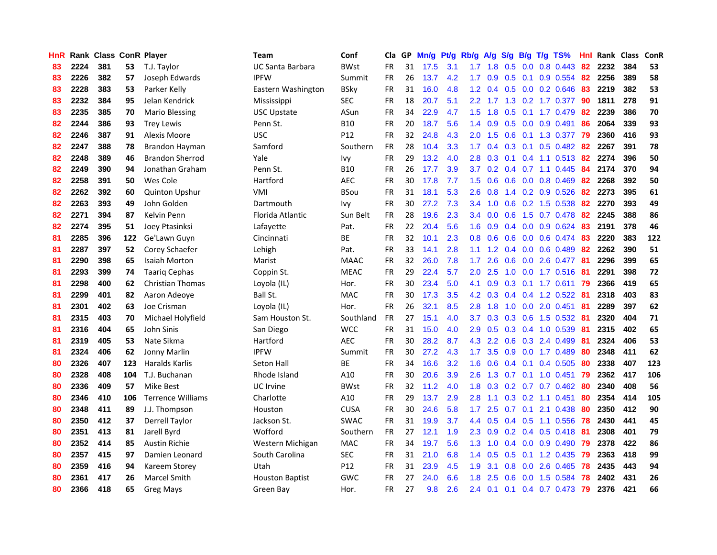| HnR |      | Rank Class ConR Player |     |                          | Team                   | Conf        | Cla       |    | GP Mn/g | Pt/g | Rb/g A/g         |                 | S/g             |     | B/g T/g TS%                  | Hnl | Rank Class |     | <b>ConR</b> |
|-----|------|------------------------|-----|--------------------------|------------------------|-------------|-----------|----|---------|------|------------------|-----------------|-----------------|-----|------------------------------|-----|------------|-----|-------------|
| 83  | 2224 | 381                    | 53  | T.J. Taylor              | UC Santa Barbara       | BWst        | FR        | 31 | 17.5    | 3.1  | 1.7              | 1.8             | 0.5             | 0.0 | 0.8 0.443                    | 82  | 2232       | 384 | 53          |
| 83  | 2226 | 382                    | 57  | Joseph Edwards           | <b>IPFW</b>            | Summit      | FR        | 26 | 13.7    | 4.2  | 1.7 <sup>2</sup> | 0.9             | 0.5             | 0.1 | 0.9 0.554                    | 82  | 2256       | 389 | 58          |
| 83  | 2228 | 383                    | 53  | Parker Kelly             | Eastern Washington     | <b>BSky</b> | <b>FR</b> | 31 | 16.0    | 4.8  | 1.2 <sub>1</sub> | 0.4             | 0.5             | 0.0 | 0.2 0.646                    | 83  | 2219       | 382 | 53          |
| 83  | 2232 | 384                    | 95  | Jelan Kendrick           | Mississippi            | <b>SEC</b>  | <b>FR</b> | 18 | 20.7    | 5.1  |                  | $2.2 \quad 1.7$ |                 |     | 1.3 0.2 1.7 0.377            | -90 | 1811       | 278 | 91          |
| 83  | 2235 | 385                    | 70  | <b>Mario Blessing</b>    | <b>USC Upstate</b>     | ASun        | FR        | 34 | 22.9    | 4.7  | 1.5              |                 |                 |     | 1.8 0.5 0.1 1.7 0.479 82     |     | 2239       | 386 | 70          |
| 82  | 2244 | 386                    | 93  | <b>Trey Lewis</b>        | Penn St.               | <b>B10</b>  | <b>FR</b> | 20 | 18.7    | 5.6  |                  | $1.4 \quad 0.9$ |                 |     | $0.5$ 0.0 0.9 0.491          | -86 | 2064       | 339 | 93          |
| 82  | 2246 | 387                    | 91  | Alexis Moore             | <b>USC</b>             | P12         | FR        | 32 | 24.8    | 4.3  | 2.0 <sub>1</sub> | 1.5             | 0.6             |     | $0.1$ 1.3 0.377              | -79 | 2360       | 416 | 93          |
| 82  | 2247 | 388                    | 78  | Brandon Hayman           | Samford                | Southern    | <b>FR</b> | 28 | 10.4    | 3.3  | 1.7 <sub>z</sub> | 0.4             |                 |     | $0.3$ 0.1 0.5 0.482          | 82  | 2267       | 391 | 78          |
| 82  | 2248 | 389                    | 46  | <b>Brandon Sherrod</b>   | Yale                   | lvy         | <b>FR</b> | 29 | 13.2    | 4.0  | 2.8              | 0.3             |                 |     | $0.1$ 0.4 1.1 0.513          | 82  | 2274       | 396 | 50          |
| 82  | 2249 | 390                    | 94  | Jonathan Graham          | Penn St.               | <b>B10</b>  | <b>FR</b> | 26 | 17.7    | 3.9  | 3.7 <sub>2</sub> | 0.2             |                 |     | $0.4$ 0.7 1.1 0.445          | 84  | 2174       | 370 | 94          |
| 82  | 2258 | 391                    | 50  | Wes Cole                 | Hartford               | <b>AEC</b>  | FR        | 30 | 17.8    | 7.7  | 1.5              | 0.6             |                 |     | $0.6$ $0.0$ $0.8$ $0.469$    | 82  | 2268       | 392 | 50          |
| 82  | 2262 | 392                    | 60  | <b>Quinton Upshur</b>    | VMI                    | <b>BSou</b> | FR        | 31 | 18.1    | 5.3  | $2.6^{\circ}$    | 0.8             |                 |     | 1.4 0.2 0.9 0.526            | 82  | 2273       | 395 | 61          |
| 82  | 2263 | 393                    | 49  | John Golden              | Dartmouth              | Ivy         | <b>FR</b> | 30 | 27.2    | 7.3  | $3.4^{\circ}$    | 1.0             | 0.6             |     | 0.2 1.5 0.538                | 82  | 2270       | 393 | 49          |
| 82  | 2271 | 394                    | 87  | Kelvin Penn              | Florida Atlantic       | Sun Belt    | <b>FR</b> | 28 | 19.6    | 2.3  | 3.4              | 0.0             | 0.6             |     | 1.5 0.7 0.478                | 82  | 2245       | 388 | 86          |
| 82  | 2274 | 395                    | 51  | Joey Ptasinksi           | Lafayette              | Pat.        | FR        | 22 | 20.4    | 5.6  | 1.6              | 0.9             | 0.4             | 0.0 | 0.9 0.624                    | 83  | 2191       | 378 | 46          |
| 81  | 2285 | 396                    | 122 | Ge'Lawn Guyn             | Cincinnati             | ВE          | <b>FR</b> | 32 | 10.1    | 2.3  | 0.8 <sub>0</sub> | 0.6             | 0.6             | 0.0 | 0.6 0.474                    | -83 | 2220       | 383 | 122         |
| 81  | 2287 | 397                    | 52  | Corey Schaefer           | Lehigh                 | Pat.        | FR        | 33 | 14.1    | 2.8  | 1.1              |                 | $1.2 \quad 0.4$ | 0.0 | 0.6 0.489                    | -82 | 2262       | 390 | 51          |
| 81  | 2290 | 398                    | 65  | <b>Isaiah Morton</b>     | Marist                 | <b>MAAC</b> | <b>FR</b> | 32 | 26.0    | 7.8  | 1.7 <sub>z</sub> | 2.6             | 0.6             |     | $0.0$ 2.6 0.477              | -81 | 2296       | 399 | 65          |
| 81  | 2293 | 399                    | 74  | <b>Taarig Cephas</b>     | Coppin St.             | <b>MEAC</b> | <b>FR</b> | 29 | 22.4    | 5.7  | 2.0              | 2.5             |                 |     | 1.0 0.0 1.7 0.516 81         |     | 2291       | 398 | 72          |
| 81  | 2298 | 400                    | 62  | Christian Thomas         | Loyola (IL)            | Hor.        | <b>FR</b> | 30 | 23.4    | 5.0  | 4.1              |                 |                 |     | 0.9 0.3 0.1 1.7 0.611 79     |     | 2366       | 419 | 65          |
| 81  | 2299 | 401                    | 82  | Aaron Adeoye             | Ball St.               | <b>MAC</b>  | FR        | 30 | 17.3    | 3.5  |                  | $4.2 \quad 0.3$ |                 |     | $0.4$ 0.4 1.2 0.522          | -81 | 2318       | 403 | 83          |
| 81  | 2301 | 402                    | 63  | Joe Crisman              | Loyola (IL)            | Hor.        | FR        | 26 | 32.1    | 8.5  | 2.8 <sup>°</sup> | 1.8             |                 |     | 1.0 0.0 2.0 0.451            | 81  | 2289       | 397 | 62          |
| 81  | 2315 | 403                    | 70  | Michael Holyfield        | Sam Houston St.        | Southland   | FR        | 27 | 15.1    | 4.0  | 3.7              | 0.3             |                 |     | 0.3 0.6 1.5 0.532            | -81 | 2320       | 404 | 71          |
| 81  | 2316 | 404                    | 65  | John Sinis               | San Diego              | <b>WCC</b>  | <b>FR</b> | 31 | 15.0    | 4.0  | 2.9              | 0.5             |                 |     | 0.3 0.4 1.0 0.539            | -81 | 2315       | 402 | 65          |
| 81  | 2319 | 405                    | 53  | Nate Sikma               | Hartford               | <b>AEC</b>  | FR        | 30 | 28.2    | 8.7  | 4.3              | $2.2^{\circ}$   |                 |     | 0.6 0.3 2.4 0.499            | -81 | 2324       | 406 | 53          |
| 81  | 2324 | 406                    | 62  | Jonny Marlin             | <b>IPFW</b>            | Summit      | <b>FR</b> | 30 | 27.2    | 4.3  | 1.7 <sup>2</sup> | 3.5             | 0.9             |     | 0.0 1.7 0.489                | 80  | 2348       | 411 | 62          |
| 80  | 2326 | 407                    | 123 | Haralds Karlis           | Seton Hall             | ВE          | <b>FR</b> | 34 | 16.6    | 3.2  | 1.6              | 0.6             |                 |     | $0.4$ 0.1 0.4 0.505          | 80  | 2338       | 407 | 123         |
| 80  | 2328 | 408                    | 104 | T.J. Buchanan            | Rhode Island           | A10         | <b>FR</b> | 30 | 20.6    | 3.9  | 2.6              | 1.3             | 0.7             |     | $0.1$ 1.0 0.451              | -79 | 2362       | 417 | 106         |
| 80  | 2336 | 409                    | 57  | <b>Mike Best</b>         | <b>UC</b> Irvine       | <b>BWst</b> | <b>FR</b> | 32 | 11.2    | 4.0  | 1.8              | 0.3             |                 |     | $0.2$ 0.7 0.7 0.462          | 80  | 2340       | 408 | 56          |
| 80  | 2346 | 410                    | 106 | <b>Terrence Williams</b> | Charlotte              | A10         | <b>FR</b> | 29 | 13.7    | 2.9  | 2.8              | 1.1             |                 |     | $0.3$ 0.2 1.1 0.451          | 80  | 2354       | 414 | 105         |
| 80  | 2348 | 411                    | 89  | J.J. Thompson            | Houston                | <b>CUSA</b> | <b>FR</b> | 30 | 24.6    | 5.8  | 1.7 <sup>2</sup> | 2.5             | 0.7             | 0.1 | 2.1 0.438                    | 80  | 2350       | 412 | 90          |
| 80  | 2350 | 412                    | 37  | <b>Derrell Taylor</b>    | Jackson St.            | <b>SWAC</b> | FR        | 31 | 19.9    | 3.7  |                  |                 |                 |     | 4.4 0.5 0.4 0.5 1.1 0.556    | -78 | 2430       | 441 | 45          |
| 80  | 2351 | 413                    | 81  | Jarell Byrd              | Wofford                | Southern    | <b>FR</b> | 27 | 12.1    | 1.9  |                  |                 |                 |     | 2.3 0.9 0.2 0.4 0.5 0.418 81 |     | 2308       | 401 | 79          |
| 80  | 2352 | 414                    | 85  | <b>Austin Richie</b>     | Western Michigan       | <b>MAC</b>  | <b>FR</b> | 34 | 19.7    | 5.6  | 1.3              | 1.0             |                 |     | $0.4$ 0.0 0.9 0.490          | -79 | 2378       | 422 | 86          |
| 80  | 2357 | 415                    | 97  | Damien Leonard           | South Carolina         | <b>SEC</b>  | FR        | 31 | 21.0    | 6.8  |                  | $1.4 \quad 0.5$ | 0.5             |     | $0.1$ 1.2 0.435              | -79 | 2363       | 418 | 99          |
| 80  | 2359 | 416                    | 94  | Kareem Storey            | Utah                   | P12         | FR        | 31 | 23.9    | 4.5  | 1.9              | 3.1             | 0.8             | 0.0 | 2.6 0.465                    | 78  | 2435       | 443 | 94          |
| 80  | 2361 | 417                    | 26  | Marcel Smith             | <b>Houston Baptist</b> | GWC         | FR        | 27 | 24.0    | 6.6  | 1.8              | 2.5             | 0.6             | 0.0 | 1.5 0.584                    | 78  | 2402       | 431 | 26          |
| 80  | 2366 | 418                    | 65  | <b>Greg Mays</b>         | Green Bay              | Hor.        | FR        | 27 | 9.8     | 2.6  | $2.4^{\circ}$    | 0.1             |                 |     | $0.1$ 0.4 0.7 0.473          | -79 | 2376       | 421 | 66          |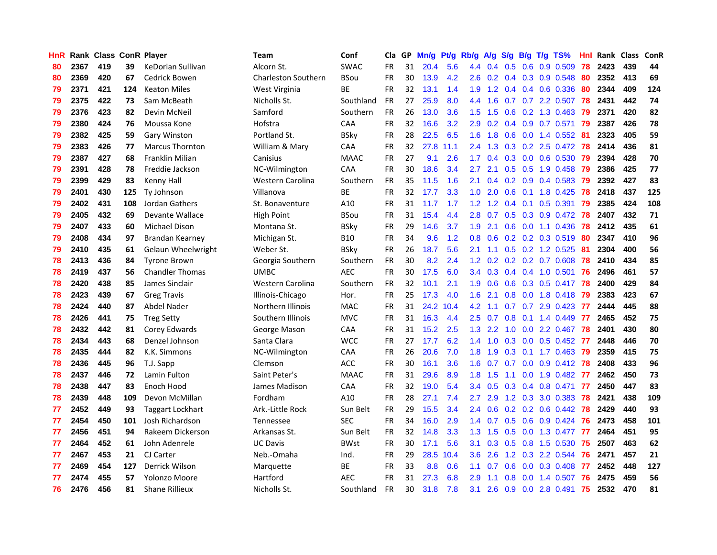| <b>HnR</b> |      | Rank Class ConR Player |     |                         | Team                       | Conf        | Cla       |    | GP Mn/g Pt/g |      | Rb/g A/g         |                 |     |                 | S/g B/g T/g TS%              | Hnl  | Rank Class |     | <b>ConR</b> |
|------------|------|------------------------|-----|-------------------------|----------------------------|-------------|-----------|----|--------------|------|------------------|-----------------|-----|-----------------|------------------------------|------|------------|-----|-------------|
| 80         | 2367 | 419                    | 39  | KeDorian Sullivan       | Alcorn St.                 | <b>SWAC</b> | FR.       | 31 | 20.4         | 5.6  | 4.4              | 0.4             | 0.5 | 0.6             | 0.9 0.509                    | 78   | 2423       | 439 | 44          |
| 80         | 2369 | 420                    | 67  | Cedrick Bowen           | <b>Charleston Southern</b> | BSou        | <b>FR</b> | 30 | 13.9         | 4.2  | 2.6              | 0.2             |     |                 | $0.4$ $0.3$ $0.9$ $0.548$    | 80   | 2352       | 413 | 69          |
| 79         | 2371 | 421                    | 124 | <b>Keaton Miles</b>     | West Virginia              | <b>BE</b>   | <b>FR</b> | 32 | 13.1         | 1.4  | 1.9              | 1.2             |     |                 | 0.4 0.4 0.6 0.336            | 80   | 2344       | 409 | 124         |
| 79         | 2375 | 422                    | 73  | Sam McBeath             | Nicholls St.               | Southland   | <b>FR</b> | 27 | 25.9         | 8.0  | 4.4              | 1.6             |     |                 | 0.7 0.7 2.2 0.507            | 78   | 2431       | 442 | 74          |
| 79         | 2376 | 423                    | 82  | Devin McNeil            | Samford                    | Southern    | FR        | 26 | 13.0         | 3.6  | 1.5              | 1.5             |     |                 | $0.6$ $0.2$ 1.3 $0.463$      | -79  | 2371       | 420 | 82          |
| 79         | 2380 | 424                    | 76  | Moussa Kone             | Hofstra                    | <b>CAA</b>  | <b>FR</b> | 32 | 16.6         | 3.2  | 2.9              | 0.2             |     |                 | 0.4 0.9 0.7 0.571            | - 79 | 2387       | 426 | 78          |
| 79         | 2382 | 425                    | 59  | <b>Gary Winston</b>     | Portland St.               | <b>BSky</b> | <b>FR</b> | 28 | 22.5         | 6.5  |                  | $1.6$ 1.8       |     |                 | $0.6$ $0.0$ 1.4 $0.552$      | -81  | 2323       | 405 | 59          |
| 79         | 2383 | 426                    | 77  | <b>Marcus Thornton</b>  | William & Mary             | <b>CAA</b>  | FR        | 32 | 27.8         | 11.1 | $2.4^{\circ}$    | 1.3             |     |                 | $0.3$ $0.2$ $2.5$ $0.472$    | 78   | 2414       | 436 | 81          |
| 79         | 2387 | 427                    | 68  | Franklin Milian         | Canisius                   | <b>MAAC</b> | FR        | 27 | 9.1          | 2.6  | 1.7              | 0.4             |     |                 | 0.3 0.0 0.6 0.530            | 79   | 2394       | 428 | 70          |
| 79         | 2391 | 428                    | 78  | Freddie Jackson         | NC-Wilmington              | CAA         | FR        | 30 | 18.6         | 3.4  | 2.7              | 2.1             |     |                 | 0.5 0.5 1.9 0.458            | 79   | 2386       | 425 | 77          |
| 79         | 2399 | 429                    | 83  | Kenny Hall              | Western Carolina           | Southern    | <b>FR</b> | 35 | 11.5         | 1.6  | 2.1              | 0.4             |     |                 | $0.2$ $0.9$ $0.4$ $0.583$    | 79   | 2392       | 427 | 83          |
| 79         | 2401 | 430                    | 125 | <b>Ty Johnson</b>       | Villanova                  | <b>BE</b>   | <b>FR</b> | 32 | 17.7         | 3.3  | 1.0              | 2.0             | 0.6 |                 | 0.1 1.8 0.425                | 78   | 2418       | 437 | 125         |
| 79         | 2402 | 431                    | 108 | Jordan Gathers          | St. Bonaventure            | A10         | <b>FR</b> | 31 | 11.7         | 1.7  | 1.2 <sub>1</sub> | 1.2             | 0.4 | 0.1             | 0.5 0.391                    | 79   | 2385       | 424 | 108         |
| 79         | 2405 | 432                    | 69  | Devante Wallace         | High Point                 | <b>BSou</b> | <b>FR</b> | 31 | 15.4         | 4.4  | 2.8              | 0.7             | 0.5 | 0.3             | 0.9 0.472                    | 78   | 2407       | 432 | 71          |
| 79         | 2407 | 433                    | 60  | Michael Dison           | Montana St.                | <b>BSky</b> | FR        | 29 | 14.6         | 3.7  | 1.9              | 2.1             | 0.6 | 0.0             | 1.1 0.436                    | 78   | 2412       | 435 | 61          |
| 79         | 2408 | 434                    | 97  | Brandan Kearney         | Michigan St.               | <b>B10</b>  | <b>FR</b> | 34 | 9.6          | 1.2  | 0.8              | 0.6             |     | $0.2 \quad 0.2$ | 0.3 0.519                    | 80   | 2347       | 410 | 96          |
| 79         | 2410 | 435                    | 61  | Gelaun Wheelwright      | Weber St.                  | <b>BSky</b> | <b>FR</b> | 26 | 18.7         | 5.6  | 2.1              | 1.1             |     |                 | $0.5$ $0.2$ 1.2 $0.525$      | -81  | 2304       | 400 | 56          |
| 78         | 2413 | 436                    | 84  | <b>Tyrone Brown</b>     | Georgia Southern           | Southern    | <b>FR</b> | 30 | 8.2          | 2.4  |                  |                 |     |                 | 1.2 0.2 0.2 0.2 0.7 0.608    | 78   | 2410       | 434 | 85          |
| 78         | 2419 | 437                    | 56  | <b>Chandler Thomas</b>  | UMBC                       | <b>AEC</b>  | <b>FR</b> | 30 | $17.5$       | 6.0  |                  |                 |     |                 | 3.4 0.3 0.4 0.4 1.0 0.501 76 |      | 2496       | 461 | 57          |
| 78         | 2420 | 438                    | 85  | James Sinclair          | Western Carolina           | Southern    | <b>FR</b> | 32 | 10.1         | 2.1  |                  | $1.9\quad0.6$   |     |                 | 0.6 0.3 0.5 0.417 78         |      | 2400       | 429 | 84          |
| 78         | 2423 | 439                    | 67  | <b>Greg Travis</b>      | Illinois-Chicago           | Hor.        | <b>FR</b> | 25 | 17.3         | 4.0  | 1.6 <sup>°</sup> | 2.1             |     |                 | 0.8 0.0 1.8 0.418 79         |      | 2383       | 423 | 67          |
| 78         | 2424 | 440                    | 87  | Abdel Nader             | Northern Illinois          | <b>MAC</b>  | <b>FR</b> | 31 | 24.2         | 10.4 | 4.2              | 1.1             |     |                 | 0.7 0.7 2.9 0.423 77         |      | 2444       | 445 | 88          |
| 78         | 2426 | 441                    | 75  | <b>Treg Setty</b>       | Southern Illinois          | <b>MVC</b>  | <b>FR</b> | 31 | 16.3         | 4.4  | 2.5              | 0.7             | 0.8 |                 | $0.1$ 1.4 0.449              | -77  | 2465       | 452 | 75          |
| 78         | 2432 | 442                    | 81  | Corey Edwards           | George Mason               | CAA         | <b>FR</b> | 31 | 15.2         | 2.5  | 1.3              | 2.2             | 1.0 |                 | 0.0 2.2 0.467                | 78   | 2401       | 430 | 80          |
| 78         | 2434 | 443                    | 68  | Denzel Johnson          | Santa Clara                | <b>WCC</b>  | FR        | 27 | 17.7         | 6.2  | $1.4^{\circ}$    | 1.0             |     |                 | $0.3$ 0.0 0.5 0.452          | 77   | 2448       | 446 | 70          |
| 78         | 2435 | 444                    | 82  | K.K. Simmons            | NC-Wilmington              | CAA         | FR        | 26 | 20.6         | 7.0  | 1.8              | 1.9             |     |                 | $0.3$ 0.1 1.7 0.463          | -79  | 2359       | 415 | 75          |
| 78         | 2436 | 445                    | 96  | T.J. Sapp               | Clemson                    | <b>ACC</b>  | FR        | 30 | 16.1         | 3.6  | 1.6              | 0.7             | 0.7 | 0.0             | $0.9$ 0.412                  | -78  | 2408       | 433 | 96          |
| 78         | 2437 | 446                    | 72  | Lamin Fulton            | Saint Peter's              | <b>MAAC</b> | <b>FR</b> | 31 | 29.6         | 8.9  | 1.8 <sup>°</sup> | 1.5             | 1.1 | 0.0             | 1.9 0.482 77                 |      | 2462       | 450 | 73          |
| 78         | 2438 | 447                    | 83  | Enoch Hood              | James Madison              | CAA         | <b>FR</b> | 32 | 19.0         | 5.4  | 3.4              | 0.5             | 0.3 | 0.4             | $0.8$ 0.471                  | -77  | 2450       | 447 | 83          |
| 78         | 2439 | 448                    | 109 | Devon McMillan          | Fordham                    | A10         | <b>FR</b> | 28 | 27.1         | 7.4  | 2.7              | 2.9             |     | $1.2 \quad 0.3$ | 3.0 0.383                    | 78   | 2421       | 438 | 109         |
| 77         | 2452 | 449                    | 93  | <b>Taggart Lockhart</b> | Ark.-Little Rock           | Sun Belt    | <b>FR</b> | 29 | 15.5         | 3.4  | 2.4              | 0.6             |     |                 | $0.2$ $0.2$ $0.6$ $0.442$    | 78   | 2429       | 440 | 93          |
| 77         | 2454 | 450                    | 101 | Josh Richardson         | <b>Tennessee</b>           | <b>SEC</b>  | FR        | 34 | 16.0         | 2.9  |                  | $1.4 \quad 0.7$ |     |                 | $0.5$ $0.6$ $0.9$ $0.424$    | 76   | 2473       | 458 | 101         |
| 77         | 2456 | 451                    | 94  | Rakeem Dickerson        | Arkansas St.               | Sun Belt    | <b>FR</b> | 32 | 14.8         | 3.3  |                  | $1.3$ $1.5$     |     |                 | 0.5 0.0 1.3 0.477 77         |      | 2464       | 451 | 95          |
| 77         | 2464 | 452                    | 61  | John Adenrele           | <b>UC Davis</b>            | <b>BWst</b> | <b>FR</b> | 30 | 17.1         | 5.6  | 3.1              | 0.3             |     |                 | $0.5$ 0.8 1.5 0.530          | -75  | 2507       | 463 | 62          |
| 77         | 2467 | 453                    | 21  | CJ Carter               | Neb.-Omaha                 | Ind.        | FR        | 29 | 28.5         | 10.4 | 3.6 <sup>°</sup> | 2.6             |     |                 | 1.2 0.3 2.2 0.544            | 76   | 2471       | 457 | 21          |
| 77         | 2469 | 454                    | 127 | Derrick Wilson          | Marquette                  | <b>BE</b>   | <b>FR</b> | 33 | 8.8          | 0.6  | 1.1              | 0.7             | 0.6 |                 | $0.0$ $0.3$ $0.408$          | 77   | 2452       | 448 | 127         |
| 77         | 2474 | 455                    | 57  | <b>Yolonzo Moore</b>    | Hartford                   | <b>AEC</b>  | <b>FR</b> | 31 | 27.3         | 6.8  | 2.9              | 1.1             | 0.8 | 0.0             | 1.4 0.507                    | 76   | 2475       | 459 | 56          |
| 76         | 2476 | 456                    | 81  | <b>Shane Rillieux</b>   | Nicholls St.               | Southland   | <b>FR</b> | 30 | 31.8         | 7.8  | 3.1              | 2.6             |     |                 | $0.9$ 0.0 2.8 0.491          | 75   | 2532       | 470 | 81          |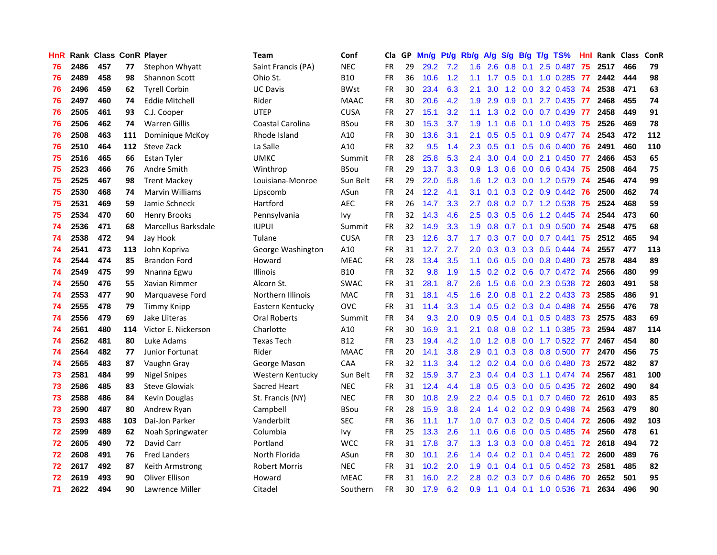| <b>HnR</b> |      | Rank Class ConR Player |     |                        | Team                    | Conf        | Cla       |    | GP Mn/g Pt/g Rb/g A/g |     |                  |           |               |                 | S/g B/g T/g TS%              | Hnl | Rank Class |     | ConR |
|------------|------|------------------------|-----|------------------------|-------------------------|-------------|-----------|----|-----------------------|-----|------------------|-----------|---------------|-----------------|------------------------------|-----|------------|-----|------|
| 76         | 2486 | 457                    | 77  | Stephon Whyatt         | Saint Francis (PA)      | <b>NEC</b>  | <b>FR</b> | 29 | 29.2                  | 7.2 | 1.6              | 2.6       | 0.8           | 0.1             | 2.5 0.487                    | 75  | 2517       | 466 | 79   |
| 76         | 2489 | 458                    | 98  | <b>Shannon Scott</b>   | Ohio St.                | <b>B10</b>  | <b>FR</b> | 36 | 10.6                  | 1.2 | 1.1              | 1.7       | 0.5           | 0.1             | 1.0 0.285                    | 77  | 2442       | 444 | 98   |
| 76         | 2496 | 459                    | 62  | <b>Tyrell Corbin</b>   | <b>UC Davis</b>         | <b>BWst</b> | <b>FR</b> | 30 | 23.4                  | 6.3 | 2.1              | 3.0       | 1.2           | 0.0             | 3.2 0.453                    | -74 | 2538       | 471 | 63   |
| 76         | 2497 | 460                    | 74  | <b>Eddie Mitchell</b>  | Rider                   | <b>MAAC</b> | <b>FR</b> | 30 | 20.6                  | 4.2 | 1.9              | 2.9       | 0.9           | 0.1             | 2.7 0.435                    | 77  | 2468       | 455 | 74   |
| 76         | 2505 | 461                    | 93  | C.J. Cooper            | <b>UTEP</b>             | <b>CUSA</b> | <b>FR</b> | 27 | 15.1                  | 3.2 | 1.1 <sup>2</sup> | 1.3       |               |                 | $0.2$ 0.0 0.7 0.439 77       |     | 2458       | 449 | 91   |
| 76         | 2506 | 462                    | 74  | <b>Warren Gillis</b>   | <b>Coastal Carolina</b> | <b>BSou</b> | <b>FR</b> | 30 | 15.3                  | 3.7 | 1.9              | 1.1       |               |                 | $0.6$ $0.1$ $1.0$ $0.493$    | -75 | 2526       | 469 | 78   |
| 76         | 2508 | 463                    | 111 | Dominique McKoy        | Rhode Island            | A10         | <b>FR</b> | 30 | 13.6                  | 3.1 | 2.1              | 0.5       |               |                 | $0.5$ 0.1 0.9 0.477          | -74 | 2543       | 472 | 112  |
| 76         | 2510 | 464                    | 112 | Steve Zack             | La Salle                | A10         | <b>FR</b> | 32 | 9.5                   | 1.4 | 2.3              | 0.5       |               |                 | $0.1$ $0.5$ $0.6$ $0.400$    | -76 | 2491       | 460 | 110  |
| 75         | 2516 | 465                    | 66  | <b>Estan Tyler</b>     | <b>UMKC</b>             | Summit      | <b>FR</b> | 28 | 25.8                  | 5.3 | 2.4              | 3.0       |               |                 | 0.4 0.0 2.1 0.450            | -77 | 2466       | 453 | 65   |
| 75         | 2523 | 466                    | 76  | Andre Smith            | Winthrop                | <b>BSou</b> | <b>FR</b> | 29 | 13.7                  | 3.3 | 0.9              | 1.3       | 0.6           |                 | 0.0 0.6 0.434                | -75 | 2508       | 464 | 75   |
| 75         | 2525 | 467                    | 98  | <b>Trent Mackey</b>    | Louisiana-Monroe        | Sun Belt    | <b>FR</b> | 29 | 22.0                  | 5.8 | 1.6              | 1.2       |               |                 | 0.3 0.0 1.2 0.579            | 74  | 2546       | 474 | 99   |
| 75         | 2530 | 468                    | 74  | <b>Marvin Williams</b> | Lipscomb                | ASun        | <b>FR</b> | 24 | 12.2                  | 4.1 | 3.1              | 0.1       |               |                 | $0.3$ $0.2$ $0.9$ $0.442$    | -76 | 2500       | 462 | 74   |
| 75         | 2531 | 469                    | 59  | Jamie Schneck          | Hartford                | <b>AEC</b>  | <b>FR</b> | 26 | 14.7                  | 3.3 | 2.7              | 0.8       |               |                 | $0.2$ 0.7 1.2 0.538          | 75  | 2524       | 468 | 59   |
| 75         | 2534 | 470                    | 60  | <b>Henry Brooks</b>    | Pennsylvania            | lvy         | <b>FR</b> | 32 | 14.3                  | 4.6 | 2.5              | 0.3       | 0.5           | 0.6             | 1.2 0.445                    | 74  | 2544       | 473 | 60   |
| 74         | 2536 | 471                    | 68  | Marcellus Barksdale    | <b>IUPUI</b>            | Summit      | FR        | 32 | 14.9                  | 3.3 | 1.9              | 0.8       | 0.7           | 0.1             | 0.9 0.500                    | 74  | 2548       | 475 | 68   |
| 74         | 2538 | 472                    | 94  | Jay Hook               | Tulane                  | <b>CUSA</b> | <b>FR</b> | 23 | 12.6                  | 3.7 | 1.7              | 0.3       | 0.7           | 0.0             | $0.7$ $0.441$                | 75  | 2512       | 465 | 94   |
| 74         | 2541 | 473                    | 113 | John Kopriva           | George Washington       | A10         | <b>FR</b> | 31 | 12.7                  | 2.7 | 2.0              | 0.3       |               | $0.3 \quad 0.3$ | 0.5 0.444                    | -74 | 2557       | 477 | 113  |
| 74         | 2544 | 474                    | 85  | <b>Brandon Ford</b>    | Howard                  | <b>MEAC</b> | <b>FR</b> | 28 | 13.4                  | 3.5 | 1.1              | 0.6       |               |                 | 0.5 0.0 0.8 0.480 73         |     | 2578       | 484 | 89   |
| 74         | 2549 | 475                    | 99  | Nnanna Egwu            | <b>Illinois</b>         | <b>B10</b>  | <b>FR</b> | 32 | 9.8                   | 1.9 |                  |           |               |                 | 1.5 0.2 0.2 0.6 0.7 0.472 74 |     | 2566       | 480 | 99   |
| 74         | 2550 | 476                    | 55  | Xavian Rimmer          | Alcorn St.              | <b>SWAC</b> | <b>FR</b> | 31 | 28.1                  | 8.7 | 2.6              | 1.5       |               |                 | 0.6 0.0 2.3 0.538 72         |     | 2603       | 491 | 58   |
| 74         | 2553 | 477                    | 90  | Marquavese Ford        | Northern Illinois       | <b>MAC</b>  | <b>FR</b> | 31 | 18.1                  | 4.5 | 1.6              | 2.0       |               |                 | 0.8 0.1 2.2 0.433 73         |     | 2585       | 486 | 91   |
| 74         | 2555 | 478                    | 79  | Timmy Knipp            | Eastern Kentucky        | <b>OVC</b>  | <b>FR</b> | 31 | 11.4                  | 3.3 |                  | $1.4$ 0.5 |               |                 | $0.2$ $0.3$ $0.4$ $0.488$    | -74 | 2556       | 476 | 78   |
| 74         | 2556 | 479                    | 69  | Jake Lliteras          | Oral Roberts            | Summit      | <b>FR</b> | 34 | 9.3                   | 2.0 | 0.9              | 0.5       |               |                 | $0.4$ 0.1 0.5 0.483          | -73 | 2575       | 483 | 69   |
| 74         | 2561 | 480                    | 114 | Victor E. Nickerson    | Charlotte               | A10         | <b>FR</b> | 30 | 16.9                  | 3.1 | 2.1              | 0.8       |               |                 | 0.8 0.2 1.1 0.385            | -73 | 2594       | 487 | 114  |
| 74         | 2562 | 481                    | 80  | Luke Adams             | <b>Texas Tech</b>       | <b>B12</b>  | <b>FR</b> | 23 | 19.4                  | 4.2 | 1.0              | 1.2       |               |                 | 0.8 0.0 1.7 0.522            | -77 | 2467       | 454 | 80   |
| 74         | 2564 | 482                    | 77  | Junior Fortunat        | Rider                   | <b>MAAC</b> | <b>FR</b> | 20 | 14.1                  | 3.8 | 2.9              | 0.1       |               |                 | 0.3 0.8 0.8 0.500 77         |     | 2470       | 456 | 75   |
| 74         | 2565 | 483                    | 87  | Vaughn Gray            | George Mason            | CAA         | <b>FR</b> | 32 | 11.3                  | 3.4 | 1.2              | 0.2       |               | $0.4 \quad 0.0$ | $0.6$ 0.480                  | -73 | 2572       | 482 | 87   |
| 73         | 2581 | 484                    | 99  | <b>Nigel Snipes</b>    | Western Kentucky        | Sun Belt    | <b>FR</b> | 32 | 15.9                  | 3.7 | $2.3\phantom{0}$ | 0.4       |               | $0.4 \quad 0.3$ | 1.1 0.474                    | -74 | 2567       | 481 | 100  |
| 73         | 2586 | 485                    | 83  | <b>Steve Glowiak</b>   | Sacred Heart            | <b>NEC</b>  | <b>FR</b> | 31 | 12.4                  | 4.4 | 1.8              | 0.5       | 0.3           | 0.0             | $0.5$ 0.435                  | 72  | 2602       | 490 | 84   |
| 73         | 2588 | 486                    | 84  | Kevin Douglas          | St. Francis (NY)        | <b>NEC</b>  | <b>FR</b> | 30 | 10.8                  | 2.9 | $2.2^{\circ}$    | 0.4       |               | $0.5 \quad 0.1$ | 0.7 0.460                    | 72  | 2610       | 493 | 85   |
| 73         | 2590 | 487                    | 80  | Andrew Ryan            | Campbell                | <b>BSou</b> | <b>FR</b> | 28 | 15.9                  | 3.8 | 2.4              | 1.4       |               |                 | $0.2$ $0.2$ $0.9$ $0.498$    | -74 | 2563       | 479 | 80   |
| 73         | 2593 | 488                    | 103 | Dai-Jon Parker         | Vanderbilt              | <b>SEC</b>  | <b>FR</b> | 36 | 11.1                  | 1.7 | 1.0 <sub>1</sub> | 0.7       |               |                 | 0.3 0.2 0.5 0.404            | -72 | 2606       | 492 | 103  |
| 72         | 2599 | 489                    | 62  | Noah Springwater       | Columbia                | lvy.        | <b>FR</b> | 25 | 13.3                  | 2.6 | 1.1              | 0.6       |               |                 | $0.6$ $0.0$ $0.5$ $0.485$    | -74 | 2560       | 478 | 61   |
| 72         | 2605 | 490                    | 72  | David Carr             | Portland                | <b>WCC</b>  | <b>FR</b> | 31 | 17.8                  | 3.7 | 1.3              | 1.3       |               | $0.3 \ 0.0$     | 0.8 0.451                    | 72  | 2618       | 494 | 72   |
| 72         | 2608 | 491                    | 76  | <b>Fred Landers</b>    | North Florida           | ASun        | FR        | 30 | 10.1                  | 2.6 | 1.4              | 0.4       |               | $0.2 \quad 0.1$ | $0.4$ 0.451                  | 72  | 2600       | 489 | 76   |
| 72         | 2617 | 492                    | 87  | Keith Armstrong        | <b>Robert Morris</b>    | <b>NEC</b>  | FR        | 31 | 10.2                  | 2.0 | 1.9              | 0.1       | $0.4^{\circ}$ | 0.1             | $0.5$ 0.452                  | 73  | 2581       | 485 | 82   |
| 72         | 2619 | 493                    | 90  | Oliver Ellison         | Howard                  | <b>MEAC</b> | <b>FR</b> | 31 | 16.0                  | 2.2 | 2.8              | 0.2       | 0.3           | 0.7             | 0.6 0.486                    | 70  | 2652       | 501 | 95   |
| 71         | 2622 | 494                    | 90  | Lawrence Miller        | Citadel                 | Southern    | <b>FR</b> | 30 | 17.9                  | 6.2 | 0.9              | 1.1       |               |                 | $0.4$ 0.1 1.0 0.536          | -71 | 2634       | 496 | 90   |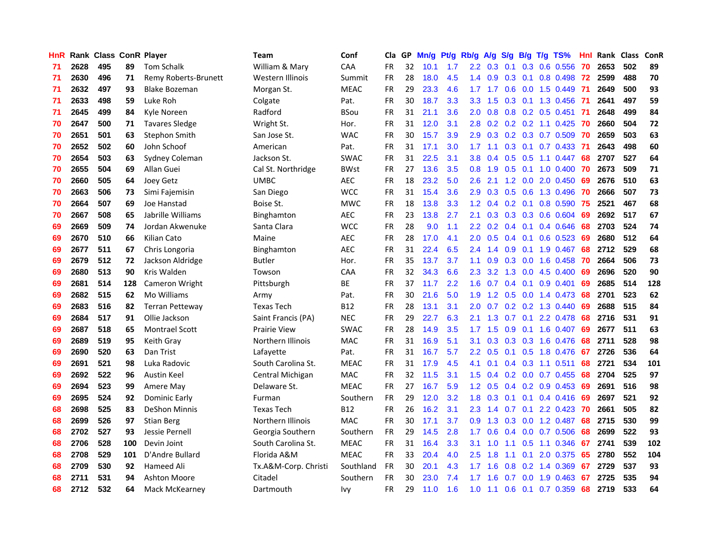| HnR |      | Rank Class ConR Player |     |                        | Team                 | Conf        | Cla       |    | GP Mn/g Pt/g Rb/g A/g |     |                  |           |     |                 | S/g B/g T/g TS%         | Hnl  |      | Rank Class | <b>ConR</b> |
|-----|------|------------------------|-----|------------------------|----------------------|-------------|-----------|----|-----------------------|-----|------------------|-----------|-----|-----------------|-------------------------|------|------|------------|-------------|
| 71  | 2628 | 495                    | 89  | <b>Tom Schalk</b>      | William & Mary       | CAA         | FR.       | 32 | 10.1                  | 1.7 | 2.2              | 0.3       | 0.1 | 0.3             | 0.6 0.556               | 70   | 2653 | 502        | 89          |
| 71  | 2630 | 496                    | 71  | Remy Roberts-Brunett   | Western Illinois     | Summit      | <b>FR</b> | 28 | 18.0                  | 4.5 | $1.4^{\circ}$    | 0.9       | 0.3 | 0.1             | 0.8 0.498               | -72  | 2599 | 488        | 70          |
| 71  | 2632 | 497                    | 93  | <b>Blake Bozeman</b>   | Morgan St.           | <b>MEAC</b> | <b>FR</b> | 29 | 23.3                  | 4.6 | 1.7              | 1.7       | 0.6 | 0.0             | 1.5 0.449               | -71  | 2649 | 500        | 93          |
| 71  | 2633 | 498                    | 59  | Luke Roh               | Colgate              | Pat.        | <b>FR</b> | 30 | 18.7                  | 3.3 | 3.3 <sub>1</sub> | 1.5       |     |                 | $0.3$ 0.1 1.3 0.456     | -71  | 2641 | 497        | 59          |
| 71  | 2645 | 499                    | 84  | Kyle Noreen            | Radford              | <b>BSou</b> | <b>FR</b> | 31 | 21.1                  | 3.6 | 2.0 <sub>1</sub> | 0.8       |     |                 | 0.8 0.2 0.5 0.451       | - 71 | 2648 | 499        | 84          |
| 70  | 2647 | 500                    | 71  | <b>Tavares Sledge</b>  | Wright St.           | Hor.        | <b>FR</b> | 31 | 12.0                  | 3.1 | 2.8              | 0.2       |     |                 | $0.2$ $0.2$ 1.1 $0.425$ | -70  | 2660 | 504        | 72          |
| 70  | 2651 | 501                    | 63  | Stephon Smith          | San Jose St.         | <b>WAC</b>  | <b>FR</b> | 30 | 15.7                  | 3.9 | 2.9              | 0.3       |     |                 | 0.2 0.3 0.7 0.509       | -70  | 2659 | 503        | 63          |
| 70  | 2652 | 502                    | 60  | John Schoof            | American             | Pat.        | <b>FR</b> | 31 | 17.1                  | 3.0 | $1.7^{\circ}$    | 1.1       |     |                 | $0.3$ 0.1 0.7 0.433     | -71  | 2643 | 498        | 60          |
| 70  | 2654 | 503                    | 63  | Sydney Coleman         | Jackson St.          | <b>SWAC</b> | <b>FR</b> | 31 | 22.5                  | 3.1 | 3.8              | 0.4       |     |                 | $0.5$ $0.5$ 1.1 $0.447$ | 68   | 2707 | 527        | 64          |
| 70  | 2655 | 504                    | 69  | Allan Guei             | Cal St. Northridge   | <b>BWst</b> | <b>FR</b> | 27 | 13.6                  | 3.5 | 0.8 <sub>0</sub> | 1.9       |     | $0.5 \quad 0.1$ | 1.0 0.400               | -70  | 2673 | 509        | 71          |
| 70  | 2660 | 505                    | 64  | <b>Joey Getz</b>       | <b>UMBC</b>          | <b>AEC</b>  | FR        | 18 | 23.2                  | 5.0 | 2.6              | 2.1       |     |                 | 1.2 0.0 2.0 0.450       | -69  | 2676 | 510        | 63          |
| 70  | 2663 | 506                    | 73  | Simi Fajemisin         | San Diego            | <b>WCC</b>  | <b>FR</b> | 31 | 15.4                  | 3.6 | 2.9              | 0.3       |     | $0.5\quad 0.6$  | 1.3 0.496               | 70   | 2666 | 507        | 73          |
| 70  | 2664 | 507                    | 69  | Joe Hanstad            | Boise St.            | <b>MWC</b>  | <b>FR</b> | 18 | 13.8                  | 3.3 | 1.2 <sub>2</sub> | 0.4       | 0.2 | 0.1             | 0.8 0.590               | 75   | 2521 | 467        | 68          |
| 70  | 2667 | 508                    | 65  | Jabrille Williams      | <b>Binghamton</b>    | <b>AEC</b>  | <b>FR</b> | 23 | 13.8                  | 2.7 | 2.1              | 0.3       | 0.3 | 0.3             | 0.6 0.604               | 69   | 2692 | 517        | 67          |
| 69  | 2669 | 509                    | 74  | Jordan Akwenuke        | Santa Clara          | <b>WCC</b>  | <b>FR</b> | 28 | 9.0                   | 1.1 | $2.2\,$          | 0.2       |     | $0.4 \quad 0.1$ | 0.4 0.646               | 68   | 2703 | 524        | 74          |
| 69  | 2670 | 510                    | 66  | Kilian Cato            | Maine                | <b>AEC</b>  | <b>FR</b> | 28 | 17.0                  | 4.1 | 2.0              | 0.5       |     | $0.4 \quad 0.1$ | $0.6$ 0.523             | -69  | 2680 | 512        | 64          |
| 69  | 2677 | 511                    | 67  | Chris Longoria         | Binghamton           | <b>AEC</b>  | <b>FR</b> | 31 | 22.4                  | 6.5 |                  | $2.4$ 1.4 |     | $0.9\quad 0.1$  | 1.9 0.467               | -68  | 2712 | 529        | 68          |
| 69  | 2679 | 512                    | 72  | Jackson Aldridge       | <b>Butler</b>        | Hor.        | <b>FR</b> | 35 | 13.7                  | 3.7 | 1.1              | 0.9       |     |                 | $0.3$ 0.0 1.6 0.458     | -70  | 2664 | 506        | 73          |
| 69  | 2680 | 513                    | 90  | Kris Walden            | Towson               | CAA         | <b>FR</b> | 32 | 34.3                  | 6.6 | $2.3\phantom{0}$ | 3.2       |     | $1.3 \quad 0.0$ | 4.5 0.400               | -69  | 2696 | 520        | 90          |
| 69  | 2681 | 514                    | 128 | Cameron Wright         | Pittsburgh           | ВE          | <b>FR</b> | 37 | 11.7                  | 2.2 | 1.6 <sup>°</sup> | 0.7       |     |                 | $0.4$ 0.1 0.9 0.401     | -69  | 2685 | 514        | 128         |
| 69  | 2682 | 515                    | 62  | Mo Williams            | Army                 | Pat.        | <b>FR</b> | 30 | 21.6                  | 5.0 | 1.9              | 1.2       |     |                 | $0.5$ 0.0 1.4 0.473     | 68   | 2701 | 523        | 62          |
| 69  | 2683 | 516                    | 82  | <b>Terran Petteway</b> | <b>Texas Tech</b>    | B12         | <b>FR</b> | 28 | 13.1                  | 3.1 | 2.0              | 0.7       |     |                 | 0.2 0.2 1.3 0.440       | 69   | 2688 | 515        | 84          |
| 69  | 2684 | 517                    | 91  | Ollie Jackson          | Saint Francis (PA)   | <b>NEC</b>  | <b>FR</b> | 29 | 22.7                  | 6.3 | 2.1              | 1.3       | 0.7 | 0.1             | 2.2 0.478               | 68   | 2716 | 531        | 91          |
| 69  | 2687 | 518                    | 65  | <b>Montrael Scott</b>  | <b>Prairie View</b>  | <b>SWAC</b> | FR        | 28 | 14.9                  | 3.5 | 1.7              | 1.5       | 0.9 |                 | 0.1 1.6 0.407           | -69  | 2677 | 511        | 63          |
| 69  | 2689 | 519                    | 95  | Keith Gray             | Northern Illinois    | MAC         | <b>FR</b> | 31 | 16.9                  | 5.1 | 3.1              | 0.3       |     |                 | 0.3 0.3 1.6 0.476       | 68   | 2711 | 528        | 98          |
| 69  | 2690 | 520                    | 63  | Dan Trist              | Lafayette            | Pat.        | <b>FR</b> | 31 | 16.7                  | 5.7 | $2.2\phantom{0}$ | 0.5       | 0.1 | 0.5             | 1.8 0.476               | -67  | 2726 | 536        | 64          |
| 69  | 2691 | 521                    | 98  | Luka Radovic           | South Carolina St.   | <b>MEAC</b> | <b>FR</b> | 31 | 17.9                  | 4.5 | 4.1              | 0.1       |     |                 | $0.4$ 0.3 1.1 0.511     | 68   | 2721 | 534        | 101         |
| 69  | 2692 | 522                    | 96  | Austin Keel            | Central Michigan     | <b>MAC</b>  | <b>FR</b> | 32 | 11.5                  | 3.1 | 1.5              | 0.4       |     |                 | $0.2$ 0.0 0.7 0.455     | 68   | 2704 | 525        | 97          |
| 69  | 2694 | 523                    | 99  | Amere May              | Delaware St.         | <b>MEAC</b> | <b>FR</b> | 27 | 16.7                  | 5.9 | 1.2 <sub>1</sub> | 0.5       |     |                 | $0.4$ 0.2 0.9 0.453     | -69  | 2691 | 516        | 98          |
| 69  | 2695 | 524                    | 92  | Dominic Early          | Furman               | Southern    | <b>FR</b> | 29 | 12.0                  | 3.2 | 1.8 <sup>°</sup> | 0.3       |     |                 | $0.1$ 0.1 0.4 0.416     | -69  | 2697 | 521        | 92          |
| 68  | 2698 | 525                    | 83  | <b>DeShon Minnis</b>   | <b>Texas Tech</b>    | <b>B12</b>  | <b>FR</b> | 26 | 16.2                  | 3.1 |                  | $2.3$ 1.4 |     |                 | $0.7$ $0.1$ 2.2 $0.423$ | -70  | 2661 | 505        | 82          |
| 68  | 2699 | 526                    | 97  | <b>Stian Berg</b>      | Northern Illinois    | <b>MAC</b>  | <b>FR</b> | 30 | 17.1                  | 3.7 | 0.9              | 1.3       |     |                 | 0.3 0.0 1.2 0.487       | 68   | 2715 | 530        | 99          |
| 68  | 2702 | 527                    | 93  | Jessie Pernell         | Georgia Southern     | Southern    | <b>FR</b> | 29 | 14.5                  | 2.8 | 1.7              | 0.6       |     |                 | 0.4 0.0 0.7 0.506       | 68   | 2699 | 522        | 93          |
| 68  | 2706 | 528                    | 100 | Devin Joint            | South Carolina St.   | <b>MEAC</b> | <b>FR</b> | 31 | 16.4                  | 3.3 | 3.1              | 1.0       | 1.1 | 0.5             | 1.1 0.346               | 67   | 2741 | 539        | 102         |
| 68  | 2708 | 529                    | 101 | D'Andre Bullard        | Florida A&M          | <b>MEAC</b> | <b>FR</b> | 33 | 20.4                  | 4.0 | 2.5              | 1.8       | 1.1 | 0.1             | 2.0 0.375               | 65   | 2780 | 552        | 104         |
| 68  | 2709 | 530                    | 92  | Hameed Ali             | Tx.A&M-Corp. Christi | Southland   | <b>FR</b> | 30 | 20.1                  | 4.3 | 1.7              | 1.6       | 0.8 | 0.2             | 1.4 0.369               | 67   | 2729 | 537        | 93          |
| 68  | 2711 | 531                    | 94  | <b>Ashton Moore</b>    | Citadel              | Southern    | FR        | 30 | 23.0                  | 7.4 | 1.7              | 1.6       | 0.7 | 0.0             | 1.9 0.463               | 67   | 2725 | 535        | 94          |
| 68  | 2712 | 532                    | 64  | Mack McKearney         | Dartmouth            | Ivy         | <b>FR</b> | 29 | 11.0                  | 1.6 | 1.0              | 1.1       |     |                 | 0.6 0.1 0.7 0.359       | 68   | 2719 | 533        | 64          |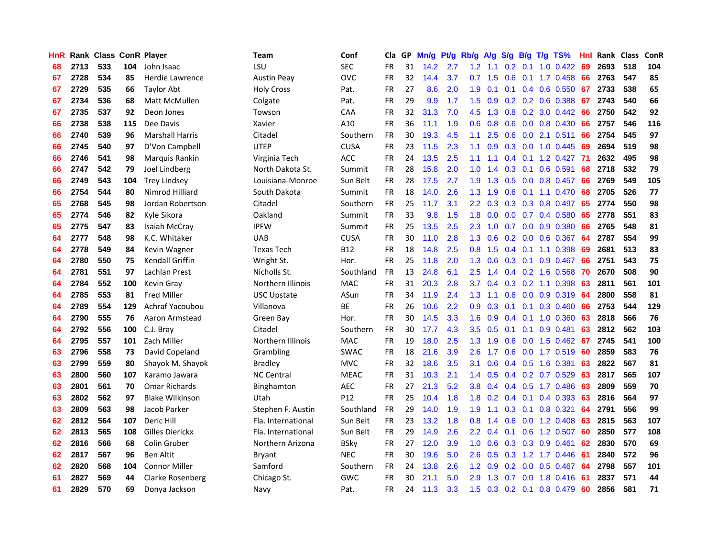| HnR |      | Rank Class ConR Player |     |                        | Team               | Conf        | Cla       |    | GP Mn/g Pt/g Rb/g |     |                  | A/g                                   |                  |                 | S/g B/g T/g TS%              | Hnl | Rank Class |     | ConR |
|-----|------|------------------------|-----|------------------------|--------------------|-------------|-----------|----|-------------------|-----|------------------|---------------------------------------|------------------|-----------------|------------------------------|-----|------------|-----|------|
| 68  | 2713 | 533                    | 104 | John Isaac             | LSU                | <b>SEC</b>  | <b>FR</b> | 31 | 14.2              | 2.7 | 1.2              | 1.1                                   | 0.2              | 0.1             | $1.0 \quad 0.422$            | 69  | 2693       | 518 | 104  |
| 67  | 2728 | 534                    | 85  | Herdie Lawrence        | <b>Austin Peav</b> | <b>OVC</b>  | <b>FR</b> | 32 | 14.4              | 3.7 | 0.7              | 1.5                                   | 0.6              | 0.1             | 1.7 0.458                    | 66  | 2763       | 547 | 85   |
| 67  | 2729 | 535                    | 66  | <b>Taylor Abt</b>      | <b>Holy Cross</b>  | Pat.        | <b>FR</b> | 27 | 8.6               | 2.0 | 1.9              | 0.1                                   | 0.1              | 0.4             | 0.6 0.550                    | -67 | 2733       | 538 | 65   |
| 67  | 2734 | 536                    | 68  | Matt McMullen          | Colgate            | Pat.        | <b>FR</b> | 29 | 9.9               | 1.7 | 1.5              | 0.9                                   |                  |                 | 0.2 0.2 0.6 0.388            | 67  | 2743       | 540 | 66   |
| 67  | 2735 | 537                    | 92  | Deon Jones             | Towson             | CAA         | <b>FR</b> | 32 | 31.3              | 7.0 |                  | $4.5$ 1.3                             |                  |                 | 0.8 0.2 3.0 0.442            | 66  | 2750       | 542 | 92   |
| 66  | 2738 | 538                    | 115 | Dee Davis              | Xavier             | A10         | <b>FR</b> | 36 | 11.1              | 1.9 | 0.6              | 0.8                                   |                  |                 | $0.6$ $0.0$ $0.8$ $0.430$    | 66  | 2757       | 546 | 116  |
| 66  | 2740 | 539                    | 96  | <b>Marshall Harris</b> | Citadel            | Southern    | <b>FR</b> | 30 | 19.3              | 4.5 | 1.1              | 2.5                                   |                  |                 | $0.6$ $0.0$ 2.1 $0.511$      | 66  | 2754       | 545 | 97   |
| 66  | 2745 | 540                    | 97  | D'Von Campbell         | <b>UTEP</b>        | <b>CUSA</b> | <b>FR</b> | 23 | 11.5              | 2.3 | 1.1              | 0.9                                   |                  |                 | $0.3$ 0.0 1.0 0.445          | -69 | 2694       | 519 | 98   |
| 66  | 2746 | 541                    | 98  | Marquis Rankin         | Virginia Tech      | ACC         | <b>FR</b> | 24 | 13.5              | 2.5 | 1.1              | 1.1                                   |                  | $0.4 \quad 0.1$ | 1.2 0.427                    | -71 | 2632       | 495 | 98   |
| 66  | 2747 | 542                    | 79  | Joel Lindberg          | North Dakota St.   | Summit      | <b>FR</b> | 28 | 15.8              | 2.0 | 1.0              | $\mathcal{A}$<br>$\blacktriangleleft$ | 0.3              | 0.1             | $0.6$ 0.591                  | 68  | 2718       | 532 | 79   |
| 66  | 2749 | 543                    | 104 | <b>Trey Lindsey</b>    | Louisiana-Monroe   | Sun Belt    | FR        | 28 | 17.5              | 2.7 | 1.9              | 1.3                                   | 0.5              |                 | 0.0 0.8 0.457                | 66  | 2769       | 549 | 105  |
| 66  | 2754 | 544                    | 80  | Nimrod Hilliard        | South Dakota       | Summit      | <b>FR</b> | 18 | 14.0              | 2.6 | 1.3              | 1.9                                   | 0.6              | 0.1             | 1.1 0.470                    | 68  | 2705       | 526 | 77   |
| 65  | 2768 | 545                    | 98  | Jordan Robertson       | Citadel            | Southern    | <b>FR</b> | 25 | 11.7              | 3.1 | $2.2\phantom{0}$ | 0.3                                   | 0.3              | 0.3             | 0.8 0.497                    | 65  | 2774       | 550 | 98   |
| 65  | 2774 | 546                    | 82  | Kyle Sikora            | Oakland            | Summit      | <b>FR</b> | 33 | 9.8               | 1.5 | 1.8              | 0.0                                   | 0.0 <sub>1</sub> |                 | 0.7 0.4 0.580                | 65  | 2778       | 551 | 83   |
| 65  | 2775 | 547                    | 83  | Isaiah McCray          | <b>IPFW</b>        | Summit      | <b>FR</b> | 25 | 13.5              | 2.5 | $2.3\phantom{0}$ | 1.0                                   | 0.7              | 0.0             | 0.9 0.380                    | 66  | 2765       | 548 | 81   |
| 64  | 2777 | 548                    | 98  | K.C. Whitaker          | <b>UAB</b>         | <b>CUSA</b> | <b>FR</b> | 30 | 11.0              | 2.8 | 1.3              | 0.6                                   |                  |                 | 0.2 0.0 0.6 0.367            | 64  | 2787       | 554 | 99   |
| 64  | 2778 | 549                    | 84  | Kevin Wagner           | <b>Texas Tech</b>  | B12         | FR        | 18 | 14.8              | 2.5 |                  | $0.8$ 1.5                             |                  |                 | $0.4$ 0.1 1.1 0.398          | -69 | 2681       | 513 | 83   |
| 64  | 2780 | 550                    | 75  | Kendall Griffin        | Wright St.         | Hor.        | <b>FR</b> | 25 | 11.8              | 2.0 |                  | $1.3 \quad 0.6$                       |                  |                 | $0.3$ 0.1 0.9 0.467          | 66  | 2751       | 543 | 75   |
| 64  | 2781 | 551                    | 97  | Lachlan Prest          | Nicholls St.       | Southland   | <b>FR</b> | 13 | 24.8              | 6.1 | $2.5\,$          | 1.4                                   |                  |                 | $0.4$ 0.2 1.6 0.568          | 70  | 2670       | 508 | 90   |
| 64  | 2784 | 552                    | 100 | Kevin Gray             | Northern Illinois  | <b>MAC</b>  | <b>FR</b> | 31 | 20.3              | 2.8 | 3.7              | 0.4                                   |                  |                 | $0.3$ $0.2$ 1.1 $0.398$      | -63 | 2811       | 561 | 101  |
| 64  | 2785 | 553                    | 81  | <b>Fred Miller</b>     | <b>USC Upstate</b> | ASun        | <b>FR</b> | 34 | 11.9              | 2.4 | 1.3              | 1.1                                   |                  |                 | $0.6$ $0.0$ $0.9$ $0.319$    | 64  | 2800       | 558 | 81   |
| 64  | 2789 | 554                    | 129 | Achraf Yacoubou        | Villanova          | ВE          | <b>FR</b> | 26 | 10.6              | 2.2 | 0.9              | 0.3                                   | 0.1              | 0.1             | 0.3 0.460                    | 66  | 2753       | 544 | 129  |
| 64  | 2790 | 555                    | 76  | Aaron Armstead         | Green Bay          | Hor.        | FR        | 30 | 14.5              | 3.3 | 1.6              | 0.9                                   |                  |                 | $0.4$ 0.1 1.0 0.360          | 63  | 2818       | 566 | 76   |
| 64  | 2792 | 556                    | 100 | C.J. Bray              | Citadel            | Southern    | FR        | 30 | 17.7              | 4.3 | 3.5              | 0.5                                   | 0.1              | 0.1             | 0.9 0.481                    | 63  | 2812       | 562 | 103  |
| 64  | 2795 | 557                    | 101 | Zach Miller            | Northern Illinois  | <b>MAC</b>  | <b>FR</b> | 19 | 18.0              | 2.5 | 1.3              | 1.9                                   | 0.6              | 0.0             | 1.5 0.462                    | -67 | 2745       | 541 | 100  |
| 63  | 2796 | 558                    | 73  | David Copeland         | Grambling          | <b>SWAC</b> | <b>FR</b> | 18 | 21.6              | 3.9 | 2.6              | 1.7                                   | 0.6              | 0.0             | 1.7 0.519                    | -60 | 2859       | 583 | 76   |
| 63  | 2799 | 559                    | 80  | Shayok M. Shayok       | <b>Bradley</b>     | <b>MVC</b>  | <b>FR</b> | 32 | 18.6              | 3.5 | 3.1              | 0.6                                   |                  | $0.4$ 0.5       | 1.6 0.381                    | 63  | 2822       | 567 | 81   |
| 63  | 2800 | 560                    | 107 | Karamo Jawara          | <b>NC Central</b>  | <b>MEAC</b> | <b>FR</b> | 31 | 10.3              | 2.1 | 1.4              | 0.5                                   |                  |                 | $0.4$ 0.2 0.7 0.529          | 63  | 2817       | 565 | 107  |
| 63  | 2801 | 561                    | 70  | <b>Omar Richards</b>   | Binghamton         | <b>AEC</b>  | <b>FR</b> | 27 | 21.3              | 5.2 | 3.8              | 0.4                                   |                  | $0.4$ 0.5       | 1.7 0.486                    | 63  | 2809       | 559 | 70   |
| 63  | 2802 | 562                    | 97  | <b>Blake Wilkinson</b> | Utah               | P12         | <b>FR</b> | 25 | 10.4              | 1.8 |                  | $1.8 \t0.2$                           | $0.4$ 0.1        |                 | 0.4 0.393                    | 63  | 2816       | 564 | 97   |
| 63  | 2809 | 563                    | 98  | Jacob Parker           | Stephen F. Austin  | Southland   | <b>FR</b> | 29 | 14.0              | 1.9 | 1.9 <sup>°</sup> | 1.1                                   |                  |                 | $0.3$ 0.1 0.8 0.321          | -64 | 2791       | 556 | 99   |
| 62  | 2812 | 564                    | 107 | Deric Hill             | Fla. International | Sun Belt    | <b>FR</b> | 23 | 13.2              | 1.8 | 0.8 <sub>0</sub> | 1.4                                   |                  |                 | 0.6 0.0 1.2 0.408            | 63  | 2815       | 563 | 107  |
| 62  | 2813 | 565                    | 108 | Gilles Dierickx        | Fla. International | Sun Belt    | <b>FR</b> | 29 | 14.9              | 2.6 | 2.2 <sub>2</sub> | 0.4                                   |                  |                 | $0.1$ $0.6$ 1.2 $0.507$      | 60  | 2850       | 577 | 108  |
| 62  | 2816 | 566                    | 68  | Colin Gruber           | Northern Arizona   | <b>BSky</b> | FR        | 27 | 12.0              | 3.9 | 1.0              | 0.6                                   |                  |                 | 0.3 0.3 0.9 0.461            | 62  | 2830       | 570 | 69   |
| 62  | 2817 | 567                    | 96  | <b>Ben Altit</b>       | <b>Bryant</b>      | <b>NEC</b>  | <b>FR</b> | 30 | 19.6              | 5.0 | 2.6              | 0.5                                   | 0.3              |                 | 1.2 1.7 0.446                | 61  | 2840       | 572 | 96   |
| 62  | 2820 | 568                    | 104 | <b>Connor Miller</b>   | Samford            | Southern    | <b>FR</b> | 24 | 13.8              | 2.6 | $1.2^{\circ}$    | 0.9                                   |                  | $0.2 \quad 0.0$ | 0.5 0.467                    | 64  | 2798       | 557 | 101  |
| 61  | 2827 | 569                    | 44  | Clarke Rosenberg       | Chicago St.        | <b>GWC</b>  | FR        | 30 | 21.1              | 5.0 | 2.9              | 1.3                                   | 0.7              | 0.0             | 1.8 0.416                    | -61 | 2837       | 571 | 44   |
| 61  | 2829 | 570                    | 69  | Donya Jackson          | Navy               | Pat.        | <b>FR</b> | 24 | 11.3              | 3.3 |                  |                                       |                  |                 | 1.5 0.3 0.2 0.1 0.8 0.479 60 |     | 2856       | 581 | 71   |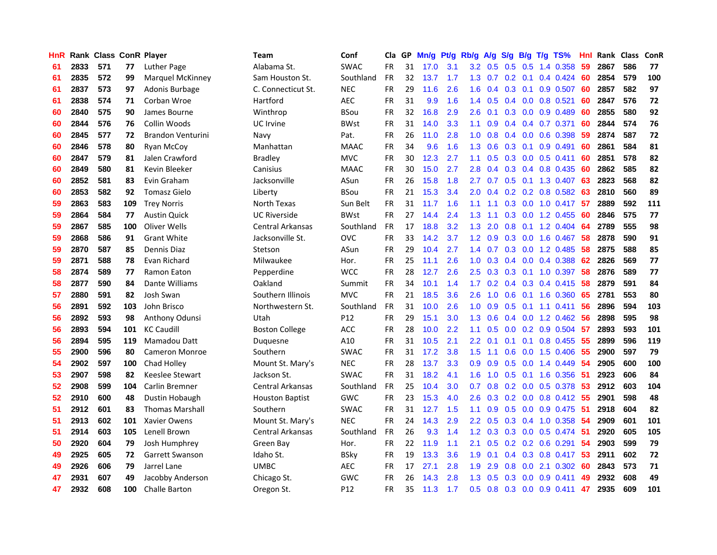| HnR |      | Rank Class ConR Player |     |                          | Team                   | Conf        | Cla       | GP. | Mn/g Pt/g Rb/g A/g |     |                  |                 |                  |                 | S/g B/g T/g TS%           | Hnl |      | Rank Class | ConR |
|-----|------|------------------------|-----|--------------------------|------------------------|-------------|-----------|-----|--------------------|-----|------------------|-----------------|------------------|-----------------|---------------------------|-----|------|------------|------|
| 61  | 2833 | 571                    | 77  | Luther Page              | Alabama St.            | <b>SWAC</b> | FR.       | 31  | 17.0               | 3.1 | $3.2\,$          | 0.5             | 0.5              | 0.5             | 1.4 0.358                 | 59  | 2867 | 586        | 77   |
| 61  | 2835 | 572                    | 99  | Marquel McKinney         | Sam Houston St.        | Southland   | <b>FR</b> | 32  | 13.7               | 1.7 | 1.3              | 0.7             | 0.2              | 0.1             | $0.4$ 0.424               | -60 | 2854 | 579        | 100  |
| 61  | 2837 | 573                    | 97  | Adonis Burbage           | C. Connecticut St.     | <b>NEC</b>  | <b>FR</b> | 29  | 11.6               | 2.6 | 1.6              | 0.4             |                  | $0.3 \quad 0.1$ | 0.9 0.507                 | 60  | 2857 | 582        | 97   |
| 61  | 2838 | 574                    | 71  | Corban Wroe              | Hartford               | <b>AEC</b>  | <b>FR</b> | 31  | 9.9                | 1.6 | 1.4              | 0.5             |                  |                 | $0.4$ 0.0 0.8 0.521       | 60  | 2847 | 576        | 72   |
| 60  | 2840 | 575                    | 90  | James Bourne             | Winthrop               | <b>BSou</b> | <b>FR</b> | 32  | 16.8               | 2.9 | 2.6              | 0.1             |                  |                 | 0.3 0.0 0.9 0.489         | 60  | 2855 | 580        | 92   |
| 60  | 2844 | 576                    | 76  | Collin Woods             | UC Irvine              | <b>BWst</b> | <b>FR</b> | 31  | 14.0               | 3.3 | 1.1 <sub>1</sub> | 0.9             |                  |                 | $0.4$ 0.4 0.7 0.371       | 60  | 2844 | 574        | 76   |
| 60  | 2845 | 577                    | 72  | <b>Brandon Venturini</b> | Navy                   | Pat.        | <b>FR</b> | 26  | 11.0               | 2.8 | 1.0 <sub>1</sub> | 0.8             |                  |                 | $0.4$ 0.0 0.6 0.398       | -59 | 2874 | 587        | 72   |
| 60  | 2846 | 578                    | 80  | Ryan McCoy               | Manhattan              | <b>MAAC</b> | <b>FR</b> | 34  | 9.6                | 1.6 | 1.3 <sup>°</sup> | 0.6             |                  |                 | $0.3$ 0.1 0.9 0.491       | 60  | 2861 | 584        | 81   |
| 60  | 2847 | 579                    | 81  | Jalen Crawford           | <b>Bradley</b>         | <b>MVC</b>  | <b>FR</b> | 30  | 12.3               | 2.7 | 1.1              | 0.5             |                  |                 | 0.3 0.0 0.5 0.411         | 60  | 2851 | 578        | 82   |
| 60  | 2849 | 580                    | 81  | Kevin Bleeker            | Canisius               | <b>MAAC</b> | <b>FR</b> | 30  | 15.0               | 2.7 | 2.8              | 0.4             |                  |                 | 0.3 0.4 0.8 0.435         | 60  | 2862 | 585        | 82   |
| 60  | 2852 | 581                    | 83  | Evin Graham              | Jacksonville           | ASun        | <b>FR</b> | 26  | 15.8               | 1.8 | 2.7              | 0.7             |                  |                 | $0.5$ $0.1$ $1.3$ $0.407$ | 63  | 2823 | 568        | 82   |
| 60  | 2853 | 582                    | 92  | <b>Tomasz Gielo</b>      | Liberty                | <b>BSou</b> | FR        | 21  | 15.3               | 3.4 | 2.0              | 0.4             |                  |                 | 0.2 0.2 0.8 0.582         | 63  | 2810 | 560        | 89   |
| 59  | 2863 | 583                    | 109 | <b>Trey Norris</b>       | North Texas            | Sun Belt    | <b>FR</b> | 31  | 11.7               | 1.6 | 1.1              | 1.1             | 0.3 <sub>0</sub> | 0.0             | 1.0 0.417                 | 57  | 2889 | 592        | 111  |
| 59  | 2864 | 584                    | 77  | <b>Austin Quick</b>      | <b>UC Riverside</b>    | <b>BWst</b> | <b>FR</b> | 27  | 14.4               | 2.4 | 1.3              | 1.1             | 0.3 <sub>0</sub> | 0.0             | 1.2 0.455                 | -60 | 2846 | 575        | 77   |
| 59  | 2867 | 585                    | 100 | Oliver Wells             | Central Arkansas       | Southland   | <b>FR</b> | 17  | 18.8               | 3.2 | 1.3              | 2.0             | 0.8              | 0.1             | 1.2 0.404                 | 64  | 2789 | 555        | 98   |
| 59  | 2868 | 586                    | 91  | <b>Grant White</b>       | Jacksonville St.       | <b>OVC</b>  | <b>FR</b> | 33  | 14.2               | 3.7 | $1.2^{\circ}$    | 0.9             |                  | $0.3 \quad 0.0$ | 1.6 0.467                 | 58  | 2878 | 590        | 91   |
| 59  | 2870 | 587                    | 85  | Dennis Diaz              | Stetson                | ASun        | <b>FR</b> | 29  | 10.4               | 2.7 | 1.4              | 0.7             |                  | $0.3 \quad 0.0$ | 1.2 0.485                 | -58 | 2875 | 588        | 85   |
| 59  | 2871 | 588                    | 78  | Evan Richard             | Milwaukee              | Hor.        | <b>FR</b> | 25  | 11.1               | 2.6 | 1.0 <sub>1</sub> | 0.3             |                  |                 | $0.4$ 0.0 0.4 0.388       | -62 | 2826 | 569        | 77   |
| 58  | 2874 | 589                    | 77  | Ramon Eaton              | Pepperdine             | <b>WCC</b>  | <b>FR</b> | 28  | 12.7               | 2.6 |                  | $2.5 \quad 0.3$ |                  |                 | 0.3 0.1 1.0 0.397         | -58 | 2876 | 589        | 77   |
| 58  | 2877 | 590                    | 84  | Dante Williams           | Oakland                | Summit      | <b>FR</b> | 34  | 10.1               | 1.4 | 1.7 <sub>z</sub> | 0.2             |                  |                 | $0.4$ 0.3 0.4 0.415       | -58 | 2879 | 591        | 84   |
| 57  | 2880 | 591                    | 82  | Josh Swan                | Southern Illinois      | <b>MVC</b>  | <b>FR</b> | 21  | 18.5               | 3.6 |                  | $2.6$ 1.0       |                  |                 | $0.6$ $0.1$ 1.6 $0.360$   | -65 | 2781 | 553        | 80   |
| 56  | 2891 | 592                    | 103 | John Brisco              | Northwestern St.       | Southland   | <b>FR</b> | 31  | 10.0               | 2.6 | 1.0              | 0.9             |                  |                 | $0.5$ 0.1 1.1 0.411       | 56  | 2896 | 594        | 103  |
| 56  | 2892 | 593                    | 98  | <b>Anthony Odunsi</b>    | Utah                   | P12         | <b>FR</b> | 29  | 15.1               | 3.0 | 1.3              | 0.6             |                  |                 | $0.4$ 0.0 1.2 0.462       | 56  | 2898 | 595        | 98   |
| 56  | 2893 | 594                    | 101 | <b>KC Caudill</b>        | <b>Boston College</b>  | <b>ACC</b>  | <b>FR</b> | 28  | 10.0               | 2.2 | 1.1              | 0.5             |                  |                 | $0.0$ $0.2$ $0.9$ $0.504$ | 57  | 2893 | 593        | 101  |
| 56  | 2894 | 595                    | 119 | Mamadou Datt             | Duquesne               | A10         | <b>FR</b> | 31  | 10.5               | 2.1 | $2.2\phantom{0}$ | 0.1             | 0.1              | 0.1             | 0.8 0.455                 | 55  | 2899 | 596        | 119  |
| 55  | 2900 | 596                    | 80  | Cameron Monroe           | Southern               | <b>SWAC</b> | <b>FR</b> | 31  | 17.2               | 3.8 | 1.5              | 1.1             | 0.6              |                 | $0.0$ 1.5 0.406           | -55 | 2900 | 597        | 79   |
| 54  | 2902 | 597                    | 100 | Chad Holley              | Mount St. Mary's       | <b>NEC</b>  | <b>FR</b> | 28  | 13.7               | 3.3 | 0.9              | 0.9             | 0.5              | 0.0             | 1.4 0.449                 | 54  | 2905 | 600        | 100  |
| 53  | 2907 | 598                    | 82  | Keeslee Stewart          | Jackson St.            | <b>SWAC</b> | <b>FR</b> | 31  | 18.2               | 4.1 | 1.6              | 1.0             | 0.5              |                 | $0.1$ 1.6 0.356           | -51 | 2923 | 606        | 84   |
| 52  | 2908 | 599                    | 104 | Carlin Bremner           | Central Arkansas       | Southland   | <b>FR</b> | 25  | 10.4               | 3.0 | 0.7              | 0.8             |                  | $0.2\quad 0.0$  | 0.5 0.378                 | 53  | 2912 | 603        | 104  |
| 52  | 2910 | 600                    | 48  | Dustin Hobaugh           | <b>Houston Baptist</b> | <b>GWC</b>  | <b>FR</b> | 23  | 15.3               | 4.0 | 2.6              | 0.3             |                  | $0.2\quad 0.0$  | $0.8$ 0.412               | -55 | 2901 | 598        | 48   |
| 51  | 2912 | 601                    | 83  | <b>Thomas Marshall</b>   | Southern               | <b>SWAC</b> | <b>FR</b> | 31  | 12.7               | 1.5 | 1.1              | 0.9             |                  |                 | $0.5$ 0.0 0.9 0.475       | -51 | 2918 | 604        | 82   |
| 51  | 2913 | 602                    | 101 | Xavier Owens             | Mount St. Mary's       | <b>NEC</b>  | <b>FR</b> | 24  | 14.3               | 2.9 | $2.2^{\circ}$    | 0.5             |                  |                 | $0.3$ 0.4 1.0 0.358       | -54 | 2909 | 601        | 101  |
| 51  | 2914 | 603                    | 105 | Lenell Brown             | Central Arkansas       | Southland   | <b>FR</b> | 26  | 9.3                | 1.4 |                  | $1.2 \quad 0.3$ |                  |                 | $0.3$ 0.0 0.5 0.474       | -51 | 2920 | 605        | 105  |
| 50  | 2920 | 604                    | 79  | Josh Humphrey            | Green Bay              | Hor.        | <b>FR</b> | 22  | 11.9               | 1.1 | 2.1              | 0.5             |                  |                 | $0.2$ 0.2 0.6 0.291       | -54 | 2903 | 599        | 79   |
| 49  | 2925 | 605                    | 72  | Garrett Swanson          | Idaho St.              | <b>BSky</b> | FR        | 19  | 13.3               | 3.6 | 1.9              | 0.1             |                  |                 | $0.4$ 0.3 0.8 0.417       | -53 | 2911 | 602        | 72   |
| 49  | 2926 | 606                    | 79  | Jarrel Lane              | <b>UMBC</b>            | <b>AEC</b>  | FR        | 17  | 27.1               | 2.8 | 1.9              | 2.9             | 0.8              | 0.0             | 2.1 0.302                 | 60  | 2843 | 573        | 71   |
| 47  | 2931 | 607                    | 49  | Jacobby Anderson         | Chicago St.            | <b>GWC</b>  | FR        | 26  | 14.3               | 2.8 | 1.3              | 0.5             | 0.3              | 0.0             | 0.9 0.411                 | 49  | 2932 | 608        | 49   |
| 47  | 2932 | 608                    | 100 | <b>Challe Barton</b>     | Oregon St.             | P12         | <b>FR</b> | 35  | 11.3               | 1.7 | 0.5              | 0.8             |                  |                 | $0.3$ 0.0 0.9 0.411       | 47  | 2935 | 609        | 101  |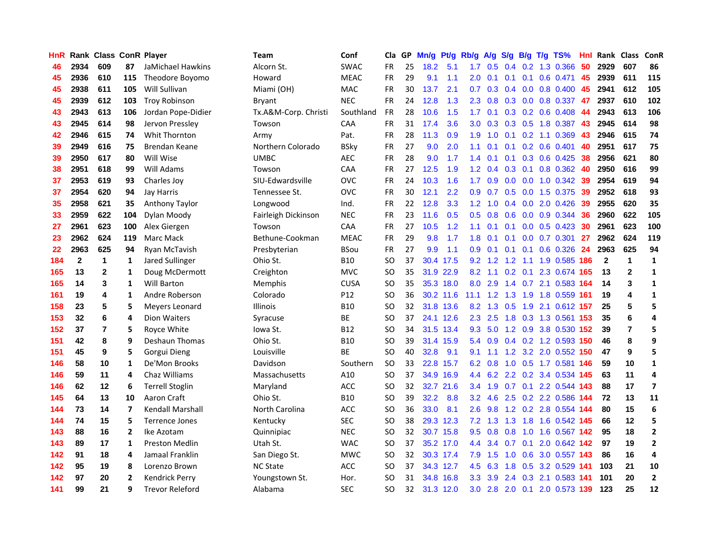| HnR |              | Rank Class ConR Player |                |                         | <b>Team</b>          | Conf        | Cla       |    | GP Mn/g Pt/g |           | Rb/g A/g         |                 |     |        | S/g B/g T/g TS%               | Hnl  | Rank Class   |                | <b>ConR</b>    |
|-----|--------------|------------------------|----------------|-------------------------|----------------------|-------------|-----------|----|--------------|-----------|------------------|-----------------|-----|--------|-------------------------------|------|--------------|----------------|----------------|
| 46  | 2934         | 609                    | 87             | JaMichael Hawkins       | Alcorn St.           | <b>SWAC</b> | FR.       | 25 | 18.2         | 5.1       | 1.7              | 0.5             | 0.4 | 0.2    | 1.3 0.366                     | 50   | 2929         | 607            | 86             |
| 45  | 2936         | 610                    | 115            | Theodore Boyomo         | Howard               | <b>MEAC</b> | <b>FR</b> | 29 | 9.1          | 1.1       | 2.0              | 0.1             | 0.1 | 0.1    | $0.6$ 0.471                   | 45   | 2939         | 611            | 115            |
| 45  | 2938         | 611                    | 105            | Will Sullivan           | Miami (OH)           | MAC         | <b>FR</b> | 30 | 13.7         | 2.1       | 0.7              | 0.3             | 0.4 | 0.0    | 0.8 0.400                     | 45   | 2941         | 612            | 105            |
| 45  | 2939         | 612                    | 103            | <b>Troy Robinson</b>    | Bryant               | <b>NEC</b>  | <b>FR</b> | 24 | 12.8         | 1.3       | 2.3              | 0.8             |     |        | $0.3$ $0.0$ $0.8$ $0.337$     | 47   | 2937         | 610            | 102            |
| 43  | 2943         | 613                    | 106            | Jordan Pope-Didier      | Tx.A&M-Corp. Christi | Southland   | FR        | 28 | 10.6         | 1.5       | 1.7 <sup>2</sup> | 0.1             |     |        | $0.3$ 0.2 0.6 0.408           | 44   | 2943         | 613            | 106            |
| 43  | 2945         | 614                    | 98             | Jervon Pressley         | Towson               | CAA         | <b>FR</b> | 31 | 17.4         | 3.6       | 3.0 <sub>2</sub> | 0.3             |     |        | 0.3 0.5 1.8 0.387             | 43   | 2945         | 614            | 98             |
| 42  | 2946         | 615                    | 74             | Whit Thornton           | Army                 | Pat.        | <b>FR</b> | 28 | 11.3         | 0.9       | 1.9              | 1.0             | 0.1 |        | $0.2$ 1.1 0.369               | 43   | 2946         | 615            | 74             |
| 39  | 2949         | 616                    | 75             | Brendan Keane           | Northern Colorado    | <b>BSky</b> | <b>FR</b> | 27 | 9.0          | 2.0       | 1.1              | 0.1             |     |        | $0.1$ $0.2$ $0.6$ $0.401$     | 40   | 2951         | 617            | 75             |
| 39  | 2950         | 617                    | 80             | Will Wise               | <b>UMBC</b>          | <b>AEC</b>  | FR        | 28 | 9.0          | 1.7       | 1.4              | 0.1             | 0.1 |        | 0.3 0.6 0.425                 | 38   | 2956         | 621            | 80             |
| 38  | 2951         | 618                    | 99             | Will Adams              | Towson               | CAA         | FR        | 27 | 12.5         | 1.9       | 1.2              | 0.4             | 0.3 | 0.1    | 0.8 0.362                     | 40   | 2950         | 616            | 99             |
| 37  | 2953         | 619                    | 93             | Charles Joy             | SIU-Edwardsville     | <b>OVC</b>  | <b>FR</b> | 24 | 10.3         | 1.6       | 1.7              | 0.9             | 0.0 |        | $0.0$ 1.0 $0.342$             | 39   | 2954         | 619            | 94             |
| 37  | 2954         | 620                    | 94             | Jay Harris              | Tennessee St.        | <b>OVC</b>  | <b>FR</b> | 30 | 12.1         | 2.2       | 0.9              | 0.7             | 0.5 | 0.0    | 1.5 0.375                     | 39   | 2952         | 618            | 93             |
| 35  | 2958         | 621                    | 35             | Anthony Taylor          | Longwood             | Ind.        | <b>FR</b> | 22 | 12.8         | 3.3       | 1.2 <sub>1</sub> | 1.0             | 0.4 | 0.0    | 2.0 0.426                     | 39   | 2955         | 620            | 35             |
| 33  | 2959         | 622                    | 104            | Dylan Moody             | Fairleigh Dickinson  | <b>NEC</b>  | <b>FR</b> | 23 | 11.6         | 0.5       | 0.5              | 0.8             | 0.6 | 0.0    | 0.9 0.344                     | 36   | 2960         | 622            | 105            |
| 27  | 2961         | 623                    | 100            | Alex Giergen            | Towson               | CAA         | FR        | 27 | 10.5         | 1.2       | 1.1              | 0.1             | 0.1 | 0.0    | $0.5$ 0.423                   | 30   | 2961         | 623            | 100            |
| 23  | 2962         | 624                    | 119            | Marc Mack               | Bethune-Cookman      | <b>MEAC</b> | <b>FR</b> | 29 | 9.8          | 1.7       | 1.8              | 0.1             | 0.1 | 0.0    | $0.7$ $0.301$                 | 27   | 2962         | 624            | 119            |
| 22  | 2963         | 625                    | 94             | Ryan McTavish           | Presbyterian         | <b>BSou</b> | <b>FR</b> | 27 | 9.9          | 1.1       | 0.9              | 0.1             | 0.1 | 0.1    | $0.6$ $0.326$                 | -24  | 2963         | 625            | 94             |
| 184 | $\mathbf{2}$ | 1                      | 1              | Jared Sullinger         | Ohio St.             | <b>B10</b>  | SO.       | 37 |              | 30.4 17.5 |                  | $9.2 \quad 1.2$ | 1.2 | $-1.1$ | 1.9 0.585 186                 |      | $\mathbf{2}$ | $\mathbf{1}$   | 1              |
| 165 | 13           | $\mathbf{2}$           | 1              | Doug McDermott          | Creighton            | <b>MVC</b>  | SO.       | 35 |              | 31.9 22.9 |                  |                 |     |        | 8.2 1.1 0.2 0.1 2.3 0.674 165 |      | 13           | $\mathbf{2}$   | $\mathbf 1$    |
| 165 | 14           | 3                      | 1              | <b>Will Barton</b>      | <b>Memphis</b>       | <b>CUSA</b> | SO.       | 35 |              | 35.3 18.0 | 8.0              | 2.9             |     |        | 1.4 0.7 2.1 0.583 164         |      | 14           | 3              | 1              |
| 161 | 19           | 4                      | 1              | Andre Roberson          | Colorado             | P12         | SO.       | 36 |              | 30.2 11.6 | 11.1             |                 |     |        | 1.2 1.3 1.9 1.8 0.559 161     |      | 19           | 4              | $\mathbf{1}$   |
| 158 | 23           | 5                      | 5              | Meyers Leonard          | Illinois             | <b>B10</b>  | SO.       | 32 |              | 31.8 13.6 |                  | $8.2 \quad 1.3$ | 0.5 |        | 1.9 2.1 0.612 157             |      | 25           | 5              | 5              |
| 153 | 32           | 6                      | 4              | Dion Waiters            | Syracuse             | <b>BE</b>   | SO.       | 37 |              | 24.1 12.6 |                  | $2.3$ 2.5       |     |        | 1.8 0.3 1.3 0.561 153         |      | 35           | 6              | 4              |
| 152 | 37           | $\overline{7}$         | 5              | Royce White             | Iowa St.             | <b>B12</b>  | <b>SO</b> | 34 |              | 31.5 13.4 | 9.3              | 5.0             |     |        | 1.2 0.9 3.8 0.530 152         |      | 39           | $\overline{7}$ | 5              |
| 151 | 42           | 8                      | 9              | Deshaun Thomas          | Ohio St.             | <b>B10</b>  | <b>SO</b> | 39 |              | 31.4 15.9 |                  | 5.4 0.9         |     |        | $0.4$ 0.2 1.2 0.593           | 150  | 46           | 8              | 9              |
| 151 | 45           | 9                      | 5              | Gorgui Dieng            | Louisville           | BE          | SO.       | 40 | 32.8         | 9.1       | 9.1              | 1.1             | 1.2 |        | 3.2 2.0 0.552                 | 150  | 47           | 9              | 5              |
| 146 | 58           | 10                     | 1              | De'Mon Brooks           | Davidson             | Southern    | <b>SO</b> | 33 | 22.8         | 15.7      | 6.2              | 0.8             | 1.0 |        | $0.5$ 1.7 0.581               | 146  | 59           | 10             | $\mathbf{1}$   |
| 146 | 59           | 11                     | 4              | Chaz Williams           | Massachusetts        | A10         | SO.       | 37 |              | 34.9 16.9 |                  | 4.4 6.2         |     |        | 2.2 0.2 3.4 0.534             | -145 | 63           | 11             | 4              |
| 146 | 62           | 12                     | 6              | <b>Terrell Stoglin</b>  | Maryland             | ACC         | <b>SO</b> | 32 |              | 32.7 21.6 |                  | $3.4$ 1.9       | 0.7 | 0.1    | 2.2 0.544 143                 |      | 88           | 17             | $\overline{ }$ |
| 145 | 64           | 13                     | 10             | Aaron Craft             | Ohio St.             | <b>B10</b>  | <b>SO</b> | 39 | 32.2         | 8.8       | 3.2              | 4.6             | 2.5 |        | 0.2 2.2 0.586 144             |      | 72           | 13             | 11             |
| 144 | 73           | 14                     | 7              | <b>Kendall Marshall</b> | North Carolina       | <b>ACC</b>  | <b>SO</b> | 36 | 33.0         | 8.1       | 2.6              | 9.8             |     |        | 1.2 0.2 2.8 0.554 144         |      | 80           | 15             | 6              |
| 144 | 74           | 15                     | 5              | <b>Terrence Jones</b>   | Kentucky             | <b>SEC</b>  | SO.       | 38 |              | 29.3 12.3 |                  | $7.2$ 1.3       | 1.3 |        | 1.8 1.6 0.542 145             |      | 66           | 12             | 5              |
| 143 | 88           | 16                     | 2              | Ike Azotam              | Quinnipiac           | <b>NEC</b>  | SO.       | 32 |              | 30.7 15.8 |                  | $9.5 \quad 0.8$ | 0.8 |        | 1.0 1.6 0.567 142             |      | 95           | 18             | $\mathbf{2}$   |
| 143 | 89           | 17                     | $\mathbf{1}$   | <b>Preston Medlin</b>   | Utah St.             | <b>WAC</b>  | <b>SO</b> | 37 |              | 35.2 17.0 | 4.4              | 3.4             | 0.7 | 0.1    | 2.0 0.642 142                 |      | 97           | 19             | $\overline{2}$ |
| 142 | 91           | 18                     | 4              | Jamaal Franklin         | San Diego St.        | <b>MWC</b>  | <b>SO</b> | 32 |              | 30.3 17.4 | 7.9              | 1.5             | 1.0 | 0.6    | 3.0 0.557 143                 |      | 86           | 16             | 4              |
| 142 | 95           | 19                     | 8              | Lorenzo Brown           | <b>NC State</b>      | ACC         | SO.       | 37 |              | 34.3 12.7 | 4.5              | 6.3             | 1.8 | 0.5    | 3.2 0.529 141                 |      | 103          | 21             | 10             |
| 142 | 97           | 20                     | $\overline{2}$ | <b>Kendrick Perry</b>   | Youngstown St.       | Hor.        | SO.       | 31 | 34.8         | 16.8      | 3.3 <sub>2</sub> | 3.9             | 2.4 | 0.3    | 2.1 0.583                     | 141  | 101          | 20             | $\overline{2}$ |
| 141 | 99           | 21                     | 9              | <b>Trevor Releford</b>  | Alabama              | <b>SEC</b>  | SO.       | 32 |              | 31.3 12.0 | 3.0              |                 |     |        | 2.8 2.0 0.1 2.0 0.573 139     |      | 123          | 25             | 12             |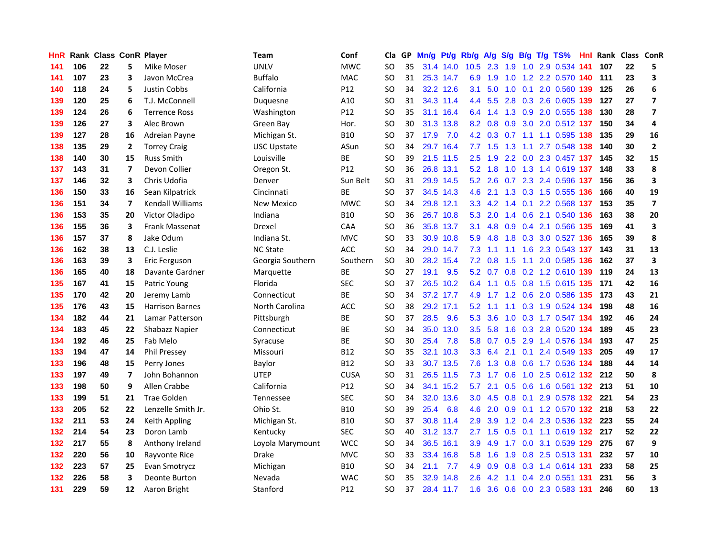| HnR |     | <b>Rank Class ConR Player</b> |                         |                         | Team               | Conf            | Cla           |    | GP Mn/g Pt/g |           | Rb/g             | A/g             |     |                 | S/g B/g T/g TS%               | Hnl |     | Rank Class ConR |                         |
|-----|-----|-------------------------------|-------------------------|-------------------------|--------------------|-----------------|---------------|----|--------------|-----------|------------------|-----------------|-----|-----------------|-------------------------------|-----|-----|-----------------|-------------------------|
| 141 | 106 | 22                            | 5                       | Mike Moser              | <b>UNLV</b>        | <b>MWC</b>      | SO            | 35 |              | 31.4 14.0 | 10.5             | 2.3             | 1.9 | 1.0             | 2.9 0.534                     | 141 | 107 | 22              | 5                       |
| 141 | 107 | 23                            | 3                       | Javon McCrea            | <b>Buffalo</b>     | <b>MAC</b>      | <b>SO</b>     | 31 |              | 25.3 14.7 | 6.9              | 1.9             | 1.0 | 1.2             | 2.2 0.570 140                 |     | 111 | 23              | 3                       |
| 140 | 118 | 24                            | 5                       | Justin Cobbs            | California         | P12             | SO            | 34 |              | 32.2 12.6 | 3.1              | 5.0             | 1.0 | 0.1             | 2.0 0.560 139                 |     | 125 | 26              | 6                       |
| 139 | 120 | 25                            | 6                       | T.J. McConnell          | Duquesne           | A10             | SO            | 31 |              | 34.3 11.4 |                  |                 |     |                 | 4.4 5.5 2.8 0.3 2.6 0.605 139 |     | 127 | 27              | $\overline{\mathbf{z}}$ |
| 139 | 124 | 26                            | 6                       | <b>Terrence Ross</b>    | Washington         | P <sub>12</sub> | SO            | 35 |              | 31.1 16.4 |                  | 6.4 1.4         |     |                 | 1.3 0.9 2.0 0.555 138         |     | 130 | 28              | $\overline{ }$          |
| 139 | 126 | 27                            | 3                       | Alec Brown              | Green Bay          | Hor.            | SO            | 30 |              | 31.3 13.8 |                  | $8.2 \quad 0.8$ | 0.9 |                 | 3.0 2.0 0.512 137             |     | 150 | 34              | 4                       |
| 139 | 127 | 28                            | 16                      | Adreian Payne           | Michigan St.       | <b>B10</b>      | <b>SO</b>     | 37 | 17.9         | 7.0       |                  |                 |     |                 | 4.2 0.3 0.7 1.1 1.1 0.595 138 |     | 135 | 29              | 16                      |
| 138 | 135 | 29                            | 2                       | <b>Torrey Craig</b>     | <b>USC Upstate</b> | ASun            | SO            | 34 |              | 29.7 16.4 |                  | $7.7$ 1.5       | 1.3 | 1.1             | 2.7 0.548 138                 |     | 140 | 30              | $\mathbf{2}$            |
| 138 | 140 | 30                            | 15                      | <b>Russ Smith</b>       | Louisville         | ВE              | <sub>SO</sub> | 39 |              | 21.5 11.5 | 2.5              | 1.9             |     |                 | 2.2 0.0 2.3 0.457 137         |     | 145 | 32              | 15                      |
| 137 | 143 | 31                            | 7                       | Devon Collier           | Oregon St.         | P <sub>12</sub> | <sub>SO</sub> | 36 |              | 26.8 13.1 | 5.2              | 1.8             | 1.0 |                 | 1.3 1.4 0.619 137             |     | 148 | 33              | 8                       |
| 137 | 146 | 32                            | 3                       | Chris Udofia            | Denver             | Sun Belt        | <b>SO</b>     | 31 |              | 29.9 14.5 | 5.2              | 2.6             | 0.7 |                 | 2.3 2.4 0.596                 | 137 | 156 | 36              | 3                       |
| 136 | 150 | 33                            | 16                      | Sean Kilpatrick         | Cincinnati         | BE              | SO            | 37 |              | 34.5 14.3 | 4.6              | 2.1             |     |                 | 1.3 0.3 1.5 0.555 136         |     | 166 | 40              | 19                      |
| 136 | 151 | 34                            | 7                       | <b>Kendall Williams</b> | New Mexico         | <b>MWC</b>      | <b>SO</b>     | 34 |              | 29.8 12.1 | 3.3              | 4.2             | 1.4 | 0.1             | 2.2 0.568                     | 137 | 153 | 35              | $\overline{\mathbf{z}}$ |
| 136 | 153 | 35                            | 20                      | Victor Oladipo          | Indiana            | <b>B10</b>      | SO            | 36 |              | 26.7 10.8 | 5.3              | 2.0             | 1.4 | 0.6             | 2.1 0.540                     | 136 | 163 | 38              | 20                      |
| 136 | 155 | 36                            | 3                       | Frank Massenat          | Drexel             | <b>CAA</b>      | SO            | 36 |              | 35.8 13.7 | 3.1              | 4.8             | 0.9 | 0.4             | 2.1 0.566                     | 135 | 169 | 41              | 3                       |
| 136 | 157 | 37                            | 8                       | Jake Odum               | Indiana St.        | <b>MVC</b>      | SO            | 33 |              | 30.9 10.8 | 5.9              | 4.8             | 1.8 |                 | 0.3 3.0 0.527 136             |     | 165 | 39              | 8                       |
| 136 | 162 | 38                            | 13                      | C.J. Leslie             | <b>NC State</b>    | <b>ACC</b>      | <sub>SO</sub> | 34 |              | 29.0 14.7 | 7.3              | 1.1             | 1.1 | 1.6             | 2.3 0.543 137                 |     | 143 | 31              | 13                      |
| 136 | 163 | 39                            | 3                       | Eric Ferguson           | Georgia Southern   | Southern        | <b>SO</b>     | 30 |              | 28.2 15.4 |                  | $7.2 \quad 0.8$ | 1.5 | 1.1             | 2.0 0.585 136                 |     | 162 | 37              | 3                       |
| 136 | 165 | 40                            | 18                      | Davante Gardner         | Marquette          | <b>BE</b>       | SO            | 27 | 19.1         | 9.5       |                  |                 |     |                 | 5.2 0.7 0.8 0.2 1.2 0.610 139 |     | 119 | 24              | 13                      |
| 135 | 167 | 41                            | 15                      | Patric Young            | Florida            | <b>SEC</b>      | SO            | 37 |              | 26.5 10.2 | 6.4              | 1.1             |     |                 | 0.5 0.8 1.5 0.615 135         |     | 171 | 42              | 16                      |
| 135 | 170 | 42                            | 20                      | Jeremy Lamb             | Connecticut        | <b>BE</b>       | <sub>SO</sub> | 34 |              | 37.2 17.7 | 4.9              | 1.7             |     |                 | 1.2 0.6 2.0 0.586 135         |     | 173 | 43              | 21                      |
| 135 | 176 | 43                            | 15                      | <b>Harrison Barnes</b>  | North Carolina     | ACC             | <sub>SO</sub> | 38 |              | 29.2 17.1 | 5.2              | 1.1             |     |                 | 1.1 0.3 1.9 0.524 134         |     | 198 | 48              | 16                      |
| 134 | 182 | 44                            | 21                      | Lamar Patterson         | Pittsburgh         | <b>BE</b>       | <b>SO</b>     | 37 | 28.5         | 9.6       | 5.3              | 3.6             | 1.0 |                 | 0.3 1.7 0.547 134             |     | 192 | 46              | 24                      |
| 134 | 183 | 45                            | 22                      | Shabazz Napier          | Connecticut        | ВE              | <b>SO</b>     | 34 | 35.0         | 13.0      | 3.5              | 5.8             | 1.6 |                 | 0.3 2.8 0.520 134             |     | 189 | 45              | 23                      |
| 134 | 192 | 46                            | 25                      | Fab Melo                | Syracuse           | ВE              | SO            | 30 | 25.4         | 7.8       | 5.8              | 0.7             | 0.5 |                 | 2.9 1.4 0.576 134             |     | 193 | 47              | 25                      |
| 133 | 194 | 47                            | 14                      | Phil Pressey            | Missouri           | <b>B12</b>      | <b>SO</b>     | 35 |              | 32.1 10.3 | 3.3              | 6.4             |     | $2.1 \quad 0.1$ | 2.4 0.549 133                 |     | 205 | 49              | 17                      |
| 133 | 196 | 48                            | 15                      | Perry Jones             | Baylor             | <b>B12</b>      | SO.           | 33 |              | 30.7 13.5 | 7.6              | 1.3             | 0.8 | 0.6             | 1.7 0.536 134                 |     | 188 | 44              | 14                      |
| 133 | 197 | 49                            | $\overline{\mathbf{z}}$ | John Bohannon           | <b>UTEP</b>        | <b>CUSA</b>     | <b>SO</b>     | 31 |              | 26.5 11.5 | 7.3              | 1.7             | 0.6 | 1.0             | 2.5 0.612 132                 |     | 212 | 50              | 8                       |
| 133 | 198 | 50                            | 9                       | Allen Crabbe            | California         | P12             | <b>SO</b>     | 34 |              | 34.1 15.2 | 5.7              | 2.1             | 0.5 | 0.6             | 1.6 0.561 132                 |     | 213 | 51              | 10                      |
| 133 | 199 | 51                            | 21                      | <b>Trae Golden</b>      | <b>Tennessee</b>   | <b>SEC</b>      | SO            | 34 |              | 32.0 13.6 | 3.0 <sub>2</sub> | 4.5             | 0.8 | 0.1             | 2.9 0.578 132                 |     | 221 | 54              | 23                      |
| 133 | 205 | 52                            | 22                      | Lenzelle Smith Jr.      | Ohio St.           | <b>B10</b>      | <b>SO</b>     | 39 | 25.4         | 6.8       | 4.6              | 2.0             | 0.9 |                 | 0.1 1.2 0.570 132 218         |     |     | 53              | 22                      |
| 132 | 211 | 53                            | 24                      | Keith Appling           | Michigan St.       | <b>B10</b>      | <b>SO</b>     | 37 |              | 30.8 11.4 | 2.9              | 3.9             |     |                 | 1.2 0.4 2.3 0.536 132 223     |     |     | 55              | 24                      |
| 132 | 214 | 54                            | 23                      | Doron Lamb              | Kentucky           | <b>SEC</b>      | SO            | 40 |              | 31.2 13.7 |                  | $2.7$ 1.5       |     |                 | 0.5 0.1 1.1 0.619 132 217     |     |     | 52              | 22                      |
| 132 | 217 | 55                            | 8                       | Anthony Ireland         | Loyola Marymount   | <b>WCC</b>      | SO            | 34 |              | 36.5 16.1 | 3.9              | 4.9             | 1.7 |                 | 0.0 3.1 0.539 129             |     | 275 | 67              | 9                       |
| 132 | 220 | 56                            | 10                      | Rayvonte Rice           | Drake              | <b>MVC</b>      | SO            | 33 |              | 33.4 16.8 | 5.8              | 1.6             | 1.9 |                 | 0.8 2.5 0.513 131             |     | 232 | 57              | 10                      |
| 132 | 223 | 57                            | 25                      | Evan Smotrycz           | Michigan           | <b>B10</b>      | SO            | 34 | 21.1         | 7.7       | 4.9              | 0.9             | 0.8 |                 | 0.3 1.4 0.614 131             |     | 233 | 58              | 25                      |
| 132 | 226 | 58                            | 3                       | Deonte Burton           | Nevada             | <b>WAC</b>      | SO            | 35 | 32.9         | 14.8      | 2.6              | 4.2             | 1.1 | $0.4^{\circ}$   | 2.0 0.551                     | 131 | 231 | 56              | 3                       |
| 131 | 229 | 59                            | 12                      | Aaron Bright            | Stanford           | P <sub>12</sub> | SΟ            | 37 |              | 28.4 11.7 | 1.6              | 3.6             |     |                 | 0.6 0.0 2.3 0.583 131         |     | 246 | 60              | 13                      |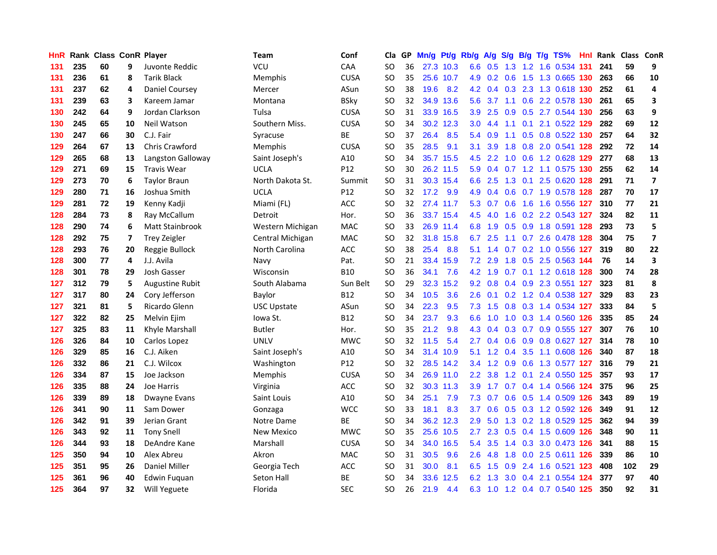| HnR |     | Rank Class ConR Player |    |                       | Team               | Conf        | Cla           |    | GP Mn/g | Pt/g Rb/g |                  | A/g             |     |                 | S/g B/g T/g TS%               | Hnl |     | Rank Class ConR |                         |
|-----|-----|------------------------|----|-----------------------|--------------------|-------------|---------------|----|---------|-----------|------------------|-----------------|-----|-----------------|-------------------------------|-----|-----|-----------------|-------------------------|
| 131 | 235 | 60                     | 9  | Juvonte Reddic        | VCU                | CAA         | SO            | 36 |         | 27.3 10.3 | 6.6              | 0.5             | 1.3 | 1.2             | 1.6 0.534                     | 131 | 241 | 59              | 9                       |
| 131 | 236 | 61                     | 8  | <b>Tarik Black</b>    | Memphis            | <b>CUSA</b> | SO            | 35 |         | 25.6 10.7 | 4.9              | 0.2             | 0.6 | 1.5             | 1.3 0.665 130                 |     | 263 | 66              | 10                      |
| 131 | 237 | 62                     | 4  | Daniel Coursey        | Mercer             | ASun        | <b>SO</b>     | 38 | 19.6    | 8.2       | 4.2              | 0.4             |     |                 | 0.3 2.3 1.3 0.618 130         |     | 252 | 61              | 4                       |
| 131 | 239 | 63                     | 3  | Kareem Jamar          | Montana            | <b>BSky</b> | SO            | 32 |         | 34.9 13.6 | 5.6              | 3.7             |     |                 | 1.1 0.6 2.2 0.578 130         |     | 261 | 65              | 3                       |
| 130 | 242 | 64                     | 9  | Jordan Clarkson       | Tulsa              | <b>CUSA</b> | SO            | 31 |         | 33.9 16.5 | 3.9 <sup>°</sup> | 2.5             |     |                 | 0.9 0.5 2.7 0.544 130         |     | 256 | 63              | 9                       |
| 130 | 245 | 65                     | 10 | Neil Watson           | Southern Miss.     | <b>CUSA</b> | <b>SO</b>     | 34 |         | 30.2 12.3 | 3.0 <sub>1</sub> | 4.4             | 1.1 |                 | 0.1 2.1 0.522 129             |     | 282 | 69              | ${\bf 12}$              |
| 130 | 247 | 66                     | 30 | C.J. Fair             | Syracuse           | BE          | SO            | 37 | 26.4    | 8.5       |                  | 5.4 0.9         | 1.1 |                 | 0.5 0.8 0.522 130             |     | 257 | 64              | 32                      |
| 129 | 264 | 67                     | 13 | <b>Chris Crawford</b> | Memphis            | <b>CUSA</b> | SO            | 35 | 28.5    | 9.1       | 3.1              | 3.9             | 1.8 |                 | 0.8 2.0 0.541 128             |     | 292 | 72              | 14                      |
| 129 | 265 | 68                     | 13 | Langston Galloway     | Saint Joseph's     | A10         | SO            | 34 |         | 35.7 15.5 | 4.5              | 2.2             | 1.0 |                 | 0.6 1.2 0.628                 | 129 | 277 | 68              | 13                      |
| 129 | 271 | 69                     | 15 | <b>Travis Wear</b>    | <b>UCLA</b>        | P12         | <b>SO</b>     | 30 |         | 26.2 11.5 | 5.9              | 0.4             |     |                 | 0.7 1.2 1.1 0.575 130         |     | 255 | 62              | 14                      |
| 129 | 273 | 70                     | 6  | <b>Taylor Braun</b>   | North Dakota St.   | Summit      | <b>SO</b>     | 31 |         | 30.3 15.4 | 6.6              | 2.5             |     | $1.3 \quad 0.1$ | 2.5 0.620 128                 |     | 291 | 71              | $\overline{7}$          |
| 129 | 280 | 71                     | 16 | Joshua Smith          | <b>UCLA</b>        | P12         | <b>SO</b>     | 32 | 17.2    | 9.9       | 4.9              | 0.4             | 0.6 |                 | 0.7 1.9 0.578 128             |     | 287 | 70              | 17                      |
| 129 | 281 | 72                     | 19 | Kenny Kadji           | Miami (FL)         | <b>ACC</b>  | SO            | 32 |         | 27.4 11.7 | 5.3              | 0.7             | 0.6 | 1.6             | 1.6 0.556 127                 |     | 310 | 77              | 21                      |
| 128 | 284 | 73                     | 8  | Ray McCallum          | Detroit            | Hor.        | SO            | 36 |         | 33.7 15.4 | 4.5              | 4.0             | 1.6 |                 | 0.2 2.2 0.543 127             |     | 324 | 82              | 11                      |
| 128 | 290 | 74                     | 6  | Matt Stainbrook       | Western Michigan   | <b>MAC</b>  | <sub>SO</sub> | 33 |         | 26.9 11.4 | 6.8              | 1.9             | 0.5 | 0.9             | 1.8 0.591 128                 |     | 293 | 73              | 5                       |
| 128 | 292 | 75                     | 7  | <b>Trey Zeigler</b>   | Central Michigan   | <b>MAC</b>  | <sub>SO</sub> | 32 |         | 31.8 15.8 | 6.7              | 2.5             | 1.1 |                 | 0.7 2.6 0.478 128             |     | 304 | 75              | $\overline{\mathbf{z}}$ |
| 128 | 293 | 76                     | 20 | Reggie Bullock        | North Carolina     | <b>ACC</b>  | SO            | 38 | 25.4    | 8.8       |                  |                 |     |                 | 5.1 1.4 0.7 0.2 1.0 0.556 127 |     | 319 | 80              | 22                      |
| 128 | 300 | 77                     | 4  | J.J. Avila            | Navy               | Pat.        | SO            | 21 |         | 33.4 15.9 |                  | $7.2$ 2.9       |     |                 | 1.8 0.5 2.5 0.563 144         |     | 76  | 14              | 3                       |
| 128 | 301 | 78                     | 29 | Josh Gasser           | Wisconsin          | <b>B10</b>  | SO            | 36 | 34.1    | 7.6       |                  | $4.2 \quad 1.9$ |     |                 | 0.7 0.1 1.2 0.618 128         |     | 300 | 74              | 28                      |
| 127 | 312 | 79                     | 5  | Augustine Rubit       | South Alabama      | Sun Belt    | <b>SO</b>     | 29 |         | 32.3 15.2 |                  | $9.2 \quad 0.8$ |     |                 | 0.4 0.9 2.3 0.551 127         |     | 323 | 81              | 8                       |
| 127 | 317 | 80                     | 24 | Cory Jefferson        | Baylor             | <b>B12</b>  | <b>SO</b>     | 34 | 10.5    | 3.6       | 2.6              | 0.1             |     |                 | 0.2 1.2 0.4 0.538 127         |     | 329 | 83              | 23                      |
| 127 | 321 | 81                     | 5  | Ricardo Glenn         | <b>USC Upstate</b> | ASun        | SO            | 34 | 22.3    | 9.5       | 7.3              | 1.5             |     |                 | 0.8 0.3 1.4 0.534 127         |     | 333 | 84              | 5                       |
| 127 | 322 | 82                     | 25 | Melvin Ejim           | Iowa St.           | <b>B12</b>  | SO            | 34 | 23.7    | 9.3       | 6.6              | 1.0             | 1.0 |                 | 0.3 1.4 0.560 126             |     | 335 | 85              | 24                      |
| 127 | 325 | 83                     | 11 | Khyle Marshall        | <b>Butler</b>      | Hor.        | SO            | 35 | 21.2    | 9.8       | 4.3              | 0.4             |     |                 | 0.3 0.7 0.9 0.555 127         |     | 307 | 76              | 10                      |
| 126 | 326 | 84                     | 10 | Carlos Lopez          | UNLV               | <b>MWC</b>  | SO            | 32 | 11.5    | 5.4       | $2.7^{\circ}$    | 0.4             | 0.6 |                 | 0.9 0.8 0.627 127             |     | 314 | 78              | 10                      |
| 126 | 329 | 85                     | 16 | C.J. Aiken            | Saint Joseph's     | A10         | <b>SO</b>     | 34 | 31.4    | 10.9      | 5.1              | 1.2             | 0.4 | 3.5             | 1.1 0.608                     | 126 | 340 | 87              | 18                      |
| 126 | 332 | 86                     | 21 | C.J. Wilcox           | Washington         | P12         | SO            | 32 |         | 28.5 14.2 |                  | $3.4$ 1.2       | 0.9 | 0.6             | 1.3 0.577 127                 |     | 316 | 79              | 21                      |
| 126 | 334 | 87                     | 15 | Joe Jackson           | Memphis            | <b>CUSA</b> | SO            | 34 |         | 26.9 11.0 | $2.2^{\circ}$    | 3.8             | 1.2 | 0.1             | 2.4 0.550 125                 |     | 357 | 93              | 17                      |
| 126 | 335 | 88                     | 24 | Joe Harris            | Virginia           | ACC         | <b>SO</b>     | 32 |         | 30.3 11.3 | 3.9              | 1.7             |     |                 | 0.7 0.4 1.4 0.566 124         |     | 375 | 96              | 25                      |
| 126 | 339 | 89                     | 18 | Dwayne Evans          | Saint Louis        | A10         | SO            | 34 | 25.1    | 7.9       | 7.3              |                 |     |                 | 0.7 0.6 0.5 1.4 0.509 126     |     | 343 | 89              | 19                      |
| 126 | 341 | 90                     | 11 | Sam Dower             | Gonzaga            | <b>WCC</b>  | SO            | 33 | 18.1    | 8.3       | 3.7              | 0.6             |     |                 | 0.5 0.3 1.2 0.592 126         |     | 349 | 91              | 12                      |
| 126 | 342 | 91                     | 39 | Jerian Grant          | Notre Dame         | <b>BE</b>   | SO            | 34 |         | 36.2 12.3 | 2.9              | 5.0             |     |                 | 1.3 0.2 1.8 0.529 125         |     | 362 | 94              | 39                      |
| 126 | 343 | 92                     | 11 | <b>Tony Snell</b>     | <b>New Mexico</b>  | <b>MWC</b>  | <b>SO</b>     | 35 |         | 25.6 10.5 | $2.7^{\circ}$    | 2.3             |     |                 | 0.5 0.4 1.5 0.609 126         |     | 348 | 90              | 11                      |
| 126 | 344 | 93                     | 18 | DeAndre Kane          | Marshall           | <b>CUSA</b> | SO            | 34 |         | 34.0 16.5 | 5.4              | 3.5             |     |                 | 1.4 0.3 3.0 0.473 126         |     | 341 | 88              | 15                      |
| 125 | 350 | 94                     | 10 | Alex Abreu            | Akron              | MAC         | <b>SO</b>     | 31 | 30.5    | 9.6       | 2.6              | 4.8             | 1.8 | 0.0             | 2.5 0.611 126                 |     | 339 | 86              | 10                      |
| 125 | 351 | 95                     | 26 | Daniel Miller         | Georgia Tech       | ACC         | <b>SO</b>     | 31 | 30.0    | 8.1       | 6.5              | 1.5             | 0.9 | 2.4             | 1.6 0.521                     | 123 | 408 | 102             | 29                      |
| 125 | 361 | 96                     | 40 | <b>Edwin Fuguan</b>   | <b>Seton Hall</b>  | ВE          | SO            | 34 | 33.6    | 12.5      | 6.2              | 1.3             | 3.0 | 0.4             | 2.1 0.554                     | 124 | 377 | 97              | 40                      |
| 125 | 364 | 97                     | 32 | Will Yeguete          | Florida            | <b>SEC</b>  | <b>SO</b>     | 26 | 21.9    | 4.4       |                  | 6.3 1.0         |     |                 | 1.2 0.4 0.7 0.540 125         |     | 350 | 92              | 31                      |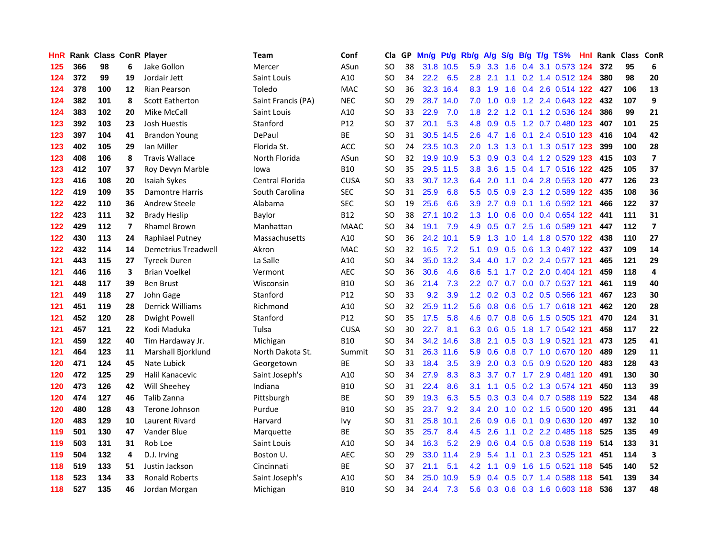| HnR |     | <b>Rank Class ConR Player</b> |                |                            | Team               | Conf            | Cla           |    | GP Mn/g | Pt/g      | Rb/g             | <b>A/g</b>      | <b>S/g</b> |                 | B/g T/g TS%                   | Hnl |     | Rank Class ConR |                          |
|-----|-----|-------------------------------|----------------|----------------------------|--------------------|-----------------|---------------|----|---------|-----------|------------------|-----------------|------------|-----------------|-------------------------------|-----|-----|-----------------|--------------------------|
| 125 | 366 | 98                            | 6              | Jake Gollon                | Mercer             | ASun            | SO            | 38 |         | 31.8 10.5 | 5.9              | 3.3             | 1.6        | 0.4             | 3.1 0.573                     | 124 | 372 | 95              | 6                        |
| 124 | 372 | 99                            | 19             | Jordair Jett               | Saint Louis        | A10             | SO            | 34 | 22.2    | 6.5       | 2.8              | 2.1             | 1.1        | 0.2             | 1.4 0.512 124                 |     | 380 | 98              | 20                       |
| 124 | 378 | 100                           | 12             | <b>Rian Pearson</b>        | Toledo             | <b>MAC</b>      | <b>SO</b>     | 36 |         | 32.3 16.4 | 8.3              | 1.9             | 1.6        |                 | 0.4 2.6 0.514 122             |     | 427 | 106             | 13                       |
| 124 | 382 | 101                           | 8              | <b>Scott Eatherton</b>     | Saint Francis (PA) | <b>NEC</b>      | <b>SO</b>     | 29 |         | 28.7 14.0 | 7.0              | 1.0             | 0.9        |                 | 1.2 2.4 0.643 122 432         |     |     | 107             | 9                        |
| 124 | 383 | 102                           | 20             | Mike McCall                | Saint Louis        | A10             | SO            | 33 | 22.9    | 7.0       | 1.8              | 2.2             |            |                 | 1.2 0.1 1.2 0.536 124         |     | 386 | 99              | 21                       |
| 123 | 392 | 103                           | 23             | Josh Huestis               | Stanford           | P <sub>12</sub> | SO.           | 37 | 20.1    | 5.3       | 4.8              | 0.9             |            |                 | 0.5 1.2 0.7 0.480 123         |     | 407 | 101             | 25                       |
| 123 | 397 | 104                           | 41             | <b>Brandon Young</b>       | DePaul             | <b>BE</b>       | SO            | 31 |         | 30.5 14.5 | 2.6 <sup>°</sup> | 4.7             | 1.6        |                 | 0.1 2.4 0.510 123             |     | 416 | 104             | 42                       |
| 123 | 402 | 105                           | 29             | lan Miller                 | Florida St.        | ACC             | SO            | 24 |         | 23.5 10.3 | 2.0              | 1.3             | 1.3        |                 | 0.1 1.3 0.517 123             |     | 399 | 100             | 28                       |
| 123 | 408 | 106                           | 8              | <b>Travis Wallace</b>      | North Florida      | ASun            | <sub>SO</sub> | 32 |         | 19.9 10.9 | 5.3              | 0.9             | 0.3        |                 | 0.4 1.2 0.529 123             |     | 415 | 103             | $\overline{\mathbf{z}}$  |
| 123 | 412 | 107                           | 37             | Roy Devyn Marble           | lowa               | <b>B10</b>      | <b>SO</b>     | 35 |         | 29.5 11.5 | 3.8 <sub>2</sub> | 3.6             | 1.5        |                 | 0.4 1.7 0.516 122             |     | 425 | 105             | 37                       |
| 123 | 416 | 108                           | 20             | Isaiah Sykes               | Central Florida    | <b>CUSA</b>     | SO            | 33 |         | 30.7 12.3 | 6.4              | 2.0             | 1.1        |                 | 0.4 2.8 0.553 120             |     | 477 | 126             | 23                       |
| 122 | 419 | 109                           | 35             | <b>Damontre Harris</b>     | South Carolina     | <b>SEC</b>      | SO            | 31 | 25.9    | 6.8       | 5.5              | 0.5             | 0.9        | 2.3             | 1.2 0.589 122                 |     | 435 | 108             | 36                       |
| 122 | 422 | 110                           | 36             | Andrew Steele              | Alabama            | <b>SEC</b>      | SO            | 19 | 25.6    | 6.6       | 3.9              | 2.7             | 0.9        | 0.1             | 1.6 0.592 121                 |     | 466 | 122             | 37                       |
| 122 | 423 | 111                           | 32             | <b>Brady Heslip</b>        | Baylor             | <b>B12</b>      | SO            | 38 |         | 27.1 10.2 | 1.3              | 1.0             | 0.6        | 0.0             | 0.4 0.654 122                 |     | 441 | 111             | 31                       |
| 122 | 429 | 112                           | $\overline{7}$ | <b>Rhamel Brown</b>        | Manhattan          | <b>MAAC</b>     | <sub>SO</sub> | 34 | 19.1    | 7.9       | 4.9              | 0.5             | 0.7        | 2.5             | 1.6 0.589 121                 |     | 447 | 112             | $\overline{\phantom{a}}$ |
| 122 | 430 | 113                           | 24             | Raphiael Putney            | Massachusetts      | A10             | <sub>SO</sub> | 36 |         | 24.2 10.1 | 5.9              | 1.3             | 1.0        |                 | 1.4 1.8 0.570 122             |     | 438 | 110             | 27                       |
| 122 | 432 | 114                           | 14             | <b>Demetrius Treadwell</b> | Akron              | MAC             | SO            | 32 | 16.5    | 7.2       | 5.1              | 0.9             |            |                 | 0.5 0.6 1.3 0.497 122 437     |     |     | 109             | 14                       |
| 121 | 443 | 115                           | 27             | <b>Tyreek Duren</b>        | La Salle           | A10             | <b>SO</b>     | 34 |         | 35.0 13.2 | $3.4^{\circ}$    | 4.0             |            |                 | 1.7 0.2 2.4 0.577 121         |     | 465 | 121             | 29                       |
| 121 | 446 | 116                           | 3              | <b>Brian Voelkel</b>       | Vermont            | AEC             | SO            | 36 | 30.6    | 4.6       | 8.6              | 5.1             |            |                 | 1.7 0.2 2.0 0.404 121         |     | 459 | 118             | $\overline{4}$           |
| 121 | 448 | 117                           | 39             | <b>Ben Brust</b>           | Wisconsin          | <b>B10</b>      | <b>SO</b>     | 36 | 21.4    | 7.3       |                  |                 |            |                 | 2.2 0.7 0.7 0.0 0.7 0.537 121 |     | 461 | 119             | 40                       |
| 121 | 449 | 118                           | 27             | John Gage                  | Stanford           | P12             | SO            | 33 | 9.2     | 3.9       |                  | $1.2 \quad 0.2$ |            |                 | 0.3 0.2 0.5 0.566 121         |     | 467 | 123             | 30                       |
| 121 | 451 | 119                           | 28             | <b>Derrick Williams</b>    | Richmond           | A10             | SO            | 32 | 25.9    | 11.2      | 5.6              | 0.8             |            |                 | 0.6 0.5 1.7 0.618 121         |     | 462 | 120             | 28                       |
| 121 | 452 | 120                           | 28             | <b>Dwight Powell</b>       | Stanford           | P12             | SO            | 35 | 17.5    | 5.8       | 4.6              | 0.7             |            |                 | 0.8 0.6 1.5 0.505 121         |     | 470 | 124             | 31                       |
| 121 | 457 | 121                           | 22             | Kodi Maduka                | Tulsa              | <b>CUSA</b>     | <b>SO</b>     | 30 | 22.7    | 8.1       | 6.3              | 0.6             | 0.5        |                 | 1.8 1.7 0.542 121             |     | 458 | 117             | 22                       |
| 121 | 459 | 122                           | 40             | Tim Hardaway Jr.           | Michigan           | <b>B10</b>      | SO            | 34 |         | 34.2 14.6 | 3.8              | 2.1             |            | $0.5 \quad 0.3$ | 1.9 0.521 121                 |     | 473 | 125             | 41                       |
| 121 | 464 | 123                           | 11             | Marshall Bjorklund         | North Dakota St.   | Summit          | <b>SO</b>     | 31 |         | 26.3 11.6 | 5.9              | 0.6             |            |                 | 0.8 0.7 1.0 0.670 120         |     | 489 | 129             | 11                       |
| 120 | 471 | 124                           | 45             | Nate Lubick                | Georgetown         | ВE              | SO            | 33 | 18.4    | 3.5       | 3.9              | 2.0             |            |                 | 0.3 0.5 0.9 0.520 120         |     | 483 | 128             | 43                       |
| 120 | 472 | 125                           | 29             | Halil Kanacevic            | Saint Joseph's     | A10             | SO            | 34 | 27.9    | 8.3       | 8.3              | 3.7             |            |                 | 0.7 1.7 2.9 0.481 120         |     | 491 | 130             | 30                       |
| 120 | 473 | 126                           | 42             | Will Sheehey               | Indiana            | <b>B10</b>      | <sub>SO</sub> | 31 | 22.4    | 8.6       | 3.1              | 1.1             |            |                 | 0.5 0.2 1.3 0.574 121         |     | 450 | 113             | 39                       |
| 120 | 474 | 127                           | 46             | Talib Zanna                | Pittsburgh         | <b>BE</b>       | SO            | 39 | 19.3    | 6.3       | 5.5 <sub>1</sub> |                 |            |                 | 0.3 0.3 0.4 0.7 0.588 119     |     | 522 | 134             | 48                       |
| 120 | 480 | 128                           | 43             | Terone Johnson             | Purdue             | <b>B10</b>      | SO            | 35 | 23.7    | 9.2       | 3.4              | 2.0             |            |                 | 1.0 0.2 1.5 0.500 120         |     | 495 | 131             | 44                       |
| 120 | 483 | 129                           | 10             | <b>Laurent Rivard</b>      | Harvard            | Ivy             | SO            | 31 |         | 25.8 10.1 | $2.6\,$          | 0.9             | 0.6        |                 | 0.1 0.9 0.630 120             |     | 497 | 132             | 10                       |
| 119 | 501 | 130                           | 47             | Vander Blue                | Marquette          | <b>BE</b>       | <sub>SO</sub> | 35 | 25.7    | 8.4       | 4.5              | 2.6             |            |                 | 1.1 0.2 2.2 0.485 118         |     | 525 | 135             | 49                       |
| 119 | 503 | 131                           | 31             | Rob Loe                    | Saint Louis        | A10             | SO            | 34 | 16.3    | 5.2       | 2.9              | 0.6             |            |                 | 0.4 0.5 0.8 0.538 119         |     | 514 | 133             | 31                       |
| 119 | 504 | 132                           | 4              | D.J. Irving                | Boston U.          | <b>AEC</b>      | <b>SO</b>     | 29 | 33.0    | 11.4      | 2.9              | 5.4             | 1.1        | 0.1             | 2.3 0.525 121                 |     | 451 | 114             | 3                        |
| 118 | 519 | 133                           | 51             | Justin Jackson             | Cincinnati         | <b>BE</b>       | <b>SO</b>     | 37 | 21.1    | 5.1       | 4.2              | 1.1             | 0.9        | 1.6             | 1.5 0.521                     | 118 | 545 | 140             | 52                       |
| 118 | 523 | 134                           | 33             | <b>Ronald Roberts</b>      | Saint Joseph's     | A10             | SO            | 34 | 25.0    | 10.9      | 5.9              | 0.4             | 0.5        | 0.7             | 1.4 0.588                     | 118 | 541 | 139             | 34                       |
| 118 | 527 | 135                           | 46             | Jordan Morgan              | Michigan           | <b>B10</b>      | <b>SO</b>     | 34 | 24.4    | 7.3       |                  |                 |            |                 | 5.6 0.3 0.6 0.3 1.6 0.603 118 |     | 536 | 137             | 48                       |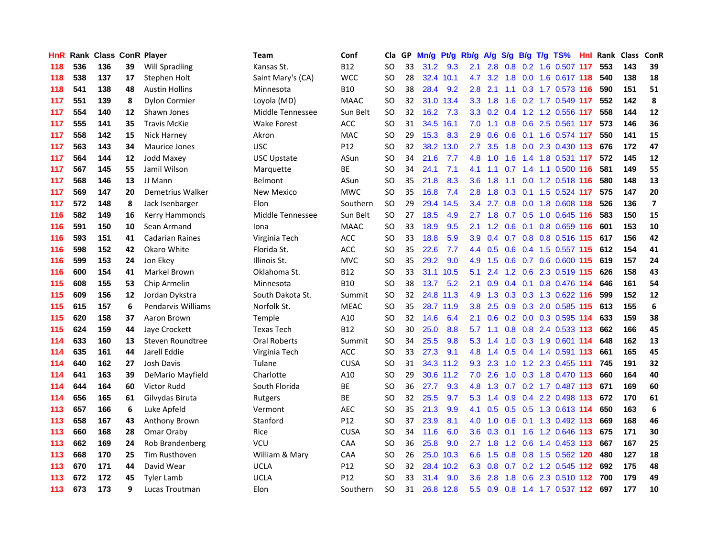| HnR |     | Rank Class ConR Player |    |                           | Team                | Conf            | Cla           |    | GP Mn/g | Pt/g      | Rb/g             | <b>A/g</b>      |             |                 | S/g B/g T/g TS%               | Hnl | Rank Class |     | ConR                    |
|-----|-----|------------------------|----|---------------------------|---------------------|-----------------|---------------|----|---------|-----------|------------------|-----------------|-------------|-----------------|-------------------------------|-----|------------|-----|-------------------------|
| 118 | 536 | 136                    | 39 | <b>Will Spradling</b>     | Kansas St.          | <b>B12</b>      | SO            | 33 | 31.2    | 9.3       | 2.1              | 2.8             | 0.8         | 0.2             | 1.6 0.507                     | 117 | 553        | 143 | 39                      |
| 118 | 538 | 137                    | 17 | Stephen Holt              | Saint Mary's (CA)   | <b>WCC</b>      | <b>SO</b>     | 28 |         | 32.4 10.1 | 4.7              | 3.2             | 1.8         | 0.0             | 1.6 0.617 118                 |     | 540        | 138 | 18                      |
| 118 | 541 | 138                    | 48 | <b>Austin Hollins</b>     | Minnesota           | <b>B10</b>      | SO            | 38 | 28.4    | 9.2       | 2.8              | 2.1             | 1.1         |                 | 0.3 1.7 0.573 116             |     | 590        | 151 | 51                      |
| 117 | 551 | 139                    | 8  | <b>Dylon Cormier</b>      | Loyola (MD)         | <b>MAAC</b>     | <b>SO</b>     | 32 |         | 31.0 13.4 |                  | $3.3$ $1.8$     |             |                 | 1.6 0.2 1.7 0.549 117         |     | 552        | 142 | 8                       |
| 117 | 554 | 140                    | 12 | Shawn Jones               | Middle Tennessee    | Sun Belt        | <b>SO</b>     | 32 | 16.2    | 7.3       |                  |                 |             |                 | 3.3 0.2 0.4 1.2 1.2 0.556 117 |     | 558        | 144 | ${\bf 12}$              |
| 117 | 555 | 141                    | 35 | <b>Travis McKie</b>       | Wake Forest         | <b>ACC</b>      | SO            | 31 |         | 34.5 16.1 | 7.0              | 1.1             |             |                 | 0.8 0.6 2.5 0.561 117         |     | 573        | 146 | 36                      |
| 117 | 558 | 142                    | 15 | Nick Harney               | Akron               | <b>MAC</b>      | <b>SO</b>     | 29 | 15.3    | 8.3       | 2.9              | 0.6             | 0.6         |                 | $0.1$ 1.6 0.574 117           |     | 550        | 141 | 15                      |
| 117 | 563 | 143                    | 34 | <b>Maurice Jones</b>      | <b>USC</b>          | P <sub>12</sub> | SO            | 32 |         | 38.2 13.0 | 2.7              | 3.5             | 1.8         |                 | 0.0 2.3 0.430 113             |     | 676        | 172 | 47                      |
| 117 | 564 | 144                    | 12 | Jodd Maxey                | <b>USC Upstate</b>  | ASun            | <sub>SO</sub> | 34 | 21.6    | 7.7       | 4.8              | 1.0             | 1.6         |                 | 1.4 1.8 0.531 117             |     | 572        | 145 | 12                      |
| 117 | 567 | 145                    | 55 | Jamil Wilson              | Marquette           | ВE              | <sub>SO</sub> | 34 | 24.1    | 7.1       | 4.1              | 1.1             | 0.7         |                 | 1.4 1.1 0.500 116             |     | 581        | 149 | 55                      |
| 117 | 568 | 146                    | 13 | JJ Mann                   | <b>Belmont</b>      | ASun            | <b>SO</b>     | 35 | 21.8    | 8.3       | 3.6              | 1.8             | 1.1         |                 | 0.0 1.2 0.518 116             |     | 580        | 148 | 13                      |
| 117 | 569 | 147                    | 20 | Demetrius Walker          | New Mexico          | <b>MWC</b>      | SO            | 35 | 16.8    | 7.4       | 2.8              | 1.8             | 0.3         | 0.1             | 1.5 0.524 117                 |     | 575        | 147 | 20                      |
| 117 | 572 | 148                    | 8  | Jack Isenbarger           | Elon                | Southern        | <b>SO</b>     | 29 | 29.4    | 14.5      | 3.4              | 2.7             | 0.8         | 0.0             | 1.8 0.608                     | 118 | 526        | 136 | $\overline{\mathbf{z}}$ |
| 116 | 582 | 149                    | 16 | Kerry Hammonds            | Middle Tennessee    | Sun Belt        | SO            | 27 | 18.5    | 4.9       | 2.7              | 1.8             | 0.7         | 0.5             | 1.0 0.645 116                 |     | 583        | 150 | 15                      |
| 116 | 591 | 150                    | 10 | Sean Armand               | Iona                | <b>MAAC</b>     | SO            | 33 | 18.9    | 9.5       | 2.1              | 1.2             | 0.6         | 0.1             | 0.8 0.659 116                 |     | 601        | 153 | ${\bf 10}$              |
| 116 | 593 | 151                    | 41 | <b>Cadarian Raines</b>    | Virginia Tech       | <b>ACC</b>      | <sub>SO</sub> | 33 | 18.8    | 5.9       | 3.9 <sup>°</sup> | 0.4             |             |                 | 0.7 0.8 0.8 0.516 115         |     | 617        | 156 | 42                      |
| 116 | 598 | 152                    | 42 | Okaro White               | Florida St.         | <b>ACC</b>      | SO            | 35 | 22.6    | 7.7       |                  | 4.4 0.5         |             |                 | 0.6 0.4 1.5 0.557 115         |     | 612        | 154 | 41                      |
| 116 | 599 | 153                    | 24 | Jon Ekev                  | Illinois St.        | <b>MVC</b>      | SO            | 35 | 29.2    | 9.0       | 4.9              | 1.5             |             |                 | 0.6 0.7 0.6 0.600 115         |     | -619       | 157 | 24                      |
| 116 | 600 | 154                    | 41 | Markel Brown              | Oklahoma St.        | <b>B12</b>      | SO            | 33 |         | 31.1 10.5 | 5.1              | 2.4             |             |                 | 1.2 0.6 2.3 0.519 115         |     | 626        | 158 | 43                      |
| 115 | 608 | 155                    | 53 | Chip Armelin              | Minnesota           | <b>B10</b>      | <b>SO</b>     | 38 | 13.7    | 5.2       | 2.1              | 0.9             |             |                 | 0.4 0.1 0.8 0.476 114         |     | 646        | 161 | 54                      |
| 115 | 609 | 156                    | 12 | Jordan Dykstra            | South Dakota St.    | Summit          | <b>SO</b>     | 32 |         | 24.8 11.3 | 4.9              | 1.3             |             |                 | 0.3 0.3 1.3 0.622 116         |     | 599        | 152 | 12                      |
| 115 | 615 | 157                    | 6  | <b>Pendarvis Williams</b> | Norfolk St.         | <b>MEAC</b>     | <b>SO</b>     | 35 |         | 28.7 11.9 | 3.8 <sub>1</sub> | 2.5             |             |                 | 0.9 0.3 2.0 0.585 115         |     | 613        | 155 | 6                       |
| 115 | 620 | 158                    | 37 | Aaron Brown               | Temple              | A10             | <b>SO</b>     | 32 | 14.6    | 6.4       | 2.1              | 0.6             |             |                 | 0.2 0.0 0.3 0.595 114         |     | 633        | 159 | 38                      |
| 115 | 624 | 159                    | 44 | Jaye Crockett             | <b>Texas Tech</b>   | <b>B12</b>      | SO            | 30 | 25.0    | 8.8       | 5.7              | 1.1             |             |                 | 0.8 0.8 2.4 0.533 113         |     | 662        | 166 | 45                      |
| 114 | 633 | 160                    | 13 | Steven Roundtree          | <b>Oral Roberts</b> | Summit          | SO            | 34 | 25.5    | 9.8       | 5.3              | 1.4             | 1.0         |                 | 0.3 1.9 0.601 114             |     | 648        | 162 | 13                      |
| 114 | 635 | 161                    | 44 | Jarell Eddie              | Virginia Tech       | ACC             | SO            | 33 | 27.3    | 9.1       | 4.8              | 1.4             | 0.5         |                 | 0.4 1.4 0.591 113             |     | 661        | 165 | 45                      |
| 114 | 640 | 162                    | 27 | Josh Davis                | Tulane              | CUSA            | <b>SO</b>     | 31 |         | 34.3 11.2 | 9.3              | 2.3             | 1.0         |                 | 1.2 2.3 0.455 111             |     | 745        | 191 | 32                      |
| 114 | 641 | 163                    | 39 | DeMario Mayfield          | Charlotte           | A10             | SO            | 29 |         | 30.6 11.2 | 7.0              | 2.6             | 1.0         |                 | 0.3 1.8 0.470 113             |     | 660        | 164 | 40                      |
| 114 | 644 | 164                    | 60 | Victor Rudd               | South Florida       | ВE              | SO            | 36 | 27.7    | 9.3       | 4.8              | 1.3             | 0.7         |                 | 0.2 1.7 0.487 113             |     | 671        | 169 | 60                      |
| 114 | 656 | 165                    | 61 | Gilvydas Biruta           | Rutgers             | ВE              | <sub>SO</sub> | 32 | 25.5    | 9.7       | 5.3              | 1.4             | 0.9         |                 | 0.4 2.2 0.498 113             |     | 672        | 170 | 61                      |
| 113 | 657 | 166                    | 6  | Luke Apfeld               | Vermont             | <b>AEC</b>      | SO            | 35 | 21.3    | 9.9       | 4.1              |                 |             |                 | 0.5 0.5 0.5 1.3 0.613 114     |     | 650        | 163 | 6                       |
| 113 | 658 | 167                    | 43 | Anthony Brown             | Stanford            | P <sub>12</sub> | SO            | 37 | 23.9    | 8.1       | 4.0              |                 |             |                 | 1.0 0.6 0.1 1.3 0.492 113     |     | 669        | 168 | 46                      |
| 113 | 660 | 168                    | 28 | Omar Oraby                | Rice                | <b>CUSA</b>     | <sub>SO</sub> | 34 | 11.6    | 6.0       | 3.6 <sup>2</sup> | $0.3 \quad 0.1$ |             |                 | 1.6 1.2 0.646 113             |     | 675        | 171 | 30                      |
| 113 | 662 | 169                    | 24 | Rob Brandenberg           | VCU                 | CAA             | <sub>SO</sub> | 36 | 25.8    | 9.0       | 2.7              | 1.8             |             | $1.2 \quad 0.6$ | 1.4 0.453 113                 |     | 667        | 167 | 25                      |
| 113 | 668 | 170                    | 25 | Tim Rusthoven             | William & Mary      | CAA             | SO            | 26 | 25.0    | 10.3      | 6.6              | 1.5             | 0.8         |                 | 0.8 1.5 0.562 120             |     | 480        | 127 | 18                      |
| 113 | 670 | 171                    | 44 | David Wear                | <b>UCLA</b>         | P12             | <b>SO</b>     | 32 |         | 28.4 10.2 | 6.3              | 0.8             | 0.7         |                 | 0.2 1.2 0.545 112             |     | 692        | 175 | 48                      |
| 113 | 672 | 172                    | 45 | <b>Tyler Lamb</b>         | <b>UCLA</b>         | P12             | <b>SO</b>     | 33 | 31.4    | 9.0       | 3.6 <sup>°</sup> | 2.8             | 1.8         | 0.6             | 2.3 0.510 112                 |     | 700        | 179 | 49                      |
| 113 | 673 | 173                    | 9  | Lucas Troutman            | Elon                | Southern        | <b>SO</b>     | 31 |         | 26.8 12.8 |                  |                 | 5.5 0.9 0.8 |                 | 1.4 1.7 0.537 112             |     | 697        | 177 | 10                      |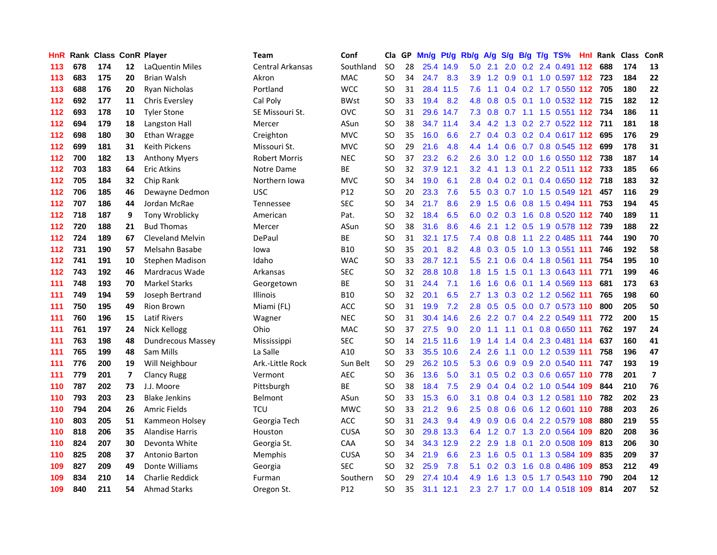| HnR. |     | Rank Class ConR Player |                |                         | Team                 | Conf        | Cla       |    | GP Mn/g | Pt/g      | Rb/g             | <b>A/g</b>    | <b>S/g</b>      |                 | B/g T/g TS%                         | Hnl | Rank Class |     | ConR                    |
|------|-----|------------------------|----------------|-------------------------|----------------------|-------------|-----------|----|---------|-----------|------------------|---------------|-----------------|-----------------|-------------------------------------|-----|------------|-----|-------------------------|
| 113  | 678 | 174                    | 12             | LaQuentin Miles         | Central Arkansas     | Southland   | <b>SO</b> | 28 |         | 25.4 14.9 | 5.0              | 2.1           | 2.0             | 0.2             | 2.4 0.491                           | 112 | 688        | 174 | 13                      |
| 113  | 683 | 175                    | 20             | <b>Brian Walsh</b>      | Akron                | <b>MAC</b>  | <b>SO</b> | 34 | 24.7    | 8.3       | 3.9              | 1.2           | 0.9             | 0.1             | 1.0 0.597 112 723                   |     |            | 184 | 22                      |
| 113  | 688 | 176                    | 20             | <b>Ryan Nicholas</b>    | Portland             | <b>WCC</b>  | <b>SO</b> | 31 | 28.4    | 11.5      | 7.6              | 1.1           | 0.4             |                 | 0.2 1.7 0.550 112 705               |     |            | 180 | 22                      |
| 112  | 692 | 177                    | 11             | <b>Chris Eversley</b>   | Cal Poly             | <b>BWst</b> | SO        | 33 | 19.4    | 8.2       | 4.8              |               |                 |                 | 0.8 0.5 0.1 1.0 0.532 112 715       |     |            | 182 | 12                      |
| 112  | 693 | 178                    | 10             | <b>Tyler Stone</b>      | SE Missouri St.      | OVC         | <b>SO</b> | 31 |         | 29.6 14.7 |                  |               |                 |                 | 7.3 0.8 0.7 1.1 1.5 0.551 112 734   |     |            | 186 | ${\bf 11}$              |
| 112  | 694 | 179                    | 18             | Langston Hall           | Mercer               | ASun        | SO        | 38 |         | 34.7 11.4 | $3.4^{\circ}$    |               |                 |                 | 4.2 1.3 0.2 2.7 0.522 112 711       |     |            | 181 | 18                      |
| 112  | 698 | 180                    | 30             | Ethan Wragge            | Creighton            | <b>MVC</b>  | <b>SO</b> | 35 | 16.0    | 6.6       | $2.7^{\circ}$    |               |                 |                 | $0.4$ $0.3$ $0.2$ $0.4$ $0.617$ 112 |     | 695        | 176 | 29                      |
| 112  | 699 | 181                    | 31             | Keith Pickens           | Missouri St.         | <b>MVC</b>  | SO        | 29 | 21.6    | 4.8       | 4.4              | 1.4           |                 |                 | 0.6 0.7 0.8 0.545 112               |     | 699        | 178 | 31                      |
| 112  | 700 | 182                    | 13             | <b>Anthony Myers</b>    | <b>Robert Morris</b> | <b>NEC</b>  | SO        | 37 | 23.2    | 6.2       | 2.6              | 3.0           |                 |                 | 1.2 0.0 1.6 0.550 112               |     | 738        | 187 | 14                      |
| 112  | 703 | 183                    | 64             | Eric Atkins             | Notre Dame           | ВE          | <b>SO</b> | 32 | 37.9    | 12.1      | 3.2 <sub>2</sub> | 4.1           | 1.3             | 0.1             | 2.2 0.511 112 733                   |     |            | 185 | 66                      |
| 112  | 705 | 184                    | 32             | Chip Rank               | Northern Iowa        | <b>MVC</b>  | SO        | 34 | 19.0    | 6.1       | 2.8 <sub>1</sub> | 0.4           |                 | $0.2 \quad 0.1$ | 0.4 0.650 112 718                   |     |            | 183 | 32                      |
| 112  | 706 | 185                    | 46             | Dewayne Dedmon          | <b>USC</b>           | P12         | SO        | 20 | 23.3    | 7.6       | 5.5              |               | $0.3 \quad 0.7$ |                 | 1.0 1.5 0.549 121                   |     | 457        | 116 | 29                      |
| 112  | 707 | 186                    | 44             | Jordan McRae            | Tennessee            | <b>SEC</b>  | SO        | 34 | 21.7    | 8.6       | 2.9              | 1.5           | 0.6             | 0.8             | 1.5 0.494 111                       |     | 753        | 194 | 45                      |
| 112  | 718 | 187                    | 9              | Tony Wroblicky          | American             | Pat.        | SO        | 32 | 18.4    | 6.5       | 6.0              | 0.2           | 0.3             | 1.6             | $0.8$ 0.520 112                     |     | 740        | 189 | 11                      |
| 112  | 720 | 188                    | 21             | <b>Bud Thomas</b>       | Mercer               | ASun        | SO        | 38 | 31.6    | 8.6       | 4.6              | 2.1           | 1.2             | 0.5             | 1.9 0.578 112                       |     | 739        | 188 | 22                      |
| 112  | 724 | 189                    | 67             | <b>Cleveland Melvin</b> | DePaul               | ВE          | SO        | 31 |         | 32.1 17.5 | $7.4^{\circ}$    | 0.8           | 0.8             | 1.1             | 2.2 0.485 111                       |     | 744        | 190 | 70                      |
| 112  | 731 | 190                    | 57             | Melsahn Basabe          | lowa                 | <b>B10</b>  | SO        | 35 | 20.1    | 8.2       | 4.8              |               | $0.3 \quad 0.5$ |                 | 1.0 1.3 0.551 111                   |     | 746        | 192 | 58                      |
| 112  | 741 | 191                    | 10             | <b>Stephen Madison</b>  | Idaho                | <b>WAC</b>  | SO        | 33 |         | 28.7 12.1 |                  | $5.5$ 2.1     |                 |                 | 0.6 0.4 1.8 0.561 111               |     | 754        | 195 | 10                      |
| 112  | 743 | 192                    | 46             | Mardracus Wade          | Arkansas             | <b>SEC</b>  | <b>SO</b> | 32 |         | 28.8 10.8 |                  | $1.8$ 1.5     |                 |                 | 1.5 0.1 1.3 0.643 111               |     | 771        | 199 | 46                      |
| 111  | 748 | 193                    | 70             | <b>Markel Starks</b>    | Georgetown           | <b>BE</b>   | SO        | 31 | 24.4    | 7.1       | 1.6 <sup>1</sup> | 1.6           |                 |                 | 0.6 0.1 1.4 0.569 113               |     | 681        | 173 | 63                      |
| 111  | 749 | 194                    | 59             | Joseph Bertrand         | Illinois             | <b>B10</b>  | <b>SO</b> | 32 | 20.1    | 6.5       |                  |               |                 |                 | 2.7 1.3 0.3 0.2 1.2 0.562 111       |     | 765        | 198 | 60                      |
| 111  | 750 | 195                    | 49             | <b>Rion Brown</b>       | Miami (FL)           | ACC         | SO        | 31 | 19.9    | 7.2       | 2.8              | 0.5           |                 |                 | 0.5 0.0 0.7 0.573 110               |     | 800        | 205 | 50                      |
| 111  | 760 | 196                    | 15             | <b>Latif Rivers</b>     | Wagner               | <b>NEC</b>  | SO        | 31 | 30.4    | 14.6      | $2.6\,$          | $2.2^{\circ}$ |                 |                 | 0.7 0.4 2.2 0.549 111               |     | 772        | 200 | 15                      |
| 111  | 761 | 197                    | 24             | Nick Kellogg            | Ohio                 | MAC         | SO        | 37 | 27.5    | 9.0       | 2.0              | 1.1           | 1.1             | 0.1             | 0.8 0.650 111                       |     | 762        | 197 | 24                      |
| 111  | 763 | 198                    | 48             | Dundrecous Massey       | Mississippi          | <b>SEC</b>  | SO        | 14 |         | 21.5 11.6 | 1.9              | 1.4           |                 |                 | 1.4 0.4 2.3 0.481 114               |     | 637        | 160 | 41                      |
| 111  | 765 | 199                    | 48             | Sam Mills               | La Salle             | A10         | <b>SO</b> | 33 |         | 35.5 10.6 | 2.4              | 2.6           | 1.1             |                 | 0.0 1.2 0.539 111                   |     | 758        | 196 | 47                      |
| 111  | 776 | 200                    | 19             | Will Neighbour          | Ark.-Little Rock     | Sun Belt    | SO.       | 29 |         | 26.2 10.5 | 5.3              | 0.6           |                 | $0.9\quad 0.9$  | 2.0 0.540 111                       |     | 747        | 193 | 19                      |
| 111  | 779 | 201                    | $\overline{7}$ | Clancy Rugg             | Vermont              | <b>AEC</b>  | SO        | 36 | 13.6    | 5.0       | 3.1              | 0.5           |                 |                 | 0.2 0.3 0.6 0.657 110               |     | 778        | 201 | $\overline{\mathbf{z}}$ |
| 110  | 787 | 202                    | 73             | J.J. Moore              | Pittsburgh           | <b>BE</b>   | SO        | 38 | 18.4    | 7.5       | 2.9              | 0.4           |                 |                 | 0.4 0.2 1.0 0.544 109               |     | 844        | 210 | 76                      |
| 110  | 793 | 203                    | 23             | <b>Blake Jenkins</b>    | <b>Belmont</b>       | ASun        | SO        | 33 | 15.3    | 6.0       | 3.1              | 0.8           |                 |                 | 0.4 0.3 1.2 0.581 110               |     | 782        | 202 | 23                      |
| 110  | 794 | 204                    | 26             | <b>Amric Fields</b>     | <b>TCU</b>           | <b>MWC</b>  | SO        | 33 | 21.2    | 9.6       | 2.5              | 0.8           | 0.6             |                 | 0.6 1.2 0.601 110                   |     | 788        | 203 | 26                      |
| 110  | 803 | 205                    | 51             | Kammeon Holsey          | Georgia Tech         | ACC         | <b>SO</b> | 31 | 24.3    | 9.4       | 4.9              | 0.9           |                 |                 | 0.6 0.4 2.2 0.579 108               |     | 880        | 219 | 55                      |
| 110  | 818 | 206                    | 35             | <b>Alandise Harris</b>  | Houston              | <b>CUSA</b> | SO        | 30 |         | 29.8 13.3 |                  |               |                 |                 | 6.4 1.2 0.7 1.3 2.0 0.564 109       |     | 820        | 208 | 36                      |
| 110  | 824 | 207                    | 30             | Devonta White           | Georgia St.          | CAA         | SO        | 34 |         | 34.3 12.9 | $2.2^{\circ}$    | 2.9           | 1.8             |                 | 0.1 2.0 0.508 109                   |     | 813        | 206 | 30                      |
| 110  | 825 | 208                    | 37             | Antonio Barton          | Memphis              | <b>CUSA</b> | SO        | 34 | 21.9    | 6.6       | $2.3^{\circ}$    | 1.6           |                 |                 | 0.5 0.1 1.3 0.584 109               |     | 835        | 209 | 37                      |
| 109  | 827 | 209                    | 49             | Donte Williams          | Georgia              | <b>SEC</b>  | SO        | 32 | 25.9    | 7.8       | 5.1              | 0.2           | 0.3             | 1.6             | 0.8 0.486 109                       |     | 853        | 212 | 49                      |
| 109  | 834 | 210                    | 14             | <b>Charlie Reddick</b>  | Furman               | Southern    | <b>SO</b> | 29 | 27.4    | 10.4      | 4.9              | 1.6           | 1.3             | 0.5             | 1.7 0.543 110                       |     | 790        | 204 | 12                      |
| 109  | 840 | 211                    | 54             | Ahmad Starks            | Oregon St.           | P12         | SO        | 35 |         | 31.1 12.1 | $2.3^{\circ}$    |               |                 |                 | 2.7 1.7 0.0 1.4 0.518 109           |     | 814        | 207 | 52                      |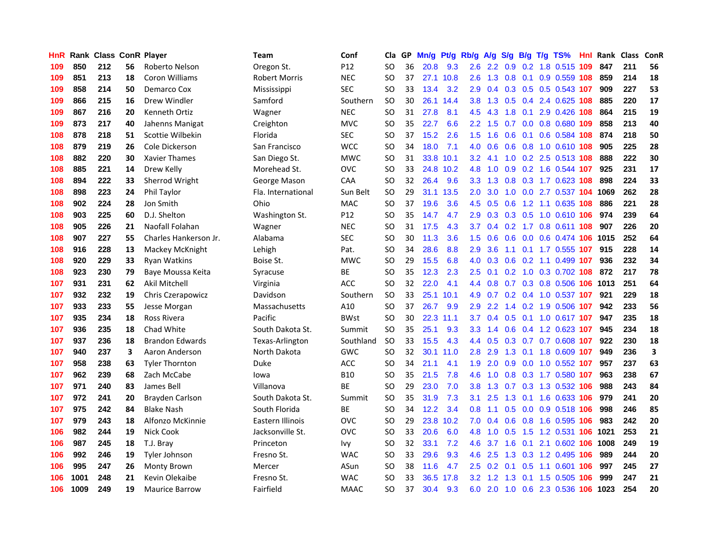| HnR |      | Rank Class ConR Player |    |                        | Team                 | Conf        | Cla       |    | GP Mn/g | Pt/g      | Rb/g             | <b>A/g</b>      | S/g |                 |     | B/g T/g TS%               | Hnl |      | Rank Class ConR |                         |
|-----|------|------------------------|----|------------------------|----------------------|-------------|-----------|----|---------|-----------|------------------|-----------------|-----|-----------------|-----|---------------------------|-----|------|-----------------|-------------------------|
| 109 | 850  | 212                    | 56 | Roberto Nelson         | Oregon St.           | P12         | SO        | 36 | 20.8    | 9.3       | 2.6              | $2.2^{\circ}$   | 0.9 | 0.2             |     | 1.8 0.515                 | 109 | 847  | 211             | 56                      |
| 109 | 851  | 213                    | 18 | Coron Williams         | <b>Robert Morris</b> | <b>NEC</b>  | SO        | 37 |         | 27.1 10.8 | 2.6              | 1.3             | 0.8 | 0.1             |     | 0.9 0.559 108             |     | 859  | 214             | 18                      |
| 109 | 858  | 214                    | 50 | Demarco Cox            | Mississippi          | <b>SEC</b>  | <b>SO</b> | 33 | 13.4    | 3.2       | 2.9              | 0.4             | 0.3 | 0.5             |     | 0.5 0.543 107             |     | 909  | 227             | 53                      |
| 109 | 866  | 215                    | 16 | Drew Windler           | Samford              | Southern    | SO        | 30 |         | 26.1 14.4 | 3.8 <sub>1</sub> |                 |     |                 |     | 1.3 0.5 0.4 2.4 0.625 108 |     | 885  | 220             | 17                      |
| 109 | 867  | 216                    | 20 | Kenneth Ortiz          | Wagner               | <b>NEC</b>  | SO        | 31 | 27.8    | 8.1       | 4.5              | 4.3             |     |                 |     | 1.8 0.1 2.9 0.426 108     |     | 864  | 215             | 19                      |
| 109 | 873  | 217                    | 40 | Jahenns Manigat        | Creighton            | <b>MVC</b>  | SO        | 35 | 22.7    | 6.6       | $2.2^{\circ}$    | 1.5             |     |                 |     | 0.7 0.0 0.8 0.680 109     |     | 858  | 213             | 40                      |
| 108 | 878  | 218                    | 51 | Scottie Wilbekin       | Florida              | <b>SEC</b>  | SO        | 37 | 15.2    | 2.6       | 1.5              | 1.6             | 0.6 |                 |     | 0.1 0.6 0.584 108         |     | 874  | 218             | 50                      |
| 108 | 879  | 219                    | 26 | Cole Dickerson         | San Francisco        | <b>WCC</b>  | SO        | 34 | 18.0    | 7.1       | 4.0              | 0.6             |     |                 |     | 0.6 0.8 1.0 0.610 108     |     | 905  | 225             | 28                      |
| 108 | 882  | 220                    | 30 | <b>Xavier Thames</b>   | San Diego St.        | <b>MWC</b>  | SO        | 31 | 33.8    | 10.1      | 3.2              | 4.1             |     |                 |     | 1.0 0.2 2.5 0.513 108     |     | 888  | 222             | 30                      |
| 108 | 885  | 221                    | 14 | Drew Kelly             | Morehead St.         | <b>OVC</b>  | <b>SO</b> | 33 |         | 24.8 10.2 | 4.8              | 1.0             | 0.9 |                 |     | 0.2 1.6 0.544 107         |     | 925  | 231             | 17                      |
| 108 | 894  | 222                    | 33 | Sherrod Wright         | George Mason         | CAA         | SO        | 32 | 26.4    | 9.6       | 3.3 <sub>1</sub> | 1.3             | 0.8 |                 |     | 0.3 1.7 0.623 108         |     | 898  | 224             | 33                      |
| 108 | 898  | 223                    | 24 | Phil Taylor            | Fla. International   | Sun Belt    | SO        | 29 |         | 31.1 13.5 | 2.0              | 3.0             | 1.0 |                 |     | 0.0 2.7 0.537 104         |     | 1069 | 262             | 28                      |
| 108 | 902  | 224                    | 28 | Jon Smith              | Ohio                 | <b>MAC</b>  | SO        | 37 | 19.6    | 3.6       | 4.5              | 0.5             | 0.6 | 1.2             |     | 1.1 0.635 108             |     | 886  | 221             | 28                      |
| 108 | 903  | 225                    | 60 | D.J. Shelton           | Washington St.       | P12         | SO        | 35 | 14.7    | 4.7       | 2.9              | 0.3             | 0.3 | 0.5             |     | 1.0 0.610 106             |     | 974  | 239             | 64                      |
| 108 | 905  | 226                    | 21 | Naofall Folahan        | Wagner               | <b>NEC</b>  | SO        | 31 | 17.5    | 4.3       | 3.7              | 0.4             | 0.2 |                 |     | 1.7 0.8 0.611 108         |     | 907  | 226             | 20                      |
| 108 | 907  | 227                    | 55 | Charles Hankerson Jr.  | Alabama              | <b>SEC</b>  | SO        | 30 | 11.3    | 3.6       | 1.5 <sub>1</sub> | 0.6             | 0.6 | 0.0             |     | 0.6 0.474 106             |     | 1015 | 252             | 64                      |
| 108 | 916  | 228                    | 13 | Mackey McKnight        | Lehigh               | Pat.        | SO        | 34 | 28.6    | 8.8       | 2.9 <sup>°</sup> | 3.6             | 1.1 |                 |     | 0.1 1.7 0.555 107         |     | 915  | 228             | 14                      |
| 108 | 920  | 229                    | 33 | <b>Ryan Watkins</b>    | Boise St.            | <b>MWC</b>  | SO        | 29 | 15.5    | 6.8       | 4.0              |                 |     |                 |     | 0.3 0.6 0.2 1.1 0.499 107 |     | 936  | 232             | 34                      |
| 108 | 923  | 230                    | 79 | Baye Moussa Keita      | Syracuse             | ВE          | <b>SO</b> | 35 | 12.3    | 2.3       |                  | $2.5 \quad 0.1$ |     |                 |     | 0.2 1.0 0.3 0.702 108     |     | 872  | 217             | 78                      |
| 107 | 931  | 231                    | 62 | Akil Mitchell          | Virginia             | <b>ACC</b>  | SO        | 32 | 22.0    | 4.1       | 4.4              | 0.8             |     |                 |     | 0.7 0.3 0.8 0.506 106     |     | 1013 | 251             | 64                      |
| 107 | 932  | 232                    | 19 | Chris Czerapowicz      | Davidson             | Southern    | <b>SO</b> | 33 |         | 25.1 10.1 | 4.9              |                 |     |                 |     | 0.7 0.2 0.4 1.0 0.537 107 |     | 921  | 229             | 18                      |
| 107 | 933  | 233                    | 55 | Jesse Morgan           | Massachusetts        | A10         | SO        | 37 | 26.7    | 9.9       | 2.9              | 2.2             |     |                 |     | 1.4 0.2 1.9 0.506 107     |     | 942  | 233             | 56                      |
| 107 | 935  | 234                    | 18 | Ross Rivera            | Pacific              | <b>BWst</b> | SO        | 30 | 22.3    | 11.1      | 3.7              | 0.4             |     |                 |     | 0.5 0.1 1.0 0.617 107     |     | 947  | 235             | 18                      |
| 107 | 936  | 235                    | 18 | Chad White             | South Dakota St.     | Summit      | SO        | 35 | 25.1    | 9.3       | 3.3 <sub>1</sub> | 1.4             | 0.6 |                 |     | 0.4 1.2 0.623 107         |     | 945  | 234             | 18                      |
| 107 | 937  | 236                    | 18 | <b>Brandon Edwards</b> | Texas-Arlington      | Southland   | <b>SO</b> | 33 | 15.5    | 4.3       | 4.4              | 0.5             |     |                 |     | 0.3 0.7 0.7 0.608 107     |     | 922  | 230             | 18                      |
| 107 | 940  | 237                    | 3  | Aaron Anderson         | North Dakota         | GWC         | <b>SO</b> | 32 | 30.1    | 11.0      | 2.8              | 2.9             | 1.3 | 0.1             |     | 1.8 0.609 107             |     | 949  | 236             | $\overline{\mathbf{3}}$ |
| 107 | 958  | 238                    | 63 | <b>Tyler Thornton</b>  | <b>Duke</b>          | ACC         | SO.       | 34 | 21.1    | 4.1       | 1.9              | 2.0             | 0.9 | 0.0             |     | 1.0 0.552 107             |     | 957  | 237             | 63                      |
| 107 | 962  | 239                    | 68 | Zach McCabe            | lowa                 | B10         | SO        | 35 | 21.5    | 7.8       | 4.6              | 1.0             | 0.8 |                 |     | 0.3 1.7 0.580 107         |     | 963  | 238             | 67                      |
| 107 | 971  | 240                    | 83 | James Bell             | Villanova            | <b>BE</b>   | SO        | 29 | 23.0    | 7.0       | 3.8 <sub>2</sub> | 1.3             |     | $0.7 \quad 0.3$ |     | 1.3 0.532 106             |     | 988  | 243             | 84                      |
| 107 | 972  | 241                    | 20 | Brayden Carlson        | South Dakota St.     | Summit      | SO        | 35 | 31.9    | 7.3       | 3.1              | 2.5             | 1.3 | 0.1             |     | 1.6 0.633 106             |     | 979  | 241             | 20                      |
| 107 | 975  | 242                    | 84 | <b>Blake Nash</b>      | South Florida        | ВE          | <b>SO</b> | 34 | 12.2    | 3.4       | 0.8 <sub>0</sub> | 1.1             | 0.5 |                 |     | 0.0 0.9 0.518 106         |     | 998  | 246             | 85                      |
| 107 | 979  | 243                    | 18 | Alfonzo McKinnie       | Eastern Illinois     | OVC         | <b>SO</b> | 29 | 23.8    | 10.2      | 7.0              | 0.4             |     |                 |     | 0.6 0.8 1.6 0.595 106     |     | 983  | 242             | 20                      |
| 106 | 982  | 244                    | 19 | <b>Nick Cook</b>       | Jacksonville St.     | <b>OVC</b>  | SO        | 33 | 20.6    | 6.0       | 4.8              |                 |     |                 |     | 1.0 0.5 1.5 1.2 0.531 106 |     | 1021 | 253             | 21                      |
| 106 | 987  | 245                    | 18 | T.J. Bray              | Princeton            | lvy         | SO        | 32 | 33.1    | 7.2       | 4.6              | 3.7             | 1.6 |                 |     | 0.1 2.1 0.602 106         |     | 1008 | 249             | 19                      |
| 106 | 992  | 246                    | 19 | <b>Tyler Johnson</b>   | Fresno St.           | <b>WAC</b>  | SO        | 33 | 29.6    | 9.3       | 4.6              | 2.5             | 1.3 |                 |     | 0.3 1.2 0.495 106         |     | 989  | 244             | 20                      |
| 106 | 995  | 247                    | 26 | Monty Brown            | Mercer               | ASun        | SO        | 38 | 11.6    | 4.7       | $2.5^{\circ}$    | 0.2             | 0.1 | 0.5             |     | 1.1 0.601                 | 106 | 997  | 245             | 27                      |
| 106 | 1001 | 248                    | 21 | Kevin Olekaibe         | Fresno St.           | WAC         | SO        | 33 | 36.5    | 17.8      | $3.2\phantom{0}$ | 1.2             | 1.3 | 0.1             | 1.5 | 0.505                     | 106 | 999  | 247             | 21                      |
| 106 | 1009 | 249                    | 19 | <b>Maurice Barrow</b>  | Fairfield            | <b>MAAC</b> | SO        | 37 | 30.4    | 9.3       | 6.0              |                 |     |                 |     | 2.0 1.0 0.6 2.3 0.536 106 |     | 1023 | 254             | 20                      |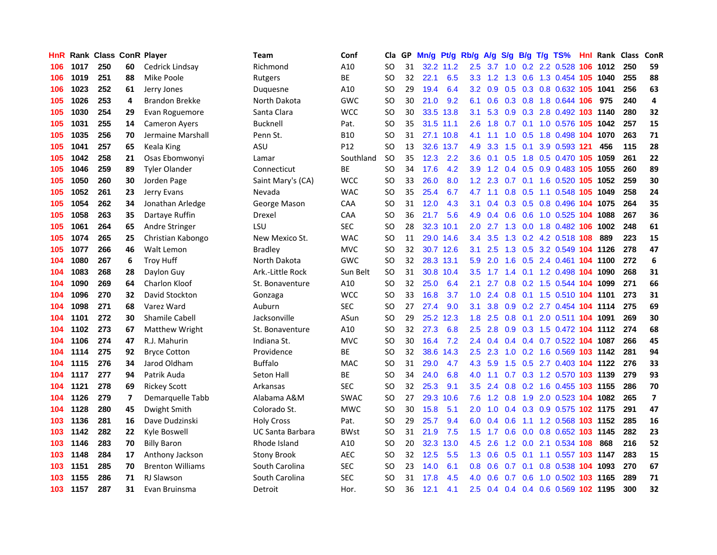| HnR. |      |     |    | Rank Class ConR Player  | Team                    | Conf        | Cla       |    | GP Mn/g | Pt/g      | Rb/g             | <b>A/g</b>      | S/g             |                 | B/g T/g TS%                    | Hnl | Rank Class |     | ConR                    |
|------|------|-----|----|-------------------------|-------------------------|-------------|-----------|----|---------|-----------|------------------|-----------------|-----------------|-----------------|--------------------------------|-----|------------|-----|-------------------------|
| 106  | 1017 | 250 | 60 | Cedrick Lindsay         | Richmond                | A10         | SO        | 31 |         | 32.2 11.2 | 2.5              | 3.7             | 1.0             | 0.2             | 2.2 0.528                      | 106 | 1012       | 250 | 59                      |
| 106  | 1019 | 251 | 88 | Mike Poole              | Rutgers                 | ВE          | SO        | 32 | 22.1    | 6.5       | 3.3 <sub>2</sub> | 1.2             | 1.3             | 0.6             | 1.3 0.454 105                  |     | 1040       | 255 | 88                      |
| 106  | 1023 | 252 | 61 | Jerry Jones             | Duquesne                | A10         | SO        | 29 | 19.4    | 6.4       | 3.2              | 0.9             | 0.5             | 0.3             | 0.8 0.632 105                  |     | 1041       | 256 | 63                      |
| 105  | 1026 | 253 | 4  | <b>Brandon Brekke</b>   | North Dakota            | GWC         | <b>SO</b> | 30 | 21.0    | 9.2       | 6.1              |                 |                 |                 | 0.6 0.3 0.8 1.8 0.644 106      |     | 975        | 240 | 4                       |
| 105  | 1030 | 254 | 29 | Evan Roguemore          | Santa Clara             | <b>WCC</b>  | <b>SO</b> | 30 |         | 33.5 13.8 | 3.1              |                 |                 |                 | 5.3 0.9 0.3 2.8 0.492 103 1140 |     |            | 280 | 32                      |
| 105  | 1031 | 255 | 14 | <b>Cameron Ayers</b>    | <b>Bucknell</b>         | Pat.        | SO        | 35 |         | 31.5 11.1 | $2.6^{\circ}$    | 1.8             |                 |                 | 0.7 0.1 1.0 0.576 105          |     | 1042       | 257 | 15                      |
| 105  | 1035 | 256 | 70 | Jermaine Marshall       | Penn St.                | B10         | SO        | 31 |         | 27.1 10.8 | 4.1              | 1.1             |                 |                 | 1.0 0.5 1.8 0.498 104 1070     |     |            | 263 | 71                      |
| 105  | 1041 | 257 | 65 | Keala King              | ASU                     | P12         | SO        | 13 |         | 32.6 13.7 | 4.9              | 3.3             | 1.5             |                 | 0.1 3.9 0.593 121              |     | 456        | 115 | 28                      |
| 105  | 1042 | 258 | 21 | Osas Ebomwonyi          | Lamar                   | Southland   | <b>SO</b> | 35 | 12.3    | 2.2       | 3.6 <sup>°</sup> | 0.1             | 0.5             | 1.8             | 0.5 0.470 105                  |     | 1059       | 261 | 22                      |
| 105  | 1046 | 259 | 89 | <b>Tyler Olander</b>    | Connecticut             | ВE          | SO        | 34 | 17.6    | 4.2       | 3.9 <sup>°</sup> | 1.2             | 0.4             | 0.5             | 0.9 0.483 105                  |     | 1055       | 260 | 89                      |
| 105  | 1050 | 260 | 30 | Jorden Page             | Saint Mary's (CA)       | <b>WCC</b>  | <b>SO</b> | 33 | 26.0    | 8.0       | 1.2              | 2.3             |                 | $0.7 \quad 0.1$ | 1.6 0.520 105                  |     | 1052       | 259 | 30                      |
| 105  | 1052 | 261 | 23 | Jerry Evans             | Nevada                  | WAC         | SO        | 35 | 25.4    | 6.7       | 4.7              | 1.1             | 0.8             | 0.5             | 1.1 0.548                      | 105 | 1049       | 258 | 24                      |
| 105  | 1054 | 262 | 34 | Jonathan Arledge        | George Mason            | CAA         | <b>SO</b> | 31 | 12.0    | 4.3       | 3.1              | 0.4             | 0.3             | 0.5             | 0.8 0.496 104 1075             |     |            | 264 | 35                      |
| 105  | 1058 | 263 | 35 | Dartaye Ruffin          | Drexel                  | CAA         | SO        | 36 | 21.7    | 5.6       | 4.9              | 0.4             | 0.6             | 0.6             | 1.0 0.525 104                  |     | 1088       | 267 | 36                      |
| 105  | 1061 | 264 | 65 | Andre Stringer          | LSU                     | <b>SEC</b>  | SO        | 28 | 32.3    | 10.1      | 2.0              | 2.7             | 1.3             | 0.0             | 1.8 0.482 106                  |     | 1002       | 248 | 61                      |
| 105  | 1074 | 265 | 25 | Christian Kabongo       | New Mexico St.          | <b>WAC</b>  | SO        | 11 |         | 29.0 14.6 | $3.4^{\circ}$    | 3.5             | 1.3             |                 | 0.2 4.2 0.518 108              |     | 889        | 223 | 15                      |
| 105  | 1077 | 266 | 46 | Walt Lemon              | <b>Bradley</b>          | <b>MVC</b>  | SO        | 32 |         | 30.7 12.6 | 3.1              | 2.5             |                 |                 | 1.3 0.5 3.2 0.549 104 1126     |     |            | 278 | 47                      |
| 104  | 1080 | 267 | 6  | <b>Troy Huff</b>        | North Dakota            | GWC         | <b>SO</b> | 32 |         | 28.3 13.1 | 5.9              | 2.0             |                 |                 | 1.6 0.5 2.4 0.461 104 1100     |     |            | 272 | 6                       |
| 104  | 1083 | 268 | 28 | Daylon Guy              | Ark.-Little Rock        | Sun Belt    | SO        | 31 |         | 30.8 10.4 | $3.5^{\circ}$    | 1.7             |                 |                 | 1.4 0.1 1.2 0.498 104 1090     |     |            | 268 | 31                      |
| 104  | 1090 | 269 | 64 | Charlon Kloof           | St. Bonaventure         | A10         | SO        | 32 | 25.0    | 6.4       | 2.1              | 2.7             |                 |                 | 0.8 0.2 1.5 0.544 104 1099     |     |            | 271 | 66                      |
| 104  | 1096 | 270 | 32 | David Stockton          | Gonzaga                 | <b>WCC</b>  | SO        | 33 | 16.8    | 3.7       | 1.0 <sub>1</sub> | 2.4             |                 |                 | 0.8 0.1 1.5 0.510 104 1101     |     |            | 273 | 31                      |
| 104  | 1098 | 271 | 68 | Varez Ward              | Auburn                  | <b>SEC</b>  | SO        | 27 | 27.4    | 9.0       | 3.1              | 3.8             |                 |                 | 0.9 0.2 2.7 0.454 104 1114     |     |            | 275 | 69                      |
| 104  | 1101 | 272 | 30 | <b>Shamile Cabell</b>   | Jacksonville            | ASun        | <b>SO</b> | 29 | 25.2    | 12.3      | 1.8              | 2.5             | 0.8             |                 | 0.1 2.0 0.511 104 1091         |     |            | 269 | 30                      |
| 104  | 1102 | 273 | 67 | Matthew Wright          | St. Bonaventure         | A10         | SO        | 32 | 27.3    | 6.8       | 2.5              | 2.8             | 0.9             |                 | 0.3 1.5 0.472 104 1112         |     |            | 274 | 68                      |
| 104  | 1106 | 274 | 47 | R.J. Mahurin            | Indiana St.             | <b>MVC</b>  | SO        | 30 | 16.4    | 7.2       | $2.4^{\circ}$    | 0.4             |                 |                 | 0.4 0.4 0.7 0.522 104 1087     |     |            | 266 | 45                      |
| 104  | 1114 | 275 | 92 | <b>Bryce Cotton</b>     | Providence              | ВE          | SO        | 32 | 38.6    | 14.3      | 2.5              | 2.3             | 1.0             |                 | 0.2 1.6 0.569 103 1142         |     |            | 281 | 94                      |
| 104  | 1115 | 276 | 34 | Jarod Oldham            | <b>Buffalo</b>          | <b>MAC</b>  | SO        | 31 | 29.0    | 4.7       | 4.3              | 5.9             | 1.5             |                 | 0.5 2.7 0.403 104 1122         |     |            | 276 | 33                      |
| 104  | 1117 | 277 | 94 | Patrik Auda             | <b>Seton Hall</b>       | ВE          | <b>SO</b> | 34 | 24.0    | 6.8       | 4.0              | 1.1             | 0.7             |                 | 0.3 1.2 0.570 103 1139         |     |            | 279 | 93                      |
| 104  | 1121 | 278 | 69 | <b>Rickey Scott</b>     | Arkansas                | <b>SEC</b>  | SO        | 32 | 25.3    | 9.1       | 3.5              | 2.4             | 0.8             |                 | 0.2 1.6 0.455 103 1155         |     |            | 286 | 70                      |
| 104  | 1126 | 279 | 7  | Demarquelle Tabb        | Alabama A&M             | <b>SWAC</b> | SΟ        | 27 | 29.3    | 10.6      | 7.6              |                 | $1.2 \quad 0.8$ |                 | 1.9 2.0 0.523 104 1082         |     |            | 265 | $\overline{\mathbf{z}}$ |
| 104  | 1128 | 280 | 45 | Dwight Smith            | Colorado St.            | <b>MWC</b>  | SO        | 30 | 15.8    | 5.1       | 2.0              |                 |                 |                 | 1.0 0.4 0.3 0.9 0.575 102 1175 |     |            | 291 | 47                      |
| 103  | 1136 | 281 | 16 | Dave Dudzinski          | <b>Holy Cross</b>       | Pat.        | SO        | 29 | 25.7    | 9.4       |                  | $6.0 \quad 0.4$ | 0.6             |                 | 1.1 1.2 0.568 103 1152         |     |            | 285 | 16                      |
| 103  | 1142 | 282 | 22 | Kyle Boswell            | <b>UC Santa Barbara</b> | <b>BWst</b> | <b>SO</b> | 31 | 21.9    | 7.5       | 1.5              | 1.7             | 0.6             |                 | 0.0 0.8 0.652 103 1145         |     |            | 282 | 23                      |
| 103  | 1146 | 283 | 70 | <b>Billy Baron</b>      | Rhode Island            | A10         | SO        | 20 | 32.3    | 13.0      | 4.5              | 2.6             |                 |                 | 1.2 0.0 2.1 0.534 108          |     | 868        | 216 | 52                      |
| 103  | 1148 | 284 | 17 | Anthony Jackson         | Stony Brook             | <b>AEC</b>  | SO        | 32 | 12.5    | 5.5       | 1.3              | 0.6             | 0.5             |                 | 0.1 1.1 0.557 103 1147         |     |            | 283 | 15                      |
| 103  | 1151 | 285 | 70 | <b>Brenton Williams</b> | South Carolina          | <b>SEC</b>  | SO        | 23 | 14.0    | 6.1       | 0.8 <sub>0</sub> | 0.6             | 0.7             | 0.1             | 0.8 0.538                      |     | 104 1093   | 270 | 67                      |
| 103  | 1155 | 286 | 71 | <b>RJ Slawson</b>       | South Carolina          | SEC         | SO        | 31 | 17.8    | 4.5       | 4.0              | 0.6             | 0.7             | 0.6             | 1.0 0.502                      | 103 | 1165       | 289 | 71                      |
| 103  | 1157 | 287 | 31 | Evan Bruinsma           | Detroit                 | Hor.        | SO        | 36 | 12.1    | 4.1       | $2.5^{\circ}$    |                 |                 |                 | 0.4 0.4 0.4 0.6 0.569 102 1195 |     |            | 300 | 32                      |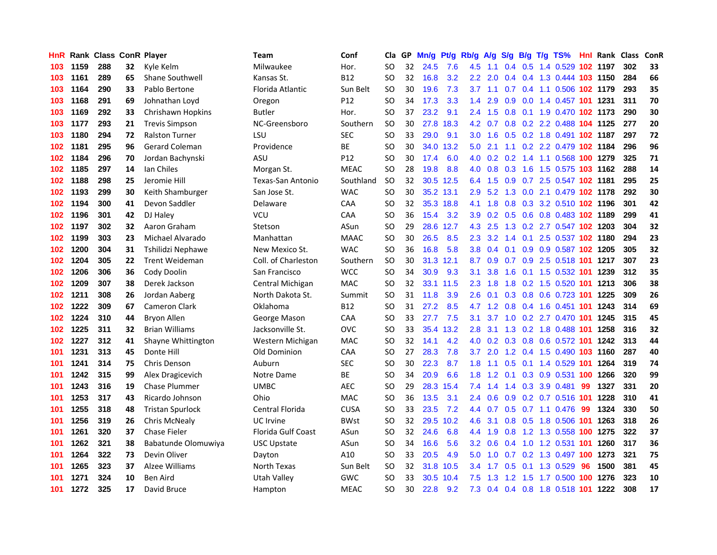| HnR |      | <b>Rank Class ConR Player</b> |    |                         | Team                | Conf        | Cla       |    | GP Mn/g | Pt/g      | Rb/g A/g         |         | <b>S/g</b>      |     | B/g T/g TS%                        |     |          | <b>Hnl Rank Class</b> | ConR |
|-----|------|-------------------------------|----|-------------------------|---------------------|-------------|-----------|----|---------|-----------|------------------|---------|-----------------|-----|------------------------------------|-----|----------|-----------------------|------|
| 103 | 1159 | 288                           | 32 | Kyle Kelm               | Milwaukee           | Hor.        | SO        | 32 | 24.5    | 7.6       | 4.5              | 1.1     | $0.4^{\circ}$   | 0.5 | 1.4 0.529                          |     | 102 1197 | 302                   | 33   |
| 103 | 1161 | 289                           | 65 | <b>Shane Southwell</b>  | Kansas St.          | <b>B12</b>  | SO        | 32 | 16.8    | 3.2       | $2.2^{\circ}$    | 2.0     | 0.4             |     | 0.4 1.3 0.444 103 1150             |     |          | 284                   | 66   |
| 103 | 1164 | 290                           | 33 | Pablo Bertone           | Florida Atlantic    | Sun Belt    | SO        | 30 | 19.6    | 7.3       | 3.7              | 1.1     | 0.7             |     | 0.4 1.1 0.506 102 1179             |     |          | 293                   | 35   |
| 103 | 1168 | 291                           | 69 | Johnathan Loyd          | Oregon              | P12         | SO        | 34 | 17.3    | 3.3       | $1.4^{\circ}$    | 2.9     | 0.9             |     | 0.0 1.4 0.457 101 1231             |     |          | 311                   | 70   |
| 103 | 1169 | 292                           | 33 | Chrishawn Hopkins       | <b>Butler</b>       | Hor.        | <b>SO</b> | 37 | 23.2    | 9.1       |                  |         |                 |     | 2.4 1.5 0.8 0.1 1.9 0.470 102 1173 |     |          | 290                   | 30   |
| 103 | 1177 | 293                           | 21 | <b>Trevis Simpson</b>   | NC-Greensboro       | Southern    | <b>SO</b> | 30 | 27.8    | 18.3      |                  |         |                 |     | 4.2 0.7 0.8 0.2 2.2 0.488 104 1125 |     |          | 277                   | 20   |
| 103 | 1180 | 294                           | 72 | <b>Ralston Turner</b>   | LSU                 | <b>SEC</b>  | SO        | 33 | 29.0    | 9.1       | 3.0 <sub>1</sub> | 1.6     |                 |     | 0.5 0.2 1.8 0.491 102 1187         |     |          | 297                   | 72   |
| 102 | 1181 | 295                           | 96 | <b>Gerard Coleman</b>   | Providence          | ВE          | SO        | 30 | 34.0    | 13.2      | 5.0              | 2.1     |                 |     | 1.1 0.2 2.2 0.479 102 1184         |     |          | 296                   | 96   |
| 102 | 1184 | 296                           | 70 | Jordan Bachynski        | ASU                 | P12         | SO        | 30 | 17.4    | 6.0       | 4.0              |         | $0.2 \quad 0.2$ |     | 1.4 1.1 0.568 100 1279             |     |          | 325                   | 71   |
| 102 | 1185 | 297                           | 14 | lan Chiles              | Morgan St.          | <b>MEAC</b> | <b>SO</b> | 28 | 19.8    | 8.8       | 4.0              | 0.8     | 0.3             | 1.6 | 1.5 0.575 103 1162                 |     |          | 288                   | 14   |
| 102 | 1188 | 298                           | 25 | Jeromie Hill            | Texas-San Antonio   | Southland   | <b>SO</b> | 32 | 30.5    | 12.5      | 6.4              | 1.5     | 0.9             |     | 0.7 2.5 0.547 102 1181             |     |          | 295                   | 25   |
| 102 | 1193 | 299                           | 30 | Keith Shamburger        | San Jose St.        | <b>WAC</b>  | SO        | 30 |         | 35.2 13.1 | 2.9              | 5.2     | 1.3             |     | 0.0 2.1 0.479 102 1178             |     |          | 292                   | 30   |
| 102 | 1194 | 300                           | 41 | Devon Saddler           | Delaware            | CAA         | <b>SO</b> | 32 |         | 35.3 18.8 | 4.1              | 1.8     | 0.8             | 0.3 | 3.2 0.510 102 1196                 |     |          | 301                   | 42   |
| 102 | 1196 | 301                           | 42 | DJ Haley                | <b>VCU</b>          | <b>CAA</b>  | SO        | 36 | 15.4    | 3.2       | 3.9 <sup>°</sup> | 0.2     | 0.5             |     | 0.6 0.8 0.483 102 1189             |     |          | 299                   | 41   |
| 102 | 1197 | 302                           | 32 | Aaron Graham            | Stetson             | ASun        | SO        | 29 | 28.6    | 12.7      | 4.3              | 2.5     | 1.3             |     | 0.2 2.7 0.547 102 1203             |     |          | 304                   | 32   |
| 102 | 1199 | 303                           | 23 | Michael Alvarado        | Manhattan           | <b>MAAC</b> | SO        | 30 | 26.5    | 8.5       | $2.3^{\circ}$    | 3.2     | 1.4             | 0.1 | 2.5 0.537 102 1180                 |     |          | 294                   | 23   |
| 102 | 1200 | 304                           | 31 | Tshilidzi Nephawe       | New Mexico St.      | <b>WAC</b>  | <b>SO</b> | 36 | 16.8    | 5.8       | 3.8 <sub>1</sub> | 0.4     | 0.1             |     | 0.9 0.9 0.587 102 1205             |     |          | 305                   | 32   |
| 102 | 1204 | 305                           | 22 | <b>Trent Weideman</b>   | Coll. of Charleston | Southern    | SO        | 30 |         | 31.3 12.1 | 8.7              |         |                 |     | 0.9 0.7 0.9 2.5 0.518 101 1217     |     |          | 307                   | 23   |
| 102 | 1206 | 306                           | 36 | Cody Doolin             | San Francisco       | <b>WCC</b>  | SO        | 34 | 30.9    | 9.3       | 3.1              | 3.8     |                 |     | 1.6 0.1 1.5 0.532 101 1239         |     |          | 312                   | 35   |
| 102 | 1209 | 307                           | 38 | Derek Jackson           | Central Michigan    | <b>MAC</b>  | SO        | 32 |         | 33.1 11.5 | $2.3^{\circ}$    | 1.8     |                 |     | 1.8 0.2 1.5 0.520 101 1213         |     |          | 306                   | 38   |
| 102 | 1211 | 308                           | 26 | Jordan Aaberg           | North Dakota St.    | Summit      | SO        | 31 | 11.8    | 3.9       | $2.6^{\circ}$    | 0.1     |                 |     | 0.3 0.8 0.6 0.723 101 1225         |     |          | 309                   | 26   |
| 102 | 1222 | 309                           | 67 | <b>Cameron Clark</b>    | Oklahoma            | <b>B12</b>  | SO        | 31 | 27.2    | 8.5       | 4.7              | 1.2     | 0.8             |     | 0.4 1.6 0.451 101                  |     | 1243     | 314                   | 69   |
| 102 | 1224 | 310                           | 44 | Bryon Allen             | George Mason        | CAA         | SO        | 33 | 27.7    | 7.5       | 3.1              | 3.7     |                 |     | 1.0 0.2 2.7 0.470 101              |     | 1245     | 315                   | 45   |
| 102 | 1225 | 311                           | 32 | <b>Brian Williams</b>   | Jacksonville St.    | <b>OVC</b>  | SO        | 33 | 35.4    | 13.2      | 2.8              | 3.1     | 1.3             |     | 0.2 1.8 0.488 101                  |     | 1258     | 316                   | 32   |
| 102 | 1227 | 312                           | 41 | Shayne Whittington      | Western Michigan    | <b>MAC</b>  | SO        | 32 | 14.1    | 4.2       | 4.0              |         |                 |     | 0.2 0.3 0.8 0.6 0.572 101 1242     |     |          | 313                   | 44   |
| 101 | 1231 | 313                           | 45 | Donte Hill              | Old Dominion        | CAA         | SO        | 27 | 28.3    | 7.8       | 3.7              | 2.0     |                 |     | 1.2 0.4 1.5 0.490 103 1160         |     |          | 287                   | 40   |
| 101 | 1241 | 314                           | 75 | Chris Denson            | Auburn              | <b>SEC</b>  | <b>SO</b> | 30 | 22.3    | 8.7       | 1.8              | 1.1     | 0.5             |     | 0.1 1.4 0.529 101                  |     | 1264     | 319                   | 74   |
| 101 | 1242 | 315                           | 99 | Alex Dragicevich        | Notre Dame          | ВE          | SO        | 34 | 20.9    | 6.6       | 1.8              | 1.2     | 0.1             |     | 0.3 0.9 0.531 100                  |     | 1266     | 320                   | 99   |
| 101 | 1243 | 316                           | 19 | <b>Chase Plummer</b>    | <b>UMBC</b>         | <b>AEC</b>  | SO        | 29 | 28.3    | 15.4      | 7.4              | 1.4     | 1.4             | 0.3 | 3.9 0.481                          | 99  | 1327     | 331                   | 20   |
| 101 | 1253 | 317                           | 43 | Ricardo Johnson         | Ohio                | <b>MAC</b>  | SO        | 36 | 13.5    | 3.1       | $2.4^{\circ}$    | 0.6     | 0.9             |     | 0.2 0.7 0.516 101                  |     | 1228     | 310                   | 41   |
| 101 | 1255 | 318                           | 48 | <b>Tristan Spurlock</b> | Central Florida     | <b>CUSA</b> | SO        | 33 | 23.5    | 7.2       |                  | 4.4 0.7 |                 |     | $0.5$ 0.7 1.1 0.476                | -99 | 1324     | 330                   | 50   |
| 101 | 1256 | 319                           | 26 | Chris McNealy           | UC Irvine           | <b>BWst</b> | SO        | 32 | 29.5    | 10.2      | 4.6              | 3.1     |                 |     | 0.8 0.5 1.8 0.506 101              |     | 1263     | 318                   | 26   |
| 101 | 1261 | 320                           | 37 | <b>Chase Fieler</b>     | Florida Gulf Coast  | ASun        | SO        | 32 | 24.6    | 6.8       | 4.4              | 1.9     | 0.8             |     | 1.2 1.3 0.558 100 1275             |     |          | 322                   | 37   |
| 101 | 1262 | 321                           | 38 | Babatunde Olomuwiya     | <b>USC Upstate</b>  | ASun        | SO        | 34 | 16.6    | 5.6       | 3.2 <sub>2</sub> | 0.6     | 0.4             |     | 1.0 1.2 0.531 101 1260             |     |          | 317                   | 36   |
| 101 | 1264 | 322                           | 73 | Devin Oliver            | Dayton              | A10         | SO        | 33 | 20.5    | 4.9       | 5.0              | 1.0     |                 |     | 0.7 0.2 1.3 0.497 100              |     | 1273     | 321                   | 75   |
| 101 | 1265 | 323                           | 37 | <b>Alzee Williams</b>   | North Texas         | Sun Belt    | SO        | 32 | 31.8    | 10.5      | $3.4^{\circ}$    | 1.7     | 0.5             | 0.1 | 1.3 0.529                          | 96  | 1500     | 381                   | 45   |
| 101 | 1271 | 324                           | 10 | Ben Aird                | Utah Valley         | <b>GWC</b>  | SO        | 33 | 30.5    | 10.4      | 7.5              | 1.3     | 1.2             | 1.5 | 1.7 0.500                          | 100 | 1276     | 323                   | 10   |
| 101 | 1272 | 325                           | 17 | David Bruce             | Hampton             | <b>MEAC</b> | SO        | 30 | 22.8    | 9.2       | 7.3              |         |                 |     | 0.4 0.4 0.8 1.8 0.518 101 1222     |     |          | 308                   | 17   |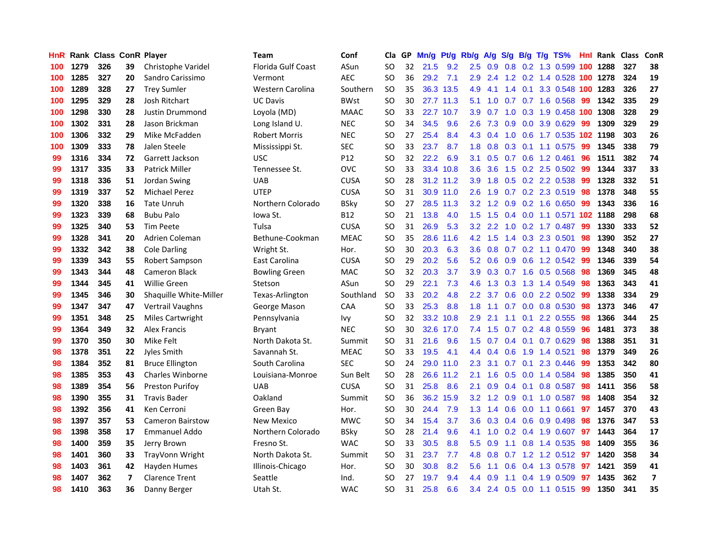| <b>HnR</b> |      | Rank Class ConR Player |    |                         | Team                 | Conf        | Cla       |    | GP Mn/g Pt/g Rb/g |           |                  |                 |     |                 | A/g S/g B/g T/g TS%        | Hnl | Rank Class |     | ConR                    |
|------------|------|------------------------|----|-------------------------|----------------------|-------------|-----------|----|-------------------|-----------|------------------|-----------------|-----|-----------------|----------------------------|-----|------------|-----|-------------------------|
| 100        | 1279 | 326                    | 39 | Christophe Varidel      | Florida Gulf Coast   | ASun        | SO.       | 32 | 21.5              | 9.2       | 2.5              | 0.9             | 0.8 | 0.2             | 1.3 0.599                  | 100 | 1288       | 327 | 38                      |
| 100        | 1285 | 327                    | 20 | Sandro Carissimo        | Vermont              | AEC         | <b>SO</b> | 36 | 29.2              | 7.1       | 2.9              | 2.4             |     | $1.2 \quad 0.2$ | 1.4 0.528                  | 100 | 1278       | 324 | 19                      |
| 100        | 1289 | 328                    | 27 | <b>Trey Sumler</b>      | Western Carolina     | Southern    | <b>SO</b> | 35 |                   | 36.3 13.5 | 4.9              | 4.1             | 1.4 | 0.1             | 3.3 0.548                  | 100 | 1283       | 326 | 27                      |
| 100        | 1295 | 329                    | 28 | Josh Ritchart           | <b>UC Davis</b>      | <b>BWst</b> | <b>SO</b> | 30 |                   | 27.7 11.3 | 5.1              | 1.0             |     |                 | 0.7 0.7 1.6 0.568          | -99 | 1342       | 335 | 29                      |
| 100        | 1298 | 330                    | 28 | Justin Drummond         | Loyola (MD)          | <b>MAAC</b> | SO.       | 33 |                   | 22.7 10.7 | 3.9 <sup>°</sup> | 0.7             |     |                 | 1.0 0.3 1.9 0.458 100      |     | 1308       | 328 | 29                      |
| 100        | 1302 | 331                    | 28 | Jason Brickman          | Long Island U.       | <b>NEC</b>  | SO.       | 34 | 34.5              | 9.6       | $2.6\,$          | 7.3             |     |                 | $0.9$ $0.0$ $3.9$ $0.629$  | -99 | 1309       | 329 | 29                      |
| 100        | 1306 | 332                    | 29 | Mike McFadden           | Robert Morris        | <b>NEC</b>  | SO.       | 27 | 25.4              | 8.4       |                  | 4.3 0.4         |     |                 | 1.0 0.6 1.7 0.535 102 1198 |     |            | 303 | 26                      |
| 100        | 1309 | 333                    | 78 | Jalen Steele            | Mississippi St.      | <b>SEC</b>  | <b>SO</b> | 33 | 23.7              | 8.7       | 1.8              | 0.8             |     |                 | 0.3 0.1 1.1 0.575          | 99  | 1345       | 338 | 79                      |
| 99         | 1316 | 334                    | 72 | Garrett Jackson         | <b>USC</b>           | P12         | <b>SO</b> | 32 | 22.2              | 6.9       | 3.1              | 0.5             |     |                 | $0.7$ $0.6$ 1.2 $0.461$    | 96  | 1511       | 382 | 74                      |
| 99         | 1317 | 335                    | 33 | <b>Patrick Miller</b>   | Tennessee St.        | <b>OVC</b>  | <b>SO</b> | 33 |                   | 33.4 10.8 | 3.6              | 3.6             | 1.5 |                 | 0.2 2.5 0.502              | -99 | 1344       | 337 | 33                      |
| 99         | 1318 | 336                    | 51 | Jordan Swing            | <b>UAB</b>           | <b>CUSA</b> | SO.       | 28 |                   | 31.2 11.2 | 3.9              | 1.8             |     |                 | 0.5 0.2 2.2 0.538          | -99 | 1328       | 332 | 51                      |
| 99         | 1319 | 337                    | 52 | <b>Michael Perez</b>    | <b>UTEP</b>          | <b>CUSA</b> | <b>SO</b> | 31 |                   | 30.9 11.0 | 2.6              | 1.9             |     |                 | 0.7 0.2 2.3 0.519          | 98  | 1378       | 348 | 55                      |
| 99         | 1320 | 338                    | 16 | <b>Tate Unruh</b>       | Northern Colorado    | <b>BSky</b> | <b>SO</b> | 27 |                   | 28.5 11.3 | 3.2 <sub>2</sub> | 1.2             | 0.9 |                 | $0.2$ 1.6 0.650            | -99 | 1343       | 336 | 16                      |
| 99         | 1323 | 339                    | 68 | <b>Bubu Palo</b>        | lowa St.             | B12         | <b>SO</b> | 21 | 13.8              | 4.0       | 1.5 <sub>1</sub> | 1.5             |     | $0.4\quad 0.0$  | 1.1 0.571 102 1188         |     |            | 298 | 68                      |
| 99         | 1325 | 340                    | 53 | <b>Tim Peete</b>        | Tulsa                | <b>CUSA</b> | SO.       | 31 | 26.9              | 5.3       | 3.2 <sub>1</sub> | 2.2             | 1.0 | 0.2             | 1.7 0.487                  | -99 | 1330       | 333 | 52                      |
| 99         | 1328 | 341                    | 20 | Adrien Coleman          | Bethune-Cookman      | <b>MEAC</b> | <b>SO</b> | 35 | 28.6              | 11.6      | 4.2              | 1.5             | 1.4 |                 | 0.3 2.3 0.501              | 98  | 1390       | 352 | 27                      |
| 99         | 1332 | 342                    | 38 | <b>Cole Darling</b>     | Wright St.           | Hor.        | <b>SO</b> | 30 | 20.3              | 6.3       | 3.6              | 0.8             |     |                 | $0.7$ $0.2$ 1.1 $0.470$    | -99 | 1348       | 340 | 38                      |
| 99         | 1339 | 343                    | 55 | Robert Sampson          | East Carolina        | <b>CUSA</b> | <b>SO</b> | 29 | 20.2              | 5.6       |                  | $5.2 \quad 0.6$ |     |                 | 0.9 0.6 1.2 0.542          | -99 | 1346       | 339 | 54                      |
| 99         | 1343 | 344                    | 48 | Cameron Black           | <b>Bowling Green</b> | <b>MAC</b>  | <b>SO</b> | 32 | 20.3              | 3.7       |                  | $3.9\quad 0.3$  |     |                 | 0.7 1.6 0.5 0.568          | -98 | 1369       | 345 | 48                      |
| 99         | 1344 | 345                    | 41 | <b>Willie Green</b>     | Stetson              | ASun        | <b>SO</b> | 29 | 22.1              | 7.3       |                  | $4.6$ 1.3       |     |                 | 0.3 1.3 1.4 0.549          | 98  | 1363       | 343 | 41                      |
| 99         | 1345 | 346                    | 30 | Shaquille White-Miller  | Texas-Arlington      | Southland   | <b>SO</b> | 33 | 20.2              | 4.8       | $2.2\,$          | 3.7             |     |                 | $0.6$ $0.0$ 2.2 $0.502$    | -99 | 1338       | 334 | 29                      |
| 99         | 1347 | 347                    | 47 | Vertrail Vaughns        | George Mason         | CAA         | <b>SO</b> | 33 | 25.3              | 8.8       | 1.8              | 1.1             |     |                 | 0.7 0.0 0.8 0.530          | 98  | 1373       | 346 | 47                      |
| 99         | 1351 | 348                    | 25 | <b>Miles Cartwright</b> | Pennsylvania         | lvy         | <b>SO</b> | 32 |                   | 33.2 10.8 | 2.9              | 2.1             | 1.1 | 0.1             | 2.2 0.555                  | 98  | 1366       | 344 | 25                      |
| 99         | 1364 | 349                    | 32 | <b>Alex Francis</b>     | Bryant               | <b>NEC</b>  | <b>SO</b> | 30 |                   | 32.6 17.0 | 7.4              | 1.5             |     |                 | $0.7$ $0.2$ 4.8 $0.559$    | 96  | 1481       | 373 | 38                      |
| 99         | 1370 | 350                    | 30 | Mike Felt               | North Dakota St.     | Summit      | SO.       | 31 | 21.6              | 9.6       | 1.5              | 0.7             |     |                 | $0.4$ 0.1 0.7 0.629        | 98  | 1388       | 351 | 31                      |
| 98         | 1378 | 351                    | 22 | Jyles Smith             | Savannah St.         | <b>MEAC</b> | <b>SO</b> | 33 | 19.5              | 4.1       | 4.4              | 0.4             | 0.6 | 1.9             | 1.4 0.521                  | 98  | 1379       | 349 | 26                      |
| 98         | 1384 | 352                    | 81 | <b>Bruce Ellington</b>  | South Carolina       | <b>SEC</b>  | <b>SO</b> | 24 |                   | 29.0 11.0 | 2.3              | 3.1             | 0.7 | 0.1             | 2.3 0.446                  | -99 | 1353       | 342 | 80                      |
| 98         | 1385 | 353                    | 43 | Charles Winborne        | Louisiana-Monroe     | Sun Belt    | <b>SO</b> | 28 |                   | 26.6 11.2 | 2.1              | 1.6             |     | $0.5\ 0.0$      | 1.4 0.584                  | 98  | 1385       | 350 | 41                      |
| 98         | 1389 | 354                    | 56 | <b>Preston Purifov</b>  | <b>UAB</b>           | <b>CUSA</b> | <b>SO</b> | 31 | 25.8              | 8.6       | 2.1              | 0.9             |     | $0.4 \quad 0.1$ | 0.8 0.587                  | 98  | 1411       | 356 | 58                      |
| 98         | 1390 | 355                    | 31 | <b>Travis Bader</b>     | Oakland              | Summit      | <b>SO</b> | 36 |                   | 36.2 15.9 | 3.2              | 1.2             | 0.9 | 0.1             | 1.0 0.587                  | 98  | 1408       | 354 | 32                      |
| 98         | 1392 | 356                    | 41 | Ken Cerroni             | Green Bay            | Hor.        | <b>SO</b> | 30 | 24.4              | 7.9       | 1.3              | 1.4             | 0.6 | 0.0             | 1.1 0.661                  | 97  | 1457       | 370 | 43                      |
| 98         | 1397 | 357                    | 53 | <b>Cameron Bairstow</b> | New Mexico           | <b>MWC</b>  | SO.       | 34 | 15.4              | 3.7       | 3.6 <sup>°</sup> | 0.3             |     |                 | $0.4$ 0.6 0.9 0.498        | 98  | 1376       | 347 | 53                      |
| 98         | 1398 | 358                    | 17 | Emmanuel Addo           | Northern Colorado    | <b>BSky</b> | <b>SO</b> | 28 | 21.4              | 9.6       | 4.1              | 1.0             |     |                 | 0.2 0.4 1.9 0.607          | 97  | 1443       | 364 | 17                      |
| 98         | 1400 | 359                    | 35 | Jerry Brown             | Fresno St.           | <b>WAC</b>  | <b>SO</b> | 33 | 30.5              | 8.8       | $5.5^{\circ}$    | 0.9             |     |                 | 1.1 0.8 1.4 0.535          | 98  | 1409       | 355 | 36                      |
| 98         | 1401 | 360                    | 33 | TrayVonn Wright         | North Dakota St.     | Summit      | <b>SO</b> | 31 | 23.7              | 7.7       | 4.8              | 0.8             | 0.7 |                 | 1.2 1.2 0.512              | 97  | 1420       | 358 | 34                      |
| 98         | 1403 | 361                    | 42 | Hayden Humes            | Illinois-Chicago     | Hor.        | <b>SO</b> | 30 | 30.8              | 8.2       | 5.6              | 1.1             | 0.6 |                 | 0.4 1.3 0.578              | 97  | 1421       | 359 | 41                      |
| 98         | 1407 | 362                    | 7  | <b>Clarence Trent</b>   | Seattle              | Ind.        | <b>SO</b> | 27 | 19.7              | 9.4       | 4.4              | 0.9             | 1.1 | $0.4^{\circ}$   | 1.9 0.509                  | 97  | 1435       | 362 | $\overline{\mathbf{z}}$ |
| 98         | 1410 | 363                    | 36 | Danny Berger            | Utah St.             | <b>WAC</b>  | SO.       | 31 | 25.8              | 6.6       |                  |                 |     |                 | 3.4 2.4 0.5 0.0 1.1 0.515  | -99 | 1350       | 341 | 35                      |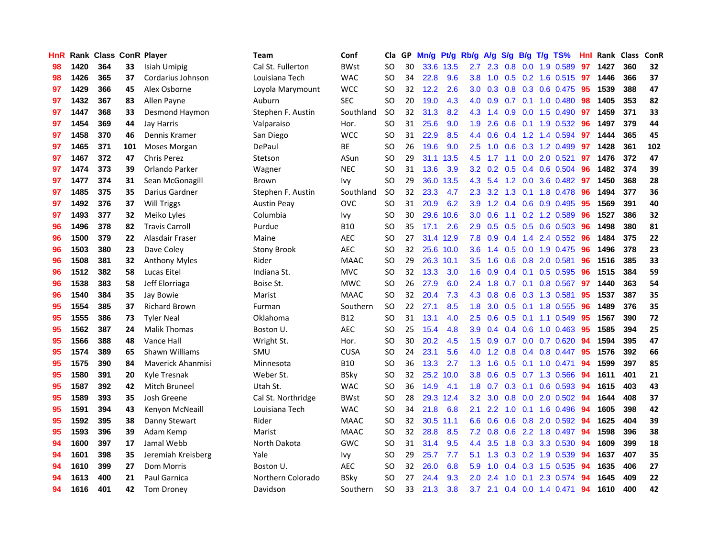| <b>HnR</b> |      | Rank Class ConR Player |     |                          | Team               | Conf        | Cla       |    | GP Mn/g Pt/g Rb/g A/g |           |                  |                 |     |                 | S/g B/g T/g TS%         | Hnl | Rank Class |     | ConR |
|------------|------|------------------------|-----|--------------------------|--------------------|-------------|-----------|----|-----------------------|-----------|------------------|-----------------|-----|-----------------|-------------------------|-----|------------|-----|------|
| 98         | 1420 | 364                    | 33  | Isiah Umipig             | Cal St. Fullerton  | <b>BWst</b> | SO.       | 30 |                       | 33.6 13.5 | 2.7              | 2.3             | 0.8 | 0.0             | 1.9 0.589               | 97  | 1427       | 360 | 32   |
| 98         | 1426 | 365                    | 37  | Cordarius Johnson        | Louisiana Tech     | <b>WAC</b>  | SO.       | 34 | 22.8                  | 9.6       | 3.8 <sup>°</sup> | 1.0             |     | $0.5 \quad 0.2$ | 1.6 0.515               | 97  | 1446       | 366 | 37   |
| 97         | 1429 | 366                    | 45  | Alex Osborne             | Loyola Marymount   | <b>WCC</b>  | SO.       | 32 | 12.2                  | 2.6       | 3.0              | 0.3             | 0.8 | 0.3             | 0.6 0.475               | 95  | 1539       | 388 | 47   |
| 97         | 1432 | 367                    | 83  | Allen Payne              | Auburn             | <b>SEC</b>  | <b>SO</b> | 20 | 19.0                  | 4.3       | 4.0              | 0.9             |     | $0.7 \quad 0.1$ | 1.0 0.480               | -98 | 1405       | 353 | 82   |
| 97         | 1447 | 368                    | 33  | Desmond Haymon           | Stephen F. Austin  | Southland   | <b>SO</b> | 32 | 31.3                  | 8.2       |                  | $4.3 \quad 1.4$ |     |                 | 0.9 0.0 1.5 0.490 97    |     | 1459       | 371 | 33   |
| 97         | 1454 | 369                    | 44  | Jay Harris               | Valparaiso         | Hor.        | SO.       | 31 | 25.6                  | 9.0       | 1.9              | 2.6             |     |                 | $0.6$ 0.1 1.9 0.532     | 96  | 1497       | 379 | 44   |
| 97         | 1458 | 370                    | 46  | Dennis Kramer            | San Diego          | <b>WCC</b>  | SO.       | 31 | 22.9                  | 8.5       | 4.4              | 0.6             |     |                 | $0.4$ 1.2 1.4 0.594     | 97  | 1444       | 365 | 45   |
| 97         | 1465 | 371                    | 101 | Moses Morgan             | DePaul             | ВE          | SO.       | 26 | 19.6                  | 9.0       | 2.5              | 1.0             |     |                 | $0.6$ $0.3$ 1.2 0.499   | 97  | 1428       | 361 | 102  |
| 97         | 1467 | 372                    | 47  | <b>Chris Perez</b>       | Stetson            | ASun        | <b>SO</b> | 29 |                       | 31.1 13.5 | 4.5              | 1.7             | 1.1 |                 | $0.0$ 2.0 $0.521$       | 97  | 1476       | 372 | 47   |
| 97         | 1474 | 373                    | 39  | Orlando Parker           | Wagner             | <b>NEC</b>  | <b>SO</b> | 31 | 13.6                  | 3.9       | 3.2              | 0.2             | 0.5 |                 | 0.4 0.6 0.504           | 96  | 1482       | 374 | 39   |
| 97         | 1477 | 374                    | 31  | Sean McGonagill          | Brown              | Ivy         | <b>SO</b> | 29 |                       | 36.0 13.5 | 4.3              | 5.4             |     |                 | 1.2 0.0 3.6 0.482       | 97  | 1450       | 368 | 28   |
| 97         | 1485 | 375                    | 35  | Darius Gardner           | Stephen F. Austin  | Southland   | <b>SO</b> | 32 | 23.3                  | 4.7       | $2.3^{\circ}$    | 3.2             | 1.3 | 0.1             | 1.8 0.478               | 96  | 1494       | 377 | 36   |
| 97         | 1492 | 376                    | 37  | Will Triggs              | <b>Austin Peay</b> | <b>OVC</b>  | SO        | 31 | 20.9                  | 6.2       | 3.9              | 1.2             |     |                 | $0.4$ 0.6 0.9 0.495     | 95  | 1569       | 391 | 40   |
| 97         | 1493 | 377                    | 32  | Meiko Lyles              | Columbia           | Ivy         | <b>SO</b> | 30 |                       | 29.6 10.6 | 3.0              | 0.6             | 1.1 |                 | 0.2 1.2 0.589           | 96  | 1527       | 386 | 32   |
| 96         | 1496 | 378                    | 82  | <b>Travis Carroll</b>    | Purdue             | <b>B10</b>  | <b>SO</b> | 35 | 17.1                  | 2.6       | 2.9              | 0.5             | 0.5 | 0.5             | 0.6 0.503               | 96  | 1498       | 380 | 81   |
| 96         | 1500 | 379                    | 22  | Alasdair Fraser          | Maine              | <b>AEC</b>  | SO.       | 27 |                       | 31.4 12.9 | 7.8              | 0.9             | 0.4 | 1.4             | 2.4 0.552               | 96  | 1484       | 375 | 22   |
| 96         | 1503 | 380                    | 23  | Dave Coley               | <b>Stony Brook</b> | <b>AEC</b>  | SO.       | 32 |                       | 25.6 10.0 | 3.6 <sup>°</sup> | 1.4             | 0.5 | 0.0             | 1.9 0.475               | -96 | 1496       | 378 | 23   |
| 96         | 1508 | 381                    | 32  | <b>Anthony Myles</b>     | Rider              | <b>MAAC</b> | <b>SO</b> | 29 |                       | 26.3 10.1 | 3.5              | 1.6             |     |                 | 0.6 0.8 2.0 0.581       | -96 | 1516       | 385 | 33   |
| 96         | 1512 | 382                    | 58  | Lucas Eitel              | Indiana St.        | <b>MVC</b>  | SO.       | 32 | 13.3                  | 3.0       | 1.6              | 0.9             |     |                 | 0.4 0.1 0.5 0.595       | 96  | 1515       | 384 | 59   |
| 96         | 1538 | 383                    | 58  | Jeff Elorriaga           | Boise St.          | <b>MWC</b>  | SO.       | 26 | 27.9                  | 6.0       |                  | $2.4$ 1.8       |     |                 | 0.7 0.1 0.8 0.567       | 97  | 1440       | 363 | 54   |
| 96         | 1540 | 384                    | 35  | Jay Bowie                | Marist             | <b>MAAC</b> | SO.       | 32 | 20.4                  | 7.3       | 4.3              | 0.8             |     |                 | 0.6 0.3 1.3 0.581       | 95  | 1537       | 387 | 35   |
| 95         | 1554 | 385                    | 37  | <b>Richard Brown</b>     | Furman             | Southern    | <b>SO</b> | 22 | 27.1                  | 8.5       | 1.8              | 3.0             |     |                 | $0.5$ 0.1 1.8 0.555     | 96  | 1489       | 376 | 35   |
| 95         | 1555 | 386                    | 73  | <b>Tyler Neal</b>        | Oklahoma           | <b>B12</b>  | SO.       | 31 | 13.1                  | 4.0       | 2.5              | 0.6             |     |                 | $0.5$ 0.1 1.1 0.549     | 95  | 1567       | 390 | 72   |
| 95         | 1562 | 387                    | 24  | <b>Malik Thomas</b>      | Boston U.          | <b>AEC</b>  | <b>SO</b> | 25 | 15.4                  | 4.8       | 3.9              | 0.4             |     |                 | $0.4$ 0.6 1.0 0.463     | 95  | 1585       | 394 | 25   |
| 95         | 1566 | 388                    | 48  | Vance Hall               | Wright St.         | Hor.        | <b>SO</b> | 30 | 20.2                  | 4.5       | 1.5              | 0.9             |     |                 | 0.7 0.0 0.7 0.620       | 94  | 1594       | 395 | 47   |
| 95         | 1574 | 389                    | 65  | Shawn Williams           | SMU                | <b>CUSA</b> | SO.       | 24 | 23.1                  | 5.6       | 4.0              | 1.2             |     |                 | $0.8$ 0.4 0.8 0.447     | 95  | 1576       | 392 | 66   |
| 95         | 1575 | 390                    | 84  | <b>Maverick Ahanmisi</b> | Minnesota          | <b>B10</b>  | SO.       | 36 | 13.3                  | 2.7       | 1.3              | 1.6             | 0.5 |                 | $0.1$ 1.0 0.471         | 94  | 1599       | 397 | 85   |
| 95         | 1580 | 391                    | 20  | Kyle Tresnak             | Weber St.          | <b>BSky</b> | <b>SO</b> | 32 |                       | 25.2 10.0 | 3.8 <sub>2</sub> | 0.6             |     |                 | $0.5$ 0.7 1.3 0.566     | 94  | 1611       | 401 | 21   |
| 95         | 1587 | 392                    | 42  | Mitch Bruneel            | Utah St.           | <b>WAC</b>  | <b>SO</b> | 36 | 14.9                  | 4.1       | 1.8              | 0.7             |     | $0.3 \quad 0.1$ | 0.6 0.593               | 94  | 1615       | 403 | 43   |
| 95         | 1589 | 393                    | 35  | Josh Greene              | Cal St. Northridge | <b>BWst</b> | <b>SO</b> | 28 |                       | 29.3 12.4 | 3.2 <sub>2</sub> | 3.0             |     | $0.8\ 0.0$      | 2.0 0.502               | -94 | 1644       | 408 | 37   |
| 95         | 1591 | 394                    | 43  | Kenyon McNeaill          | Louisiana Tech     | <b>WAC</b>  | SO.       | 34 | 21.8                  | 6.8       | 2.1              | 2.2             | 1.0 | 0.1             | 1.6 0.496               | -94 | 1605       | 398 | 42   |
| 95         | 1592 | 395                    | 38  | Danny Stewart            | Rider              | <b>MAAC</b> | SO.       | 32 |                       | 30.5 11.1 | 6.6              | 0.6             |     |                 | 0.6 0.8 2.0 0.592       | -94 | 1625       | 404 | 39   |
| 95         | 1593 | 396                    | 39  | Adam Kemp                | Marist             | <b>MAAC</b> | SO.       | 32 | 28.8                  | 8.5       | 7.2              | 0.8             |     |                 | 0.6 2.2 1.8 0.497       | -94 | 1598       | 396 | 38   |
| 94         | 1600 | 397                    | 17  | Jamal Webb               | North Dakota       | GWC         | <b>SO</b> | 31 | 31.4                  | 9.5       | 4.4              | 3.5             |     |                 | 1.8 0.3 3.3 0.530       | -94 | 1609       | 399 | 18   |
| 94         | 1601 | 398                    | 35  | Jeremiah Kreisberg       | Yale               | Ivy         | <b>SO</b> | 29 | 25.7                  | 7.7       | 5.1              | 1.3             |     |                 | $0.3$ $0.2$ 1.9 $0.539$ | 94  | 1637       | 407 | 35   |
| 94         | 1610 | 399                    | 27  | Dom Morris               | Boston U.          | <b>AEC</b>  | SO.       | 32 | 26.0                  | 6.8       | 5.9              | 1.0             |     |                 | 0.4 0.3 1.5 0.535       | 94  | 1635       | 406 | 27   |
| 94         | 1613 | 400                    | 21  | Paul Garnica             | Northern Colorado  | BSkv        | SO.       | 27 | 24.4                  | 9.3       | 2.0              | 2.4             | 1.0 | 0.1             | 2.3 0.574               | 94  | 1645       | 409 | 22   |
| 94         | 1616 | 401                    | 42  | <b>Tom Droney</b>        | Davidson           | Southern    | SO        | 33 | 21.3                  | 3.8       | 3.7              | 2.1             |     |                 | $0.4$ 0.0 1.4 0.471     | 94  | 1610       | 400 | 42   |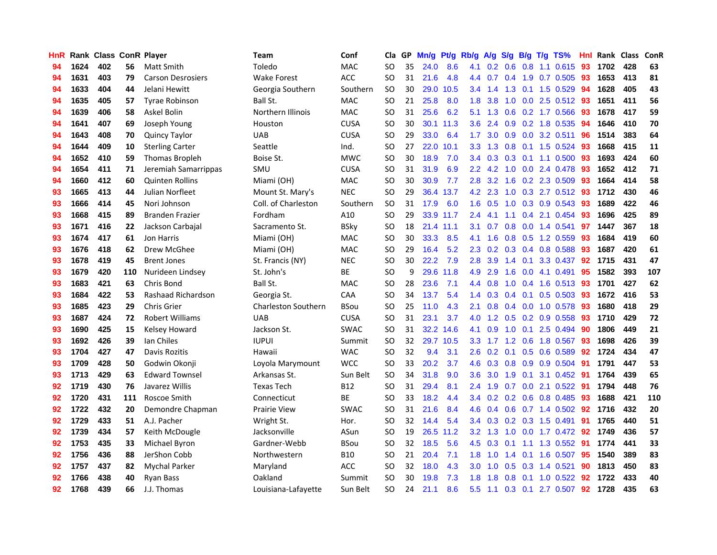| HnR |      | Rank Class ConR Player |     |                          | <b>Team</b>                | Conf        | Cla       |    | GP Mn/g Pt/g Rb/g |           |                  |                 |               |                 | A/g S/g B/g T/g TS%       | Hnl  | Rank Class |     | ConR |
|-----|------|------------------------|-----|--------------------------|----------------------------|-------------|-----------|----|-------------------|-----------|------------------|-----------------|---------------|-----------------|---------------------------|------|------------|-----|------|
| 94  | 1624 | 402                    | 56  | Matt Smith               | Toledo                     | <b>MAC</b>  | SO.       | 35 | 24.0              | 8.6       | 4.1              | 0.2             | 0.6           | 0.8             | 1.1 0.615                 | 93   | 1702       | 428 | 63   |
| 94  | 1631 | 403                    | 79  | <b>Carson Desrosiers</b> | <b>Wake Forest</b>         | ACC         | <b>SO</b> | 31 | 21.6              | 4.8       | 4.4              | 0.7             | $0.4^{\circ}$ | 1.9             | 0.7 0.505                 | 93   | 1653       | 413 | 81   |
| 94  | 1633 | 404                    | 44  | Jelani Hewitt            | Georgia Southern           | Southern    | <b>SO</b> | 30 | 29.0              | 10.5      | 3.4              | 1.4             |               | $1.3 \quad 0.1$ | 1.5 0.529                 | 94   | 1628       | 405 | 43   |
| 94  | 1635 | 405                    | 57  | <b>Tyrae Robinson</b>    | Ball St.                   | <b>MAC</b>  | SO.       | 21 | 25.8              | 8.0       | 1.8              | 3.8             |               |                 | 1.0 0.0 2.5 0.512 93      |      | 1651       | 411 | 56   |
| 94  | 1639 | 406                    | 58  | Askel Bolin              | Northern Illinois          | <b>MAC</b>  | SO.       | 31 | 25.6              | 6.2       | 5.1              | 1.3             |               |                 | 0.6 0.2 1.7 0.566         | -93  | 1678       | 417 | 59   |
| 94  | 1641 | 407                    | 69  | Joseph Young             | Houston                    | <b>CUSA</b> | <b>SO</b> | 30 |                   | 30.1 11.3 | 3.6 <sup>°</sup> | 2.4             |               |                 | $0.9$ $0.2$ 1.8 $0.535$   | -94  | 1646       | 410 | 70   |
| 94  | 1643 | 408                    | 70  | <b>Quincy Taylor</b>     | <b>UAB</b>                 | <b>CUSA</b> | <b>SO</b> | 29 | 33.0              | 6.4       | 1.7 <sub>z</sub> | 3.0             |               |                 | $0.9$ $0.0$ $3.2$ $0.511$ | 96   | 1514       | 383 | 64   |
| 94  | 1644 | 409                    | 10  | <b>Sterling Carter</b>   | Seattle                    | Ind.        | <b>SO</b> | 27 |                   | 22.0 10.1 | 3.3 <sub>1</sub> | 1.3             |               |                 | 0.8 0.1 1.5 0.524         | 93   | 1668       | 415 | 11   |
| 94  | 1652 | 410                    | 59  | <b>Thomas Bropleh</b>    | Boise St.                  | <b>MWC</b>  | <b>SO</b> | 30 | 18.9              | 7.0       | 3.4              | 0.3             |               | $0.3 \quad 0.1$ | 1.1 0.500                 | 93   | 1693       | 424 | 60   |
| 94  | 1654 | 411                    | 71  | Jeremiah Samarrippas     | SMU                        | <b>CUSA</b> | <b>SO</b> | 31 | 31.9              | 6.9       | $2.2\phantom{0}$ | 4.2             |               |                 | 1.0 0.0 2.4 0.478         | 93   | 1652       | 412 | 71   |
| 94  | 1660 | 412                    | 60  | <b>Quinten Rollins</b>   | Miami (OH)                 | MAC         | SO.       | 30 | 30.9              | 7.7       | 2.8              | 3.2             |               |                 | 1.6 0.2 2.3 0.509         | 93   | 1664       | 414 | 58   |
| 93  | 1665 | 413                    | 44  | Julian Norfleet          | Mount St. Mary's           | <b>NEC</b>  | <b>SO</b> | 29 |                   | 36.4 13.7 | 4.2              | 2.3             | 1.0           |                 | 0.3 2.7 0.512             | 93   | 1712       | 430 | 46   |
| 93  | 1666 | 414                    | 45  | Nori Johnson             | Coll. of Charleston        | Southern    | <b>SO</b> | 31 | 17.9              | 6.0       | 1.6              | 0.5             | 1.0           |                 | 0.3 0.9 0.543             | -93  | 1689       | 422 | 46   |
| 93  | 1668 | 415                    | 89  | <b>Branden Frazier</b>   | Fordham                    | A10         | <b>SO</b> | 29 |                   | 33.9 11.7 | 2.4              | 4.1             | 1.1           | 0.4             | 2.1 0.454                 | 93   | 1696       | 425 | 89   |
| 93  | 1671 | 416                    | 22  | Jackson Carbajal         | Sacramento St.             | <b>BSky</b> | <b>SO</b> | 18 |                   | 21.4 11.1 | 3.1              | 0.7             | 0.8           | 0.0             | 1.4 0.541                 | 97   | 1447       | 367 | 18   |
| 93  | 1674 | 417                    | 61  | Jon Harris               | Miami (OH)                 | <b>MAC</b>  | <b>SO</b> | 30 | 33.3              | 8.5       | 4.1              | 1.6             |               | $0.8\quad 0.5$  | 1.2 0.559                 | -93  | 1684       | 419 | 60   |
| 93  | 1676 | 418                    | 62  | Drew McGhee              | Miami (OH)                 | <b>MAC</b>  | <b>SO</b> | 29 | 16.4              | 5.2       | 2.3              |                 |               |                 | 0.2 0.3 0.4 0.8 0.588     | -93  | 1687       | 420 | 61   |
| 93  | 1678 | 419                    | 45  | <b>Brent Jones</b>       | St. Francis (NY)           | <b>NEC</b>  | <b>SO</b> | 30 | 22.2              | 7.9       | 2.8 <sup>°</sup> | 3.9             |               | $1.4 \quad 0.1$ | 3.3 0.437                 | -92  | 1715       | 431 | 47   |
| 93  | 1679 | 420                    | 110 | Nurideen Lindsey         | St. John's                 | ВE          | <b>SO</b> | 9  |                   | 29.6 11.8 |                  | 4.9 2.9         |               |                 | 1.6 0.0 4.1 0.491         | 95   | 1582       | 393 | 107  |
| 93  | 1683 | 421                    | 63  | Chris Bond               | Ball St.                   | MAC         | SO.       | 28 | 23.6              | 7.1       |                  | 4.4 0.8         |               |                 | 1.0 0.4 1.6 0.513 93      |      | 1701       | 427 | 62   |
| 93  | 1684 | 422                    | 53  | Rashaad Richardson       | Georgia St.                | <b>CAA</b>  | <b>SO</b> | 34 | 13.7              | 5.4       |                  | $1.4 \quad 0.3$ |               |                 | $0.4$ 0.1 0.5 0.503       | 93   | 1672       | 416 | 53   |
| 93  | 1685 | 423                    | 29  | <b>Chris Grier</b>       | <b>Charleston Southern</b> | <b>BSou</b> | <b>SO</b> | 25 | 11.0              | 4.3       | 2.1              | 0.8             |               |                 | $0.4$ 0.0 1.0 0.578       | 93   | 1680       | 418 | 29   |
| 93  | 1687 | 424                    | 72  | <b>Robert Williams</b>   | <b>UAB</b>                 | <b>CUSA</b> | <b>SO</b> | 31 | 23.1              | 3.7       | 4.0              | 1.2             |               |                 | $0.5$ 0.2 0.9 0.558       | 93   | 1710       | 429 | 72   |
| 93  | 1690 | 425                    | 15  | Kelsey Howard            | Jackson St.                | <b>SWAC</b> | <b>SO</b> | 31 |                   | 32.2 14.6 | 4.1              | 0.9             |               | $1.0 \quad 0.1$ | 2.5 0.494                 | -90  | 1806       | 449 | 21   |
| 93  | 1692 | 426                    | 39  | Ian Chiles               | <b>IUPUI</b>               | Summit      | <b>SO</b> | 32 |                   | 29.7 10.5 | 3.3              | 1.7             |               | $1.2 \quad 0.6$ | 1.8 0.567                 | 93   | 1698       | 426 | 39   |
| 93  | 1704 | 427                    | 47  | Davis Rozitis            | Hawaii                     | <b>WAC</b>  | <b>SO</b> | 32 | 9.4               | 3.1       | 2.6              | 0.2             | 0.1           | 0.5             | 0.6 0.589                 | 92   | 1724       | 434 | 47   |
| 93  | 1709 | 428                    | 50  | Godwin Okonji            | Loyola Marymount           | <b>WCC</b>  | <b>SO</b> | 33 | 20.2              | 3.7       | 4.6              | 0.3             |               | $0.8\quad 0.9$  | 0.9 0.504                 | -91  | 1791       | 447 | 53   |
| 93  | 1713 | 429                    | 63  | <b>Edward Townsel</b>    | Arkansas St.               | Sun Belt    | SO.       | 34 | 31.8              | 9.0       | 3.6              | 3.0             | 1.9           | 0.1             | 3.1 0.452                 | -91  | 1764       | 439 | 65   |
| 92  | 1719 | 430                    | 76  | Javarez Willis           | <b>Texas Tech</b>          | <b>B12</b>  | <b>SO</b> | 31 | 29.4              | 8.1       | 2.4              | 1.9             | 0.7           | 0.0             | 2.1 0.522                 | 91   | 1794       | 448 | 76   |
| 92  | 1720 | 431                    | 111 | Roscoe Smith             | Connecticut                | ВE          | <b>SO</b> | 33 | 18.2              | 4.4       |                  |                 |               |                 | 3.4 0.2 0.2 0.6 0.8 0.485 | -93  | 1688       | 421 | 110  |
| 92  | 1722 | 432                    | 20  | Demondre Chapman         | <b>Prairie View</b>        | <b>SWAC</b> | <b>SO</b> | 31 | 21.6              | 8.4       | 4.6              | 0.4             |               |                 | $0.6$ 0.7 1.4 0.502       | 92   | 1716       | 432 | 20   |
| 92  | 1729 | 433                    | 51  | A.J. Pacher              | Wright St.                 | Hor.        | <b>SO</b> | 32 | 14.4              | 5.4       |                  | $3.4 \quad 0.3$ |               |                 | $0.2$ $0.3$ 1.5 $0.491$   | - 91 | 1765       | 440 | 51   |
| 92  | 1739 | 434                    | 57  | Keith McDougle           | Jacksonville               | ASun        | <b>SO</b> | 19 |                   | 26.5 11.2 |                  | $3.2 \quad 1.3$ |               |                 | 1.0 0.0 1.7 0.472 92      |      | 1749       | 436 | 57   |
| 92  | 1753 | 435                    | 33  | Michael Byron            | Gardner-Webb               | <b>BSou</b> | <b>SO</b> | 32 | 18.5              | 5.6       | 4.5              | 0.3             | 0.1           |                 | 1.1 1.3 0.552             | -91  | 1774       | 441 | 33   |
| 92  | 1756 | 436                    | 88  | JerShon Cobb             | Northwestern               | <b>B10</b>  | <b>SO</b> | 21 | 20.4              | 7.1       | 1.8              | 1.0             | 1.4           |                 | $0.1$ 1.6 0.507           | 95   | 1540       | 389 | 83   |
| 92  | 1757 | 437                    | 82  | <b>Mychal Parker</b>     | Maryland                   | ACC         | <b>SO</b> | 32 | 18.0              | 4.3       | 3.0              | 1.0             |               | $0.5 \quad 0.3$ | 1.4 0.521                 | 90   | 1813       | 450 | 83   |
| 92  | 1766 | 438                    | 40  | Ryan Bass                | Oakland                    | Summit      | <b>SO</b> | 30 | 19.8              | 7.3       | 1.8              | 1.8             | 0.8           | 0.1             | 1.0 0.522                 | 92   | 1722       | 433 | 40   |
| 92  | 1768 | 439                    | 66  | J.J. Thomas              | Louisiana-Lafayette        | Sun Belt    | SO        | 24 | 21.1              | 8.6       | 5.5              | 1.1             |               |                 | 0.3 0.1 2.7 0.507         | -92  | 1728       | 435 | 63   |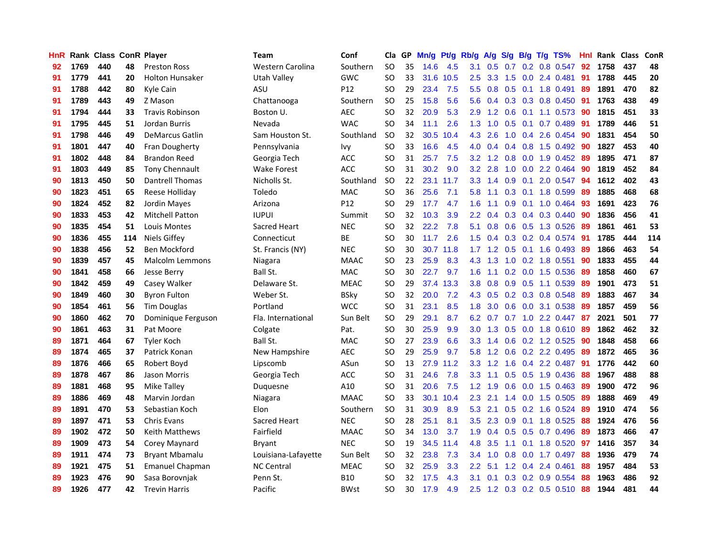| HnR |      | <b>Rank Class ConR Player</b> |     |                        | <b>Team</b>             | Conf        | Cla           | GP. | Mn/g Pt/g Rb/g A/g S/g B/g T/g TS% |           |                  |                  |                  |                 |                           | Hnl | Rank Class |     | ConR |
|-----|------|-------------------------------|-----|------------------------|-------------------------|-------------|---------------|-----|------------------------------------|-----------|------------------|------------------|------------------|-----------------|---------------------------|-----|------------|-----|------|
| 92  | 1769 | 440                           | 48  | <b>Preston Ross</b>    | <b>Western Carolina</b> | Southern    | <b>SO</b>     | 35  | 14.6                               | 4.5       | 3.1              | 0.5              | 0.7              | 0.2             | 0.8 0.547                 | 92  | 1758       | 437 | 48   |
| 91  | 1779 | 441                           | 20  | <b>Holton Hunsaker</b> | Utah Valley             | <b>GWC</b>  | <b>SO</b>     | 33  | 31.6                               | 10.5      | 2.5              | 3.3 <sub>2</sub> | 1.5              | 0.0             | 2.4 0.481                 | 91  | 1788       | 445 | 20   |
| 91  | 1788 | 442                           | 80  | Kyle Cain              | ASU                     | P12         | <b>SO</b>     | 29  | 23.4                               | 7.5       | 5.5              | 0.8              |                  | $0.5 \quad 0.1$ | 1.8 0.491                 | 89  | 1891       | 470 | 82   |
| 91  | 1789 | 443                           | 49  | Z Mason                | Chattanooga             | Southern    | <b>SO</b>     | 25  | 15.8                               | 5.6       | 5.6              | 0.4              |                  |                 | 0.3 0.3 0.8 0.450         | -91 | 1763       | 438 | 49   |
| 91  | 1794 | 444                           | 33  | <b>Travis Robinson</b> | Boston U.               | <b>AEC</b>  | <b>SO</b>     | 32  | 20.9                               | 5.3       |                  | $2.9$ 1.2        |                  |                 | $0.6$ 0.1 1.1 0.573       | -90 | 1815       | 451 | 33   |
| 91  | 1795 | 445                           | 51  | Jordan Burris          | Nevada                  | <b>WAC</b>  | SO.           | 34  | 11.1                               | 2.6       | 1.3              | 1.0              |                  |                 | 0.5 0.1 0.7 0.489         | 91  | 1789       | 446 | 51   |
| 91  | 1798 | 446                           | 49  | <b>DeMarcus Gatlin</b> | Sam Houston St.         | Southland   | <b>SO</b>     | 32  |                                    | 30.5 10.4 | 4.3              | 2.6              |                  |                 | 1.0 0.4 2.6 0.454         | 90  | 1831       | 454 | 50   |
| 91  | 1801 | 447                           | 40  | Fran Dougherty         | Pennsylvania            | Ivy         | <b>SO</b>     | 33  | 16.6                               | 4.5       | 4.0              | 0.4              |                  |                 | 0.4 0.8 1.5 0.492         | 90  | 1827       | 453 | 40   |
| 91  | 1802 | 448                           | 84  | <b>Brandon Reed</b>    | Georgia Tech            | <b>ACC</b>  | <b>SO</b>     | 31  | 25.7                               | 7.5       | 3.2              | 1.2              | 0.8              | 0.0             | 1.9 0.452                 | 89  | 1895       | 471 | 87   |
| 91  | 1803 | 449                           | 85  | Tony Chennault         | <b>Wake Forest</b>      | <b>ACC</b>  | <b>SO</b>     | 31  | 30.2                               | 9.0       | 3.2              | 2.8              | 1.0              |                 | $0.0$ 2.2 $0.464$         | 90  | 1819       | 452 | 84   |
| 90  | 1813 | 450                           | 50  | Dantrell Thomas        | Nicholls St.            | Southland   | <b>SO</b>     | 22  |                                    | 23.1 11.7 | 3.3              | 1.4              | 0.9              | 0.1             | 2.0 0.547                 | 94  | 1612       | 402 | 43   |
| 90  | 1823 | 451                           | 65  | Reese Holliday         | Toledo                  | MAC         | <b>SO</b>     | 36  | 25.6                               | 7.1       | 5.8              | 1.1              | 0.3              | 0.1             | 1.8 0.599                 | 89  | 1885       | 468 | 68   |
| 90  | 1824 | 452                           | 82  | Jordin Mayes           | Arizona                 | P12         | <b>SO</b>     | 29  | 17.7                               | 4.7       | 1.6              | 1.1              | 0.9              | 0.1             | 1.0 0.464                 | 93  | 1691       | 423 | 76   |
| 90  | 1833 | 453                           | 42  | <b>Mitchell Patton</b> | <b>IUPUI</b>            | Summit      | <b>SO</b>     | 32  | 10.3                               | 3.9       | $2.2^{\circ}$    | 0.4              | 0.3              |                 | 0.4 0.3 0.440             | 90  | 1836       | 456 | 41   |
| 90  | 1835 | 454                           | 51  | Louis Montes           | Sacred Heart            | <b>NEC</b>  | <sub>SO</sub> | 32  | 22.2                               | 7.8       | 5.1              | 0.8              | 0.6              |                 | 0.5 1.3 0.526             | -89 | 1861       | 461 | 53   |
| 90  | 1836 | 455                           | 114 | <b>Niels Giffey</b>    | Connecticut             | <b>BE</b>   | <b>SO</b>     | 30  | 11.7                               | 2.6       | 1.5              | 0.4              |                  |                 | $0.3$ 0.2 0.4 0.574       | -91 | 1785       | 444 | 114  |
| 90  | 1838 | 456                           | 52  | Ben Mockford           | St. Francis (NY)        | <b>NEC</b>  | <b>SO</b>     | 30  | 30.7                               | 11.8      |                  | $1.7 \quad 1.2$  |                  |                 | $0.5$ 0.1 1.6 0.493       | -89 | 1866       | 463 | 54   |
| 90  | 1839 | 457                           | 45  | Malcolm Lemmons        | Niagara                 | <b>MAAC</b> | <sub>SO</sub> | 23  | 25.9                               | 8.3       |                  | $4.3$ $1.3$      |                  |                 | 1.0 0.2 1.8 0.551         | -90 | 1833       | 455 | 44   |
| 90  | 1841 | 458                           | 66  | Jesse Berry            | Ball St.                | <b>MAC</b>  | <b>SO</b>     | 30  | 22.7                               | 9.7       | 1.6              | 1.1              |                  |                 | $0.2$ 0.0 1.5 0.536       | -89 | 1858       | 460 | 67   |
| 90  | 1842 | 459                           | 49  | Casey Walker           | Delaware St.            | <b>MEAC</b> | SO.           | 29  |                                    | 37.4 13.3 | 3.8              | 0.8              |                  |                 | $0.9$ $0.5$ 1.1 $0.539$   | -89 | 1901       | 473 | 51   |
| 90  | 1849 | 460                           | 30  | <b>Byron Fulton</b>    | Weber St.               | <b>BSky</b> | <b>SO</b>     | 32  | 20.0                               | 7.2       | 4.3              | 0.5              |                  |                 | $0.2$ $0.3$ $0.8$ $0.548$ | 89  | 1883       | 467 | 34   |
| 90  | 1854 | 461                           | 56  | <b>Tim Douglas</b>     | Portland                | <b>WCC</b>  | <b>SO</b>     | 31  | 23.1                               | 8.5       | 1.8              | 3.0              |                  |                 | 0.6 0.0 3.1 0.538         | 89  | 1857       | 459 | 56   |
| 90  | 1860 | 462                           | 70  | Dominique Ferguson     | Fla. International      | Sun Belt    | <b>SO</b>     | 29  | 29.1                               | 8.7       | 6.2              | 0.7              | 0.7              |                 | 1.0 2.2 0.447             | -87 | 2021       | 501 | 77   |
| 90  | 1861 | 463                           | 31  | Pat Moore              | Colgate                 | Pat.        | <b>SO</b>     | 30  | 25.9                               | 9.9       | 3.0              | 1.3              | 0.5              |                 | $0.0$ 1.8 $0.610$         | -89 | 1862       | 462 | 32   |
| 89  | 1871 | 464                           | 67  | <b>Tyler Koch</b>      | Ball St.                | MAC         | <b>SO</b>     | 27  | 23.9                               | 6.6       | 3.3              | 1.4              |                  |                 | 0.6 0.2 1.2 0.525         | 90  | 1848       | 458 | 66   |
| 89  | 1874 | 465                           | 37  | Patrick Konan          | New Hampshire           | <b>AEC</b>  | <b>SO</b>     | 29  | 25.9                               | 9.7       | 5.8              | 1.2              | 0.6              |                 | 0.2 2.2 0.495             | -89 | 1872       | 465 | 36   |
| 89  | 1876 | 466                           | 65  | Robert Boyd            | Lipscomb                | ASun        | <b>SO</b>     | 13  |                                    | 27.9 11.2 | 3.3 <sub>2</sub> | 1.2              | 1.6              | 0.4             | 2.2 0.487                 | 91  | 1776       | 442 | 60   |
| 89  | 1878 | 467                           | 86  | Jason Morris           | Georgia Tech            | <b>ACC</b>  | <sub>SO</sub> | 31  | 24.6                               | 7.8       | 3.3              | 1.1              | 0.5              | 0.5             | 1.9 0.436                 | 88  | 1967       | 488 | 88   |
| 89  | 1881 | 468                           | 95  | Mike Talley            | Duquesne                | A10         | <b>SO</b>     | 31  | 20.6                               | 7.5       | 1.2              | 1.9              | 0.6              | 0.0             | 1.5 0.463                 | 89  | 1900       | 472 | 96   |
| 89  | 1886 | 469                           | 48  | Marvin Jordan          | Niagara                 | <b>MAAC</b> | <b>SO</b>     | 33  | 30.1                               | 10.4      | 2.3              | 2.1              |                  | $1.4 \quad 0.0$ | 1.5 0.505                 | -89 | 1888       | 469 | 49   |
| 89  | 1891 | 470                           | 53  | Sebastian Koch         | Elon                    | Southern    | <b>SO</b>     | 31  | 30.9                               | 8.9       | 5.3              | 2.1              |                  |                 | $0.5$ $0.2$ 1.6 $0.524$   | -89 | 1910       | 474 | 56   |
| 89  | 1897 | 471                           | 53  | <b>Chris Evans</b>     | Sacred Heart            | <b>NEC</b>  | <b>SO</b>     | 28  | 25.1                               | 8.1       | $3.5^{\circ}$    | 2.3              |                  |                 | 0.9 0.1 1.8 0.525         | -88 | 1924       | 476 | 56   |
| 89  | 1902 | 472                           | 50  | Keith Matthews         | Fairfield               | <b>MAAC</b> | <b>SO</b>     | 34  | 13.0                               | 3.7       | 1.9              | 0.4              |                  |                 | 0.5 0.5 0.7 0.496         | 89  | 1873       | 466 | 47   |
| 89  | 1909 | 473                           | 54  | Corey Maynard          | Bryant                  | <b>NEC</b>  | <b>SO</b>     | 19  |                                    | 34.5 11.4 | 4.8              | 3.5              | 1.1              |                 | $0.1$ 1.8 $0.520$         | 97  | 1416       | 357 | 34   |
| 89  | 1911 | 474                           | 73  | <b>Bryant Mbamalu</b>  | Louisiana-Lafayette     | Sun Belt    | <b>SO</b>     | 32  | 23.8                               | 7.3       | 3.4              | 1.0              | 0.8              | 0.0             | 1.7 0.497                 | 88  | 1936       | 479 | 74   |
| 89  | 1921 | 475                           | 51  | <b>Emanuel Chapman</b> | <b>NC Central</b>       | <b>MEAC</b> | <b>SO</b>     | 32  | 25.9                               | 3.3       | $2.2\phantom{0}$ | 5.1              | 1.2              | 0.4             | 2.4 0.461                 | 88  | 1957       | 484 | 53   |
| 89  | 1923 | 476                           | 90  | Sasa Borovnjak         | Penn St.                | <b>B10</b>  | <b>SO</b>     | 32  | 17.5                               | 4.3       | 3.1              | 0.1              | 0.3 <sub>0</sub> |                 | 0.2 0.9 0.554             | 88  | 1963       | 486 | 92   |
| 89  | 1926 | 477                           | 42  | <b>Trevin Harris</b>   | Pacific                 | <b>BWst</b> | SO            | 30  | 17.9                               | 4.9       | 2.5              | 1.2              |                  |                 | $0.3$ 0.2 0.5 0.510       | 88  | 1944       | 481 | 44   |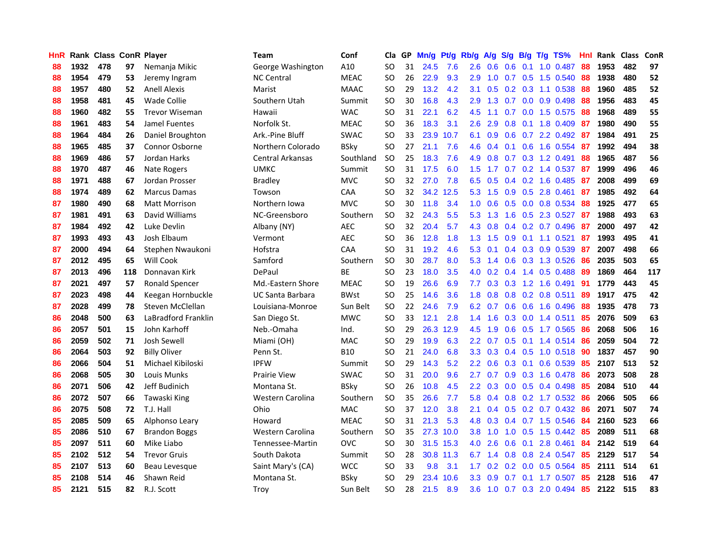| HnR |      | <b>Rank Class ConR Player</b> |     |                       | Team                    | Conf        | Cla           |    | GP Mn/g | Pt/g      | Rb/g             | <b>A/g</b>      | <b>S/g</b> |                 | B/g T/g TS%                     | Hnl | Rank Class |     | ConR |
|-----|------|-------------------------------|-----|-----------------------|-------------------------|-------------|---------------|----|---------|-----------|------------------|-----------------|------------|-----------------|---------------------------------|-----|------------|-----|------|
| 88  | 1932 | 478                           | 97  | Nemanja Mikic         | George Washington       | A10         | SO            | 31 | 24.5    | 7.6       | 2.6              | 0.6             | 0.6        | 0.1             | 1.0 0.487                       | 88  | 1953       | 482 | 97   |
| 88  | 1954 | 479                           | 53  | Jeremy Ingram         | <b>NC Central</b>       | <b>MEAC</b> | <b>SO</b>     | 26 | 22.9    | 9.3       | 2.9              | 1.0             | 0.7        | 0.5             | 1.5 0.540                       | 88  | 1938       | 480 | 52   |
| 88  | 1957 | 480                           | 52  | <b>Anell Alexis</b>   | Marist                  | <b>MAAC</b> | <sub>SO</sub> | 29 | 13.2    | 4.2       | 3.1              | 0.5             |            | $0.2 \quad 0.3$ | 1.1 0.538                       | 88  | 1960       | 485 | 52   |
| 88  | 1958 | 481                           | 45  | <b>Wade Collie</b>    | Southern Utah           | Summit      | SO            | 30 | 16.8    | 4.3       | 2.9              | 1.3             |            |                 | $0.7$ 0.0 0.9 0.498             | 88  | 1956       | 483 | 45   |
| 88  | 1960 | 482                           | 55  | <b>Trevor Wiseman</b> | Hawaii                  | <b>WAC</b>  | SO            | 31 | 22.1    | 6.2       | 4.5              | 1.1             |            |                 | $0.7$ $0.0$ 1.5 $0.575$         | -88 | 1968       | 489 | 55   |
| 88  | 1961 | 483                           | 54  | Jamel Fuentes         | Norfolk St.             | <b>MEAC</b> | <b>SO</b>     | 36 | 18.3    | 3.1       | $2.6^{\circ}$    | 2.9             | 0.8        |                 | $0.1$ 1.8 0.409                 | -87 | 1980       | 490 | 55   |
| 88  | 1964 | 484                           | 26  | Daniel Broughton      | Ark.-Pine Bluff         | <b>SWAC</b> | <sub>SO</sub> | 33 |         | 23.9 10.7 | 6.1              | 0.9             |            |                 | $0.6$ 0.7 2.2 0.492             | 87  | 1984       | 491 | 25   |
| 88  | 1965 | 485                           | 37  | Connor Osborne        | Northern Colorado       | <b>BSky</b> | SO            | 27 | 21.1    | 7.6       | 4.6              | 0.4             | 0.1        |                 | 0.6 1.6 0.554                   | 87  | 1992       | 494 | 38   |
| 88  | 1969 | 486                           | 57  | Jordan Harks          | Central Arkansas        | Southland   | <sub>SO</sub> | 25 | 18.3    | 7.6       | 4.9              | 0.8             |            |                 | 0.7 0.3 1.2 0.491               | 88  | 1965       | 487 | 56   |
| 88  | 1970 | 487                           | 46  | Nate Rogers           | <b>UMKC</b>             | Summit      | <b>SO</b>     | 31 | 17.5    | 6.0       | $1.5^{\circ}$    | 1.7             |            |                 | $0.7$ $0.2$ 1.4 $0.537$         | -87 | 1999       | 496 | 46   |
| 88  | 1971 | 488                           | 67  | Jordan Prosser        | <b>Bradley</b>          | <b>MVC</b>  | SO            | 32 | 27.0    | 7.8       | 6.5              | 0.5             |            |                 | $0.4$ 0.2 1.6 0.485             | -87 | 2008       | 499 | 69   |
| 88  | 1974 | 489                           | 62  | <b>Marcus Damas</b>   | Towson                  | CAA         | <b>SO</b>     | 32 |         | 34.2 12.5 | 5.3              | 1.5             | 0.9        |                 | 0.5 2.8 0.461                   | 87  | 1985       | 492 | 64   |
| 87  | 1980 | 490                           | 68  | <b>Matt Morrison</b>  | Northern Iowa           | <b>MVC</b>  | <b>SO</b>     | 30 | 11.8    | 3.4       | 1.0              | 0.6             | 0.5        |                 | 0.0 0.8 0.534                   | 88  | 1925       | 477 | 65   |
| 87  | 1981 | 491                           | 63  | David Williams        | NC-Greensboro           | Southern    | <b>SO</b>     | 32 | 24.3    | 5.5       | 5.3              | 1.3             | 1.6        | 0.5             | 2.3 0.527                       | 87  | 1988       | 493 | 63   |
| 87  | 1984 | 492                           | 42  | Luke Devlin           | Albany (NY)             | <b>AEC</b>  | SO            | 32 | 20.4    | 5.7       | 4.3              | 0.8             |            |                 | $0.4$ 0.2 0.7 0.496             | -87 | 2000       | 497 | 42   |
| 87  | 1993 | 493                           | 43  | Josh Elbaum           | Vermont                 | <b>AEC</b>  | SO            | 36 | 12.8    | 1.8       | 1.3 <sub>1</sub> | 1.5             | 0.9        | 0.1             | 1.1 0.521                       | 87  | 1993       | 495 | 41   |
| 87  | 2000 | 494                           | 64  | Stephen Nwaukoni      | Hofstra                 | CAA         | <sub>SO</sub> | 31 | 19.2    | 4.6       | 5.3              | 0.1             |            |                 | 0.4 0.3 0.9 0.539               | 87  | 2007       | 498 | 66   |
| 87  | 2012 | 495                           | 65  | Will Cook             | Samford                 | Southern    | <b>SO</b>     | 30 | 28.7    | 8.0       | 5.3              |                 |            |                 | 1.4 0.6 0.3 1.3 0.526           | 86  | 2035       | 503 | 65   |
| 87  | 2013 | 496                           | 118 | Donnavan Kirk         | DePaul                  | <b>BE</b>   | <b>SO</b>     | 23 | 18.0    | 3.5       |                  |                 |            |                 | 4.0 0.2 0.4 1.4 0.5 0.488       | -89 | 1869       | 464 | 117  |
| 87  | 2021 | 497                           | 57  | <b>Ronald Spencer</b> | Md.-Eastern Shore       | <b>MEAC</b> | <b>SO</b>     | 19 | 26.6    | 6.9       | 7.7              |                 |            |                 | $0.3$ $0.3$ $1.2$ $1.6$ $0.491$ | -91 | 1779       | 443 | 45   |
| 87  | 2023 | 498                           | 44  | Keegan Hornbuckle     | <b>UC Santa Barbara</b> | <b>BWst</b> | <b>SO</b>     | 25 | 14.6    | 3.6       | 1.8              | 0.8             |            |                 | $0.8$ 0.2 0.8 0.511             | 89  | 1917       | 475 | 42   |
| 87  | 2028 | 499                           | 78  | Steven McClellan      | Louisiana-Monroe        | Sun Belt    | <b>SO</b>     | 22 | 24.6    | 7.9       | 6.2              | 0.7             |            |                 | $0.6$ $0.6$ 1.6 0.496           | 88  | 1935       | 478 | 73   |
| 86  | 2048 | 500                           | 63  | LaBradford Franklin   | San Diego St.           | <b>MWC</b>  | <b>SO</b>     | 33 | 12.1    | 2.8       | $1.4^{\circ}$    | 1.6             | 0.3        |                 | $0.0$ 1.4 0.511                 | 85  | 2076       | 509 | 63   |
| 86  | 2057 | 501                           | 15  | John Karhoff          | Neb.-Omaha              | Ind.        | <b>SO</b>     | 29 | 26.3    | 12.9      | 4.5              | 1.9             | 0.6        |                 | 0.5 1.7 0.565                   | 86  | 2068       | 506 | 16   |
| 86  | 2059 | 502                           | 71  | Josh Sewell           | Miami (OH)              | <b>MAC</b>  | SO            | 29 | 19.9    | 6.3       |                  | $2.2 \quad 0.7$ |            |                 | 0.5 0.1 1.4 0.514               | 86  | 2059       | 504 | 72   |
| 86  | 2064 | 503                           | 92  | <b>Billy Oliver</b>   | Penn St.                | <b>B10</b>  | <b>SO</b>     | 21 | 24.0    | 6.8       | 3.3              | 0.3             |            | $0.4\quad 0.5$  | 1.0 0.518                       | 90  | 1837       | 457 | 90   |
| 86  | 2066 | 504                           | 51  | Michael Kibiloski     | <b>IPFW</b>             | Summit      | <b>SO</b>     | 29 | 14.3    | 5.2       | $2.2^{\circ}$    | 0.6             |            | $0.3 \quad 0.1$ | 0.6 0.539                       | 85  | 2107       | 513 | 52   |
| 86  | 2068 | 505                           | 30  | Louis Munks           | <b>Prairie View</b>     | <b>SWAC</b> | <b>SO</b>     | 31 | 20.0    | 9.6       | 2.7              | 0.7             | 0.9        |                 | $0.3$ 1.6 0.478                 | 86  | 2073       | 508 | 28   |
| 86  | 2071 | 506                           | 42  | Jeff Budinich         | Montana St.             | <b>BSky</b> | <b>SO</b>     | 26 | 10.8    | 4.5       | 2.2 <sub>2</sub> | 0.3             | 0.0        |                 | $0.5$ 0.4 0.498                 | 85  | 2084       | 510 | 44   |
| 86  | 2072 | 507                           | 66  | Tawaski King          | Western Carolina        | Southern    | <sub>SO</sub> | 35 | 26.6    | 7.7       | 5.8              | 0.4             |            |                 | 0.8 0.2 1.7 0.532               | 86  | 2066       | 505 | 66   |
| 86  | 2075 | 508                           | 72  | T.J. Hall             | Ohio                    | <b>MAC</b>  | <b>SO</b>     | 37 | 12.0    | 3.8       | 2.1              | 0.4             |            |                 | $0.5$ 0.2 0.7 0.432             | 86  | 2071       | 507 | 74   |
| 85  | 2085 | 509                           | 65  | Alphonso Leary        | Howard                  | <b>MEAC</b> | SO            | 31 | 21.3    | 5.3       |                  |                 |            |                 | 4.8 0.3 0.4 0.7 1.5 0.546       | -84 | 2160       | 523 | 66   |
| 85  | 2086 | 510                           | 67  | <b>Brandon Boggs</b>  | Western Carolina        | Southern    | <b>SO</b>     | 35 |         | 27.3 10.0 | 3.8 <sup>°</sup> | 1.0             |            |                 | 1.0 0.5 1.5 0.442               | -85 | 2089       | 511 | 68   |
| 85  | 2097 | 511                           | 60  | Mike Liabo            | Tennessee-Martin        | <b>OVC</b>  | <sub>SO</sub> | 30 |         | 31.5 15.3 | 4.0              | 2.6             | 0.6        |                 | $0.1$ 2.8 $0.461$               | 84  | 2142       | 519 | 64   |
| 85  | 2102 | 512                           | 54  | <b>Trevor Gruis</b>   | South Dakota            | Summit      | SO            | 28 |         | 30.8 11.3 | 6.7              | 1.4             |            |                 | 0.8 0.8 2.4 0.547               | 85  | 2129       | 517 | 54   |
| 85  | 2107 | 513                           | 60  | Beau Levesque         | Saint Mary's (CA)       | <b>WCC</b>  | SO            | 33 | 9.8     | 3.1       | 1.7 <sub>z</sub> | 0.2             | 0.2        |                 | $0.0$ 0.5 0.564                 | 85  | 2111       | 514 | 61   |
| 85  | 2108 | 514                           | 46  | Shawn Reid            | Montana St.             | <b>BSky</b> | <b>SO</b>     | 29 | 23.4    | 10.6      | 3.3 <sub>2</sub> | 0.9             | 0.7        | 0.1             | 1.7 0.507                       | 85  | 2128       | 516 | 47   |
| 85  | 2121 | 515                           | 82  | R.J. Scott            | Trov                    | Sun Belt    | SO            | 28 | 21.5    | 8.9       | 3.6 <sup>°</sup> |                 |            |                 | 1.0 0.7 0.3 2.0 0.494           | 85  | 2122       | 515 | 83   |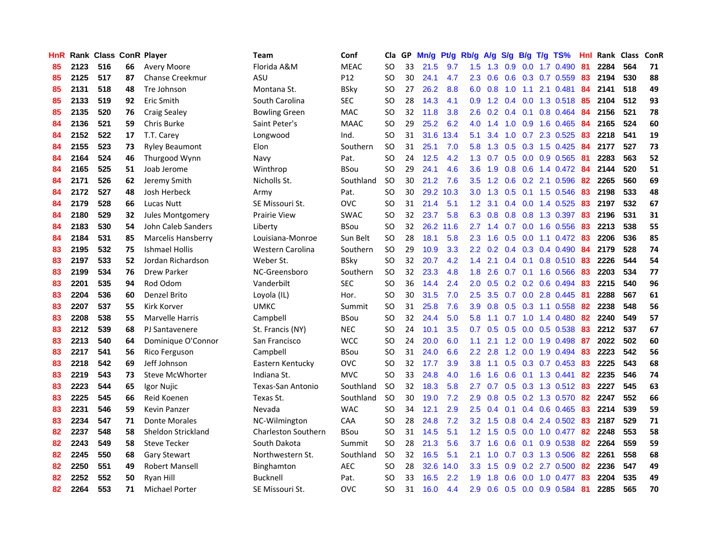| HnR |      | Rank Class ConR Player |    |                           | Team                       | Conf        | Cla       |    | GP Mn/g Pt/g Rb/g A/g |           |                  |                 |               |                 | S/g B/g T/g TS%           | Hnl |      | Rank Class | <b>ConR</b> |
|-----|------|------------------------|----|---------------------------|----------------------------|-------------|-----------|----|-----------------------|-----------|------------------|-----------------|---------------|-----------------|---------------------------|-----|------|------------|-------------|
| 85  | 2123 | 516                    | 66 | <b>Avery Moore</b>        | Florida A&M                | <b>MEAC</b> | SO.       | 33 | 21.5                  | 9.7       | 1.5              | 1.3             | 0.9           | 0.0             | 1.7 0.490                 | 81  | 2284 | 564        | 71          |
| 85  | 2125 | 517                    | 87 | <b>Chanse Creekmur</b>    | ASU                        | P12         | SO.       | 30 | 24.1                  | 4.7       | 2.3              | 0.6             | 0.6           | 0.3             | 0.7 0.559                 | 83  | 2194 | 530        | 88          |
| 85  | 2131 | 518                    | 48 | Tre Johnson               | Montana St.                | <b>BSky</b> | <b>SO</b> | 27 | 26.2                  | 8.8       | 6.0              | 0.8             | 1.0           | 1.1             | 2.1 0.481                 | 84  | 2141 | 518        | 49          |
| 85  | 2133 | 519                    | 92 | <b>Eric Smith</b>         | South Carolina             | <b>SEC</b>  | <b>SO</b> | 28 | 14.3                  | 4.1       | 0.9              |                 |               |                 | 1.2 0.4 0.0 1.3 0.518     | -85 | 2104 | 512        | 93          |
| 85  | 2135 | 520                    | 76 | <b>Craig Sealey</b>       | <b>Bowling Green</b>       | <b>MAC</b>  | SO.       | 32 | 11.8                  | 3.8       | 2.6              |                 | $0.2$ 0.4 0.1 |                 | $0.8$ 0.464               | -84 | 2156 | 521        | 78          |
| 84  | 2136 | 521                    | 59 | <b>Chris Burke</b>        | Saint Peter's              | <b>MAAC</b> | <b>SO</b> | 29 | 25.2                  | 6.2       |                  | $4.0 \quad 1.4$ |               |                 | 1.0 0.9 1.6 0.465         | -84 | 2165 | 524        | 60          |
| 84  | 2152 | 522                    | 17 | T.T. Carey                | Longwood                   | Ind.        | SO.       | 31 |                       | 31.6 13.4 | 5.1              | 3.4             |               |                 | 1.0 0.7 2.3 0.525         | 83  | 2218 | 541        | 19          |
| 84  | 2155 | 523                    | 73 | <b>Ryley Beaumont</b>     | Elon                       | Southern    | <b>SO</b> | 31 | 25.1                  | 7.0       | 5.8              | 1.3             |               |                 | $0.5$ $0.3$ 1.5 $0.425$   | 84  | 2177 | 527        | 73          |
| 84  | 2164 | 524                    | 46 | Thurgood Wynn             | Navy                       | Pat.        | <b>SO</b> | 24 | 12.5                  | 4.2       | 1.3              | 0.7             |               |                 | 0.5 0.0 0.9 0.565         | 81  | 2283 | 563        | 52          |
| 84  | 2165 | 525                    | 51 | Joab Jerome               | Winthrop                   | <b>BSou</b> | <b>SO</b> | 29 | 24.1                  | 4.6       | 3.6              | 1.9             |               |                 | 0.8 0.6 1.4 0.472         | 84  | 2144 | 520        | 51          |
| 84  | 2171 | 526                    | 62 | Jeremy Smith              | Nicholls St.               | Southland   | <b>SO</b> | 30 | 21.2                  | 7.6       | 3.5              | 1.2             |               |                 | $0.6$ $0.2$ 2.1 $0.596$   | 82  | 2265 | 560        | 69          |
| 84  | 2172 | 527                    | 48 | Josh Herbeck              | Army                       | Pat.        | SO.       | 30 |                       | 29.2 10.3 | 3.0 <sub>2</sub> | 1.3             |               |                 | $0.5$ 0.1 1.5 0.546       | 83  | 2198 | 533        | 48          |
| 84  | 2179 | 528                    | 66 | Lucas Nutt                | SE Missouri St.            | <b>OVC</b>  | <b>SO</b> | 31 | 21.4                  | 5.1       | 1.2              | 3.1             |               | $0.4\quad 0.0$  | 1.4 0.525                 | 83  | 2197 | 532        | 67          |
| 84  | 2180 | 529                    | 32 | Jules Montgomery          | <b>Prairie View</b>        | <b>SWAC</b> | <b>SO</b> | 32 | 23.7                  | 5.8       | 6.3              | 0.8             | 0.8           | 0.8             | 1.3 0.397                 | 83  | 2196 | 531        | 31          |
| 84  | 2183 | 530                    | 54 | John Caleb Sanders        | Liberty                    | <b>BSou</b> | <b>SO</b> | 32 |                       | 26.2 11.6 | 2.7              | 1.4             | 0.7           | 0.0             | 1.6 0.556                 | 83  | 2213 | 538        | 55          |
| 84  | 2184 | 531                    | 85 | <b>Marcelis Hansberry</b> | Louisiana-Monroe           | Sun Belt    | <b>SO</b> | 28 | 18.1                  | 5.8       | 2.3              | 1.6             | 0.5           | 0.0             | $1.1 \quad 0.472$         | 83  | 2206 | 536        | 85          |
| 83  | 2195 | 532                    | 75 | <b>Ishmael Hollis</b>     | Western Carolina           | Southern    | <b>SO</b> | 29 | 10.9                  | 3.3       | 2.2 <sub>2</sub> | 0.2             |               | $0.4 \quad 0.3$ | 0.4 0.490                 | -84 | 2179 | 528        | 74          |
| 83  | 2197 | 533                    | 52 | Jordan Richardson         | Weber St.                  | <b>BSky</b> | <b>SO</b> | 32 | 20.7                  | 4.2       |                  | $1.4$ 2.1       |               |                 | $0.4$ 0.1 0.8 0.510 83    |     | 2226 | 544        | 54          |
| 83  | 2199 | 534                    | 76 | <b>Drew Parker</b>        | NC-Greensboro              | Southern    | <b>SO</b> | 32 | 23.3                  | 4.8       | 1.8              | 2.6             |               |                 | 0.7 0.1 1.6 0.566         | -83 | 2203 | 534        | 77          |
| 83  | 2201 | 535                    | 94 | Rod Odom                  | Vanderbilt                 | <b>SEC</b>  | <b>SO</b> | 36 | 14.4                  | 2.4       | 2.0              | 0.5             |               |                 | $0.2$ 0.2 0.6 0.494       | 83  | 2215 | 540        | 96          |
| 83  | 2204 | 536                    | 60 | Denzel Brito              | Loyola (IL)                | Hor.        | SO.       | 30 | 31.5                  | 7.0       | $2.5^{\circ}$    | 3.5             |               |                 | 0.7 0.0 2.8 0.445         | -81 | 2288 | 567        | 61          |
| 83  | 2207 | 537                    | 55 | Kirk Korver               | UMKC                       | Summit      | SO.       | 31 | 25.8                  | 7.6       | 3.9              | 0.8             |               |                 | $0.5$ 0.3 1.1 0.558       | 82  | 2238 | 548        | 56          |
| 83  | 2208 | 538                    | 55 | <b>Marvelle Harris</b>    | Campbell                   | <b>BSou</b> | <b>SO</b> | 32 | 24.4                  | 5.0       | 5.8              | 1.1             |               |                 | 0.7 1.0 1.4 0.480         | 82  | 2240 | 549        | 57          |
| 83  | 2212 | 539                    | 68 | PJ Santavenere            | St. Francis (NY)           | <b>NEC</b>  | <b>SO</b> | 24 | 10.1                  | 3.5       | 0.7              | 0.5             |               |                 | 0.5 0.0 0.5 0.538         | 83  | 2212 | 537        | 67          |
| 83  | 2213 | 540                    | 64 | Dominique O'Connor        | San Francisco              | <b>WCC</b>  | <b>SO</b> | 24 | 20.0                  | 6.0       | 1.1              | 2.1             |               |                 | 1.2 0.0 1.9 0.498         | 87  | 2022 | 502        | 60          |
| 83  | 2217 | 541                    | 56 | Rico Ferguson             | Campbell                   | <b>BSou</b> | SO.       | 31 | 24.0                  | 6.6       | $2.2^{\circ}$    | 2.8             |               | $1.2 \ 0.0$     | 1.9 0.494                 | 83  | 2223 | 542        | 56          |
| 83  | 2218 | 542                    | 69 | Jeff Johnson              | Eastern Kentucky           | <b>OVC</b>  | SO.       | 32 | 17.7                  | 3.9       | 3.8              | 1.1             | 0.5           |                 | $0.3$ 0.7 0.453           | 83  | 2225 | 543        | 68          |
| 83  | 2219 | 543                    | 73 | Steve McWhorter           | Indiana St.                | <b>MVC</b>  | <b>SO</b> | 33 | 24.8                  | 4.0       | 1.6              | 1.6             | 0.6           |                 | $0.1$ 1.3 0.441           | 82  | 2235 | 546        | 74          |
| 83  | 2223 | 544                    | 65 | Igor Nujic                | <b>Texas-San Antonio</b>   | Southland   | <b>SO</b> | 32 | 18.3                  | 5.8       | 2.7              | 0.7             | 0.5           | 0.3             | 1.3 0.512                 | 83  | 2227 | 545        | 63          |
| 83  | 2225 | 545                    | 66 | Reid Koenen               | Texas St.                  | Southland   | <b>SO</b> | 30 | 19.0                  | 7.2       | 2.9              | 0.8             |               |                 | 0.5 0.2 1.3 0.570         | 82  | 2247 | 552        | 66          |
| 83  | 2231 | 546                    | 59 | <b>Kevin Panzer</b>       | Nevada                     | <b>WAC</b>  | <b>SO</b> | 34 | 12.1                  | 2.9       | $2.5\,$          | 0.4             | 0.1           |                 | 0.4 0.6 0.465             | 83  | 2214 | 539        | 59          |
| 83  | 2234 | 547                    | 71 | <b>Donte Morales</b>      | NC-Wilmington              | CAA         | SO.       | 28 | 24.8                  | 7.2       |                  | $3.2 \quad 1.5$ |               |                 | $0.8$ 0.4 2.4 0.502       | 83  | 2187 | 529        | 71          |
| 82  | 2237 | 548                    | 58 | Sheldon Strickland        | <b>Charleston Southern</b> | <b>BSou</b> | <b>SO</b> | 31 | 14.5                  | 5.1       |                  | $1.2 \quad 1.5$ |               |                 | $0.5$ $0.0$ $1.0$ $0.477$ | -82 | 2248 | 553        | 58          |
| 82  | 2243 | 549                    | 58 | <b>Steve Tecker</b>       | South Dakota               | Summit      | <b>SO</b> | 28 | 21.3                  | 5.6       | 3.7 <sup>2</sup> | 1.6             | 0.6           |                 | 0.1 0.9 0.538             | 82  | 2264 | 559        | 59          |
| 82  | 2245 | 550                    | 68 | <b>Gary Stewart</b>       | Northwestern St.           | Southland   | <b>SO</b> | 32 | 16.5                  | 5.1       | 2.1              | 1.0             |               |                 | $0.7$ $0.3$ $1.3$ $0.506$ | 82  | 2261 | 558        | 68          |
| 82  | 2250 | 551                    | 49 | <b>Robert Mansell</b>     | Binghamton                 | <b>AEC</b>  | SO.       | 28 | 32.6                  | 14.0      | 3.3 <sub>2</sub> | 1.5             | 0.9           |                 | 0.2 2.7 0.500             | 82  | 2236 | 547        | 49          |
| 82  | 2252 | 552                    | 50 | Ryan Hill                 | Bucknell                   | Pat.        | <b>SO</b> | 33 | 16.5                  | 2.2       | 1.9              | 1.8             | 0.6           | 0.0             | 1.0 0.477                 | 83  | 2204 | 535        | 49          |
| 82  | 2264 | 553                    | 71 | Michael Porter            | SE Missouri St.            | <b>OVC</b>  | SO.       | 31 | 16.0                  | 4.4       | 2.9              | 0.6             |               |                 | $0.5$ 0.0 0.9 0.584       | -81 | 2285 | 565        | 70          |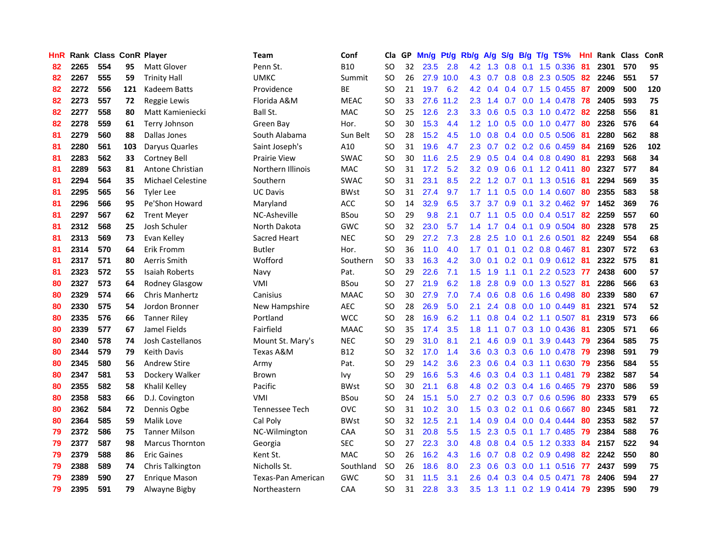| <b>HnR</b> |      | Rank Class ConR Player |     |                          | <b>Team</b>           | Conf        | Cla       |    | GP Mn/g Pt/g Rb/g A/g |           |                  |                 |                  |                 | S/g B/g T/g TS%              | Hnl | Rank Class |     | ConR |
|------------|------|------------------------|-----|--------------------------|-----------------------|-------------|-----------|----|-----------------------|-----------|------------------|-----------------|------------------|-----------------|------------------------------|-----|------------|-----|------|
| 82         | 2265 | 554                    | 95  | Matt Glover              | Penn St.              | <b>B10</b>  | SO.       | 32 | 23.5                  | 2.8       | 4.2              | 1.3             | 0.8              | 0.1             | 1.5 0.336                    | 81  | 2301       | 570 | 95   |
| 82         | 2267 | 555                    | 59  | <b>Trinity Hall</b>      | <b>UMKC</b>           | Summit      | <b>SO</b> | 26 |                       | 27.9 10.0 | 4.3              | 0.7             | 0.8              | 0.8             | 2.3 0.505                    | 82  | 2246       | 551 | 57   |
| 82         | 2272 | 556                    | 121 | <b>Kadeem Batts</b>      | Providence            | ВE          | <b>SO</b> | 21 | 19.7                  | 6.2       | 4.2              | 0.4             |                  |                 | $0.4$ 0.7 1.5 0.455          | -87 | 2009       | 500 | 120  |
| 82         | 2273 | 557                    | 72  | Reggie Lewis             | Florida A&M           | <b>MEAC</b> | SO.       | 33 |                       | 27.6 11.2 | 2.3              | 1.4             |                  |                 | 0.7 0.0 1.4 0.478            | 78  | 2405       | 593 | 75   |
| 82         | 2277 | 558                    | 80  | Matt Kamieniecki         | Ball St.              | <b>MAC</b>  | <b>SO</b> | 25 | 12.6                  | 2.3       |                  | $3.3 \quad 0.6$ |                  |                 | 0.5 0.3 1.0 0.472 82         |     | 2258       | 556 | 81   |
| 82         | 2278 | 559                    | 61  | Terry Johnson            | Green Bav             | Hor.        | SO.       | 30 | 15.3                  | 4.4       |                  | $1.2 \quad 1.0$ |                  |                 | $0.5$ $0.0$ $1.0$ $0.477$    | -80 | 2326       | 576 | 64   |
| 81         | 2279 | 560                    | 88  | Dallas Jones             | South Alabama         | Sun Belt    | <b>SO</b> | 28 | 15.2                  | 4.5       | 1.0 <sub>1</sub> | 0.8             |                  |                 | $0.4$ 0.0 0.5 0.506          | -81 | 2280       | 562 | 88   |
| 81         | 2280 | 561                    | 103 | Daryus Quarles           | Saint Joseph's        | A10         | <b>SO</b> | 31 | 19.6                  | 4.7       | $2.3^{\circ}$    | 0.7             |                  |                 | $0.2$ 0.2 0.6 0.459          | 84  | 2169       | 526 | 102  |
| 81         | 2283 | 562                    | 33  | <b>Cortney Bell</b>      | <b>Prairie View</b>   | <b>SWAC</b> | <b>SO</b> | 30 | 11.6                  | 2.5       | 2.9              | 0.5             |                  |                 | 0.4 0.4 0.8 0.490            | 81  | 2293       | 568 | 34   |
| 81         | 2289 | 563                    | 81  | Antone Christian         | Northern Illinois     | MAC         | <b>SO</b> | 31 | 17.2                  | 5.2       | $3.2\phantom{0}$ | 0.9             | 0.6              |                 | $0.1$ 1.2 0.411              | 80  | 2327       | 577 | 84   |
| 81         | 2294 | 564                    | 35  | <b>Michael Celestine</b> | Southern              | <b>SWAC</b> | SO.       | 31 | 23.1                  | 8.5       | 2.2 <sub>2</sub> | 1.2             | 0.7              |                 | 0.1 1.3 0.516                | -81 | 2294       | 569 | 35   |
| 81         | 2295 | 565                    | 56  | <b>Tyler Lee</b>         | <b>UC Davis</b>       | <b>BWst</b> | <b>SO</b> | 31 | 27.4                  | 9.7       | 1.7              | 1.1             | 0.5              | 0.0             | 1.4 0.607                    | 80  | 2355       | 583 | 58   |
| 81         | 2296 | 566                    | 95  | Pe'Shon Howard           | Maryland              | ACC         | <b>SO</b> | 14 | 32.9                  | 6.5       | 3.7              | 3.7             | 0.9 <sub>0</sub> | 0.1             | 3.2 0.462                    | 97  | 1452       | 369 | 76   |
| 81         | 2297 | 567                    | 62  | <b>Trent Meyer</b>       | NC-Asheville          | <b>BSou</b> | <b>SO</b> | 29 | 9.8                   | 2.1       | 0.7              | 1.1             | 0.5              | 0.0             | $0.4$ 0.517                  | 82  | 2259       | 557 | 60   |
| 81         | 2312 | 568                    | 25  | Josh Schuler             | North Dakota          | <b>GWC</b>  | <b>SO</b> | 32 | 23.0                  | 5.7       | 1.4              | 1.7             | $0.4^{\circ}$    | 0.1             | 0.9 0.504                    | 80  | 2328       | 578 | 25   |
| 81         | 2313 | 569                    | 73  | Evan Kelley              | Sacred Heart          | <b>NEC</b>  | <b>SO</b> | 29 | 27.2                  | 7.3       | 2.8              | 2.5             | 1.0              | 0.1             | 2.6 0.501                    | 82  | 2249       | 554 | 68   |
| 81         | 2314 | 570                    | 64  | Erik Fromm               | <b>Butler</b>         | Hor.        | <b>SO</b> | 36 | 11.0                  | 4.0       | 1.7 <sub>z</sub> | 0.1             |                  |                 | $0.1$ $0.2$ $0.8$ $0.467$ 81 |     | 2307       | 572 | 63   |
| 81         | 2317 | 571                    | 80  | Aerris Smith             | Wofford               | Southern    | <b>SO</b> | 33 | 16.3                  | 4.2       | 3.0              | 0.1             |                  |                 | $0.2$ 0.1 0.9 0.612 81       |     | 2322       | 575 | 81   |
| 81         | 2323 | 572                    | 55  | <b>Isaiah Roberts</b>    | Navy                  | Pat.        | <b>SO</b> | 29 | 22.6                  | 7.1       |                  | $1.5$ 1.9       |                  |                 | 1.1 0.1 2.2 0.523 77         |     | 2438       | 600 | 57   |
| 80         | 2327 | 573                    | 64  | Rodney Glasgow           | VMI                   | <b>BSou</b> | SO.       | 27 | 21.9                  | 6.2       | 1.8              | 2.8             |                  |                 | 0.9 0.0 1.3 0.527            | -81 | 2286       | 566 | 63   |
| 80         | 2329 | 574                    | 66  | Chris Manhertz           | Canisius              | <b>MAAC</b> | <b>SO</b> | 30 | 27.9                  | 7.0       | 7.4              | 0.6             |                  |                 | $0.8$ 0.6 1.6 0.498          | 80  | 2339       | 580 | 67   |
| 80         | 2330 | 575                    | 54  | Jordon Bronner           | New Hampshire         | <b>AEC</b>  | <b>SO</b> | 28 | 26.9                  | 5.0       | 2.1              | 2.4             |                  |                 | $0.8$ 0.0 1.0 0.449          | -81 | 2321       | 574 | 52   |
| 80         | 2335 | 576                    | 66  | <b>Tanner Riley</b>      | Portland              | <b>WCC</b>  | <b>SO</b> | 28 | 16.9                  | 6.2       | 1.1              | 0.8             |                  |                 | $0.4$ 0.2 1.1 0.507          | -81 | 2319       | 573 | 66   |
| 80         | 2339 | 577                    | 67  | Jamel Fields             | Fairfield             | <b>MAAC</b> | <b>SO</b> | 35 | 17.4                  | 3.5       | 1.8              | 1.1             |                  |                 | 0.7 0.3 1.0 0.436            | -81 | 2305       | 571 | 66   |
| 80         | 2340 | 578                    | 74  | Josh Castellanos         | Mount St. Mary's      | <b>NEC</b>  | <b>SO</b> | 29 | 31.0                  | 8.1       | 2.1              | 4.6             | 0.9              | 0.1             | 3.9 0.443                    | -79 | 2364       | 585 | 75   |
| 80         | 2344 | 579                    | 79  | <b>Keith Davis</b>       | Texas A&M             | <b>B12</b>  | SO.       | 32 | 17.0                  | 1.4       | 3.6              | 0.3             |                  | $0.3 \quad 0.6$ | 1.0 0.478                    | -79 | 2398       | 591 | 79   |
| 80         | 2345 | 580                    | 56  | Andrew Stire             | Army                  | Pat.        | <b>SO</b> | 29 | 14.2                  | 3.6       | 2.3              | 0.6             |                  |                 | $0.4$ 0.3 1.1 0.630          | -79 | 2356       | 584 | 55   |
| 80         | 2347 | 581                    | 53  | Dockery Walker           | Brown                 | Ivy         | <b>SO</b> | 29 | 16.6                  | 5.3       | 4.6              | 0.3             |                  |                 | 0.4 0.3 1.1 0.481            | -79 | 2382       | 587 | 54   |
| 80         | 2355 | 582                    | 58  | Khalil Kelley            | Pacific               | <b>BWst</b> | <b>SO</b> | 30 | 21.1                  | 6.8       | 4.8              | 0.2             |                  |                 | $0.3$ $0.4$ 1.6 $0.465$      | -79 | 2370       | 586 | 59   |
| 80         | 2358 | 583                    | 66  | D.J. Covington           | VMI                   | <b>BSou</b> | <b>SO</b> | 24 | 15.1                  | 5.0       | $2.7^{\circ}$    |                 |                  |                 | 0.2 0.3 0.7 0.6 0.596        | 80  | 2333       | 579 | 65   |
| 80         | 2362 | 584                    | 72  | Dennis Ogbe              | <b>Tennessee Tech</b> | <b>OVC</b>  | <b>SO</b> | 31 | 10.2                  | 3.0       | 1.5              | 0.3             |                  | $0.2 \quad 0.1$ | 0.6 0.667                    | 80  | 2345       | 581 | 72   |
| 80         | 2364 | 585                    | 59  | Malik Love               | Cal Poly              | <b>BWst</b> | <b>SO</b> | 32 | 12.5                  | 2.1       |                  | $1.4 \quad 0.9$ |                  |                 | $0.4$ 0.0 0.4 0.444          | 80  | 2353       | 582 | 57   |
| 79         | 2372 | 586                    | 75  | <b>Tanner Milson</b>     | NC-Wilmington         | CAA         | <b>SO</b> | 31 | 20.8                  | 5.5       | 1.5              | 2.3             |                  |                 | 0.5 0.1 1.7 0.485            | -79 | 2384       | 588 | 76   |
| 79         | 2377 | 587                    | 98  | Marcus Thornton          | Georgia               | <b>SEC</b>  | SO.       | 27 | 22.3                  | 3.0       | 4.8              | 0.8             |                  |                 | $0.4$ 0.5 1.2 0.333          | 84  | 2157       | 522 | 94   |
| 79         | 2379 | 588                    | 86  | <b>Eric Gaines</b>       | Kent St.              | <b>MAC</b>  | <b>SO</b> | 26 | 16.2                  | 4.3       | 1.6              | 0.7             |                  |                 | 0.8 0.2 0.9 0.498            | 82  | 2242       | 550 | 80   |
| 79         | 2388 | 589                    | 74  | Chris Talkington         | Nicholls St.          | Southland   | <b>SO</b> | 26 | 18.6                  | 8.0       | $2.3\phantom{0}$ | 0.6             | 0.3              | 0.0             | 1.1 0.516                    | 77  | 2437       | 599 | 75   |
| 79         | 2389 | 590                    | 27  | Enrique Mason            | Texas-Pan American    | <b>GWC</b>  | SO.       | 31 | 11.5                  | 3.1       | 2.6              | 0.4             | 0.3              | 0.4             | $0.5$ 0.471                  | 78  | 2406       | 594 | 27   |
| 79         | 2395 | 591                    | 79  | Alwayne Bigby            | Northeastern          | CAA         | SΟ        | 31 | 22.8                  | 3.3       | 3.5              | 1.3             |                  |                 | 1.1 0.2 1.9 0.414 79         |     | 2395       | 590 | 79   |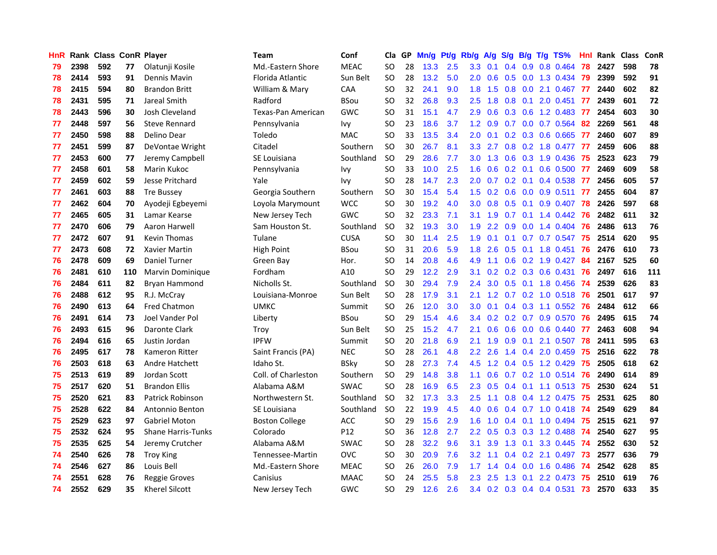| <b>HnR</b> |      | <b>Rank Class ConR Player</b> |     |                           | Team                  | Conf        | Cla       |    | GP Mn/g Pt/g Rb/g A/g |     |                  |                 |               |                 | S/g B/g T/g TS%           | Hnl  | Rank Class |     | <b>ConR</b> |
|------------|------|-------------------------------|-----|---------------------------|-----------------------|-------------|-----------|----|-----------------------|-----|------------------|-----------------|---------------|-----------------|---------------------------|------|------------|-----|-------------|
| 79         | 2398 | 592                           | 77  | Olatunji Kosile           | Md.-Eastern Shore     | <b>MEAC</b> | SO.       | 28 | 13.3                  | 2.5 | 3.3              | 0.1             | $0.4^{\circ}$ | 0.9             | 0.8 0.464                 | 78   | 2427       | 598 | 78          |
| 78         | 2414 | 593                           | 91  | Dennis Mavin              | Florida Atlantic      | Sun Belt    | <b>SO</b> | 28 | 13.2                  | 5.0 | 2.0              | 0.6             | 0.5           | 0.0             | 1.3 0.434                 | -79  | 2399       | 592 | 91          |
| 78         | 2415 | 594                           | 80  | <b>Brandon Britt</b>      | William & Mary        | CAA         | SO.       | 32 | 24.1                  | 9.0 | 1.8              | 1.5             | 0.8           | 0.0             | 2.1 0.467                 | -77  | 2440       | 602 | 82          |
| 78         | 2431 | 595                           | 71  | Jareal Smith              | Radford               | <b>BSou</b> | <b>SO</b> | 32 | 26.8                  | 9.3 | 2.5              | 1.8             | 0.8           | 0.1             | 2.0 0.451                 | -77  | 2439       | 601 | 72          |
| 78         | 2443 | 596                           | 30  | Josh Cleveland            | Texas-Pan American    | <b>GWC</b>  | <b>SO</b> | 31 | 15.1                  | 4.7 | 2.9              | 0.6             |               |                 | 0.3 0.6 1.2 0.483 77      |      | 2454       | 603 | 30          |
| 77         | 2448 | 597                           | 56  | <b>Steve Rennard</b>      | Pennsylvania          | Ivy         | SO.       | 23 | 18.6                  | 3.7 |                  | $1.2 \quad 0.9$ |               |                 | 0.7 0.0 0.7 0.564         | -82  | 2269       | 561 | 48          |
| 77         | 2450 | 598                           | 88  | Delino Dear               | Toledo                | <b>MAC</b>  | <b>SO</b> | 33 | 13.5                  | 3.4 | $2.0^{\circ}$    | 0.1             |               |                 | 0.2 0.3 0.6 0.665 77      |      | 2460       | 607 | 89          |
| 77         | 2451 | 599                           | 87  | DeVontae Wright           | Citadel               | Southern    | <b>SO</b> | 30 | 26.7                  | 8.1 | 3.3 <sub>l</sub> | 2.7             |               |                 | 0.8 0.2 1.8 0.477 77      |      | 2459       | 606 | 88          |
| 77         | 2453 | 600                           | 77  | Jeremy Campbell           | SE Louisiana          | Southland   | <b>SO</b> | 29 | 28.6                  | 7.7 | 3.0 <sub>1</sub> | 1.3             |               |                 | 0.6 0.3 1.9 0.436         | 75   | 2523       | 623 | 79          |
| 77         | 2458 | 601                           | 58  | Marin Kukoc               | Pennsylvania          | Ivy         | <b>SO</b> | 33 | 10.0                  | 2.5 | 1.6              | 0.6             |               | $0.2 \quad 0.1$ | $0.6$ 0.500               | -77  | 2469       | 609 | 58          |
| 77         | 2459 | 602                           | 59  | Jesse Pritchard           | Yale                  | <b>Ivy</b>  | <b>SO</b> | 28 | 14.7                  | 2.3 | 2.0              | 0.7             |               | $0.2 \quad 0.1$ | 0.4 0.538                 | -77  | 2456       | 605 | 57          |
| 77         | 2461 | 603                           | 88  | <b>Tre Bussey</b>         | Georgia Southern      | Southern    | <b>SO</b> | 30 | 15.4                  | 5.4 | 1.5              | 0.2             |               |                 | 0.6 0.0 0.9 0.511         | 77   | 2455       | 604 | 87          |
| 77         | 2462 | 604                           | 70  | Ayodeji Egbeyemi          | Loyola Marymount      | <b>WCC</b>  | SO.       | 30 | 19.2                  | 4.0 | 3.0              | 0.8             | 0.5           | 0.1             | 0.9 0.407                 | 78   | 2426       | 597 | 68          |
| 77         | 2465 | 605                           | 31  | Lamar Kearse              | New Jersey Tech       | GWC         | <b>SO</b> | 32 | 23.3                  | 7.1 | 3.1              | 1.9             | 0.7           | 0.1             | 1.4 0.442                 | -76  | 2482       | 611 | 32          |
| 77         | 2470 | 606                           | 79  | Aaron Harwell             | Sam Houston St.       | Southland   | <b>SO</b> | 32 | 19.3                  | 3.0 | 1.9              | 2.2             | 0.9           | 0.0             | 1.4 0.404                 | 76   | 2486       | 613 | 76          |
| 77         | 2472 | 607                           | 91  | <b>Kevin Thomas</b>       | Tulane                | <b>CUSA</b> | SO.       | 30 | 11.4                  | 2.5 | 1.9              | 0.1             | 0.1           |                 | 0.7 0.7 0.547             | -75  | 2514       | 620 | 95          |
| 77         | 2473 | 608                           | 72  | Xavier Martin             | <b>High Point</b>     | <b>BSou</b> | <b>SO</b> | 31 | 20.6                  | 5.9 | 1.8              | 2.6             |               | $0.5 \quad 0.1$ | 1.8 0.451                 | 76   | 2476       | 610 | 73          |
| 76         | 2478 | 609                           | 69  | Daniel Turner             | Green Bay             | Hor.        | <b>SO</b> | 14 | 20.8                  | 4.6 | 4.9              | 1.1             |               |                 | $0.6$ $0.2$ 1.9 $0.427$   | -84  | 2167       | 525 | 60          |
| 76         | 2481 | 610                           | 110 | Marvin Dominique          | Fordham               | A10         | SO.       | 29 | 12.2                  | 2.9 | 3.1              | 0.2             |               |                 | 0.2 0.3 0.6 0.431         | - 76 | 2497       | 616 | 111         |
| 76         | 2484 | 611                           | 82  | Bryan Hammond             | Nicholls St.          | Southland   | <b>SO</b> | 30 | 29.4                  | 7.9 | 2.4              | 3.0             |               |                 | 0.5 0.1 1.8 0.456 74      |      | 2539       | 626 | 83          |
| 76         | 2488 | 612                           | 95  | R.J. McCray               | Louisiana-Monroe      | Sun Belt    | <b>SO</b> | 28 | 17.9                  | 3.1 | 2.1              | 1.2             |               |                 | 0.7 0.2 1.0 0.518 76      |      | 2501       | 617 | 97          |
| 76         | 2490 | 613                           | 64  | <b>Fred Chatmon</b>       | <b>UMKC</b>           | Summit      | <b>SO</b> | 26 | 12.0                  | 3.0 | 3.0 <sub>2</sub> | 0.1             |               |                 | 0.4 0.3 1.1 0.552 76      |      | 2484       | 612 | 66          |
| 76         | 2491 | 614                           | 73  | Joel Vander Pol           | Liberty               | BSou        | SO.       | 29 | 15.4                  | 4.6 | 3.4              | 0.2             |               |                 | $0.2$ 0.7 0.9 0.570       | 76   | 2495       | 615 | 74          |
| 76         | 2493 | 615                           | 96  | Daronte Clark             | Troy                  | Sun Belt    | <b>SO</b> | 25 | 15.2                  | 4.7 | 2.1              | 0.6             |               |                 | $0.6$ $0.0$ $0.6$ $0.440$ | -77  | 2463       | 608 | 94          |
| 76         | 2494 | 616                           | 65  | Justin Jordan             | <b>IPFW</b>           | Summit      | <b>SO</b> | 20 | 21.8                  | 6.9 | 2.1              | 1.9             | 0.9           | 0.1             | 2.1 0.507                 | 78   | 2411       | 595 | 63          |
| 76         | 2495 | 617                           | 78  | Kameron Ritter            | Saint Francis (PA)    | <b>NEC</b>  | <b>SO</b> | 28 | 26.1                  | 4.8 | $2.2^{\circ}$    | 2.6             |               |                 | 1.4 0.4 2.0 0.459         | 75   | 2516       | 622 | 78          |
| 76         | 2503 | 618                           | 63  | Andre Hatchett            | Idaho St.             | <b>BSky</b> | <b>SO</b> | 28 | 27.3                  | 7.4 | 4.5              | 1.2             |               |                 | 0.4 0.5 1.2 0.429         | 75   | 2505       | 618 | 62          |
| 75         | 2513 | 619                           | 89  | Jordan Scott              | Coll. of Charleston   | Southern    | <b>SO</b> | 29 | 14.8                  | 3.8 | 1.1              | 0.6             |               |                 | $0.7$ $0.2$ 1.0 $0.514$   | -76  | 2490       | 614 | 89          |
| 75         | 2517 | 620                           | 51  | <b>Brandon Ellis</b>      | Alabama A&M           | <b>SWAC</b> | <b>SO</b> | 28 | 16.9                  | 6.5 | 2.3              | 0.5             |               |                 | $0.4$ 0.1 1.1 0.513       | 75   | 2530       | 624 | 51          |
| 75         | 2520 | 621                           | 83  | <b>Patrick Robinson</b>   | Northwestern St.      | Southland   | <b>SO</b> | 32 | 17.3                  | 3.3 | 2.5              | 1.1             |               |                 | 0.8 0.4 1.2 0.475         | 75   | 2531       | 625 | 80          |
| 75         | 2528 | 622                           | 84  | Antonnio Benton           | SE Louisiana          | Southland   | SO.       | 22 | 19.9                  | 4.5 | 4.0              | 0.6             |               |                 | $0.4$ 0.7 1.0 0.418       | 74   | 2549       | 629 | 84          |
| 75         | 2529 | 623                           | 97  | Gabriel Moton             | <b>Boston College</b> | ACC         | <b>SO</b> | 29 | 15.6                  | 2.9 | 1.6              | 1.0             |               |                 | $0.4$ 0.1 1.0 0.494       | -75  | 2515       | 621 | 97          |
| 75         | 2532 | 624                           | 95  | <b>Shane Harris-Tunks</b> | Colorado              | P12         | SO.       | 36 | 12.8                  | 2.7 |                  | $2.2 \quad 0.5$ |               |                 | 0.3 0.3 1.2 0.488         | -74  | 2540       | 627 | 95          |
| 75         | 2535 | 625                           | 54  | Jeremy Crutcher           | Alabama A&M           | <b>SWAC</b> | <b>SO</b> | 28 | 32.2                  | 9.6 | 3.1              | 3.9             |               | $1.3 \quad 0.1$ | 3.3 0.445                 | -74  | 2552       | 630 | 52          |
| 74         | 2540 | 626                           | 78  | <b>Troy King</b>          | Tennessee-Martin      | <b>OVC</b>  | <b>SO</b> | 30 | 20.9                  | 7.6 | 3.2 <sub>2</sub> | 1.1             |               |                 | $0.4$ 0.2 2.1 0.497       | 73   | 2577       | 636 | 79          |
| 74         | 2546 | 627                           | 86  | Louis Bell                | Md.-Eastern Shore     | <b>MEAC</b> | <b>SO</b> | 26 | 26.0                  | 7.9 | 1.7 <sub>z</sub> | 1.4             |               | $0.4\quad 0.0$  | 1.6 0.486                 | 74   | 2542       | 628 | 85          |
| 74         | 2551 | 628                           | 76  | Reggie Groves             | Canisius              | <b>MAAC</b> | <b>SO</b> | 24 | 25.5                  | 5.8 | $2.3\phantom{0}$ | 2.5             | 1.3           | 0.1             | 2.2 0.473                 | 75   | 2510       | 619 | 76          |
| 74         | 2552 | 629                           | 35  | <b>Kherel Silcott</b>     | New Jersey Tech       | <b>GWC</b>  | <b>SO</b> | 29 | 12.6                  | 2.6 |                  |                 |               |                 | 3.4 0.2 0.3 0.4 0.4 0.531 | - 73 | 2570       | 633 | 35          |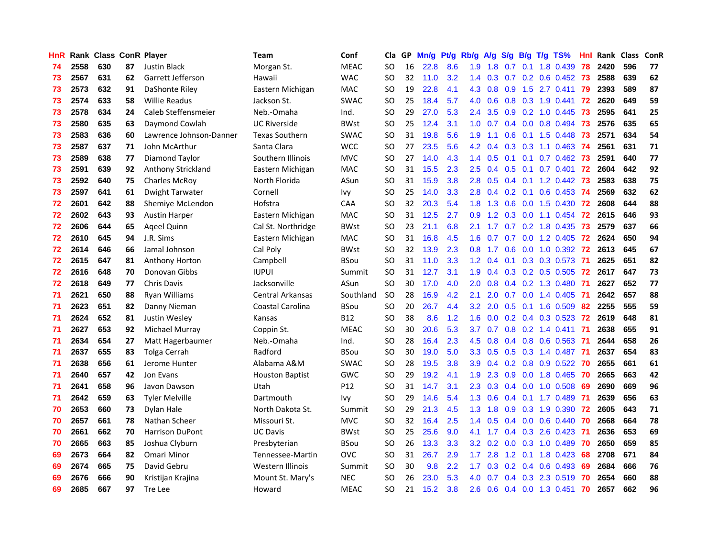| HnR |      | Rank Class ConR Player |    |                           | <b>Team</b>             | Conf        | Cla           |    | GP Mn/g Pt/g Rb/g A/g S/g B/g T/g TS% |     |                  |                 |               |                 |                           | Hnl | Rank Class |     | ConR |
|-----|------|------------------------|----|---------------------------|-------------------------|-------------|---------------|----|---------------------------------------|-----|------------------|-----------------|---------------|-----------------|---------------------------|-----|------------|-----|------|
| 74  | 2558 | 630                    | 87 | <b>Justin Black</b>       | Morgan St.              | <b>MEAC</b> | <b>SO</b>     | 16 | 22.8                                  | 8.6 | 1.9              | 1.8             | 0.7           | 0.1             | 1.8 0.439                 | 78  | 2420       | 596 | 77   |
| 73  | 2567 | 631                    | 62 | Garrett Jefferson         | Hawaii                  | <b>WAC</b>  | <b>SO</b>     | 32 | 11.0                                  | 3.2 | 1.4              | 0.3             | 0.7           |                 | $0.2$ 0.6 0.452           | -73 | 2588       | 639 | 62   |
| 73  | 2573 | 632                    | 91 | DaShonte Riley            | Eastern Michigan        | <b>MAC</b>  | <b>SO</b>     | 19 | 22.8                                  | 4.1 | 4.3              | 0.8             | 0.9           | 1.5             | 2.7 0.411                 | 79  | 2393       | 589 | 87   |
| 73  | 2574 | 633                    | 58 | <b>Willie Readus</b>      | Jackson St.             | <b>SWAC</b> | <b>SO</b>     | 25 | 18.4                                  | 5.7 | 4.0              | 0.6             |               |                 | 0.8 0.3 1.9 0.441 72      |     | 2620       | 649 | 59   |
| 73  | 2578 | 634                    | 24 | Caleb Steffensmeier       | Neb.-Omaha              | Ind.        | <b>SO</b>     | 29 | 27.0                                  | 5.3 | $2.4^{\circ}$    | 3.5             |               |                 | 0.9 0.2 1.0 0.445         | 73  | 2595       | 641 | 25   |
| 73  | 2580 | 635                    | 63 | Daymond Cowlah            | <b>UC Riverside</b>     | <b>BWst</b> | SO.           | 25 | 12.4                                  | 3.1 | 1.0 <sub>1</sub> | 0.7             |               |                 | $0.4$ 0.0 0.8 0.494       | -73 | 2576       | 635 | 65   |
| 73  | 2583 | 636                    | 60 | Lawrence Johnson-Danner   | <b>Texas Southern</b>   | <b>SWAC</b> | <b>SO</b>     | 31 | 19.8                                  | 5.6 | 1.9              | 1.1             |               |                 | $0.6$ 0.1 1.5 0.448       | 73  | 2571       | 634 | 54   |
| 73  | 2587 | 637                    | 71 | John McArthur             | Santa Clara             | <b>WCC</b>  | <b>SO</b>     | 27 | 23.5                                  | 5.6 | 4.2              | 0.4             |               |                 | $0.3$ $0.3$ 1.1 $0.463$   | -74 | 2561       | 631 | 71   |
| 73  | 2589 | 638                    | 77 | Diamond Taylor            | Southern Illinois       | <b>MVC</b>  | <b>SO</b>     | 27 | 14.0                                  | 4.3 | 1.4              | 0.5             | 0.1           | 0.1             | $0.7$ $0.462$             | 73  | 2591       | 640 | 77   |
| 73  | 2591 | 639                    | 92 | <b>Anthony Strickland</b> | Eastern Michigan        | MAC         | <b>SO</b>     | 31 | 15.5                                  | 2.3 | 2.5              | 0.4             | 0.5           | 0.1             | $0.7$ $0.401$             | 72  | 2604       | 642 | 92   |
| 73  | 2592 | 640                    | 75 | <b>Charles McRoy</b>      | North Florida           | ASun        | <b>SO</b>     | 31 | 15.9                                  | 3.8 | 2.8              | 0.5             |               |                 | 0.4 0.1 1.2 0.442         | 73  | 2583       | 638 | 75   |
| 73  | 2597 | 641                    | 61 | Dwight Tarwater           | Cornell                 | lvy         | <b>SO</b>     | 25 | 14.0                                  | 3.3 | 2.8              | 0.4             | 0.2           | 0.1             | $0.6$ 0.453               | -74 | 2569       | 632 | 62   |
| 72  | 2601 | 642                    | 88 | Shemiye McLendon          | Hofstra                 | CAA         | <b>SO</b>     | 32 | 20.3                                  | 5.4 | 1.8              | 1.3             | 0.6           | 0.0             | 1.5 0.430                 | -72 | 2608       | 644 | 88   |
| 72  | 2602 | 643                    | 93 | <b>Austin Harper</b>      | Eastern Michigan        | MAC         | <b>SO</b>     | 31 | $12.5$                                | 2.7 | 0.9              | 1.2             | 0.3           | 0.0             | $1.1 \quad 0.454$         | 72  | 2615       | 646 | 93   |
| 72  | 2606 | 644                    | 65 | Ageel Quinn               | Cal St. Northridge      | <b>BWst</b> | <b>SO</b>     | 23 | 21.1                                  | 6.8 | 2.1              | 1.7             | 0.7           | 0.2             | 1.8 0.435                 | 73  | 2579       | 637 | 66   |
| 72  | 2610 | 645                    | 94 | J.R. Sims                 | Eastern Michigan        | <b>MAC</b>  | <b>SO</b>     | 31 | 16.8                                  | 4.5 | 1.6              | 0.7             | 0.7           | 0.0             | 1.2 0.405                 | 72  | 2624       | 650 | 94   |
| 72  | 2614 | 646                    | 66 | Jamal Johnson             | Cal Poly                | <b>BWst</b> | <b>SO</b>     | 32 | 13.9                                  | 2.3 | $0.8\,$          | 1.7             |               |                 | 0.6 0.0 1.0 0.392 72      |     | 2613       | 645 | 67   |
| 72  | 2615 | 647                    | 81 | Anthony Horton            | Campbell                | <b>BSou</b> | <b>SO</b>     | 31 | 11.0                                  | 3.3 |                  | $1.2 \quad 0.4$ |               |                 | 0.1 0.3 0.3 0.573 71      |     | 2625       | 651 | 82   |
| 72. | 2616 | 648                    | 70 | Donovan Gibbs             | <b>IUPUI</b>            | Summit      | <b>SO</b>     | 31 | 12.7                                  | 3.1 |                  | $1.9 \quad 0.4$ |               |                 | 0.3 0.2 0.5 0.505 72      |     | 2617       | 647 | 73   |
| 72  | 2618 | 649                    | 77 | <b>Chris Davis</b>        | Jacksonville            | ASun        | <b>SO</b>     | 30 | 17.0                                  | 4.0 | $2.0^{\circ}$    | 0.8             |               |                 | 0.4 0.2 1.3 0.480 71      |     | 2627       | 652 | 77   |
| 71  | 2621 | 650                    | 88 | Ryan Williams             | <b>Central Arkansas</b> | Southland   | <b>SO</b>     | 28 | 16.9                                  | 4.2 | 2.1              | 2.0             |               |                 | $0.7$ $0.0$ 1.4 $0.405$   | -71 | 2642       | 657 | 88   |
| 71  | 2623 | 651                    | 82 | Danny Nieman              | Coastal Carolina        | <b>BSou</b> | <b>SO</b>     | 20 | 26.7                                  | 4.4 | 3.2 <sub>2</sub> | 2.0             |               |                 | $0.5$ 0.1 1.6 0.509       | 82  | 2255       | 555 | 59   |
| 71  | 2624 | 652                    | 81 | Justin Wesley             | Kansas                  | <b>B12</b>  | <b>SO</b>     | 38 | 8.6                                   | 1.2 | 1.6              | 0.0             |               |                 | 0.2 0.4 0.3 0.523         | 72  | 2619       | 648 | 81   |
| 71  | 2627 | 653                    | 92 | Michael Murray            | Coppin St.              | <b>MEAC</b> | <b>SO</b>     | 30 | 20.6                                  | 5.3 | 3.7              | 0.7             |               |                 | $0.8$ 0.2 1.4 0.411       | -71 | 2638       | 655 | 91   |
| 71  | 2634 | 654                    | 27 | Matt Hagerbaumer          | Neb.-Omaha              | Ind.        | <b>SO</b>     | 28 | 16.4                                  | 2.3 | 4.5              | 0.8             |               |                 | $0.4$ 0.8 0.6 0.563       | -71 | 2644       | 658 | 26   |
| 71  | 2637 | 655                    | 83 | Tolga Cerrah              | Radford                 | <b>BSou</b> | <b>SO</b>     | 30 | 19.0                                  | 5.0 | 3.3              | 0.5             | 0.5           | 0.3             | 1.4 0.487                 | -71 | 2637       | 654 | 83   |
| 71  | 2638 | 656                    | 61 | Jerome Hunter             | Alabama A&M             | <b>SWAC</b> | <b>SO</b>     | 28 | 19.5                                  | 3.8 | 3.9              | 0.4             |               | $0.2 \quad 0.8$ | 0.9 0.522                 | -70 | 2655       | 661 | 61   |
| 71  | 2640 | 657                    | 42 | Jon Evans                 | <b>Houston Baptist</b>  | <b>GWC</b>  | <b>SO</b>     | 29 | 19.2                                  | 4.1 | 1.9              | 2.3             | 0.9           | 0.0             | 1.8 0.465                 | -70 | 2665       | 663 | 42   |
| 71  | 2641 | 658                    | 96 | Javon Dawson              | Utah                    | P12         | <b>SO</b>     | 31 | 14.7                                  | 3.1 | 2.3              | 0.3             |               | $0.4\quad 0.0$  | 1.0 0.508                 | 69  | 2690       | 669 | 96   |
| 71  | 2642 | 659                    | 63 | <b>Tyler Melville</b>     | Dartmouth               | Ivy         | <b>SO</b>     | 29 | 14.6                                  | 5.4 | 1.3              | 0.6             |               |                 | $0.4$ 0.1 1.7 0.489       | -71 | 2639       | 656 | 63   |
| 70  | 2653 | 660                    | 73 | Dylan Hale                | North Dakota St.        | Summit      | <b>SO</b>     | 29 | 21.3                                  | 4.5 | 1.3              | 1.8             |               |                 | $0.9$ $0.3$ $1.9$ $0.390$ | 72  | 2605       | 643 | 71   |
| 70  | 2657 | 661                    | 78 | Nathan Scheer             | Missouri St.            | <b>MVC</b>  | <b>SO</b>     | 32 | 16.4                                  | 2.5 |                  | $1.4 \quad 0.5$ |               |                 | $0.4$ 0.0 0.6 0.440       | -70 | 2668       | 664 | 78   |
| 70  | 2661 | 662                    | 70 | Harrison DuPont           | <b>UC Davis</b>         | <b>BWst</b> | <b>SO</b>     | 25 | 25.6                                  | 9.0 | 4.1              | 1.7             |               |                 | 0.4 0.3 2.6 0.423         | -71 | 2636       | 653 | 69   |
| 70  | 2665 | 663                    | 85 | Joshua Clyburn            | Presbyterian            | <b>BSou</b> | <b>SO</b>     | 26 | 13.3                                  | 3.3 | 3.2 <sub>2</sub> | 0.2             |               |                 | $0.0$ $0.3$ $1.0$ $0.489$ | 70  | 2650       | 659 | 85   |
| 69  | 2673 | 664                    | 82 | Omari Minor               | Tennessee-Martin        | <b>OVC</b>  | <sub>SO</sub> | 31 | 26.7                                  | 2.9 | 1.7 <sub>z</sub> | 2.8             |               |                 | 1.2 0.1 1.8 0.423         | 68  | 2708       | 671 | 84   |
| 69  | 2674 | 665                    | 75 | David Gebru               | Western Illinois        | Summit      | <b>SO</b>     | 30 | 9.8                                   | 2.2 | 1.7              | 0.3             |               | $0.2 \quad 0.4$ | 0.6 0.493                 | 69  | 2684       | 666 | 76   |
| 69  | 2676 | 666                    | 90 | Kristijan Krajina         | Mount St. Mary's        | <b>NEC</b>  | <b>SO</b>     | 26 | 23.0                                  | 5.3 | 4.0              | 0.7             | $0.4^{\circ}$ |                 | 0.3 2.3 0.519             | 70  | 2654       | 660 | 88   |
| 69  | 2685 | 667                    | 97 | <b>Tre Lee</b>            | Howard                  | <b>MEAC</b> | SO            | 21 | 15.2                                  | 3.8 | 2.6              | 0.6             |               |                 | 0.4 0.0 1.3 0.451         | 70  | 2657       | 662 | 96   |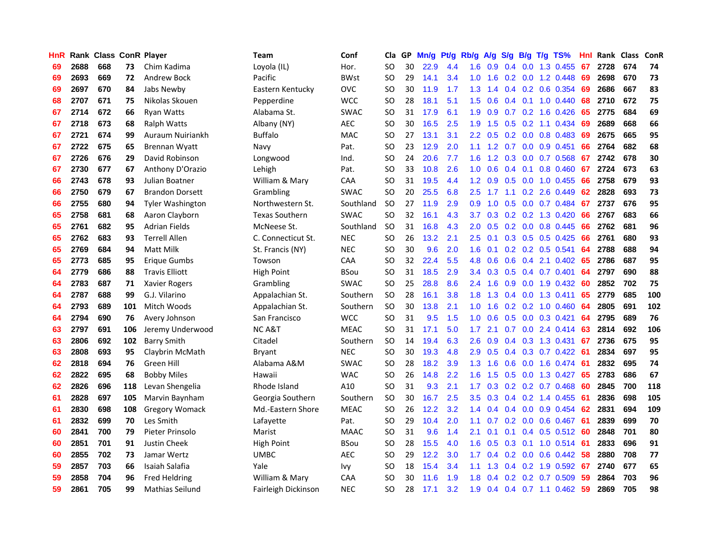| <b>HnR</b> |      |     |     | Rank Class ConR Player  | Team                  | Conf        | Cla       |    | GP Mn/g | Pt/g | Rb/g             | A/g             |     |                 | S/g B/g T/g TS%           | Hnl | Rank Class |     | ConR |
|------------|------|-----|-----|-------------------------|-----------------------|-------------|-----------|----|---------|------|------------------|-----------------|-----|-----------------|---------------------------|-----|------------|-----|------|
| 69         | 2688 | 668 | 73  | Chim Kadima             | Loyola (IL)           | Hor.        | SO        | 30 | 22.9    | 4.4  | 1.6              | 0.9             | 0.4 | 0.0             | 1.3 0.455                 | 67  | 2728       | 674 | 74   |
| 69         | 2693 | 669 | 72  | Andrew Bock             | Pacific               | <b>BWst</b> | SO.       | 29 | 14.1    | 3.4  | 1.0              | 1.6             | 0.2 | 0.0             | 1.2 0.448                 | 69  | 2698       | 670 | 73   |
| 69         | 2697 | 670 | 84  | Jabs Newby              | Eastern Kentucky      | <b>OVC</b>  | <b>SO</b> | 30 | 11.9    | 1.7  | 1.3 <sub>1</sub> | 1.4             |     | $0.4 \quad 0.2$ | 0.6 0.354                 | -69 | 2686       | 667 | 83   |
| 68         | 2707 | 671 | 75  | Nikolas Skouen          | Pepperdine            | <b>WCC</b>  | <b>SO</b> | 28 | 18.1    | 5.1  | 1.5              | 0.6             |     |                 | 0.4 0.1 1.0 0.440         | 68  | 2710       | 672 | 75   |
| 67         | 2714 | 672 | 66  | <b>Ryan Watts</b>       | Alabama St.           | <b>SWAC</b> | SO.       | 31 | 17.9    | 6.1  | 1.9              | 0.9             |     |                 | $0.7$ $0.2$ 1.6 $0.426$   | -65 | 2775       | 684 | 69   |
| 67         | 2718 | 673 | 68  | <b>Ralph Watts</b>      | Albany (NY)           | AEC         | SO.       | 30 | 16.5    | 2.5  | 1.9              | 1.5             |     |                 | $0.5$ $0.2$ 1.1 $0.434$   | 69  | 2689       | 668 | 66   |
| 67         | 2721 | 674 | 99  | Auraum Nuiriankh        | <b>Buffalo</b>        | <b>MAC</b>  | <b>SO</b> | 27 | 13.1    | 3.1  | $2.2^{\circ}$    | 0.5             |     |                 | $0.2$ 0.0 0.8 0.483       | 69  | 2675       | 665 | 95   |
| 67         | 2722 | 675 | 65  | <b>Brennan Wyatt</b>    | Navy                  | Pat.        | SO.       | 23 | 12.9    | 2.0  | 1.1              | 1.2             | 0.7 |                 | $0.0$ $0.9$ $0.451$       | 66  | 2764       | 682 | 68   |
| 67         | 2726 | 676 | 29  | David Robinson          | Longwood              | Ind.        | <b>SO</b> | 24 | 20.6    | 7.7  | 1.6              | 1.2             |     |                 | 0.3 0.0 0.7 0.568         | 67  | 2742       | 678 | 30   |
| 67         | 2730 | 677 | 67  | Anthony D'Orazio        | Lehigh                | Pat.        | SO.       | 33 | 10.8    | 2.6  | 1.0              | 0.6             |     | $0.4 \quad 0.1$ | 0.8 0.460                 | 67  | 2724       | 673 | 63   |
| 66         | 2743 | 678 | 93  | Julian Boatner          | William & Mary        | CAA         | SO.       | 31 | 19.5    | 4.4  | 1.2 <sub>1</sub> | 0.9             |     |                 | 0.5 0.0 1.0 0.455         | 66  | 2758       | 679 | 93   |
| 66         | 2750 | 679 | 67  | <b>Brandon Dorsett</b>  | Grambling             | <b>SWAC</b> | <b>SO</b> | 20 | 25.5    | 6.8  | 2.5              | 1.7             | 1.1 | 0.2             | 2.6 0.449                 | 62  | 2828       | 693 | 73   |
| 66         | 2755 | 680 | 94  | <b>Tyler Washington</b> | Northwestern St.      | Southland   | <b>SO</b> | 27 | 11.9    | 2.9  | 0.9              | 1.0             | 0.5 | 0.0             | 0.7 0.484                 | 67  | 2737       | 676 | 95   |
| 65         | 2758 | 681 | 68  | Aaron Clayborn          | <b>Texas Southern</b> | <b>SWAC</b> | SO.       | 32 | 16.1    | 4.3  | 3.7              | 0.3             | 0.2 |                 | $0.2$ 1.3 0.420           | 66  | 2767       | 683 | 66   |
| 65         | 2761 | 682 | 95  | <b>Adrian Fields</b>    | McNeese St.           | Southland   | <b>SO</b> | 31 | 16.8    | 4.3  | 2.0              | 0.5             | 0.2 | 0.0             | 0.8 0.445                 | 66  | 2762       | 681 | 96   |
| 65         | 2762 | 683 | 93  | <b>Terrell Allen</b>    | C. Connecticut St.    | <b>NEC</b>  | <b>SO</b> | 26 | 13.2    | 2.1  | 2.5              | 0.1             |     | $0.3 \quad 0.5$ | $0.5$ 0.425               | 66  | 2761       | 680 | 93   |
| 65         | 2769 | 684 | 94  | Matt Milk               | St. Francis (NY)      | <b>NEC</b>  | <b>SO</b> | 30 | 9.6     | 2.0  | 1.6              | 0.1             |     |                 | $0.2$ 0.2 0.5 0.541       | 64  | 2788       | 688 | 94   |
| 65         | 2773 | 685 | 95  | <b>Erique Gumbs</b>     | Towson                | CAA         | <b>SO</b> | 32 | 22.4    | 5.5  | 4.8              | 0.6             |     |                 | $0.6$ $0.4$ 2.1 $0.402$   | 65  | 2786       | 687 | 95   |
| 64         | 2779 | 686 | 88  | <b>Travis Elliott</b>   | High Point            | <b>BSou</b> | SO.       | 31 | 18.5    | 2.9  |                  | $3.4 \quad 0.3$ |     |                 | 0.5 0.4 0.7 0.401         | -64 | 2797       | 690 | 88   |
| 64         | 2783 | 687 | 71  | Xavier Rogers           | Grambling             | <b>SWAC</b> | SO.       | 25 | 28.8    | 8.6  |                  | $2.4$ 1.6       |     |                 | $0.9$ $0.0$ 1.9 $0.432$   | -60 | 2852       | 702 | 75   |
| 64         | 2787 | 688 | 99  | G.J. Vilarino           | Appalachian St.       | Southern    | <b>SO</b> | 28 | 16.1    | 3.8  |                  | $1.8$ 1.3       |     |                 | $0.4$ 0.0 1.3 0.411       | 65  | 2779       | 685 | 100  |
| 64         | 2793 | 689 | 101 | Mitch Woods             | Appalachian St.       | Southern    | <b>SO</b> | 30 | 13.8    | 2.1  | 1.0 <sub>1</sub> | 1.6             |     |                 | $0.2$ 0.2 1.0 0.460       | 64  | 2805       | 691 | 102  |
| 64         | 2794 | 690 | 76  | Avery Johnson           | San Francisco         | <b>WCC</b>  | <b>SO</b> | 31 | 9.5     | 1.5  | 1.0              | 0.6             |     |                 | $0.5$ 0.0 0.3 0.421       | 64  | 2795       | 689 | 76   |
| 63         | 2797 | 691 | 106 | Jeremy Underwood        | <b>NCA&amp;T</b>      | <b>MEAC</b> | SO.       | 31 | 17.1    | 5.0  | 1.7 <sup>2</sup> | 2.1             |     |                 | $0.7$ $0.0$ 2.4 $0.414$   | 63  | 2814       | 692 | 106  |
| 63         | 2806 | 692 | 102 | <b>Barry Smith</b>      | Citadel               | Southern    | <b>SO</b> | 14 | 19.4    | 6.3  | 2.6              | 0.9             |     |                 | 0.4 0.3 1.3 0.431         | -67 | 2736       | 675 | 95   |
| 63         | 2808 | 693 | 95  | Claybrin McMath         | Bryant                | <b>NEC</b>  | <b>SO</b> | 30 | 19.3    | 4.8  | 2.9              | 0.5             |     |                 | $0.4$ 0.3 0.7 0.422       | -61 | 2834       | 697 | 95   |
| 62         | 2818 | 694 | 76  | Green Hill              | Alabama A&M           | <b>SWAC</b> | SO.       | 28 | 18.2    | 3.9  | 1.3              | 1.6             | 0.6 | 0.0             | 1.6 0.474                 | -61 | 2832       | 695 | 74   |
| 62         | 2822 | 695 | 68  | <b>Bobby Miles</b>      | Hawaii                | <b>WAC</b>  | SO.       | 26 | 14.8    | 2.2  | 1.6              | 1.5             | 0.5 | 0.0             | 1.3 0.427                 | 65  | 2783       | 686 | 67   |
| 62         | 2826 | 696 | 118 | Levan Shengelia         | Rhode Island          | A10         | SO.       | 31 | 9.3     | 2.1  | 1.7 <sup>2</sup> | 0.3             |     |                 | $0.2$ $0.2$ $0.7$ $0.468$ | 60  | 2845       | 700 | 118  |
| 61         | 2828 | 697 | 105 | Marvin Baynham          | Georgia Southern      | Southern    | <b>SO</b> | 30 | 16.7    | 2.5  | 3.5              | 0.3             |     |                 | $0.4$ 0.2 1.4 0.455       | -61 | 2836       | 698 | 105  |
| 61         | 2830 | 698 | 108 | <b>Gregory Womack</b>   | Md.-Eastern Shore     | <b>MEAC</b> | <b>SO</b> | 26 | 12.2    | 3.2  | $1.4^{\circ}$    | 0.4             |     |                 | $0.4$ 0.0 0.9 0.454       | 62  | 2831       | 694 | 109  |
| 61         | 2832 | 699 | 70  | Les Smith               | Lafayette             | Pat.        | SO        | 29 | 10.4    | 2.0  | 1.1              | 0.7             |     |                 | $0.2$ 0.0 0.6 0.467       | -61 | 2839       | 699 | 70   |
| 60         | 2841 | 700 | 79  | Pieter Prinsolo         | Marist                | <b>MAAC</b> | SO.       | 31 | 9.6     | 1.4  | 2.1              | 0.1             |     |                 | $0.1$ 0.4 0.5 0.512       | -60 | 2848       | 701 | 80   |
| 60         | 2851 | 701 | 91  | <b>Justin Cheek</b>     | High Point            | <b>BSou</b> | <b>SO</b> | 28 | 15.5    | 4.0  | 1.6 <sup>°</sup> | 0.5             |     |                 | 0.3 0.1 1.0 0.514         | -61 | 2833       | 696 | 91   |
| 60         | 2855 | 702 | 73  | Jamar Wertz             | <b>UMBC</b>           | <b>AEC</b>  | <b>SO</b> | 29 | 12.2    | 3.0  | 1.7 <sup>2</sup> | 0.4             |     |                 | $0.2$ 0.0 0.6 0.442       | 58  | 2880       | 708 | 77   |
| 59         | 2857 | 703 | 66  | Isaiah Salafia          | Yale                  | Ivy         | SO.       | 18 | 15.4    | 3.4  | 1.1              | 1.3             |     |                 | $0.4$ 0.2 1.9 0.592       | 67  | 2740       | 677 | 65   |
| 59         | 2858 | 704 | 96  | <b>Fred Heldring</b>    | William & Mary        | CAA         | SO.       | 30 | 11.6    | 1.9  | 1.8              | 0.4             |     |                 | $0.2$ 0.2 0.7 0.509       | 59  | 2864       | 703 | 96   |
| 59         | 2861 | 705 | 99  | Mathias Seilund         | Fairleigh Dickinson   | <b>NEC</b>  | SΟ        | 28 | 17.1    | 3.2  | 1.9              |                 |     |                 | $0.4$ 0.4 0.7 1.1 0.462   | -59 | 2869       | 705 | 98   |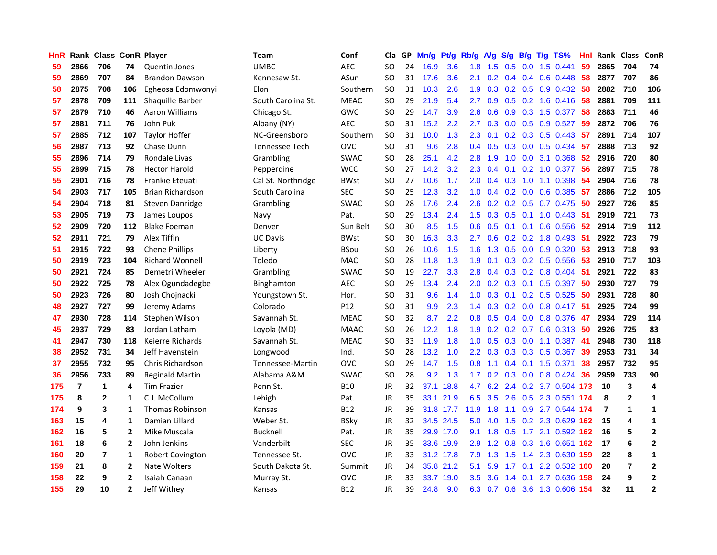| HnR |                | Rank Class ConR Player |                |                         | Team               | Conf            | Cla           |    | GP Mn/g   | Pt/g      | Rb/g             | A/g | S/g             |                 | B/g T/g TS%                   | Hnl | Rank Class |                  | ConR           |
|-----|----------------|------------------------|----------------|-------------------------|--------------------|-----------------|---------------|----|-----------|-----------|------------------|-----|-----------------|-----------------|-------------------------------|-----|------------|------------------|----------------|
| 59  | 2866           | 706                    | 74             | Quentin Jones           | <b>UMBC</b>        | <b>AEC</b>      | SO.           | 24 | 16.9      | 3.6       | 1.8              | 1.5 | 0.5             | 0.0             | 1.5 0.441                     | 59  | 2865       | 704              | 74             |
| 59  | 2869           | 707                    | 84             | <b>Brandon Dawson</b>   | Kennesaw St.       | ASun            | <b>SO</b>     | 31 | 17.6      | 3.6       | 2.1              | 0.2 | 0.4             | 0.4             | $0.6$ $0.448$                 | 58  | 2877       | 707              | 86             |
| 58  | 2875           | 708                    | 106            | Egheosa Edomwonyi       | Elon               | Southern        | SO.           | 31 | 10.3      | 2.6       | 1.9              | 0.3 | $0.2 \quad 0.5$ |                 | 0.9 0.432                     | -58 | 2882       | 710              | 106            |
| 57  | 2878           | 709                    | 111            | Shaquille Barber        | South Carolina St. | <b>MEAC</b>     | SO.           | 29 | 21.9      | 5.4       | 2.7              | 0.9 |                 |                 | $0.5$ $0.2$ 1.6 $0.416$       | 58  | 2881       | 709              | 111            |
| 57  | 2879           | 710                    | 46             | <b>Aaron Williams</b>   | Chicago St.        | GWC             | SO.           | 29 | 14.7      | 3.9       | 2.6              | 0.6 |                 |                 | 0.9 0.3 1.5 0.377             | -58 | 2883       | 711              | 46             |
| 57  | 2881           | 711                    | 76             | John Puk                | Albany (NY)        | <b>AEC</b>      | SO.           | 31 | 15.2      | 2.2       | 2.7              | 0.3 |                 |                 | $0.0$ $0.5$ $0.9$ $0.527$     | -59 | 2872       | 706              | 76             |
| 57  | 2885           | 712                    | 107            | <b>Taylor Hoffer</b>    | NC-Greensboro      | Southern        | <b>SO</b>     | 31 | 10.0      | 1.3       | 2.3              | 0.1 |                 |                 | $0.2$ $0.3$ $0.5$ $0.443$     | 57  | 2891       | 714              | 107            |
| 56  | 2887           | 713                    | 92             | Chase Dunn              | Tennessee Tech     | <b>OVC</b>      | SO.           | 31 | 9.6       | 2.8       | 0.4              | 0.5 | 0.3             |                 | $0.0$ 0.5 0.434               | 57  | 2888       | 713              | 92             |
| 55  | 2896           | 714                    | 79             | Rondale Livas           | Grambling          | <b>SWAC</b>     | <b>SO</b>     | 28 | 25.1      | 4.2       | 2.8              | 1.9 | 1.0             | 0.0             | 3.1 0.368                     | 52  | 2916       | 720              | 80             |
| 55  | 2899           | 715                    | 78             | <b>Hector Harold</b>    | Pepperdine         | <b>WCC</b>      | <b>SO</b>     | 27 | 14.2      | 3.2       | 2.3              | 0.4 | 0.1             |                 | 0.2 1.0 0.377                 | 56  | 2897       | 715              | 78             |
| 55  | 2901           | 716                    | 78             | <b>Frankie Eteuati</b>  | Cal St. Northridge | <b>BWst</b>     | <b>SO</b>     | 27 | 10.6      | 1.7       | 2.0              | 0.4 | 0.3             | 1.0             | 1.1 0.398                     | 54  | 2904       | 716              | 78             |
| 54  | 2903           | 717                    | 105            | <b>Brian Richardson</b> | South Carolina     | <b>SEC</b>      | SO.           | 25 | 12.3      | 3.2       | 1.0              | 0.4 | 0.2             | 0.0             | 0.6 0.385                     | -57 | 2886       | 712              | 105            |
| 54  | 2904           | 718                    | 81             | Steven Danridge         | Grambling          | <b>SWAC</b>     | SO.           | 28 | 17.6      | 2.4       | 2.6              | 0.2 | 0.2             | 0.5             | 0.7 0.475                     | 50  | 2927       | 726              | 85             |
| 53  | 2905           | 719                    | 73             | James Loupos            | Navy               | Pat.            | SO.           | 29 | 13.4      | 2.4       | $1.5^{\circ}$    | 0.3 | 0.5             | 0.1             | $1.0 \t0.443$                 | 51  | 2919       | 721              | 73             |
| 52  | 2909           | 720                    | 112            | <b>Blake Foeman</b>     | Denver             | Sun Belt        | <sub>SO</sub> | 30 | 8.5       | 1.5       | 0.6              | 0.5 | 0.1             | 0.1             | 0.6 0.556                     | 52  | 2914       | 719              | 112            |
| 52  | 2911           | 721                    | 79             | Alex Tiffin             | <b>UC Davis</b>    | <b>BWst</b>     | <b>SO</b>     | 30 | 16.3      | 3.3       | 2.7              | 0.6 |                 |                 | $0.2$ 0.2 1.8 0.493           | -51 | 2922       | 723              | 79             |
| 51  | 2915           | 722                    | 93             | <b>Chene Phillips</b>   | Liberty            | <b>BSou</b>     | <b>SO</b>     | 26 | 10.6      | 1.5       | 1.6              | 1.3 |                 |                 | 0.5 0.0 0.9 0.320             | -53 | 2913       | 718              | 93             |
| 50  | 2919           | 723                    | 104            | <b>Richard Wonnell</b>  | Toledo             | <b>MAC</b>      | SO.           | 28 | 11.8      | 1.3       | 1.9              | 0.1 |                 |                 | $0.3$ $0.2$ $0.5$ $0.556$     | -53 | 2910       | 717              | 103            |
| 50  | 2921           | 724                    | 85             | Demetri Wheeler         | Grambling          | <b>SWAC</b>     | SO.           | 19 | 22.7      | 3.3       | 2.8              | 0.4 |                 |                 | $0.3$ 0.2 0.8 0.404           | -51 | 2921       | 722              | 83             |
| 50  | 2922           | 725                    | 78             | Alex Ogundadegbe        | Binghamton         | <b>AEC</b>      | SO.           | 29 | 13.4      | 2.4       | 2.0 <sub>1</sub> | 0.2 |                 |                 | $0.3$ 0.1 0.5 0.397           | 50  | 2930       | 727              | 79             |
| 50  | 2923           | 726                    | 80             | Josh Chojnacki          | Youngstown St.     | Hor.            | <b>SO</b>     | 31 | 9.6       | 1.4       | 1.0              | 0.3 |                 |                 | $0.1$ $0.2$ $0.5$ $0.525$     | 50  | 2931       | 728              | 80             |
| 48  | 2927           | 727                    | 99             | Jeremy Adams            | Colorado           | P <sub>12</sub> | <b>SO</b>     | 31 | 9.9       | 2.3       | 1.4              | 0.3 |                 |                 | $0.2$ 0.0 0.8 0.417           | 51  | 2925       | 724              | 99             |
| 47  | 2930           | 728                    | 114            | Stephen Wilson          | Savannah St.       | <b>MEAC</b>     | <b>SO</b>     | 32 | 8.7       | 2.2       | 0.8              | 0.5 |                 |                 | $0.4$ 0.0 0.8 0.376           | 47  | 2934       | 729              | 114            |
| 45  | 2937           | 729                    | 83             | Jordan Latham           | Loyola (MD)        | <b>MAAC</b>     | SO.           | 26 | 12.2      | 1.8       | 1.9              | 0.2 |                 | $0.2\quad 0.7$  | $0.6$ 0.313                   | 50  | 2926       | 725              | 83             |
| 41  | 2947           | 730                    | 118            | Keierre Richards        | Savannah St.       | <b>MEAC</b>     | SO            | 33 | 11.9      | 1.8       | 1.0              | 0.5 | 0.3             | 0.0             | 1.1 0.387                     | -41 | 2948       | 730              | 118            |
| 38  | 2952           | 731                    | 34             | Jeff Havenstein         | Longwood           | Ind.            | <b>SO</b>     | 28 | 13.2      | 1.0       | 2.2              | 0.3 |                 | $0.3 \quad 0.3$ | 0.5 0.367                     | 39  | 2953       | 731              | 34             |
| 37  | 2955           | 732                    | 95             | Chris Richardson        | Tennessee-Martin   | <b>OVC</b>      | SO.           | 29 | 14.7      | 1.5       | 0.8              | 1.1 |                 |                 | 0.4 0.1 1.5 0.371             | 38  | 2957       | 732              | 95             |
| 36  | 2956           | 733                    | 89             | <b>Reginald Martin</b>  | Alabama A&M        | <b>SWAC</b>     | <b>SO</b>     | 28 | 9.2       | 1.3       | 1.7 <sup>2</sup> | 0.2 | 0.3             |                 | $0.0$ 0.8 0.424               | 36  | 2959       | 733              | 90             |
| 175 | $\overline{7}$ | $\mathbf{1}$           | 4              | <b>Tim Frazier</b>      | Penn St.           | <b>B10</b>      | JR            | 32 |           | 37.1 18.8 | 4.7              |     |                 |                 | 6.2 2.4 0.2 3.7 0.504 173     |     | 10         | 3                | 4              |
| 175 | 8              | $\mathbf{2}$           | 1              | C.J. McCollum           | Lehigh             | Pat.            | JR            | 35 |           | 33.1 21.9 | 6.5              |     |                 |                 | 3.5 2.6 0.5 2.3 0.551         | 174 | 8          | $\mathbf{2}$     | 1              |
| 174 | 9              | 3                      | 1              | <b>Thomas Robinson</b>  | Kansas             | <b>B12</b>      | JR            | 39 |           | 31.8 17.7 | 11.9             | 1.8 |                 |                 | 1.1 0.9 2.7 0.544 174         |     | 7          | $\mathbf 1$      | 1              |
| 163 | 15             | 4                      | 1              | Damian Lillard          | Weber St.          | <b>BSky</b>     | JR            | 32 |           | 34.5 24.5 | 5.0              | 4.0 |                 |                 | 1.5 0.2 2.3 0.629 162         |     | 15         | 4                | $\mathbf 1$    |
| 162 | 16             | 5                      | $\overline{2}$ | Mike Muscala            | Bucknell           | Pat.            | JR            | 35 |           | 29.9 17.0 | 9.1              | 1.8 | 0.5             |                 | 1.7 2.1 0.592 162             |     | 16         | 5                | $\mathbf{2}$   |
| 161 | 18             | 6                      | $\mathbf{2}$   | John Jenkins            | Vanderbilt         | <b>SEC</b>      | JR            | 35 |           | 33.6 19.9 | 2.9              | 1.2 | 0.8             |                 | 0.3 1.6 0.651 162             |     | 17         | 6                | $\mathbf{2}$   |
| 160 | 20             | $\overline{7}$         | 1              | Robert Covington        | Tennessee St.      | <b>OVC</b>      | JR            | 33 | 31.2 17.8 |           | 7.9              | 1.3 | 1.5             | 1.4             | 2.3 0.630 159                 |     | 22         | 8                | $\mathbf{1}$   |
| 159 | 21             | 8                      | 2              | Nate Wolters            | South Dakota St.   | Summit          | JR            | 34 |           | 35.8 21.2 | 5.1              | 5.9 | 1.7             | 0.1             | 2.2 0.532                     | 160 | 20         | $\overline{7}$   | $\mathbf{2}$   |
| 158 | 22             | 9                      | $\overline{2}$ | Isaiah Canaan           | Murray St.         | <b>OVC</b>      | <b>JR</b>     | 33 | 33.7      | 19.0      | 3.5              | 3.6 | 1.4             | 0.1             | 2.7 0.636                     | 158 | 24         | $\boldsymbol{9}$ | $\mathbf{2}$   |
| 155 | 29             | 10                     | $\overline{2}$ | Jeff Withey             | Kansas             | <b>B12</b>      | <b>JR</b>     | 39 | 24.8      | 9.0       |                  |     |                 |                 | 6.3 0.7 0.6 3.6 1.3 0.606 154 |     | 32         | 11               | $\overline{2}$ |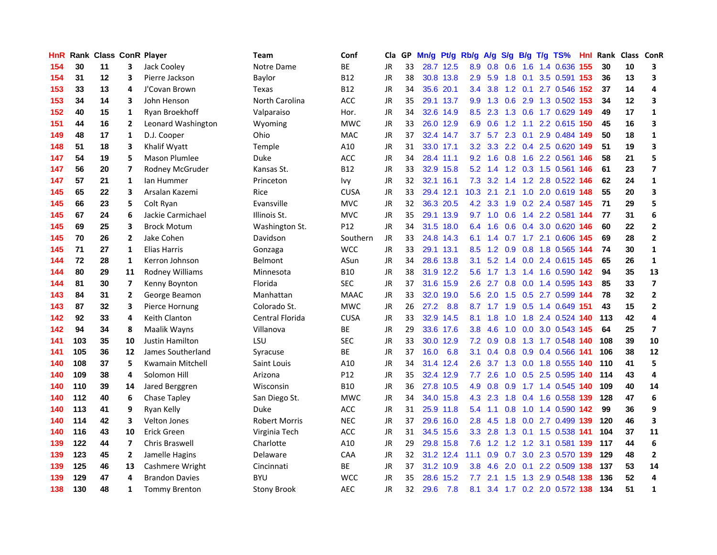| <b>HnR</b> |     |    |                | Rank Class ConR Player  | <b>Team</b>          | Conf           | Cla       |    | GP Mn/g Pt/g |           | Rb/g             | A/g              |                 |     | S/g B/g T/g TS%               | Hnl  | Rank Class ConR |    |                         |
|------------|-----|----|----------------|-------------------------|----------------------|----------------|-----------|----|--------------|-----------|------------------|------------------|-----------------|-----|-------------------------------|------|-----------------|----|-------------------------|
| 154        | 30  | 11 | 3              | Jack Cooley             | Notre Dame           | ВE             | <b>JR</b> | 33 |              | 28.7 12.5 | 8.9              | 0.8              | 0.6             | 1.6 | 1.4 0.636                     | 155  | 30              | 10 | 3                       |
| 154        | 31  | 12 | 3              | Pierre Jackson          | Baylor               | <b>B12</b>     | <b>JR</b> | 38 |              | 30.8 13.8 | 2.9              | 5.9              | 1.8             | 0.1 | 3.5 0.591                     | 153  | 36              | 13 | 3                       |
| 153        | 33  | 13 | 4              | J'Covan Brown           | Texas                | <b>B12</b>     | JR        | 34 |              | 35.6 20.1 | 3.4              | 3.8              | $1.2 \quad 0.1$ |     | 2.7 0.546 152                 |      | 37              | 14 | 4                       |
| 153        | 34  | 14 | 3              | John Henson             | North Carolina       | <b>ACC</b>     | JR        | 35 |              | 29.1 13.7 |                  |                  | 9.9 1.3 0.6     | 2.9 | 1.3 0.502 153                 |      | 34              | 12 | 3                       |
| 152        | 40  | 15 | 1              | Ryan Broekhoff          | Valparaiso           | Hor.           | JR        | 34 |              | 32.6 14.9 |                  | $8.5$ 2.3        |                 |     | 1.3 0.6 1.7 0.629 149         |      | 49              | 17 | $\mathbf{1}$            |
| 151        | 44  | 16 | $\overline{2}$ | Leonard Washington      | Wyoming              | <b>MWC</b>     | JR        | 33 |              | 26.0 12.9 | 6.9              | 0.6              |                 |     | 1.2 1.1 2.2 0.615 150         |      | 45              | 16 | $\overline{\mathbf{3}}$ |
| 149        | 48  | 17 | 1              | D.J. Cooper             | Ohio                 | <b>MAC</b>     | JR        | 37 |              | 32.4 14.7 | 3.7              | 5.7              |                 |     | 2.3 0.1 2.9 0.484 149         |      | 50              | 18 | $\mathbf{1}$            |
| 148        | 51  | 18 | 3              | Khalif Wyatt            | Temple               | A10            | JR        | 31 |              | 33.0 17.1 | 3.2 <sub>2</sub> | 3.3 <sub>2</sub> |                 |     | 2.2 0.4 2.5 0.620 149         |      | 51              | 19 | 3                       |
| 147        | 54  | 19 | 5              | <b>Mason Plumlee</b>    | Duke                 | <b>ACC</b>     | <b>JR</b> | 34 |              | 28.4 11.1 | 9.2              | 1.6              | 0.8             |     | 1.6 2.2 0.561                 | 146  | 58              | 21 | 5                       |
| 147        | 56  | 20 | 7              | Rodney McGruder         | Kansas St.           | <b>B12</b>     | JR        | 33 |              | 32.9 15.8 |                  | $5.2 \quad 1.4$  |                 |     | 1.2 0.3 1.5 0.561             | 146  | 61              | 23 | $\overline{\mathbf{z}}$ |
| 147        | 57  | 21 | $\mathbf{1}$   | lan Hummer              | Princeton            | Ivy            | JR        | 32 |              | 32.1 16.1 | 7.3              | 3.2              | 1.4             |     | 1.2 2.8 0.522 146             |      | 62              | 24 | $\mathbf{1}$            |
| 145        | 65  | 22 | 3              | Arsalan Kazemi          | Rice                 | <b>CUSA</b>    | JR        | 33 |              | 29.4 12.1 | 10.3             | 2.1              | 2.1             | 1.0 | 2.0 0.619 148                 |      | 55              | 20 | 3                       |
| 145        | 66  | 23 | 5              | Colt Ryan               | Evansville           | <b>MVC</b>     | JR        | 32 |              | 36.3 20.5 | 4.2              | 3.3              | 1.9             | 0.2 | 2.4 0.587 145                 |      | 71              | 29 | 5                       |
| 145        | 67  | 24 | 6              | Jackie Carmichael       | Illinois St.         | <b>MVC</b>     | <b>JR</b> | 35 |              | 29.1 13.9 | 9.7              | 1.0              | 0.6             | 1.4 | 2.2 0.581 144                 |      | 77              | 31 | 6                       |
| 145        | 69  | 25 | 3              | <b>Brock Motum</b>      | Washington St.       | P12            | <b>JR</b> | 34 |              | 31.5 18.0 | 6.4              | 1.6              | 0.6             |     | 0.4 3.0 0.620 146             |      | 60              | 22 | $\mathbf{2}$            |
| 145        | 70  | 26 | $\overline{2}$ | Jake Cohen              | Davidson             | Southern       | JR        | 33 |              | 24.8 14.3 | 6.1              | 1.4              | 0.7             |     | 1.7 2.1 0.606 145             |      | 69              | 28 | $\mathbf{2}$            |
| 145        | 71  | 27 | 1              | Elias Harris            | Gonzaga              | <b>WCC</b>     | JR        | 33 |              | 29.1 13.1 | 8.5              |                  |                 |     | 1.2 0.9 0.8 1.8 0.565 144     |      | 74              | 30 | 1                       |
| 144        | 72  | 28 | 1              | Kerron Johnson          | Belmont              | ASun           | JR        | 34 |              | 28.6 13.8 | 3.1              |                  |                 |     | 5.2 1.4 0.0 2.4 0.615 145     |      | 65              | 26 | $\mathbf{1}$            |
| 144        | 80  | 29 | 11             | Rodney Williams         | Minnesota            | <b>B10</b>     | JR        | 38 |              | 31.9 12.2 |                  |                  |                 |     | 5.6 1.7 1.3 1.4 1.6 0.590 142 |      | 94              | 35 | 13                      |
| 144        | 81  | 30 | 7              | Kenny Boynton           | Florida              | <b>SEC</b>     | JR        | 37 |              | 31.6 15.9 | 2.6              |                  |                 |     | 2.7 0.8 0.0 1.4 0.595 143     |      | 85              | 33 | $\overline{\mathbf{z}}$ |
| 143        | 84  | 31 | $\mathbf{2}$   | George Beamon           | Manhattan            | <b>MAAC</b>    | JR        | 33 |              | 32.0 19.0 | 5.6              | 2.0              |                 |     | 1.5 0.5 2.7 0.599 144         |      | 78              | 32 | $\mathbf{2}$            |
| 143        | 87  | 32 | 3              | Pierce Hornung          | Colorado St.         | <b>MWC</b>     | JR        | 26 | 27.2         | 8.8       | 8.7              | 1.7              | 1.9             |     | 0.5 1.4 0.649 151             |      | 43              | 15 | $\mathbf{2}$            |
| 142        | 92  | 33 | 4              | Keith Clanton           | Central Florida      | <b>CUSA</b>    | JR        | 33 | 32.9         | 14.5      | 8.1              | 1.8              | 1.0             |     | 1.8 2.4 0.524 140             |      | 113             | 42 | 4                       |
| 142        | 94  | 34 | 8              | Maalik Wayns            | Villanova            | BE             | JR        | 29 |              | 33.6 17.6 | 3.8              | 4.6              | 1.0             | 0.0 | 3.0 0.543 145                 |      | 64              | 25 | $\overline{7}$          |
| 141        | 103 | 35 | 10             | <b>Justin Hamilton</b>  | LSU                  | <b>SEC</b>     | <b>JR</b> | 33 |              | 30.0 12.9 | 7.2              | 0.9              | 0.8             |     | 1.3 1.7 0.548 140             |      | 108             | 39 | 10                      |
| 141        | 105 | 36 | 12             | James Southerland       | Syracuse             | BE             | <b>JR</b> | 37 | 16.0         | 6.8       | 3.1              | 0.4              | 0.8             | 0.9 | 0.4 0.566                     | -141 | 106             | 38 | 12                      |
| 140        | 108 | 37 | 5              | <b>Kwamain Mitchell</b> | Saint Louis          | A10            | <b>JR</b> | 34 |              | 31.4 12.4 | 2.6              | 3.7              | 1.3             | 0.0 | 1.8 0.555 140                 |      | 110             | 41 | 5                       |
| 140        | 109 | 38 | 4              | Solomon Hill            | Arizona              | P12            | <b>JR</b> | 35 |              | 32.4 12.9 | 7.7              | 2.6              | 1.0             | 0.5 | 2.5 0.595 140                 |      | 114             | 43 | 4                       |
| 140        | 110 | 39 | 14             | Jared Berggren          | Wisconsin            | <b>B10</b>     | JR        | 36 |              | 27.8 10.5 | 4.9              | 0.8              | 0.9             |     | 1.7 1.4 0.545 140             |      | 109             | 40 | 14                      |
| 140        | 112 | 40 | 6              | Chase Tapley            | San Diego St.        | <b>MWC</b>     | JR        | 34 |              | 34.0 15.8 |                  | 4.3 2.3          | 1.8             |     | 0.4 1.6 0.558 139             |      | 128             | 47 | 6                       |
| 140        | 113 | 41 | 9              | Ryan Kelly              | Duke                 | $\mathsf{ACC}$ | JR        | 31 |              | 25.9 11.8 |                  | $5.4$ 1.1        | 0.8             |     | 1.0 1.4 0.590 142             |      | 99              | 36 | 9                       |
| 140        | 114 | 42 | 3              | <b>Velton Jones</b>     | <b>Robert Morris</b> | <b>NEC</b>     | <b>JR</b> | 37 |              | 29.6 16.0 | 2.8              | 4.5              |                 |     | 1.8 0.0 2.7 0.499 139         |      | 120             | 46 | 3                       |
| 140        | 116 | 43 | 10             | Erick Green             | Virginia Tech        | <b>ACC</b>     | JR        | 31 |              | 34.5 15.6 | 3.3 <sub>2</sub> | 2.8              |                 |     | 1.3 0.1 1.5 0.538 141         |      | 104             | 37 | 11                      |
| 139        | 122 | 44 | 7              | Chris Braswell          | Charlotte            | A10            | JR        | 29 |              | 29.8 15.8 | 7.6              | 1.2              | 1.2             | 1.2 | 3.1 0.581 139                 |      | 117             | 44 | 6                       |
| 139        | 123 | 45 | $\overline{2}$ | Jamelle Hagins          | Delaware             | CAA            | JR        | 32 |              | 31.2 12.4 | 11.1             | 0.9              | 0.7             | 3.0 | 2.3 0.570 139                 |      | 129             | 48 | $\overline{2}$          |
| 139        | 125 | 46 | 13             | Cashmere Wright         | Cincinnati           | <b>BE</b>      | JR        | 37 |              | 31.2 10.9 | 3.8              | 4.6              | 2.0             | 0.1 | 2.2 0.509                     | 138  | 137             | 53 | 14                      |
| 139        | 129 | 47 | 4              | <b>Brandon Davies</b>   | <b>BYU</b>           | <b>WCC</b>     | JR        | 35 | 28.6         | 15.2      | 7.7              | 2.1              | 1.5             | 1.3 | 2.9 0.548                     | 138  | 136             | 52 | 4                       |
| 138        | 130 | 48 | 1              | <b>Tommy Brenton</b>    | <b>Stony Brook</b>   | <b>AEC</b>     | <b>JR</b> | 32 | 29.6         | 7.8       | 8.1              |                  |                 |     | 3.4 1.7 0.2 2.0 0.572 138     |      | 134             | 51 | $\mathbf{1}$            |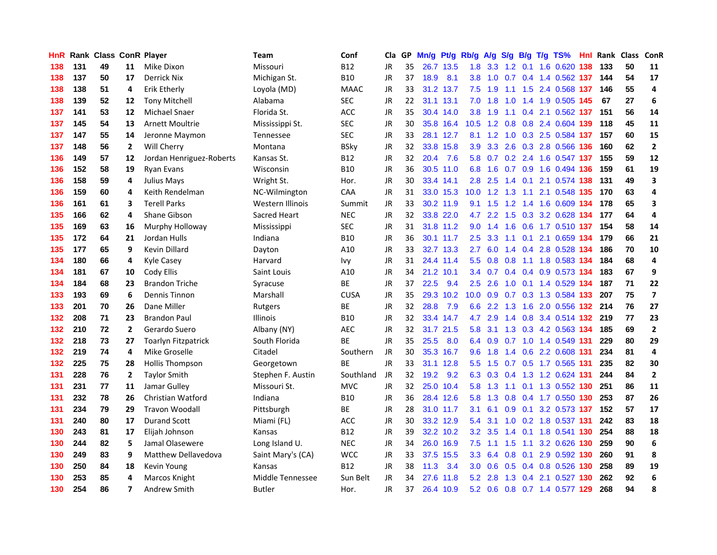| <b>HnR</b> |     | Rank Class ConR Player |                |                            | <b>Team</b>       | Conf        | Cla       |    | GP Mn/g Pt/g Rb/g |           |                  | A/g             |               |                 | S/g B/g T/g TS%                | Hnl  | Rank Class |    | ConR                    |
|------------|-----|------------------------|----------------|----------------------------|-------------------|-------------|-----------|----|-------------------|-----------|------------------|-----------------|---------------|-----------------|--------------------------------|------|------------|----|-------------------------|
| 138        | 131 | 49                     | 11             | Mike Dixon                 | Missouri          | <b>B12</b>  | JR        | 35 |                   | 26.7 13.5 | 1.8              | 3.3             | 1.2           | 0.1             | 1.6 0.620                      | 138  | 133        | 50 | 11                      |
| 138        | 137 | 50                     | 17             | <b>Derrick Nix</b>         | Michigan St.      | <b>B10</b>  | JR        | 37 | 18.9              | 8.1       | 3.8              | 1.0             | 0.7           | 0.4             | 1.4 0.562 137                  |      | 144        | 54 | 17                      |
| 138        | 138 | 51                     | 4              | Erik Etherly               | Loyola (MD)       | <b>MAAC</b> | JR        | 33 |                   | 31.2 13.7 | 7.5              | 1.9             | 1.1           | 1.5             | 2.4 0.568 137                  |      | 146        | 55 | 4                       |
| 138        | 139 | 52                     | 12             | <b>Tony Mitchell</b>       | Alabama           | <b>SEC</b>  | JR        | 22 |                   | 31.1 13.1 |                  | $7.0$ 1.8       | 1.0           |                 | 1.4 1.9 0.505 145              |      | 67         | 27 | 6                       |
| 137        | 141 | 53                     | 12             | <b>Michael Snaer</b>       | Florida St.       | ACC         | JR        | 35 |                   | 30.4 14.0 |                  | $3.8 \quad 1.9$ |               |                 | 1.1 0.4 2.1 0.562 137          |      | 151        | 56 | 14                      |
| 137        | 145 | 54                     | 13             | <b>Arnett Moultrie</b>     | Mississippi St.   | <b>SEC</b>  | JR        | 30 |                   | 35.8 16.4 |                  |                 |               |                 | 10.5 1.2 0.8 0.8 2.4 0.604 139 |      | 118        | 45 | 11                      |
| 137        | 147 | 55                     | 14             | Jeronne Maymon             | Tennessee         | <b>SEC</b>  | JR        | 33 |                   | 28.1 12.7 |                  | 8.1 1.2         |               |                 | 1.0 0.3 2.5 0.584 137          |      | 157        | 60 | 15                      |
| 137        | 148 | 56                     | 2              | Will Cherry                | Montana           | <b>BSky</b> | JR        | 32 |                   | 33.8 15.8 | 3.9              | 3.3             | 2.6           |                 | 0.3 2.8 0.566 136              |      | 160        | 62 | $\mathbf{2}$            |
| 136        | 149 | 57                     | 12             | Jordan Henriguez-Roberts   | Kansas St.        | <b>B12</b>  | JR        | 32 | 20.4              | 7.6       | 5.8              | 0.7             |               |                 | 0.2 2.4 1.6 0.547 137          |      | 155        | 59 | 12                      |
| 136        | 152 | 58                     | 19             | <b>Ryan Evans</b>          | Wisconsin         | <b>B10</b>  | JR        | 36 |                   | 30.5 11.0 | 6.8              | 1.6             |               | $0.7 \quad 0.9$ | 1.6 0.494 136                  |      | 159        | 61 | 19                      |
| 136        | 158 | 59                     | 4              | <b>Julius Mays</b>         | Wright St.        | Hor.        | <b>JR</b> | 30 |                   | 33.4 14.1 | 2.8              | 2.5             | $1.4^{\circ}$ | 0.1             | 2.1 0.574                      | 138  | 131        | 49 | 3                       |
| 136        | 159 | 60                     | 4              | Keith Rendelman            | NC-Wilmington     | CAA         | JR        | 31 |                   | 33.0 15.3 | 10.0             | 1.2             | 1.3           | 1.1             | 2.1 0.548 135                  |      | 170        | 63 | 4                       |
| 136        | 161 | 61                     | 3              | <b>Terell Parks</b>        | Western Illinois  | Summit      | JR        | 33 |                   | 30.2 11.9 | 9.1              | 1.5             | 1.2           | 1.4             | 1.6 0.609 134                  |      | 178        | 65 | 3                       |
| 135        | 166 | 62                     | 4              | Shane Gibson               | Sacred Heart      | <b>NEC</b>  | JR        | 32 |                   | 33.8 22.0 | 4.7              | 2.2             | 1.5           | 0.3             | 3.2 0.628                      | -134 | 177        | 64 | 4                       |
| 135        | 169 | 63                     | 16             | Murphy Holloway            | Mississippi       | <b>SEC</b>  | JR        | 31 |                   | 31.8 11.2 | 9.0              | 1.4             | 1.6           | 0.6             | 1.7 0.510 137                  |      | 154        | 58 | 14                      |
| 135        | 172 | 64                     | 21             | Jordan Hulls               | Indiana           | <b>B10</b>  | JR        | 36 |                   | 30.1 11.7 | 2.5              | 3.3             | 1.1           | 0.1             | 2.1 0.659 134                  |      | 179        | 66 | 21                      |
| 135        | 177 | 65                     | 9              | <b>Kevin Dillard</b>       | Dayton            | A10         | JR        | 33 |                   | 32.7 13.3 | $2.7^{\circ}$    | 6.0             |               |                 | 1.4 0.4 2.8 0.528 134          |      | 186        | 70 | 10                      |
| 134        | 180 | 66                     | 4              | <b>Kyle Casey</b>          | Harvard           | Ivy         | JR        | 31 |                   | 24.4 11.4 |                  |                 | 5.5 0.8 0.8   | $-1.1$          | 1.8 0.583 134                  |      | 184        | 68 | 4                       |
| 134        | 181 | 67                     | 10             | Cody Ellis                 | Saint Louis       | A10         | JR        | 34 |                   | 21.2 10.1 |                  |                 |               |                 | 3.4 0.7 0.4 0.4 0.9 0.573 134  |      | 183        | 67 | 9                       |
| 134        | 184 | 68                     | 23             | <b>Brandon Triche</b>      | Syracuse          | <b>BE</b>   | JR        | 37 | 22.5              | 9.4       | $2.5^{\circ}$    | 2.6             |               |                 | 1.0 0.1 1.4 0.529 134          |      | 187        | 71 | 22                      |
| 133        | 193 | 69                     | 6              | <b>Dennis Tinnon</b>       | Marshall          | <b>CUSA</b> | JR        | 35 |                   | 29.3 10.2 | 10.0             | 0.9             |               |                 | 0.7 0.3 1.3 0.584 133          |      | 207        | 75 | $\overline{\mathbf{z}}$ |
| 133        | 201 | 70                     | 26             | Dane Miller                | Rutgers           | BE          | JR        | 32 | 28.8              | 7.9       | 6.6              | 2.2             | 1.3           | 1.6             | 2.0 0.556 132                  |      | 214        | 76 | 27                      |
| 132        | 208 | 71                     | 23             | <b>Brandon Paul</b>        | Illinois          | <b>B10</b>  | JR        | 32 |                   | 33.4 14.7 | 4.7              | 2.9             |               |                 | 1.4 0.8 3.4 0.514 132          |      | 219        | 77 | 23                      |
| 132        | 210 | 72                     | $\overline{2}$ | Gerardo Suero              | Albany (NY)       | AEC         | JR        | 32 |                   | 31.7 21.5 | 5.8              | 3.1             |               |                 | 1.3 0.3 4.2 0.563 134          |      | 185        | 69 | $\overline{2}$          |
| 132        | 218 | 73                     | 27             | <b>Toarlyn Fitzpatrick</b> | South Florida     | BE          | JR        | 35 | 25.5              | 8.0       |                  | 6.4 0.9         | 0.7           |                 | 1.0 1.4 0.549 131              |      | 229        | 80 | 29                      |
| 132        | 219 | 74                     | 4              | Mike Groselle              | Citadel           | Southern    | <b>JR</b> | 30 |                   | 35.3 16.7 | 9.6              | 1.8             | $1.4^{\circ}$ |                 | 0.6 2.2 0.608 131              |      | 234        | 81 | 4                       |
| 132        | 225 | 75                     | 28             | <b>Hollis Thompson</b>     | Georgetown        | <b>BE</b>   | <b>JR</b> | 33 |                   | 31.1 12.8 | 5.5              | 1.5             | 0.7           | 0.5             | 1.7 0.565                      | -131 | 235        | 82 | 30                      |
| 131        | 228 | 76                     | $\mathbf{2}$   | <b>Taylor Smith</b>        | Stephen F. Austin | Southland   | JR        | 32 | 19.2              | 9.2       | 6.3              | 0.3             | 0.4           |                 | 1.3 1.2 0.624                  | -131 | 244        | 84 | $\overline{2}$          |
| 131        | 231 | 77                     | 11             | Jamar Gulley               | Missouri St.      | <b>MVC</b>  | <b>JR</b> | 32 |                   | 25.0 10.4 | 5.8              | 1.3             | 1.1           | 0.1             | 1.3 0.552 130                  |      | 251        | 86 | 11                      |
| 131        | 232 | 78                     | 26             | <b>Christian Watford</b>   | Indiana           | <b>B10</b>  | JR        | 36 |                   | 28.4 12.6 | 5.8              | 1.3             |               |                 | 0.8 0.4 1.7 0.550 130          |      | 253        | 87 | 26                      |
| 131        | 234 | 79                     | 29             | <b>Travon Woodall</b>      | Pittsburgh        | ВE          | JR        | 28 |                   | 31.0 11.7 | 3.1              | 6.1             |               | $0.9\quad 0.1$  | 3.2 0.573 137                  |      | 152        | 57 | 17                      |
| 131        | 240 | 80                     | 17             | <b>Durand Scott</b>        | Miami (FL)        | ACC         | JR        | 30 |                   | 33.2 12.9 | 5.4              | 3.1             |               |                 | 1.0 0.2 1.8 0.537 131          |      | 242        | 83 | 18                      |
| 130        | 243 | 81                     | 17             | Elijah Johnson             | Kansas            | <b>B12</b>  | JR        | 39 |                   | 32.2 10.2 |                  | $3.2 \quad 3.5$ |               | $1.4 \quad 0.1$ | 1.8 0.541 130                  |      | 254        | 88 | 18                      |
| 130        | 244 | 82                     | 5              | Jamal Olasewere            | Long Island U.    | <b>NEC</b>  | JR        | 34 |                   | 26.0 16.9 | 7.5              | $-1.1$          | 1.5           | 1.1             | 3.2 0.626 130                  |      | 259        | 90 | 6                       |
| 130        | 249 | 83                     | 9              | <b>Matthew Dellavedova</b> | Saint Mary's (CA) | <b>WCC</b>  | JR        | 33 |                   | 37.5 15.5 | 3.3 <sub>2</sub> | 6.4             | 0.8           | 0.1             | 2.9 0.592 130                  |      | 260        | 91 | 8                       |
| 130        | 250 | 84                     | 18             | Kevin Young                | Kansas            | <b>B12</b>  | JR        | 38 | 11.3              | 3.4       | 3.0 <sub>2</sub> | 0.6             | 0.5           | 0.4             | 0.8 0.526 130                  |      | 258        | 89 | 19                      |
| 130        | 253 | 85                     | 4              | Marcos Knight              | Middle Tennessee  | Sun Belt    | JR        | 34 | 27.6              | 11.8      | 5.2              | 2.8             | 1.3           | 0.4             | 2.1 0.527                      | 130  | 262        | 92 | 6                       |
| 130        | 254 | 86                     | 7              | Andrew Smith               | Butler            | Hor.        | JR        | 37 |                   | 26.4 10.9 |                  | $5.2 \quad 0.6$ |               |                 | 0.8 0.7 1.4 0.577 129          |      | 268        | 94 | 8                       |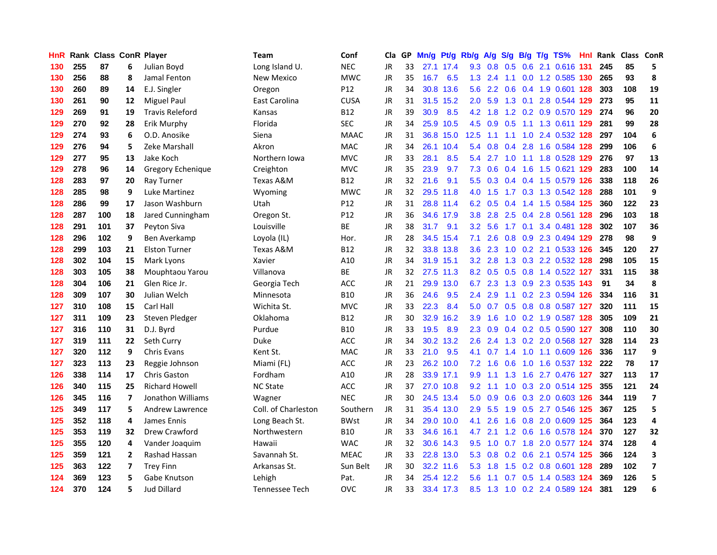| HnR |     | <b>Rank Class ConR Player</b> |    |                        | Team                | Conf            | Cla       |    | GP Mn/g | Pt/g      | Rb/g             | <b>A/g</b>      |     |                 | S/g B/g T/g TS%               | Hnl |     | Rank Class ConR |                         |
|-----|-----|-------------------------------|----|------------------------|---------------------|-----------------|-----------|----|---------|-----------|------------------|-----------------|-----|-----------------|-------------------------------|-----|-----|-----------------|-------------------------|
| 130 | 255 | 87                            | 6  | Julian Boyd            | Long Island U.      | <b>NEC</b>      | JR        | 33 |         | 27.1 17.4 | 9.3              | 0.8             | 0.5 | 0.6             | 2.1 0.616                     | 131 | 245 | 85              | 5                       |
| 130 | 256 | 88                            | 8  | Jamal Fenton           | New Mexico          | <b>MWC</b>      | <b>JR</b> | 35 | 16.7    | 6.5       | 1.3              | 2.4             | 1.1 | 0.0             | 1.2 0.585 130                 |     | 265 | 93              | 8                       |
| 130 | 260 | 89                            | 14 | E.J. Singler           | Oregon              | P12             | JR        | 34 | 30.8    | 13.6      | 5.6              | $2.2^{\circ}$   | 0.6 |                 | 0.4 1.9 0.601 128             |     | 303 | 108             | 19                      |
| 130 | 261 | 90                            | 12 | <b>Miguel Paul</b>     | East Carolina       | <b>CUSA</b>     | <b>JR</b> | 31 |         | 31.5 15.2 | 2.0 <sub>1</sub> | 5.9             |     | $1.3 \quad 0.1$ | 2.8 0.544 129                 |     | 273 | 95              | 11                      |
| 129 | 269 | 91                            | 19 | <b>Travis Releford</b> | Kansas              | <b>B12</b>      | <b>JR</b> | 39 | 30.9    | 8.5       |                  | $4.2 \quad 1.8$ |     |                 | 1.2 0.2 0.9 0.570 129         |     | 274 | 96              | 20                      |
| 129 | 270 | 92                            | 28 | Erik Murphy            | Florida             | <b>SEC</b>      | <b>JR</b> | 34 |         | 25.9 10.5 |                  | $4.5 \t0.9$     | 0.5 |                 | 1.1 1.3 0.611 129             |     | 281 | 99              | 28                      |
| 129 | 274 | 93                            | 6  | O.D. Anosike           | Siena               | <b>MAAC</b>     | JR        | 31 |         | 36.8 15.0 | 12.5             | 1.1             | 1.1 |                 | 1.0 2.4 0.532 128             |     | 297 | 104             | 6                       |
| 129 | 276 | 94                            | 5  | Zeke Marshall          | Akron               | <b>MAC</b>      | <b>JR</b> | 34 |         | 26.1 10.4 | 5.4              | 0.8             | 0.4 | 2.8             | 1.6 0.584 128                 |     | 299 | 106             | 6                       |
| 129 | 277 | 95                            | 13 | Jake Koch              | Northern Iowa       | <b>MVC</b>      | <b>JR</b> | 33 | 28.1    | 8.5       | 5.4              | 2.7             | 1.0 | 1.1             | 1.8 0.528 129                 |     | 276 | 97              | 13                      |
| 129 | 278 | 96                            | 14 | Gregory Echenique      | Creighton           | <b>MVC</b>      | <b>JR</b> | 35 | 23.9    | 9.7       | 7.3              | 0.6             | 0.4 | 1.6             | 1.5 0.621 129                 |     | 283 | 100             | 14                      |
| 128 | 283 | 97                            | 20 | Ray Turner             | Texas A&M           | <b>B12</b>      | <b>JR</b> | 32 | 21.6    | 9.1       | 5.5              | 0.3             |     |                 | 0.4 0.4 1.5 0.579 126         |     | 338 | 118             | 26                      |
| 128 | 285 | 98                            | 9  | Luke Martinez          | Wyoming             | <b>MWC</b>      | <b>JR</b> | 32 |         | 29.5 11.8 | 4.0              | 1.5             | 1.7 | 0.3             | 1.3 0.542 128                 |     | 288 | 101             | 9                       |
| 128 | 286 | 99                            | 17 | Jason Washburn         | Utah                | P <sub>12</sub> | JR        | 31 |         | 28.8 11.4 | 6.2              | 0.5             | 0.4 | 1.4             | 1.5 0.584 125                 |     | 360 | 122             | 23                      |
| 128 | 287 | 100                           | 18 | Jared Cunningham       | Oregon St.          | P12             | JR        | 36 |         | 34.6 17.9 | 3.8 <sub>2</sub> | 2.8             | 2.5 | 0.4             | 2.8 0.561 128                 |     | 296 | 103             | 18                      |
| 128 | 291 | 101                           | 37 | Peyton Siva            | Louisville          | <b>BE</b>       | <b>JR</b> | 38 | 31.7    | 9.1       | 3.2              | 5.6             | 1.7 | 0.1             | 3.4 0.481 128                 |     | 302 | 107             | 36                      |
| 128 | 296 | 102                           | 9  | Ben Averkamp           | Loyola (IL)         | Hor.            | <b>JR</b> | 28 |         | 34.5 15.4 | 7.1              | 2.6             | 0.8 |                 | 0.9 2.3 0.494 129             |     | 278 | 98              | 9                       |
| 128 | 299 | 103                           | 21 | <b>Elston Turner</b>   | Texas A&M           | <b>B12</b>      | <b>JR</b> | 32 |         | 33.8 13.8 | 3.6 <sup>2</sup> | 2.3             |     |                 | 1.0 0.2 2.1 0.533 126         |     | 345 | 120             | 27                      |
| 128 | 302 | 104                           | 15 | Mark Lyons             | Xavier              | A10             | <b>JR</b> | 34 |         | 31.9 15.1 |                  | $3.2$ $2.8$     |     |                 | 1.3 0.3 2.2 0.532 128         |     | 298 | 105             | 15                      |
| 128 | 303 | 105                           | 38 | Mouphtaou Yarou        | Villanova           | <b>BE</b>       | JR        | 32 |         | 27.5 11.3 |                  |                 |     |                 | 8.2 0.5 0.5 0.8 1.4 0.522 127 |     | 331 | 115             | 38                      |
| 128 | 304 | 106                           | 21 | Glen Rice Jr.          | Georgia Tech        | ACC             | JR        | 21 |         | 29.9 13.0 | 6.7              | 2.3             |     |                 | 1.3 0.9 2.3 0.535 143         |     | 91  | 34              | 8                       |
| 128 | 309 | 107                           | 30 | Julian Welch           | Minnesota           | <b>B10</b>      | <b>JR</b> | 36 | 24.6    | 9.5       | $2.4^{\circ}$    | 2.9             |     |                 | 1.1 0.2 2.3 0.594 126         |     | 334 | 116             | 31                      |
| 127 | 310 | 108                           | 15 | Carl Hall              | Wichita St.         | <b>MVC</b>      | JR        | 33 | 22.3    | 8.4       | 5.0              | 0.7             |     |                 | 0.5 0.8 0.8 0.587 127         |     | 320 | 111             | 15                      |
| 127 | 311 | 109                           | 23 | Steven Pledger         | Oklahoma            | <b>B12</b>      | <b>JR</b> | 30 | 32.9    | 16.2      | 3.9              | 1.6             |     |                 | 1.0 0.2 1.9 0.587 128         |     | 305 | 109             | 21                      |
| 127 | 316 | 110                           | 31 | D.J. Byrd              | Purdue              | <b>B10</b>      | <b>JR</b> | 33 | 19.5    | 8.9       | $2.3^{\circ}$    | 0.9             |     |                 | 0.4 0.2 0.5 0.590 127         |     | 308 | 110             | 30                      |
| 127 | 319 | 111                           | 22 | Seth Curry             | <b>Duke</b>         | ACC             | <b>JR</b> | 34 |         | 30.2 13.2 | 2.6              | 2.4             |     |                 | 1.3 0.2 2.0 0.568 127         |     | 328 | 114             | 23                      |
| 127 | 320 | 112                           | 9  | <b>Chris Evans</b>     | Kent St.            | <b>MAC</b>      | <b>JR</b> | 33 | 21.0    | 9.5       | 4.1              | 0.7             | 1.4 | 1.0             | 1.1 0.609 126                 |     | 336 | 117             | 9                       |
| 127 | 323 | 113                           | 23 | Reggie Johnson         | Miami (FL)          | <b>ACC</b>      | <b>JR</b> | 23 |         | 26.2 10.0 |                  | $7.2$ 1.6       | 0.6 | 1.0             | 1.6 0.537 132                 |     | 222 | 78              | 17                      |
| 126 | 338 | 114                           | 17 | <b>Chris Gaston</b>    | Fordham             | A10             | JR        | 28 |         | 33.9 17.1 | 9.9              | 1.1             | 1.3 | 1.6             | 2.7 0.476 127                 |     | 327 | 113             | 17                      |
| 126 | 340 | 115                           | 25 | <b>Richard Howell</b>  | <b>NC State</b>     | <b>ACC</b>      | <b>JR</b> | 37 |         | 27.0 10.8 | 9.2              | 1.1             | 1.0 |                 | 0.3 2.0 0.514 125             |     | 355 | 121             | 24                      |
| 126 | 345 | 116                           | 7  | Jonathon Williams      | Wagner              | <b>NEC</b>      | <b>JR</b> | 30 |         | 24.5 13.4 | 5.0              | 0.9             |     |                 | 0.6 0.3 2.0 0.603 126         |     | 344 | 119             | $\overline{\mathbf{z}}$ |
| 125 | 349 | 117                           | 5  | Andrew Lawrence        | Coll. of Charleston | Southern        | <b>JR</b> | 31 |         | 35.4 13.0 | 2.9 <sup>°</sup> | 5.5             |     |                 | 1.9 0.5 2.7 0.546 125         |     | 367 | 125             | 5                       |
| 125 | 352 | 118                           | 4  | James Ennis            | Long Beach St.      | <b>BWst</b>     | <b>JR</b> | 34 |         | 29.0 10.0 | 4.1              | 2.6             |     |                 | 1.6 0.8 2.0 0.609 125         |     | 364 | 123             | 4                       |
| 125 | 353 | 119                           | 32 | Drew Crawford          | Northwestern        | <b>B10</b>      | <b>JR</b> | 33 |         | 34.6 16.1 | 4.7              | 2.1             |     |                 | 1.2 0.6 1.6 0.578 124         |     | 370 | 127             | 32                      |
| 125 | 355 | 120                           | 4  | Vander Joaquim         | Hawaii              | <b>WAC</b>      | <b>JR</b> | 32 |         | 30.6 14.3 | 9.5              | 1.0             | 0.7 |                 | 1.8 2.0 0.577 124             |     | 374 | 128             | 4                       |
| 125 | 359 | 121                           | 2  | Rashad Hassan          | Savannah St.        | <b>MEAC</b>     | <b>JR</b> | 33 |         | 22.8 13.0 | 5.3              | 0.8             | 0.2 | 0.6             | 2.1 0.574 125                 |     | 366 | 124             | 3                       |
| 125 | 363 | 122                           | 7  | <b>Trey Finn</b>       | Arkansas St.        | Sun Belt        | JR        | 30 |         | 32.2 11.6 | 5.3              | 1.8             | 1.5 | 0.2             | 0.8 0.601                     | 128 | 289 | 102             | 7                       |
| 124 | 369 | 123                           | 5  | Gabe Knutson           | Lehigh              | Pat.            | <b>JR</b> | 34 | 25.4    | 12.2      | 5.6              | 1.1             | 0.7 | 0.5             | 1.4 0.583                     | 124 | 369 | 126             | 5                       |
| 124 | 370 | 124                           | 5  | <b>Jud Dillard</b>     | Tennessee Tech      | OVC             | <b>JR</b> | 33 |         | 33.4 17.3 |                  |                 |     |                 | 8.5 1.3 1.0 0.2 2.4 0.589 124 |     | 381 | 129             | 6                       |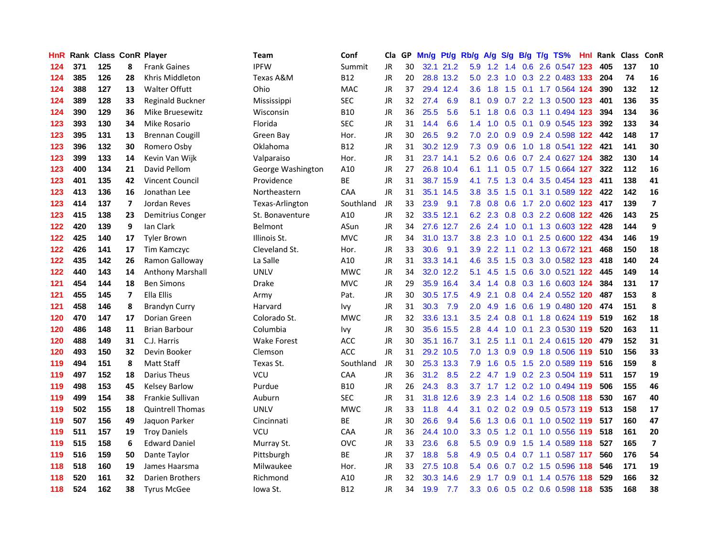| HnR |     | Rank Class ConR Player |    |                         | Team              | Conf       | Cla       |    | GP Mn/g | Pt/g      | Rb/g             | A/g             | <b>S/g</b>       |     | B/g T/g TS%                   | Hnl | Rank Class |     | ConR                    |
|-----|-----|------------------------|----|-------------------------|-------------------|------------|-----------|----|---------|-----------|------------------|-----------------|------------------|-----|-------------------------------|-----|------------|-----|-------------------------|
| 124 | 371 | 125                    | 8  | <b>Frank Gaines</b>     | <b>IPFW</b>       | Summit     | <b>JR</b> | 30 |         | 32.1 21.2 | 5.9              | 1.2             | 1.4              | 0.6 | 2.6 0.547                     | 123 | 405        | 137 | 10                      |
| 124 | 385 | 126                    | 28 | Khris Middleton         | Texas A&M         | <b>B12</b> | <b>JR</b> | 20 |         | 28.8 13.2 | 5.0              | 2.3             | 1.0              | 0.3 | 2.2 0.483 133                 |     | 204        | 74  | 16                      |
| 124 | 388 | 127                    | 13 | <b>Walter Offutt</b>    | Ohio              | <b>MAC</b> | JR        | 37 |         | 29.4 12.4 | 3.6              | 1.8             | 1.5              | 0.1 | 1.7 0.564 124                 |     | 390        | 132 | 12                      |
| 124 | 389 | 128                    | 33 | Reginald Buckner        | Mississippi       | <b>SEC</b> | <b>JR</b> | 32 | 27.4    | 6.9       | 8.1              | 0.9             |                  |     | 0.7 2.2 1.3 0.500 123         |     | 401        | 136 | 35                      |
| 124 | 390 | 129                    | 36 | Mike Bruesewitz         | Wisconsin         | <b>B10</b> | <b>JR</b> | 36 | 25.5    | 5.6       | 5.1              | 1.8             |                  |     | 0.6 0.3 1.1 0.494 123         |     | 394        | 134 | 36                      |
| 123 | 393 | 130                    | 34 | Mike Rosario            | Florida           | <b>SEC</b> | <b>JR</b> | 31 | 14.4    | 6.6       | $1.4^{\circ}$    | 1.0             |                  |     | 0.5 0.1 0.9 0.545 123         |     | 392        | 133 | 34                      |
| 123 | 395 | 131                    | 13 | <b>Brennan Cougill</b>  | Green Bay         | Hor.       | JR        | 30 | 26.5    | 9.2       | 7.0              | 2.0             |                  |     | 0.9 0.9 2.4 0.598 122         |     | 442        | 148 | 17                      |
| 123 | 396 | 132                    | 30 | Romero Osby             | Oklahoma          | <b>B12</b> | <b>JR</b> | 31 |         | 30.2 12.9 | 7.3              | 0.9             | 0.6              |     | 1.0 1.8 0.541 122             |     | 421        | 141 | 30                      |
| 123 | 399 | 133                    | 14 | Kevin Van Wijk          | Valparaiso        | Hor.       | <b>JR</b> | 31 |         | 23.7 14.1 | 5.2              | 0.6             | 0.6              |     | 0.7 2.4 0.627 124             |     | 382        | 130 | 14                      |
| 123 | 400 | 134                    | 21 | David Pellom            | George Washington | A10        | <b>JR</b> | 27 |         | 26.8 10.4 | 6.1              | 1.1             | 0.5              |     | 0.7 1.5 0.664 127             |     | 322        | 112 | 16                      |
| 123 | 401 | 135                    | 42 | <b>Vincent Council</b>  | Providence        | BE         | <b>JR</b> | 31 |         | 38.7 15.9 | 4.1              | 7.5             | 1.3              | 0.4 | 3.5 0.454 123                 |     | 411        | 138 | 41                      |
| 123 | 413 | 136                    | 16 | Jonathan Lee            | Northeastern      | CAA        | <b>JR</b> | 31 |         | 35.1 14.5 | 3.8 <sub>1</sub> | 3.5             | $1.5^{\circ}$    | 0.1 | 3.1 0.589 122                 |     | 422        | 142 | 16                      |
| 123 | 414 | 137                    | 7  | Jordan Reves            | Texas-Arlington   | Southland  | JR        | 33 | 23.9    | 9.1       | 7.8              | 0.8             | 0.6              | 1.7 | 2.0 0.602 123                 |     | 417        | 139 | $\overline{\mathbf{z}}$ |
| 123 | 415 | 138                    | 23 | Demitrius Conger        | St. Bonaventure   | A10        | <b>JR</b> | 32 |         | 33.5 12.1 | 6.2              | 2.3             | 0.8              | 0.3 | 2.2 0.608 122                 |     | 426        | 143 | 25                      |
| 122 | 420 | 139                    | 9  | Ian Clark               | Belmont           | ASun       | <b>JR</b> | 34 |         | 27.6 12.7 | 2.6              | 2.4             | 1.0              | 0.1 | 1.3 0.603 122                 |     | 428        | 144 | 9                       |
| 122 | 425 | 140                    | 17 | <b>Tyler Brown</b>      | Illinois St.      | <b>MVC</b> | JR        | 34 |         | 31.0 13.7 | 3.8 <sub>1</sub> | 2.3             | 1.0              | 0.1 | 2.5 0.600 122                 |     | 434        | 146 | 19                      |
| 122 | 426 | 141                    | 17 | Tim Kamczyc             | Cleveland St.     | Hor.       | JR        | 33 | 30.6    | 9.1       |                  | $3.9$ 2.2       |                  |     | 1.1 0.2 1.3 0.672 121         |     | 468        | 150 | 18                      |
| 122 | 435 | 142                    | 26 | Ramon Galloway          | La Salle          | A10        | <b>JR</b> | 31 |         | 33.3 14.1 | 4.6              | 3.5             |                  |     | 1.5 0.3 3.0 0.582 123         |     | 418        | 140 | 24                      |
| 122 | 440 | 143                    | 14 | <b>Anthony Marshall</b> | <b>UNLV</b>       | <b>MWC</b> | JR        | 34 |         | 32.0 12.2 | 5.1              | 4.5             |                  |     | 1.5 0.6 3.0 0.521 122         |     | 445        | 149 | 14                      |
| 121 | 454 | 144                    | 18 | <b>Ben Simons</b>       | <b>Drake</b>      | <b>MVC</b> | JR        | 29 |         | 35.9 16.4 |                  |                 |                  |     | 3.4 1.4 0.8 0.3 1.6 0.603 124 |     | 384        | 131 | 17                      |
| 121 | 455 | 145                    | 7  | <b>Ella Ellis</b>       | Army              | Pat.       | <b>JR</b> | 30 |         | 30.5 17.5 | 4.9              | 2.1             | 0.8 <sub>0</sub> |     | 0.4 2.4 0.552 120             |     | 487        | 153 | 8                       |
| 121 | 458 | 146                    | 8  | <b>Brandyn Curry</b>    | Harvard           | Ivy        | JR        | 31 | 30.3    | 7.9       | 2.0              | 4.9             | 1.6              |     | 0.6 1.9 0.480 120             |     | 474        | 151 | 8                       |
| 120 | 470 | 147                    | 17 | Dorian Green            | Colorado St.      | <b>MWC</b> | JR        | 32 |         | 33.6 13.1 | 3.5              | 2.4             | 0.8              |     | 0.1 1.8 0.624 119             |     | 519        | 162 | 18                      |
| 120 | 486 | 148                    | 11 | <b>Brian Barbour</b>    | Columbia          | Ivy        | <b>JR</b> | 30 |         | 35.6 15.5 | 2.8              | 4.4             | 1.0              | 0.1 | 2.3 0.530 119                 |     | 520        | 163 | 11                      |
| 120 | 488 | 149                    | 31 | C.J. Harris             | Wake Forest       | ACC        | <b>JR</b> | 30 |         | 35.1 16.7 | 3.1              | 2.5             | 1.1              | 0.1 | 2.4 0.615 120                 |     | 479        | 152 | 31                      |
| 120 | 493 | 150                    | 32 | Devin Booker            | Clemson           | <b>ACC</b> | <b>JR</b> | 31 |         | 29.2 10.5 | 7.0              | 1.3             | 0.9              | 0.9 | 1.8 0.506 119                 |     | 510        | 156 | 33                      |
| 119 | 494 | 151                    | 8  | <b>Matt Staff</b>       | Texas St.         | Southland  | JR        | 30 |         | 25.3 13.3 | 7.9              | 1.6             | 0.5              | 1.5 | 2.0 0.589 119                 |     | 516        | 159 | 8                       |
| 119 | 497 | 152                    | 18 | Darius Theus            | <b>VCU</b>        | CAA        | <b>JR</b> | 36 | 31.2    | 8.5       | 2.2              | 4.7             | 1.9              | 0.2 | 2.3 0.504 119                 |     | 511        | 157 | 19                      |
| 119 | 498 | 153                    | 45 | <b>Kelsey Barlow</b>    | Purdue            | <b>B10</b> | <b>JR</b> | 26 | 24.3    | 8.3       | 3.7              | 1.7             |                  |     | 1.2 0.2 1.0 0.494 119         |     | 506        | 155 | 46                      |
| 119 | 499 | 154                    | 38 | Frankie Sullivan        | Auburn            | <b>SEC</b> | JR        | 31 |         | 31.8 12.6 | 3.9 <sup>°</sup> | 2.3             |                  |     | 1.4 0.2 1.6 0.508 118         |     | 530        | 167 | 40                      |
| 119 | 502 | 155                    | 18 | <b>Quintrell Thomas</b> | UNLV              | <b>MWC</b> | <b>JR</b> | 33 | 11.8    | 4.4       | 3.1              |                 |                  |     | 0.2 0.2 0.9 0.5 0.573 119     |     | 513        | 158 | 17                      |
| 119 | 507 | 156                    | 49 | Jaquon Parker           | Cincinnati        | <b>BE</b>  | <b>JR</b> | 30 | 26.6    | 9.4       | 5.6              |                 |                  |     | 1.3 0.6 0.1 1.0 0.502 119     |     | 517        | 160 | 47                      |
| 119 | 511 | 157                    | 19 | <b>Troy Daniels</b>     | VCU               | CAA        | <b>JR</b> | 36 |         | 24.4 10.0 |                  | $3.3 \quad 0.5$ |                  |     | 1.2 0.1 1.0 0.556 119         |     | 518        | 161 | 20                      |
| 119 | 515 | 158                    | 6  | <b>Edward Daniel</b>    | Murray St.        | <b>OVC</b> | <b>JR</b> | 33 | 23.6    | 6.8       | $5.5^{\circ}$    | 0.9             | 0.9              |     | 1.5 1.4 0.589 118             |     | 527        | 165 | $\overline{\mathbf{z}}$ |
| 119 | 516 | 159                    | 50 | Dante Taylor            | Pittsburgh        | BE         | <b>JR</b> | 37 | 18.8    | 5.8       | 4.9              | 0.5             |                  |     | 0.4 0.7 1.1 0.587 117         |     | 560        | 176 | 54                      |
| 118 | 518 | 160                    | 19 | James Haarsma           | Milwaukee         | Hor.       | JR        | 33 | 27.5    | 10.8      | 5.4              | 0.6             | 0.7              |     | $0.2$ 1.5 0.596               | 118 | 546        | 171 | 19                      |
| 118 | 520 | 161                    | 32 | Darien Brothers         | Richmond          | A10        | <b>JR</b> | 32 | 30.3    | 14.6      | 2.9              | 1.7             | 0.9              | 0.1 | 1.4 0.576                     | 118 | 529        | 166 | 32                      |
| 118 | 524 | 162                    | 38 | <b>Tyrus McGee</b>      | Iowa St.          | <b>B12</b> | <b>JR</b> | 34 | 19.9    | 7.7       |                  |                 |                  |     | 3.3 0.6 0.5 0.2 0.6 0.598 118 |     | 535        | 168 | 38                      |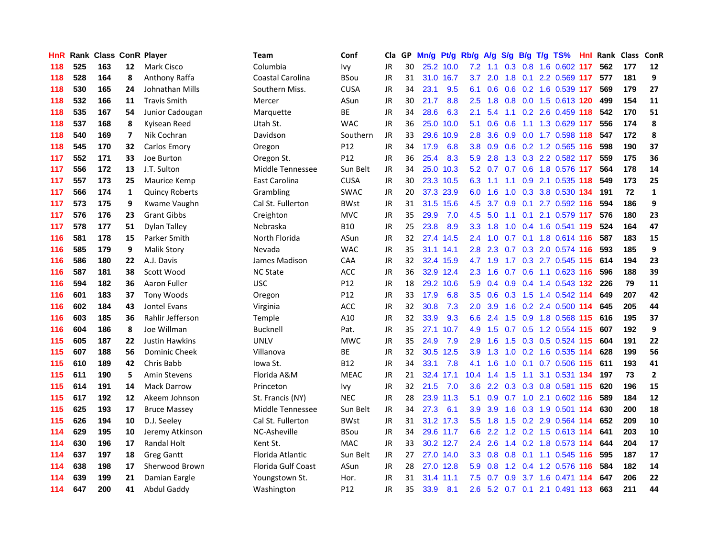| <b>HnR</b> |     | <b>Rank Class ConR Player</b> |                |                       | Team                    | Conf            | Cla       |    | GP Mn/g | Pt/g Rb/g |                  | <b>A/g</b>      | <b>S/g</b>      |     | B/g T/g TS%                   |     | Hnl Rank Class ConR |     |              |
|------------|-----|-------------------------------|----------------|-----------------------|-------------------------|-----------------|-----------|----|---------|-----------|------------------|-----------------|-----------------|-----|-------------------------------|-----|---------------------|-----|--------------|
| 118        | 525 | 163                           | 12             | Mark Cisco            | Columbia                | Ivy             | <b>JR</b> | 30 |         | 25.2 10.0 | 7.2              | 1.1             | 0.3             | 0.8 | 1.6 0.602                     | 117 | 562                 | 177 | 12           |
| 118        | 528 | 164                           | 8              | Anthony Raffa         | <b>Coastal Carolina</b> | BSou            | <b>JR</b> | 31 | 31.0    | 16.7      | 3.7              | 2.0             | 1.8             | 0.1 | 2.2 0.569 117                 |     | 577                 | 181 | 9            |
| 118        | 530 | 165                           | 24             | Johnathan Mills       | Southern Miss.          | <b>CUSA</b>     | <b>JR</b> | 34 | 23.1    | 9.5       | 6.1              | 0.6             | 0.6             |     | 0.2 1.6 0.539 117             |     | 569                 | 179 | 27           |
| 118        | 532 | 166                           | 11             | <b>Travis Smith</b>   | Mercer                  | ASun            | <b>JR</b> | 30 | 21.7    | 8.8       | 2.5              |                 | $1.8\quad 0.8$  |     | 0.0 1.5 0.613 120             |     | 499                 | 154 | 11           |
| 118        | 535 | 167                           | 54             | Junior Cadougan       | Marquette               | ВE              | <b>JR</b> | 34 | 28.6    | 6.3       | 2.1              |                 |                 |     | 5.4 1.1 0.2 2.6 0.459 118     |     | 542                 | 170 | 51           |
| 118        | 537 | 168                           | 8              | Kyisean Reed          | Utah St.                | <b>WAC</b>      | <b>JR</b> | 36 | 25.0    | 10.0      | 5.1              | 0.6             | 0.6             |     | 1.1 1.3 0.629 117             |     | 556                 | 174 | 8            |
| 118        | 540 | 169                           | $\overline{ }$ | Nik Cochran           | Davidson                | Southern        | JR        | 33 | 29.6    | 10.9      | 2.8 <sup>°</sup> | 3.6             |                 |     | 0.9 0.0 1.7 0.598 118         |     | 547                 | 172 | 8            |
| 118        | 545 | 170                           | 32             | Carlos Emory          | Oregon                  | P12             | <b>JR</b> | 34 | 17.9    | 6.8       | 3.8 <sub>1</sub> | 0.9             |                 |     | 0.6 0.2 1.2 0.565 116         |     | 598                 | 190 | 37           |
| 117        | 552 | 171                           | 33             | Joe Burton            | Oregon St.              | P12             | JR        | 36 | 25.4    | 8.3       | 5.9              | 2.8             |                 |     | 1.3 0.3 2.2 0.582 117         |     | 559                 | 175 | 36           |
| 117        | 556 | 172                           | 13             | J.T. Sulton           | Middle Tennessee        | Sun Belt        | JR        | 34 | 25.0    | 10.3      |                  | $5.2 \quad 0.7$ | 0.7             |     | 0.6 1.8 0.576 117             |     | 564                 | 178 | 14           |
| 117        | 557 | 173                           | 25             | Maurice Kemp          | East Carolina           | <b>CUSA</b>     | <b>JR</b> | 30 |         | 23.3 10.5 | 6.3              | 1.1             | 1.1             |     | 0.9 2.1 0.535 118             |     | 549                 | 173 | 25           |
| 117        | 566 | 174                           | $\mathbf{1}$   | <b>Quincy Roberts</b> | Grambling               | <b>SWAC</b>     | <b>JR</b> | 20 |         | 37.3 23.9 | 6.0              | 1.6             | 1.0             | 0.3 | 3.8 0.530 134                 |     | 191                 | 72  | $\mathbf{1}$ |
| 117        | 573 | 175                           | 9              | Kwame Vaughn          | Cal St. Fullerton       | <b>BWst</b>     | JR        | 31 | 31.5    | 15.6      | 4.5              | 3.7             | 0.9             | 0.1 | 2.7 0.592 116                 |     | 594                 | 186 | 9            |
| 117        | 576 | 176                           | 23             | <b>Grant Gibbs</b>    | Creighton               | <b>MVC</b>      | <b>JR</b> | 35 | 29.9    | 7.0       | 4.5              | 5.0             | 1.1             |     | $0.1$ 2.1 0.579 117           |     | 576                 | 180 | 23           |
| 117        | 578 | 177                           | 51             | Dylan Talley          | Nebraska                | <b>B10</b>      | <b>JR</b> | 25 | 23.8    | 8.9       | 3.3 <sub>1</sub> | 1.8             | 1.0             |     | 0.4 1.6 0.541 119             |     | 524                 | 164 | 47           |
| 116        | 581 | 178                           | 15             | Parker Smith          | North Florida           | ASun            | <b>JR</b> | 32 | 27.4    | 14.5      | 2.4              | 1.0             | 0.7             | 0.1 | 1.8 0.614 116                 |     | 587                 | 183 | 15           |
| 116        | 585 | 179                           | 9              | <b>Malik Story</b>    | Nevada                  | <b>WAC</b>      | <b>JR</b> | 35 |         | 31.1 14.1 | 2.8              |                 |                 |     | 2.3 0.7 0.3 2.0 0.574 116     |     | 593                 | 185 | 9            |
| 116        | 586 | 180                           | 22             | A.J. Davis            | James Madison           | CAA             | JR        | 32 |         | 32.4 15.9 |                  | $4.7 \quad 1.9$ |                 |     | 1.7 0.3 2.7 0.545 115         |     | 614                 | 194 | 23           |
| 116        | 587 | 181                           | 38             | Scott Wood            | <b>NC State</b>         | ACC             | JR        | 36 |         | 32.9 12.4 |                  |                 |                 |     | 2.3 1.6 0.7 0.6 1.1 0.623 116 |     | 596                 | 188 | 39           |
| 116        | 594 | 182                           | 36             | Aaron Fuller          | <b>USC</b>              | P <sub>12</sub> | JR        | 18 |         | 29.2 10.6 | 5.9              |                 |                 |     | 0.4 0.9 0.4 1.4 0.543 132     |     | -226                | 79  | 11           |
| 116        | 601 | 183                           | 37             | <b>Tony Woods</b>     | Oregon                  | P <sub>12</sub> | <b>JR</b> | 33 | 17.9    | 6.8       | 3.5              | 0.6             |                 |     | 0.3 1.5 1.4 0.542 114         |     | 649                 | 207 | 42           |
| 116        | 602 | 184                           | 43             | Jontel Evans          | Virginia                | ACC             | JR        | 32 | 30.8    | 7.3       | 2.0 <sub>1</sub> | 3.9             | 1.6             |     | 0.2 2.4 0.500 114             |     | 645                 | 205 | 44           |
| 116        | 603 | 185                           | 36             | Rahlir Jefferson      | Temple                  | A10             | <b>JR</b> | 32 | 33.9    | 9.3       | 6.6              | 2.4             |                 |     | 1.5 0.9 1.8 0.568 115         |     | 616                 | 195 | 37           |
| 116        | 604 | 186                           | 8              | Joe Willman           | <b>Bucknell</b>         | Pat.            | JR        | 35 | 27.1    | 10.7      | 4.9              | 1.5             |                 |     | 0.7 0.5 1.2 0.554 115         |     | 607                 | 192 | 9            |
| 115        | 605 | 187                           | 22             | <b>Justin Hawkins</b> | <b>UNLV</b>             | <b>MWC</b>      | <b>JR</b> | 35 | 24.9    | 7.9       | 2.9              | 1.6             | 1.5             |     | 0.3 0.5 0.524 115             |     | 604                 | 191 | 22           |
| 115        | 607 | 188                           | 56             | Dominic Cheek         | Villanova               | BE              | <b>JR</b> | 32 |         | 30.5 12.5 | 3.9              | 1.3             | 1.0             |     | 0.2 1.6 0.535 114             |     | 628                 | 199 | 56           |
| 115        | 610 | 189                           | 42             | Chris Babb            | lowa St.                | <b>B12</b>      | <b>JR</b> | 34 | 33.1    | 7.8       | 4.1              | 1.6             | 1.0             |     | 0.1 0.7 0.506 115             |     | 611                 | 193 | 41           |
| 115        | 611 | 190                           | 5              | <b>Amin Stevens</b>   | Florida A&M             | <b>MEAC</b>     | JR        | 21 |         | 32.4 17.1 | 10.4             | 1.4             | 1.5             | 1.1 | 3.1 0.531 134                 |     | 197                 | 73  | $\mathbf{2}$ |
| 115        | 614 | 191                           | 14             | <b>Mack Darrow</b>    | Princeton               | <b>Ivy</b>      | <b>JR</b> | 32 | 21.5    | 7.0       | 3.6 <sup>°</sup> |                 | $2.2 \quad 0.3$ | 0.3 | 0.8 0.581 115                 |     | 620                 | 196 | 15           |
| 115        | 617 | 192                           | 12             | Akeem Johnson         | St. Francis (NY)        | <b>NEC</b>      | <b>JR</b> | 28 | 23.9    | 11.3      | 5.1              |                 | $0.9\quad 0.7$  |     | 1.0 2.1 0.602 116             |     | 589                 | 184 | 12           |
| 115        | 625 | 193                           | 17             | <b>Bruce Massey</b>   | Middle Tennessee        | Sun Belt        | <b>JR</b> | 34 | 27.3    | 6.1       | 3.9              | 3.9             | 1.6             |     | 0.3 1.9 0.501 114             |     | 630                 | 200 | 18           |
| 115        | 626 | 194                           | 10             | D.J. Seeley           | Cal St. Fullerton       | BWst            | <b>JR</b> | 31 |         | 31.2 17.3 |                  |                 |                 |     | 5.5 1.8 1.5 0.2 2.9 0.564 114 |     | 652                 | 209 | 10           |
| 114        | 629 | 195                           | 10             | Jeremy Atkinson       | NC-Asheville            | BSou            | <b>JR</b> | 34 |         | 29.6 11.7 |                  |                 |                 |     | 6.6 2.2 1.2 0.2 1.5 0.613 114 |     | 641                 | 203 | 10           |
| 114        | 630 | 196                           | 17             | <b>Randal Holt</b>    | Kent St.                | <b>MAC</b>      | <b>JR</b> | 33 |         | 30.2 12.7 | $2.4^{\circ}$    | 2.6             |                 |     | 1.4 0.2 1.8 0.573 114         |     | 644                 | 204 | 17           |
| 114        | 637 | 197                           | 18             | <b>Greg Gantt</b>     | Florida Atlantic        | Sun Belt        | JR        | 27 |         | 27.0 14.0 | 3.3 <sub>2</sub> | 0.8             | 0.8             |     | 0.1 1.1 0.545 116             |     | 595                 | 187 | 17           |
| 114        | 638 | 198                           | 17             | Sherwood Brown        | Florida Gulf Coast      | ASun            | <b>JR</b> | 28 | 27.0    | 12.8      | 5.9              | 0.8             | 1.2             |     | 0.4 1.2 0.576 116             |     | 584                 | 182 | 14           |
| 114        | 639 | 199                           | 21             | Damian Eargle         | Youngstown St.          | Hor.            | <b>JR</b> | 31 | 31.4    | 11.1      | 7.5              | 0.7             | 0.9             |     | 3.7 1.6 0.471 114             |     | 647                 | 206 | 22           |
| 114        | 647 | 200                           | 41             | <b>Abdul Gaddy</b>    | Washington              | P12             | JR        | 35 | 33.9    | 8.1       | $2.6^{\circ}$    |                 |                 |     | 5.2 0.7 0.1 2.1 0.491 113     |     | 663                 | 211 | 44           |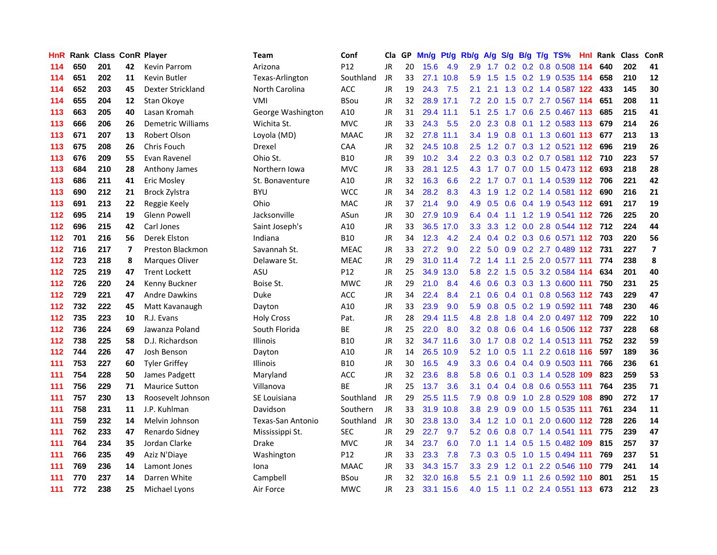| <b>HnR</b> |     | <b>Rank Class ConR Player</b> |    |                          | Team              | Conf            | Cla       |    | GP Mn/g | Pt/g Rb/g A/g |                  |                 | S/g             |     | B/g T/g TS%                       | Hnl |     | Rank Class ConR |                         |
|------------|-----|-------------------------------|----|--------------------------|-------------------|-----------------|-----------|----|---------|---------------|------------------|-----------------|-----------------|-----|-----------------------------------|-----|-----|-----------------|-------------------------|
| 114        | 650 | 201                           | 42 | <b>Kevin Parrom</b>      | Arizona           | P12             | <b>JR</b> | 20 | 15.6    | 4.9           | 2.9              | 1.7             | 0.2             | 0.2 | 0.8 0.508                         | 114 | 640 | 202             | 41                      |
| 114        | 651 | 202                           | 11 | <b>Kevin Butler</b>      | Texas-Arlington   | Southland       | JR        | 33 |         | 27.1 10.8     | 5.9              | 1.5             | 1.5             | 0.2 | 1.9 0.535 114                     |     | 658 | 210             | 12                      |
| 114        | 652 | 203                           | 45 | Dexter Strickland        | North Carolina    | ACC             | <b>JR</b> | 19 | 24.3    | 7.5           | 2.1              | 2.1             | 1.3             |     | 0.2 1.4 0.587 122                 |     | 433 | 145             | 30                      |
| 114        | 655 | 204                           | 12 | Stan Okoye               | VMI               | <b>BSou</b>     | <b>JR</b> | 32 |         | 28.9 17.1     |                  |                 |                 |     | 7.2 2.0 1.5 0.7 2.7 0.567 114     |     | 651 | 208             | 11                      |
| 113        | 663 | 205                           | 40 | Lasan Kromah             | George Washington | A10             | <b>JR</b> | 31 |         | 29.4 11.1     | 5.1              |                 |                 |     | 2.5 1.7 0.6 2.5 0.467 113         |     | 685 | 215             | 41                      |
| 113        | 666 | 206                           | 26 | <b>Demetric Williams</b> | Wichita St.       | <b>MVC</b>      | <b>JR</b> | 33 | 24.3    | 5.5           | 2.0 <sub>1</sub> |                 | $2.3 \quad 0.8$ |     | 0.1 1.2 0.583 113                 |     | 679 | 214             | 26                      |
| 113        | 671 | 207                           | 13 | Robert Olson             | Loyola (MD)       | <b>MAAC</b>     | JR        | 32 |         | 27.8 11.1     |                  | $3.4$ 1.9       | 0.8             |     | 0.1 1.3 0.601 113                 |     | 677 | 213             | 13                      |
| 113        | 675 | 208                           | 26 | Chris Fouch              | Drexel            | CAA             | <b>JR</b> | 32 |         | 24.5 10.8     | $2.5^{\circ}$    |                 |                 |     | 1.2 0.7 0.3 1.2 0.521 112         |     | 696 | 219             | 26                      |
| 113        | 676 | 209                           | 55 | Evan Ravenel             | Ohio St.          | <b>B10</b>      | <b>JR</b> | 39 | 10.2    | 3.4           | $2.2\phantom{0}$ | 0.3             | 0.3             |     | 0.2 0.7 0.581 112                 |     | 710 | 223             | 57                      |
| 113        | 684 | 210                           | 28 | Anthony James            | Northern Iowa     | <b>MVC</b>      | <b>JR</b> | 33 | 28.1    | 12.5          | 4.3              | 1.7             |                 |     | 0.7 0.0 1.5 0.473 112             |     | 693 | 218             | 28                      |
| 113        | 686 | 211                           | 41 | <b>Eric Mosley</b>       | St. Bonaventure   | A10             | JR        | 32 | 16.3    | 6.6           |                  | $2.2$ 1.7       |                 |     | 0.7 0.1 1.4 0.539 112             |     | 706 | 221             | 42                      |
| 113        | 690 | 212                           | 21 | <b>Brock Zylstra</b>     | <b>BYU</b>        | <b>WCC</b>      | <b>JR</b> | 34 | 28.2    | 8.3           | 4.3              | 1.9             | 1.2             |     | 0.2 1.4 0.581 112                 |     | 690 | 216             | 21                      |
| 113        | 691 | 213                           | 22 | Reggie Keely             | Ohio              | <b>MAC</b>      | <b>JR</b> | 37 | 21.4    | 9.0           | 4.9              | 0.5             | 0.6             |     | 0.4 1.9 0.543 112                 |     | 691 | 217             | 19                      |
| 112        | 695 | 214                           | 19 | Glenn Powell             | Jacksonville      | ASun            | <b>JR</b> | 30 | 27.9    | 10.9          | 6.4              | 0.4             | 1.1             |     | 1.2 1.9 0.541 112 726             |     |     | 225             | 20                      |
| 112        | 696 | 215                           | 42 | Carl Jones               | Saint Joseph's    | A10             | <b>JR</b> | 33 | 36.5    | 17.0          | 3.3              | 3.3             | 1.2             | 0.0 | 2.8 0.544 112                     |     | 712 | 224             | 44                      |
| 112        | 701 | 216                           | 56 | Derek Elston             | Indiana           | <b>B10</b>      | <b>JR</b> | 34 | 12.3    | 4.2           |                  |                 |                 |     | 2.4 0.4 0.2 0.3 0.6 0.571 112 703 |     |     | 220             | 56                      |
| 112        | 716 | 217                           | 7  | Preston Blackmon         | Savannah St.      | <b>MEAC</b>     | JR        | 33 | 27.2    | 9.0           |                  |                 |                 |     | 2.2 5.0 0.9 0.2 2.7 0.489 112 731 |     |     | 227             | $\overline{\mathbf{z}}$ |
| 112        | 723 | 218                           | 8  | <b>Marques Oliver</b>    | Delaware St.      | <b>MEAC</b>     | <b>JR</b> | 29 |         | 31.0 11.4     |                  |                 | 7.2 1.4 1.1     |     | 2.5 2.0 0.577 111                 |     | 774 | 238             | 8                       |
| 112        | 725 | 219                           | 47 | <b>Trent Lockett</b>     | ASU               | P <sub>12</sub> | JR        | 25 |         | 34.9 13.0     | 5.8              |                 |                 |     | 2.2 1.5 0.5 3.2 0.584 114         |     | 634 | 201             | 40                      |
| 112        | 726 | 220                           | 24 | Kenny Buckner            | Boise St.         | <b>MWC</b>      | JR        | 29 | 21.0    | 8.4           | 4.6              |                 |                 |     | 0.6 0.3 0.3 1.3 0.600 111         |     | 750 | 231             | 25                      |
| 112        | 729 | 221                           | 47 | <b>Andre Dawkins</b>     | Duke              | <b>ACC</b>      | <b>JR</b> | 34 | 22.4    | 8.4           | 2.1              | 0.6             |                 |     | 0.4 0.1 0.8 0.563 112 743         |     |     | 229             | 47                      |
| 112        | 732 | 222                           | 45 | Matt Kavanaugh           | Dayton            | A10             | JR        | 33 | 23.9    | 9.0           | 5.9              | 0.8             | 0.5             |     | 0.2 1.9 0.592 111                 |     | 748 | 230             | 46                      |
| 112        | 735 | 223                           | 10 | R.J. Evans               | <b>Holy Cross</b> | Pat.            | JR        | 28 | 29.4    | 11.5          | 4.8              | 2.8             | 1.8             |     | 0.4 2.0 0.497 112                 |     | 709 | 222             | 10                      |
| 112        | 736 | 224                           | 69 | Jawanza Poland           | South Florida     | BE              | <b>JR</b> | 25 | 22.0    | 8.0           |                  | $3.2 \quad 0.8$ | 0.6             |     | 0.4 1.6 0.506 112                 |     | 737 | 228             | 68                      |
| 112        | 738 | 225                           | 58 | D.J. Richardson          | <b>Illinois</b>   | B10             | <b>JR</b> | 32 |         | 34.7 11.6     | 3.0 <sub>1</sub> | 1.7             | 0.8             |     | 0.2 1.4 0.513 111                 |     | 752 | 232             | 59                      |
| 112        | 744 | 226                           | 47 | Josh Benson              | Dayton            | A10             | <b>JR</b> | 14 | 26.5    | 10.9          | 5.2              | 1.0             | 0.5             |     | 1.1 2.2 0.618 116                 |     | 597 | 189             | 36                      |
| 111        | 753 | 227                           | 60 | <b>Tyler Griffey</b>     | Illinois          | <b>B10</b>      | <b>JR</b> | 30 | 16.5    | 4.9           | 3.3 <sub>2</sub> | 0.6             |                 |     | 0.4 0.4 0.9 0.503 111             |     | 766 | 236             | 61                      |
| 111        | 754 | 228                           | 50 | James Padgett            | Maryland          | <b>ACC</b>      | <b>JR</b> | 32 | 23.6    | 8.8           | 5.8              | 0.6             | 0.1             |     | 0.3 1.4 0.528 109                 |     | 823 | 259             | 53                      |
| 111        | 756 | 229                           | 71 | <b>Maurice Sutton</b>    | Villanova         | ВE              | <b>JR</b> | 25 | 13.7    | 3.6           | 3.1              |                 |                 |     | 0.4 0.4 0.8 0.6 0.553 111         |     | 764 | 235             | 71                      |
| 111        | 757 | 230                           | 13 | Roosevelt Johnson        | SE Louisiana      | Southland       | JR        | 29 | 25.5    | 11.5          | 7.9              |                 | $0.8\quad 0.9$  |     | 1.0 2.8 0.529 108                 |     | 890 | 272             | 17                      |
| 111        | 758 | 231                           | 11 | J.P. Kuhlman             | Davidson          | Southern        | JR        | 33 |         | 31.9 10.8     | 3.8 <sub>1</sub> | 2.9             |                 |     | 0.9 0.0 1.5 0.535 111             |     | 761 | 234             | 11                      |
| 111        | 759 | 232                           | 14 | Melvin Johnson           | Texas-San Antonio | Southland       | JR        | 30 | 23.8    | 13.0          | $3.4^{\circ}$    |                 |                 |     | 1.2 1.0 0.1 2.0 0.600 112 728     |     |     | 226             | 14                      |
| 111        | 762 | 233                           | 47 | Renardo Sidney           | Mississippi St.   | <b>SEC</b>      | <b>JR</b> | 29 | 22.7    | 9.7           | 5.2              | 0.6             |                 |     | 0.8 0.7 1.4 0.541 111             |     | 775 | 239             | 47                      |
| 111        | 764 | 234                           | 35 | Jordan Clarke            | <b>Drake</b>      | <b>MVC</b>      | <b>JR</b> | 34 | 23.7    | 6.0           | 7.0              | 1.1             |                 |     | 1.4 0.5 1.5 0.482 109             |     | 815 | 257             | 37                      |
| 111        | 766 | 235                           | 49 | Aziz N'Diaye             | Washington        | P12             | <b>JR</b> | 33 | 23.3    | 7.8           | 7.3              | 0.3             | 0.5             |     | 1.0 1.5 0.494 111                 |     | 769 | 237             | 51                      |
| 111        | 769 | 236                           | 14 | Lamont Jones             | Iona              | <b>MAAC</b>     | <b>JR</b> | 33 | 34.3    | 15.7          | 3.3 <sub>1</sub> | 2.9             | $1.2^{\circ}$   | 0.1 | 2.2 0.546                         | 110 | 779 | 241             | 14                      |
| 111        | 770 | 237                           | 14 | Darren White             | Campbell          | BSou            | <b>JR</b> | 32 | 32.0    | 16.8          | 5.5 <sub>1</sub> | 2.1             | 0.9             | 1.1 | 2.6 0.592                         | 110 | 801 | 251             | 15                      |
| 111        | 772 | 238                           | 25 | Michael Lyons            | Air Force         | <b>MWC</b>      | <b>JR</b> | 23 |         | 33.1 15.6     |                  |                 |                 |     | 4.0 1.5 1.1 0.2 2.4 0.551 113     |     | 673 | 212             | 23                      |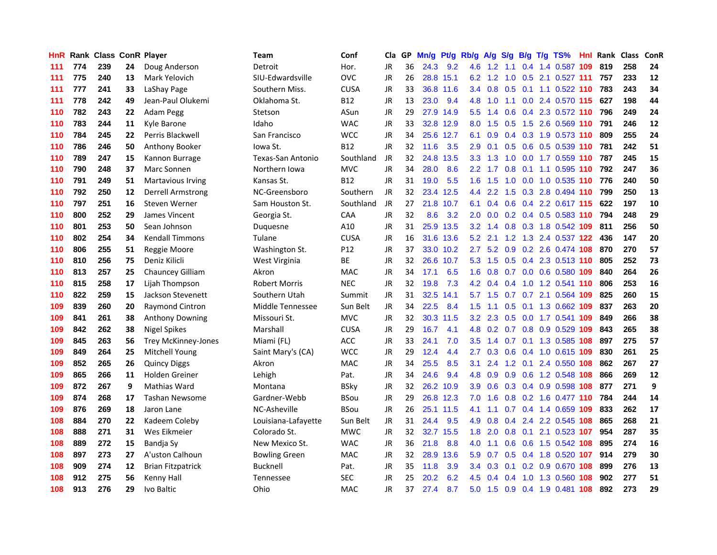| <b>HnR</b> |     | <b>Rank Class ConR Player</b> |    |                            | Team                 | Conf        | Cla       |     | GP Mn/g |           | Pt/g Rb/g A/g    |           | S/g |                 | B/g T/g TS%                   | Hnl  | Rank Class |     | <b>ConR</b> |
|------------|-----|-------------------------------|----|----------------------------|----------------------|-------------|-----------|-----|---------|-----------|------------------|-----------|-----|-----------------|-------------------------------|------|------------|-----|-------------|
| 111        | 774 | 239                           | 24 | Doug Anderson              | Detroit              | Hor.        | JR.       | 36  | 24.3    | 9.2       | 4.6              | 1.2       | 1.1 | 0.4             | 1.4 0.587                     | 109  | 819        | 258 | 24          |
| 111        | 775 | 240                           | 13 | Mark Yelovich              | SIU-Edwardsville     | OVC         | JR        | 26  |         | 28.8 15.1 | 6.2              | 1.2       | 1.0 | 0.5             | 2.1 0.527 111                 |      | 757        | 233 | 12          |
| 111        | 777 | 241                           | 33 | LaShay Page                | Southern Miss.       | <b>CUSA</b> | JR        | 33  | 36.8    | 11.6      | 3.4              | 0.8       | 0.5 | 0.1             | 1.1 0.522 110                 |      | 783        | 243 | 34          |
| 111        | 778 | 242                           | 49 | Jean-Paul Olukemi          | Oklahoma St.         | B12         | JR        | 13  | 23.0    | 9.4       | 4.8              | 1.0       | 1.1 |                 | 0.0 2.4 0.570 115             |      | 627        | 198 | 44          |
| 110        | 782 | 243                           | 22 | Adam Pegg                  | Stetson              | ASun        | <b>JR</b> | 29  |         | 27.9 14.9 | 5.5              |           |     |                 | 1.4 0.6 0.4 2.3 0.572 110     |      | 796        | 249 | 24          |
| 110        | 783 | 244                           | 11 | Kyle Barone                | Idaho                | <b>WAC</b>  | JR        | 33  |         | 32.8 12.9 | 8.0              | 1.5       | 0.5 |                 | 1.5 2.6 0.569 110             |      | 791        | 246 | 12          |
| 110        | 784 | 245                           | 22 | Perris Blackwell           | San Francisco        | <b>WCC</b>  | JR        | 34  |         | 25.6 12.7 | 6.1              | 0.9       |     |                 | 0.4 0.3 1.9 0.573 110         |      | 809        | 255 | 24          |
| 110        | 786 | 246                           | 50 | Anthony Booker             | Iowa St.             | <b>B12</b>  | JR        | 32  | 11.6    | 3.5       | 2.9              | 0.1       | 0.5 |                 | 0.6 0.5 0.539 110             |      | 781        | 242 | 51          |
| 110        | 789 | 247                           | 15 | Kannon Burrage             | Texas-San Antonio    | Southland   | JR        | 32  | 24.8    | 13.5      | 3.3 <sub>2</sub> | 1.3       | 1.0 |                 | 0.0 1.7 0.559 110             |      | 787        | 245 | 15          |
| 110        | 790 | 248                           | 37 | Marc Sonnen                | Northern Iowa        | <b>MVC</b>  | JR        | 34  | 28.0    | 8.6       | 2.2 <sub>2</sub> | 1.7       | 0.8 | 0.1             | 1.1 0.595                     | 110  | 792        | 247 | 36          |
| 110        | 791 | 249                           | 51 | Martavious Irving          | Kansas St.           | <b>B12</b>  | JR        | 31  | 19.0    | 5.5       | 1.6 <sup>°</sup> | 1.5       | 1.0 |                 | 0.0 1.0 0.535                 | -110 | 776        | 240 | 50          |
| 110        | 792 | 250                           | 12 | <b>Derrell Armstrong</b>   | NC-Greensboro        | Southern    | JR        | 32  | 23.4    | 12.5      | $4.4^{\circ}$    | 2.2       | 1.5 |                 | 0.3 2.8 0.494 110             |      | 799        | 250 | 13          |
| 110        | 797 | 251                           | 16 | <b>Steven Werner</b>       | Sam Houston St.      | Southland   | JR        | 27  | 21.8    | 10.7      | 6.1              | 0.4       | 0.6 |                 | 0.4 2.2 0.617 115             |      | 622        | 197 | 10          |
| 110        | 800 | 252                           | 29 | James Vincent              | Georgia St.          | <b>CAA</b>  | JR.       | 32  | 8.6     | 3.2       | 2.0 <sub>1</sub> | 0.0       |     |                 | 0.2 0.4 0.5 0.583 110         |      | 794        | 248 | 29          |
| 110        | 801 | 253                           | 50 | Sean Johnson               | Duguesne             | A10         | <b>JR</b> | 31  |         | 25.9 13.5 | 3.2              | 1.4       | 0.8 |                 | 0.3 1.8 0.542 109             |      | 811        | 256 | 50          |
| 110        | 802 | 254                           | 34 | <b>Kendall Timmons</b>     | Tulane               | <b>CUSA</b> | JR        | 16  | 31.6    | 13.6      | 5.2              | 2.1       |     |                 | 1.2 1.3 2.4 0.537 122         |      | 436        | 147 | 20          |
| 110        | 806 | 255                           | 51 | Reggie Moore               | Washington St.       | P12         | JR        | 37  |         | 33.0 10.2 | 2.7              |           |     |                 | 5.2 0.9 0.2 2.6 0.474 108     |      | 870        | 270 | 57          |
| 110        | 810 | 256                           | 75 | Deniz Kilicli              | West Virginia        | ВE          | JR        | 32  |         | 26.6 10.7 |                  |           |     |                 | 5.3 1.5 0.5 0.4 2.3 0.513 110 |      | 805        | 252 | 73          |
| 110        | 813 | 257                           | 25 | Chauncey Gilliam           | Akron                | <b>MAC</b>  | JR        | 34  | 17.1    | 6.5       |                  |           |     |                 | 1.6 0.8 0.7 0.0 0.6 0.580 109 |      | 840        | 264 | 26          |
| 110        | 815 | 258                           | 17 | Lijah Thompson             | <b>Robert Morris</b> | <b>NEC</b>  | JR        | 32  | 19.8    | 7.3       |                  |           |     |                 | 4.2 0.4 0.4 1.0 1.2 0.541 110 |      | 806        | 253 | 16          |
| 110        | 822 | 259                           | 15 | Jackson Stevenett          | Southern Utah        | Summit      | JR        | 31  | 32.5    | 14.1      |                  | $5.7$ 1.5 |     |                 | 0.7 0.7 2.1 0.564 109         |      | 825        | 260 | 15          |
| 109        | 839 | 260                           | 20 | <b>Raymond Cintron</b>     | Middle Tennessee     | Sun Belt    | JR.       | 34  | 22.5    | 8.4       | 1.5 <sub>1</sub> | 1.1       | 0.5 |                 | 0.1 1.3 0.662 109             |      | 837        | 263 | 20          |
| 109        | 841 | 261                           | 38 | <b>Anthony Downing</b>     | Missouri St.         | <b>MVC</b>  | JR        | 32  | 30.3    | 11.5      | 3.2              | 2.3       | 0.5 |                 | 0.0 1.7 0.541 109             |      | 849        | 266 | 38          |
| 109        | 842 | 262                           | 38 | <b>Nigel Spikes</b>        | Marshall             | <b>CUSA</b> | JR        | 29  | 16.7    | 4.1       | 4.8              |           |     |                 | 0.2 0.7 0.8 0.9 0.529 109     |      | 843        | 265 | 38          |
| 109        | 845 | 263                           | 56 | <b>Trey McKinney-Jones</b> | Miami (FL)           | ACC         | JR        | 33  | 24.1    | 7.0       | 3.5              | 1.4       |     |                 | 0.7 0.1 1.3 0.585 108         |      | 897        | 275 | 57          |
| 109        | 849 | 264                           | 25 | Mitchell Young             | Saint Mary's (CA)    | <b>WCC</b>  | JR        | 29  | 12.4    | 4.4       | 2.7              | 0.3       | 0.6 |                 | 0.4 1.0 0.615 109             |      | 830        | 261 | 25          |
| 109        | 852 | 265                           | 26 | <b>Quincy Diggs</b>        | Akron                | <b>MAC</b>  | JR.       | 34  | 25.5    | 8.5       | 3.1              | 2.4       |     | $1.2 \quad 0.1$ | 2.4 0.550 108                 |      | 862        | 267 | 27          |
| 109        | 865 | 266                           | 11 | <b>Holden Greiner</b>      | Lehigh               | Pat.        | JR        | 34  | 24.6    | 9.4       | 4.8              | 0.9       | 0.9 |                 | 0.6 1.2 0.548 108             |      | 866        | 269 | 12          |
| 109        | 872 | 267                           | 9  | Mathias Ward               | Montana              | BSkv        | JR        | 32  | 26.2    | 10.9      | 3.9 <sup>°</sup> | 0.6       |     |                 | 0.3 0.4 0.9 0.598 108         |      | 877        | 271 | 9           |
| 109        | 874 | 268                           | 17 | <b>Tashan Newsome</b>      | Gardner-Webb         | BSou        | JR        | 29  |         | 26.8 12.3 | 7.0              | 1.6       |     |                 | 0.8 0.2 1.6 0.477 110         |      | 784        | 244 | 14          |
| 109        | 876 | 269                           | 18 | Jaron Lane                 | NC-Asheville         | <b>BSou</b> | JR        | 26  |         | 25.1 11.5 | 4.1              | 1.1       |     |                 | 0.7 0.4 1.4 0.659 109         |      | 833        | 262 | 17          |
| 108        | 884 | 270                           | 22 | Kadeem Coleby              | Louisiana-Lafayette  | Sun Belt    | JR        | 31  | 24.4    | 9.5       | 4.9              | 0.8       |     |                 | 0.4 2.4 2.2 0.545 108         |      | 865        | 268 | 21          |
| 108        | 888 | 271                           | 31 | Wes Eikmeier               | Colorado St.         | <b>MWC</b>  | JR        | 32. |         | 32.7 15.5 | 1.8              | 2.0       |     |                 | 0.8 0.1 2.1 0.523 107         |      | 954        | 287 | 35          |
| 108        | 889 | 272                           | 15 | Bandja Sy                  | New Mexico St.       | <b>WAC</b>  | JR        | 36  | 21.8    | 8.8       | 4.0              | 1.1       | 0.6 |                 | 0.6 1.5 0.542 108             |      | 895        | 274 | 16          |
| 108        | 897 | 273                           | 27 | A'uston Calhoun            | <b>Bowling Green</b> | MAC         | JR        | 32  | 28.9    | 13.6      | 5.9              | 0.7       | 0.5 |                 | 0.4 1.8 0.520 107             |      | 914        | 279 | 30          |
| 108        | 909 | 274                           | 12 | <b>Brian Fitzpatrick</b>   | <b>Bucknell</b>      | Pat.        | JR        | 35  | 11.8    | 3.9       | $3.4^{\circ}$    | 0.3       | 0.1 | 0.2             | 0.9 0.670 108                 |      | 899        | 276 | 13          |
| 108        | 912 | 275                           | 56 | Kenny Hall                 | <b>Tennessee</b>     | <b>SEC</b>  | <b>JR</b> | 25  | 20.2    | 6.2       | 4.5              | 0.4       | 0.4 | 1.0             | 1.3 0.560                     | 108  | 902        | 277 | 51          |
| 108        | 913 | 276                           | 29 | Ivo Baltic                 | Ohio                 | <b>MAC</b>  | <b>JR</b> | 37  | 27.4    | 8.7       |                  |           |     |                 | 5.0 1.5 0.9 0.4 1.9 0.481 108 |      | 892        | 273 | 29          |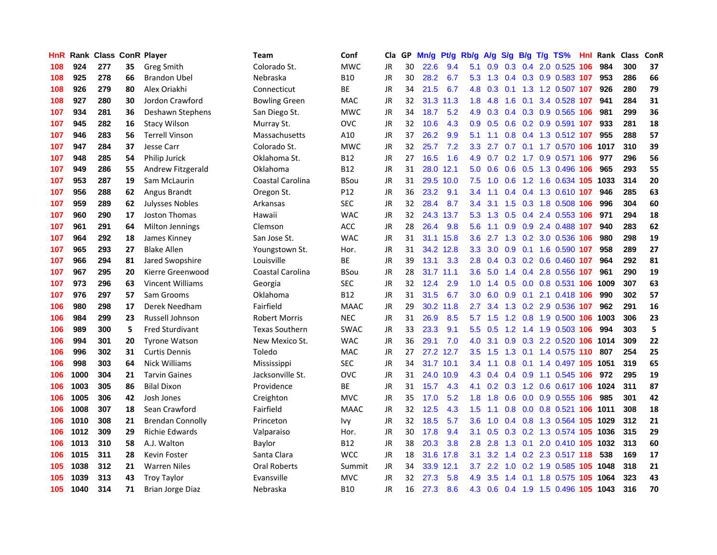| <b>HnR</b> |      | Rank Class ConR Player |    |                         | Team                    | Conf        | Cla       |    | GP Mn/g | Pt/g      | Rb/g             | <b>A/g</b> | S/g             |     | B/g T/g TS%                        | Hnl | Rank Class |     | ConR |
|------------|------|------------------------|----|-------------------------|-------------------------|-------------|-----------|----|---------|-----------|------------------|------------|-----------------|-----|------------------------------------|-----|------------|-----|------|
| 108        | 924  | 277                    | 35 | Greg Smith              | Colorado St.            | <b>MWC</b>  | JR        | 30 | 22.6    | 9.4       | 5.1              | 0.9        | 0.3             | 0.4 | 2.0 0.525                          | 106 | 984        | 300 | 37   |
| 108        | 925  | 278                    | 66 | <b>Brandon Ubel</b>     | Nebraska                | <b>B10</b>  | JR        | 30 | 28.2    | 6.7       | 5.3              | 1.3        | 0.4             | 0.3 | 0.9 0.583 107                      |     | 953        | 286 | 66   |
| 108        | 926  | 279                    | 80 | Alex Oriakhi            | Connecticut             | <b>BE</b>   | JR        | 34 | 21.5    | 6.7       | 4.8              | 0.3        | 0.1             |     | 1.3 1.2 0.507 107                  |     | 926        | 280 | 79   |
| 108        | 927  | 280                    | 30 | Jordon Crawford         | <b>Bowling Green</b>    | <b>MAC</b>  | JR        | 32 |         | 31.3 11.3 | 1.8              | 4.8        | 1.6             | 0.1 | 3.4 0.528 107                      |     | 941        | 284 | 31   |
| 107        | 934  | 281                    | 36 | Deshawn Stephens        | San Diego St.           | <b>MWC</b>  | JR        | 34 | 18.7    | 5.2       | 4.9              | 0.3        |                 |     | 0.4 0.3 0.9 0.565 106              |     | 981        | 299 | 36   |
| 107        | 945  | 282                    | 16 | <b>Stacy Wilson</b>     | Murray St.              | <b>OVC</b>  | JR        | 32 | 10.6    | 4.3       | 0.9 <sup>°</sup> | 0.5        |                 |     | 0.6 0.2 0.9 0.591 107              |     | 933        | 281 | 18   |
| 107        | 946  | 283                    | 56 | <b>Terrell Vinson</b>   | Massachusetts           | A10         | JR        | 37 | 26.2    | 9.9       | 5.1              | 1.1        | 0.8             |     | 0.4 1.3 0.512 107                  |     | 955        | 288 | 57   |
| 107        | 947  | 284                    | 37 | <b>Jesse Carr</b>       | Colorado St.            | <b>MWC</b>  | JR        | 32 | 25.7    | 7.2       | 3.3 <sub>1</sub> | 2.7        |                 |     | 0.7 0.1 1.7 0.570 106              |     | 1017       | 310 | 39   |
| 107        | 948  | 285                    | 54 | Philip Jurick           | Oklahoma St.            | <b>B12</b>  | JR        | 27 | 16.5    | 1.6       | 4.9              | 0.7        | 0.2             |     | 1.7 0.9 0.571                      | 106 | 977        | 296 | 56   |
| 107        | 949  | 286                    | 55 | Andrew Fitzgerald       | Oklahoma                | <b>B12</b>  | JR        | 31 | 28.0    | 12.1      | 5.0              | 0.6        | 0.6             | 0.5 | 1.3 0.496                          | 106 | 965        | 293 | 55   |
| 107        | 953  | 287                    | 19 | Sam McLaurin            | Coastal Carolina        | <b>BSou</b> | JR        | 31 | 29.5    | 10.0      | 7.5              | 1.0        | 0.6             |     | 1.2 1.6 0.634 105 1033             |     |            | 314 | 20   |
| 107        | 956  | 288                    | 62 | Angus Brandt            | Oregon St.              | P12         | JR        | 36 | 23.2    | 9.1       | 3.4              | 1.1        | $0.4^{\circ}$   |     | 0.4 1.3 0.610 107                  |     | 946        | 285 | 63   |
| 107        | 959  | 289                    | 62 | <b>Julysses Nobles</b>  | Arkansas                | <b>SEC</b>  | JR        | 32 | 28.4    | 8.7       | 3.4              | 3.1        | 1.5             | 0.3 | 1.8 0.508                          | 106 | 996        | 304 | 60   |
| 107        | 960  | 290                    | 17 | Joston Thomas           | Hawaii                  | WAC         | JR        | 32 |         | 24.3 13.7 | 5.3              | 1.3        | 0.5             | 0.4 | 2.4 0.553 106                      |     | 971        | 294 | 18   |
| 107        | 961  | 291                    | 64 | <b>Milton Jennings</b>  | Clemson                 | ACC         | <b>JR</b> | 28 | 26.4    | 9.8       | 5.6              | 1.1        | 0.9             | 0.9 | 2.4 0.488 107                      |     | 940        | 283 | 62   |
| 107        | 964  | 292                    | 18 | James Kinney            | San Jose St.            | <b>WAC</b>  | JR        | 31 | 31.1    | 15.8      | 3.6 <sup>°</sup> | 2.7        |                 |     | 1.3 0.2 3.0 0.536 106              |     | 980        | 298 | 19   |
| 107        | 965  | 293                    | 27 | <b>Blake Allen</b>      | Youngstown St.          | Hor.        | JR        | 31 |         | 34.2 12.8 | 3.3 <sub>2</sub> |            |                 |     | 3.0 0.9 0.1 1.6 0.590 107          |     | 958        | 289 | 27   |
| 107        | 966  | 294                    | 81 | Jared Swopshire         | Louisville              | ВE          | JR        | 39 | 13.1    | 3.3       |                  |            |                 |     | 2.8 0.4 0.3 0.2 0.6 0.460 107      |     | 964        | 292 | 81   |
| 107        | 967  | 295                    | 20 | Kierre Greenwood        | <b>Coastal Carolina</b> | BSou        | JR        | 28 |         | 31.7 11.1 | 3.6 <sup>2</sup> | 5.0        |                 |     | 1.4 0.4 2.8 0.556 107              |     | 961        | 290 | 19   |
| 107        | 973  | 296                    | 63 | <b>Vincent Williams</b> | Georgia                 | <b>SEC</b>  | JR        | 32 | 12.4    | 2.9       | 1.0 <sub>1</sub> |            |                 |     | 1.4 0.5 0.0 0.8 0.531 106          |     | 1009       | 307 | 63   |
| 107        | 976  | 297                    | 57 | Sam Grooms              | Oklahoma                | <b>B12</b>  | JR        | 31 | 31.5    | 6.7       | 3.0              | 6.0        | 0.9             |     | 0.1 2.1 0.418 106                  |     | 990        | 302 | 57   |
| 106        | 980  | 298                    | 17 | Derek Needham           | Fairfield               | <b>MAAC</b> | JR        | 29 | 30.2    | 11.8      | 2.7              | 3.4        | 1.3             |     | 0.2 2.9 0.536 107                  |     | 962        | 291 | 16   |
| 106        | 984  | 299                    | 23 | Russell Johnson         | <b>Robert Morris</b>    | <b>NEC</b>  | JR.       | 31 | 26.9    | 8.5       | 5.7              | 1.5        |                 |     | 1.2 0.8 1.9 0.500 106              |     | 1003       | 306 | 23   |
| 106        | 989  | 300                    | 5  | <b>Fred Sturdivant</b>  | <b>Texas Southern</b>   | <b>SWAC</b> | JR        | 33 | 23.3    | 9.1       | 5.5 <sub>1</sub> | 0.5        | 1.2             |     | 1.4 1.9 0.503 106                  |     | 994        | 303 | 5    |
| 106        | 994  | 301                    | 20 | <b>Tyrone Watson</b>    | New Mexico St.          | WAC         | JR        | 36 | 29.1    | 7.0       | 4.0              | 3.1        | 0.9             |     | 0.3 2.2 0.520 106                  |     | 1014       | 309 | 22   |
| 106        | 996  | 302                    | 31 | <b>Curtis Dennis</b>    | Toledo                  | MAC         | JR        | 27 | 27.2    | 12.7      | $3.5^{\circ}$    | 1.5        | 1.3             | 0.1 | 1.4 0.575 110                      |     | 807        | 254 | 25   |
| 106        | 998  | 303                    | 64 | <b>Nick Williams</b>    | Mississippi             | <b>SEC</b>  | <b>JR</b> | 34 |         | 31.7 10.1 | 3.4              | 1.1        | 0.8             |     | 0.1 1.4 0.497 105                  |     | 1051       | 319 | 65   |
| 106        | 1000 | 304                    | 21 | <b>Tarvin Gaines</b>    | Jacksonville St.        | OVC         | JR        | 31 | 24.0    | 10.9      | 4.3              | 0.4        | 0.4             | 0.9 | 1.1 0.545 106                      |     | 972        | 295 | 19   |
| 106        | 1003 | 305                    | 86 | <b>Bilal Dixon</b>      | Providence              | ВE          | <b>JR</b> | 31 | 15.7    | 4.3       | 4.1              |            | $0.2 \quad 0.3$ | 1.2 | 0.6 0.617 106                      |     | 1024       | 311 | 87   |
| 106        | 1005 | 306                    | 42 | Josh Jones              | Creighton               | <b>MVC</b>  | JR        | 35 | 17.0    | 5.2       | 1.8 <sup>°</sup> | 1.8        | 0.6             |     | 0.0 0.9 0.555 106                  |     | 985        | 301 | 42   |
| 106        | 1008 | 307                    | 18 | Sean Crawford           | Fairfield               | <b>MAAC</b> | <b>JR</b> | 32 | 12.5    | 4.3       | 1.5 <sub>1</sub> | 1.1        | 0.8             |     | 0.0 0.8 0.521 106                  |     | 1011       | 308 | 18   |
| 106        | 1010 | 308                    | 21 | <b>Brendan Connolly</b> | Princeton               | Ivy         | JR        | 32 | 18.5    | 5.7       | 3.6              | 1.0        |                 |     | 0.4 0.8 1.3 0.564 105              |     | 1029       | 312 | 21   |
| 106        | 1012 | 309                    | 29 | <b>Richie Edwards</b>   | Valparaiso              | Hor.        | <b>JR</b> | 30 | 17.8    | 9.4       | 3.1              | 0.5        |                 |     | 0.3 0.2 1.3 0.574 105              |     | 1036       | 315 | 29   |
| 106        | 1013 | 310                    | 58 | A.J. Walton             | Baylor                  | B12         | <b>JR</b> | 38 | 20.3    | 3.8       | 2.8              | 2.8        | 1.3             | 0.1 | 2.0 0.410 105                      |     | 1032       | 313 | 60   |
| 106        | 1015 | 311                    | 28 | Kevin Foster            | Santa Clara             | <b>WCC</b>  | <b>JR</b> | 18 | 31.6    | 17.8      | 3.1              | 3.2        |                 |     | 1.4 0.2 2.3 0.517 118              |     | 538        | 169 | 17   |
| 105        | 1038 | 312                    | 21 | <b>Warren Niles</b>     | Oral Roberts            | Summit      | JR        | 34 | 33.9    | 12.1      | 3.7              | 2.2        | 1.0             |     | $0.2$ 1.9 0.585                    | 105 | 1048       | 318 | 21   |
| 105        | 1039 | 313                    | 43 | <b>Troy Taylor</b>      | Evansville              | <b>MVC</b>  | JR        | 32 | 27.3    | 5.8       | 4.9              | 3.5        | 1.4             | 0.1 | 1.8 0.575                          | 105 | 1064       | 323 | 43   |
| 105        | 1040 | 314                    | 71 | Brian Jorge Diaz        | Nebraska                | <b>B10</b>  | JR        | 16 | 27.3    | 8.6       |                  |            |                 |     | 4.3 0.6 0.4 1.9 1.5 0.496 105 1043 |     |            | 316 | 70   |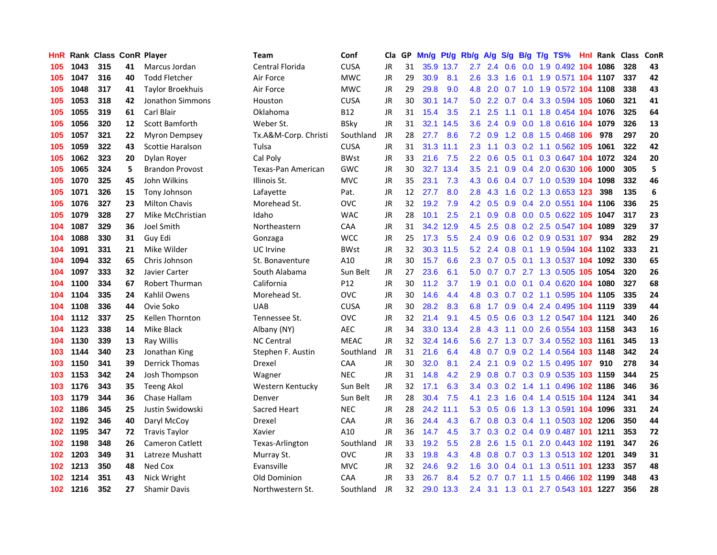| HnR |      | <b>Rank Class ConR Player</b> |    |                        | Team                 | Conf        | Cla       |    | GP Mn/g |           | Pt/g Rb/g A/g    |                 | <b>S/g</b> |     | B/g T/g TS%                        | Hnl | Rank Class |     | <b>ConR</b> |
|-----|------|-------------------------------|----|------------------------|----------------------|-------------|-----------|----|---------|-----------|------------------|-----------------|------------|-----|------------------------------------|-----|------------|-----|-------------|
| 105 | 1043 | 315                           | 41 | Marcus Jordan          | Central Florida      | <b>CUSA</b> | JR.       | 31 |         | 35.9 13.7 | 2.7              | 2.4             | 0.6        | 0.0 | 1.9 0.492                          | 104 | 1086       | 328 | 43          |
| 105 | 1047 | 316                           | 40 | <b>Todd Fletcher</b>   | Air Force            | MWC         | JR        | 29 | 30.9    | 8.1       | $2.6\,$          | 3.3             | 1.6        | 0.1 | 1.9 0.571 <b>104 1107</b>          |     |            | 337 | 42          |
| 105 | 1048 | 317                           | 41 | Taylor Broekhuis       | Air Force            | <b>MWC</b>  | <b>JR</b> | 29 | 29.8    | 9.0       | 4.8              | 2.0             | 0.7        | 1.0 | 1.9 0.572 104 1108                 |     |            | 338 | 43          |
| 105 | 1053 | 318                           | 42 | Jonathon Simmons       | Houston              | <b>CUSA</b> | JR        | 30 | 30.1    | 14.7      | 5.0              |                 |            |     | 2.2 0.7 0.4 3.3 0.594 105 1060     |     |            | 321 | 41          |
| 105 | 1055 | 319                           | 61 | Carl Blair             | Oklahoma             | B12         | <b>JR</b> | 31 | 15.4    | 3.5       | 2.1              | 2.5             |            |     | 1.1 0.1 1.8 0.454 104 1076         |     |            | 325 | 64          |
| 105 | 1056 | 320                           | 12 | Scott Bamforth         | Weber St.            | <b>BSky</b> | JR        | 31 |         | 32.1 14.5 | 3.6 <sup>2</sup> |                 |            |     | 2.4 0.9 0.0 1.8 0.616 104 1079     |     |            | 326 | 13          |
| 105 | 1057 | 321                           | 22 | Myron Dempsey          | Tx.A&M-Corp. Christi | Southland   | JR        | 28 | 27.7    | 8.6       |                  | $7.2 \quad 0.9$ |            |     | 1.2 0.8 1.5 0.468 106              |     | 978        | 297 | 20          |
| 105 | 1059 | 322                           | 43 | Scottie Haralson       | Tulsa                | <b>CUSA</b> | JR        | 31 |         | 31.3 11.1 | $2.3^{\circ}$    | 1.1             |            |     | 0.3 0.2 1.1 0.562 105 1061         |     |            | 322 | 42          |
| 105 | 1062 | 323                           | 20 | Dylan Royer            | Cal Poly             | <b>BWst</b> | JR        | 33 | 21.6    | 7.5       | $2.2^{\circ}$    | 0.6             |            |     | 0.5 0.1 0.3 0.647 104 1072         |     |            | 324 | 20          |
| 105 | 1065 | 324                           | 5  | <b>Brandon Provost</b> | Texas-Pan American   | <b>GWC</b>  | JR        | 30 | 32.7    | 13.4      | 3.5              | 2.1             | 0.9        |     | 0.4 2.0 0.630 106                  |     | 1000       | 305 | 5           |
| 105 | 1070 | 325                           | 45 | John Wilkins           | Illinois St.         | <b>MVC</b>  | JR        | 35 | 23.1    | 7.3       | 4.3              | 0.6             |            |     | 0.4 0.7 1.0 0.539 104 1098         |     |            | 332 | 46          |
| 105 | 1071 | 326                           | 15 | Tony Johnson           | Lafayette            | Pat.        | JR        | 12 | 27.7    | 8.0       | 2.8 <sub>1</sub> | 4.3             | 1.6        |     | 0.2 1.3 0.653 123                  |     | 398        | 135 | 6           |
| 105 | 1076 | 327                           | 23 | <b>Milton Chavis</b>   | Morehead St.         | <b>OVC</b>  | JR        | 32 | 19.2    | 7.9       | 4.2              | 0.5             | 0.9        |     | 0.4 2.0 0.551 104 1106             |     |            | 336 | 25          |
| 105 | 1079 | 328                           | 27 | Mike McChristian       | Idaho                | <b>WAC</b>  | JR        | 28 | 10.1    | 2.5       | 2.1              | 0.9             | 0.8        |     | 0.0 0.5 0.622 105                  |     | 1047       | 317 | 23          |
| 104 | 1087 | 329                           | 36 | Joel Smith             | Northeastern         | CAA         | JR        | 31 |         | 34.2 12.9 | 4.5              | 2.5             | 0.8        |     | 0.2 2.5 0.547 104 1089             |     |            | 329 | 37          |
| 104 | 1088 | 330                           | 31 | Guy Edi                | Gonzaga              | <b>WCC</b>  | JR        | 25 | 17.3    | 5.5       | $2.4^{\circ}$    | 0.9             | 0.6        |     | 0.2 0.9 0.531 107                  |     | 934        | 282 | 29          |
| 104 | 1091 | 331                           | 21 | Mike Wilder            | UC Irvine            | <b>BWst</b> | JR        | 32 | 30.3    | 11.5      | 5.2              | 2.4             | 0.8        | 0.1 | 1.9 0.594 104 1102                 |     |            | 333 | 21          |
| 104 | 1094 | 332                           | 65 | Chris Johnson          | St. Bonaventure      | A10         | JR        | 30 | 15.7    | 6.6       | $2.3^{\circ}$    | 0.7             |            |     | 0.5 0.1 1.3 0.537 104 1092         |     |            | 330 | 65          |
| 104 | 1097 | 333                           | 32 | Javier Carter          | South Alabama        | Sun Belt    | JR        | 27 | 23.6    | 6.1       |                  |                 |            |     | 5.0 0.7 0.7 2.7 1.3 0.505 105 1054 |     |            | 320 | 26          |
| 104 | 1100 | 334                           | 67 | Robert Thurman         | California           | P12         | JR        | 30 | 11.2    | 3.7       | 1.9 <sup>°</sup> | 0.1             |            |     | 0.0 0.1 0.4 0.620 104 1080         |     |            | 327 | 68          |
| 104 | 1104 | 335                           | 24 | Kahlil Owens           | Morehead St.         | <b>OVC</b>  | JR        | 30 | 14.6    | 4.4       |                  | 4.8 0.3         |            |     | 0.7 0.2 1.1 0.595 104 1105         |     |            | 335 | 24          |
| 104 | 1108 | 336                           | 44 | Ovie Soko              | <b>UAB</b>           | <b>CUSA</b> | JR        | 30 | 28.2    | 8.3       | 6.8              | 1.7             |            |     | 0.9 0.4 2.4 0.495 104 1119         |     |            | 339 | 44          |
| 104 | 1112 | 337                           | 25 | Kellen Thornton        | Tennessee St.        | <b>OVC</b>  | JR        | 32 | 21.4    | 9.1       | 4.5              | 0.5             |            |     | 0.6 0.3 1.2 0.547 104 1121         |     |            | 340 | 26          |
| 104 | 1123 | 338                           | 14 | Mike Black             | Albany (NY)          | <b>AEC</b>  | JR        | 34 | 33.0    | 13.4      | 2.8              | 4.3             | 1.1        |     | 0.0 2.6 0.554 103 1158             |     |            | 343 | 16          |
| 104 | 1130 | 339                           | 13 | Ray Willis             | <b>NC Central</b>    | <b>MEAC</b> | JR        | 32 | 32.4    | 14.6      | 5.6              | 2.7             |            |     | 1.3 0.7 3.4 0.552 103 1161         |     |            | 345 | 13          |
| 103 | 1144 | 340                           | 23 | Jonathan King          | Stephen F. Austin    | Southland   | JR        | 31 | 21.6    | 6.4       | 4.8              | 0.7             |            |     | 0.9 0.2 1.4 0.564 103 1148         |     |            | 342 | 24          |
| 103 | 1150 | 341                           | 39 | <b>Derrick Thomas</b>  | Drexel               | CAA         | JR        | 30 | 32.0    | 8.1       | 2.4              | 2.1             | 0.9        |     | 0.2 1.5 0.495 107                  |     | 910        | 278 | 34          |
| 103 | 1153 | 342                           | 24 | Josh Thompson          | Wagner               | <b>NEC</b>  | JR        | 31 | 14.8    | 4.2       | 2.9              | 0.8             |            |     | 0.7 0.3 0.9 0.535 103 1159         |     |            | 344 | 25          |
| 103 | 1176 | 343                           | 35 | <b>Teeng Akol</b>      | Western Kentucky     | Sun Belt    | <b>JR</b> | 32 | 17.1    | 6.3       | 3.4              | 0.3             | 0.2        |     | 1.4 1.1 0.496 102 1186             |     |            | 346 | 36          |
| 103 | 1179 | 344                           | 36 | Chase Hallam           | Denver               | Sun Belt    | JR        | 28 | 30.4    | 7.5       | 4.1              | 2.3             | 1.6        |     | 0.4 1.4 0.515 104 1124             |     |            | 341 | 34          |
| 102 | 1186 | 345                           | 25 | Justin Swidowski       | <b>Sacred Heart</b>  | <b>NEC</b>  | <b>JR</b> | 28 | 24.2    | 11.1      | 5.3              | 0.5             | 0.6        |     | 1.3 1.3 0.591 104 1096             |     |            | 331 | 24          |
| 102 | 1192 | 346                           | 40 | Daryl McCoy            | Drexel               | <b>CAA</b>  | <b>JR</b> | 36 | 24.4    | 4.3       | 6.7              |                 |            |     | 0.8 0.3 0.4 1.1 0.503 102 1206     |     |            | 350 | 44          |
| 102 | 1195 | 347                           | 72 | <b>Travis Taylor</b>   | Xavier               | A10         | JR        | 36 | 14.7    | 4.5       | 3.7              |                 |            |     | 0.3 0.2 0.4 0.9 0.487 101 1211     |     |            | 353 | 72          |
| 102 | 1198 | 348                           | 26 | <b>Cameron Catlett</b> | Texas-Arlington      | Southland   | JR        | 33 | 19.2    | 5.5       | 2.8              | 2.6             |            |     | 1.5 0.1 2.0 0.443 102 1191         |     |            | 347 | 26          |
| 102 | 1203 | 349                           | 31 | Latreze Mushatt        | Murray St.           | <b>OVC</b>  | <b>JR</b> | 33 | 19.8    | 4.3       | 4.8              | 0.8             |            |     | 0.7 0.3 1.3 0.513 102 1201         |     |            | 349 | 31          |
| 102 | 1213 | 350                           | 48 | Ned Cox                | Evansville           | <b>MVC</b>  | <b>JR</b> | 32 | 24.6    | 9.2       | 1.6              | 3.0             | 0.4        | 0.1 | 1.3 0.511 101 1233                 |     |            | 357 | 48          |
| 102 | 1214 | 351                           | 43 | Nick Wright            | Old Dominion         | CAA         | JR        | 33 | 26.7    | 8.4       | 5.2              | 0.7             | 0.7        | 1.1 | 1.5 0.466                          | 102 | 1199       | 348 | 43          |
| 102 | 1216 | 352                           | 27 | <b>Shamir Davis</b>    | Northwestern St.     | Southland   | JR        | 32 | 29.0    | 13.3      | $2.4^{\circ}$    | 3.1             |            |     | 1.3 0.1 2.7 0.543 101 1227         |     |            | 356 | 28          |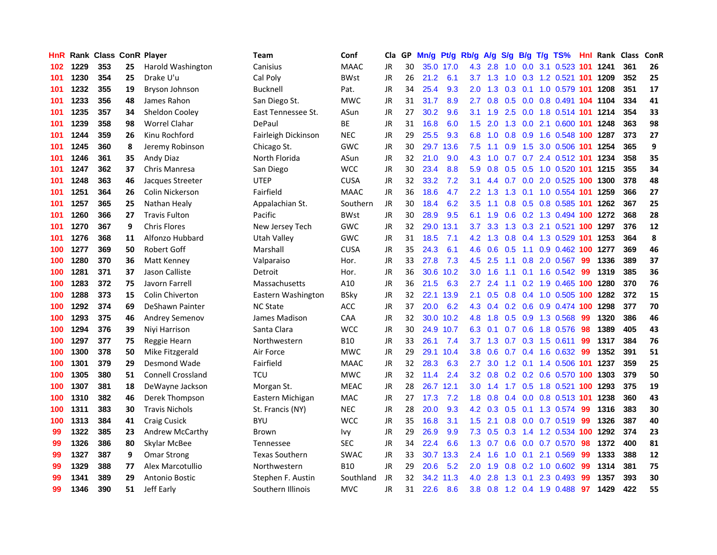| HnR |      | <b>Rank Class ConR Player</b> |    |                          | Team                  | Conf        | Cla       | GP. | Mn/g              | Pt/g      | Rb/g             | A/g             | S/g             | B/g             | $T/g$ TS%                  |      | <b>Hnl Rank Class</b> |     | ConR |
|-----|------|-------------------------------|----|--------------------------|-----------------------|-------------|-----------|-----|-------------------|-----------|------------------|-----------------|-----------------|-----------------|----------------------------|------|-----------------------|-----|------|
| 102 | 1229 | 353                           | 25 | Harold Washington        | Canisius              | <b>MAAC</b> | JR        | 30  | 35.0              | 17.0      | 4.3              | 2.8             | 1.0             | 0.0             | 3.1 0.523                  | 101  | 1241                  | 361 | 26   |
| 101 | 1230 | 354                           | 25 | Drake U'u                | Cal Poly              | <b>BWst</b> | JR        | 26  | 21.2              | 6.1       | 3.7              | 1.3             | 1.0             | 0.3             | 1.2 0.521 101              |      | 1209                  | 352 | 25   |
| 101 | 1232 | 355                           | 19 | Bryson Johnson           | <b>Bucknell</b>       | Pat.        | <b>JR</b> | 34  | 25.4              | 9.3       | 2.0              | 1.3             | 0.3             | 0.1             | 1.0 0.579 101 1208         |      |                       | 351 | 17   |
| 101 | 1233 | 356                           | 48 | James Rahon              | San Diego St.         | <b>MWC</b>  | <b>JR</b> | 31  | 31.7              | 8.9       | $2.7^{\circ}$    | 0.8             |                 |                 | 0.5 0.0 0.8 0.491 104 1104 |      |                       | 334 | 41   |
| 101 | 1235 | 357                           | 34 | Sheldon Cooley           | East Tennessee St.    | ASun        | JR        | 27  | 30.2              | 9.6       | 3.1              | 1.9             |                 |                 | 2.5 0.0 1.8 0.514 101 1214 |      |                       | 354 | 33   |
| 101 | 1239 | 358                           | 98 | Worrel Clahar            | DePaul                | ВE          | JR        | 31  | 16.8              | 6.0       | 1.5              | 2.0             |                 |                 | 1.3 0.0 2.1 0.600 101      |      | 1248                  | 363 | 98   |
| 101 | 1244 | 359                           | 26 | Kinu Rochford            | Fairleigh Dickinson   | <b>NEC</b>  | JR        | 29  | 25.5              | 9.3       | 6.8              | 1.0             | 0.8             |                 | 0.9 1.6 0.548 100          |      | 1287                  | 373 | 27   |
| 101 | 1245 | 360                           | 8  | Jeremy Robinson          | Chicago St.           | <b>GWC</b>  | <b>JR</b> | 30  |                   | 29.7 13.6 | 7.5              | 1.1             | 0.9             |                 | 1.5 3.0 0.506 101          |      | 1254                  | 365 | 9    |
| 101 | 1246 | 361                           | 35 | Andy Diaz                | North Florida         | ASun        | JR        | 32  | 21.0              | 9.0       | 4.3              | 1.0             | 0.7             |                 | 0.7 2.4 0.512 101          |      | 1234                  | 358 | 35   |
| 101 | 1247 | 362                           | 37 | Chris Manresa            | San Diego             | <b>WCC</b>  | JR        | 30  | 23.4              | 8.8       | 5.9              | 0.8             | 0.5             |                 | 0.5 1.0 0.520 101 1215     |      |                       | 355 | 34   |
| 101 | 1248 | 363                           | 46 | Jacques Streeter         | <b>UTEP</b>           | <b>CUSA</b> | <b>JR</b> | 32  | 33.2              | 7.2       | 3.1              | 4.4             | 0.7             | 0.0             | 2.0 0.525 100              |      | 1300                  | 378 | 48   |
| 101 | 1251 | 364                           | 26 | Colin Nickerson          | Fairfield             | <b>MAAC</b> | JR        | 36  | 18.6              | 4.7       | 2.2 <sub>2</sub> | 1.3             | 1.3             | 0.1             | 1.0 0.554                  | -101 | 1259                  | 366 | 27   |
| 101 | 1257 | 365                           | 25 | Nathan Healy             | Appalachian St.       | Southern    | <b>JR</b> | 30  | 18.4              | 6.2       | 3.5              | 1.1             | 0.8             | 0.5             | 0.8 0.585 101              |      | 1262                  | 367 | 25   |
| 101 | 1260 | 366                           | 27 | <b>Travis Fulton</b>     | Pacific               | <b>BWst</b> | <b>JR</b> | 30  | 28.9              | 9.5       | 6.1              | 1.9             | 0.6             |                 | 0.2 1.3 0.494 100          |      | 1272                  | 368 | 28   |
| 101 | 1270 | 367                           | 9  | <b>Chris Flores</b>      | New Jersey Tech       | <b>GWC</b>  | <b>JR</b> | 32  | 29.0              | 13.1      | 3.7              | 3.3             | 1.3             | 0.3             | 2.1 0.521                  | 100  | 1297                  | 376 | 12   |
| 101 | 1276 | 368                           | 11 | Alfonzo Hubbard          | Utah Valley           | <b>GWC</b>  | JR        | 31  | 18.5              | 7.1       |                  | $4.2 \quad 1.3$ | 0.8             |                 | 0.4 1.3 0.529 101 1253     |      |                       | 364 | 8    |
| 100 | 1277 | 369                           | 50 | <b>Robert Goff</b>       | Marshall              | <b>CUSA</b> | JR        | 35  | 24.3              | 6.1       | 4.6              |                 | $0.6 \quad 0.5$ |                 | 1.1 0.9 0.462 100 1277     |      |                       | 369 | 46   |
| 100 | 1280 | 370                           | 36 | Matt Kenney              | Valparaiso            | Hor.        | <b>JR</b> | 33  | 27.8              | 7.3       |                  | $4.5$ 2.5       |                 |                 | 1.1 0.8 2.0 0.567          | -99  | 1336                  | 389 | 37   |
| 100 | 1281 | 371                           | 37 | Jason Calliste           | Detroit               | Hor.        | JR        | 36  | 30.6              | 10.2      | 3.0 <sub>1</sub> | 1.6             | 1.1             |                 | $0.1$ 1.6 0.542            | -99  | 1319                  | 385 | 36   |
| 100 | 1283 | 372                           | 75 | Javorn Farrell           | Massachusetts         | A10         | JR        | 36  | 21.5              | 6.3       | $2.7^{\circ}$    | 2.4             | 1.1             |                 | 0.2 1.9 0.465 100 1280     |      |                       | 370 | 76   |
| 100 | 1288 | 373                           | 15 | <b>Colin Chiverton</b>   | Eastern Washington    | <b>BSky</b> | JR        | 32  |                   | 22.1 13.9 | 2.1              | 0.5             | 0.8             |                 | 0.4 1.0 0.505 100          |      | 1282                  | 372 | 15   |
| 100 | 1292 | 374                           | 69 | DeShawn Painter          | <b>NC State</b>       | ACC         | JR        | 37  | 20.0              | 6.2       | 4.3              | 0.4             |                 | $0.2 \quad 0.6$ | 0.9 0.474 100              |      | 1298                  | 377 | 70   |
| 100 | 1293 | 375                           | 46 | <b>Andrey Semenov</b>    | James Madison         | CAA         | <b>JR</b> | 32  | 30.0 <sub>2</sub> | 10.2      | 4.8              | 1.8             |                 |                 | 0.5 0.9 1.3 0.568          | -99  | 1320                  | 386 | 46   |
| 100 | 1294 | 376                           | 39 | Niyi Harrison            | Santa Clara           | <b>WCC</b>  | <b>JR</b> | 30  |                   | 24.9 10.7 | 6.3              | 0.1             |                 |                 | 0.7 0.6 1.8 0.576          | 98   | 1389                  | 405 | 43   |
| 100 | 1297 | 377                           | 75 | Reggie Hearn             | Northwestern          | <b>B10</b>  | <b>JR</b> | 33  | 26.1              | 7.4       | 3.7              | 1.3             | 0.7             | 0.3             | 1.5 0.611                  | 99   | 1317                  | 384 | 76   |
| 100 | 1300 | 378                           | 50 | Mike Fitzgerald          | Air Force             | <b>MWC</b>  | JR        | 29  |                   | 29.1 10.4 | 3.8              | 0.6             | 0.7             | 0.4             | 1.6 0.632                  | 99   | 1352                  | 391 | 51   |
| 100 | 1301 | 379                           | 29 | Desmond Wade             | Fairfield             | <b>MAAC</b> | JR        | 32  | 28.3              | 6.3       | 2.7              | 3.0             | $1.2^{\circ}$   | 0.1             | 1.4 0.506 101              |      | 1237                  | 359 | 25   |
| 100 | 1305 | 380                           | 51 | <b>Connell Crossland</b> | <b>TCU</b>            | <b>MWC</b>  | <b>JR</b> | 32  | 11.4              | 2.4       | 3.2              | 0.8             |                 | $0.2 \quad 0.2$ | 0.6 0.570 100              |      | 1303                  | 379 | 50   |
| 100 | 1307 | 381                           | 18 | DeWayne Jackson          | Morgan St.            | <b>MEAC</b> | <b>JR</b> | 28  |                   | 26.7 12.1 | 3.0              | 1.4             |                 | $1.7 \t0.5$     | 1.8 0.521 100              |      | 1293                  | 375 | 19   |
| 100 | 1310 | 382                           | 46 | Derek Thompson           | Eastern Michigan      | <b>MAC</b>  | JR        | 27  | 17.3              | 7.2       | 1.8              | 0.8             |                 |                 | 0.4 0.0 0.8 0.513 101      |      | 1238                  | 360 | 43   |
| 100 | 1311 | 383                           | 30 | <b>Travis Nichols</b>    | St. Francis (NY)      | <b>NEC</b>  | <b>JR</b> | 28  | 20.0              | 9.3       |                  |                 |                 |                 | 4.2 0.3 0.5 0.1 1.3 0.574  | -99  | 1316                  | 383 | 30   |
| 100 | 1313 | 384                           | 41 | <b>Craig Cusick</b>      | <b>BYU</b>            | <b>WCC</b>  | JR        | 35  | 16.8              | 3.1       | 1.5 <sub>1</sub> | 2.1             |                 |                 | $0.8$ 0.0 0.7 0.519        | -99  | 1326                  | 387 | 40   |
| 99  | 1322 | 385                           | 23 | Andrew McCarthy          | <b>Brown</b>          | Ivy         | <b>JR</b> | 29  | 26.9              | 9.9       | 7.3              | 0.5             | 0.3             |                 | 1.4 1.2 0.534 100          |      | 1292                  | 374 | 23   |
| 99  | 1326 | 386                           | 80 | Skylar McBee             | Tennessee             | <b>SEC</b>  | JR        | 34  | 22.4              | 6.6       | 1.3              | 0.7             | 0.6             |                 | 0.0 0.7 0.570              | 98   | 1372                  | 400 | 81   |
| 99  | 1327 | 387                           | 9  | <b>Omar Strong</b>       | <b>Texas Southern</b> | <b>SWAC</b> | <b>JR</b> | 33  | 30.7              | 13.3      | $2.4^{\circ}$    | 1.6             | 1.0             | 0.1             | 2.1 0.569                  | 99   | 1333                  | 388 | 12   |
| 99  | 1329 | 388                           | 77 | Alex Marcotullio         | Northwestern          | <b>B10</b>  | JR        | 29  | 20.6              | 5.2       | 2.0              | 1.9             | 0.8             | 0.2             | 1.0 0.602                  | 99   | 1314                  | 381 | 75   |
| 99  | 1341 | 389                           | 29 | Antonio Bostic           | Stephen F. Austin     | Southland   | JR        | 32  | 34.2              | 11.3      | 4.0              | 2.8             | 1.3             | 0.1             | 2.3 0.493                  | 99   | 1357                  | 393 | 30   |
| 99  | 1346 | 390                           | 51 | Jeff Early               | Southern Illinois     | <b>MVC</b>  | JR        | 31  | 22.6              | 8.6       |                  | $3.8\quad 0.8$  |                 |                 | 1.2 0.4 1.9 0.488          | 97   | 1429                  | 422 | 55   |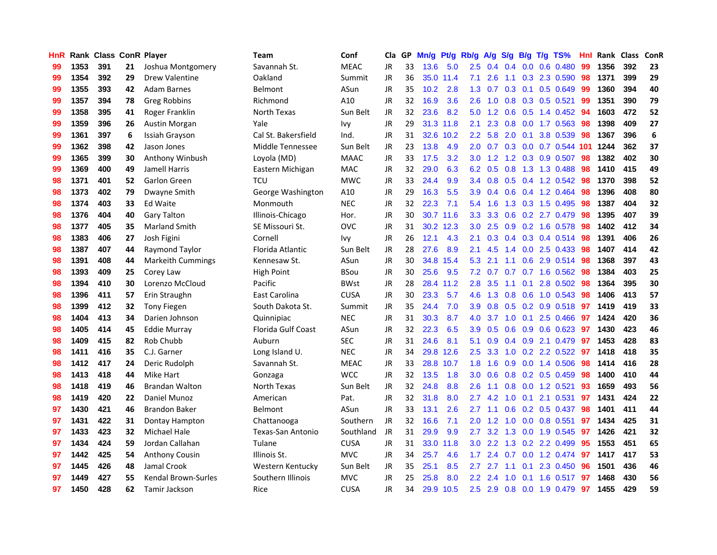| HnR |      | Rank Class ConR Player |    |                            | <b>Team</b>              | Conf        | Cla       |     | GP Mn/g Pt/g Rb/g |           |               | A/g             |     |                 | S/g B/g T/g TS%           | Hnl | Rank Class |     | ConR |
|-----|------|------------------------|----|----------------------------|--------------------------|-------------|-----------|-----|-------------------|-----------|---------------|-----------------|-----|-----------------|---------------------------|-----|------------|-----|------|
| 99  | 1353 | 391                    | 21 | Joshua Montgomery          | Savannah St.             | <b>MEAC</b> | <b>JR</b> | 33  | 13.6              | 5.0       | 2.5           | 0.4             | 0.4 | 0.0             | 0.6 0.480                 | 99  | 1356       | 392 | 23   |
| 99  | 1354 | 392                    | 29 | <b>Drew Valentine</b>      | Oakland                  | Summit      | <b>JR</b> | 36  |                   | 35.0 11.4 | 7.1           | 2.6             | 1.1 | 0.3             | 2.3 0.590                 | 98  | 1371       | 399 | 29   |
| 99  | 1355 | 393                    | 42 | <b>Adam Barnes</b>         | Belmont                  | ASun        | <b>JR</b> | 35  | 10.2              | 2.8       | 1.3           | 0.7             |     | $0.3 \quad 0.1$ | 0.5 0.649                 | 99  | 1360       | 394 | 40   |
| 99  | 1357 | 394                    | 78 | Greg Robbins               | Richmond                 | A10         | <b>JR</b> | 32  | 16.9              | 3.6       | 2.6           | 1.0             |     |                 | 0.8 0.3 0.5 0.521         | -99 | 1351       | 390 | 79   |
| 99  | 1358 | 395                    | 41 | Roger Franklin             | North Texas              | Sun Belt    | JR        | 32  | 23.6              | 8.2       |               | $5.0 \quad 1.2$ |     |                 | $0.6$ $0.5$ 1.4 $0.452$   | -94 | 1603       | 472 | 52   |
| 99  | 1359 | 396                    | 26 | Austin Morgan              | Yale                     | <b>Ivy</b>  | JR        | 29  |                   | 31.3 11.8 | 2.1           | 2.3             |     |                 | 0.8 0.0 1.7 0.563         | 98  | 1398       | 409 | 27   |
| 99  | 1361 | 397                    | 6  | Issiah Grayson             | Cal St. Bakersfield      | Ind.        | JR        | 31  |                   | 32.6 10.2 | $2.2\,$       | 5.8             |     |                 | 2.0 0.1 3.8 0.539         | 98  | 1367       | 396 | 6    |
| 99  | 1362 | 398                    | 42 | Jason Jones                | Middle Tennessee         | Sun Belt    | <b>JR</b> | 23  | 13.8              | 4.9       | 2.0           | 0.7             |     |                 | 0.3 0.0 0.7 0.544         | 101 | 1244       | 362 | 37   |
| 99  | 1365 | 399                    | 30 | Anthony Winbush            | Loyola (MD)              | <b>MAAC</b> | <b>JR</b> | 33  | 17.5              | 3.2       | 3.0           | 1.2             |     |                 | 1.2 0.3 0.9 0.507         | 98  | 1382       | 402 | 30   |
| 99  | 1369 | 400                    | 49 | Jamell Harris              | Eastern Michigan         | <b>MAC</b>  | JR        | 32  | 29.0              | 6.3       | 6.2           | 0.5             | 0.8 |                 | 1.3 1.3 0.488             | 98  | 1410       | 415 | 49   |
| 98  | 1371 | 401                    | 52 | <b>Garlon Green</b>        | TCU                      | <b>MWC</b>  | JR        | 33  | 24.4              | 9.9       | 3.4           | 0.8             |     |                 | 0.5 0.4 1.2 0.542         | 98  | 1370       | 398 | 52   |
| 98  | 1373 | 402                    | 79 | Dwayne Smith               | George Washington        | A10         | JR        | 29  | 16.3              | 5.5       | 3.9           | 0.4             |     |                 | 0.6 0.4 1.2 0.464         | 98  | 1396       | 408 | 80   |
| 98  | 1374 | 403                    | 33 | Ed Waite                   | Monmouth                 | <b>NEC</b>  | <b>JR</b> | 32  | 22.3              | 7.1       | 5.4           | 1.6             | 1.3 |                 | 0.3 1.5 0.495             | 98  | 1387       | 404 | 32   |
| 98  | 1376 | 404                    | 40 | Gary Talton                | Illinois-Chicago         | Hor.        | <b>JR</b> | 30  |                   | 30.7 11.6 | 3.3           | 3.3             | 0.6 | 0.2             | 2.7 0.479                 | 98  | 1395       | 407 | 39   |
| 98  | 1377 | 405                    | 35 | <b>Marland Smith</b>       | SE Missouri St.          | <b>OVC</b>  | JR        | 31  |                   | 30.2 12.3 | 3.0           | 2.5             | 0.9 | 0.2             | 1.6 0.578                 | 98  | 1402       | 412 | 34   |
| 98  | 1383 | 406                    | 27 | Josh Figini                | Cornell                  | Ivy         | JR        | 26  | 12.1              | 4.3       | 2.1           | 0.3             |     |                 | $0.4$ 0.3 0.4 0.514       | -98 | 1391       | 406 | 26   |
| 98  | 1387 | 407                    | 44 | Raymond Taylor             | Florida Atlantic         | Sun Belt    | JR        | 28  | 27.6              | 8.9       | 2.1           | 4.5             |     |                 | 1.4 0.0 2.5 0.433         | -98 | 1407       | 414 | 42   |
| 98  | 1391 | 408                    | 44 | <b>Markeith Cummings</b>   | Kennesaw St.             | ASun        | <b>JR</b> | 30  |                   | 34.8 15.4 | 5.3           | 2.1             |     |                 | 1.1 0.6 2.9 0.514         | -98 | 1368       | 397 | 43   |
| 98  | 1393 | 409                    | 25 | Corey Law                  | <b>High Point</b>        | <b>BSou</b> | <b>JR</b> | 30  | 25.6              | 9.5       | 7.2           | 0.7             |     |                 | $0.7$ $0.7$ 1.6 $0.562$   | -98 | 1384       | 403 | 25   |
| 98  | 1394 | 410                    | 30 | Lorenzo McCloud            | Pacific                  | <b>BWst</b> | JR        | 28  |                   | 28.4 11.2 | 2.8           | 3.5             |     |                 | 1.1 0.1 2.8 0.502         | 98  | 1364       | 395 | 30   |
| 98  | 1396 | 411                    | 57 | Erin Straughn              | East Carolina            | <b>CUSA</b> | JR        | 30  | 23.3              | 5.7       | 4.6           | 1.3             |     |                 | $0.8$ 0.6 1.0 0.543       | 98  | 1406       | 413 | 57   |
| 98  | 1399 | 412                    | 32 | <b>Tony Fiegen</b>         | South Dakota St.         | Summit      | JR        | 35  | 24.4              | 7.0       | 3.9           | 0.8             |     |                 | 0.5 0.2 0.9 0.518         | 97  | 1419       | 419 | 33   |
| 98  | 1404 | 413                    | 34 | Darien Johnson             | Quinnipiac               | <b>NEC</b>  | <b>JR</b> | 31  | 30.3              | 8.7       | 4.0           | 3.7             |     | $1.0 \quad 0.1$ | 2.5 0.466                 | -97 | 1424       | 420 | 36   |
| 98  | 1405 | 414                    | 45 | <b>Eddie Murray</b>        | Florida Gulf Coast       | ASun        | JR        | 32  | 22.3              | 6.5       | 3.9           | 0.5             |     |                 | 0.6 0.9 0.6 0.623         | -97 | 1430       | 423 | 46   |
| 98  | 1409 | 415                    | 82 | Rob Chubb                  | Auburn                   | <b>SEC</b>  | JR        | 31  | 24.6              | 8.1       | 5.1           | 0.9             |     |                 | 0.4 0.9 2.1 0.479         | -97 | 1453       | 428 | 83   |
| 98  | 1411 | 416                    | 35 | C.J. Garner                | Long Island U.           | <b>NEC</b>  | <b>JR</b> | 34  |                   | 29.8 12.6 | 2.5           | 3.3             | 1.0 | 0.2             | 2.2 0.522                 | -97 | 1418       | 418 | 35   |
| 98  | 1412 | 417                    | 24 | Deric Rudolph              | Savannah St.             | <b>MEAC</b> | JR        | 33  |                   | 28.8 10.7 | 1.8           | 1.6             | 0.9 | 0.0             | 1.4 0.506                 | 98  | 1414       | 416 | 28   |
| 98  | 1413 | 418                    | 44 | Mike Hart                  | Gonzaga                  | <b>WCC</b>  | <b>JR</b> | 32  | 13.5              | 1.8       | 3.0           | 0.6             | 0.8 |                 | 0.2 0.5 0.459             | 98  | 1400       | 410 | 44   |
| 98  | 1418 | 419                    | 46 | <b>Brandan Walton</b>      | North Texas              | Sun Belt    | <b>JR</b> | 32  | 24.8              | 8.8       | 2.6           | 1.1             | 0.8 | 0.0             | 1.2 0.521                 | 93  | 1659       | 493 | 56   |
| 98  | 1419 | 420                    | 22 | Daniel Munoz               | American                 | Pat.        | JR        | 32  | 31.8              | 8.0       | 2.7           | 4.2             |     | $1.0 \quad 0.1$ | 2.1 0.531                 | 97  | 1431       | 424 | 22   |
| 97  | 1430 | 421                    | 46 | <b>Brandon Baker</b>       | Belmont                  | ASun        | JR        | 33  | 13.1              | 2.6       | $2.7^{\circ}$ | 1.1             |     |                 | $0.6$ $0.2$ $0.5$ $0.437$ | -98 | 1401       | 411 | 44   |
| 97  | 1431 | 422                    | 31 | Dontay Hampton             | Chattanooga              | Southern    | JR        | 32. | 16.6              | 7.1       |               | $2.0$ 1.2       |     |                 | 1.0 0.0 0.8 0.551         | 97  | 1434       | 425 | 31   |
| 97  | 1433 | 423                    | 32 | <b>Michael Hale</b>        | <b>Texas-San Antonio</b> | Southland   | JR        | 31  | 29.9              | 9.9       | 2.7           | 3.2             |     |                 | 1.3 0.0 1.9 0.545         | -97 | 1426       | 421 | 32   |
| 97  | 1434 | 424                    | 59 | Jordan Callahan            | Tulane                   | <b>CUSA</b> | <b>JR</b> | 31  |                   | 33.0 11.8 | 3.0           | 2.2             |     |                 | 1.3 0.2 2.2 0.499         | 95  | 1553       | 451 | 65   |
| 97  | 1442 | 425                    | 54 | <b>Anthony Cousin</b>      | Illinois St.             | <b>MVC</b>  | JR        | 34  | 25.7              | 4.6       | 1.7           | 2.4             | 0.7 | 0.0             | 1.2 0.474                 | 97  | 1417       | 417 | 53   |
| 97  | 1445 | 426                    | 48 | Jamal Crook                | Western Kentucky         | Sun Belt    | <b>JR</b> | 35  | 25.1              | 8.5       | 2.7           | 2.7             | 1.1 | 0.1             | 2.3 0.450                 | 96  | 1501       | 436 | 46   |
| 97  | 1449 | 427                    | 55 | <b>Kendal Brown-Surles</b> | Southern Illinois        | <b>MVC</b>  | JR        | 25  | 25.8              | 8.0       | $2.2\,$       | 2.4             | 1.0 | 0.1             | 1.6 0.517                 | 97  | 1468       | 430 | 56   |
| 97  | 1450 | 428                    | 62 | Tamir Jackson              | Rice                     | <b>CUSA</b> | <b>JR</b> | 34  |                   | 29.9 10.5 | 2.5           | 2.9             |     |                 | 0.8 0.0 1.9 0.479         | 97  | 1455       | 429 | 59   |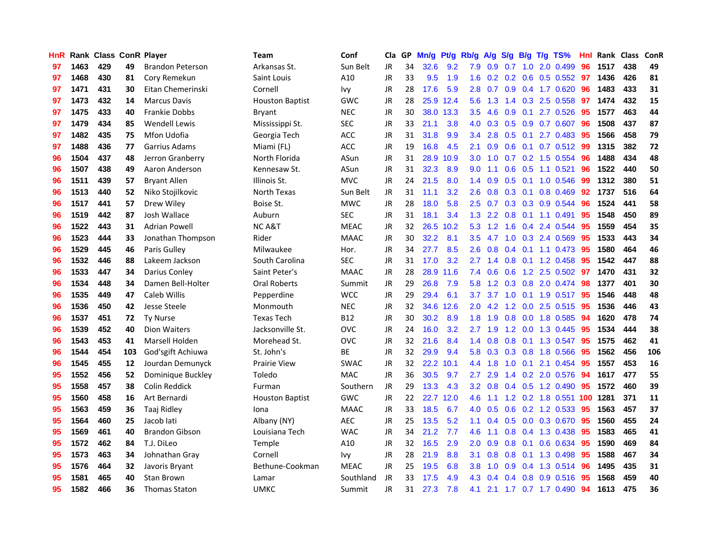| HnR |      | Rank Class ConR Player |     |                         | <b>Team</b>            | Conf        | <b>Cla</b> |    | GP Mn/g Pt/g Rb/g A/g S/g B/g T/g TS% |           |               |           |               |                 |                            | Hnl | Rank Class |     | ConR |
|-----|------|------------------------|-----|-------------------------|------------------------|-------------|------------|----|---------------------------------------|-----------|---------------|-----------|---------------|-----------------|----------------------------|-----|------------|-----|------|
| 97  | 1463 | 429                    | 49  | <b>Brandon Peterson</b> | Arkansas St.           | Sun Belt    | <b>JR</b>  | 34 | 32.6                                  | 9.2       | 7.9           | 0.9       | 0.7           | 1.0             | 2.0 0.499                  | 96  | 1517       | 438 | 49   |
| 97  | 1468 | 430                    | 81  | Cory Remekun            | Saint Louis            | A10         | <b>JR</b>  | 33 | 9.5                                   | 1.9       | 1.6           | 0.2       |               | $0.2 \quad 0.6$ | $0.5$ 0.552                | 97  | 1436       | 426 | 81   |
| 97  | 1471 | 431                    | 30  | Eitan Chemerinski       | Cornell                | Ivy         | JR         | 28 | 17.6                                  | 5.9       | 2.8           | 0.7       |               |                 | 0.9 0.4 1.7 0.620          | 96  | 1483       | 433 | 31   |
| 97  | 1473 | 432                    | 14  | Marcus Davis            | <b>Houston Baptist</b> | <b>GWC</b>  | <b>JR</b>  | 28 |                                       | 25.9 12.4 |               | $5.6$ 1.3 |               |                 | 1.4 0.3 2.5 0.558          | 97  | 1474       | 432 | 15   |
| 97  | 1475 | 433                    | 40  | <b>Frankie Dobbs</b>    | Bryant                 | <b>NEC</b>  | JR         | 30 |                                       | 38.0 13.3 | 3.5           | 4.6       |               |                 | 0.9 0.1 2.7 0.526          | -95 | 1577       | 463 | 44   |
| 97  | 1479 | 434                    | 85  | <b>Wendell Lewis</b>    | Mississippi St.        | <b>SEC</b>  | JR         | 33 | 21.1                                  | 3.8       | 4.0           | 0.3       |               |                 | 0.5 0.9 0.7 0.607          | 96  | 1508       | 437 | 87   |
| 97  | 1482 | 435                    | 75  | Mfon Udofia             | Georgia Tech           | ACC         | JR         | 31 | 31.8                                  | 9.9       | $3.4^{\circ}$ | 2.8       |               |                 | $0.5$ $0.1$ 2.7 $0.483$    | -95 | 1566       | 458 | 79   |
| 97  | 1488 | 436                    | 77  | Garrius Adams           | Miami (FL)             | ACC         | JR         | 19 | 16.8                                  | 4.5       | 2.1           | 0.9       |               |                 | $0.6$ $0.1$ $0.7$ $0.512$  | -99 | 1315       | 382 | 72   |
| 96  | 1504 | 437                    | 48  | Jerron Granberry        | North Florida          | ASun        | <b>JR</b>  | 31 | 28.9                                  | 10.9      | 3.0           | 1.0       |               |                 | 0.7 0.2 1.5 0.554          | 96  | 1488       | 434 | 48   |
| 96  | 1507 | 438                    | 49  | Aaron Anderson          | Kennesaw St.           | ASun        | <b>JR</b>  | 31 | 32.3                                  | 8.9       | 9.0           | 1.1       | 0.6           |                 | $0.5$ 1.1 $0.521$          | 96  | 1522       | 440 | 50   |
| 96  | 1511 | 439                    | 57  | <b>Bryant Allen</b>     | Illinois St.           | <b>MVC</b>  | JR         | 24 | 21.5                                  | 8.0       | 1.4           | 0.9       |               |                 | 0.5 0.1 1.0 0.546          | 99  | 1312       | 380 | 51   |
| 96  | 1513 | 440                    | 52  | Niko Stojilkovic        | North Texas            | Sun Belt    | <b>JR</b>  | 31 | 11.1                                  | 3.2       | 2.6           | 0.8       | 0.3           | 0.1             | 0.8 0.469                  | 92  | 1737       | 516 | 64   |
| 96  | 1517 | 441                    | 57  | Drew Wiley              | Boise St.              | <b>MWC</b>  | JR         | 28 | 18.0                                  | 5.8       | 2.5           | 0.7       |               | $0.3 \quad 0.3$ | 0.9 0.544                  | 96  | 1524       | 441 | 58   |
| 96  | 1519 | 442                    | 87  | Josh Wallace            | Auburn                 | <b>SEC</b>  | <b>JR</b>  | 31 | 18.1                                  | 3.4       | 1.3           | 2.2       | 0.8           |                 | $0.1$ 1.1 0.491            | 95  | 1548       | 450 | 89   |
| 96  | 1522 | 443                    | 31  | <b>Adrian Powell</b>    | <b>NCA&amp;T</b>       | <b>MEAC</b> | <b>JR</b>  | 32 | 26.5                                  | 10.2      | 5.3           | 1.2       | 1.6           | 0.4             | 2.4 0.544                  | 95  | 1559       | 454 | 35   |
| 96  | 1523 | 444                    | 33  | Jonathan Thompson       | Rider                  | <b>MAAC</b> | <b>JR</b>  | 30 | 32.2                                  | 8.1       | 3.5           | 4.7       |               |                 | 1.0 0.3 2.4 0.569          | 95  | 1533       | 443 | 34   |
| 96  | 1529 | 445                    | 46  | Paris Gulley            | Milwaukee              | Hor.        | JR         | 34 | 27.7                                  | 8.5       | 2.6           | 0.8       |               |                 | $0.4$ 0.1 1.1 0.473        | -95 | 1580       | 464 | 46   |
| 96  | 1532 | 446                    | 88  | Lakeem Jackson          | South Carolina         | <b>SEC</b>  | JR         | 31 | 17.0                                  | 3.2       | 2.7           | 1.4       |               |                 | $0.8$ 0.1 1.2 0.458        | -95 | 1542       | 447 | 88   |
| 96  | 1533 | 447                    | 34  | Darius Conley           | Saint Peter's          | <b>MAAC</b> | JR         | 28 |                                       | 28.9 11.6 | 7.4           | 0.6       |               |                 | $0.6$ 1.2 2.5 0.502        | 97  | 1470       | 431 | 32   |
| 96  | 1534 | 448                    | 34  | Damen Bell-Holter       | Oral Roberts           | Summit      | JR         | 29 | 26.8                                  | 7.9       | 5.8           | 1.2       |               |                 | $0.3$ $0.8$ 2.0 $0.474$    | 98  | 1377       | 401 | 30   |
| 96  | 1535 | 449                    | 47  | Caleb Willis            | Pepperdine             | <b>WCC</b>  | <b>JR</b>  | 29 | 29.4                                  | 6.1       | 3.7           | 3.7       |               |                 | 1.0 0.1 1.9 0.517          | 95  | 1546       | 448 | 48   |
| 96  | 1536 | 450                    | 42  | Jesse Steele            | Monmouth               | <b>NEC</b>  | <b>JR</b>  | 32 | 34.6                                  | 12.6      | 2.0           | 4.2       |               |                 | 1.2 0.0 2.5 0.515          | 95  | 1536       | 446 | 43   |
| 96  | 1537 | 451                    | 72  | <b>Ty Nurse</b>         | <b>Texas Tech</b>      | <b>B12</b>  | JR         | 30 | 30.2                                  | 8.9       | 1.8           | 1.9       |               |                 | 0.8 0.0 1.8 0.585          | 94  | 1620       | 478 | 74   |
| 96  | 1539 | 452                    | 40  | <b>Dion Waiters</b>     | Jacksonville St.       | <b>OVC</b>  | JR         | 24 | 16.0                                  | 3.2       | 2.7           | 1.9       |               |                 | 1.2 0.0 1.3 0.445          | 95  | 1534       | 444 | 38   |
| 96  | 1543 | 453                    | 41  | Marsell Holden          | Morehead St.           | ovc         | JR         | 32 | 21.6                                  | 8.4       | 1.4           | 0.8       |               |                 | 0.8 0.1 1.3 0.547          | 95  | 1575       | 462 | 41   |
| 96  | 1544 | 454                    | 103 | God'sgift Achiuwa       | St. John's             | <b>BE</b>   | <b>JR</b>  | 32 | 29.9                                  | 9.4       | 5.8           | 0.3       |               | $0.3 \quad 0.8$ | 1.8 0.566                  | -95 | 1562       | 456 | 106  |
| 96  | 1545 | 455                    | 12  | Jourdan Demunyck        | <b>Prairie View</b>    | <b>SWAC</b> | <b>JR</b>  | 32 |                                       | 22.2 10.1 | $4.4^{\circ}$ | 1.8       | 1.0           | 0.1             | 2.1 0.454                  | 95  | 1557       | 453 | 16   |
| 95  | 1552 | 456                    | 52  | Dominique Buckley       | Toledo                 | <b>MAC</b>  | <b>JR</b>  | 36 | 30.5                                  | 9.7       | 2.7           | 2.9       | 1.4           |                 | 0.2 2.0 0.576              | 94  | 1617       | 477 | 55   |
| 95  | 1558 | 457                    | 38  | Colin Reddick           | Furman                 | Southern    | <b>JR</b>  | 29 | 13.3                                  | 4.3       | 3.2           | 0.8       |               |                 | $0.4$ 0.5 1.2 0.490        | -95 | 1572       | 460 | 39   |
| 95  | 1560 | 458                    | 16  | Art Bernardi            | <b>Houston Baptist</b> | <b>GWC</b>  | JR         | 22 |                                       | 22.7 12.0 | 4.6           | 1.1       |               |                 | 1.2 0.2 1.8 0.551 100 1281 |     |            | 371 | 11   |
| 95  | 1563 | 459                    | 36  | Taaj Ridley             | Iona                   | <b>MAAC</b> | JR         | 33 | 18.5                                  | 6.7       | 4.0           | 0.5       |               |                 | 0.6 0.2 1.2 0.533          | -95 | 1563       | 457 | 37   |
| 95  | 1564 | 460                    | 25  | Jacob lati              | Albany (NY)            | <b>AEC</b>  | <b>JR</b>  | 25 | 13.5                                  | 5.2       | 1.1           | 0.4       |               |                 | 0.5 0.0 0.3 0.670          | 95  | 1560       | 455 | 24   |
| 95  | 1569 | 461                    | 40  | <b>Brandon Gibson</b>   | Louisiana Tech         | <b>WAC</b>  | <b>JR</b>  | 34 | 21.2                                  | 7.7       | 4.6           | 1.1       |               |                 | 0.8 0.4 1.3 0.438          | -95 | 1583       | 465 | 41   |
| 95  | 1572 | 462                    | 84  | T.J. DiLeo              | Temple                 | A10         | JR         | 32 | 16.5                                  | 2.9       | $2.0^{\circ}$ | 0.9       | 0.8           | 0.1             | 0.6 0.634                  | 95  | 1590       | 469 | 84   |
| 95  | 1573 | 463                    | 34  | Johnathan Gray          | Cornell                | Ivy         | <b>JR</b>  | 28 | 21.9                                  | 8.8       | 3.1           | 0.8       |               |                 | 0.8 0.1 1.3 0.498          | 95  | 1588       | 467 | 34   |
| 95  | 1576 | 464                    | 32  | Javoris Bryant          | Bethune-Cookman        | <b>MEAC</b> | JR         | 25 | 19.5                                  | 6.8       | 3.8           | 1.0       | 0.9           |                 | 0.4 1.3 0.514              | 96  | 1495       | 435 | 31   |
| 95  | 1581 | 465                    | 40  | Stan Brown              | Lamar                  | Southland   | JR         | 33 | 17.5                                  | 4.9       | 4.3           | 0.4       | $0.4^{\circ}$ | 0.8             | 0.9 0.516                  | 95  | 1568       | 459 | 40   |
| 95  | 1582 | 466                    | 36  | <b>Thomas Staton</b>    | <b>UMKC</b>            | Summit      | <b>JR</b>  | 31 | 27.3                                  | 7.8       | 4.1           |           |               |                 | 2.1 1.7 0.7 1.7 0.490      | 94  | 1613       | 475 | 36   |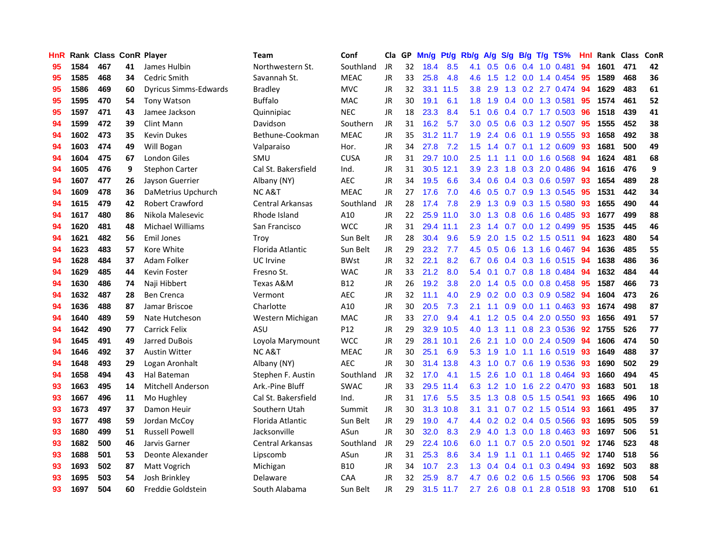| <b>HnR</b> |      | Rank Class ConR Player |    |                              | <b>Team</b>             | Conf        |           |    | Cla GP Mn/g Pt/g Rb/g A/g |           |                  |                |     |                 | S/g B/g T/g TS%           | Hnl |      | Rank Class | <b>ConR</b> |
|------------|------|------------------------|----|------------------------------|-------------------------|-------------|-----------|----|---------------------------|-----------|------------------|----------------|-----|-----------------|---------------------------|-----|------|------------|-------------|
| 95         | 1584 | 467                    | 41 | James Hulbin                 | Northwestern St.        | Southland   | JR        | 32 | 18.4                      | 8.5       | 4.1              | 0.5            | 0.6 | 0.4             | $1.0$ $0.481$             | 94  | 1601 | 471        | 42          |
| 95         | 1585 | 468                    | 34 | Cedric Smith                 | Savannah St.            | <b>MEAC</b> | <b>JR</b> | 33 | 25.8                      | 4.8       | 4.6              | 1.5            |     | $1.2 \quad 0.0$ | 1.4 0.454                 | -95 | 1589 | 468        | 36          |
| 95         | 1586 | 469                    | 60 | <b>Dyricus Simms-Edwards</b> | <b>Bradley</b>          | <b>MVC</b>  | <b>JR</b> | 32 |                           | 33.1 11.5 | 3.8              | 2.9            | 1.3 | 0.2             | 2.7 0.474                 | -94 | 1629 | 483        | 61          |
| 95         | 1595 | 470                    | 54 | Tony Watson                  | <b>Buffalo</b>          | <b>MAC</b>  | JR        | 30 | 19.1                      | 6.1       | 1.8              | 1.9            |     |                 | 0.4 0.0 1.3 0.581         | 95  | 1574 | 461        | 52          |
| 95         | 1597 | 471                    | 43 | Jamee Jackson                | Quinnipiac              | <b>NEC</b>  | JR        | 18 | 23.3                      | 8.4       | 5.1              | 0.6            |     |                 | 0.4 0.7 1.7 0.503         | -96 | 1518 | 439        | 41          |
| 94         | 1599 | 472                    | 39 | Clint Mann                   | Davidson                | Southern    | JR        | 31 | 16.2                      | 5.7       | 3.0 <sub>1</sub> | 0.5            |     |                 | $0.6$ $0.3$ 1.2 $0.507$   | -95 | 1555 | 452        | 38          |
| 94         | 1602 | 473                    | 35 | <b>Kevin Dukes</b>           | Bethune-Cookman         | <b>MEAC</b> | JR        | 35 |                           | 31.2 11.7 | 1.9 <sup>°</sup> | 2.4            |     |                 | $0.6$ 0.1 1.9 0.555       | 93  | 1658 | 492        | 38          |
| 94         | 1603 | 474                    | 49 | Will Bogan                   | Valparaiso              | Hor.        | JR        | 34 | 27.8                      | 7.2       | 1.5              | 1.4            |     |                 | $0.7$ $0.1$ $1.2$ $0.609$ | 93  | 1681 | 500        | 49          |
| 94         | 1604 | 475                    | 67 | <b>London Giles</b>          | SMU                     | <b>CUSA</b> | <b>JR</b> | 31 |                           | 29.7 10.0 | 2.5              | 1.1            | 1.1 |                 | 0.0 1.6 0.568             | 94  | 1624 | 481        | 68          |
| 94         | 1605 | 476                    | 9  | <b>Stephon Carter</b>        | Cal St. Bakersfield     | Ind.        | <b>JR</b> | 31 |                           | 30.5 12.1 | 3.9              | 2.3            | 1.8 |                 | 0.3 2.0 0.486             | 94  | 1616 | 476        | 9           |
| 94         | 1607 | 477                    | 26 | Jayson Guerrier              | Albany (NY)             | <b>AEC</b>  | JR        | 34 | 19.5                      | 6.6       | 3.4              | 0.6            |     |                 | $0.4$ $0.3$ $0.6$ $0.597$ | 93  | 1654 | 489        | 28          |
| 94         | 1609 | 478                    | 36 | DaMetrius Upchurch           | <b>NCA&amp;T</b>        | <b>MEAC</b> | JR        | 27 | 17.6                      | 7.0       | 4.6              | 0.5            |     |                 | 0.7 0.9 1.3 0.545         | 95  | 1531 | 442        | 34          |
| 94         | 1615 | 479                    | 42 | <b>Robert Crawford</b>       | Central Arkansas        | Southland   | JR        | 28 | 17.4                      | 7.8       | 2.9              | 1.3            | 0.9 |                 | $0.3$ 1.5 $0.580$         | -93 | 1655 | 490        | 44          |
| 94         | 1617 | 480                    | 86 | Nikola Malesevic             | Rhode Island            | A10         | <b>JR</b> | 22 |                           | 25.9 11.0 | 3.0 <sub>1</sub> | 1.3            | 0.8 | 0.6             | 1.6 0.485                 | 93  | 1677 | 499        | 88          |
| 94         | 1620 | 481                    | 48 | <b>Michael Williams</b>      | San Francisco           | <b>WCC</b>  | <b>JR</b> | 31 |                           | 29.4 11.1 | 2.3              | 1.4            | 0.7 | 0.0             | 1.2 0.499                 | 95  | 1535 | 445        | 46          |
| 94         | 1621 | 482                    | 56 | <b>Emil Jones</b>            | Trov                    | Sun Belt    | JR        | 28 | 30.4                      | 9.6       | 5.9              | 2.0            | 1.5 | 0.2             | 1.5 0.511                 | 94  | 1623 | 480        | 54          |
| 94         | 1623 | 483                    | 57 | Kore White                   | Florida Atlantic        | Sun Belt    | JR        | 29 | 23.2                      | 7.7       | 4.5              | 0.5            | 0.6 | 1.3             | 1.6 0.467                 | -94 | 1636 | 485        | 55          |
| 94         | 1628 | 484                    | 37 | Adam Folker                  | UC Irvine               | <b>BWst</b> | JR        | 32 | 22.1                      | 8.2       | 6.7              | 0.6            |     |                 | $0.4$ 0.3 1.6 0.515       | -94 | 1638 | 486        | 36          |
| 94         | 1629 | 485                    | 44 | <b>Kevin Foster</b>          | Fresno St.              | <b>WAC</b>  | JR        | 33 | 21.2                      | 8.0       |                  | $5.4\quad 0.1$ |     |                 | 0.7 0.8 1.8 0.484         | -94 | 1632 | 484        | 44          |
| 94         | 1630 | 486                    | 74 | Naji Hibbert                 | Texas A&M               | <b>B12</b>  | <b>JR</b> | 26 | 19.2                      | 3.8       |                  | $2.0$ 1.4      |     |                 | $0.5$ 0.0 0.8 0.458       | 95  | 1587 | 466        | 73          |
| 94         | 1632 | 487                    | 28 | <b>Ben Crenca</b>            | Vermont                 | <b>AEC</b>  | JR        | 32 | 11.1                      | 4.0       | 2.9              | 0.2            |     |                 | $0.0$ $0.3$ $0.9$ $0.582$ | -94 | 1604 | 473        | 26          |
| 94         | 1636 | 488                    | 87 | Jamar Briscoe                | Charlotte               | A10         | JR        | 30 | 20.5                      | 7.3       | 2.1              | 1.1            |     |                 | $0.9$ $0.0$ 1.1 $0.463$   | 93  | 1674 | 498        | 87          |
| 94         | 1640 | 489                    | 59 | Nate Hutcheson               | Western Michigan        | <b>MAC</b>  | JR        | 33 | 27.0                      | 9.4       | 4.1              | 1.2            |     |                 | 0.5 0.4 2.0 0.550         | 93  | 1656 | 491        | 57          |
| 94         | 1642 | 490                    | 77 | <b>Carrick Felix</b>         | ASU                     | P12         | <b>JR</b> | 29 | 32.9                      | 10.5      | 4.0              | 1.3            | 1.1 |                 | 0.8 2.3 0.536             | 92  | 1755 | 526        | 77          |
| 94         | 1645 | 491                    | 49 | Jarred DuBois                | Loyola Marymount        | <b>WCC</b>  | JR        | 29 |                           | 28.1 10.1 | 2.6              | 2.1            |     |                 | 1.0 0.0 2.4 0.509         | 94  | 1606 | 474        | 50          |
| 94         | 1646 | 492                    | 37 | <b>Austin Witter</b>         | <b>NCA&amp;T</b>        | <b>MEAC</b> | JR        | 30 | 25.1                      | 6.9       | 5.3              | 1.9            | 1.0 |                 | 1.1 1.6 0.519             | -93 | 1649 | 488        | 37          |
| 94         | 1648 | 493                    | 29 | Logan Aronhalt               | Albany (NY)             | <b>AEC</b>  | JR.       | 30 |                           | 31.4 13.8 | 4.3              | 1.0            | 0.7 | 0.6             | 1.9 0.536                 | 93  | 1690 | 502        | 29          |
| 94         | 1658 | 494                    | 43 | Hal Bateman                  | Stephen F. Austin       | Southland   | JR        | 32 | 17.0                      | 4.1       | 1.5 <sub>1</sub> | 2.6            | 1.0 |                 | $0.1$ 1.8 $0.464$         | -93 | 1660 | 494        | 45          |
| 93         | 1663 | 495                    | 14 | <b>Mitchell Anderson</b>     | Ark.-Pine Bluff         | <b>SWAC</b> | <b>JR</b> | 33 |                           | 29.5 11.4 | 6.3              | 1.2            | 1.0 | 1.6             | 2.2 0.470                 | 93  | 1683 | 501        | 18          |
| 93         | 1667 | 496                    | 11 | Mo Hughley                   | Cal St. Bakersfield     | Ind.        | JR        | 31 | 17.6                      | 5.5       | 3.5              | 1.3            |     | $0.8$ 0.5       | 1.5 0.541                 | 93  | 1665 | 496        | 10          |
| 93         | 1673 | 497                    | 37 | Damon Heuir                  | Southern Utah           | Summit      | JR        | 30 | 31.3                      | 10.8      | 3.1              | 3.1            |     |                 | $0.7$ $0.2$ 1.5 $0.514$   | -93 | 1661 | 495        | 37          |
| 93         | 1677 | 498                    | 59 | Jordan McCov                 | Florida Atlantic        | Sun Belt    | JR        | 29 | 19.0                      | 4.7       |                  |                |     |                 | 4.4 0.2 0.2 0.4 0.5 0.566 | -93 | 1695 | 505        | 59          |
| 93         | 1680 | 499                    | 51 | <b>Russell Powell</b>        | Jacksonville            | ASun        | <b>JR</b> | 30 | 32.0                      | 8.3       | 2.9 <sup>°</sup> | 4.0            |     |                 | 1.3 0.0 1.8 0.463         | -93 | 1697 | 506        | 51          |
| 93         | 1682 | 500                    | 46 | Jarvis Garner                | <b>Central Arkansas</b> | Southland   | JR        | 29 |                           | 22.4 10.6 | 6.0              | 1.1            |     |                 | $0.7$ $0.5$ 2.0 $0.501$   | 92  | 1746 | 523        | 48          |
| 93         | 1688 | 501                    | 53 | Deonte Alexander             | Lipscomb                | ASun        | JR        | 31 | 25.3                      | 8.6       | 3.4              | 1.9            | 1.1 |                 | $0.1$ 1.1 $0.465$         | 92  | 1740 | 518        | 56          |
| 93         | 1693 | 502                    | 87 | Matt Vogrich                 | Michigan                | <b>B10</b>  | <b>JR</b> | 34 | 10.7                      | 2.3       | 1.3              | 0.4            | 0.4 | 0.1             | 0.3 0.494                 | 93  | 1692 | 503        | 88          |
| 93         | 1695 | 503                    | 54 | Josh Brinkley                | Delaware                | CAA         | <b>JR</b> | 32 | 25.9                      | 8.7       | 4.7              | 0.6            |     | $0.2 \quad 0.6$ | 1.5 0.566                 | 93  | 1706 | 508        | 54          |
| 93         | 1697 | 504                    | 60 | Freddie Goldstein            | South Alabama           | Sun Belt    | JR        | 29 |                           | 31.5 11.7 | $2.7^{\circ}$    | 2.6            |     |                 | 0.8 0.1 2.8 0.518         | 93  | 1708 | 510        | 61          |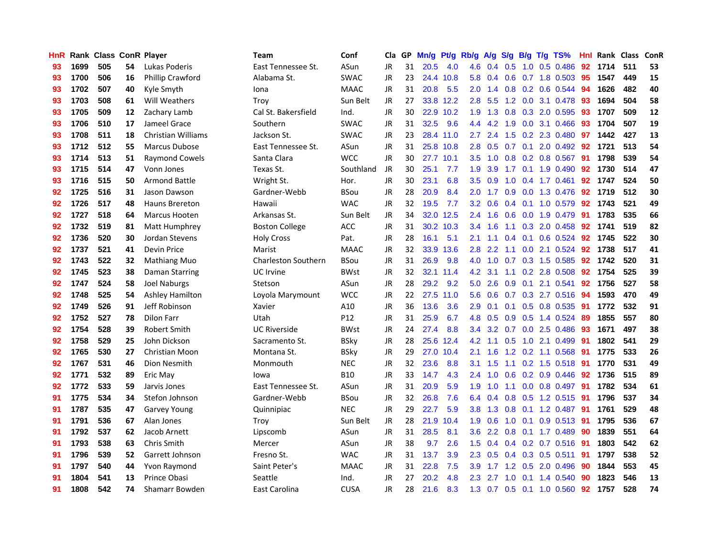| <b>HnR</b> |      | Rank Class ConR Player |    |                           | Team                       | Conf        | Cla       |    | GP Mn/g Pt/g Rb/g |           |                  |                 |     |                 | A/g S/g B/g T/g TS%       | Hnl | Rank Class |     | ConR       |
|------------|------|------------------------|----|---------------------------|----------------------------|-------------|-----------|----|-------------------|-----------|------------------|-----------------|-----|-----------------|---------------------------|-----|------------|-----|------------|
| 93         | 1699 | 505                    | 54 | Lukas Poderis             | East Tennessee St.         | ASun        | JR        | 31 | 20.5              | 4.0       | 4.6              | 0.4             | 0.5 | 1.0             | $0.5$ 0.486               | 92  | 1714       | 511 | 53         |
| 93         | 1700 | 506                    | 16 | <b>Phillip Crawford</b>   | Alabama St.                | <b>SWAC</b> | <b>JR</b> | 23 |                   | 24.4 10.8 | 5.8              | 0.4             | 0.6 |                 | $0.7$ 1.8 0.503           | 95  | 1547       | 449 | 15         |
| 93         | 1702 | 507                    | 40 | Kyle Smyth                | Iona                       | <b>MAAC</b> | <b>JR</b> | 31 | 20.8              | 5.5       | 2.0              | 1.4             |     | $0.8\quad 0.2$  | 0.6 0.544                 | 94  | 1626       | 482 | 40         |
| 93         | 1703 | 508                    | 61 | Will Weathers             | Troy                       | Sun Belt    | JR        | 27 |                   | 33.8 12.2 | 2.8              | 5.5             |     |                 | 1.2 0.0 3.1 0.478         | 93  | 1694       | 504 | 58         |
| 93         | 1705 | 509                    | 12 | Zachary Lamb              | Cal St. Bakersfield        | Ind.        | <b>JR</b> | 30 |                   | 22.9 10.2 |                  | $1.9$ $1.3$     |     |                 | 0.8 0.3 2.0 0.595         | -93 | 1707       | 509 | ${\bf 12}$ |
| 93         | 1706 | 510                    | 17 | Jameel Grace              | Southern                   | <b>SWAC</b> | JR        | 31 | 32.5              | 9.6       |                  | 4.4 4.2         | 1.9 |                 | 0.0 3.1 0.466             | 93  | 1704       | 507 | 19         |
| 93         | 1708 | 511                    | 18 | <b>Christian Williams</b> | Jackson St.                | <b>SWAC</b> | JR        | 23 |                   | 28.4 11.0 | 2.7              | 2.4             |     |                 | 1.5 0.2 2.3 0.480         | 97  | 1442       | 427 | 13         |
| 93         | 1712 | 512                    | 55 | Marcus Dubose             | East Tennessee St.         | ASun        | <b>JR</b> | 31 |                   | 25.8 10.8 | 2.8              | 0.5             |     |                 | 0.7 0.1 2.0 0.492         | 92  | 1721       | 513 | 54         |
| 93         | 1714 | 513                    | 51 | <b>Raymond Cowels</b>     | Santa Clara                | <b>WCC</b>  | <b>JR</b> | 30 |                   | 27.7 10.1 | 3.5              | 1.0             |     |                 | 0.8 0.2 0.8 0.567         | 91  | 1798       | 539 | 54         |
| 93         | 1715 | 514                    | 47 | Vonn Jones                | Texas St.                  | Southland   | JR        | 30 | 25.1              | 7.7       | 1.9              | 3.9             | 1.7 |                 | $0.1$ 1.9 $0.490$         | 92  | 1730       | 514 | 47         |
| 93         | 1716 | 515                    | 50 | Armond Battle             | Wright St.                 | Hor.        | JR        | 30 | 23.1              | 6.8       | 3.5              | 0.9             | 1.0 |                 | $0.4$ 1.7 0.461           | 92  | 1747       | 524 | 50         |
| 92         | 1725 | 516                    | 31 | Jason Dawson              | Gardner-Webb               | <b>BSou</b> | JR        | 28 | 20.9              | 8.4       | 2.0              | 1.7             | 0.9 | 0.0             | 1.3 0.476                 | 92  | 1719       | 512 | 30         |
| 92         | 1726 | 517                    | 48 | Hauns Brereton            | Hawaii                     | <b>WAC</b>  | <b>JR</b> | 32 | 19.5              | 7.7       | 3.2              | 0.6             | 0.4 | 0.1             | 1.0 0.579                 | 92  | 1743       | 521 | 49         |
| 92         | 1727 | 518                    | 64 | <b>Marcus Hooten</b>      | Arkansas St.               | Sun Belt    | JR        | 34 |                   | 32.0 12.5 | 2.4              | 1.6             | 0.6 | 0.0             | 1.9 0.479                 | 91  | 1783       | 535 | 66         |
| 92         | 1732 | 519                    | 81 | Matt Humphrey             | <b>Boston College</b>      | ACC         | <b>JR</b> | 31 |                   | 30.2 10.3 | 3.4              | 1.6             | 1.1 | 0.3             | 2.0 0.458                 | 92  | 1741       | 519 | 82         |
| 92         | 1736 | 520                    | 30 | Jordan Stevens            | <b>Holy Cross</b>          | Pat.        | <b>JR</b> | 28 | 16.1              | 5.1       | 2.1              | 1.1             | 0.4 | 0.1             | 0.6 0.524                 | 92  | 1745       | 522 | 30         |
| 92         | 1737 | 521                    | 41 | <b>Devin Price</b>        | Marist                     | <b>MAAC</b> | JR        | 32 | 33.9              | 13.6      | 2.8              | 2.2             | 1.1 |                 | 0.0 2.1 0.524             | 92  | 1738       | 517 | 41         |
| 92         | 1743 | 522                    | 32 | <b>Mathiang Muo</b>       | <b>Charleston Southern</b> | <b>BSou</b> | JR        | 31 | 26.9              | 9.8       | 4.0              | 1.0             |     |                 | 0.7 0.3 1.5 0.585         | 92  | 1742       | 520 | 31         |
| 92         | 1745 | 523                    | 38 | Daman Starring            | <b>UC</b> Irvine           | <b>BWst</b> | JR        | 32 |                   | 32.1 11.4 |                  | $4.2 \quad 3.1$ |     |                 | 1.1 0.2 2.8 0.508         | 92  | 1754       | 525 | 39         |
| 92         | 1747 | 524                    | 58 | <b>Joel Naburgs</b>       | Stetson                    | ASun        | JR        | 28 | 29.2              | 9.2       | 5.0              | 2.6             |     |                 | 0.9 0.1 2.1 0.541         | 92  | 1756       | 527 | 58         |
| 92         | 1748 | 525                    | 54 | Ashley Hamilton           | Loyola Marymount           | <b>WCC</b>  | JR        | 22 |                   | 27.5 11.0 | 5.6              | 0.6             |     |                 | 0.7 0.3 2.7 0.516 94      |     | 1593       | 470 | 49         |
| 92         | 1749 | 526                    | 91 | Jeff Robinson             | Xavier                     | A10         | JR        | 36 | 13.6              | 3.6       | 2.9              | 0.1             |     |                 | $0.1$ $0.5$ $0.8$ $0.535$ | -91 | 1772       | 532 | 91         |
| 92         | 1752 | 527                    | 78 | <b>Dilon Farr</b>         | Utah                       | P12         | <b>JR</b> | 31 | 25.9              | 6.7       | 4.8              | 0.5             |     |                 | 0.9 0.5 1.4 0.524         | -89 | 1855       | 557 | 80         |
| 92         | 1754 | 528                    | 39 | <b>Robert Smith</b>       | <b>UC Riverside</b>        | <b>BWst</b> | JR        | 24 | 27.4              | 8.8       | $3.4^{\circ}$    | 3.2             |     |                 | 0.7 0.0 2.5 0.486         | 93  | 1671       | 497 | 38         |
| 92         | 1758 | 529                    | 25 | John Dickson              | Sacramento St.             | <b>BSky</b> | JR        | 28 |                   | 25.6 12.4 | 4.2              | $-1.1$          | 0.5 |                 | 1.0 2.1 0.499             | -91 | 1802       | 541 | 29         |
| 92         | 1765 | 530                    | 27 | Christian Moon            | Montana St.                | <b>BSky</b> | JR        | 29 |                   | 27.0 10.4 | 2.1              | 1.6             |     |                 | 1.2 0.2 1.1 0.568         | 91  | 1775       | 533 | 26         |
| 92         | 1767 | 531                    | 46 | Dion Nesmith              | Monmouth                   | <b>NEC</b>  | JR        | 32 | 23.6              | 8.8       | 3.1              | 1.5             | 1.1 |                 | $0.2$ 1.5 $0.518$         | 91  | 1770       | 531 | 49         |
| 92         | 1771 | 532                    | 89 | Eric May                  | lowa                       | <b>B10</b>  | JR        | 33 | 14.7              | 4.3       | 2.4              | 1.0             | 0.6 |                 | $0.2$ 0.9 0.446           | 92  | 1736       | 515 | 89         |
| 92         | 1772 | 533                    | 59 | Jarvis Jones              | East Tennessee St.         | ASun        | <b>JR</b> | 31 | 20.9              | 5.9       | 1.9              | 1.0             | 1.1 | 0.0             | 0.8 0.497 91              |     | 1782       | 534 | 61         |
| 91         | 1775 | 534                    | 34 | Stefon Johnson            | Gardner-Webb               | <b>BSou</b> | <b>JR</b> | 32 | 26.8              | 7.6       | 6.4              | 0.4             |     | $0.8\quad 0.5$  | 1.2 0.515                 | 91  | 1796       | 537 | 34         |
| 91         | 1787 | 535                    | 47 | Garvey Young              | Quinnipiac                 | <b>NEC</b>  | JR        | 29 | 22.7              | 5.9       | 3.8 <sup>°</sup> | 1.3             |     |                 | 0.8 0.1 1.2 0.487 91      |     | 1761       | 529 | 48         |
| 91         | 1791 | 536                    | 67 | Alan Jones                | Trov                       | Sun Belt    | JR        | 28 |                   | 21.9 10.4 | 1.9 <sup>°</sup> | 0.6             |     | $1.0 \quad 0.1$ | 0.9 0.513 91              |     | 1795       | 536 | 67         |
| 91         | 1792 | 537                    | 62 | Jacob Arnett              | Lipscomb                   | ASun        | JR        | 31 | 28.5              | 8.1       | 3.6 <sup>2</sup> | 2.2             |     |                 | 0.8 0.1 1.7 0.489         | -90 | 1839       | 551 | 64         |
| 91         | 1793 | 538                    | 63 | Chris Smith               | Mercer                     | ASun        | <b>JR</b> | 38 | 9.7               | 2.6       | 1.5              | 0.4             |     |                 | 0.4 0.2 0.7 0.516 91      |     | 1803       | 542 | 62         |
| 91         | 1796 | 539                    | 52 | Garrett Johnson           | Fresno St.                 | <b>WAC</b>  | JR        | 31 | 13.7              | 3.9       | $2.3\phantom{0}$ | 0.5             |     |                 | $0.4$ 0.3 0.5 0.511       | 91  | 1797       | 538 | 52         |
| 91         | 1797 | 540                    | 44 | Yvon Raymond              | Saint Peter's              | <b>MAAC</b> | <b>JR</b> | 31 | 22.8              | 7.5       | 3.9              | 1.7             |     | $1.2 \quad 0.5$ | 2.0 0.496                 | 90  | 1844       | 553 | 45         |
| 91         | 1804 | 541                    | 13 | Prince Obasi              | Seattle                    | Ind.        | <b>JR</b> | 27 | 20.2              | 4.8       | 2.3              | 2.7             | 1.0 | 0.1             | 1.4 0.540                 | 90  | 1823       | 546 | 13         |
| 91         | 1808 | 542                    | 74 | Shamarr Bowden            | East Carolina              | <b>CUSA</b> | JR        | 28 | 21.6              | 8.3       | 1.3              |                 |     |                 | 0.7 0.5 0.1 1.0 0.560     | 92  | 1757       | 528 | 74         |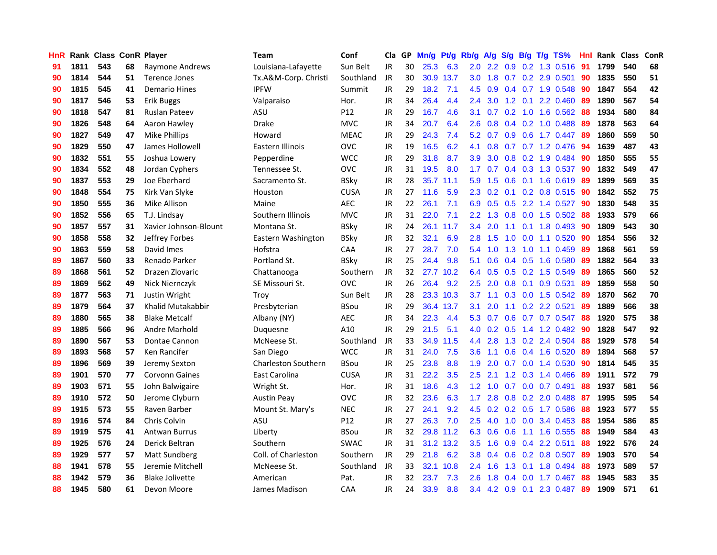| HnR |      | Rank Class ConR Player |    |                        | Team                       | Conf        | Cla       |     | GP Mn/g Pt/g Rb/g A/g |           |                  |         |     |                 | S/g B/g T/g TS%           | Hnl | Rank Class |     | ConR |
|-----|------|------------------------|----|------------------------|----------------------------|-------------|-----------|-----|-----------------------|-----------|------------------|---------|-----|-----------------|---------------------------|-----|------------|-----|------|
| 91  | 1811 | 543                    | 68 | Raymone Andrews        | Louisiana-Lafayette        | Sun Belt    | JR        | 30  | 25.3                  | 6.3       | 2.0              | 2.2     | 0.9 | 0.2             | 1.3 0.516                 | 91  | 1799       | 540 | 68   |
| 90  | 1814 | 544                    | 51 | Terence Jones          | Tx.A&M-Corp. Christi       | Southland   | JR        | 30  |                       | 30.9 13.7 | 3.0              | 1.8     | 0.7 | 0.2             | 2.9 0.501                 | 90  | 1835       | 550 | 51   |
| 90  | 1815 | 545                    | 41 | <b>Demario Hines</b>   | <b>IPFW</b>                | Summit      | <b>JR</b> | 29  | 18.2                  | 7.1       | 4.5              | 0.9     |     |                 | $0.4$ 0.7 1.9 0.548       | 90  | 1847       | 554 | 42   |
| 90  | 1817 | 546                    | 53 | Erik Buggs             | Valparaiso                 | Hor.        | <b>JR</b> | 34  | 26.4                  | 4.4       | 2.4              | 3.0     |     |                 | 1.2 0.1 2.2 0.460         | -89 | 1890       | 567 | 54   |
| 90  | 1818 | 547                    | 81 | Ruslan Pateev          | ASU                        | P12         | JR        | 29  | 16.7                  | 4.6       | 3.1              | 0.7     |     |                 | 0.2 1.0 1.6 0.562         | 88  | 1934       | 580 | 84   |
| 90  | 1826 | 548                    | 64 | Aaron Hawley           | <b>Drake</b>               | <b>MVC</b>  | <b>JR</b> | 34  | 20.7                  | 6.4       | 2.6              | 0.8     |     |                 | $0.4$ 0.2 1.0 0.488       | -89 | 1878       | 563 | 64   |
| 90  | 1827 | 549                    | 47 | <b>Mike Phillips</b>   | Howard                     | <b>MEAC</b> | JR        | 29  | 24.3                  | 7.4       | 5.2              | 0.7     |     |                 | $0.9$ $0.6$ 1.7 $0.447$   | -89 | 1860       | 559 | 50   |
| 90  | 1829 | 550                    | 47 | James Hollowell        | Eastern Illinois           | <b>OVC</b>  | JR        | 19  | 16.5                  | 6.2       | 4.1              | 0.8     |     |                 | $0.7$ $0.7$ 1.2 $0.476$   | -94 | 1639       | 487 | 43   |
| 90  | 1832 | 551                    | 55 | Joshua Lowery          | Pepperdine                 | <b>WCC</b>  | <b>JR</b> | 29  | 31.8                  | 8.7       | 3.9              | 3.0     |     |                 | 0.8 0.2 1.9 0.484         | 90  | 1850       | 555 | 55   |
| 90  | 1834 | 552                    | 48 | Jordan Cyphers         | Tennessee St.              | <b>OVC</b>  | <b>JR</b> | 31  | 19.5                  | 8.0       | 1.7              | 0.7     |     |                 | 0.4 0.3 1.3 0.537         | 90  | 1832       | 549 | 47   |
| 90  | 1837 | 553                    | 29 | Joe Eberhard           | Sacramento St.             | <b>BSky</b> | JR        | 28  | 35.7                  | 11.1      | 5.9              | 1.5     | 0.6 |                 | $0.1$ 1.6 0.619           | 89  | 1899       | 569 | 35   |
| 90  | 1848 | 554                    | 75 | Kirk Van Slyke         | Houston                    | <b>CUSA</b> | JR        | 27  | 11.6                  | 5.9       | $2.3\phantom{0}$ | 0.2     |     |                 | 0.1 0.2 0.8 0.515         | -90 | 1842       | 552 | 75   |
| 90  | 1850 | 555                    | 36 | Mike Allison           | Maine                      | <b>AEC</b>  | <b>JR</b> | 22  | 26.1                  | 7.1       | 6.9              | 0.5     | 0.5 |                 | 2.2 1.4 0.527             | 90  | 1830       | 548 | 35   |
| 90  | 1852 | 556                    | 65 | T.J. Lindsay           | Southern Illinois          | <b>MVC</b>  | <b>JR</b> | 31  | 22.0                  | 7.1       | $2.2^{\circ}$    | 1.3     | 0.8 | 0.0             | 1.5 0.502                 | 88  | 1933       | 579 | 66   |
| 90  | 1857 | 557                    | 31 | Xavier Johnson-Blount  | Montana St.                | <b>BSky</b> | JR        | 24  |                       | 26.1 11.7 | 3.4              | 2.0     | 1.1 | 0.1             | 1.8 0.493                 | 90  | 1809       | 543 | 30   |
| 90  | 1858 | 558                    | 32 | Jeffrey Forbes         | Eastern Washington         | <b>BSky</b> | JR        | 32  | 32.1                  | 6.9       | 2.8              | 1.5     | 1.0 | 0.0             | 1.1 0.520                 | 90  | 1854       | 556 | 32   |
| 90  | 1863 | 559                    | 58 | David Imes             | Hofstra                    | CAA         | JR        | 27  | 28.7                  | 7.0       | 5.4              | 1.0     | 1.3 | 1.0             | 1.1 0.459                 | -89 | 1868       | 561 | 59   |
| 89  | 1867 | 560                    | 33 | Renado Parker          | Portland St.               | <b>BSky</b> | JR        | 25  | 24.4                  | 9.8       | 5.1              | 0.6     |     | $0.4\quad 0.5$  | 1.6 0.580                 | -89 | 1882       | 564 | 33   |
| 89  | 1868 | 561                    | 52 | Drazen Zlovaric        | Chattanooga                | Southern    | JR        | 32  |                       | 27.7 10.2 |                  | 6.4 0.5 |     |                 | 0.5 0.2 1.5 0.549         | -89 | 1865       | 560 | 52   |
| 89  | 1869 | 562                    | 49 | Nick Niernczyk         | SE Missouri St.            | <b>OVC</b>  | <b>JR</b> | 26  | 26.4                  | 9.2       | 2.5              | 2.0     |     |                 | 0.8 0.1 0.9 0.531         | -89 | 1859       | 558 | 50   |
| 89  | 1877 | 563                    | 71 | Justin Wright          | Troy                       | Sun Belt    | JR        | 28  |                       | 23.3 10.3 | 3.7              | 1.1     |     |                 | $0.3$ 0.0 1.5 0.542       | -89 | 1870       | 562 | 70   |
| 89  | 1879 | 564                    | 37 | Khalid Mutakabbir      | Presbyterian               | <b>BSou</b> | <b>JR</b> | 29  |                       | 36.4 13.7 | 3.1              | 2.0     |     |                 | 1.1 0.2 2.2 0.521         | 89  | 1889       | 566 | 38   |
| 89  | 1880 | 565                    | 38 | <b>Blake Metcalf</b>   | Albany (NY)                | <b>AEC</b>  | <b>JR</b> | 34  | 22.3                  | 4.4       | 5.3              | 0.7     |     |                 | 0.6 0.7 0.7 0.547         | 88  | 1920       | 575 | 38   |
| 89  | 1885 | 566                    | 96 | Andre Marhold          | Duquesne                   | A10         | <b>JR</b> | 29  | 21.5                  | 5.1       | 4.0              | 0.2     | 0.5 |                 | 1.4 1.2 0.482             | 90  | 1828       | 547 | 92   |
| 89  | 1890 | 567                    | 53 | Dontae Cannon          | McNeese St.                | Southland   | JR        | 33  | 34.9                  | 11.5      | 4.4              | 2.8     |     |                 | 1.3 0.2 2.4 0.504         | 88  | 1929       | 578 | 54   |
| 89  | 1893 | 568                    | 57 | Ken Rancifer           | San Diego                  | <b>WCC</b>  | JR        | 31  | 24.0                  | 7.5       | 3.6              | 1.1     | 0.6 |                 | 0.4 1.6 0.520             | -89 | 1894       | 568 | 57   |
| 89  | 1896 | 569                    | 39 | Jeremy Sexton          | <b>Charleston Southern</b> | <b>BSou</b> | JR        | 25  | 23.8                  | 8.8       | 1.9              | 2.0     | 0.7 | 0.0             | 1.4 0.530                 | 90  | 1814       | 545 | 35   |
| 89  | 1901 | 570                    | 77 | <b>Corvonn Gaines</b>  | East Carolina              | <b>CUSA</b> | JR        | 31  | 22.2                  | 3.5       | 2.5              | 2.1     |     | $1.2 \quad 0.3$ | 1.4 0.466                 | -89 | 1911       | 572 | 79   |
| 89  | 1903 | 571                    | 55 | John Balwigaire        | Wright St.                 | Hor.        | JR        | 31  | 18.6                  | 4.3       | 1.2 <sub>2</sub> | 1.0     | 0.7 | 0.0             | $0.7$ 0.491               | 88  | 1937       | 581 | 56   |
| 89  | 1910 | 572                    | 50 | Jerome Clyburn         | <b>Austin Peay</b>         | <b>OVC</b>  | <b>JR</b> | 32  | 23.6                  | 6.3       | 1.7              | 2.8     | 0.8 |                 | 0.2 2.0 0.488             | 87  | 1995       | 595 | 54   |
| 89  | 1915 | 573                    | 55 | Raven Barber           | Mount St. Mary's           | <b>NEC</b>  | JR        | 27  | 24.1                  | 9.2       | 4.5              | 0.2     |     | $0.2 \quad 0.5$ | 1.7 0.586                 | 88  | 1923       | 577 | 55   |
| 89  | 1916 | 574                    | 84 | Chris Colvin           | ASU                        | P12         | JR        | 27  | 26.3                  | 7.0       | $2.5^{\circ}$    | 4.0     |     |                 | $1.0$ $0.0$ $3.4$ $0.453$ | 88  | 1954       | 586 | 85   |
| 89  | 1919 | 575                    | 41 | Antwan Burrus          | Liberty                    | <b>BSou</b> | JR        | 32. |                       | 29.8 11.2 |                  | 6.3 0.6 | 0.6 |                 | 1.1 1.6 0.555             | 88  | 1949       | 584 | 43   |
| 89  | 1925 | 576                    | 24 | Derick Beltran         | Southern                   | <b>SWAC</b> | <b>JR</b> | 31  |                       | 31.2 13.2 | 3.5              | 1.6     | 0.9 |                 | 0.4 2.2 0.511             | 88  | 1922       | 576 | 24   |
| 89  | 1929 | 577                    | 57 | Matt Sundberg          | Coll. of Charleston        | Southern    | JR        | 29  | 21.8                  | 6.2       | 3.8              | 0.4     | 0.6 |                 | 0.2 0.8 0.507             | 89  | 1903       | 570 | 54   |
| 88  | 1941 | 578                    | 55 | Jeremie Mitchell       | McNeese St.                | Southland   | JR        | 33  |                       | 32.1 10.8 | $2.4^{\circ}$    | 1.6     | 1.3 | 0.1             | 1.8 0.494                 | 88  | 1973       | 589 | 57   |
| 88  | 1942 | 579                    | 36 | <b>Blake Jolivette</b> | American                   | Pat.        | JR        | 32  | 23.7                  | 7.3       | 2.6              | 1.8     | 0.4 | 0.0             | 1.7 0.467                 | 88  | 1945       | 583 | 35   |
| 88  | 1945 | 580                    | 61 | Devon Moore            | James Madison              | CAA         | JR        | 24  | 33.9                  | 8.8       |                  |         |     |                 | 3.4 4.2 0.9 0.1 2.3 0.487 | -89 | 1909       | 571 | 61   |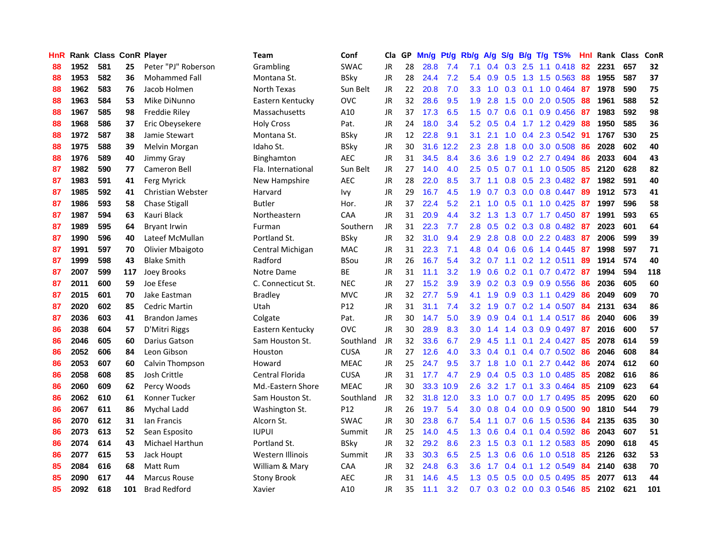| HnR |      | Rank Class ConR Player |     |                      | <b>Team</b>        | Conf        | Cla       |    | GP Mn/g Pt/g |           | Rb/g             |                 |     |                 | A/g S/g B/g T/g TS%     | Hnl | Rank Class |     | ConR |
|-----|------|------------------------|-----|----------------------|--------------------|-------------|-----------|----|--------------|-----------|------------------|-----------------|-----|-----------------|-------------------------|-----|------------|-----|------|
| 88  | 1952 | 581                    | 25  | Peter "PJ" Roberson  | Grambling          | <b>SWAC</b> | JR        | 28 | 28.8         | 7.4       | 7.1              | 0.4             | 0.3 | 2.5             | $1.1 \quad 0.418$       | 82  | 2231       | 657 | 32   |
| 88  | 1953 | 582                    | 36  | <b>Mohammed Fall</b> | Montana St.        | <b>BSky</b> | <b>JR</b> | 28 | 24.4         | 7.2       | 5.4              | 0.9             | 0.5 | 1.3             | 1.5 0.563               | 88  | 1955       | 587 | 37   |
| 88  | 1962 | 583                    | 76  | Jacob Holmen         | North Texas        | Sun Belt    | <b>JR</b> | 22 | 20.8         | 7.0       | 3.3              | 1.0             | 0.3 | 0.1             | 1.0 0.464               | -87 | 1978       | 590 | 75   |
| 88  | 1963 | 584                    | 53  | Mike DiNunno         | Eastern Kentucky   | <b>OVC</b>  | <b>JR</b> | 32 | 28.6         | 9.5       | 1.9              | 2.8             |     |                 | 1.5 0.0 2.0 0.505       | 88  | 1961       | 588 | 52   |
| 88  | 1967 | 585                    | 98  | Freddie Riley        | Massachusetts      | A10         | JR        | 37 | 17.3         | 6.5       |                  | $1.5 \t0.7$     |     |                 | 0.6 0.1 0.9 0.456       | -87 | 1983       | 592 | 98   |
| 88  | 1968 | 586                    | 37  | Eric Obeysekere      | <b>Holy Cross</b>  | Pat.        | JR        | 24 | 18.0         | 3.4       | 5.2              | 0.5             |     |                 | $0.4$ 1.7 1.2 0.429     | 88  | 1950       | 585 | 36   |
| 88  | 1972 | 587                    | 38  | Jamie Stewart        | Montana St.        | <b>BSky</b> | JR        | 12 | 22.8         | 9.1       | 3.1              | 2.1             |     |                 | $1.0$ 0.4 2.3 0.542     | 91  | 1767       | 530 | 25   |
| 88  | 1975 | 588                    | 39  | Melvin Morgan        | Idaho St.          | <b>BSkv</b> | <b>JR</b> | 30 | 31.6         | 12.2      | 2.3              | 2.8             | 1.8 |                 | 0.0 3.0 0.508           | 86  | 2028       | 602 | 40   |
| 88  | 1976 | 589                    | 40  | Jimmy Gray           | Binghamton         | <b>AEC</b>  | <b>JR</b> | 31 | 34.5         | 8.4       | 3.6              | 3.6             | 1.9 |                 | 0.2 2.7 0.494           | 86  | 2033       | 604 | 43   |
| 87  | 1982 | 590                    | 77  | Cameron Bell         | Fla. International | Sun Belt    | JR        | 27 | 14.0         | 4.0       | 2.5              | 0.5             | 0.7 |                 | 0.1 1.0 0.505           | 85  | 2120       | 628 | 82   |
| 87  | 1983 | 591                    | 41  | Ferg Myrick          | New Hampshire      | <b>AEC</b>  | <b>JR</b> | 28 | 22.0         | 8.5       | 3.7              | 1.1             |     |                 | 0.8 0.5 2.3 0.482       | -87 | 1982       | 591 | 40   |
| 87  | 1985 | 592                    | 41  | Christian Webster    | Harvard            | lvy.        | JR        | 29 | 16.7         | 4.5       | 1.9              | 0.7             |     | $0.3 \quad 0.0$ | 0.8 0.447               | -89 | 1912       | 573 | 41   |
| 87  | 1986 | 593                    | 58  | <b>Chase Stigall</b> | <b>Butler</b>      | Hor.        | <b>JR</b> | 37 | 22.4         | 5.2       | 2.1              | 1.0             | 0.5 | 0.1             | 1.0 0.425               | -87 | 1997       | 596 | 58   |
| 87  | 1987 | 594                    | 63  | Kauri Black          | Northeastern       | CAA         | <b>JR</b> | 31 | 20.9         | 4.4       | 3.2              | 1.3             | 1.3 |                 | $0.7$ 1.7 $0.450$       | 87  | 1991       | 593 | 65   |
| 87  | 1989 | 595                    | 64  | <b>Bryant Irwin</b>  | Furman             | Southern    | JR        | 31 | 22.3         | 7.7       | 2.8              | 0.5             | 0.2 | 0.3             | 0.8 0.482               | -87 | 2023       | 601 | 64   |
| 87  | 1990 | 596                    | 40  | Lateef McMullan      | Portland St.       | <b>BSky</b> | <b>JR</b> | 32 | 31.0         | 9.4       | 2.9              | 2.8             | 0.8 |                 | $0.0$ 2.2 0.483         | -87 | 2006       | 599 | 39   |
| 87  | 1991 | 597                    | 70  | Olivier Mbaigoto     | Central Michigan   | <b>MAC</b>  | JR        | 31 | 22.3         | 7.1       | 4.8              |                 |     |                 | $0.4$ 0.6 0.6 1.4 0.445 | -87 | 1998       | 597 | 71   |
| 87  | 1999 | 598                    | 43  | <b>Blake Smith</b>   | Radford            | <b>BSou</b> | JR        | 26 | 16.7         | 5.4       |                  | $3.2 \quad 0.7$ |     |                 | 1.1 0.2 1.2 0.511       | -89 | 1914       | 574 | 40   |
| 87  | 2007 | 599                    | 117 | Joey Brooks          | Notre Dame         | ВE          | <b>JR</b> | 31 | 11.1         | 3.2       | 1.9              | 0.6             |     |                 | 0.2 0.1 0.7 0.472 87    |     | 1994       | 594 | 118  |
| 87  | 2011 | 600                    | 59  | Joe Efese            | C. Connecticut St. | <b>NEC</b>  | JR        | 27 | 15.2         | 3.9       | 3.9 <sup>°</sup> | 0.2             |     |                 | 0.3 0.9 0.9 0.556       | -86 | 2036       | 605 | 60   |
| 87  | 2015 | 601                    | 70  | Jake Eastman         | <b>Bradley</b>     | <b>MVC</b>  | JR        | 32 | 27.7         | 5.9       | 4.1              | 1.9             |     |                 | $0.9$ $0.3$ 1.1 $0.429$ | 86  | 2049       | 609 | 70   |
| 87  | 2020 | 602                    | 85  | Cedric Martin        | Utah               | P12         | JR        | 31 | 31.1         | 7.4       | 3.2 <sub>2</sub> | 1.9             |     |                 | $0.7$ $0.2$ 1.4 $0.507$ | -84 | 2131       | 634 | 86   |
| 87  | 2036 | 603                    | 41  | <b>Brandon James</b> | Colgate            | Pat.        | <b>JR</b> | 30 | 14.7         | 5.0       | 3.9              | 0.9             |     |                 | $0.4$ 0.1 1.4 0.517     | 86  | 2040       | 606 | 39   |
| 86  | 2038 | 604                    | 57  | D'Mitri Riggs        | Eastern Kentucky   | <b>OVC</b>  | <b>JR</b> | 30 | 28.9         | 8.3       | 3.0              | 1.4             |     |                 | 1.4 0.3 0.9 0.497       | 87  | 2016       | 600 | 57   |
| 86  | 2046 | 605                    | 60  | Darius Gatson        | Sam Houston St.    | Southland   | JR        | 32 | 33.6         | 6.7       | 2.9              | 4.5             | 1.1 | 0.1             | 2.4 0.427               | 85  | 2078       | 614 | 59   |
| 86  | 2052 | 606                    | 84  | Leon Gibson          | Houston            | <b>CUSA</b> | JR        | 27 | 12.6         | 4.0       | 3.3              | 0.4             | 0.1 |                 | 0.4 0.7 0.502           | 86  | 2046       | 608 | 84   |
| 86  | 2053 | 607                    | 60  | Calvin Thompson      | Howard             | <b>MEAC</b> | JR        | 25 | 24.7         | 9.5       | 3.7 <sub>2</sub> | 1.8             | 1.0 | 0.1             | 2.7 0.442               | 86  | 2074       | 612 | 60   |
| 86  | 2058 | 608                    | 85  | Josh Crittle         | Central Florida    | <b>CUSA</b> | <b>JR</b> | 31 | 17.7         | 4.7       | 2.9              | 0.4             | 0.5 |                 | 0.3 1.0 0.485           | 85  | 2082       | 616 | 86   |
| 86  | 2060 | 609                    | 62  | Percy Woods          | Md.-Eastern Shore  | <b>MEAC</b> | <b>JR</b> | 30 | 33.3         | 10.9      | 2.6              | 3.2             | 1.7 | 0.1             | 3.3 0.464               | 85  | 2109       | 623 | 64   |
| 86  | 2062 | 610                    | 61  | Konner Tucker        | Sam Houston St.    | Southland   | JR        | 32 |              | 31.8 12.0 | 3.3 <sub>2</sub> | 1.0             | 0.7 | 0.0             | 1.7 0.495               | -85 | 2095       | 620 | 60   |
| 86  | 2067 | 611                    | 86  | Mychal Ladd          | Washington St.     | P12         | JR        | 26 | 19.7         | 5.4       | 3.0 <sub>1</sub> | 0.8             |     |                 | $0.4$ 0.0 0.9 0.500     | 90  | 1810       | 544 | 79   |
| 86  | 2070 | 612                    | 31  | lan Francis          | Alcorn St.         | <b>SWAC</b> | JR        | 30 | 23.8         | 6.7       | $5.4^{\circ}$    | 1.1             |     |                 | $0.7$ $0.6$ 1.5 $0.536$ | -84 | 2135       | 635 | 30   |
| 86  | 2073 | 613                    | 52  | Sean Esposito        | <b>IUPUI</b>       | Summit      | <b>JR</b> | 25 | 14.0         | 4.5       | 1.3              | 0.6             |     |                 | $0.4$ 0.1 0.4 0.592     | 86  | 2043       | 607 | 51   |
| 86  | 2074 | 614                    | 43  | Michael Harthun      | Portland St.       | <b>BSkv</b> | JR        | 32 | 29.2         | 8.6       | 2.3              | 1.5             |     |                 | 0.3 0.1 1.2 0.583       | 85  | 2090       | 618 | 45   |
| 86  | 2077 | 615                    | 53  | Jack Houpt           | Western Illinois   | Summit      | JR        | 33 | 30.3         | 6.5       | 2.5              | 1.3             | 0.6 | 0.6             | 1.0 0.518               | 85  | 2126       | 632 | 53   |
| 85  | 2084 | 616                    | 68  | Matt Rum             | William & Mary     | CAA         | <b>JR</b> | 32 | 24.8         | 6.3       | 3.6              | 1.7             |     | $0.4 \quad 0.1$ | 1.2 0.549               | 84  | 2140       | 638 | 70   |
| 85  | 2090 | 617                    | 44  | <b>Marcus Rouse</b>  | <b>Stony Brook</b> | AEC         | JR        | 31 | 14.6         | 4.5       | 1.3              | 0.5             | 0.5 | 0.0             | 0.5 0.495               | 85  | 2077       | 613 | 44   |
| 85  | 2092 | 618                    | 101 | <b>Brad Redford</b>  | Xavier             | A10         | JR        | 35 | 11.1         | 3.2       | 0.7              |                 |     |                 | 0.3 0.2 0.0 0.3 0.546   | 85  | 2102       | 621 | 101  |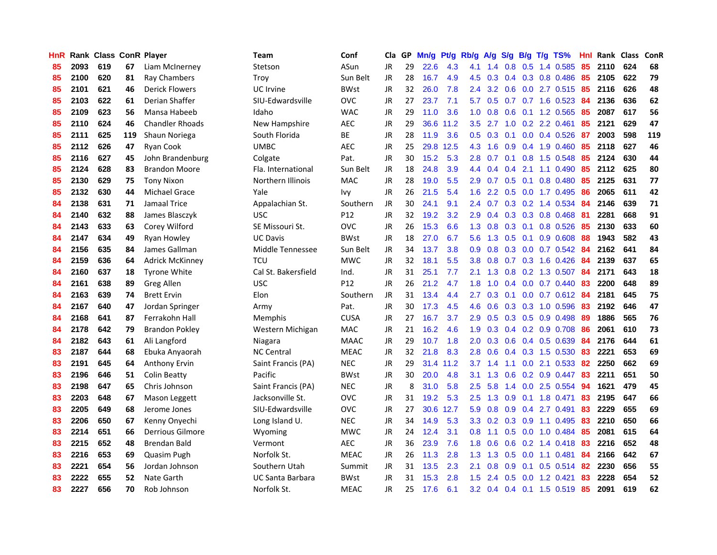| HnR. |      | <b>Rank Class ConR Player</b> |     |                        | Team                    | Conf        | Cla       | GP. | Mn/g | Pt/g | Rb/g A/g         |     |               |                 | S/g B/g T/g TS%           | Hnl | Rank Class |     | <b>ConR</b> |
|------|------|-------------------------------|-----|------------------------|-------------------------|-------------|-----------|-----|------|------|------------------|-----|---------------|-----------------|---------------------------|-----|------------|-----|-------------|
| 85   | 2093 | 619                           | 67  | Liam McInerney         | Stetson                 | ASun        | JR.       | 29  | 22.6 | 4.3  | 4.1              | 1.4 | 0.8           | 0.5             | 1.4 0.585                 | 85  | 2110       | 624 | 68          |
| 85   | 2100 | 620                           | 81  | Ray Chambers           | Troy                    | Sun Belt    | <b>JR</b> | 28  | 16.7 | 4.9  | 4.5              | 0.3 |               |                 | $0.4$ $0.3$ $0.8$ $0.486$ | 85  | 2105       | 622 | 79          |
| 85   | 2101 | 621                           | 46  | <b>Derick Flowers</b>  | <b>UC</b> Irvine        | <b>BWst</b> | <b>JR</b> | 32  | 26.0 | 7.8  | 2.4              | 3.2 | 0.6           |                 | 0.0 2.7 0.515             | 85  | 2116       | 626 | 48          |
| 85   | 2103 | 622                           | 61  | Derian Shaffer         | SIU-Edwardsville        | <b>OVC</b>  | <b>JR</b> | 27  | 23.7 | 7.1  | 5.7              | 0.5 |               |                 | 0.7 0.7 1.6 0.523         | 84  | 2136       | 636 | 62          |
| 85   | 2109 | 623                           | 56  | Mansa Habeeb           | Idaho                   | <b>WAC</b>  | <b>JR</b> | 29  | 11.0 | 3.6  | 1.0 <sub>1</sub> |     |               |                 | 0.8 0.6 0.1 1.2 0.565     | 85  | 2087       | 617 | 56          |
| 85   | 2110 | 624                           | 46  | <b>Chandler Rhoads</b> | New Hampshire           | <b>AEC</b>  | <b>JR</b> | 29  | 36.6 | 11.2 | 3.5              | 2.7 |               |                 | 1.0 0.2 2.2 0.461         | 85  | 2121       | 629 | 47          |
| 85   | 2111 | 625                           | 119 | Shaun Noriega          | South Florida           | <b>BE</b>   | JR        | 28  | 11.9 | 3.6  |                  |     | $0.5$ 0.3 0.1 |                 | $0.0$ 0.4 0.526           | -87 | 2003       | 598 | 119         |
| 85   | 2112 | 626                           | 47  | <b>Ryan Cook</b>       | <b>UMBC</b>             | AEC         | JR        | 25  | 29.8 | 12.5 | 4.3              | 1.6 |               |                 | $0.9$ 0.4 1.9 0.460       | 85  | 2118       | 627 | 46          |
| 85   | 2116 | 627                           | 45  | John Brandenburg       | Colgate                 | Pat.        | <b>JR</b> | 30  | 15.2 | 5.3  | 2.8              | 0.7 |               |                 | 0.1 0.8 1.5 0.548         | 85  | 2124       | 630 | 44          |
| 85   | 2124 | 628                           | 83  | <b>Brandon Moore</b>   | Fla. International      | Sun Belt    | JR        | 18  | 24.8 | 3.9  | $4.4^{\circ}$    | 0.4 | 0.4           | 2.1             | 1.1 0.490                 | 85  | 2112       | 625 | 80          |
| 85   | 2130 | 629                           | 75  | <b>Tony Nixon</b>      | Northern Illinois       | <b>MAC</b>  | <b>JR</b> | 28  | 19.0 | 5.5  | 2.9              | 0.7 |               | $0.5 \quad 0.1$ | 0.8 0.480                 | 85  | 2125       | 631 | 77          |
| 85   | 2132 | 630                           | 44  | <b>Michael Grace</b>   | Yale                    | <b>Ivy</b>  | <b>JR</b> | 26  | 21.5 | 5.4  | 1.6 <sup>°</sup> | 2.2 |               |                 | $0.5$ 0.0 1.7 0.495       | 86  | 2065       | 611 | 42          |
| 84   | 2138 | 631                           | 71  | Jamaal Trice           | Appalachian St.         | Southern    | <b>JR</b> | 30  | 24.1 | 9.1  | $2.4^{\circ}$    | 0.7 |               |                 | $0.3$ 0.2 1.4 0.534       | 84  | 2146       | 639 | 71          |
| 84   | 2140 | 632                           | 88  | James Blasczyk         | <b>USC</b>              | P12         | <b>JR</b> | 32  | 19.2 | 3.2  | 2.9              | 0.4 | 0.3           |                 | 0.3 0.8 0.468             | 81  | 2281       | 668 | 91          |
| 84   | 2143 | 633                           | 63  | Corey Wilford          | SE Missouri St.         | <b>OVC</b>  | <b>JR</b> | 26  | 15.3 | 6.6  | 1.3              | 0.8 | 0.3           | 0.1             | 0.8 0.526                 | 85  | 2130       | 633 | 60          |
| 84   | 2147 | 634                           | 49  | <b>Ryan Howley</b>     | <b>UC Davis</b>         | <b>BWst</b> | <b>JR</b> | 18  | 27.0 | 6.7  | $5.6^{\circ}$    | 1.3 | 0.5           | 0.1             | $0.9$ $0.608$             | 88  | 1943       | 582 | 43          |
| 84   | 2156 | 635                           | 84  | James Gallman          | Middle Tennessee        | Sun Belt    | JR        | 34  | 13.7 | 3.8  | 0.9              | 0.8 |               |                 | $0.3$ 0.0 0.7 0.542       | -84 | 2162       | 641 | 84          |
| 84   | 2159 | 636                           | 64  | <b>Adrick McKinney</b> | TCU                     | <b>MWC</b>  | JR        | 32  | 18.1 | 5.5  | 3.8 <sub>1</sub> |     |               |                 | 0.8 0.7 0.3 1.6 0.426     | -84 | 2139       | 637 | 65          |
| 84   | 2160 | 637                           | 18  | <b>Tyrone White</b>    | Cal St. Bakersfield     | Ind.        | <b>JR</b> | 31  | 25.1 | 7.7  |                  |     |               |                 | 2.1 1.3 0.8 0.2 1.3 0.507 | 84  | 2171       | 643 | 18          |
| 84   | 2161 | 638                           | 89  | Greg Allen             | <b>USC</b>              | P12         | JR        | 26  | 21.2 | 4.7  | 1.8              | 1.0 |               |                 | $0.4$ 0.0 0.7 0.440       | -83 | 2200       | 648 | 89          |
| 84   | 2163 | 639                           | 74  | <b>Brett Ervin</b>     | Elon                    | Southern    | JR        | 31  | 13.4 | 4.4  | $2.7^{\circ}$    | 0.3 |               |                 | $0.1$ 0.0 0.7 0.612 84    |     | 2181       | 645 | 75          |
| 84   | 2167 | 640                           | 47  | Jordan Springer        | Army                    | Pat.        | <b>JR</b> | 30  | 17.3 | 4.5  | 4.6              | 0.6 |               |                 | $0.3$ $0.3$ 1.0 $0.596$   | 83  | 2192       | 646 | 47          |
| 84   | 2168 | 641                           | 87  | Ferrakohn Hall         | Memphis                 | <b>CUSA</b> | <b>JR</b> | 27  | 16.7 | 3.7  | 2.9              | 0.5 |               |                 | $0.3$ 0.5 0.9 0.498       | 89  | 1886       | 565 | 76          |
| 84   | 2178 | 642                           | 79  | <b>Brandon Pokley</b>  | Western Michigan        | <b>MAC</b>  | <b>JR</b> | 21  | 16.2 | 4.6  | 1.9              | 0.3 |               |                 | $0.4$ 0.2 0.9 0.708       | 86  | 2061       | 610 | 73          |
| 84   | 2182 | 643                           | 61  | Ali Langford           | Niagara                 | <b>MAAC</b> | JR        | 29  | 10.7 | 1.8  | 2.0              | 0.3 |               |                 | 0.6 0.4 0.5 0.639         | 84  | 2176       | 644 | 61          |
| 83   | 2187 | 644                           | 68  | Ebuka Anyaorah         | <b>NC Central</b>       | <b>MEAC</b> | JR        | 32  | 21.8 | 8.3  | 2.8              | 0.6 |               |                 | $0.4$ 0.3 1.5 0.530       | 83  | 2221       | 653 | 69          |
| 83   | 2191 | 645                           | 64  | Anthony Ervin          | Saint Francis (PA)      | <b>NEC</b>  | JR        | 29  | 31.4 | 11.2 | 3.7              | 1.4 | 1.1           | 0.0             | 2.1 0.533                 | 82  | 2250       | 662 | 69          |
| 83   | 2196 | 646                           | 51  | Colin Beatty           | Pacific                 | <b>BWst</b> | JR        | 30  | 20.0 | 4.8  | 3.1              | 1.3 | 0.6           |                 | $0.2$ 0.9 0.447           | 83  | 2211       | 651 | 50          |
| 83   | 2198 | 647                           | 65  | Chris Johnson          | Saint Francis (PA)      | <b>NEC</b>  | JR        | 8   | 31.0 | 5.8  | 2.5              | 5.8 | 1.4           | 0.0             | 2.5 0.554                 | 94  | 1621       | 479 | 45          |
| 83   | 2203 | 648                           | 67  | Mason Leggett          | Jacksonville St.        | <b>OVC</b>  | <b>JR</b> | 31  | 19.2 | 5.3  | 2.5              | 1.3 | 0.9           | 0.1             | 1.8 0.471                 | 83  | 2195       | 647 | 66          |
| 83   | 2205 | 649                           | 68  | Jerome Jones           | SIU-Edwardsville        | <b>OVC</b>  | JR        | 27  | 30.6 | 12.7 | 5.9              | 0.8 | 0.9           |                 | 0.4 2.7 0.491             | 83  | 2229       | 655 | 69          |
| 83   | 2206 | 650                           | 67  | Kenny Onyechi          | Long Island U.          | <b>NEC</b>  | JR        | 34  | 14.9 | 5.3  |                  |     |               |                 | 3.3 0.2 0.3 0.9 1.1 0.495 | 83  | 2210       | 650 | 66          |
| 83   | 2214 | 651                           | 66  | Derrious Gilmore       | Wyoming                 | <b>MWC</b>  | JR        | 24  | 12.4 | 3.1  | 0.8 <sub>0</sub> | 1.1 |               |                 | $0.5$ 0.0 1.0 0.484       | 85  | 2081       | 615 | 64          |
| 83   | 2215 | 652                           | 48  | <b>Brendan Bald</b>    | Vermont                 | <b>AEC</b>  | <b>JR</b> | 36  | 23.9 | 7.6  | 1.8              | 0.6 |               |                 | $0.6$ $0.2$ 1.4 $0.418$   | 83  | 2216       | 652 | 48          |
| 83   | 2216 | 653                           | 69  | Quasim Pugh            | Norfolk St.             | <b>MEAC</b> | JR        | 26  | 11.3 | 2.8  | 1.3 <sub>1</sub> | 1.3 |               |                 | 0.5 0.0 1.1 0.481         | 84  | 2166       | 642 | 67          |
| 83   | 2221 | 654                           | 56  | Jordan Johnson         | Southern Utah           | Summit      | <b>JR</b> | 31  | 13.5 | 2.3  | 2.1              | 0.8 | 0.9           | 0.1             | $0.5$ 0.514               | 82  | 2230       | 656 | 55          |
| 83   | 2222 | 655                           | 52  | Nate Garth             | <b>UC Santa Barbara</b> | <b>BWst</b> | <b>JR</b> | 31  | 15.3 | 2.8  | 1.5              | 2.4 | 0.5           | 0.0             | 1.2 0.421                 | 83  | 2228       | 654 | 52          |
| 83   | 2227 | 656                           | 70  | Rob Johnson            | Norfolk St.             | <b>MEAC</b> | JR        | 25  | 17.6 | 6.1  |                  |     |               |                 | 3.2 0.4 0.4 0.1 1.5 0.519 | -85 | 2091       | 619 | 62          |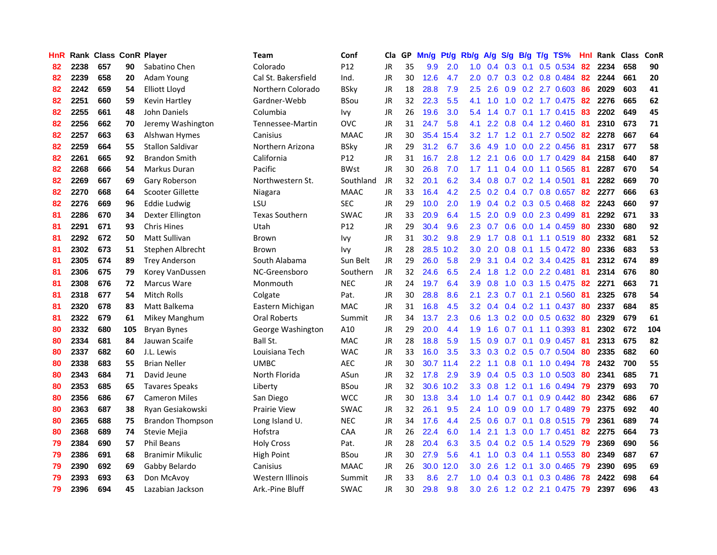| <b>HnR</b> |      | Rank Class ConR Player |     |                         | <b>Team</b>           | Conf            | Cla       |    | GP Mn/g Pt/g |           | Rb/g             | A/g           |     |                 | S/g B/g T/g TS%           | Hnl  | Rank Class |     | ConR |
|------------|------|------------------------|-----|-------------------------|-----------------------|-----------------|-----------|----|--------------|-----------|------------------|---------------|-----|-----------------|---------------------------|------|------------|-----|------|
| 82         | 2238 | 657                    | 90  | Sabatino Chen           | Colorado              | P12             | <b>JR</b> | 35 | 9.9          | 2.0       | 1.0              | 0.4           | 0.3 | 0.1             | 0.5 0.534                 | 82   | 2234       | 658 | 90   |
| 82         | 2239 | 658                    | 20  | Adam Young              | Cal St. Bakersfield   | Ind.            | JR        | 30 | 12.6         | 4.7       | 2.0              | 0.7           |     |                 | $0.3$ $0.2$ $0.8$ $0.484$ | 82   | 2244       | 661 | 20   |
| 82         | 2242 | 659                    | 54  | Elliott Lloyd           | Northern Colorado     | <b>BSky</b>     | JR        | 18 | 28.8         | 7.9       | 2.5              | 2.6           |     |                 | 0.9 0.2 2.7 0.603         | 86   | 2029       | 603 | 41   |
| 82         | 2251 | 660                    | 59  | <b>Kevin Hartley</b>    | Gardner-Webb          | <b>BSou</b>     | JR        | 32 | 22.3         | 5.5       | 4.1              | 1.0           |     |                 | 1.0 0.2 1.7 0.475         | 82   | 2276       | 665 | 62   |
| 82         | 2255 | 661                    | 48  | John Daniels            | Columbia              | Ivy             | JR        | 26 | 19.6         | 3.0       |                  | $5.4$ 1.4     |     |                 | 0.7 0.1 1.7 0.415 83      |      | 2202       | 649 | 45   |
| 82         | 2256 | 662                    | 70  | Jeremy Washington       | Tennessee-Martin      | <b>OVC</b>      | JR        | 31 | 24.7         | 5.8       | 4.1              | $2.2^{\circ}$ |     |                 | 0.8 0.4 1.2 0.460         | -81  | 2310       | 673 | 71   |
| 82         | 2257 | 663                    | 63  | Alshwan Hymes           | Canisius              | <b>MAAC</b>     | JR        | 30 |              | 35.4 15.4 | 3.2 <sub>1</sub> | 1.7           |     |                 | 1.2 0.1 2.7 0.502         | 82   | 2278       | 667 | 64   |
| 82         | 2259 | 664                    | 55  | Stallon Saldivar        | Northern Arizona      | <b>BSky</b>     | JR        | 29 | 31.2         | 6.7       | 3.6              | 4.9           | 1.0 |                 | $0.0$ 2.2 $0.456$         | 81   | 2317       | 677 | 58   |
| 82         | 2261 | 665                    | 92  | <b>Brandon Smith</b>    | California            | P <sub>12</sub> | JR        | 31 | 16.7         | 2.8       | 1.2              | 2.1           | 0.6 |                 | 0.0 1.7 0.429             | 84   | 2158       | 640 | 87   |
| 82         | 2268 | 666                    | 54  | Markus Duran            | Pacific               | <b>BWst</b>     | JR        | 30 | 26.8         | 7.0       | 1.7              | 1.1           |     |                 | 0.4 0.0 1.1 0.565         | 81   | 2287       | 670 | 54   |
| 82         | 2269 | 667                    | 69  | Gary Roberson           | Northwestern St.      | Southland       | JR        | 32 | 20.1         | 6.2       | $3.4^{\circ}$    | 0.8           |     |                 | $0.7$ $0.2$ 1.4 $0.501$   | 81   | 2282       | 669 | 70   |
| 82         | 2270 | 668                    | 64  | Scooter Gillette        | Niagara               | <b>MAAC</b>     | JR        | 33 | 16.4         | 4.2       | 2.5              | 0.2           |     |                 | 0.4 0.7 0.8 0.657         | 82   | 2277       | 666 | 63   |
| 82         | 2276 | 669                    | 96  | Eddie Ludwig            | LSU                   | <b>SEC</b>      | JR        | 29 | 10.0         | 2.0       | 1.9              | 0.4           |     |                 | $0.2$ $0.3$ $0.5$ $0.468$ | 82   | 2243       | 660 | 97   |
| 81         | 2286 | 670                    | 34  | Dexter Ellington        | <b>Texas Southern</b> | <b>SWAC</b>     | <b>JR</b> | 33 | 20.9         | 6.4       | 1.5              | 2.0           | 0.9 | 0.0             | 2.3 0.499                 | 81   | 2292       | 671 | 33   |
| 81         | 2291 | 671                    | 93  | <b>Chris Hines</b>      | Utah                  | P12             | <b>JR</b> | 29 | 30.4         | 9.6       | 2.3              | 0.7           | 0.6 | 0.0             | 1.4 0.459                 | 80   | 2330       | 680 | 92   |
| 81         | 2292 | 672                    | 50  | Matt Sullivan           | Brown                 | Ivy             | JR        | 31 | 30.2         | 9.8       | 2.9              | 1.7           | 0.8 | 0.1             | 1.1 0.519                 | -80  | 2332       | 681 | 52   |
| 81         | 2302 | 673                    | 51  | Stephen Albrecht        | Brown                 | Ivy             | JR        | 28 | 28.5         | 10.2      | 3.0 <sub>2</sub> | 2.0           |     |                 | 0.8 0.1 1.5 0.472 80      |      | 2336       | 683 | 53   |
| 81         | 2305 | 674                    | 89  | <b>Trey Anderson</b>    | South Alabama         | Sun Belt        | JR        | 29 | 26.0         | 5.8       | 2.9              | 3.1           |     |                 | $0.4$ 0.2 3.4 0.425 81    |      | 2312       | 674 | 89   |
| 81         | 2306 | 675                    | 79  | Korey VanDussen         | NC-Greensboro         | Southern        | JR        | 32 | 24.6         | 6.5       |                  | $2.4$ 1.8     |     |                 | 1.2 0.0 2.2 0.481         | -81  | 2314       | 676 | 80   |
| 81         | 2308 | 676                    | 72  | Marcus Ware             | Monmouth              | <b>NEC</b>      | JR        | 24 | 19.7         | 6.4       | 3.9              | 0.8           |     |                 | 1.0 0.3 1.5 0.475         | -82  | 2271       | 663 | 71   |
| 81         | 2318 | 677                    | 54  | <b>Mitch Rolls</b>      | Colgate               | Pat.            | JR        | 30 | 28.8         | 8.6       | 2.1              | 2.3           |     |                 | $0.7$ $0.1$ $2.1$ $0.560$ | 81   | 2325       | 678 | 54   |
| 81         | 2320 | 678                    | 83  | Matt Balkema            | Eastern Michigan      | <b>MAC</b>      | JR        | 31 | 16.8         | 4.5       | 3.2              | 0.4           |     |                 | $0.4$ 0.2 1.1 0.437       | -80  | 2337       | 684 | 85   |
| 81         | 2322 | 679                    | 61  | Mikey Manghum           | Oral Roberts          | Summit          | JR        | 34 | 13.7         | 2.3       | 0.6              | 1.3           |     |                 | $0.2$ 0.0 0.5 0.632       | -80  | 2329       | 679 | 61   |
| 80         | 2332 | 680                    | 105 | <b>Bryan Bynes</b>      | George Washington     | A10             | JR        | 29 | 20.0         | 4.4       | 1.9              | 1.6           | 0.7 |                 | $0.1$ 1.1 0.393           | -81  | 2302       | 672 | 104  |
| 80         | 2334 | 681                    | 84  | Jauwan Scaife           | Ball St.              | MAC             | JR        | 28 | 18.8         | 5.9       | 1.5 <sub>1</sub> | 0.9           | 0.7 | 0.1             | 0.9 0.457                 | -81  | 2313       | 675 | 82   |
| 80         | 2337 | 682                    | 60  | J.L. Lewis              | Louisiana Tech        | <b>WAC</b>      | JR        | 33 | 16.0         | 3.5       | 3.3              | 0.3           |     | $0.2 \quad 0.5$ | 0.7 0.504                 | -80  | 2335       | 682 | 60   |
| 80         | 2338 | 683                    | 55  | <b>Brian Neller</b>     | <b>UMBC</b>           | <b>AEC</b>      | JR        | 30 |              | 30.7 11.4 | $2.2\phantom{0}$ | 1.1           | 0.8 |                 | $0.1$ 1.0 $0.494$         | 78   | 2432       | 700 | 55   |
| 80         | 2343 | 684                    | 71  | David Jeune             | North Florida         | ASun            | JR        | 32 | 17.8         | 2.9       | 3.9              | 0.4           |     |                 | 0.5 0.3 1.0 0.503         | 80   | 2341       | 685 | 71   |
| 80         | 2353 | 685                    | 65  | <b>Tavares Speaks</b>   | Liberty               | <b>BSou</b>     | JR        | 32 | 30.6         | 10.2      | 3.3 <sub>1</sub> | 0.8           |     | $1.2 \quad 0.1$ | 1.6 0.494                 | -79  | 2379       | 693 | 70   |
| 80         | 2356 | 686                    | 67  | <b>Cameron Miles</b>    | San Diego             | <b>WCC</b>      | JR        | 30 | 13.8         | 3.4       | 1.0 <sub>1</sub> | 1.4           |     | $0.7 \quad 0.1$ | $0.9$ 0.442               | -80  | 2342       | 686 | 67   |
| 80         | 2363 | 687                    | 38  | Ryan Gesiakowski        | <b>Prairie View</b>   | <b>SWAC</b>     | JR        | 32 | 26.1         | 9.5       | 2.4              | 1.0           |     |                 | $0.9$ $0.0$ 1.7 $0.489$   | - 79 | 2375       | 692 | 40   |
| 80         | 2365 | 688                    | 75  | <b>Brandon Thompson</b> | Long Island U.        | <b>NEC</b>      | JR        | 34 | 17.6         | 4.4       | $2.5^{\circ}$    | 0.6           |     |                 | $0.7$ $0.1$ $0.8$ $0.515$ | -79  | 2361       | 689 | 74   |
| 80         | 2368 | 689                    | 74  | Stevie Mejia            | Hofstra               | CAA             | JR        | 26 | 22.4         | 6.0       | $1.4^{\circ}$    | 2.1           |     |                 | 1.3 0.0 1.7 0.451         | 82   | 2275       | 664 | 73   |
| 79         | 2384 | 690                    | 57  | <b>Phil Beans</b>       | <b>Holy Cross</b>     | Pat.            | JR        | 28 | 20.4         | 6.3       | 3.5              | 0.4           |     |                 | $0.2$ $0.5$ 1.4 $0.529$   | 79   | 2369       | 690 | 56   |
| 79         | 2386 | 691                    | 68  | <b>Branimir Mikulic</b> | <b>High Point</b>     | <b>BSou</b>     | JR        | 30 | 27.9         | 5.6       | 4.1              | 1.0           |     |                 | $0.3$ 0.4 1.1 0.553       | 80   | 2349       | 687 | 67   |
| 79         | 2390 | 692                    | 69  | Gabby Belardo           | Canisius              | <b>MAAC</b>     | JR        | 26 | 30.0         | 12.0      | 3.0 <sub>2</sub> | 2.6           | 1.2 | 0.1             | 3.0 0.465                 | 79   | 2390       | 695 | 69   |
| 79         | 2393 | 693                    | 63  | Don McAvoy              | Western Illinois      | Summit          | JR        | 33 | 8.6          | 2.7       | 1.0              | 0.4           | 0.3 | 0.1             | 0.3 0.486                 | 78   | 2422       | 698 | 64   |
| 79         | 2396 | 694                    | 45  | Lazabian Jackson        | Ark.-Pine Bluff       | <b>SWAC</b>     | <b>JR</b> | 30 | 29.8         | 9.8       | 3.0              |               |     |                 | 2.6 1.2 0.2 2.1 0.475 79  |      | 2397       | 696 | 43   |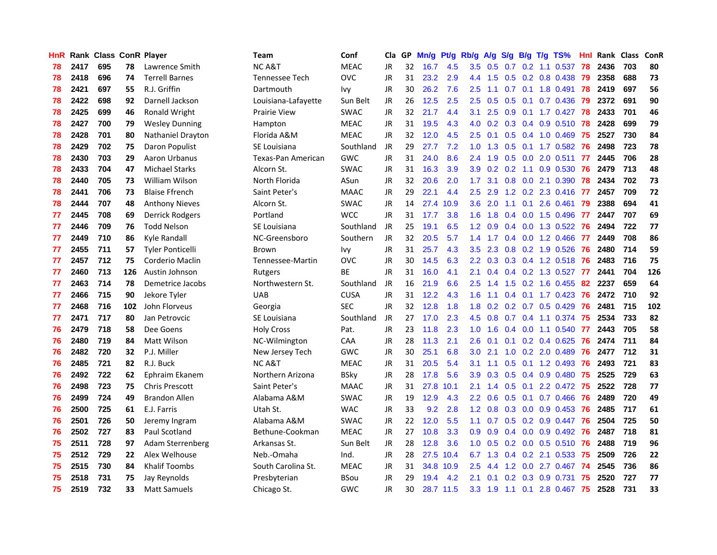| HnR |      | Rank Class ConR Player |     |                         | <b>Team</b>         | Conf        |           |    | Cla GP Mn/g Pt/g Rb/g A/g S/g B/g T/g TS% |           |                  |                 |     |                 |                           | Hnl  | Rank Class |     | ConR |
|-----|------|------------------------|-----|-------------------------|---------------------|-------------|-----------|----|-------------------------------------------|-----------|------------------|-----------------|-----|-----------------|---------------------------|------|------------|-----|------|
| 78  | 2417 | 695                    | 78  | Lawrence Smith          | <b>NCA&amp;T</b>    | <b>MEAC</b> | JR        | 32 | 16.7                                      | 4.5       | 3.5              | 0.5             | 0.7 | 0.2             | 1.1 0.537                 | 78   | 2436       | 703 | 80   |
| 78  | 2418 | 696                    | 74  | <b>Terrell Barnes</b>   | Tennessee Tech      | <b>OVC</b>  | <b>JR</b> | 31 | 23.2                                      | 2.9       | 4.4              | 1.5             |     |                 | $0.5$ $0.2$ $0.8$ $0.438$ | -79  | 2358       | 688 | 73   |
| 78  | 2421 | 697                    | 55  | R.J. Griffin            | Dartmouth           | <b>Ivy</b>  | <b>JR</b> | 30 | 26.2                                      | 7.6       | 2.5              | 1.1             | 0.7 | 0.1             | 1.8 0.491                 | 78   | 2419       | 697 | 56   |
| 78  | 2422 | 698                    | 92  | Darnell Jackson         | Louisiana-Lafayette | Sun Belt    | JR        | 26 | 12.5                                      | 2.5       | $2.5\,$          | 0.5             |     | $0.5$ 0.1       | 0.7 0.436                 | 79   | 2372       | 691 | 90   |
| 78  | 2425 | 699                    | 46  | Ronald Wright           | <b>Prairie View</b> | <b>SWAC</b> | <b>JR</b> | 32 | 21.7                                      | 4.4       | 3.1              | 2.5             |     |                 | 0.9 0.1 1.7 0.427 78      |      | 2433       | 701 | 46   |
| 78  | 2427 | 700                    | 79  | <b>Wesley Dunning</b>   | Hampton             | <b>MEAC</b> | JR        | 31 | 19.5                                      | 4.3       | 4.0              | 0.2             |     |                 | 0.3 0.4 0.9 0.510 78      |      | 2428       | 699 | 79   |
| 78  | 2428 | 701                    | 80  | Nathaniel Drayton       | Florida A&M         | <b>MEAC</b> | <b>JR</b> | 32 | 12.0                                      | 4.5       | $2.5\,$          | 0.1             |     |                 | $0.5$ 0.4 1.0 0.469       | -75  | 2527       | 730 | 84   |
| 78  | 2429 | 702                    | 75  | Daron Populist          | SE Louisiana        | Southland   | <b>JR</b> | 29 | 27.7                                      | 7.2       | 1.0 <sub>1</sub> | 1.3             |     |                 | 0.5 0.1 1.7 0.582         | 76   | 2498       | 723 | 78   |
| 78  | 2430 | 703                    | 29  | Aaron Urbanus           | Texas-Pan American  | <b>GWC</b>  | <b>JR</b> | 31 | 24.0                                      | 8.6       | 2.4              | 1.9             |     |                 | $0.5$ $0.0$ $2.0$ $0.511$ | 77   | 2445       | 706 | 28   |
| 78  | 2433 | 704                    | 47  | <b>Michael Starks</b>   | Alcorn St.          | <b>SWAC</b> | JR        | 31 | 16.3                                      | 3.9       | 3.9              | 0.2             |     | $0.2 \quad 1.1$ | 0.9 0.530                 | 76   | 2479       | 713 | 48   |
| 78  | 2440 | 705                    | 73  | <b>William Wilson</b>   | North Florida       | ASun        | JR        | 32 | 20.6                                      | 2.0       | 1.7              | 3.1             |     |                 | 0.8 0.0 2.1 0.390         | -78  | 2434       | 702 | 73   |
| 78  | 2441 | 706                    | 73  | <b>Blaise Ffrench</b>   | Saint Peter's       | <b>MAAC</b> | JR        | 29 | 22.1                                      | 4.4       | 2.5              | 2.9             |     |                 | 1.2 0.2 2.3 0.416         | -77  | 2457       | 709 | 72   |
| 78  | 2444 | 707                    | 48  | <b>Anthony Nieves</b>   | Alcorn St.          | <b>SWAC</b> | <b>JR</b> | 14 |                                           | 27.4 10.9 | 3.6              | 2.0             | 1.1 | 0.1             | 2.6 0.461                 | -79  | 2388       | 694 | 41   |
| 77  | 2445 | 708                    | 69  | Derrick Rodgers         | Portland            | <b>WCC</b>  | <b>JR</b> | 31 | 17.7                                      | 3.8       | 1.6              | 1.8             |     | $0.4\quad 0.0$  | 1.5 0.496                 | 77   | 2447       | 707 | 69   |
| 77  | 2446 | 709                    | 76  | <b>Todd Nelson</b>      | SE Louisiana        | Southland   | JR        | 25 | 19.1                                      | 6.5       | 1.2 <sub>1</sub> | 0.9             |     | $0.4 \quad 0.0$ | 1.3 0.522                 | -76  | 2494       | 722 | 77   |
| 77  | 2449 | 710                    | 86  | Kyle Randall            | NC-Greensboro       | Southern    | <b>JR</b> | 32 | 20.5                                      | 5.7       | 1.4              | 1.7             |     | $0.4\quad 0.0$  | 1.2 0.466                 | -77  | 2449       | 708 | 86   |
| 77  | 2455 | 711                    | 57  | <b>Tyler Ponticelli</b> | Brown               | <b>Ivy</b>  | <b>JR</b> | 31 | 25.7                                      | 4.3       | 3.5              | 2.3             |     |                 | 0.8 0.2 1.9 0.526         | 76   | 2480       | 714 | 59   |
| 77  | 2457 | 712                    | 75  | Corderio Maclin         | Tennessee-Martin    | <b>OVC</b>  | JR        | 30 | 14.5                                      | 6.3       |                  | $2.2 \quad 0.3$ |     |                 | 0.3 0.4 1.2 0.518 76      |      | 2483       | 716 | 75   |
| 77  | 2460 | 713                    | 126 | Austin Johnson          | Rutgers             | <b>BE</b>   | JR        | 31 | 16.0                                      | 4.1       | 2.1              | 0.4             |     |                 | 0.4 0.2 1.3 0.527 77      |      | 2441       | 704 | 126  |
| 77  | 2463 | 714                    | 78  | Demetrice Jacobs        | Northwestern St.    | Southland   | JR        | 16 | 21.9                                      | 6.6       | $2.5\,$          | 1.4             |     |                 | 1.5 0.2 1.6 0.455         | -82  | 2237       | 659 | 64   |
| 77  | 2466 | 715                    | 90  | Jekore Tyler            | <b>UAB</b>          | <b>CUSA</b> | <b>JR</b> | 31 | 12.2                                      | 4.3       | $1.6^{\circ}$    | 1.1             |     |                 | 0.4 0.1 1.7 0.423 76      |      | 2472       | 710 | 92   |
| 77  | 2468 | 716                    | 102 | John Florveus           | Georgia             | <b>SEC</b>  | <b>JR</b> | 32 | 12.8                                      | 1.8       | 1.8              | 0.2             |     |                 | $0.2$ 0.7 0.5 0.429       | -76  | 2481       | 715 | 102  |
| 77  | 2471 | 717                    | 80  | Jan Petrovcic           | SE Louisiana        | Southland   | <b>JR</b> | 27 | 17.0                                      | 2.3       | 4.5              | 0.8             |     |                 | $0.7$ $0.4$ 1.1 $0.374$   | -75  | 2534       | 733 | 82   |
| 76  | 2479 | 718                    | 58  | Dee Goens               | <b>Holy Cross</b>   | Pat.        | JR        | 23 | 11.8                                      | 2.3       | 1.0              | 1.6             |     |                 | $0.4$ 0.0 1.1 0.540       | - 77 | 2443       | 705 | 58   |
| 76  | 2480 | 719                    | 84  | <b>Matt Wilson</b>      | NC-Wilmington       | CAA         | JR        | 28 | 11.3                                      | 2.1       | 2.6              | 0.1             |     |                 | $0.1$ $0.2$ $0.4$ $0.625$ | -76  | 2474       | 711 | 84   |
| 76  | 2482 | 720                    | 32  | P.J. Miller             | New Jersey Tech     | <b>GWC</b>  | JR        | 30 | 25.1                                      | 6.8       | 3.0              | 2.1             |     |                 | 1.0 0.2 2.0 0.489         | 76   | 2477       | 712 | 31   |
| 76  | 2485 | 721                    | 82  | R.J. Buck               | NC A&T              | <b>MEAC</b> | JR        | 31 | 20.5                                      | 5.4       | 3.1              | 1.1             | 0.5 |                 | $0.1$ 1.2 0.493           | 76   | 2493       | 721 | 83   |
| 76  | 2492 | 722                    | 62  | Ephraim Ekanem          | Northern Arizona    | <b>BSky</b> | JR        | 28 | 17.8                                      | 5.6       | 3.9              | 0.3             |     |                 | $0.5$ 0.4 0.9 0.480       | -75  | 2525       | 729 | 63   |
| 76  | 2498 | 723                    | 75  | <b>Chris Prescott</b>   | Saint Peter's       | <b>MAAC</b> | JR        | 31 | 27.8                                      | 10.1      | 2.1              | 1.4             |     | $0.5 \quad 0.1$ | 2.2 0.472                 | 75   | 2522       | 728 | 77   |
| 76  | 2499 | 724                    | 49  | <b>Brandon Allen</b>    | Alabama A&M         | <b>SWAC</b> | <b>JR</b> | 19 | 12.9                                      | 4.3       | 2.2              | 0.6             |     | $0.5 \quad 0.1$ | 0.7 0.466                 | 76   | 2489       | 720 | 49   |
| 76  | 2500 | 725                    | 61  | E.J. Farris             | Utah St.            | <b>WAC</b>  | <b>JR</b> | 33 | 9.2                                       | 2.8       | 1.2              | 0.8             |     |                 | 0.3 0.0 0.9 0.453 76      |      | 2485       | 717 | 61   |
| 76  | 2501 | 726                    | 50  | Jeremy Ingram           | Alabama A&M         | <b>SWAC</b> | <b>JR</b> | 22 | 12.0                                      | 5.5       |                  | $1.1 \quad 0.7$ |     |                 | $0.5$ $0.2$ $0.9$ $0.447$ | -76  | 2504       | 725 | 50   |
| 76  | 2502 | 727                    | 83  | Paul Scotland           | Bethune-Cookman     | <b>MEAC</b> | JR        | 27 | 10.8                                      | 3.3       |                  | $0.9\quad 0.9$  |     |                 | 0.4 0.0 0.9 0.492 76      |      | 2487       | 718 | 81   |
| 75  | 2511 | 728                    | 97  | <b>Adam Sterrenberg</b> | Arkansas St.        | Sun Belt    | <b>JR</b> | 28 | 12.8                                      | 3.6       | 1.0 <sub>1</sub> | 0.5             |     |                 | 0.2 0.0 0.5 0.510 76      |      | 2488       | 719 | 96   |
| 75  | 2512 | 729                    | 22  | Alex Welhouse           | Neb.-Omaha          | Ind.        | JR        | 28 |                                           | 27.5 10.4 | 6.7              | 1.3             |     |                 | $0.4$ $0.2$ 2.1 $0.533$   | 75   | 2509       | 726 | 22   |
| 75  | 2515 | 730                    | 84  | <b>Khalif Toombs</b>    | South Carolina St.  | <b>MEAC</b> | <b>JR</b> | 31 |                                           | 34.8 10.9 | 2.5              | 4.4             | 1.2 | 0.0             | 2.7 0.467                 | -74  | 2545       | 736 | 86   |
| 75  | 2518 | 731                    | 75  | Jay Reynolds            | Presbyterian        | <b>BSou</b> | <b>JR</b> | 29 | 19.4                                      | 4.2       | 2.1              | 0.1             | 0.2 |                 | 0.3 0.9 0.731             | 75   | 2520       | 727 | 77   |
| 75  | 2519 | 732                    | 33  | <b>Matt Samuels</b>     | Chicago St.         | <b>GWC</b>  | JR        | 30 |                                           | 28.7 11.5 | 3.3 <sub>2</sub> | 1.9             |     |                 | 1.1 0.1 2.8 0.467 75      |      | 2528       | 731 | 33   |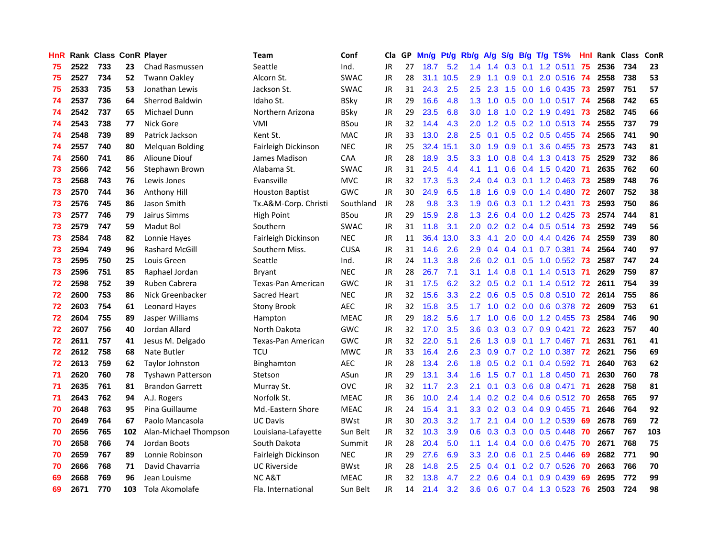| HnR |      |     |     | Rank Class ConR Player   | <b>Team</b>               | Conf        |           |    | Cla GP Mn/g Pt/g Rb/g A/g S/g B/g T/g TS% |           |                   |                 |               |                 |                           | Hnl  | Rank Class |     | ConR |
|-----|------|-----|-----|--------------------------|---------------------------|-------------|-----------|----|-------------------------------------------|-----------|-------------------|-----------------|---------------|-----------------|---------------------------|------|------------|-----|------|
| 75  | 2522 | 733 | 23  | Chad Rasmussen           | Seattle                   | Ind.        | JR        | 27 | 18.7                                      | 5.2       | 1.4               | 1.4             | 0.3           | 0.1             | $1.2$ 0.511               | 75   | 2536       | 734 | 23   |
| 75  | 2527 | 734 | 52  | <b>Twann Oakley</b>      | Alcorn St.                | <b>SWAC</b> | <b>JR</b> | 28 |                                           | 31.1 10.5 | 2.9               | 1.1             | 0.9           | 0.1             | 2.0 0.516                 | -74  | 2558       | 738 | 53   |
| 75  | 2533 | 735 | 53  | Jonathan Lewis           | Jackson St.               | <b>SWAC</b> | <b>JR</b> | 31 | 24.3                                      | 2.5       | 2.5               | 2.3             | 1.5           | 0.0             | 1.6 0.435                 | - 73 | 2597       | 751 | 57   |
| 74  | 2537 | 736 | 64  | <b>Sherrod Baldwin</b>   | Idaho St.                 | <b>BSky</b> | JR        | 29 | 16.6                                      | 4.8       | 1.3               | 1.0             |               |                 | 0.5 0.0 1.0 0.517 74      |      | 2568       | 742 | 65   |
| 74  | 2542 | 737 | 65  | Michael Dunn             | Northern Arizona          | <b>BSky</b> | JR        | 29 | 23.5                                      | 6.8       |                   | $3.0 \quad 1.8$ |               |                 | 1.0 0.2 1.9 0.491 73      |      | 2582       | 745 | 66   |
| 74  | 2543 | 738 | 77  | Nick Gore                | <b>VMI</b>                | <b>BSou</b> | JR        | 32 | 14.4                                      | 4.3       | 2.0 <sub>1</sub>  | 1.2             |               |                 | 0.5 0.2 1.0 0.513 74      |      | 2555       | 737 | 79   |
| 74  | 2548 | 739 | 89  | Patrick Jackson          | Kent St.                  | MAC         | JR        | 33 | 13.0                                      | 2.8       | $2.5\,$           | 0.1             |               |                 | $0.5$ 0.2 0.5 0.455 74    |      | 2565       | 741 | 90   |
| 74  | 2557 | 740 | 80  | <b>Melquan Bolding</b>   | Fairleigh Dickinson       | <b>NEC</b>  | <b>JR</b> | 25 |                                           | 32.4 15.1 | 3.0               | 1.9             |               |                 | 0.9 0.1 3.6 0.455         | -73  | 2573       | 743 | 81   |
| 74  | 2560 | 741 | 86  | Alioune Diouf            | James Madison             | CAA         | <b>JR</b> | 28 | 18.9                                      | 3.5       | 3.3               | 1.0             | 0.8           |                 | $0.4$ 1.3 0.413           | -75  | 2529       | 732 | 86   |
| 73  | 2566 | 742 | 56  | Stephawn Brown           | Alabama St.               | <b>SWAC</b> | JR        | 31 | 24.5                                      | 4.4       | 4.1               | 1.1             | 0.6           |                 | 0.4 1.5 0.420             | -71  | 2635       | 762 | 60   |
| 73  | 2568 | 743 | 76  | Lewis Jones              | Evansville                | <b>MVC</b>  | JR        | 32 | 17.3                                      | 5.3       | 2.4               | 0.4             |               |                 | 0.3 0.1 1.2 0.463         | 73   | 2589       | 748 | 76   |
| 73  | 2570 | 744 | 36  | Anthony Hill             | <b>Houston Baptist</b>    | <b>GWC</b>  | <b>JR</b> | 30 | 24.9                                      | 6.5       | 1.8               | 1.6             | 0.9           | 0.0             | 1.4 0.480                 | -72  | 2607       | 752 | 38   |
| 73  | 2576 | 745 | 86  | Jason Smith              | Tx.A&M-Corp. Christi      | Southland   | <b>JR</b> | 28 | 9.8                                       | 3.3       | 1.9               | 0.6             | 0.3           |                 | $0.1$ 1.2 0.431           | -73  | 2593       | 750 | 86   |
| 73  | 2577 | 746 | 79  | Jairus Simms             | High Point                | <b>BSou</b> | <b>JR</b> | 29 | 15.9                                      | 2.8       | 1.3               | 2.6             |               | $0.4\quad 0.0$  | 1.2 0.425                 | 73   | 2574       | 744 | 81   |
| 73  | 2579 | 747 | 59  | Madut Bol                | Southern                  | <b>SWAC</b> | JR        | 31 | 11.8                                      | 3.1       | 2.0               | 0.2             |               | $0.2 \quad 0.4$ | $0.5$ 0.514               | 73   | 2592       | 749 | 56   |
| 73  | 2584 | 748 | 82  | Lonnie Hayes             | Fairleigh Dickinson       | <b>NEC</b>  | <b>JR</b> | 11 | 36.4                                      | 13.0      | 3.3               | 4.1             | 2.0           |                 | 0.0 4.4 0.426             | -74  | 2559       | 739 | 80   |
| 73  | 2594 | 749 | 96  | <b>Rashard McGill</b>    | Southern Miss.            | <b>CUSA</b> | JR        | 31 | 14.6                                      | 2.6       | 2.9               | 0.4             |               |                 | 0.4 0.1 0.7 0.381 74      |      | 2564       | 740 | 97   |
| 73  | 2595 | 750 | 25  | Louis Green              | Seattle                   | Ind.        | <b>JR</b> | 24 | 11.3                                      | 3.8       | $2.6^{\circ}$     | 0.2             |               |                 | 0.1 0.5 1.0 0.552 73      |      | 2587       | 747 | 24   |
| 73  | 2596 | 751 | 85  | Raphael Jordan           | Bryant                    | <b>NEC</b>  | <b>JR</b> | 28 | 26.7                                      | 7.1       | 3.1               | 1.4             |               |                 | 0.8 0.1 1.4 0.513 71      |      | 2629       | 759 | 87   |
| 72  | 2598 | 752 | 39  | Ruben Cabrera            | <b>Texas-Pan American</b> | <b>GWC</b>  | JR        | 31 | 17.5                                      | 6.2       | 3.2 <sub>1</sub>  | 0.5             |               |                 | 0.2 0.1 1.4 0.512 72      |      | 2611       | 754 | 39   |
| 72  | 2600 | 753 | 86  | Nick Greenbacker         | Sacred Heart              | <b>NEC</b>  | JR        | 32 | 15.6                                      | 3.3       | $2.2\overline{ }$ | 0.6             |               |                 | 0.5 0.5 0.8 0.510 72      |      | 2614       | 755 | 86   |
| 72  | 2603 | 754 | 61  | Leonard Hayes            | <b>Stony Brook</b>        | <b>AEC</b>  | JR        | 32 | 15.8                                      | 3.5       | 1.7               | 1.0             |               |                 | $0.2$ $0.0$ $0.6$ $0.378$ | -72  | 2609       | 753 | 61   |
| 72  | 2604 | 755 | 89  | Jasper Williams          | Hampton                   | <b>MEAC</b> | <b>JR</b> | 29 | 18.2                                      | 5.6       | 1.7               | 1.0             |               |                 | 0.6 0.0 1.2 0.455         | -73  | 2584       | 746 | 90   |
| 72  | 2607 | 756 | 40  | Jordan Allard            | North Dakota              | <b>GWC</b>  | JR        | 32 | 17.0                                      | 3.5       | 3.6               | 0.3             |               |                 | $0.3$ 0.7 0.9 0.421       | 72   | 2623       | 757 | 40   |
| 72  | 2611 | 757 | 41  | Jesus M. Delgado         | <b>Texas-Pan American</b> | <b>GWC</b>  | JR        | 32 | 22.0                                      | 5.1       | 2.6               | 1.3             | 0.9           |                 | $0.1$ 1.7 $0.467$         | -71  | 2631       | 761 | 41   |
| 72  | 2612 | 758 | 68  | Nate Butler              | TCU                       | <b>MWC</b>  | JR        | 33 | 16.4                                      | 2.6       | 2.3               | 0.9             | 0.7           | 0.2             | 1.0 0.387                 | -72  | 2621       | 756 | 69   |
| 72  | 2613 | 759 | 62  | <b>Taylor Johnston</b>   | <b>Binghamton</b>         | AEC.        | JR        | 28 | 13.4                                      | 2.6       | 1.8               | 0.5             | 0.2           | 0.1             | 0.4 0.592                 | -71  | 2640       | 763 | 62   |
| 71  | 2620 | 760 | 78  | <b>Tyshawn Patterson</b> | Stetson                   | ASun        | <b>JR</b> | 29 | 13.1                                      | 3.4       | 1.6               | 1.5             | 0.7           |                 | $0.1$ 1.8 $0.450$         | -71  | 2630       | 760 | 78   |
| 71  | 2635 | 761 | 81  | <b>Brandon Garrett</b>   | Murray St.                | <b>OVC</b>  | <b>JR</b> | 32 | 11.7                                      | 2.3       | 2.1               | 0.1             |               | $0.3 \quad 0.6$ | 0.8 0.471                 | -71  | 2628       | 758 | 81   |
| 71  | 2643 | 762 | 94  | A.J. Rogers              | Norfolk St.               | <b>MEAC</b> | <b>JR</b> | 36 | 10.0                                      | 2.4       | 1.4               | 0.2             |               |                 | 0.2 0.4 0.6 0.512 70      |      | 2658       | 765 | 97   |
| 70  | 2648 | 763 | 95  | Pina Guillaume           | Md.-Eastern Shore         | <b>MEAC</b> | JR        | 24 | 15.4                                      | 3.1       |                   | $3.3 \quad 0.2$ |               |                 | 0.3 0.4 0.9 0.455 71      |      | 2646       | 764 | 92   |
| 70  | 2649 | 764 | 67  | Paolo Mancasola          | <b>UC Davis</b>           | <b>BWst</b> | <b>JR</b> | 30 | 20.3                                      | 3.2       | 1.7 <sub>z</sub>  | 2.1             |               |                 | 0.4 0.0 1.2 0.539         | -69  | 2678       | 769 | 72   |
| 70  | 2656 | 765 | 102 | Alan-Michael Thompson    | Louisiana-Lafayette       | Sun Belt    | <b>JR</b> | 32 | 10.3                                      | 3.9       |                   | $0.6 \quad 0.3$ |               | $0.3 \ 0.0$     | 0.5 0.448                 | -70  | 2667       | 767 | 103  |
| 70  | 2658 | 766 | 74  | Jordan Boots             | South Dakota              | Summit      | <b>JR</b> | 28 | 20.4                                      | 5.0       | 1.1               | 1.4             |               |                 | $0.4$ 0.0 0.6 0.475       | -70  | 2671       | 768 | 75   |
| 70  | 2659 | 767 | 89  | Lonnie Robinson          | Fairleigh Dickinson       | <b>NEC</b>  | <b>JR</b> | 29 | 27.6                                      | 6.9       | 3.3               | 2.0             | 0.6           | 0.1             | 2.5 0.446                 | 69   | 2682       | 771 | 90   |
| 70  | 2666 | 768 | 71  | David Chavarria          | <b>UC Riverside</b>       | <b>BWst</b> | <b>JR</b> | 28 | 14.8                                      | 2.5       | 2.5               | 0.4             | 0.1           | 0.2             | 0.7 0.526                 | 70   | 2663       | 766 | 70   |
| 69  | 2668 | 769 | 96  | Jean Louisme             | NC A&T                    | <b>MEAC</b> | JR        | 32 | 13.8                                      | 4.7       | $2.2\phantom{0}$  | 0.6             | $0.4^{\circ}$ | 0.1             | 0.9 0.439                 | 69   | 2695       | 772 | 99   |
| 69  | 2671 | 770 | 103 | Tola Akomolafe           | Fla. International        | Sun Belt    | <b>JR</b> | 14 | 21.4                                      | 3.2       | 3.6               | 0.6             |               |                 | 0.7 0.4 1.3 0.523         | 76   | 2503       | 724 | 98   |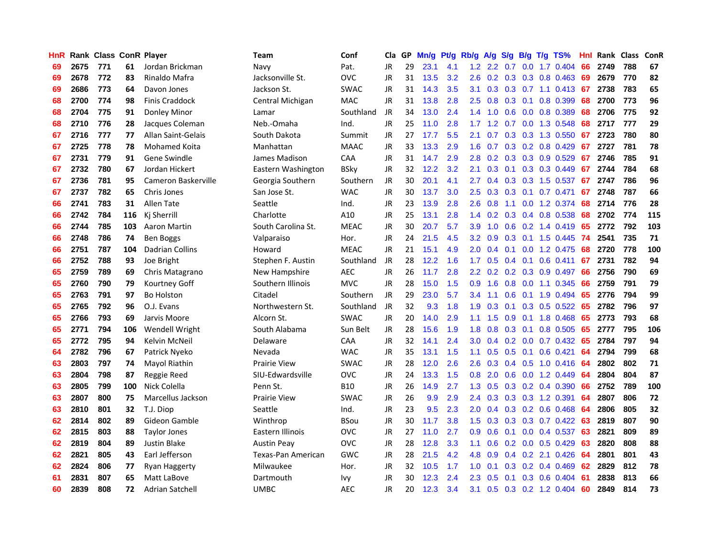| <b>HnR</b> |      |     |     | Rank Class ConR Player | Team                | Conf        | Cla       |    | GP Mn/g | Pt/g | Rb/g             | A/g             |                 |                 | S/g B/g T/g TS%                 | Hnl |      | Rank Class | <b>ConR</b> |
|------------|------|-----|-----|------------------------|---------------------|-------------|-----------|----|---------|------|------------------|-----------------|-----------------|-----------------|---------------------------------|-----|------|------------|-------------|
| 69         | 2675 | 771 | 61  | Jordan Brickman        | Navy                | Pat.        | JR        | 29 | 23.1    | 4.1  | 1.2              | $2.2^{\circ}$   | 0.7             | 0.0             | 1.7 0.404                       | 66  | 2749 | 788        | 67          |
| 69         | 2678 | 772 | 83  | Rinaldo Mafra          | Jacksonville St.    | <b>OVC</b>  | JR        | 31 | 13.5    | 3.2  | 2.6              |                 | $0.2$ 0.3 0.3   |                 | 0.8 0.463                       | 69  | 2679 | 770        | 82          |
| 69         | 2686 | 773 | 64  | Davon Jones            | Jackson St.         | <b>SWAC</b> | JR        | 31 | 14.3    | 3.5  | 3.1              | 0.3             |                 |                 | $0.3$ 0.7 1.1 0.413             | -67 | 2738 | 783        | 65          |
| 68         | 2700 | 774 | 98  | <b>Finis Craddock</b>  | Central Michigan    | <b>MAC</b>  | JR        | 31 | 13.8    | 2.8  | 2.5              | 0.8             |                 | $0.3 \quad 0.1$ | 0.8 0.399                       | 68  | 2700 | 773        | 96          |
| 68         | 2704 | 775 | 91  | Donley Minor           | Lamar               | Southland   | JR        | 34 | 13.0    | 2.4  |                  | $1.4 \quad 1.0$ |                 |                 | 0.6 0.0 0.8 0.389               | 68  | 2706 | 775        | 92          |
| 68         | 2710 | 776 | 28  | Jacques Coleman        | Neb.-Omaha          | Ind.        | JR        | 25 | 11.0    | 2.8  | 1.7              | 1.2             |                 |                 | 0.7 0.0 1.3 0.548               | 68  | 2717 | 777        | 29          |
| 67         | 2716 | 777 | 77  | Allan Saint-Gelais     | South Dakota        | Summit      | JR        | 27 | 17.7    | 5.5  | 2.1              | 0.7             |                 |                 | 0.3 0.3 1.3 0.550               | -67 | 2723 | 780        | 80          |
| 67         | 2725 | 778 | 78  | Mohamed Koita          | Manhattan           | <b>MAAC</b> | JR        | 33 | 13.3    | 2.9  | 1.6              | 0.7             |                 |                 | 0.3 0.2 0.8 0.429               | 67  | 2727 | 781        | 78          |
| 67         | 2731 | 779 | 91  | Gene Swindle           | James Madison       | CAA         | JR        | 31 | 14.7    | 2.9  | 2.8              | 0.2             |                 |                 | 0.3 0.3 0.9 0.529               | 67  | 2746 | 785        | 91          |
| 67         | 2732 | 780 | 67  | Jordan Hickert         | Eastern Washington  | <b>BSky</b> | JR        | 32 | 12.2    | 3.2  | 2.1              | 0.3             | 0.1             |                 | $0.3$ 0.3 0.449                 | 67  | 2744 | 784        | 68          |
| 67         | 2736 | 781 | 95  | Cameron Baskerville    | Georgia Southern    | Southern    | JR        | 30 | 20.1    | 4.1  | 2.7              | 0.4             |                 |                 | $0.3$ $0.3$ 1.5 $0.537$         | 67  | 2747 | 786        | 96          |
| 67         | 2737 | 782 | 65  | Chris Jones            | San Jose St.        | <b>WAC</b>  | JR        | 30 | 13.7    | 3.0  | 2.5              | 0.3             |                 | $0.3$ 0.1       | 0.7 0.471                       | 67  | 2748 | 787        | 66          |
| 66         | 2741 | 783 | 31  | Allen Tate             | Seattle             | Ind.        | JR        | 23 | 13.9    | 2.8  | 2.6              | 0.8             | 1.1             | 0.0             | 1.2 0.374                       | 68  | 2714 | 776        | 28          |
| 66         | 2742 | 784 | 116 | Ki Sherrill            | Charlotte           | A10         | JR        | 25 | 13.1    | 2.8  | $1.4^{\circ}$    | 0.2             | 0.3             |                 | $0.4$ 0.8 0.538                 | 68  | 2702 | 774        | 115         |
| 66         | 2744 | 785 | 103 | Aaron Martin           | South Carolina St.  | <b>MEAC</b> | JR        | 30 | 20.7    | 5.7  | 3.9              | 1.0             | 0.6             | 0.2             | 1.4 0.419                       | 65  | 2772 | 792        | 103         |
| 66         | 2748 | 786 | 74  | <b>Ben Boggs</b>       | Valparaiso          | Hor.        | JR        | 24 | 21.5    | 4.5  | 3.2 <sub>2</sub> | 0.9             | 0.3             | 0.1             | 1.5 0.445                       | -74 | 2541 | 735        | 71          |
| 66         | 2751 | 787 | 104 | Dadrian Collins        | Howard              | <b>MEAC</b> | JR        | 21 | 15.1    | 4.9  | 2.0 <sub>2</sub> | 0.4             | 0.1             |                 | 0.0 1.2 0.475                   | 68  | 2720 | 778        | 100         |
| 66         | 2752 | 788 | 93  | Joe Bright             | Stephen F. Austin   | Southland   | JR        | 28 | 12.2    | 1.6  | 1.7 <sub>z</sub> | 0.5             | $0.4 \quad 0.1$ |                 | 0.6 0.411 67                    |     | 2731 | 782        | 94          |
| 65         | 2759 | 789 | 69  | Chris Matagrano        | New Hampshire       | <b>AEC</b>  | JR        | 26 | 11.7    | 2.8  |                  |                 |                 |                 | 2.2 0.2 0.2 0.3 0.9 0.497       | 66  | 2756 | 790        | 69          |
| 65         | 2760 | 790 | 79  | Kourtney Goff          | Southern Illinois   | <b>MVC</b>  | JR        | 28 | 15.0    | 1.5  | 0.9 <sup>°</sup> | 1.6             |                 |                 | $0.8$ 0.0 1.1 0.345             | -66 | 2759 | 791        | 79          |
| 65         | 2763 | 791 | 97  | <b>Bo Holston</b>      | Citadel             | Southern    | JR        | 29 | 23.0    | 5.7  | $3.4^{\circ}$    | 1.1             |                 |                 | 0.6 0.1 1.9 0.494               | 65  | 2776 | 794        | 99          |
| 65         | 2765 | 792 | 96  | O.J. Evans             | Northwestern St.    | Southland   | JR        | 32 | 9.3     | 1.8  | 1.9              | 0.3             |                 |                 | $0.1$ $0.3$ $0.5$ $0.522$       | 65  | 2782 | 796        | 97          |
| 65         | 2766 | 793 | 69  | Jarvis Moore           | Alcorn St.          | <b>SWAC</b> | JR        | 20 | 14.0    | 2.9  | 1.1              | 1.5             |                 | $0.9\quad 0.1$  | 1.8 0.468                       | 65  | 2773 | 793        | 68          |
| 65         | 2771 | 794 | 106 | Wendell Wright         | South Alabama       | Sun Belt    | JR        | 28 | 15.6    | 1.9  | 1.8              | 0.8             |                 | $0.3 \quad 0.1$ | 0.8 0.505                       | 65  | 2777 | 795        | 106         |
| 65         | 2772 | 795 | 94  | Kelvin McNeil          | Delaware            | CAA         | JR        | 32 | 14.1    | 2.4  | 3.0 <sub>2</sub> | 0.4             |                 |                 | $0.2$ $0.0$ $0.7$ $0.432$       | 65  | 2784 | 797        | 94          |
| 64         | 2782 | 796 | 67  | Patrick Nyeko          | Nevada              | <b>WAC</b>  | JR        | 35 | 13.1    | 1.5  | 1.1              | 0.5             | 0.5             | 0.1             | $0.6$ $0.421$                   | 64  | 2794 | 799        | 68          |
| 63         | 2803 | 797 | 74  | Mayol Riathin          | <b>Prairie View</b> | <b>SWAC</b> | JR        | 28 | 12.0    | 2.6  | 2.6              | 0.3             |                 | $0.4$ 0.5       | $1.0 \t0.416$                   | 64  | 2802 | 802        | 71          |
| 63         | 2804 | 798 | 87  | Reggie Reed            | SIU-Edwardsville    | <b>OVC</b>  | JR        | 24 | 13.3    | 1.5  | 0.8 <sub>0</sub> | 2.0             | 0.6             |                 | $0.0$ 1.2 0.449                 | 64  | 2804 | 804        | 87          |
| 63         | 2805 | 799 | 100 | Nick Colella           | Penn St.            | <b>B10</b>  | <b>JR</b> | 26 | 14.9    | 2.7  | 1.3 <sup>°</sup> | 0.5             |                 |                 | $0.3$ 0.2 0.4 0.390             | 66  | 2752 | 789        | 100         |
| 63         | 2807 | 800 | 75  | Marcellus Jackson      | <b>Prairie View</b> | <b>SWAC</b> | JR        | 26 | 9.9     | 2.9  | $2.4^{\circ}$    | 0.3             |                 |                 | 0.3 0.3 1.2 0.391               | 64  | 2807 | 806        | 72          |
| 63         | 2810 | 801 | 32  | T.J. Diop              | Seattle             | Ind.        | JR        | 23 | 9.5     | 2.3  | 2.0 <sub>2</sub> | 0.4             |                 |                 | 0.3 0.2 0.6 0.468               | -64 | 2806 | 805        | 32          |
| 62         | 2814 | 802 | 89  | Gideon Gamble          | Winthrop            | <b>BSou</b> | JR        | 30 | 11.7    | 3.8  |                  |                 |                 |                 | 1.5 0.3 0.3 0.3 0.7 0.422       | 63  | 2819 | 807        | 90          |
| 62         | 2815 | 803 | 88  | <b>Taylor Jones</b>    | Eastern Illinois    | <b>OVC</b>  | JR        | 27 | 11.0    | 2.7  | 0.9 <sup>°</sup> | 0.6             |                 |                 | $0.1$ 0.0 0.4 0.537             | 63  | 2821 | 809        | 89          |
| 62         | 2819 | 804 | 89  | Justin Blake           | <b>Austin Peav</b>  | <b>OVC</b>  | JR        | 28 | 12.8    | 3.3  | 1.1              | 0.6             |                 |                 | $0.2$ 0.0 0.5 0.429             | 63  | 2820 | 808        | 88          |
| 62         | 2821 | 805 | 43  | Earl Jefferson         | Texas-Pan American  | <b>GWC</b>  | JR        | 28 | 21.5    | 4.2  | 4.8              | 0.9             |                 |                 | $0.4$ $0.2$ 2.1 $0.426$         | 64  | 2801 | 801        | 43          |
| 62         | 2824 | 806 | 77  | Ryan Haggerty          | Milwaukee           | Hor.        | JR        | 32 | 10.5    | 1.7  | 1.0              | 0.1             |                 |                 | $0.3$ $0.2$ $0.4$ $0.469$       | 62  | 2829 | 812        | 78          |
| 61         | 2831 | 807 | 65  | Matt LaBove            | Dartmouth           | Ivy         | JR        | 30 | 12.3    | 2.4  | 2.3              | 0.5             | 0.1             |                 | 0.3 0.6 0.404                   | -61 | 2838 | 813        | 66          |
| 60         | 2839 | 808 | 72  | Adrian Satchell        | <b>UMBC</b>         | <b>AEC</b>  | JR        | 20 | 12.3    | 3.4  | 3.1              |                 |                 |                 | $0.5$ $0.3$ $0.2$ $1.2$ $0.404$ | 60  | 2849 | 814        | 73          |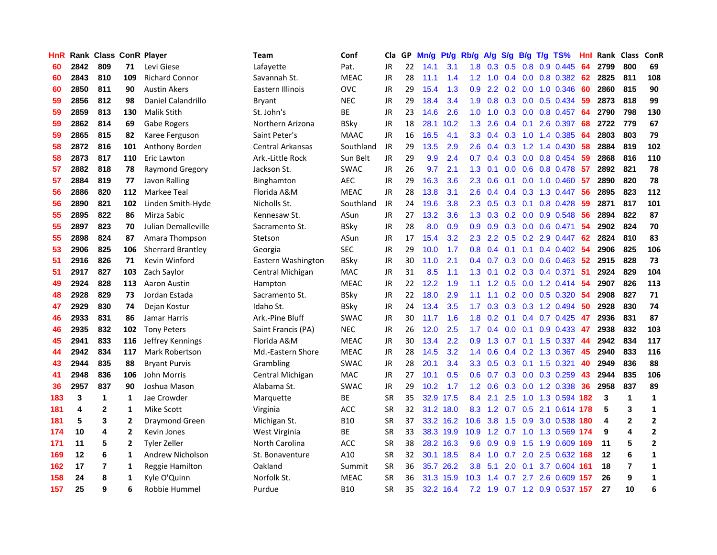| HnR |      | Rank Class ConR Player |                |                          | Team               | Conf        | Cla       | GP. | Mn/g | Pt/g      | Rb/g             | <b>A/g</b>      | S/g              | B/g             | T/g TS%                       | Hnl | Rank Class |                | <b>ConR</b>             |
|-----|------|------------------------|----------------|--------------------------|--------------------|-------------|-----------|-----|------|-----------|------------------|-----------------|------------------|-----------------|-------------------------------|-----|------------|----------------|-------------------------|
| 60  | 2842 | 809                    | 71             | Levi Giese               | Lafayette          | Pat.        | JR.       | 22  | 14.1 | 3.1       | 1.8              | 0.3             | 0.5              | 0.8             | 0.9 0.445                     | 64  | 2799       | 800            | 69                      |
| 60  | 2843 | 810                    | 109            | <b>Richard Connor</b>    | Savannah St.       | <b>MEAC</b> | <b>JR</b> | 28  | 11.1 | 1.4       | 1.2 <sub>1</sub> | 1.0             | $0.4^{\circ}$    | 0.0             | 0.8 0.382                     | 62  | 2825       | 811            | 108                     |
| 60  | 2850 | 811                    | 90             | <b>Austin Akers</b>      | Eastern Illinois   | <b>OVC</b>  | <b>JR</b> | 29  | 15.4 | 1.3       | 0.9              | 2.2             | 0.2              | 0.0             | 1.0 0.346                     | 60  | 2860       | 815            | 90                      |
| 59  | 2856 | 812                    | 98             | Daniel Calandrillo       | <b>Bryant</b>      | <b>NEC</b>  | <b>JR</b> | 29  | 18.4 | 3.4       | 1.9              | 0.8             |                  |                 | 0.3 0.0 0.5 0.434             | -59 | 2873       | 818            | 99                      |
| 59  | 2859 | 813                    | 130            | <b>Malik Stith</b>       | St. John's         | ВE          | <b>JR</b> | 23  | 14.6 | 2.6       | 1.0 <sub>1</sub> | 1.0             |                  |                 | 0.3 0.0 0.8 0.457             | -64 | 2790       | 798            | 130                     |
| 59  | 2862 | 814                    | 69             | Gabe Rogers              | Northern Arizona   | <b>BSky</b> | <b>JR</b> | 18  | 28.1 | 10.2      | 1.3              | 2.6             |                  | $0.4 \quad 0.1$ | 2.6 0.397                     | 68  | 2722       | 779            | 67                      |
| 59  | 2865 | 815                    | 82             | Karee Ferguson           | Saint Peter's      | <b>MAAC</b> | JR        | 16  | 16.5 | 4.1       | 3.3 <sup>°</sup> |                 |                  |                 | $0.4$ 0.3 1.0 1.4 0.385       | -64 | 2803       | 803            | 79                      |
| 58  | 2872 | 816                    | 101            | Anthony Borden           | Central Arkansas   | Southland   | JR        | 29  | 13.5 | 2.9       | $2.6^{\circ}$    | 0.4             | 0.3              |                 | 1.2 1.4 0.430                 | 58  | 2884       | 819            | 102                     |
| 58  | 2873 | 817                    | 110            | Eric Lawton              | Ark.-Little Rock   | Sun Belt    | <b>JR</b> | 29  | 9.9  | 2.4       | 0.7              | 0.4             |                  |                 | 0.3 0.0 0.8 0.454             | 59  | 2868       | 816            | 110                     |
| 57  | 2882 | 818                    | 78             | <b>Raymond Gregory</b>   | Jackson St.        | <b>SWAC</b> | <b>JR</b> | 26  | 9.7  | 2.1       | 1.3              | 0.1             | 0.0 <sub>1</sub> |                 | 0.6 0.8 0.478                 | 57  | 2892       | 821            | 78                      |
| 57  | 2884 | 819                    | 77             | Javon Ralling            | Binghamton         | <b>AEC</b>  | <b>JR</b> | 29  | 16.3 | 3.6       | $2.3^{\circ}$    | 0.6             | 0.1              |                 | $0.0$ 1.0 $0.460$             | 57  | 2890       | 820            | 78                      |
| 56  | 2886 | 820                    | 112            | Markee Teal              | Florida A&M        | <b>MEAC</b> | <b>JR</b> | 28  | 13.8 | 3.1       | 2.6              | 0.4             |                  |                 | 0.4 0.3 1.3 0.447             | 56  | 2895       | 823            | 112                     |
| 56  | 2890 | 821                    | 102            | Linden Smith-Hyde        | Nicholls St.       | Southland   | JR        | 24  | 19.6 | 3.8       | $2.3^{\circ}$    | 0.5             | 0.3              | 0.1             | 0.8 0.428                     | 59  | 2871       | 817            | 101                     |
| 55  | 2895 | 822                    | 86             | Mirza Sabic              | Kennesaw St.       | ASun        | <b>JR</b> | 27  | 13.2 | 3.6       | 1.3              | 0.3             | 0.2              | 0.0             | 0.9 0.548                     | 56  | 2894       | 822            | 87                      |
| 55  | 2897 | 823                    | 70             | Julian Demalleville      | Sacramento St.     | <b>BSky</b> | <b>JR</b> | 28  | 8.0  | 0.9       | 0.9              | 0.9             | 0.3              | 0.0             | $0.6$ 0.471                   | 54  | 2902       | 824            | 70                      |
| 55  | 2898 | 824                    | 87             | Amara Thompson           | Stetson            | ASun        | <b>JR</b> | 17  | 15.4 | 3.2       | $2.3^{\circ}$    | 2.2             | 0.5              | 0.2             | 2.9 0.447                     | 62  | 2824       | 810            | 83                      |
| 53  | 2906 | 825                    | 106            | <b>Sherrard Brantley</b> | Georgia            | <b>SEC</b>  | JR        | 29  | 10.0 | 1.7       | 0.8              | 0.4             | 0.1              | 0.1             | 0.4 0.402                     | -54 | 2906       | 825            | 106                     |
| 51  | 2916 | 826                    | 71             | Kevin Winford            | Eastern Washington | <b>BSky</b> | JR        | 30  | 11.0 | 2.1       |                  | $0.4 \quad 0.7$ |                  |                 | $0.3$ 0.0 0.6 0.463           | -52 | 2915       | 828            | 73                      |
| 51  | 2917 | 827                    | 103            | Zach Saylor              | Central Michigan   | <b>MAC</b>  | <b>JR</b> | 31  | 8.5  | 1.1       |                  | $1.3 \quad 0.1$ |                  |                 | $0.2$ $0.3$ $0.4$ $0.371$     | 51  | 2924       | 829            | 104                     |
| 49  | 2924 | 828                    | 113            | Aaron Austin             | Hampton            | <b>MEAC</b> | JR        | 22  | 12.2 | 1.9       |                  | $1.1 \quad 1.2$ |                  |                 | $0.5$ 0.0 1.2 0.414           | -54 | 2907       | 826            | 113                     |
| 48  | 2928 | 829                    | 73             | Jordan Estada            | Sacramento St.     | <b>BSky</b> | JR        | 22  | 18.0 | 2.9       | 1.1              | 1.1             |                  |                 | 0.2 0.0 0.5 0.320 54          |     | 2908       | 827            | 71                      |
| 47  | 2929 | 830                    | 74             | Dejan Kostur             | Idaho St.          | <b>BSky</b> | JR        | 24  | 13.4 | 3.5       | 1.7 <sub>z</sub> | 0.3             |                  |                 | $0.3$ $0.3$ 1.2 $0.494$       | 50  | 2928       | 830            | 74                      |
| 46  | 2933 | 831                    | 86             | Jamar Harris             | Ark.-Pine Bluff    | <b>SWAC</b> | JR        | 30  | 11.7 | 1.6       | 1.8              | 0.2             | 0.1              |                 | $0.4$ 0.7 0.425               | 47  | 2936       | 831            | 87                      |
| 46  | 2935 | 832                    | 102            | <b>Tony Peters</b>       | Saint Francis (PA) | <b>NEC</b>  | <b>JR</b> | 26  | 12.0 | 2.5       | 1.7              | 0.4             | 0.0              | 0.1             | 0.9 0.433                     | 47  | 2938       | 832            | 103                     |
| 45  | 2941 | 833                    | 116            | Jeffrey Kennings         | Florida A&M        | <b>MEAC</b> | JR        | 30  | 13.4 | 2.2       | 0.9              | 1.3             |                  |                 | $0.7$ 0.1 1.5 0.337           | 44  | 2942       | 834            | 117                     |
| 44  | 2942 | 834                    | 117            | Mark Robertson           | Md.-Eastern Shore  | <b>MEAC</b> | <b>JR</b> | 28  | 14.5 | 3.2       | 1.4              | 0.6             |                  |                 | $0.4$ 0.2 1.3 0.367           | 45  | 2940       | 833            | 116                     |
| 43  | 2944 | 835                    | 88             | <b>Bryant Purvis</b>     | Grambling          | <b>SWAC</b> | JR        | 28  | 20.1 | 3.4       | 3.3 <sub>2</sub> | 0.5             |                  | $0.3 \quad 0.1$ | 1.5 0.321                     | 40  | 2949       | 836            | 88                      |
| 41  | 2948 | 836                    | 106            | John Morris              | Central Michigan   | <b>MAC</b>  | JR        | 27  | 10.1 | 0.5       | 0.6 <sub>1</sub> | 0.7             |                  |                 | $0.3$ 0.0 0.3 0.259           | 43  | 2944       | 835            | 106                     |
| 36  | 2957 | 837                    | 90             | Joshua Mason             | Alabama St.        | <b>SWAC</b> | <b>JR</b> | 29  | 10.2 | 1.7       | 1.2 <sub>1</sub> | 0.6             | 0.3              | 0.0             | 1.2 0.338                     | 36  | 2958       | 837            | 89                      |
| 183 | 3    | $\mathbf{1}$           | 1              | Jae Crowder              | Marquette          | ВE          | <b>SR</b> | 35  | 32.9 | 17.5      | 8.4              | 2.1             | 2.5              | 1.0             | 1.3 0.594                     | 182 | 3          | $\mathbf{1}$   | 1                       |
| 181 | 4    | $\mathbf{2}$           | 1              | <b>Mike Scott</b>        | Virginia           | <b>ACC</b>  | <b>SR</b> | 32  |      | 31.2 18.0 | 8.3              |                 |                  |                 | 1.2 0.7 0.5 2.1 0.614         | 178 | 5          | 3              | 1                       |
| 181 | 5    | 3                      | 2              | Draymond Green           | Michigan St.       | <b>B10</b>  | <b>SR</b> | 37  |      | 33.2 16.2 | 10.6             | 3.8             |                  |                 | 1.5 0.9 3.0 0.538             | 180 | 4          | $\mathbf{2}$   | $\overline{\mathbf{2}}$ |
| 174 | 10   | 4                      | $\overline{2}$ | Kevin Jones              | West Virginia      | BE          | <b>SR</b> | 33  |      | 38.3 19.9 | 10.9             |                 |                  |                 | 1.2 0.7 1.0 1.3 0.569 174     |     | 9          | 4              | $\mathbf{2}$            |
| 171 | 11   | 5                      | 2              | <b>Tyler Zeller</b>      | North Carolina     | <b>ACC</b>  | <b>SR</b> | 38  |      | 28.2 16.3 | 9.6              | 0.9             | 0.9              | 1.5             | 1.9 0.609 169                 |     | 11         | 5              | $\overline{2}$          |
| 169 | 12   | 6                      | 1              | Andrew Nicholson         | St. Bonaventure    | A10         | <b>SR</b> | 32  |      | 30.1 18.5 | 8.4              | 1.0             | 0.7              |                 | 2.0 2.5 0.632 168             |     | 12         | 6              | $\mathbf 1$             |
| 162 | 17   | $\overline{7}$         | 1              | Reggie Hamilton          | Oakland            | Summit      | <b>SR</b> | 36  |      | 35.7 26.2 | 3.8              | 5.1             | 2.0              | 0.1             | 3.7 0.604 161                 |     | 18         | $\overline{7}$ | $\mathbf{1}$            |
| 158 | 24   | 8                      | 1              | Kyle O'Quinn             | Norfolk St.        | <b>MEAC</b> | <b>SR</b> | 36  | 31.3 | 15.9      | 10.3             | 1.4             | 0.7              | 2.7             | 2.6 0.609                     | 157 | 26         | 9              | 1                       |
| 157 | 25   | 9                      | 6              | Robbie Hummel            | Purdue             | <b>B10</b>  | SR        | 35  |      | 32.2 16.4 |                  |                 |                  |                 | 7.2 1.9 0.7 1.2 0.9 0.537 157 |     | 27         | 10             | 6                       |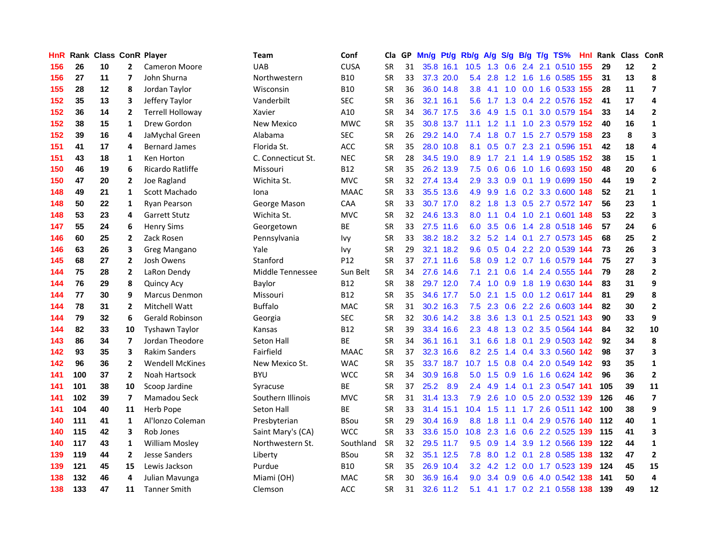| HnR |     | Rank Class ConR Player |                         |                         | Team               | Conf            | Cla       |    | GP Mn/g Pt/g |           | Rb/g A/g         |                 |                |             | S/g B/g T/g TS%                |     |     | Hnl Rank Class ConR |                         |
|-----|-----|------------------------|-------------------------|-------------------------|--------------------|-----------------|-----------|----|--------------|-----------|------------------|-----------------|----------------|-------------|--------------------------------|-----|-----|---------------------|-------------------------|
| 156 | 26  | 10                     | $\mathbf{2}$            | <b>Cameron Moore</b>    | <b>UAB</b>         | <b>CUSA</b>     | <b>SR</b> | 31 |              | 35.8 16.1 | 10.5             | 1.3             | 0.6            | 2.4         | 2.1 0.510                      | 155 | 29  | 12                  | $\mathbf{2}$            |
| 156 | 27  | 11                     | $\overline{ }$          | John Shurna             | Northwestern       | <b>B10</b>      | <b>SR</b> | 33 |              | 37.3 20.0 | 5.4              | 2.8             | 1.2            | 1.6         | 1.6 0.585 155                  |     | 31  | 13                  | 8                       |
| 155 | 28  | $12 \,$                | 8                       | Jordan Taylor           | Wisconsin          | <b>B10</b>      | <b>SR</b> | 36 |              | 36.0 14.8 | 3.8              | 4.1             | 1.0            | 0.0         | 1.6 0.533 155                  |     | 28  | 11                  | $\overline{ }$          |
| 152 | 35  | 13                     | 3                       | Jeffery Taylor          | Vanderbilt         | <b>SEC</b>      | <b>SR</b> | 36 |              | 32.1 16.1 | 5.6              | 1.7             |                |             | 1.3 0.4 2.2 0.576 152          |     | 41  | 17                  | 4                       |
| 152 | 36  | 14                     | $\mathbf{2}$            | <b>Terrell Holloway</b> | Xavier             | A10             | <b>SR</b> | 34 |              | 36.7 17.5 | 3.6 <sup>°</sup> | 4.9             |                | $1.5 \t0.1$ | 3.0 0.579 154                  |     | 33  | 14                  | $\overline{2}$          |
| 152 | 38  | 15                     | 1                       | Drew Gordon             | New Mexico         | <b>MWC</b>      | <b>SR</b> | 35 |              | 30.8 13.7 |                  |                 |                |             | 11.1 1.2 1.1 1.0 2.3 0.579 152 |     | 40  | 16                  | $\mathbf{1}$            |
| 152 | 39  | 16                     | 4                       | JaMychal Green          | Alabama            | <b>SEC</b>      | <b>SR</b> | 26 |              | 29.2 14.0 | 7.4              | 1.8             |                |             | 0.7 1.5 2.7 0.579 158          |     | 23  | 8                   | 3                       |
| 151 | 41  | 17                     | 4                       | <b>Bernard James</b>    | Florida St.        | <b>ACC</b>      | <b>SR</b> | 35 |              | 28.0 10.8 | 8.1              | 0.5             | 0.7            |             | 2.3 2.1 0.596 151              |     | 42  | 18                  | 4                       |
| 151 | 43  | 18                     | 1                       | Ken Horton              | C. Connecticut St. | <b>NEC</b>      | <b>SR</b> | 28 |              | 34.5 19.0 | 8.9              | 1.7             | 2.1            |             | 1.4 1.9 0.585 152              |     | 38  | 15                  | $\mathbf{1}$            |
| 150 | 46  | 19                     | 6                       | Ricardo Ratliffe        | Missouri           | <b>B12</b>      | <b>SR</b> | 35 |              | 26.2 13.9 | 7.5              | 0.6             | 0.6            | 1.0         | 1.6 0.693                      | 150 | 48  | 20                  | 6                       |
| 150 | 47  | 20                     | $\overline{2}$          | Joe Ragland             | Wichita St.        | <b>MVC</b>      | <b>SR</b> | 32 |              | 27.4 13.4 | 2.9              | 3.3             |                |             | 0.9 0.1 1.9 0.699              | 150 | 44  | 19                  | $\mathbf{2}$            |
| 148 | 49  | 21                     | $\mathbf{1}$            | Scott Machado           | Iona               | <b>MAAC</b>     | <b>SR</b> | 33 |              | 35.5 13.6 | 4.9              | 9.9             |                |             | 1.6 0.2 3.3 0.600 148          |     | 52  | 21                  | $\mathbf{1}$            |
| 148 | 50  | 22                     | $\mathbf{1}$            | Ryan Pearson            | George Mason       | CAA             | <b>SR</b> | 33 |              | 30.7 17.0 | 8.2              | 1.8             | 1.3            | 0.5         | 2.7 0.572 147                  |     | 56  | 23                  | $\mathbf{1}$            |
| 148 | 53  | 23                     | 4                       | <b>Garrett Stutz</b>    | Wichita St.        | <b>MVC</b>      | <b>SR</b> | 32 |              | 24.6 13.3 | 8.0              | 1.1             | $0.4^{\circ}$  | 1.0         | 2.1 0.601                      | 148 | 53  | 22                  | 3                       |
| 147 | 55  | 24                     | 6                       | <b>Henry Sims</b>       | Georgetown         | <b>BE</b>       | <b>SR</b> | 33 |              | 27.5 11.6 | 6.0              | 3.5             | 0.6            |             | 1.4 2.8 0.518 146              |     | 57  | 24                  | 6                       |
| 146 | 60  | 25                     | $\mathbf{2}$            | Zack Rosen              | Pennsylvania       | <b>Ivy</b>      | SR        | 33 |              | 38.2 18.2 | 3.2              | 5.2             | 1.4            | 0.1         | 2.7 0.573 145                  |     | 68  | 25                  | $\mathbf{2}$            |
| 146 | 63  | 26                     | 3                       | Greg Mangano            | Yale               | Ivy             | <b>SR</b> | 29 |              | 32.1 18.2 | 9.6              |                 |                |             | 0.5 0.4 2.2 2.0 0.539 144      |     | 73  | 26                  | 3                       |
| 145 | 68  | 27                     | 2                       | Josh Owens              | Stanford           | P <sub>12</sub> | <b>SR</b> | 37 |              | 27.1 11.6 |                  | 5.8 0.9         |                |             | 1.2 0.7 1.6 0.579 144          |     | 75  | 27                  | 3                       |
| 144 | 75  | 28                     | 2                       | LaRon Dendy             | Middle Tennessee   | Sun Belt        | <b>SR</b> | 34 |              | 27.6 14.6 | 7.1              | 2.1             |                |             | 0.6 1.4 2.4 0.555 144          |     | 79  | 28                  | $\mathbf{2}$            |
| 144 | 76  | 29                     | 8                       | <b>Quincy Acy</b>       | Baylor             | <b>B12</b>      | <b>SR</b> | 38 |              | 29.7 12.0 |                  |                 |                |             | 7.4 1.0 0.9 1.8 1.9 0.630 144  |     | 83  | 31                  | 9                       |
| 144 | 77  | 30                     | 9                       | <b>Marcus Denmon</b>    | Missouri           | <b>B12</b>      | <b>SR</b> | 35 |              | 34.6 17.7 | 5.0              | 2.1             |                |             | 1.5 0.0 1.2 0.617 144          |     | 81  | 29                  | 8                       |
| 144 | 78  | 31                     | $\mathbf{2}$            | Mitchell Watt           | <b>Buffalo</b>     | <b>MAC</b>      | SR        | 31 |              | 30.2 16.3 | 7.5              | 2.3             |                |             | 0.6 2.2 2.6 0.603 144          |     | 82  | 30                  | $\mathbf{2}$            |
| 144 | 79  | 32                     | 6                       | <b>Gerald Robinson</b>  | Georgia            | <b>SEC</b>      | <b>SR</b> | 32 |              | 30.6 14.2 | 3.8 <sub>2</sub> | 3.6             |                |             | 1.3 0.1 2.5 0.521 143          |     | 90  | 33                  | 9                       |
| 144 | 82  | 33                     | 10                      | <b>Tyshawn Taylor</b>   | Kansas             | <b>B12</b>      | <b>SR</b> | 39 |              | 33.4 16.6 | $2.3^{\circ}$    | 4.8             |                |             | 1.3 0.2 3.5 0.564 144          |     | 84  | 32                  | 10                      |
| 143 | 86  | 34                     | $\overline{\mathbf{z}}$ | Jordan Theodore         | Seton Hall         | ВE              | <b>SR</b> | 34 |              | 36.1 16.1 | 3.1              | 6.6             | 1.8            | 0.1         | 2.9 0.503 142                  |     | 92  | 34                  | 8                       |
| 142 | 93  | 35                     | 3                       | <b>Rakim Sanders</b>    | Fairfield          | <b>MAAC</b>     | <b>SR</b> | 37 |              | 32.3 16.6 | 8.2              | 2.5             | 1.4            | 0.4         | 3.3 0.560 142                  |     | 98  | 37                  | 3                       |
| 142 | 96  | 36                     | $\overline{2}$          | <b>Wendell McKines</b>  | New Mexico St.     | <b>WAC</b>      | <b>SR</b> | 35 |              | 33.7 18.7 | 10.7             | 1.5             | 0.8            | 0.4         | 2.0 0.549 142                  |     | 93  | 35                  | $\mathbf{1}$            |
| 141 | 100 | 37                     | $\mathbf{2}$            | Noah Hartsock           | <b>BYU</b>         | <b>WCC</b>      | <b>SR</b> | 34 |              | 30.9 16.8 | 5.0              | 1.5             | 0.9            | 1.6         | 1.6 0.624 142                  |     | 96  | 36                  | $\mathbf{2}$            |
| 141 | 101 | 38                     | 10                      | Scoop Jardine           | Syracuse           | <b>BE</b>       | <b>SR</b> | 37 | 25.2         | 8.9       | 2.4              | 4.9             | 1.4            | 0.1         | 2.3 0.547 141                  |     | 105 | 39                  | 11                      |
| 141 | 102 | 39                     | 7                       | Mamadou Seck            | Southern Illinois  | <b>MVC</b>      | <b>SR</b> | 31 |              | 31.4 13.3 | 7.9              | 2.6             | 1.0            | 0.5         | 2.0 0.532 139                  |     | 126 | 46                  | $\overline{\mathbf{z}}$ |
| 141 | 104 | 40                     | 11                      | <b>Herb Pope</b>        | <b>Seton Hall</b>  | <b>BE</b>       | <b>SR</b> | 33 |              | 31.4 15.1 | 10.4             | 1.5             | 1.1            |             | 1.7 2.6 0.511 142              |     | 100 | 38                  | 9                       |
| 140 | 111 | 41                     | 1                       | Al'Ionzo Coleman        | Presbyterian       | <b>BSou</b>     | <b>SR</b> | 29 |              | 30.4 16.9 | 8.8 <sub>1</sub> | 1.8             | 1.1            |             | 0.4 2.9 0.576 140              |     | 112 | 40                  | $\mathbf{1}$            |
| 140 | 115 | 42                     | 3                       | Rob Jones               | Saint Mary's (CA)  | <b>WCC</b>      | <b>SR</b> | 33 |              | 33.6 15.0 |                  |                 | $10.8$ 2.3 1.6 |             | 0.6 2.2 0.525 139              |     | 115 | 41                  | 3                       |
| 140 | 117 | 43                     | $\mathbf{1}$            | <b>William Mosley</b>   | Northwestern St.   | Southland       | <b>SR</b> | 32 |              | 29.5 11.7 |                  | $9.5 \quad 0.9$ | 1.4            | 3.9         | 1.2 0.566 139                  |     | 122 | 44                  | $\mathbf{1}$            |
| 139 | 119 | 44                     | 2                       | <b>Jesse Sanders</b>    | Liberty            | <b>BSou</b>     | <b>SR</b> | 32 |              | 35.1 12.5 | 7.8              | 8.0             | 1.2            | 0.1         | 2.8 0.585 138                  |     | 132 | 47                  | $\mathbf{2}$            |
| 139 | 121 | 45                     | 15                      | Lewis Jackson           | Purdue             | <b>B10</b>      | <b>SR</b> | 35 |              | 26.9 10.4 | 3.2 <sub>2</sub> | 4.2             | 1.2            | 0.0         | 1.7 0.523 139                  |     | 124 | 45                  | 15                      |
| 138 | 132 | 46                     | 4                       | Julian Mavunga          | Miami (OH)         | <b>MAC</b>      | <b>SR</b> | 30 | 36.9         | 16.4      | 9.0              | 3.4             | 0.9            | 0.6         | 4.0 0.542                      | 138 | 141 | 50                  | 4                       |
| 138 | 133 | 47                     | 11                      | <b>Tanner Smith</b>     | Clemson            | ACC             | SR        | 31 |              | 32.6 11.2 | 5.1              | 4.1             |                |             | 1.7 0.2 2.1 0.558 138          |     | 139 | 49                  | 12                      |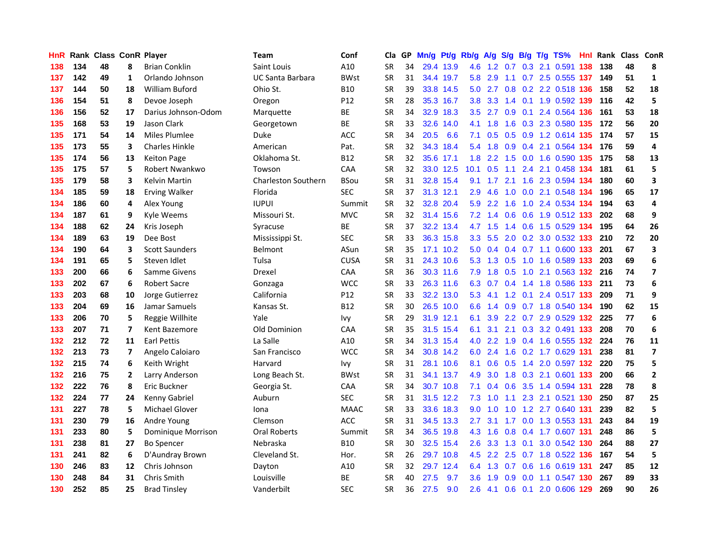| HnR |     | Rank Class ConR Player |                |                       | Team                       | Conf            | Cla       |    | GP Mn/g Pt/g |           | Rb/g             | <b>A/g</b>      |     |     | S/g B/g T/g TS%               | Hnl |      | Rank Class ConR |                         |
|-----|-----|------------------------|----------------|-----------------------|----------------------------|-----------------|-----------|----|--------------|-----------|------------------|-----------------|-----|-----|-------------------------------|-----|------|-----------------|-------------------------|
| 138 | 134 | 48                     | 8              | <b>Brian Conklin</b>  | Saint Louis                | A10             | <b>SR</b> | 34 |              | 29.4 13.9 | 4.6              | 1.2             | 0.7 | 0.3 | 2.1 0.591                     | 138 | 138  | 48              | 8                       |
| 137 | 142 | 49                     | $\mathbf{1}$   | Orlando Johnson       | UC Santa Barbara           | <b>BWst</b>     | <b>SR</b> | 31 |              | 34.4 19.7 | 5.8              | 2.9             | 1.1 |     | 0.7 2.5 0.555 137             |     | 149  | 51              | $\mathbf{1}$            |
| 137 | 144 | 50                     | 18             | William Buford        | Ohio St.                   | <b>B10</b>      | <b>SR</b> | 39 |              | 33.8 14.5 | 5.0 <sub>1</sub> | 2.7             |     |     | 0.8 0.2 2.2 0.518 136         |     | 158  | 52              | 18                      |
| 136 | 154 | 51                     | 8              | Devoe Joseph          | Oregon                     | P <sub>12</sub> | <b>SR</b> | 28 |              | 35.3 16.7 | 3.8 <sub>2</sub> | 3.3             |     |     | 1.4 0.1 1.9 0.592 139         |     | 116  | 42              | 5                       |
| 136 | 156 | 52                     | 17             | Darius Johnson-Odom   | Marquette                  | BE              | <b>SR</b> | 34 |              | 32.9 18.3 |                  |                 |     |     | 3.5 2.7 0.9 0.1 2.4 0.564 136 |     | 161  | 53              | 18                      |
| 135 | 168 | 53                     | 19             | <b>Jason Clark</b>    | Georgetown                 | <b>BE</b>       | <b>SR</b> | 33 |              | 32.6 14.0 |                  | 4.1 1.8         |     |     | 1.6 0.3 2.3 0.580 135         |     | 172  | 56              | 20                      |
| 135 | 171 | 54                     | 14             | Miles Plumlee         | Duke                       | <b>ACC</b>      | <b>SR</b> | 34 | 20.5         | 6.6       | 7.1              | 0.5             |     |     | 0.5 0.9 1.2 0.614 135         |     | 174  | 57              | 15                      |
| 135 | 173 | 55                     | 3              | <b>Charles Hinkle</b> | American                   | Pat.            | <b>SR</b> | 32 |              | 34.3 18.4 | 5.4              | 1.8             |     |     | 0.9 0.4 2.1 0.564 134         |     | 176  | 59              | 4                       |
| 135 | 174 | 56                     | 13             | <b>Keiton Page</b>    | Oklahoma St.               | <b>B12</b>      | <b>SR</b> | 32 |              | 35.6 17.1 | 1.8 <sup>°</sup> | 2.2             | 1.5 |     | 0.0 1.6 0.590 135             |     | 175  | 58              | 13                      |
| 135 | 175 | 57                     | 5              | Robert Nwankwo        | Towson                     | CAA             | <b>SR</b> | 32 |              | 33.0 12.5 | 10.1             | 0.5             | 1.1 |     | 2.4 2.1 0.458 134             |     | 181  | 61              | 5                       |
| 135 | 179 | 58                     | 3              | Kelvin Martin         | <b>Charleston Southern</b> | <b>BSou</b>     | <b>SR</b> | 31 |              | 32.8 15.4 | 9.1              | 1.7             | 2.1 |     | 1.6 2.3 0.594 134             |     | 180  | 60              | 3                       |
| 134 | 185 | 59                     | 18             | <b>Erving Walker</b>  | Florida                    | <b>SEC</b>      | <b>SR</b> | 37 |              | 31.3 12.1 | 2.9              | 4.6             | 1.0 | 0.0 | 2.1 0.548 134                 |     | 196  | 65              | 17                      |
| 134 | 186 | 60                     | 4              | Alex Young            | <b>IUPUI</b>               | Summit          | <b>SR</b> | 32 |              | 32.8 20.4 | 5.9              | 2.2             | 1.6 | 1.0 | 2.4 0.534 134                 |     | 194  | 63              | $\overline{4}$          |
| 134 | 187 | 61                     | 9              | Kyle Weems            | Missouri St.               | <b>MVC</b>      | SR        | 32 |              | 31.4 15.6 |                  | $7.2 \quad 1.4$ | 0.6 | 0.6 | 1.9 0.512 133                 |     | 202  | 68              | 9                       |
| 134 | 188 | 62                     | 24             | Kris Joseph           | Syracuse                   | BE              | <b>SR</b> | 37 |              | 32.2 13.4 |                  | $4.7$ 1.5       | 1.4 | 0.6 | 1.5 0.529 134                 |     | 195  | 64              | 26                      |
| 134 | 189 | 63                     | 19             | Dee Bost              | Mississippi St.            | <b>SEC</b>      | <b>SR</b> | 33 |              | 36.3 15.8 | 3.3 <sub>2</sub> | 5.5             | 2.0 |     | 0.2 3.0 0.532 133             |     | 210  | 72              | 20                      |
| 134 | 190 | 64                     | 3              | <b>Scott Saunders</b> | Belmont                    | ASun            | SR        | 35 |              | 17.1 10.2 |                  |                 |     |     | 5.0 0.4 0.4 0.7 1.1 0.600 133 |     | 201  | 67              | 3                       |
| 134 | 191 | 65                     | 5              | Steven Idlet          | Tulsa                      | <b>CUSA</b>     | <b>SR</b> | 31 |              | 24.3 10.6 |                  |                 |     |     | 5.3 1.3 0.5 1.0 1.6 0.589 133 |     | 203  | 69              | 6                       |
| 133 | 200 | 66                     | 6              | Samme Givens          | Drexel                     | <b>CAA</b>      | <b>SR</b> | 36 |              | 30.3 11.6 | 7.9              |                 |     |     | 1.8 0.5 1.0 2.1 0.563 132     |     | -216 | 74              | $\overline{\mathbf{z}}$ |
| 133 | 202 | 67                     | 6              | <b>Robert Sacre</b>   | Gonzaga                    | <b>WCC</b>      | <b>SR</b> | 33 |              | 26.3 11.6 |                  |                 |     |     | 6.3 0.7 0.4 1.4 1.8 0.586 133 |     | 211  | 73              | 6                       |
| 133 | 203 | 68                     | 10             | Jorge Gutierrez       | California                 | P12             | <b>SR</b> | 33 |              | 32.2 13.0 | 5.3              | 4.1             |     |     | 1.2 0.1 2.4 0.517 133         |     | 209  | 71              | 9                       |
| 133 | 204 | 69                     | 16             | Jamar Samuels         | Kansas St.                 | <b>B12</b>      | <b>SR</b> | 30 |              | 26.5 10.0 | 6.6              | 1.4             |     |     | 0.9 0.7 1.8 0.540 134         |     | 190  | 62              | 15                      |
| 133 | 206 | 70                     | 5              | Reggie Willhite       | Yale                       | lvy.            | <b>SR</b> | 29 |              | 31.9 12.1 | 6.1              | 3.9             |     |     | 2.2 0.7 2.9 0.529 132         |     | 225  | 77              | 6                       |
| 133 | 207 | 71                     | $\overline{ }$ | Kent Bazemore         | Old Dominion               | CAA             | <b>SR</b> | 35 |              | 31.5 15.4 | 6.1              | 3.1             | 2.1 |     | 0.3 3.2 0.491 133             |     | 208  | 70              | 6                       |
| 132 | 212 | 72                     | 11             | <b>Earl Pettis</b>    | La Salle                   | A10             | <b>SR</b> | 34 |              | 31.3 15.4 | 4.0              | 2.2             | 1.9 |     | 0.4 1.6 0.555 132             |     | 224  | 76              | 11                      |
| 132 | 213 | 73                     | 7              | Angelo Caloiaro       | San Francisco              | <b>WCC</b>      | <b>SR</b> | 34 |              | 30.8 14.2 | 6.0              | 2.4             | 1.6 |     | 0.2 1.7 0.629 131             |     | 238  | 81              | $\overline{\mathbf{z}}$ |
| 132 | 215 | 74                     | 6              | Keith Wright          | Harvard                    | Ivy             | <b>SR</b> | 31 |              | 28.1 10.6 | 8.1              | 0.6             | 0.5 | 1.4 | 2.0 0.597 132                 |     | 220  | 75              | 5                       |
| 132 | 216 | 75                     | $\mathbf{2}$   | Larry Anderson        | Long Beach St.             | <b>BWst</b>     | SR        | 31 |              | 34.1 13.7 | 4.9              | 3.0             | 1.8 | 0.3 | 2.1 0.601 133                 |     | 200  | 66              | $\mathbf{2}$            |
| 132 | 222 | 76                     | 8              | Eric Buckner          | Georgia St.                | CAA             | <b>SR</b> | 34 |              | 30.7 10.8 | 7.1              | 0.4             | 0.6 | 3.5 | 1.4 0.594 131                 |     | 228  | 78              | 8                       |
| 132 | 224 | 77                     | 24             | Kenny Gabriel         | Auburn                     | <b>SEC</b>      | SR        | 31 |              | 31.5 12.2 | 7.3              | 1.0             |     |     | 1.1 2.3 2.1 0.521 130         |     | 250  | 87              | 25                      |
| 131 | 227 | 78                     | 5              | Michael Glover        | Iona                       | <b>MAAC</b>     | <b>SR</b> | 33 |              | 33.6 18.3 | 9.0 <sub>1</sub> | 1.0             | 1.0 |     | 1.2 2.7 0.640 131             |     | 239  | 82              | 5                       |
| 131 | 230 | 79                     | 16             | Andre Young           | Clemson                    | <b>ACC</b>      | <b>SR</b> | 31 |              | 34.5 13.3 | $2.7^{\circ}$    | 3.1             |     |     | 1.7 0.0 1.3 0.553 131         |     | 243  | 84              | 19                      |
| 131 | 233 | 80                     | 5              | Dominique Morrison    | Oral Roberts               | Summit          | <b>SR</b> | 34 |              | 36.5 19.8 |                  | $4.3 \quad 1.6$ |     |     | 0.8 0.4 1.7 0.607 131         |     | 248  | 86              | 5                       |
| 131 | 238 | 81                     | 27             | <b>Bo Spencer</b>     | Nebraska                   | <b>B10</b>      | <b>SR</b> | 30 |              | 32.5 15.4 | $2.6^{\circ}$    | 3.3             | 1.3 | 0.1 | 3.0 0.542 130                 |     | 264  | 88              | 27                      |
| 131 | 241 | 82                     | 6              | D'Aundray Brown       | Cleveland St.              | Hor.            | <b>SR</b> | 26 |              | 29.7 10.8 | 4.5              | $2.2^{\circ}$   | 2.5 |     | 0.7 1.8 0.522 136             |     | 167  | 54              | 5                       |
| 130 | 246 | 83                     | 12             | Chris Johnson         | Dayton                     | A10             | <b>SR</b> | 32 |              | 29.7 12.4 | 6.4              | 1.3             | 0.7 | 0.6 | 1.6 0.619 131                 |     | 247  | 85              | 12                      |
| 130 | 248 | 84                     | 31             | Chris Smith           | Louisville                 | ВE              | <b>SR</b> | 40 | 27.5         | 9.7       | 3.6              | 1.9             | 0.9 | 0.0 | 1.1 0.547                     | 130 | 267  | 89              | 33                      |
| 130 | 252 | 85                     | 25             | <b>Brad Tinsley</b>   | Vanderbilt                 | <b>SEC</b>      | <b>SR</b> | 36 | 27.5         | 9.0       | 2.6              | 4.1             |     |     | 0.6 0.1 2.0 0.606 129         |     | 269  | 90              | 26                      |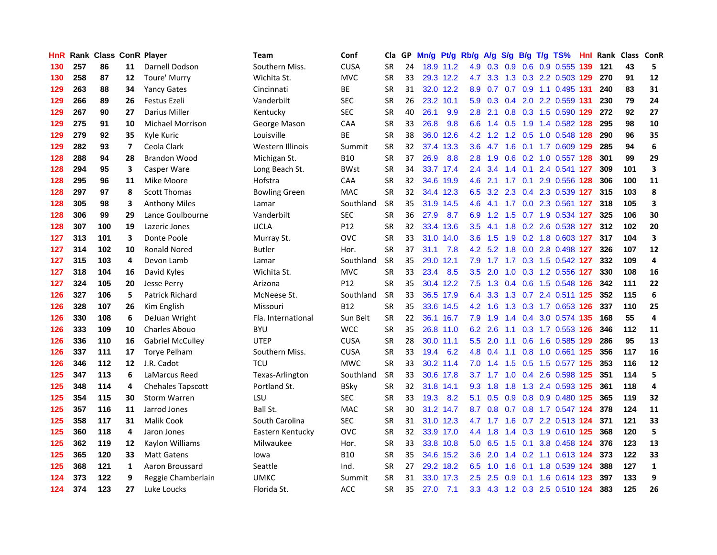| HnR |     | Rank Class ConR Player |                |                         | Team                 | Conf            | Cla       |    | GP Mn/g Pt/g |           | Rb/g             | A/g             |               |                 | S/g B/g T/g TS%               | Hnl |     | Rank Class ConR |                         |
|-----|-----|------------------------|----------------|-------------------------|----------------------|-----------------|-----------|----|--------------|-----------|------------------|-----------------|---------------|-----------------|-------------------------------|-----|-----|-----------------|-------------------------|
| 130 | 257 | 86                     | 11             | Darnell Dodson          | Southern Miss.       | <b>CUSA</b>     | <b>SR</b> | 24 |              | 18.9 11.2 | 4.9              | 0.3             | 0.9           | 0.6             | 0.9 0.555                     | 139 | 121 | 43              | 5                       |
| 130 | 258 | 87                     | 12             | Toure' Murry            | Wichita St.          | <b>MVC</b>      | <b>SR</b> | 33 |              | 29.3 12.2 | 4.7              | 3.3             | 1.3           |                 | 0.3 2.2 0.503 129             |     | 270 | 91              | 12                      |
| 129 | 263 | 88                     | 34             | <b>Yancy Gates</b>      | Cincinnati           | ВE              | <b>SR</b> | 31 |              | 32.0 12.2 | 8.9              | 0.7             |               | $0.7 \quad 0.9$ | 1.1 0.495 131                 |     | 240 | 83              | 31                      |
| 129 | 266 | 89                     | 26             | Festus Ezeli            | Vanderbilt           | <b>SEC</b>      | <b>SR</b> | 26 |              | 23.2 10.1 | 5.9              |                 |               |                 | 0.3 0.4 2.0 2.2 0.559 131     |     | 230 | 79              | 24                      |
| 129 | 267 | 90                     | 27             | Darius Miller           | Kentucky             | <b>SEC</b>      | <b>SR</b> | 40 | 26.1         | 9.9       | 2.8              | 2.1             |               |                 | 0.8 0.3 1.5 0.590 129         |     | 272 | 92              | 27                      |
| 129 | 275 | 91                     | 10             | <b>Michael Morrison</b> | George Mason         | <b>CAA</b>      | <b>SR</b> | 33 | 26.8         | 9.8       |                  |                 | 6.6 1.4 0.5   |                 | 1.9 1.4 0.582 128             |     | 295 | 98              | 10                      |
| 129 | 279 | 92                     | 35             | Kyle Kuric              | Louisville           | BE              | <b>SR</b> | 38 |              | 36.0 12.6 |                  | 4.2 1.2         |               |                 | 1.2 0.5 1.0 0.548 128         |     | 290 | 96              | 35                      |
| 129 | 282 | 93                     | $\overline{ }$ | Ceola Clark             | Western Illinois     | Summit          | <b>SR</b> | 32 |              | 37.4 13.3 | 3.6 <sub>1</sub> | 4.7             | 1.6           |                 | 0.1 1.7 0.609 129             |     | 285 | 94              | 6                       |
| 128 | 288 | 94                     | 28             | <b>Brandon Wood</b>     | Michigan St.         | <b>B10</b>      | SR        | 37 | 26.9         | 8.8       | 2.8              | 1.9             |               |                 | 0.6 0.2 1.0 0.557 128         |     | 301 | 99              | 29                      |
| 128 | 294 | 95                     | 3              | Casper Ware             | Long Beach St.       | <b>BWst</b>     | <b>SR</b> | 34 |              | 33.7 17.4 | $2.4^{\circ}$    | 3.4             | 1.4           | 0.1             | 2.4 0.541 127                 |     | 309 | 101             | 3                       |
| 128 | 295 | 96                     | 11             | Mike Moore              | Hofstra              | CAA             | <b>SR</b> | 32 |              | 34.6 19.9 | 4.6              | 2.1             |               | $1.7 \quad 0.1$ | 2.9 0.556 128                 |     | 306 | 100             | 11                      |
| 128 | 297 | 97                     | 8              | <b>Scott Thomas</b>     | <b>Bowling Green</b> | MAC             | <b>SR</b> | 32 |              | 34.4 12.3 | 6.5              | 3.2             |               |                 | 2.3 0.4 2.3 0.539 127         |     | 315 | 103             | 8                       |
| 128 | 305 | 98                     | 3              | <b>Anthony Miles</b>    | Lamar                | Southland       | <b>SR</b> | 35 |              | 31.9 14.5 | 4.6              | 4.1             | 1.7           | 0.0             | 2.3 0.561                     | 127 | 318 | 105             | 3                       |
| 128 | 306 | 99                     | 29             | Lance Goulbourne        | Vanderbilt           | <b>SEC</b>      | <b>SR</b> | 36 | 27.9         | 8.7       | 6.9              | 1.2             | 1.5           |                 | 0.7 1.9 0.534 127             |     | 325 | 106             | 30                      |
| 128 | 307 | 100                    | 19             | Lazeric Jones           | <b>UCLA</b>          | P <sub>12</sub> | <b>SR</b> | 32 |              | 33.4 13.6 | 3.5              | 4.1             | 1.8           | 0.2             | 2.6 0.538 127                 |     | 312 | 102             | 20                      |
| 127 | 313 | 101                    | 3              | Donte Poole             | Murray St.           | <b>OVC</b>      | <b>SR</b> | 33 |              | 31.0 14.0 | 3.6 <sup>°</sup> | 1.5             | 1.9           |                 | 0.2 1.8 0.603 127             |     | 317 | 104             | $\overline{\mathbf{3}}$ |
| 127 | 314 | 102                    | 10             | <b>Ronald Nored</b>     | <b>Butler</b>        | Hor.            | <b>SR</b> | 37 | 31.1         | 7.8       |                  |                 | $4.2$ 5.2 1.8 |                 | 0.0 2.8 0.498 127             |     | 326 | 107             | 12                      |
| 127 | 315 | 103                    | 4              | Devon Lamb              | Lamar                | Southland       | <b>SR</b> | 35 |              | 29.0 12.1 |                  | $7.9$ 1.7       |               |                 | 1.7 0.3 1.5 0.542 127         |     | 332 | 109             | 4                       |
| 127 | 318 | 104                    | 16             | David Kyles             | Wichita St.          | <b>MVC</b>      | <b>SR</b> | 33 | 23.4         | 8.5       |                  | $3.5$ 2.0       |               |                 | 1.0 0.3 1.2 0.556 127         |     | 330 | 108             | 16                      |
| 127 | 324 | 105                    | 20             | <b>Jesse Perry</b>      | Arizona              | P12             | <b>SR</b> | 35 |              | 30.4 12.2 |                  |                 |               |                 | 7.5 1.3 0.4 0.6 1.5 0.548 126 |     | 342 | 111             | 22                      |
| 126 | 327 | 106                    | 5              | <b>Patrick Richard</b>  | McNeese St.          | Southland       | <b>SR</b> | 33 |              | 36.5 17.9 | 6.4              | 3.3             |               |                 | 1.3 0.7 2.4 0.511 125         |     | 352 | 115             | 6                       |
| 126 | 328 | 107                    | 26             | Kim English             | Missouri             | <b>B12</b>      | SR        | 35 |              | 33.6 14.5 |                  | $4.2 \quad 1.6$ |               |                 | 1.3 0.3 1.7 0.653 126         |     | 337 | 110             | 25                      |
| 126 | 330 | 108                    | 6              | DeJuan Wright           | Fla. International   | Sun Belt        | <b>SR</b> | 22 |              | 36.1 16.7 | 7.9              | 1.9             | 1.4           |                 | 0.4 3.0 0.574 135             |     | 168 | 55              | 4                       |
| 126 | 333 | 109                    | 10             | <b>Charles Abouo</b>    | <b>BYU</b>           | <b>WCC</b>      | <b>SR</b> | 35 |              | 26.8 11.0 |                  | 6.2 2.6         | 1.1           |                 | 0.3 1.7 0.553 126             |     | 346 | 112             | 11                      |
| 126 | 336 | 110                    | 16             | <b>Gabriel McCulley</b> | <b>UTEP</b>          | <b>CUSA</b>     | <b>SR</b> | 28 |              | 30.0 11.1 | $5.5^{\circ}$    | 2.0             | 1.1           |                 | 0.6 1.6 0.585 129             |     | 286 | 95              | 13                      |
| 126 | 337 | 111                    | 17             | <b>Torye Pelham</b>     | Southern Miss.       | <b>CUSA</b>     | SR        | 33 | 19.4         | 6.2       | 4.8              | 0.4             | 1.1           | 0.8             | 1.0 0.661 125                 |     | 356 | 117             | 16                      |
| 126 | 346 | 112                    | 12             | J.R. Cadot              | <b>TCU</b>           | <b>MWC</b>      | <b>SR</b> | 33 |              | 30.2 11.4 | 7.0              | 1.4             | 1.5           | 0.5             | 1.5 0.577 <b>125</b>          |     | 353 | 116             | 12                      |
| 125 | 347 | 113                    | 6              | LaMarcus Reed           | Texas-Arlington      | Southland       | <b>SR</b> | 33 |              | 30.6 17.8 | 3.7              | 1.7             | 1.0           |                 | 0.4 2.6 0.598 125             |     | 351 | 114             | 5                       |
| 125 | 348 | 114                    | 4              | Chehales Tapscott       | Portland St.         | <b>BSky</b>     | <b>SR</b> | 32 |              | 31.8 14.1 | 9.3              | 1.8             | 1.8           | 1.3             | 2.4 0.593 125                 |     | 361 | 118             | 4                       |
| 125 | 354 | 115                    | 30             | <b>Storm Warren</b>     | LSU                  | <b>SEC</b>      | <b>SR</b> | 33 | 19.3         | 8.2       | 5.1              | 0.5             | 0.9           |                 | 0.8 0.9 0.480 125             |     | 365 | 119             | 32                      |
| 125 | 357 | 116                    | 11             | Jarrod Jones            | Ball St.             | <b>MAC</b>      | <b>SR</b> | 30 |              | 31.2 14.7 | 8.7              | 0.8             |               |                 | 0.7 0.8 1.7 0.547 124         |     | 378 | 124             | 11                      |
| 125 | 358 | 117                    | 31             | <b>Malik Cook</b>       | South Carolina       | <b>SEC</b>      | <b>SR</b> | 31 |              | 31.0 12.3 |                  | 4.7 1.7         |               |                 | 1.6 0.7 2.2 0.513 124         |     | 371 | 121             | 33                      |
| 125 | 360 | 118                    | 4              | Jaron Jones             | Eastern Kentucky     | <b>OVC</b>      | <b>SR</b> | 32 |              | 33.9 17.0 |                  | 4.4 1.8         |               |                 | 1.4 0.3 1.9 0.610 125         |     | 368 | 120             | 5                       |
| 125 | 362 | 119                    | 12             | Kaylon Williams         | Milwaukee            | Hor.            | <b>SR</b> | 33 |              | 33.8 10.8 |                  | $5.0\quad 6.5$  |               |                 | 1.5 0.1 3.8 0.458 124         |     | 376 | 123             | 13                      |
| 125 | 365 | 120                    | 33             | <b>Matt Gatens</b>      | lowa                 | <b>B10</b>      | <b>SR</b> | 35 |              | 34.6 15.2 | 3.6 <sup>°</sup> | 2.0             |               |                 | 1.4 0.2 1.1 0.613 124         |     | 373 | 122             | 33                      |
| 125 | 368 | 121                    | 1              | Aaron Broussard         | Seattle              | Ind.            | <b>SR</b> | 27 |              | 29.2 18.2 | 6.5              | 1.0             | 1.6           | 0.1             | 1.8 0.539 124                 |     | 388 | 127             | $\mathbf{1}$            |
| 124 | 373 | 122                    | 9              | Reggie Chamberlain      | <b>UMKC</b>          | Summit          | <b>SR</b> | 31 | 33.0         | 17.3      | 2.5              | 2.5             | 0.9           | 0.1             | 1.6 0.614 123                 |     | 397 | 133             | 9                       |
| 124 | 374 | 123                    | 27             | Luke Loucks             | Florida St.          | ACC             | SR        | 35 | 27.0         | 7.1       | 3.3 <sub>1</sub> |                 |               |                 | 4.3 1.2 0.3 2.5 0.510 124     |     | 383 | 125             | 26                      |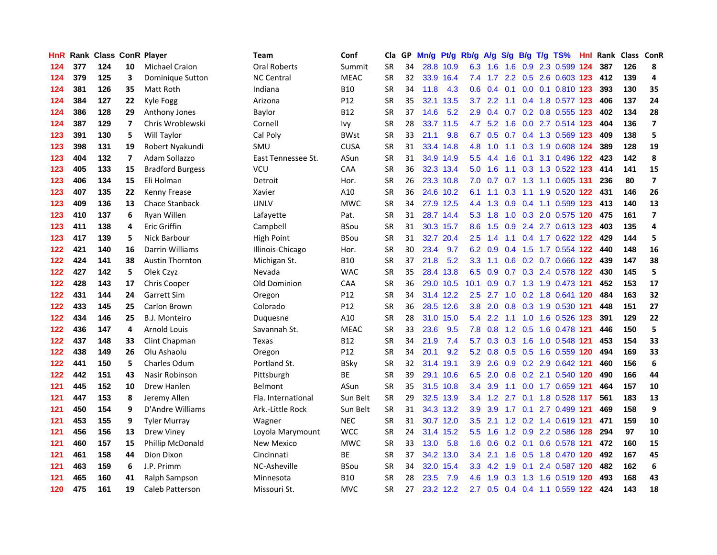| HnR. |     | <b>Rank Class ConR Player</b> |    |                         | Team               | Conf        |           | Cla GP | Mn/g Pt/g Rb/g A/g |           |                  |                 | S/q             |                 | B/g T/g TS%                   |     |     | Hnl Rank Class ConR |                         |
|------|-----|-------------------------------|----|-------------------------|--------------------|-------------|-----------|--------|--------------------|-----------|------------------|-----------------|-----------------|-----------------|-------------------------------|-----|-----|---------------------|-------------------------|
| 124  | 377 | 124                           | 10 | <b>Michael Craion</b>   | Oral Roberts       | Summit      | <b>SR</b> | 34     |                    | 28.8 10.9 | 6.3              | 1.6             | 1.6             | 0.9             | 2.3 0.599 124                 |     | 387 | 126                 | 8                       |
| 124  | 379 | 125                           | 3  | Dominique Sutton        | <b>NC Central</b>  | <b>MEAC</b> | SR        | 32     |                    | 33.9 16.4 | 7.4              | 1.7             | $2.2^{\circ}$   | 0.5             | 2.6 0.603 123                 |     | 412 | 139                 | 4                       |
| 124  | 381 | 126                           | 35 | Matt Roth               | Indiana            | <b>B10</b>  | <b>SR</b> | 34     | 11.8               | 4.3       | 0.6 <sub>2</sub> | 0.4             | 0.1             | 0.0             | 0.1 0.810 123                 |     | 393 | 130                 | 35                      |
| 124  | 384 | 127                           | 22 | Kyle Fogg               | Arizona            | P12         | <b>SR</b> | 35     | 32.1               | 13.5      | 3.7              | 2.2             | 1.1             |                 | 0.4 1.8 0.577 123             |     | 406 | 137                 | 24                      |
| 124  | 386 | 128                           | 29 | Anthony Jones           | Baylor             | <b>B12</b>  | <b>SR</b> | 37     | 14.6               | 5.2       | 2.9              |                 |                 |                 | 0.4 0.7 0.2 0.8 0.555 123     |     | 402 | 134                 | 28                      |
| 124  | 387 | 129                           | 7  | Chris Wroblewski        | Cornell            | lvy         | <b>SR</b> | 28     |                    | 33.7 11.5 |                  |                 |                 |                 | 4.7 5.2 1.6 0.0 2.7 0.514 123 |     | 404 | 136                 | $\overline{\mathbf{z}}$ |
| 123  | 391 | 130                           | 5  | Will Taylor             | Cal Poly           | <b>BWst</b> | <b>SR</b> | 33     | 21.1               | 9.8       |                  |                 |                 |                 | 6.7 0.5 0.7 0.4 1.3 0.569 123 |     | 409 | 138                 | 5                       |
| 123  | 398 | 131                           | 19 | Robert Nyakundi         | SMU                | <b>CUSA</b> | <b>SR</b> | 31     |                    | 33.4 14.8 | 4.8              | 1.0             |                 |                 | 1.1 0.3 1.9 0.608 124         |     | 389 | 128                 | 19                      |
| 123  | 404 | 132                           | 7  | Adam Sollazzo           | East Tennessee St. | ASun        | <b>SR</b> | 31     |                    | 34.9 14.9 | 5.5 <sub>1</sub> | 4.4             | 1.6             |                 | 0.1 3.1 0.496 122             |     | 423 | 142                 | 8                       |
| 123  | 405 | 133                           | 15 | <b>Bradford Burgess</b> | <b>VCU</b>         | CAA         | SR        | 36     |                    | 32.3 13.4 | 5.0 <sub>1</sub> | 1.6             |                 |                 | 1.1 0.3 1.3 0.522 123         |     | 414 | 141                 | 15                      |
| 123  | 406 | 134                           | 15 | Eli Holman              | Detroit            | Hor.        | <b>SR</b> | 26     |                    | 23.3 10.8 | 7.0              | 0.7             |                 |                 | 0.7 1.3 1.1 0.605             | 131 | 236 | 80                  | $\overline{\mathbf{z}}$ |
| 123  | 407 | 135                           | 22 | Kenny Frease            | Xavier             | A10         | <b>SR</b> | 36     |                    | 24.6 10.2 | 6.1              | 1.1             | 0.3             | 1.1             | 1.9 0.520 122                 |     | 431 | 146                 | 26                      |
| 123  | 409 | 136                           | 13 | Chace Stanback          | <b>UNLV</b>        | <b>MWC</b>  | <b>SR</b> | 34     |                    | 27.9 12.5 | 4.4              | 1.3             | 0.9             |                 | 0.4 1.1 0.599 123             |     | 413 | 140                 | 13                      |
| 123  | 410 | 137                           | 6  | Ryan Willen             | Lafayette          | Pat.        | <b>SR</b> | 31     |                    | 28.7 14.4 | 5.3              | 1.8             | 1.0             | 0.3             | 2.0 0.575 120                 |     | 475 | 161                 | $\overline{7}$          |
| 123  | 411 | 138                           | 4  | <b>Eric Griffin</b>     | Campbell           | BSou        | SR        | 31     |                    | 30.3 15.7 | 8.6              | 1.5             | 0.9             |                 | 2.4 2.7 0.613 123             |     | 403 | 135                 | 4                       |
| 123  | 417 | 139                           | 5  | Nick Barbour            | High Point         | <b>BSou</b> | SR        | 31     |                    | 32.7 20.4 | 2.5              | 1.4             | 1.1             |                 | 0.4 1.7 0.622 122             |     | 429 | 144                 | 5                       |
| 122  | 421 | 140                           | 16 | Darrin Williams         | Illinois-Chicago   | Hor.        | <b>SR</b> | 30     | 23.4               | 9.7       | 6.2              | 0.9             | 0.4             | 1.5             | 1.7 0.554 122                 |     | 440 | 148                 | 16                      |
| 122  | 424 | 141                           | 38 | <b>Austin Thornton</b>  | Michigan St.       | B10         | <b>SR</b> | 37     | 21.8               | 5.2       | 3.3 <sub>1</sub> | 1.1             |                 |                 | 0.6 0.2 0.7 0.666 122         |     | 439 | 147                 | 38                      |
| 122  | 427 | 142                           | 5  | Olek Czyz               | Nevada             | <b>WAC</b>  | SR        | 35     |                    | 28.4 13.8 |                  | 6.5 0.9         |                 |                 | 0.7 0.3 2.4 0.578 122         |     | 430 | 145                 | 5                       |
| 122  | 428 | 143                           | 17 | Chris Cooper            | Old Dominion       | CAA         | <b>SR</b> | 36     |                    | 29.0 10.5 | 10.1             |                 |                 |                 | 0.9 0.7 1.3 1.9 0.473 121     |     | 452 | 153                 | 17                      |
| 122  | 431 | 144                           | 24 | Garrett Sim             | Oregon             | P12         | SR        | 34     |                    | 31.4 12.2 | $2.5^{\circ}$    | 2.7             |                 |                 | 1.0 0.2 1.8 0.641 120         |     | 484 | 163                 | 32                      |
| 122  | 433 | 145                           | 25 | Carlon Brown            | Colorado           | P12         | <b>SR</b> | 36     |                    | 28.5 12.6 | 3.8              | 2.0             |                 |                 | 0.8 0.3 1.9 0.530 121         |     | 448 | 151                 | 27                      |
| 122  | 434 | 146                           | 25 | <b>B.J. Monteiro</b>    | Duquesne           | A10         | <b>SR</b> | 28     |                    | 31.0 15.0 | 5.4              | 2.2             |                 |                 | 1.1 1.0 1.6 0.526 123         |     | 391 | 129                 | 22                      |
| 122  | 436 | 147                           | 4  | Arnold Louis            | Savannah St.       | <b>MEAC</b> | <b>SR</b> | 33     | 23.6               | 9.5       | 7.8              | 0.8             |                 | $1.2 \quad 0.5$ | 1.6 0.478 121                 |     | 446 | 150                 | 5                       |
| 122  | 437 | 148                           | 33 | Clint Chapman           | Texas              | B12         | SR        | 34     | 21.9               | 7.4       | 5.7              |                 | $0.3 \quad 0.3$ | 1.6             | 1.0 0.548 121                 |     | 453 | 154                 | 33                      |
| 122  | 438 | 149                           | 26 | Olu Ashaolu             | Oregon             | P12         | <b>SR</b> | 34     | 20.1               | 9.2       |                  |                 |                 |                 | 5.2 0.8 0.5 0.5 1.6 0.559 120 |     | 494 | 169                 | 33                      |
| 122  | 441 | 150                           | 5  | <b>Charles Odum</b>     | Portland St.       | <b>BSky</b> | <b>SR</b> | 32     | 31.4               | 19.1      | 3.9              | 2.6             |                 |                 | 0.9 0.2 2.9 0.642 121         |     | 460 | 156                 | $6\phantom{a}$          |
| 122  | 442 | 151                           | 43 | Nasir Robinson          | Pittsburgh         | <b>BE</b>   | <b>SR</b> | 39     |                    | 29.1 10.6 | 6.5              | 2.0             | 0.6             |                 | 0.2 2.1 0.540 120             |     | 490 | 166                 | 44                      |
| 121  | 445 | 152                           | 10 | Drew Hanlen             | <b>Belmont</b>     | ASun        | SR        | 35     |                    | 31.5 10.8 | 3.4              | 3.9             | 1.1             |                 | 0.0 1.7 0.659 121             |     | 464 | 157                 | ${\bf 10}$              |
| 121  | 447 | 153                           | 8  | Jeremy Allen            | Fla. International | Sun Belt    | <b>SR</b> | 29     |                    | 32.5 13.9 |                  | $3.4$ 1.2       | 2.7             | 0.1             | 1.8 0.528 117                 |     | 561 | 183                 | 13                      |
| 121  | 450 | 154                           | 9  | D'Andre Williams        | Ark.-Little Rock   | Sun Belt    | <b>SR</b> | 31     |                    | 34.3 13.2 | 3.9 <sup>°</sup> | 3.9             | 1.7             | 0.1             | 2.7 0.499 121                 |     | 469 | 158                 | 9                       |
| 121  | 453 | 155                           | 9  | <b>Tyler Murray</b>     | Wagner             | <b>NEC</b>  | SR        | 31     |                    | 30.7 12.0 | 3.5              | 2.1             |                 |                 | 1.2 0.2 1.4 0.619 121         |     | 471 | 159                 | 10                      |
| 121  | 456 | 156                           | 13 | <b>Drew Viney</b>       | Loyola Marymount   | <b>WCC</b>  | <b>SR</b> | 24     |                    | 31.4 15.2 | 5.5              | 1.6             |                 |                 | 1.2 0.9 2.2 0.586 128         |     | 294 | 97                  | 10                      |
| 121  | 460 | 157                           | 15 | Phillip McDonald        | <b>New Mexico</b>  | <b>MWC</b>  | <b>SR</b> | 33     | 13.0               | 5.8       |                  | $1.6 \quad 0.6$ |                 |                 | 0.2 0.1 0.6 0.578 121         |     | 472 | 160                 | 15                      |
| 121  | 461 | 158                           | 44 | Dion Dixon              | Cincinnati         | ВE          | <b>SR</b> | 37     |                    | 34.2 13.0 | $3.4^{\circ}$    | 2.1             | 1.6             |                 | 0.5 1.8 0.470 120             |     | 492 | 167                 | 45                      |
| 121  | 463 | 159                           | 6  | J.P. Primm              | NC-Asheville       | BSou        | <b>SR</b> | 34     |                    | 32.0 15.4 | 3.3 <sub>2</sub> | 4.2             | 1.9             | 0.1             | 2.4 0.587 120                 |     | 482 | 162                 | 6                       |
| 121  | 465 | 160                           | 41 | Ralph Sampson           | Minnesota          | B10         | <b>SR</b> | 28     | 23.5               | 7.9       | 4.6              | 1.9             | 0.3             | 1.3             | 1.6 0.519                     | 120 | 493 | 168                 | 43                      |
| 120  | 475 | 161                           | 19 | <b>Caleb Patterson</b>  | Missouri St.       | <b>MVC</b>  | <b>SR</b> | 27     |                    | 23.2 12.2 |                  |                 |                 |                 | 2.7 0.5 0.4 0.4 1.1 0.559 122 |     | 424 | 143                 | 18                      |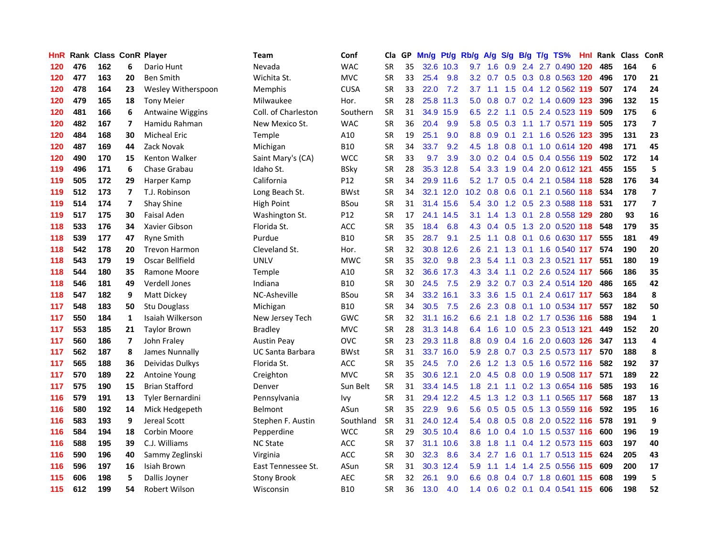| HnR. |     |     |                         | Rank Class ConR Player | Team                    | Conf        | Cla       |    | GP Mn/g |           | Pt/g Rb/g A/g    |           |     |                | S/g B/g T/g TS%               | Hnl  |     | Rank Class ConR |                         |
|------|-----|-----|-------------------------|------------------------|-------------------------|-------------|-----------|----|---------|-----------|------------------|-----------|-----|----------------|-------------------------------|------|-----|-----------------|-------------------------|
| 120  | 476 | 162 | 6                       | Dario Hunt             | Nevada                  | <b>WAC</b>  | SR        | 35 |         | 32.6 10.3 | 9.7              | 1.6       | 0.9 | 2.4            | 2.7 0.490                     | 120  | 485 | 164             | 6                       |
| 120  | 477 | 163 | 20                      | <b>Ben Smith</b>       | Wichita St.             | <b>MVC</b>  | <b>SR</b> | 33 | 25.4    | 9.8       | 3.2 <sub>2</sub> | 0.7       | 0.5 | 0.3            | 0.8 0.563 120                 |      | 496 | 170             | 21                      |
| 120  | 478 | 164 | 23                      | Wesley Witherspoon     | Memphis                 | <b>CUSA</b> | <b>SR</b> | 33 | 22.0    | 7.2       | 3.7              | 1.1       | 1.5 |                | 0.4 1.2 0.562 119             |      | 507 | 174             | 24                      |
| 120  | 479 | 165 | 18                      | <b>Tony Meier</b>      | Milwaukee               | Hor.        | <b>SR</b> | 28 |         | 25.8 11.3 | 5.0              |           |     |                | 0.8 0.7 0.2 1.4 0.609 123     |      | 396 | 132             | 15                      |
| 120  | 481 | 166 | 6                       | Antwaine Wiggins       | Coll. of Charleston     | Southern    | <b>SR</b> | 31 |         | 34.9 15.9 |                  | $6.5$ 2.2 |     |                | 1.1 0.5 2.4 0.523 119         |      | 509 | 175             | 6                       |
| 120  | 482 | 167 | 7                       | Hamidu Rahman          | New Mexico St.          | <b>WAC</b>  | <b>SR</b> | 36 | 20.4    | 9.9       | 5.8              |           |     |                | 0.5 0.3 1.1 1.7 0.571 119     |      | 505 | 173             | $\overline{ }$          |
| 120  | 484 | 168 | 30                      | <b>Micheal Eric</b>    | <b>Temple</b>           | A10         | <b>SR</b> | 19 | 25.1    | 9.0       | 8.8              | 0.9       | 0.1 |                | 2.1 1.6 0.526 123             |      | 395 | 131             | 23                      |
| 120  | 487 | 169 | 44                      | Zack Novak             | Michigan                | B10         | <b>SR</b> | 34 | 33.7    | 9.2       | 4.5              | 1.8       | 0.8 |                | 0.1 1.0 0.614 120             |      | 498 | 171             | 45                      |
| 120  | 490 | 170 | 15                      | Kenton Walker          | Saint Mary's (CA)       | <b>WCC</b>  | <b>SR</b> | 33 | 9.7     | 3.9       | 3.0              | 0.2       |     |                | 0.4 0.5 0.4 0.556 119         |      | 502 | 172             | 14                      |
| 119  | 496 | 171 | 6                       | Chase Grabau           | Idaho St.               | <b>BSky</b> | <b>SR</b> | 28 | 35.3    | 12.8      | 5.4              | 3.3       | 1.9 |                | 0.4 2.0 0.612 121             |      | 455 | 155             | 5                       |
| 119  | 505 | 172 | 29                      | Harper Kamp            | California              | P12         | SR        | 34 |         | 29.9 11.6 | 5.2              | 1.7       | 0.5 |                | 0.4 2.1 0.584 118             |      | 528 | 176             | 34                      |
| 119  | 512 | 173 | $\overline{\mathbf{z}}$ | T.J. Robinson          | Long Beach St.          | <b>BWst</b> | SR        | 34 |         | 32.1 12.0 | $10.2 \quad 0.8$ |           | 0.6 | 0.1            | 2.1 0.560 118                 |      | 534 | 178             | $\overline{\mathbf{z}}$ |
| 119  | 514 | 174 | 7                       | Shay Shine             | High Point              | <b>BSou</b> | <b>SR</b> | 31 |         | 31.4 15.6 | 5.4              | 3.0       | 1.2 | 0.5            | 2.3 0.588                     | 118  | 531 | 177             | $\overline{\mathbf{z}}$ |
| 119  | 517 | 175 | 30                      | Faisal Aden            | Washington St.          | P12         | SR        | 17 |         | 24.1 14.5 | 3.1              | 1.4       | 1.3 | 0.1            | 2.8 0.558 129                 |      | 280 | 93              | 16                      |
| 118  | 533 | 176 | 34                      | Xavier Gibson          | Florida St.             | ACC         | <b>SR</b> | 35 | 18.4    | 6.8       | 4.3              | 0.4       | 0.5 | 1.3            | 2.0 0.520 118                 |      | 548 | 179             | 35                      |
| 118  | 539 | 177 | 47                      | <b>Ryne Smith</b>      | Purdue                  | <b>B10</b>  | <b>SR</b> | 35 | 28.7    | 9.1       | $2.5^{\circ}$    | 1.1       | 0.8 | 0.1            | 0.6 0.630 117                 |      | 555 | 181             | 49                      |
| 118  | 542 | 178 | 20                      | <b>Trevon Harmon</b>   | Cleveland St.           | Hor.        | <b>SR</b> | 32 |         | 30.8 12.6 | 2.6              | 2.1       | 1.3 | 0.1            | 1.6 0.540 117                 |      | 574 | 190             | 20                      |
| 118  | 543 | 179 | 19                      | Oscar Bellfield        | <b>UNLV</b>             | <b>MWC</b>  | <b>SR</b> | 35 | 32.0    | 9.8       | 2.3              | 5.4       |     |                | 1.1 0.3 2.3 0.521 117         |      | 551 | 180             | 19                      |
| 118  | 544 | 180 | 35                      | Ramone Moore           | <b>Temple</b>           | A10         | <b>SR</b> | 32 |         | 36.6 17.3 |                  | 4.3 3.4   |     |                | 1.1 0.2 2.6 0.524 117         |      | 566 | 186             | 35                      |
| 118  | 546 | 181 | 49                      | <b>Verdell Jones</b>   | Indiana                 | B10         | <b>SR</b> | 30 | 24.5    | 7.5       | 2.9 <sup>°</sup> |           |     |                | 3.2 0.7 0.3 2.4 0.514 120     |      | 486 | 165             | 42                      |
| 118  | 547 | 182 | 9                       | Matt Dickey            | NC-Asheville            | <b>BSou</b> | <b>SR</b> | 34 |         | 33.2 16.1 | 3.3 <sub>1</sub> | 3.6       | 1.5 |                | 0.1 2.4 0.617 117             |      | 563 | 184             | 8                       |
| 117  | 548 | 183 | 50                      | Stu Douglass           | Michigan                | B10         | SR        | 34 | 30.5    | 7.5       | $2.6\,$          | 2.3       | 0.8 |                | 0.1 1.0 0.534 117             |      | 557 | 182             | 50                      |
| 117  | 550 | 184 | $\mathbf{1}$            | Isaiah Wilkerson       | New Jersey Tech         | GWC         | <b>SR</b> | 32 |         | 31.1 16.2 | 6.6              | 2.1       | 1.8 |                | 0.2 1.7 0.536 116             |      | 588 | 194             | $\mathbf{1}$            |
| 117  | 553 | 185 | 21                      | <b>Taylor Brown</b>    | <b>Bradley</b>          | <b>MVC</b>  | SR        | 28 |         | 31.3 14.8 | 6.4              | 1.6       | 1.0 |                | 0.5 2.3 0.513 121             |      | 449 | 152             | 20                      |
| 117  | 560 | 186 | 7                       | John Fraley            | Austin Peay             | OVC         | <b>SR</b> | 23 |         | 29.3 11.8 | 8.8 <sub>1</sub> | 0.9       | 0.4 |                | 1.6 2.0 0.603 126             |      | 347 | 113             | $\overline{\mathbf{4}}$ |
| 117  | 562 | 187 | 8                       | James Nunnally         | <b>UC Santa Barbara</b> | <b>BWst</b> | <b>SR</b> | 31 |         | 33.7 16.0 | 5.9              | 2.8       |     |                | 0.7 0.3 2.5 0.573 117         |      | 570 | 188             | 8                       |
| 117  | 565 | 188 | 36                      | Deividas Dulkys        | Florida St.             | ACC         | <b>SR</b> | 35 | 24.5    | 7.0       | 2.6              | 1.2       | 1.3 | 0.5            | 1.6 0.572 116                 |      | 582 | 192             | 37                      |
| 117  | 570 | 189 | 22                      | <b>Antoine Young</b>   | Creighton               | <b>MVC</b>  | SR        | 35 |         | 30.6 12.1 | 2.0              | 4.5       | 0.8 |                | 0.0 1.9 0.508 117             |      | 571 | 189             | 22                      |
| 117  | 575 | 190 | 15                      | <b>Brian Stafford</b>  | Denver                  | Sun Belt    | <b>SR</b> | 31 |         | 33.4 14.5 | 1.8              | 2.1       |     |                | 1.1 0.2 1.3 0.654 116         |      | 585 | 193             | 16                      |
| 116  | 579 | 191 | 13                      | Tyler Bernardini       | Pennsylvania            | lvy         | <b>SR</b> | 31 |         | 29.4 12.2 | 4.5              | 1.3       |     |                | 1.2 0.3 1.1 0.565 117         |      | 568 | 187             | 13                      |
| 116  | 580 | 192 | 14                      | Mick Hedgepeth         | <b>Belmont</b>          | ASun        | <b>SR</b> | 35 | 22.9    | 9.6       | 5.6              | 0.5       |     | $0.5\quad 0.5$ | 1.3 0.559 116                 |      | 592 | 195             | 16                      |
| 116  | 583 | 193 | 9                       | Jereal Scott           | Stephen F. Austin       | Southland   | <b>SR</b> | 31 |         | 24.0 12.4 |                  |           |     |                | 5.4 0.8 0.5 0.8 2.0 0.522 116 |      | 578 | 191             | 9                       |
| 116  | 584 | 194 | 18                      | <b>Corbin Moore</b>    | Pepperdine              | <b>WCC</b>  | <b>SR</b> | 29 |         | 30.5 10.4 | 8.6              |           |     |                | 1.0 0.4 1.0 1.5 0.537 116     |      | 600 | 196             | 19                      |
| 116  | 588 | 195 | 39                      | C.J. Williams          | <b>NC State</b>         | ACC         | <b>SR</b> | 37 |         | 31.1 10.6 | 3.8 <sup>°</sup> | 1.8       | 1.1 |                | 0.4 1.2 0.573 115             |      | 603 | 197             | 40                      |
| 116  | 590 | 196 | 40                      | Sammy Zeglinski        | Virginia                | <b>ACC</b>  | <b>SR</b> | 30 | 32.3    | 8.6       | 3.4              | 2.7       | 1.6 |                | 0.1 1.7 0.513 115             |      | 624 | 205             | 43                      |
| 116  | 596 | 197 | 16                      | Isiah Brown            | East Tennessee St.      | ASun        | <b>SR</b> | 31 | 30.3    | 12.4      | 5.9              | 1.1       | 1.4 | 1.4            | 2.5 0.556 115                 |      | 609 | 200             | 17                      |
| 115  | 606 | 198 | 5.                      | Dallis Joyner          | Stony Brook             | <b>AEC</b>  | <b>SR</b> | 32 | 26.1    | 9.0       | 6.6              | 0.8       | 0.4 | 0.7            | 1.8 0.601                     | -115 | 608 | 199             | 5                       |
| 115  | 612 | 199 | 54                      | Robert Wilson          | Wisconsin               | <b>B10</b>  | SR        | 36 | 13.0    | 4.0       | $1.4^{\circ}$    |           |     | $0.6$ 0.2 0.1  | 0.4 0.541 115                 |      | 606 | 198             | 52                      |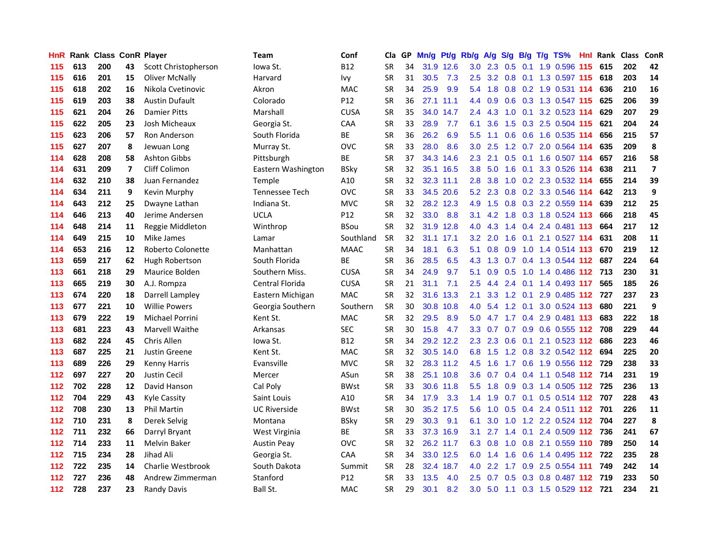| <b>HnR</b> |     | Rank Class ConR Player |                         |                       | Team                  | Conf        | Cla       |    | GP Mn/g | Pt/g      | Rb/g             | <b>A/g</b> | <b>S/g</b>      |                 | B/g T/g TS%                       | Hnl  |     | Rank Class | <b>ConR</b>             |
|------------|-----|------------------------|-------------------------|-----------------------|-----------------------|-------------|-----------|----|---------|-----------|------------------|------------|-----------------|-----------------|-----------------------------------|------|-----|------------|-------------------------|
| 115        | 613 | 200                    | 43                      | Scott Christopherson  | Iowa St.              | <b>B12</b>  | <b>SR</b> | 34 |         | 31.9 12.6 | 3.0              | 2.3        | 0.5             | 0.1             | 1.9 0.596                         | 115  | 615 | 202        | 42                      |
| 115        | 616 | 201                    | 15                      | Oliver McNally        | Harvard               | lvy         | <b>SR</b> | 31 | 30.5    | 7.3       | 2.5              |            | $3.2 \quad 0.8$ | 0.1             | 1.3 0.597 115                     |      | 618 | 203        | 14                      |
| 115        | 618 | 202                    | 16                      | Nikola Cvetinovic     | Akron                 | <b>MAC</b>  | <b>SR</b> | 34 | 25.9    | 9.9       | $5.4^{\circ}$    | 1.8        |                 |                 | 0.8 0.2 1.9 0.531 114             |      | 636 | 210        | 16                      |
| 115        | 619 | 203                    | 38                      | <b>Austin Dufault</b> | Colorado              | P12         | <b>SR</b> | 36 |         | 27.1 11.1 |                  | 4.4 0.9    |                 |                 | 0.6 0.3 1.3 0.547 115             |      | 625 | 206        | 39                      |
| 115        | 621 | 204                    | 26                      | <b>Damier Pitts</b>   | Marshall              | <b>CUSA</b> | <b>SR</b> | 35 |         | 34.0 14.7 | 2.4              | 4.3        |                 |                 | 1.0 0.1 3.2 0.523 114             |      | 629 | 207        | 29                      |
| 115        | 622 | 205                    | 23                      | Josh Micheaux         | Georgia St.           | CAA         | <b>SR</b> | 33 | 28.9    | 7.7       | 6.1              | 3.6        |                 |                 | 1.5 0.3 2.5 0.504 115             |      | 621 | 204        | 24                      |
| 115        | 623 | 206                    | 57                      | Ron Anderson          | South Florida         | ВE          | SR        | 36 | 26.2    | 6.9       | $5.5^{\circ}$    | 1.1        | 0.6             |                 | 0.6 1.6 0.535 114                 |      | 656 | 215        | 57                      |
| 115        | 627 | 207                    | 8                       | Jewuan Long           | Murray St.            | <b>OVC</b>  | <b>SR</b> | 33 | 28.0    | 8.6       | 3.0 <sub>1</sub> | 2.5        |                 |                 | 1.2 0.7 2.0 0.564 114             |      | 635 | 209        | 8                       |
| 114        | 628 | 208                    | 58                      | <b>Ashton Gibbs</b>   | Pittsburgh            | BE          | <b>SR</b> | 37 |         | 34.3 14.6 | 2.3              | 2.1        | 0.5             | 0.1             | 1.6 0.507 114                     |      | 657 | 216        | 58                      |
| 114        | 631 | 209                    | $\overline{\mathbf{z}}$ | Cliff Colimon         | Eastern Washington    | BSky        | <b>SR</b> | 32 |         | 35.1 16.5 | 3.8 <sub>2</sub> | 5.0        | 1.6             | 0.1             | 3.3 0.526                         | 114  | 638 | 211        | $\overline{\mathbf{z}}$ |
| 114        | 632 | 210                    | 38                      | Juan Fernandez        | Temple                | A10         | <b>SR</b> | 32 |         | 32.3 11.1 | 2.8              | 3.8        | 1.0             |                 | 0.2 2.3 0.532 114                 |      | 655 | 214        | 39                      |
| 114        | 634 | 211                    | 9                       | Kevin Murphy          | <b>Tennessee Tech</b> | OVC         | <b>SR</b> | 33 |         | 34.5 20.6 | 5.2              | 2.3        | 0.8             |                 | 0.2 3.3 0.546 114                 |      | 642 | 213        | 9                       |
| 114        | 643 | 212                    | 25                      | Dwayne Lathan         | Indiana St.           | <b>MVC</b>  | SR        | 32 |         | 28.2 12.3 | 4.9              | 1.5        | 0.8             |                 | 0.3 2.2 0.559 114                 |      | 639 | 212        | 25                      |
| 114        | 646 | 213                    | 40                      | Jerime Andersen       | <b>UCLA</b>           | P12         | SR        | 32 | 33.0    | 8.8       | 3.1              | 4.2        | 1.8             |                 | 0.3 1.8 0.524 113                 |      | 666 | 218        | 45                      |
| 114        | 648 | 214                    | 11                      | Reggie Middleton      | Winthrop              | <b>BSou</b> | <b>SR</b> | 32 | 31.9    | 12.8      | 4.0              | 4.3        | 1.4             |                 | 0.4 2.4 0.481 113                 |      | 664 | 217        | 12                      |
| 114        | 649 | 215                    | 10                      | Mike James            | Lamar                 | Southland   | <b>SR</b> | 32 |         | 31.1 17.1 | 3.2              | 2.0        | 1.6             | 0.1             | 2.1 0.527 114                     |      | 631 | 208        | 11                      |
| 114        | 653 | 216                    | 12                      | Roberto Colonette     | Manhattan             | <b>MAAC</b> | SR        | 34 | 18.1    | 6.3       | 5.1              |            | $0.8\quad 0.9$  |                 | 1.0 1.4 0.514 113                 |      | 670 | 219        | 12                      |
| 113        | 659 | 217                    | 62                      | Hugh Robertson        | South Florida         | ВE          | <b>SR</b> | 36 | 28.5    | 6.5       |                  |            |                 |                 | 4.3 1.3 0.7 0.4 1.3 0.544 112 687 |      |     | 224        | 64                      |
| 113        | 661 | 218                    | 29                      | Maurice Bolden        | Southern Miss.        | <b>CUSA</b> | SR        | 34 | 24.9    | 9.7       | 5.1              | 0.9        | 0.5             |                 | 1.0 1.4 0.486 112 713             |      |     | 230        | 31                      |
| 113        | 665 | 219                    | 30                      | A.J. Rompza           | Central Florida       | <b>CUSA</b> | SR        | 21 | 31.1    | 7.1       | $2.5^{\circ}$    | 4.4        |                 |                 | 2.4 0.1 1.4 0.493 117             |      | 565 | 185        | 26                      |
| 113        | 674 | 220                    | 18                      | Darrell Lampley       | Eastern Michigan      | <b>MAC</b>  | <b>SR</b> | 32 |         | 31.6 13.3 | 2.1              | 3.3        |                 | $1.2 \quad 0.1$ | 2.9 0.485 112 727                 |      |     | 237        | 23                      |
| 113        | 677 | 221                    | 10                      | <b>Willie Powers</b>  | Georgia Southern      | Southern    | <b>SR</b> | 30 | 30.8    | 10.8      | 4.0              | 5.4        |                 | $1.2 \quad 0.1$ | 3.0 0.524 113                     |      | 680 | 221        | 9                       |
| 113        | 679 | 222                    | 19                      | Michael Porrini       | Kent St.              | <b>MAC</b>  | <b>SR</b> | 32 | 29.5    | 8.9       | 5.0              | 4.7        |                 |                 | 1.7 0.4 2.9 0.481 113             |      | 683 | 222        | 18                      |
| 113        | 681 | 223                    | 43                      | Marvell Waithe        | Arkansas              | <b>SEC</b>  | <b>SR</b> | 30 | 15.8    | 4.7       | 3.3 <sub>1</sub> | 0.7        |                 |                 | 0.7 0.9 0.6 0.555 112             |      | 708 | 229        | 44                      |
| 113        | 682 | 224                    | 45                      | Chris Allen           | lowa St.              | B12         | <b>SR</b> | 34 |         | 29.2 12.2 | $2.3^{\circ}$    | 2.3        | 0.6             | 0.1             | 2.1 0.523 112                     |      | 686 | 223        | 46                      |
| 113        | 687 | 225                    | 21                      | Justin Greene         | Kent St.              | <b>MAC</b>  | <b>SR</b> | 32 |         | 30.5 14.0 | 6.8              | 1.5        |                 | $1.2 \quad 0.8$ | 3.2 0.542 112                     |      | 694 | 225        | 20                      |
| 113        | 689 | 226                    | 29                      | Kenny Harris          | Evansville            | <b>MVC</b>  | <b>SR</b> | 32 |         | 28.3 11.2 | 4.5              | 1.6        | 1.7             |                 | 0.6 1.9 0.556 112 729             |      |     | 238        | 33                      |
| 112        | 697 | 227                    | 20                      | <b>Justin Cecil</b>   | Mercer                | ASun        | <b>SR</b> | 38 |         | 25.1 10.8 | 3.6 <sup>°</sup> | 0.7        | 0.4             |                 | 0.4 1.1 0.548 112 714             |      |     | 231        | 19                      |
| 112        | 702 | 228                    | 12                      | David Hanson          | Cal Poly              | <b>BWst</b> | <b>SR</b> | 33 |         | 30.6 11.8 | $5.5^{\circ}$    | 1.8        |                 |                 | 0.9 0.3 1.4 0.505 112 725         |      |     | 236        | 13                      |
| 112        | 704 | 229                    | 43                      | <b>Kyle Cassity</b>   | Saint Louis           | A10         | SR        | 34 | 17.9    | 3.3       |                  |            |                 |                 | 1.4 1.9 0.7 0.1 0.5 0.514 112 707 |      |     | 228        | 43                      |
| 112        | 708 | 230                    | 13                      | <b>Phil Martin</b>    | <b>UC Riverside</b>   | <b>BWst</b> | <b>SR</b> | 30 |         | 35.2 17.5 | 5.6              |            |                 |                 | 1.0 0.5 0.4 2.4 0.511 112 701     |      |     | 226        | 11                      |
| 112        | 710 | 231                    | 8                       | Derek Selvig          | Montana               | <b>BSky</b> | <b>SR</b> | 29 | 30.3    | 9.1       | 6.1              | 3.0        |                 |                 | 1.0 1.2 2.2 0.524 112 704         |      |     | 227        | 8                       |
| 112        | 711 | 232                    | 66                      | Darryl Bryant         | West Virginia         | ВE          | <b>SR</b> | 33 |         | 37.3 16.9 | 3.1              | 2.7        |                 |                 | 1.4 0.1 2.4 0.509 112 736         |      |     | 241        | 67                      |
| 112        | 714 | 233                    | 11                      | <b>Melvin Baker</b>   | <b>Austin Peay</b>    | <b>OVC</b>  | <b>SR</b> | 32 |         | 26.2 11.7 | 6.3              | 0.8        | 1.0             |                 | 0.8 2.1 0.559 110                 |      | 789 | 250        | 14                      |
| 112        | 715 | 234                    | 28                      | Jihad Ali             | Georgia St.           | <b>CAA</b>  | <b>SR</b> | 34 |         | 33.0 12.5 | 6.0              | 1.4        | 1.6             |                 | 0.6 1.4 0.495 112                 |      | 722 | 235        | 28                      |
| 112        | 722 | 235                    | 14                      | Charlie Westbrook     | South Dakota          | Summit      | <b>SR</b> | 28 | 32.4    | 18.7      | 4.0              | 2.2        | 1.7             | 0.9             | 2.5 0.554                         | -111 | 749 | 242        | 14                      |
| 112        | 727 | 236                    | 48                      | Andrew Zimmerman      | Stanford              | P12         | <b>SR</b> | 33 | 13.5    | 4.0       | $2.5^{\circ}$    | 0.7        | 0.5             | 0.3             | 0.8 0.487                         | 112  | 719 | 233        | 50                      |
| 112        | 728 | 237                    | 23                      | <b>Randy Davis</b>    | Ball St.              | <b>MAC</b>  | <b>SR</b> | 29 | 30.1    | 8.2       | 3.0 <sub>1</sub> |            |                 |                 | 5.0 1.1 0.3 1.5 0.529 112 721     |      |     | 234        | 21                      |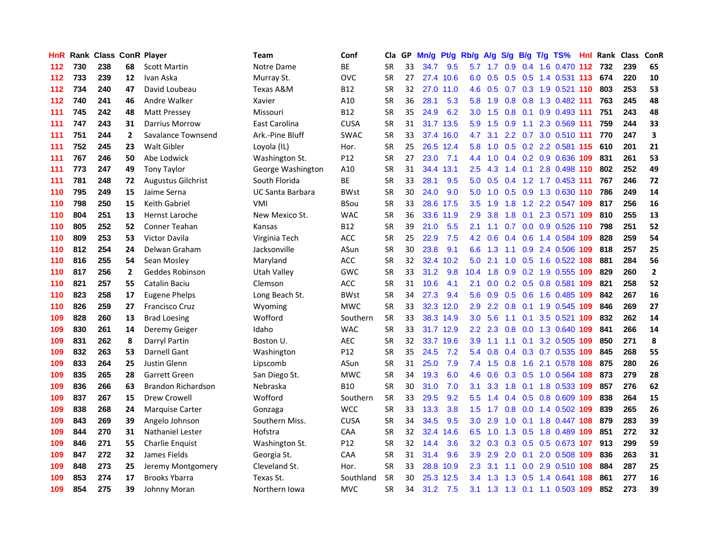| HnR. |     | <b>Rank Class ConR Player</b> |              |                           | Team                    | Conf            | Cla       |    | GP Mn/g Pt/g Rb/g |           |                  | <b>A/g</b>    |     |     | S/g B/g T/g TS%               | Hnl | Rank Class |     | ConR         |
|------|-----|-------------------------------|--------------|---------------------------|-------------------------|-----------------|-----------|----|-------------------|-----------|------------------|---------------|-----|-----|-------------------------------|-----|------------|-----|--------------|
| 112  | 730 | 238                           | 68           | <b>Scott Martin</b>       | Notre Dame              | <b>BE</b>       | <b>SR</b> | 33 | 34.7              | 9.5       | 5.7              | 1.7           | 0.9 | 0.4 | 1.6 0.470                     | 112 | 732        | 239 | 65           |
| 112  | 733 | 239                           | 12           | Ivan Aska                 | Murray St.              | <b>OVC</b>      | <b>SR</b> | 27 | 27.4              | 10.6      | 6.0              | 0.5           | 0.5 | 0.5 | 1.4 0.531 113                 |     | 674        | 220 | 10           |
| 112  | 734 | 240                           | 47           | David Loubeau             | Texas A&M               | <b>B12</b>      | <b>SR</b> | 32 | 27.0              | 11.0      | 4.6              | 0.5           | 0.7 |     | 0.3 1.9 0.521 110             |     | 803        | 253 | 53           |
| 112  | 740 | 241                           | 46           | Andre Walker              | Xavier                  | A10             | <b>SR</b> | 36 | 28.1              | 5.3       | 5.8              | 1.9           |     |     | 0.8 0.8 1.3 0.482 111         |     | 763        | 245 | 48           |
| 111  | 745 | 242                           | 48           | Matt Pressey              | Missouri                | <b>B12</b>      | <b>SR</b> | 35 | 24.9              | 6.2       | 3.0 <sub>1</sub> | 1.5           |     |     | 0.8 0.1 0.9 0.493 111         |     | 751        | 243 | 48           |
| 111  | 747 | 243                           | 31           | <b>Darrius Morrow</b>     | East Carolina           | <b>CUSA</b>     | <b>SR</b> | 31 |                   | 31.7 13.5 | 5.9              | 1.5           | 0.9 |     | 1.1 2.3 0.569 111             |     | 759        | 244 | 33           |
| 111  | 751 | 244                           | $\mathbf{2}$ | Savalance Townsend        | Ark.-Pine Bluff         | <b>SWAC</b>     | <b>SR</b> | 33 |                   | 37.4 16.0 | 4.7              | 3.1           |     |     | 2.2 0.7 3.0 0.510 111         |     | 770        | 247 | 3            |
| 111  | 752 | 245                           | 23           | <b>Walt Gibler</b>        | Loyola (IL)             | Hor.            | <b>SR</b> | 25 |                   | 26.5 12.4 | 5.8              | 1.0           |     |     | 0.5 0.2 2.2 0.581 115         |     | 610        | 201 | 21           |
| 111  | 767 | 246                           | 50           | Abe Lodwick               | Washington St.          | P12             | <b>SR</b> | 27 | 23.0              | 7.1       | 4.4              | 1.0           |     |     | 0.4 0.2 0.9 0.636 109         |     | 831        | 261 | 53           |
| 111  | 773 | 247                           | 49           | <b>Tony Taylor</b>        | George Washington       | A10             | <b>SR</b> | 31 | 34.4              | 13.1      | 2.5              | 4.3           | 1.4 | 0.1 | 2.8 0.498 110                 |     | 802        | 252 | 49           |
| 111  | 781 | 248                           | 72           | <b>Augustus Gilchrist</b> | South Florida           | <b>BE</b>       | <b>SR</b> | 33 | 28.1              | 9.5       | 5.0              | 0.5           | 0.4 |     | 1.2 1.7 0.453 111             |     | 767        | 246 | 72           |
| 110  | 795 | 249                           | 15           | Jaime Serna               | <b>UC Santa Barbara</b> | <b>BWst</b>     | <b>SR</b> | 30 | 24.0              | 9.0       | 5.0              | 1.0           | 0.5 |     | 0.9 1.3 0.630 110             |     | 786        | 249 | 14           |
| 110  | 798 | 250                           | 15           | <b>Keith Gabriel</b>      | VMI                     | <b>BSou</b>     | <b>SR</b> | 33 |                   | 28.6 17.5 | $3.5^{\circ}$    | 1.9           | 1.8 | 1.2 | 2.2 0.547 109                 |     | 817        | 256 | 16           |
| 110  | 804 | 251                           | 13           | Hernst Laroche            | New Mexico St.          | <b>WAC</b>      | SR        | 36 |                   | 33.6 11.9 | 2.9              | 3.8           | 1.8 | 0.1 | 2.3 0.571 109                 |     | 810        | 255 | 13           |
| 110  | 805 | 252                           | 52           | Conner Teahan             | Kansas                  | <b>B12</b>      | SR        | 39 | 21.0              | 5.5       | 2.1              | 1.1           | 0.7 | 0.0 | 0.9 0.526 110                 |     | 798        | 251 | 52           |
| 110  | 809 | 253                           | 53           | <b>Victor Davila</b>      | Virginia Tech           | <b>ACC</b>      | <b>SR</b> | 25 | 22.9              | 7.5       | 4.2              | 0.6           | 0.4 | 0.6 | 1.4 0.584 109                 |     | 828        | 259 | 54           |
| 110  | 812 | 254                           | 24           | Delwan Graham             | Jacksonville            | ASun            | <b>SR</b> | 30 | 23.8              | 9.1       | 6.6              | 1.3           | 1.1 |     | 0.9 2.4 0.506 109             |     | 818        | 257 | 25           |
| 110  | 816 | 255                           | 54           | Sean Mosley               | Maryland                | <b>ACC</b>      | <b>SR</b> | 32 | 32.4              | 10.2      | 5.0              | 2.1           |     |     | 1.0 0.5 1.6 0.522 108         |     | 881        | 284 | 56           |
| 110  | 817 | 256                           | $\mathbf{2}$ | Geddes Robinson           | Utah Valley             | <b>GWC</b>      | <b>SR</b> | 33 | 31.2              | 9.8       | 10.4             | 1.8           |     |     | 0.9 0.2 1.9 0.555 109         |     | 829        | 260 | $\mathbf{2}$ |
| 110  | 821 | 257                           | 55           | Catalin Baciu             | Clemson                 | <b>ACC</b>      | <b>SR</b> | 31 | 10.6              | 4.1       | 2.1              |               |     |     | 0.0 0.2 0.5 0.8 0.581 109     |     | 821        | 258 | 52           |
| 110  | 823 | 258                           | 17           | Eugene Phelps             | Long Beach St.          | <b>BWst</b>     | <b>SR</b> | 34 | 27.3              | 9.4       | 5.6              | 0.9           |     |     | 0.5 0.6 1.6 0.485 109         |     | 842        | 267 | 16           |
| 110  | 826 | 259                           | 27           | <b>Francisco Cruz</b>     | Wyoming                 | <b>MWC</b>      | <b>SR</b> | 33 |                   | 32.3 12.0 | 2.9              | $2.2^{\circ}$ | 0.8 |     | 0.1 1.9 0.545 109             |     | 846        | 269 | 27           |
| 109  | 828 | 260                           | 13           | <b>Brad Loesing</b>       | Wofford                 | Southern        | <b>SR</b> | 33 |                   | 38.3 14.9 | 3.0 <sub>1</sub> | 5.6           | 1.1 | 0.1 | 3.5 0.521                     | 109 | 832        | 262 | 14           |
| 109  | 830 | 261                           | 14           | Deremy Geiger             | Idaho                   | <b>WAC</b>      | <b>SR</b> | 33 |                   | 31.7 12.9 | 2.2 <sub>2</sub> | 2.3           | 0.8 |     | 0.0 1.3 0.640 109             |     | 841        | 266 | 14           |
| 109  | 831 | 262                           | 8            | Darryl Partin             | Boston U.               | <b>AEC</b>      | <b>SR</b> | 32 |                   | 33.7 19.6 | 3.9              | 1.1           | 1.1 | 0.1 | 3.2 0.505 109                 |     | 850        | 271 | 8            |
| 109  | 832 | 263                           | 53           | Darnell Gant              | Washington              | P <sub>12</sub> | <b>SR</b> | 35 | 24.5              | 7.2       | 5.4              | 0.8           | 0.4 |     | 0.3 0.7 0.535 109             |     | 845        | 268 | 55           |
| 109  | 833 | 264                           | 25           | Justin Glenn              | Lipscomb                | ASun            | <b>SR</b> | 31 | 25.0              | 7.9       | 7.4              | 1.5           | 0.8 | 1.6 | 2.1 0.578                     | 108 | 875        | 280 | 26           |
| 109  | 835 | 265                           | 28           | Garrett Green             | San Diego St.           | <b>MWC</b>      | <b>SR</b> | 34 | 19.3              | 6.0       | 4.6              | 0.6           | 0.3 | 0.5 | 1.0 0.564 108                 |     | 873        | 279 | 28           |
| 109  | 836 | 266                           | 63           | <b>Brandon Richardson</b> | Nebraska                | <b>B10</b>      | <b>SR</b> | 30 | 31.0              | 7.0       | 3.1              | 3.3           | 1.8 | 0.1 | 1.8 0.533 109                 |     | 857        | 276 | 62           |
| 109  | 837 | 267                           | 15           | Drew Crowell              | Wofford                 | Southern        | <b>SR</b> | 33 | 29.5              | 9.2       | $5.5^{\circ}$    | 1.4           | 0.4 | 0.5 | 0.8 0.609 109                 |     | 838        | 264 | 15           |
| 109  | 838 | 268                           | 24           | <b>Marquise Carter</b>    | Gonzaga                 | <b>WCC</b>      | SR        | 33 | 13.3              | 3.8       | 1.5 <sub>1</sub> | 1.7           |     |     | 0.8 0.0 1.4 0.502 109         |     | 839        | 265 | 26           |
| 109  | 843 | 269                           | 39           | Angelo Johnson            | Southern Miss.          | <b>CUSA</b>     | <b>SR</b> | 34 | 34.5              | 9.5       | 3.0 <sub>1</sub> | 2.9           |     |     | 1.0 0.1 1.8 0.447 108         |     | 879        | 283 | 39           |
| 109  | 844 | 270                           | 31           | <b>Nathaniel Lester</b>   | Hofstra                 | CAA             | <b>SR</b> | 32 | 32.4              | 14.6      | 6.5              | 1.0           |     |     | 1.3 0.5 1.8 0.489 109         |     | 851        | 272 | 32           |
| 109  | 846 | 271                           | 55           | Charlie Enquist           | Washington St.          | P12             | <b>SR</b> | 32 | 14.4              | 3.6       | 3.2 <sub>2</sub> | 0.3           |     |     | 0.3 0.5 0.5 0.673 107         |     | 913        | 299 | 59           |
| 109  | 847 | 272                           | 32           | James Fields              | Georgia St.             | CAA             | SR        | 31 | 31.4              | 9.6       | 3.9              | 2.9           | 2.0 | 0.1 | 2.0 0.508 109                 |     | 836        | 263 | 31           |
| 109  | 848 | 273                           | 25           | Jeremy Montgomery         | Cleveland St.           | Hor.            | <b>SR</b> | 33 | 28.8              | 10.9      | 2.3              | 3.1           | 1.1 | 0.0 | 2.9 0.510 108                 |     | 884        | 287 | 25           |
| 109  | 853 | 274                           | 17           | <b>Brooks Ybarra</b>      | Texas St.               | Southland       | <b>SR</b> | 30 | 25.3              | 12.5      | 3.4              | 1.3           | 1.3 | 0.5 | 1.4 0.641                     | 108 | 861        | 277 | 16           |
| 109  | 854 | 275                           | 39           | Johnny Moran              | Northern Iowa           | <b>MVC</b>      | <b>SR</b> | 34 | 31.2              | 7.5       |                  |               |     |     | 3.1 1.3 1.3 0.1 1.1 0.503 109 |     | 852        | 273 | 39           |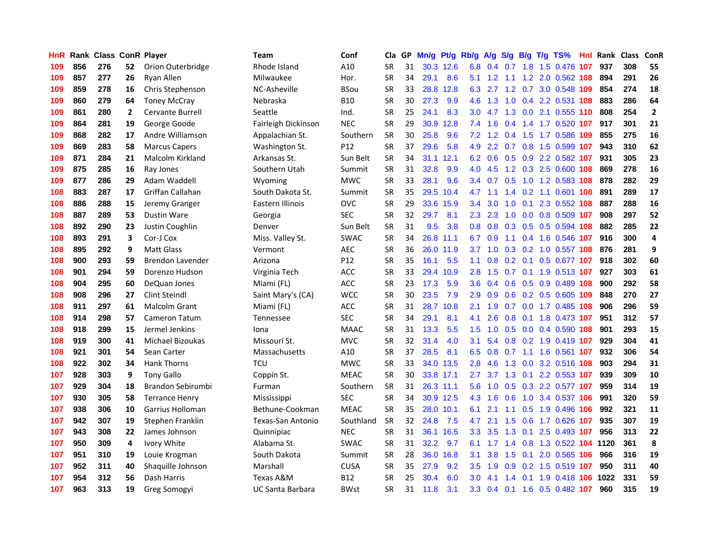| HnR. |     | Rank Class ConR Player |              |                         | Team                | Conf            | Cla       |    | GP Mn/g | Pt/g      | Rb/g A/g         |                 |        |                 | S/g B/g T/g TS%               | Hnl | Rank Class |     | ConR           |
|------|-----|------------------------|--------------|-------------------------|---------------------|-----------------|-----------|----|---------|-----------|------------------|-----------------|--------|-----------------|-------------------------------|-----|------------|-----|----------------|
| 109  | 856 | 276                    | 52           | Orion Outerbridge       | Rhode Island        | A10             | <b>SR</b> | 31 |         | 30.3 12.6 | 6.8              | 0.4             | 0.7    | 1.8             | 1.5 0.476                     | 107 | 937        | 308 | 55             |
| 109  | 857 | 277                    | 26           | Ryan Allen              | Milwaukee           | Hor.            | <b>SR</b> | 34 | 29.1    | 8.6       | 5.1              | 1.2             | $-1.1$ | 1.2             | 2.0 0.562 108                 |     | 894        | 291 | 26             |
| 109  | 859 | 278                    | 16           | Chris Stephenson        | NC-Asheville        | <b>BSou</b>     | <b>SR</b> | 33 | 28.8    | 12.8      | 6.3              | 2.7             |        |                 | 1.2 0.7 3.0 0.548 109         |     | 854        | 274 | 18             |
| 109  | 860 | 279                    | 64           | <b>Toney McCray</b>     | Nebraska            | B10             | <b>SR</b> | 30 | 27.3    | 9.9       | 4.6              | 1.3             |        |                 | 1.0 0.4 2.2 0.531 108         |     | 883        | 286 | 64             |
| 109  | 861 | 280                    | $\mathbf{2}$ | <b>Cervante Burrell</b> | Seattle             | Ind.            | <b>SR</b> | 25 | 24.1    | 8.3       | 3.0 <sub>1</sub> |                 |        |                 | 4.7 1.3 0.0 2.1 0.555 110     |     | 808        | 254 | $\overline{2}$ |
| 109  | 864 | 281                    | 19           | George Goode            | Fairleigh Dickinson | <b>NEC</b>      | <b>SR</b> | 29 | 30.9    | 12.8      | 7.4              | 1.6             |        |                 | 0.4 1.4 1.7 0.520 107         |     | 917        | 301 | 21             |
| 109  | 868 | 282                    | 17           | Andre Williamson        | Appalachian St.     | Southern        | <b>SR</b> | 30 | 25.8    | 9.6       |                  |                 |        |                 | 7.2 1.2 0.4 1.5 1.7 0.586 109 |     | 855        | 275 | 16             |
| 109  | 869 | 283                    | 58           | <b>Marcus Capers</b>    | Washington St.      | P12             | SR        | 37 | 29.6    | 5.8       | 4.9              | 2.2             |        |                 | 0.7 0.8 1.5 0.599 107         |     | 943        | 310 | 62             |
| 109  | 871 | 284                    | 21           | Malcolm Kirkland        | Arkansas St.        | Sun Belt        | <b>SR</b> | 34 | 31.1    | 12.1      |                  | 6.2 0.6         |        |                 | 0.5 0.9 2.2 0.582 107         |     | 931        | 305 | 23             |
| 109  | 875 | 285                    | 16           | Ray Jones               | Southern Utah       | Summit          | <b>SR</b> | 31 | 32.8    | 9.9       | 4.0              | 4.5             |        |                 | 1.2 0.3 2.5 0.600 108         |     | 869        | 278 | 16             |
| 109  | 877 | 286                    | 29           | Adam Waddell            | Wyoming             | <b>MWC</b>      | SR        | 33 | 28.1    | 9.6       |                  | 3.4 0.7         | 0.5    |                 | 1.0 1.2 0.583 108             |     | 878        | 282 | 29             |
| 108  | 883 | 287                    | 17           | Griffan Callahan        | South Dakota St.    | Summit          | SR        | 35 |         | 29.5 10.4 | 4.7              | 1.1             | 1.4    |                 | 0.2 1.1 0.601 108             |     | 891        | 289 | 17             |
| 108  | 886 | 288                    | 15           | Jeremy Granger          | Eastern Illinois    | OVC             | <b>SR</b> | 29 | 33.6    | 15.9      | $3.4^{\circ}$    | 3.0             | 1.0    | 0.1             | 2.3 0.552 108                 |     | 887        | 288 | 16             |
| 108  | 887 | 289                    | 53           | <b>Dustin Ware</b>      | Georgia             | SEC             | <b>SR</b> | 32 | 29.7    | 8.1       | $2.3^{\circ}$    | 2.3             | 1.0    |                 | 0.0 0.8 0.509 107             |     | 908        | 297 | 52             |
| 108  | 892 | 290                    | 23           | Justin Coughlin         | Denver              | Sun Belt        | <b>SR</b> | 31 | 9.5     | 3.8       | 0.8 <sub>0</sub> | 0.8             | 0.3    | 0.5             | 0.5 0.594 108                 |     | 882        | 285 | 22             |
| 108  | 893 | 291                    | 3            | Cor-J Cox               | Miss. Valley St.    | <b>SWAC</b>     | <b>SR</b> | 34 |         | 26.8 11.1 | 6.7              | 0.9             | 1.1    |                 | 0.4 1.6 0.546 107             |     | 916        | 300 | 4              |
| 108  | 895 | 292                    | 9            | <b>Matt Glass</b>       | Vermont             | AEC             | <b>SR</b> | 36 |         | 26.0 11.9 |                  |                 |        |                 | 3.7 1.0 0.3 0.2 1.0 0.557 108 |     | 876        | 281 | 9              |
| 108  | 900 | 293                    | 59           | <b>Brendon Lavender</b> | Arizona             | P <sub>12</sub> | <b>SR</b> | 35 | 16.1    | 5.5       |                  |                 |        |                 | 1.1 0.8 0.2 0.1 0.5 0.677 107 |     | 918        | 302 | 60             |
| 108  | 901 | 294                    | 59           | Dorenzo Hudson          | Virginia Tech       | <b>ACC</b>      | <b>SR</b> | 33 | 29.4    | 10.9      | 2.8 <sup>°</sup> |                 |        |                 | 1.5 0.7 0.1 1.9 0.513 107     |     | 927        | 303 | 61             |
| 108  | 904 | 295                    | 60           | DeQuan Jones            | Miami (FL)          | <b>ACC</b>      | SR        | 23 | 17.3    | 5.9       |                  |                 |        |                 | 3.6 0.4 0.6 0.5 0.9 0.489 108 |     | 900        | 292 | 58             |
| 108  | 908 | 296                    | 27           | <b>Clint Steindl</b>    | Saint Mary's (CA)   | <b>WCC</b>      | <b>SR</b> | 30 | 23.5    | 7.9       | 2.9 <sup>°</sup> | 0.9             |        |                 | 0.6 0.2 0.5 0.605 109         |     | 848        | 270 | 27             |
| 108  | 911 | 297                    | 61           | Malcolm Grant           | Miami (FL)          | <b>ACC</b>      | <b>SR</b> | 31 |         | 28.7 10.8 | 2.1              | 1.9             |        |                 | 0.7 0.0 1.7 0.485 108         |     | 906        | 296 | 59             |
| 108  | 914 | 298                    | 57           | <b>Cameron Tatum</b>    | Tennessee           | <b>SEC</b>      | <b>SR</b> | 34 | 29.1    | 8.1       | 4.1              | 2.6             | 0.8    |                 | 0.1 1.8 0.473 107             |     | 951        | 312 | 57             |
| 108  | 918 | 299                    | 15           | Jermel Jenkins          | Iona                | <b>MAAC</b>     | SR        | 31 | 13.3    | 5.5       | 1.5 <sub>1</sub> | 1.0             |        |                 | 0.5 0.0 0.4 0.590 108         |     | 901        | 293 | 15             |
| 108  | 919 | 300                    | 41           | Michael Bizoukas        | Missouri St.        | <b>MVC</b>      | <b>SR</b> | 32 | 31.4    | 4.0       | 3.1              | 5.4             |        |                 | 0.8 0.2 1.9 0.419 107         |     | 929        | 304 | 41             |
| 108  | 921 | 301                    | 54           | Sean Carter             | Massachusetts       | A10             | <b>SR</b> | 37 | 28.5    | 8.1       |                  | $6.5 \quad 0.8$ | 0.7    | 1.1             | 1.6 0.561 107                 |     | 932        | 306 | 54             |
| 108  | 922 | 302                    | 34           | <b>Hank Thorns</b>      | <b>TCU</b>          | <b>MWC</b>      | <b>SR</b> | 33 |         | 34.0 13.5 | 2.8              | 4.6             | 1.3    | 0.0             | 3.2 0.516 108                 |     | 903        | 294 | 31             |
| 107  | 928 | 303                    | 9            | <b>Tony Gallo</b>       | Coppin St.          | <b>MEAC</b>     | <b>SR</b> | 30 |         | 33.8 17.1 | 2.7              | 3.7             | 1.3    |                 | 0.1 2.2 0.553 107             |     | 939        | 309 | 10             |
| 107  | 929 | 304                    | 18           | Brandon Sebirumbi       | Furman              | Southern        | <b>SR</b> | 31 |         | 26.3 11.1 | 5.6              | 1.0             | 0.5    |                 | 0.3 2.2 0.577 107             |     | 959        | 314 | 19             |
| 107  | 930 | 305                    | 58           | <b>Terrance Henry</b>   | Mississippi         | <b>SEC</b>      | <b>SR</b> | 34 |         | 30.9 12.5 | 4.3              | 1.6             | 0.6    |                 | 1.0 3.4 0.537 106             |     | 991        | 320 | 59             |
| 107  | 938 | 306                    | 10           | Garrius Holloman        | Bethune-Cookman     | <b>MEAC</b>     | <b>SR</b> | 35 | 28.0    | 10.1      | 6.1              | 2.1             | 1.1    | 0.5             | 1.9 0.496 106                 |     | 992        | 321 | 11             |
| 107  | 942 | 307                    | 19           | Stephen Franklin        | Texas-San Antonio   | Southland       | <b>SR</b> | 32 | 24.8    | 7.5       | 4.7              | 2.1             |        |                 | 1.5 0.6 1.7 0.626 107         |     | 935        | 307 | 19             |
| 107  | 943 | 308                    | 22           | James Johnson           | Quinnipiac          | <b>NEC</b>      | <b>SR</b> | 31 |         | 36.1 16.5 |                  | $3.3 \quad 3.5$ |        |                 | 1.3 0.1 2.5 0.493 107         |     | 956        | 313 | 22             |
| 107  | 950 | 309                    | 4            | Ivory White             | Alabama St.         | <b>SWAC</b>     | <b>SR</b> | 31 | 32.2    | 9.7       | 6.1              | 1.7             |        | $1.4 \quad 0.8$ | 1.3 0.522 104 1120            |     |            | 361 | 8              |
| 107  | 951 | 310                    | 19           | Louie Krogman           | South Dakota        | Summit          | <b>SR</b> | 28 | 36.0    | 16.8      | 3.1              | 3.8             | 1.5    | 0.1             | 2.0 0.565 106                 |     | 966        | 316 | 19             |
| 107  | 952 | 311                    | 40           | Shaquille Johnson       | Marshall            | <b>CUSA</b>     | <b>SR</b> | 35 | 27.9    | 9.2       | 3.5              | 1.9             | 0.9    |                 | 0.2 1.5 0.519 107             |     | 950        | 311 | 40             |
| 107  | 954 | 312                    | 56           | Dash Harris             | Texas A&M           | <b>B12</b>      | <b>SR</b> | 25 | 30.4    | 6.0       | 3.0              | 4.1             | 1.4    | 0.1             | 1.9 0.418                     | 106 | 1022       | 331 | 59             |
| 107  | 963 | 313                    | 19           | Greg Somogyi            | UC Santa Barbara    | BWst            | SR        | 31 | 11.8    | 3.1       | 3.3 <sub>1</sub> |                 |        |                 | 0.4 0.1 1.6 0.5 0.482 107     |     | 960        | 315 | 19             |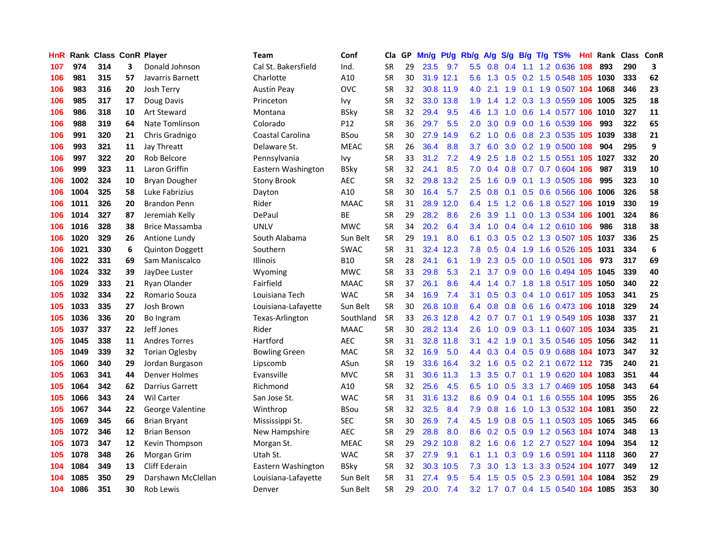| HnR. |      | Rank Class ConR Player |    |                        | <b>Team</b>          | Conf        | Cla       |    | GP Mn/g |           | Pt/g Rb/g        | <b>A/g</b> | S/g              |     | B/g T/g TS%                        | Hnl | Rank Class ConR |     |    |
|------|------|------------------------|----|------------------------|----------------------|-------------|-----------|----|---------|-----------|------------------|------------|------------------|-----|------------------------------------|-----|-----------------|-----|----|
| 107  | 974  | 314                    | 3  | Donald Johnson         | Cal St. Bakersfield  | Ind.        | SR        | 29 | 23.5    | 9.7       | 5.5              | 0.8        | 0.4              | 1.1 | 1.2 0.636                          | 108 | 893             | 290 | 3  |
| 106  | 981  | 315                    | 57 | Javarris Barnett       | Charlotte            | A10         | <b>SR</b> | 30 | 31.9    | 12.1      | $5.6^{\circ}$    | 1.3        | 0.5              | 0.2 | 1.5 0.548 105                      |     | 1030            | 333 | 62 |
| 106  | 983  | 316                    | 20 | Josh Terry             | <b>Austin Peay</b>   | <b>OVC</b>  | <b>SR</b> | 32 |         | 30.8 11.9 | 4.0              | 2.1        | 1.9              | 0.1 | 1.9 0.507 104 1068                 |     |                 | 346 | 23 |
| 106  | 985  | 317                    | 17 | Doug Davis             | Princeton            | lvy         | SR        | 32 |         | 33.0 13.8 | 1.9              | 1.4        |                  |     | 1.2 0.3 1.3 0.559 106              |     | 1005            | 325 | 18 |
| 106  | 986  | 318                    | 10 | <b>Art Steward</b>     | Montana              | BSky        | SR        | 32 | 29.4    | 9.5       | 4.6              | 1.3        |                  |     | 1.0 0.6 1.4 0.577 106              |     | 1010            | 327 | 11 |
| 106  | 988  | 319                    | 64 | Nate Tomlinson         | Colorado             | P12         | SR        | 36 | 29.7    | 5.5       | $2.0^{\circ}$    | 3.0        |                  |     | 0.9 0.0 1.6 0.539 106              |     | 993             | 322 | 65 |
| 106  | 991  | 320                    | 21 | Chris Gradnigo         | Coastal Carolina     | <b>BSou</b> | <b>SR</b> | 30 | 27.9    | 14.9      | 6.2              | 1.0        | 0.6              |     | 0.8 2.3 0.535 105                  |     | 1039            | 338 | 21 |
| 106  | 993  | 321                    | 11 | Jay Threatt            | Delaware St.         | <b>MEAC</b> | <b>SR</b> | 26 | 36.4    | 8.8       | 3.7              | 6.0        | 3.0 <sub>2</sub> |     | 0.2 1.9 0.500 108                  |     | 904             | 295 | 9  |
| 106  | 997  | 322                    | 20 | Rob Belcore            | Pennsylvania         | lvy         | <b>SR</b> | 33 | 31.2    | 7.2       | 4.9              | 2.5        | 1.8              |     | $0.2$ 1.5 $0.551$                  | 105 | 1027            | 332 | 20 |
| 106  | 999  | 323                    | 11 | Laron Griffin          | Eastern Washington   | BSkv        | <b>SR</b> | 32 | 24.1    | 8.5       | 7.0              | 0.4        | 0.8              |     | 0.7 0.7 0.604 106                  |     | 987             | 319 | 10 |
| 106  | 1002 | 324                    | 10 | Bryan Dougher          | Stony Brook          | <b>AEC</b>  | SR        | 32 | 29.8    | 13.2      | $2.5^{\circ}$    | 1.6        | 0.9              | 0.1 | 1.3 0.505                          | 106 | 995             | 323 | 10 |
| 106  | 1004 | 325                    | 58 | Luke Fabrizius         | Dayton               | A10         | <b>SR</b> | 30 | 16.4    | 5.7       | 2.5              | 0.8        | 0.1              |     | $0.5$ 0.6 0.566                    | 106 | 1006            | 326 | 58 |
| 106  | 1011 | 326                    | 20 | <b>Brandon Penn</b>    | Rider                | <b>MAAC</b> | <b>SR</b> | 31 | 28.9    | 12.0      | 6.4              | 1.5        | 1.2              | 0.6 | 1.8 0.527                          | 106 | 1019            | 330 | 19 |
| 106  | 1014 | 327                    | 87 | Jeremiah Kelly         | DePaul               | ВE          | <b>SR</b> | 29 | 28.2    | 8.6       | 2.6              | 3.9        | 1.1              |     | 0.0 1.3 0.534 106                  |     | 1001            | 324 | 86 |
| 106  | 1016 | 328                    | 38 | Brice Massamba         | <b>UNLV</b>          | <b>MWC</b>  | <b>SR</b> | 34 | 20.2    | 6.4       | 3.4              | 1.0        | $0.4^{\circ}$    |     | $0.4$ 1.2 0.610                    | 106 | 986             | 318 | 38 |
| 106  | 1020 | 329                    | 26 | Antione Lundy          | South Alabama        | Sun Belt    | <b>SR</b> | 29 | 19.1    | 8.0       | 6.1              | 0.3        | 0.5              |     | 0.2 1.3 0.507 105                  |     | 1037            | 336 | 25 |
| 106  | 1021 | 330                    | 6  | <b>Quinton Doggett</b> | Southern             | <b>SWAC</b> | <b>SR</b> | 31 | 32.4    | 12.3      | 7.8              | 0.5        | 0.4              | 1.9 | 1.6 0.526 105                      |     | 1031            | 334 | 6  |
| 106  | 1022 | 331                    | 69 | Sam Maniscalco         | Illinois             | B10         | SR        | 28 | 24.1    | 6.1       | 1.9              |            |                  |     | 2.3 0.5 0.0 1.0 0.501 106          |     | 973             | 317 | 69 |
| 106  | 1024 | 332                    | 39 | JayDee Luster          | Wyoming              | <b>MWC</b>  | SR        | 33 | 29.8    | 5.3       | 2.1              |            |                  |     | 3.7 0.9 0.0 1.6 0.494 105          |     | 1045            | 339 | 40 |
| 105  | 1029 | 333                    | 21 | Ryan Olander           | Fairfield            | <b>MAAC</b> | SR        | 37 | 26.1    | 8.6       | 4.4              | 1.4        |                  |     | 0.7 1.8 1.8 0.517 105 1050         |     |                 | 340 | 22 |
| 105  | 1032 | 334                    | 22 | Romario Souza          | Louisiana Tech       | <b>WAC</b>  | <b>SR</b> | 34 | 16.9    | 7.4       | 3.1              | 0.5        |                  |     | 0.3 0.4 1.0 0.617 105 1053         |     |                 | 341 | 25 |
| 105  | 1033 | 335                    | 27 | Josh Brown             | Louisiana-Lafayette  | Sun Belt    | SR        | 30 | 26.8    | 10.8      | 6.4              | 0.8        |                  |     | 0.8 0.6 1.6 0.473 106              |     | 1018            | 329 | 24 |
| 105  | 1036 | 336                    | 20 | Bo Ingram              | Texas-Arlington      | Southland   | <b>SR</b> | 33 |         | 26.3 12.8 |                  | 4.2 0.7    |                  |     | 0.7 0.1 1.9 0.549 105              |     | 1038            | 337 | 21 |
| 105  | 1037 | 337                    | 22 | Jeff Jones             | Rider                | <b>MAAC</b> | SR        | 30 |         | 28.2 13.4 | $2.6^{\circ}$    | 1.0        | 0.9              |     | 0.3 1.1 0.607 105                  |     | 1034            | 335 | 21 |
| 105  | 1045 | 338                    | 11 | <b>Andres Torres</b>   | Hartford             | <b>AEC</b>  | <b>SR</b> | 31 |         | 32.8 11.8 | 3.1              | 4.2        | 1.9              | 0.1 | 3.5 0.546 105                      |     | 1056            | 342 | 11 |
| 105  | 1049 | 339                    | 32 | <b>Torian Oglesby</b>  | <b>Bowling Green</b> | <b>MAC</b>  | <b>SR</b> | 32 | 16.9    | 5.0       | 4.4              | 0.3        |                  |     | 0.4 0.5 0.9 0.688 104 1073         |     |                 | 347 | 32 |
| 105  | 1060 | 340                    | 29 | Jordan Burgason        | Lipscomb             | ASun        | <b>SR</b> | 19 | 33.6    | 16.4      | 3.2 <sub>2</sub> | 1.6        | 0.5              |     | 0.2 2.1 0.672 112                  |     | 735             | 240 | 21 |
| 105  | 1063 | 341                    | 44 | <b>Denver Holmes</b>   | Evansville           | <b>MVC</b>  | SR        | 31 |         | 30.6 11.3 | 1.3              | 3.5        | 0.7              |     | 0.1 1.9 0.620 104 1083             |     |                 | 351 | 44 |
| 105  | 1064 | 342                    | 62 | <b>Darrius Garrett</b> | Richmond             | A10         | <b>SR</b> | 32 | 25.6    | 4.5       | 6.5              | 1.0        | 0.5              | 3.3 | 1.7 0.469 105                      |     | 1058            | 343 | 64 |
| 105  | 1066 | 343                    | 24 | <b>Wil Carter</b>      | San Jose St.         | <b>WAC</b>  | <b>SR</b> | 31 | 31.6    | 13.2      | 8.6              | 0.9        | 0.4              | 0.1 | 1.6 0.555 104 1095                 |     |                 | 355 | 26 |
| 105  | 1067 | 344                    | 22 | George Valentine       | Winthrop             | <b>BSou</b> | <b>SR</b> | 32 | 32.5    | 8.4       | 7.9              | 0.8        | 1.6              |     | 1.0 1.3 0.532 104 1081             |     |                 | 350 | 22 |
| 105  | 1069 | 345                    | 66 | <b>Brian Bryant</b>    | Mississippi St.      | SEC         | <b>SR</b> | 30 | 26.9    | 7.4       | 4.5              | 1.9        |                  |     | 0.8 0.5 1.1 0.503 105 1065         |     |                 | 345 | 66 |
| 105  | 1072 | 346                    | 12 | <b>Brian Benson</b>    | New Hampshire        | <b>AEC</b>  | <b>SR</b> | 29 | 28.8    | 8.0       |                  |            |                  |     | 8.6 0.2 0.5 0.9 1.2 0.563 104 1074 |     |                 | 348 | 13 |
| 105  | 1073 | 347                    | 12 | Kevin Thompson         | Morgan St.           | <b>MEAC</b> | <b>SR</b> | 29 | 29.2    | 10.8      | 8.2              | 1.6        | 0.6              |     | 1.2 2.7 0.527 104 1094             |     |                 | 354 | 12 |
| 105  | 1078 | 348                    | 26 | Morgan Grim            | Utah St.             | <b>WAC</b>  | <b>SR</b> | 37 | 27.9    | 9.1       | 6.1              | 1.1        |                  |     | 0.3 0.9 1.6 0.591 104 1118         |     |                 | 360 | 27 |
| 104  | 1084 | 349                    | 13 | <b>Cliff Ederain</b>   | Eastern Washington   | BSky        | <b>SR</b> | 32 | 30.3    | 10.5      | 7.3              | 3.0        | 1.3              | 1.3 | 3.3 0.524                          |     | 104 1077        | 349 | 12 |
| 104  | 1085 | 350                    | 29 | Darshawn McClellan     | Louisiana-Lafayette  | Sun Belt    | <b>SR</b> | 31 | 27.4    | 9.5       | 5.4              | 1.5        | 0.5              | 0.5 | 2.3 0.591                          | 104 | 1084            | 352 | 29 |
| 104  | 1086 | 351                    | 30 | Rob Lewis              | Denver               | Sun Belt    | SR        | 29 | 20.0    | 7.4       |                  |            |                  |     | 3.2 1.7 0.7 0.4 1.5 0.540 104 1085 |     |                 | 353 | 30 |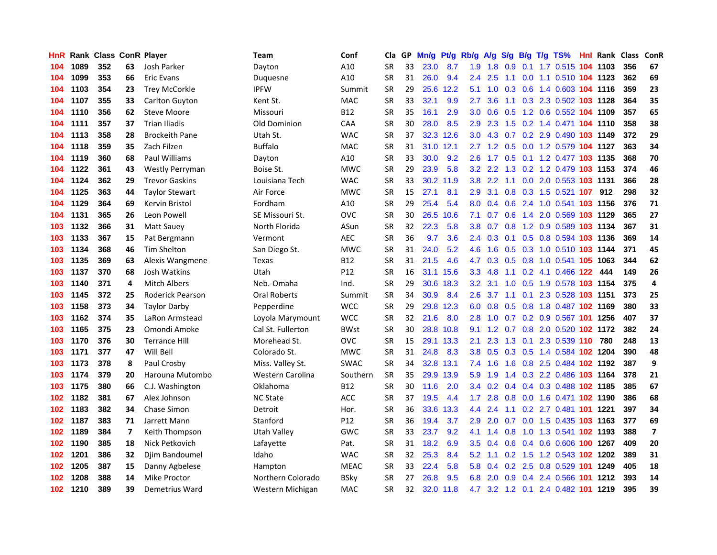| HnR |      | <b>Rank Class ConR Player</b> |    |                         | Team                | Conf            | Cla       |    | GP Mn/g | Pt/g      | Rb/g             | <b>A/g</b> |     |                 | S/g B/g T/g TS%                | Hnl | Rank Class |     | ConR                    |
|-----|------|-------------------------------|----|-------------------------|---------------------|-----------------|-----------|----|---------|-----------|------------------|------------|-----|-----------------|--------------------------------|-----|------------|-----|-------------------------|
| 104 | 1089 | 352                           | 63 | Josh Parker             | Dayton              | A10             | SR        | 33 | 23.0    | 8.7       | 1.9              | 1.8        | 0.9 | 0.1             | 1.7 0.515 104 1103             |     |            | 356 | 67                      |
| 104 | 1099 | 353                           | 66 | Eric Evans              | Duquesne            | A10             | <b>SR</b> | 31 | 26.0    | 9.4       | 2.4              | 2.5        | 1.1 | 0.0             | 1.1 0.510 104 1123             |     |            | 362 | 69                      |
| 104 | 1103 | 354                           | 23 | <b>Trey McCorkle</b>    | <b>IPFW</b>         | Summit          | <b>SR</b> | 29 | 25.6    | 12.2      | 5.1              | 1.0        | 0.3 | 0.6             | 1.4 0.603 104 1116             |     |            | 359 | 23                      |
| 104 | 1107 | 355                           | 33 | Carlton Guyton          | Kent St.            | MAC             | <b>SR</b> | 33 | 32.1    | 9.9       | 2.7              | 3.6        |     |                 | 1.1 0.3 2.3 0.502 103 1128     |     |            | 364 | 35                      |
| 104 | 1110 | 356                           | 62 | <b>Steve Moore</b>      | Missouri            | <b>B12</b>      | SR        | 35 | 16.1    | 2.9       | 3.0 <sub>1</sub> |            |     |                 | 0.6 0.5 1.2 0.6 0.552 104 1109 |     |            | 357 | 65                      |
| 104 | 1111 | 357                           | 37 | <b>Trian Iliadis</b>    | Old Dominion        | <b>CAA</b>      | SR        | 30 | 28.0    | 8.5       | 2.9              | 2.3        |     |                 | 1.5 0.2 1.4 0.471 104 1110     |     |            | 358 | 38                      |
| 104 | 1113 | 358                           | 28 | <b>Brockeith Pane</b>   | Utah St.            | <b>WAC</b>      | <b>SR</b> | 37 |         | 32.3 12.6 | 3.0 <sub>1</sub> | 4.3        |     |                 | 0.7 0.2 2.9 0.490 103 1149     |     |            | 372 | 29                      |
| 104 | 1118 | 359                           | 35 | Zach Filzen             | <b>Buffalo</b>      | MAC             | <b>SR</b> | 31 |         | 31.0 12.1 | 2.7              | 1.2        |     |                 | 0.5 0.0 1.2 0.579 104 1127     |     |            | 363 | 34                      |
| 104 | 1119 | 360                           | 68 | Paul Williams           | Dayton              | A10             | <b>SR</b> | 33 | 30.0    | 9.2       | 2.6              | 1.7        |     |                 | 0.5 0.1 1.2 0.477 103 1135     |     |            | 368 | 70                      |
| 104 | 1122 | 361                           | 43 | <b>Westly Perryman</b>  | Boise St.           | <b>MWC</b>      | <b>SR</b> | 29 | 23.9    | 5.8       | 3.2              | 2.2        | 1.3 |                 | 0.2 1.2 0.479 103 1153         |     |            | 374 | 46                      |
| 104 | 1124 | 362                           | 29 | <b>Trevor Gaskins</b>   | Louisiana Tech      | <b>WAC</b>      | SR        | 33 |         | 30.2 11.9 | 3.8 <sub>1</sub> | 2.2        | 1.1 |                 | 0.0 2.0 0.553 103 1131         |     |            | 366 | 28                      |
| 104 | 1125 | 363                           | 44 | <b>Taylor Stewart</b>   | Air Force           | <b>MWC</b>      | <b>SR</b> | 15 | 27.1    | 8.1       | 2.9              | 3.1        | 0.8 |                 | 0.3 1.5 0.521 107              |     | 912        | 298 | 32                      |
| 104 | 1129 | 364                           | 69 | Kervin Bristol          | Fordham             | A10             | <b>SR</b> | 29 | 25.4    | 5.4       | 8.0              | 0.4        | 0.6 |                 | 2.4 1.0 0.541 103 1156         |     |            | 376 | 71                      |
| 104 | 1131 | 365                           | 26 | Leon Powell             | SE Missouri St.     | <b>OVC</b>      | <b>SR</b> | 30 | 26.5    | 10.6      | 7.1              | 0.7        | 0.6 | 1.4             | 2.0 0.569 103 1129             |     |            | 365 | 27                      |
| 103 | 1132 | 366                           | 31 | Matt Sauey              | North Florida       | ASun            | <b>SR</b> | 32 | 22.3    | 5.8       | 3.8              | 0.7        | 0.8 |                 | 1.2 0.9 0.589 103 1134         |     |            | 367 | 31                      |
| 103 | 1133 | 367                           | 15 | Pat Bergmann            | Vermont             | <b>AEC</b>      | <b>SR</b> | 36 | 9.7     | 3.6       | $2.4^{\circ}$    | 0.3        | 0.1 | 0.5             | 0.8 0.594 103 1136             |     |            | 369 | 14                      |
| 103 | 1134 | 368                           | 46 | <b>Tim Shelton</b>      | San Diego St.       | <b>MWC</b>      | <b>SR</b> | 31 | 24.0    | 5.2       | 4.6              | 1.6        |     |                 | 0.5 0.3 1.0 0.510 103 1144     |     |            | 371 | 45                      |
| 103 | 1135 | 369                           | 63 | Alexis Wangmene         | Texas               | <b>B12</b>      | SR        | 31 | 21.5    | 4.6       | 4.7              |            |     |                 | 0.3 0.5 0.8 1.0 0.541 105 1063 |     |            | 344 | 62                      |
| 103 | 1137 | 370                           | 68 | Josh Watkins            | Utah                | P <sub>12</sub> | <b>SR</b> | 16 |         | 31.1 15.6 | 3.3 <sub>1</sub> | 4.8        |     |                 | 1.1 0.2 4.1 0.466 122          |     | 444        | 149 | 26                      |
| 103 | 1140 | 371                           | 4  | <b>Mitch Albers</b>     | Neb.-Omaha          | Ind.            | <b>SR</b> | 29 |         | 30.6 18.3 | 3.2 <sub>2</sub> | 3.1        |     |                 | 1.0 0.5 1.9 0.578 103 1154     |     |            | 375 | 4                       |
| 103 | 1145 | 372                           | 25 | <b>Roderick Pearson</b> | <b>Oral Roberts</b> | Summit          | <b>SR</b> | 34 | 30.9    | 8.4       | 2.6              | 3.7        |     |                 | 1.1 0.1 2.3 0.528 103 1151     |     |            | 373 | 25                      |
| 103 | 1158 | 373                           | 34 | <b>Taylor Darby</b>     | Pepperdine          | <b>WCC</b>      | <b>SR</b> | 29 |         | 29.8 12.3 | 6.0              | 0.8        |     |                 | 0.5 0.8 1.8 0.487 102 1169     |     |            | 380 | 33                      |
| 103 | 1162 | 374                           | 35 | LaRon Armstead          | Loyola Marymount    | <b>WCC</b>      | <b>SR</b> | 32 | 21.6    | 8.0       | 2.8              | 1.0        |     |                 | 0.7 0.2 0.9 0.567 101 1256     |     |            | 407 | 37                      |
| 103 | 1165 | 375                           | 23 | Omondi Amoke            | Cal St. Fullerton   | <b>BWst</b>     | <b>SR</b> | 30 |         | 28.8 10.8 | 9.1              | 1.2        |     |                 | 0.7 0.8 2.0 0.520 102 1172     |     |            | 382 | 24                      |
| 103 | 1170 | 376                           | 30 | <b>Terrance Hill</b>    | Morehead St.        | OVC             | <b>SR</b> | 15 |         | 29.1 13.3 | 2.1              | 2.3        |     | $1.3 \quad 0.1$ | 2.3 0.539 110                  |     | 780        | 248 | 13                      |
| 103 | 1171 | 377                           | 47 | Will Bell               | Colorado St.        | <b>MWC</b>      | <b>SR</b> | 31 | 24.8    | 8.3       | 3.8 <sub>1</sub> | 0.5        |     |                 | 0.3 0.5 1.4 0.584 102 1204     |     |            | 390 | 48                      |
| 103 | 1173 | 378                           | 8  | Paul Crosby             | Miss. Valley St.    | <b>SWAC</b>     | <b>SR</b> | 34 |         | 32.8 13.1 | 7.4              | 1.6        | 1.6 | 0.8             | 2.5 0.484 102 1192             |     |            | 387 | 9                       |
| 103 | 1174 | 379                           | 20 | Harouna Mutombo         | Western Carolina    | Southern        | <b>SR</b> | 35 |         | 29.9 13.9 | 5.9              | 1.9        | 1.4 |                 | 0.3 2.2 0.486 103 1164         |     |            | 378 | 21                      |
| 103 | 1175 | 380                           | 66 | C.J. Washington         | Oklahoma            | <b>B12</b>      | <b>SR</b> | 30 | 11.6    | 2.0       | 3.4              | 0.2        |     |                 | 0.4 0.4 0.3 0.488 102 1185     |     |            | 385 | 67                      |
| 102 | 1182 | 381                           | 67 | Alex Johnson            | <b>NC State</b>     | <b>ACC</b>      | <b>SR</b> | 37 | 19.5    | 4.4       | 1.7              | 2.8        | 0.8 |                 | 0.0 1.6 0.471 102 1190         |     |            | 386 | 68                      |
| 102 | 1183 | 382                           | 34 | Chase Simon             | Detroit             | Hor.            | <b>SR</b> | 36 | 33.6    | 13.3      | $4.4^{\circ}$    | 2.4        | 1.1 |                 | 0.2 2.7 0.481 101 1221         |     |            | 397 | 34                      |
| 102 | 1187 | 383                           | 71 | Jarrett Mann            | Stanford            | P <sub>12</sub> | <b>SR</b> | 36 | 19.4    | 3.7       | 2.9              | 2.0        |     |                 | 0.7 0.0 1.5 0.435 103 1163     |     |            | 377 | 69                      |
| 102 | 1189 | 384                           | 7  | Keith Thompson          | Utah Valley         | <b>GWC</b>      | <b>SR</b> | 33 | 23.7    | 9.2       | 4.1              | 1.4        | 0.8 |                 | 1.0 1.3 0.541 102 1193         |     |            | 388 | $\overline{\mathbf{z}}$ |
| 102 | 1190 | 385                           | 18 | Nick Petkovich          | Lafayette           | Pat.            | <b>SR</b> | 31 | 18.2    | 6.9       | $3.5^{\circ}$    | 0.4        | 0.6 |                 | 0.4 0.6 0.606 100 1267         |     |            | 409 | 20                      |
| 102 | 1201 | 386                           | 32 | Djim Bandoumel          | Idaho               | <b>WAC</b>      | SR        | 32 | 25.3    | 8.4       | 5.2              | 1.1        | 0.2 |                 | 1.5 1.2 0.543 102 1202         |     |            | 389 | 31                      |
| 102 | 1205 | 387                           | 15 | Danny Agbelese          | Hampton             | <b>MEAC</b>     | <b>SR</b> | 33 | 22.4    | 5.8       | 5.8              | 0.4        | 0.2 | 2.5             | $0.8$ 0.529 101                |     | 1249       | 405 | 18                      |
| 102 | 1208 | 388                           | 14 | Mike Proctor            | Northern Colorado   | <b>BSky</b>     | <b>SR</b> | 27 | 26.8    | 9.5       | 6.8              | 2.0        | 0.9 | 0.4             | 2.4 0.566                      | 101 | 1212       | 393 | 14                      |
| 102 | 1210 | 389                           | 39 | Demetrius Ward          | Western Michigan    | MAC             | SR        | 32 | 32.0    | 11.8      | 4.7              |            |     |                 | 3.2 1.2 0.1 2.4 0.482 101 1219 |     |            | 395 | 39                      |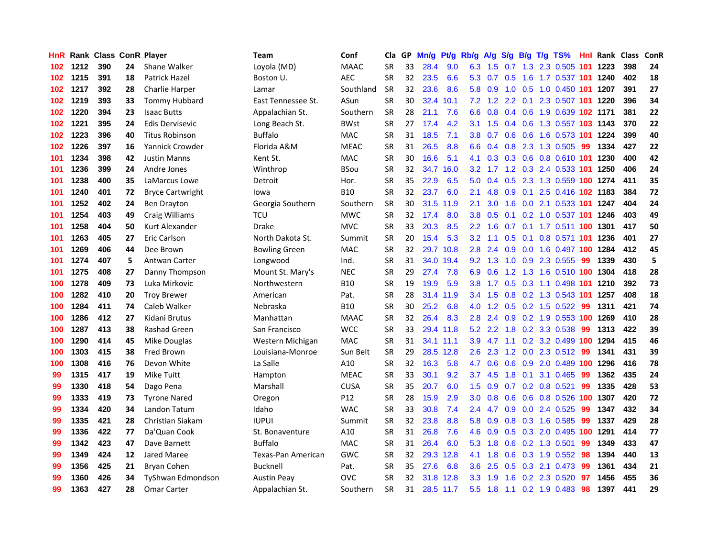| HnR I |      | Rank Class ConR Player |    |                         | Team                 | Conf        | Cla       | GP. | Mn/g | Pt/g      | Rb/g A/g         |                 |                 |                | S/g B/g T/g TS%                | Hnl |      | Rank Class | ConR |
|-------|------|------------------------|----|-------------------------|----------------------|-------------|-----------|-----|------|-----------|------------------|-----------------|-----------------|----------------|--------------------------------|-----|------|------------|------|
| 102   | 1212 | 390                    | 24 | Shane Walker            | Loyola (MD)          | <b>MAAC</b> | <b>SR</b> | 33  | 28.4 | 9.0       | 6.3              | 1.5             | 0.7             | 1.3            | 2.3 0.505                      | 101 | 1223 | 398        | 24   |
| 102   | 1215 | 391                    | 18 | Patrick Hazel           | Boston U.            | <b>AEC</b>  | <b>SR</b> | 32  | 23.5 | 6.6       | 5.3              | 0.7             | 0.5             | 1.6            | 1.7 0.537 101                  |     | 1240 | 402        | 18   |
| 102   | 1217 | 392                    | 28 | Charlie Harper          | Lamar                | Southland   | <b>SR</b> | 32  | 23.6 | 8.6       | 5.8              | 0.9             | 1.0             | 0.5            | 1.0 0.450 101                  |     | 1207 | 391        | 27   |
| 102   | 1219 | 393                    | 33 | <b>Tommy Hubbard</b>    | East Tennessee St.   | ASun        | <b>SR</b> | 30  | 32.4 | 10.1      |                  |                 | 7.2 1.2 2.2 0.1 |                | 2.3 0.507 101 1220             |     |      | 396        | 34   |
| 102   | 1220 | 394                    | 23 | <b>Isaac Butts</b>      | Appalachian St.      | Southern    | <b>SR</b> | 28  | 21.1 | 7.6       | 6.6              |                 |                 |                | 0.8 0.4 0.6 1.9 0.639 102 1171 |     |      | 381        | 22   |
| 102   | 1221 | 395                    | 24 | Edis Dervisevic         | Long Beach St.       | <b>BWst</b> | <b>SR</b> | 27  | 17.4 | 4.2       |                  | $3.1 \quad 1.5$ |                 |                | 0.4 0.6 1.3 0.557 103 1143     |     |      | 370        | 22   |
| 102   | 1223 | 396                    | 40 | <b>Titus Robinson</b>   | <b>Buffalo</b>       | <b>MAC</b>  | <b>SR</b> | 31  | 18.5 | 7.1       | 3.8 <sup>°</sup> |                 |                 |                | 0.7 0.6 0.6 1.6 0.573 101 1224 |     |      | 399        | 40   |
| 102   | 1226 | 397                    | 16 | <b>Yannick Crowder</b>  | Florida A&M          | <b>MEAC</b> | <b>SR</b> | 31  | 26.5 | 8.8       | 6.6              | 0.4             |                 |                | 0.8 2.3 1.3 0.505              | -99 | 1334 | 427        | 22   |
| 101   | 1234 | 398                    | 42 | <b>Justin Manns</b>     | Kent St.             | <b>MAC</b>  | <b>SR</b> | 30  | 16.6 | 5.1       | 4.1              | 0.3             |                 |                | 0.3 0.6 0.8 0.610 101          |     | 1230 | 400        | 42   |
| 101   | 1236 | 399                    | 24 | Andre Jones             | Winthrop             | <b>BSou</b> | <b>SR</b> | 32  | 34.7 | 16.0      | 3.2              | 1.7             |                 |                | 1.2 0.3 2.4 0.533 101          |     | 1250 | 406        | 24   |
| 101   | 1238 | 400                    | 35 | LaMarcus Lowe           | Detroit              | Hor.        | <b>SR</b> | 35  | 22.9 | 6.5       | 5.0              | 0.4             | 0.5             |                | 2.3 1.3 0.559 100              |     | 1274 | 411        | 35   |
| 101   | 1240 | 401                    | 72 | <b>Bryce Cartwright</b> | lowa                 | <b>B10</b>  | <b>SR</b> | 32  | 23.7 | 6.0       | 2.1              | 4.8             |                 | $0.9\quad 0.1$ | 2.5 0.416 102 1183             |     |      | 384        | 72   |
| 101   | 1252 | 402                    | 24 | <b>Ben Drayton</b>      | Georgia Southern     | Southern    | <b>SR</b> | 30  |      | 31.5 11.9 | 2.1              | 3.0             | 1.6             |                | 0.0 2.1 0.533 101              |     | 1247 | 404        | 24   |
| 101   | 1254 | 403                    | 49 | Craig Williams          | <b>TCU</b>           | <b>MWC</b>  | <b>SR</b> | 32  | 17.4 | 8.0       | 3.8 <sub>2</sub> | 0.5             | 0.1             |                | $0.2$ 1.0 0.537 101            |     | 1246 | 403        | 49   |
| 101   | 1258 | 404                    | 50 | Kurt Alexander          | <b>Drake</b>         | <b>MVC</b>  | <b>SR</b> | 33  | 20.3 | 8.5       | $2.2^{\circ}$    | 1.6             | 0.7             |                | 0.1 1.7 0.511 100              |     | 1301 | 417        | 50   |
| 101   | 1263 | 405                    | 27 | Eric Carlson            | North Dakota St.     | Summit      | <b>SR</b> | 20  | 15.4 | 5.3       | 3.2 <sub>2</sub> | 1.1             | 0.5             | 0.1            | 0.8 0.571 101                  |     | 1236 | 401        | 27   |
| 101   | 1269 | 406                    | 44 | Dee Brown               | <b>Bowling Green</b> | <b>MAC</b>  | <b>SR</b> | 32  | 29.7 | 10.8      | 2.8              | 2.4             | 0.9             | 0.0            | 1.6 0.497 100                  |     | 1284 | 412        | 45   |
| 101   | 1274 | 407                    | 5  | <b>Antwan Carter</b>    | Longwood             | Ind.        | <b>SR</b> | 31  |      | 34.0 19.4 |                  | $9.2 \quad 1.3$ | 1.0             |                | 0.9 2.3 0.555                  | -99 | 1339 | 430        | 5    |
| 101   | 1275 | 408                    | 27 | Danny Thompson          | Mount St. Mary's     | <b>NEC</b>  | SR        | 29  | 27.4 | 7.8       | 6.9              | 0.6             |                 |                | 1.2 1.3 1.6 0.510 100 1304     |     |      | 418        | 28   |
| 100   | 1278 | 409                    | 73 | Luka Mirkovic           | Northwestern         | <b>B10</b>  | <b>SR</b> | 19  | 19.9 | 5.9       | 3.8 <sup>°</sup> |                 |                 |                | 1.7 0.5 0.3 1.1 0.498 101      |     | 1210 | 392        | 73   |
| 100   | 1282 | 410                    | 20 | <b>Troy Brewer</b>      | American             | Pat.        | <b>SR</b> | 28  |      | 31.4 11.9 | $3.4^{\circ}$    | 1.5             |                 |                | 0.8 0.2 1.3 0.543 101          |     | 1257 | 408        | 18   |
| 100   | 1284 | 411                    | 74 | Caleb Walker            | Nebraska             | <b>B10</b>  | SR        | 30  | 25.2 | 6.8       | 4.0              | 1.2             |                 |                | $0.5$ 0.2 1.5 0.522            | -99 | 1311 | 421        | 74   |
| 100   | 1286 | 412                    | 27 | Kidani Brutus           | Manhattan            | <b>MAAC</b> | <b>SR</b> | 32  | 26.4 | 8.3       | 2.8              | 2.4             |                 |                | 0.9 0.2 1.9 0.553 100          |     | 1269 | 410        | 28   |
| 100   | 1287 | 413                    | 38 | Rashad Green            | San Francisco        | <b>WCC</b>  | <b>SR</b> | 33  | 29.4 | 11.8      | 5.2              | 2.2             | 1.8             |                | 0.2 3.3 0.538                  | -99 | 1313 | 422        | 39   |
| 100   | 1290 | 414                    | 45 | Mike Douglas            | Western Michigan     | <b>MAC</b>  | <b>SR</b> | 31  |      | 34.1 11.1 | 3.9              | 4.7             | 1.1             |                | 0.2 3.2 0.499 100 1294         |     |      | 415        | 46   |
| 100   | 1303 | 415                    | 38 | Fred Brown              | Louisiana-Monroe     | Sun Belt    | <b>SR</b> | 29  |      | 28.5 12.8 | 2.6              | 2.3             | 1.2             |                | $0.0$ 2.3 $0.512$              | -99 | 1341 | 431        | 39   |
| 100   | 1308 | 416                    | 76 | Devon White             | La Salle             | A10         | <b>SR</b> | 32  | 16.3 | 5.8       | 4.7              | 0.6             | 0.6             | 0.9            | 2.0 0.489 100                  |     | 1296 | 416        | 78   |
| 99    | 1315 | 417                    | 19 | Mike Tuitt              | Hampton              | <b>MEAC</b> | <b>SR</b> | 33  | 30.1 | 9.2       | 3.7              | 4.5             | 1.8             | 0.1            | 3.1 0.465                      | -99 | 1362 | 435        | 24   |
| 99    | 1330 | 418                    | 54 | Dago Pena               | Marshall             | <b>CUSA</b> | SR        | 35  | 20.7 | 6.0       | $1.5^{\circ}$    | 0.9             | 0.7             | 0.2            | 0.8 0.521                      | 99  | 1335 | 428        | 53   |
| 99    | 1333 | 419                    | 73 | <b>Tyrone Nared</b>     | Oregon               | P12         | <b>SR</b> | 28  | 15.9 | 2.9       | 3.0              | 0.8             | 0.6             | 0.6            | 0.8 0.526                      | 100 | 1307 | 420        | 72   |
| 99    | 1334 | 420                    | 34 | Landon Tatum            | Idaho                | <b>WAC</b>  | <b>SR</b> | 33  | 30.8 | 7.4       | 2.4              | 4.7             | 0.9             | 0.0            | 2.4 0.525                      | 99  | 1347 | 432        | 34   |
| 99    | 1335 | 421                    | 28 | Christian Siakam        | <b>IUPUI</b>         | Summit      | <b>SR</b> | 32  | 23.8 | 8.8       | 5.8              | 0.9             |                 |                | 0.8 0.3 1.6 0.585              | -99 | 1337 | 429        | 28   |
| 99    | 1336 | 422                    | 77 | Da'Quan Cook            | St. Bonaventure      | A10         | SR        | 31  | 26.8 | 7.6       | 4.6              | 0.9             |                 |                | 0.5 0.3 2.0 0.495 100          |     | 1291 | 414        | 77   |
| 99    | 1342 | 423                    | 47 | Dave Barnett            | <b>Buffalo</b>       | <b>MAC</b>  | <b>SR</b> | 31  | 26.4 | 6.0       | 5.3              | 1.8             |                 |                | $0.6$ $0.2$ 1.3 $0.501$        | 99  | 1349 | 433        | 47   |
| 99    | 1349 | 424                    | 12 | <b>Jared Maree</b>      | Texas-Pan American   | GWC         | <b>SR</b> | 32  |      | 29.3 12.8 | 4.1              | 1.8             | 0.6             |                | 0.3 1.9 0.552                  | 98  | 1394 | 440        | 13   |
| 99    | 1356 | 425                    | 21 | Bryan Cohen             | <b>Bucknell</b>      | Pat.        | SR        | 35  | 27.6 | 6.8       | 3.6 <sup>°</sup> | 2.5             | 0.5             |                | 0.3 2.1 0.473                  | 99  | 1361 | 434        | 21   |
| 99    | 1360 | 426                    | 34 | TyShwan Edmondson       | Austin Peav          | <b>OVC</b>  | <b>SR</b> | 32  | 31.8 | 12.8      | 3.3 <sub>2</sub> | 1.9             | 1.6             |                | 0.2 2.3 0.520                  | 97  | 1456 | 455        | 36   |
| 99    | 1363 | 427                    | 28 | <b>Omar Carter</b>      | Appalachian St.      | Southern    | <b>SR</b> | 31  |      | 28.5 11.7 | $5.5^{\circ}$    | 1.8             |                 |                | 1.1 0.2 1.9 0.483              | 98  | 1397 | 441        | 29   |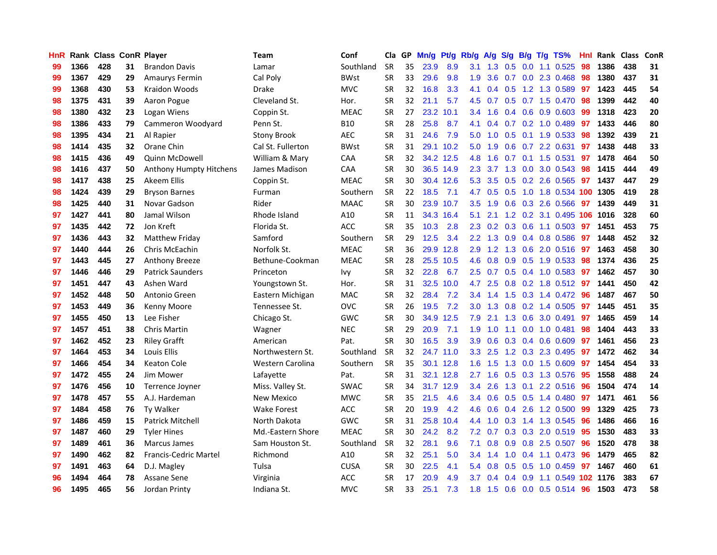| HnR |      | Rank Class ConR Player |    |                              | Team               | Conf        |           | Cla GP | Mn/g Pt/g Rb/g A/g S/g B/g T/g TS% |           |                  |                 |               |                 |                           | Hnl | Rank Class |     | <b>ConR</b> |
|-----|------|------------------------|----|------------------------------|--------------------|-------------|-----------|--------|------------------------------------|-----------|------------------|-----------------|---------------|-----------------|---------------------------|-----|------------|-----|-------------|
| 99  | 1366 | 428                    | 31 | <b>Brandon Davis</b>         | Lamar              | Southland   | <b>SR</b> | 35     | 23.9                               | 8.9       | 3.1              | 1.3             | 0.5           | 0.0             | 1.1 0.525                 | 98  | 1386       | 438 | 31          |
| 99  | 1367 | 429                    | 29 | <b>Amaurys Fermin</b>        | Cal Poly           | <b>BWst</b> | <b>SR</b> | 33     | 29.6                               | 9.8       | 1.9              | 3.6             | 0.7           | 0.0             | 2.3 0.468                 | 98  | 1380       | 437 | 31          |
| 99  | 1368 | 430                    | 53 | Kraidon Woods                | <b>Drake</b>       | <b>MVC</b>  | <b>SR</b> | 32     | 16.8                               | 3.3       | 4.1              | 0.4             | 0.5           | 1.2             | 1.3 0.589                 | 97  | 1423       | 445 | 54          |
| 98  | 1375 | 431                    | 39 | Aaron Pogue                  | Cleveland St.      | Hor.        | <b>SR</b> | 32     | 21.1                               | 5.7       | 4.5              | 0.7             |               |                 | 0.5 0.7 1.5 0.470         | 98  | 1399       | 442 | 40          |
| 98  | 1380 | 432                    | 23 | Logan Wiens                  | Coppin St.         | <b>MEAC</b> | <b>SR</b> | 27     |                                    | 23.2 10.1 | 3.4              | 1.6             |               |                 | $0.4$ 0.6 0.9 0.603       | -99 | 1318       | 423 | 20          |
| 98  | 1386 | 433                    | 79 | Cammeron Woodyard            | Penn St.           | <b>B10</b>  | <b>SR</b> | 28     | 25.8                               | 8.7       | 4.1              | 0.4             |               |                 | $0.7$ $0.2$ 1.0 $0.489$   | -97 | 1433       | 446 | 80          |
| 98  | 1395 | 434                    | 21 | Al Rapier                    | <b>Stony Brook</b> | <b>AEC</b>  | <b>SR</b> | 31     | 24.6                               | 7.9       | 5.0              | 1.0             |               |                 | $0.5$ 0.1 1.9 0.533       | 98  | 1392       | 439 | 21          |
| 98  | 1414 | 435                    | 32 | Orane Chin                   | Cal St. Fullerton  | <b>BWst</b> | <b>SR</b> | 31     |                                    | 29.1 10.2 | 5.0              | 1.9             |               |                 | 0.6 0.7 2.2 0.631         | 97  | 1438       | 448 | 33          |
| 98  | 1415 | 436                    | 49 | <b>Quinn McDowell</b>        | William & Mary     | CAA         | <b>SR</b> | 32     |                                    | 34.2 12.5 | 4.8              | 1.6             | 0.7           |                 | $0.1$ 1.5 0.531           | 97  | 1478       | 464 | 50          |
| 98  | 1416 | 437                    | 50 | Anthony Humpty Hitchens      | James Madison      | CAA         | <b>SR</b> | 30     |                                    | 36.5 14.9 | 2.3              | 3.7             |               | $1.3 \ 0.0$     | 3.0 0.543                 | 98  | 1415       | 444 | 49          |
| 98  | 1417 | 438                    | 25 | Akeem Ellis                  | Coppin St.         | <b>MEAC</b> | <b>SR</b> | 30     |                                    | 30.4 12.6 | 5.3              | 3.5             |               |                 | 0.5 0.2 2.6 0.565         | 97  | 1437       | 447 | 29          |
| 98  | 1424 | 439                    | 29 | <b>Bryson Barnes</b>         | Furman             | Southern    | <b>SR</b> | 22     | 18.5                               | 7.1       | 4.7              | 0.5             | 0.5           |                 | 1.0 1.8 0.534             | 100 | 1305       | 419 | 28          |
| 98  | 1425 | 440                    | 31 | Novar Gadson                 | Rider              | <b>MAAC</b> | <b>SR</b> | 30     |                                    | 23.9 10.7 | 3.5              | 1.9             | 0.6           |                 | 0.3 2.6 0.566             | 97  | 1439       | 449 | 31          |
| 97  | 1427 | 441                    | 80 | Jamal Wilson                 | Rhode Island       | A10         | <b>SR</b> | 11     |                                    | 34.3 16.4 | 5.1              | 2.1             |               | $1.2 \quad 0.2$ | 3.1 0.495                 | 106 | 1016       | 328 | 60          |
| 97  | 1435 | 442                    | 72 | Jon Kreft                    | Florida St.        | ACC         | <b>SR</b> | 35     | 10.3                               | 2.8       | 2.3              | 0.2             | 0.3           | 0.6             | 1.1 0.503                 | 97  | 1451       | 453 | 75          |
| 97  | 1436 | 443                    | 32 | <b>Matthew Friday</b>        | Samford            | Southern    | <b>SR</b> | 29     | 12.5                               | 3.4       | $2.2^{\circ}$    | 1.3             | 0.9           |                 | 0.4 0.8 0.586             | 97  | 1448       | 452 | 32          |
| 97  | 1440 | 444                    | 26 | Chris McEachin               | Norfolk St.        | <b>MEAC</b> | <b>SR</b> | 36     | 29.9                               | 12.8      | 2.9              | $1.2^{\circ}$   | 1.3           | 0.6             | 2.0 0.516                 | 97  | 1463       | 458 | 30          |
| 97  | 1443 | 445                    | 27 | <b>Anthony Breeze</b>        | Bethune-Cookman    | <b>MEAC</b> | <b>SR</b> | 28     |                                    | 25.5 10.5 | 4.6              | 0.8             |               |                 | $0.9$ $0.5$ 1.9 $0.533$   | -98 | 1374       | 436 | 25          |
| 97  | 1446 | 446                    | 29 | <b>Patrick Saunders</b>      | Princeton          | Ivy         | <b>SR</b> | 32     | 22.8                               | 6.7       |                  | $2.5\quad 0.7$  |               |                 | 0.5 0.4 1.0 0.583 97      |     | 1462       | 457 | 30          |
| 97  | 1451 | 447                    | 43 | Ashen Ward                   | Youngstown St.     | Hor.        | <b>SR</b> | 31     |                                    | 32.5 10.0 | 4.7              | 2.5             |               |                 | 0.8 0.2 1.8 0.512 97      |     | 1441       | 450 | 42          |
| 97  | 1452 | 448                    | 50 | Antonio Green                | Eastern Michigan   | <b>MAC</b>  | <b>SR</b> | 32     | 28.4                               | 7.2       |                  | $3.4 \quad 1.4$ |               |                 | 1.5 0.3 1.4 0.472         | -96 | 1487       | 467 | 50          |
| 97  | 1453 | 449                    | 36 | Kenny Moore                  | Tennessee St.      | <b>OVC</b>  | <b>SR</b> | 26     | 19.5                               | 7.2       | 3.0              | 1.3             | 0.8           |                 | 0.2 1.4 0.505             | 97  | 1445       | 451 | 35          |
| 97  | 1455 | 450                    | 13 | Lee Fisher                   | Chicago St.        | <b>GWC</b>  | <b>SR</b> | 30     |                                    | 34.9 12.5 | 7.9              | 2.1             | 1.3           |                 | 0.6 3.0 0.491             | 97  | 1465       | 459 | 14          |
| 97  | 1457 | 451                    | 38 | Chris Martin                 | Wagner             | <b>NEC</b>  | <b>SR</b> | 29     | 20.9                               | 7.1       | 1.9              | 1.0             | 1.1           | 0.0             | 1.0 0.481                 | 98  | 1404       | 443 | 33          |
| 97  | 1462 | 452                    | 23 | <b>Riley Grafft</b>          | American           | Pat.        | <b>SR</b> | 30     | 16.5                               | 3.9       | 3.9              | 0.6             |               |                 | 0.3 0.4 0.6 0.609         | 97  | 1461       | 456 | 23          |
| 97  | 1464 | 453                    | 34 | Louis Ellis                  | Northwestern St.   | Southland   | <b>SR</b> | 32     |                                    | 24.7 11.0 | 3.3 <sub>1</sub> | 2.5             |               |                 | 1.2 0.3 2.3 0.495         | 97  | 1472       | 462 | 34          |
| 97  | 1466 | 454                    | 34 | <b>Keaton Cole</b>           | Western Carolina   | Southern    | <b>SR</b> | 35     |                                    | 30.1 12.8 | 1.6              | 1.5             | 1.3           | 0.0             | 1.5 0.609                 | 97  | 1454       | 454 | 33          |
| 97  | 1472 | 455                    | 24 | Jim Mower                    | Lafayette          | Pat.        | <b>SR</b> | 31     |                                    | 32.1 12.8 | 2.7              | 1.6             | 0.5           | 0.3             | 1.3 0.576                 | -95 | 1558       | 488 | 24          |
| 97  | 1476 | 456                    | 10 | Terrence Joyner              | Miss. Valley St.   | <b>SWAC</b> | <b>SR</b> | 34     |                                    | 31.7 12.9 | 3.4              | 2.6             | 1.3           | 0.1             | 2.2 0.516                 | 96  | 1504       | 474 | 14          |
| 97  | 1478 | 457                    | 55 | A.J. Hardeman                | <b>New Mexico</b>  | <b>MWC</b>  | <b>SR</b> | 35     | 21.5                               | 4.6       | 3.4              | 0.6             |               | $0.5$ 0.5       | 1.4 0.480                 | 97  | 1471       | 461 | 56          |
| 97  | 1484 | 458                    | 76 | <b>Tv Walker</b>             | <b>Wake Forest</b> | <b>ACC</b>  | <b>SR</b> | 20     | 19.9                               | 4.2       | 4.6              | 0.6             |               | $0.4$ 2.6       | 1.2 0.500                 | -99 | 1329       | 425 | 73          |
| 97  | 1486 | 459                    | 15 | <b>Patrick Mitchell</b>      | North Dakota       | <b>GWC</b>  | <b>SR</b> | 31     | 25.8                               | 10.4      | 4.4              | 1.0             |               |                 | 0.3 1.4 1.3 0.545         | -96 | 1486       | 466 | 16          |
| 97  | 1487 | 460                    | 29 | <b>Tyler Hines</b>           | Md.-Eastern Shore  | <b>MEAC</b> | <b>SR</b> | 30     | 24.2                               | 8.2       | 7.2              | 0.7             |               |                 | $0.3$ $0.3$ $2.0$ $0.519$ | -95 | 1530       | 483 | 33          |
| 97  | 1489 | 461                    | 36 | <b>Marcus James</b>          | Sam Houston St.    | Southland   | <b>SR</b> | 32     | 28.1                               | 9.6       | 7.1              | 0.8             |               |                 | $0.9$ $0.8$ 2.5 $0.507$   | 96  | 1520       | 478 | 38          |
| 97  | 1490 | 462                    | 82 | <b>Francis-Cedric Martel</b> | Richmond           | A10         | <b>SR</b> | 32     | 25.1                               | 5.0       | 3.4              | 1.4             | 1.0           |                 | $0.4$ 1.1 $0.473$         | 96  | 1479       | 465 | 82          |
| 97  | 1491 | 463                    | 64 | D.J. Magley                  | Tulsa              | <b>CUSA</b> | <b>SR</b> | 30     | 22.5                               | 4.1       | 5.4              | 0.8             | 0.5           | 0.5             | 1.0 0.459                 | 97  | 1467       | 460 | 61          |
| 96  | 1494 | 464                    | 78 | Assane Sene                  | Virginia           | ACC         | <b>SR</b> | 17     | 20.9                               | 4.9       | 3.7              | 0.4             | $0.4^{\circ}$ | 0.9             | 1.1 0.549                 |     | 102 1176   | 383 | 67          |
| 96  | 1495 | 465                    | 56 | Jordan Printy                | Indiana St.        | <b>MVC</b>  | SR        | 33     | 25.1                               | 7.3       | 1.8              | 1.5             |               |                 | $0.6$ $0.0$ $0.5$ $0.514$ | -96 | 1503       | 473 | 58          |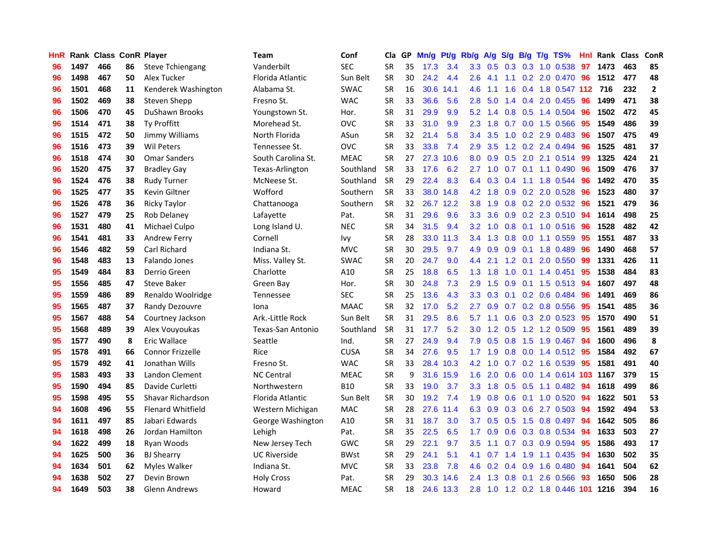| HnR. |      | Rank Class ConR Player |    |                          | Team                | Conf        | Cla       | GP. | Mn/g Pt/g Rb/g A/g |           |                  |     |                  |                 | S/g B/g T/g TS%                | Hnl | Rank Class |     | <b>ConR</b>    |
|------|------|------------------------|----|--------------------------|---------------------|-------------|-----------|-----|--------------------|-----------|------------------|-----|------------------|-----------------|--------------------------------|-----|------------|-----|----------------|
| 96   | 1497 | 466                    | 86 | <b>Steve Tchiengang</b>  | Vanderbilt          | <b>SEC</b>  | <b>SR</b> | 35  | 17.3               | 3.4       | 3.3              | 0.5 | 0.3              | 0.3             | 1.0 0.538                      | 97  | 1473       | 463 | 85             |
| 96   | 1498 | 467                    | 50 | Alex Tucker              | Florida Atlantic    | Sun Belt    | <b>SR</b> | 30  | 24.2               | 4.4       | 2.6              | 4.1 | 1.1              | 0.2             | 2.0 0.470                      | 96  | 1512       | 477 | 48             |
| 96   | 1501 | 468                    | 11 | Kenderek Washington      | Alabama St.         | <b>SWAC</b> | <b>SR</b> | 16  | 30.6               | 14.1      | 4.6              | 1.1 | 1.6              | 0.4             | 1.8 0.547 112                  |     | 716        | 232 | $\overline{2}$ |
| 96   | 1502 | 469                    | 38 | Steven Shepp             | Fresno St.          | <b>WAC</b>  | <b>SR</b> | 33  | 36.6               | 5.6       | 2.8              | 5.0 | 1.4              |                 | 0.4 2.0 0.455                  | 96  | 1499       | 471 | 38             |
| 96   | 1506 | 470                    | 45 | <b>DuShawn Brooks</b>    | Youngstown St.      | Hor.        | <b>SR</b> | 31  | 29.9               | 9.9       | 5.2              | 1.4 |                  |                 | $0.8$ 0.5 1.4 0.504            | 96  | 1502       | 472 | 45             |
| 96   | 1514 | 471                    | 38 | Ty Proffitt              | Morehead St.        | <b>OVC</b>  | <b>SR</b> | 33  | 31.0               | 9.9       | 2.3              | 1.8 | 0.7              |                 | 0.0 1.5 0.566                  | 95  | 1549       | 486 | 39             |
| 96   | 1515 | 472                    | 50 | Jimmy Williams           | North Florida       | ASun        | <b>SR</b> | 32  | 21.4               | 5.8       | 3.4              | 3.5 |                  |                 | 1.0 0.2 2.9 0.483              | 96  | 1507       | 475 | 49             |
| 96   | 1516 | 473                    | 39 | <b>Wil Peters</b>        | Tennessee St.       | <b>OVC</b>  | <b>SR</b> | 33  | 33.8               | 7.4       | 2.9              | 3.5 |                  |                 | 1.2 0.2 2.4 0.494              | -96 | 1525       | 481 | 37             |
| 96   | 1518 | 474                    | 30 | <b>Omar Sanders</b>      | South Carolina St.  | <b>MEAC</b> | <b>SR</b> | 27  | 27.3               | 10.6      | 8.0              | 0.9 |                  |                 | 0.5 2.0 2.1 0.514              | 99  | 1325       | 424 | 21             |
| 96   | 1520 | 475                    | 37 | <b>Bradley Gay</b>       | Texas-Arlington     | Southland   | <b>SR</b> | 33  | 17.6               | 6.2       | 2.7              | 1.0 | 0.7              |                 | 0.1 1.1 0.490                  | 96  | 1509       | 476 | 37             |
| 96   | 1524 | 476                    | 38 | Rudy Turner              | McNeese St.         | Southland   | <b>SR</b> | 29  | 22.4               | 8.3       | 6.4              | 0.3 | 0.4              |                 | 1.1 1.8 0.544                  | 96  | 1492       | 470 | 35             |
| 96   | 1525 | 477                    | 35 | Kevin Giltner            | Wofford             | Southern    | <b>SR</b> | 33  |                    | 38.0 14.8 | 4.2              | 1.8 |                  |                 | 0.9 0.2 2.0 0.528              | 96  | 1523       | 480 | 37             |
| 96   | 1526 | 478                    | 36 | <b>Ricky Taylor</b>      | Chattanooga         | Southern    | <b>SR</b> | 32  |                    | 26.7 12.2 | 3.8              | 1.9 |                  |                 | 0.8 0.2 2.0 0.532              | 96  | 1521       | 479 | 36             |
| 96   | 1527 | 479                    | 25 | Rob Delaney              | Lafayette           | Pat.        | <b>SR</b> | 31  | 29.6               | 9.6       | 3.3              | 3.6 | 0.9 <sub>0</sub> |                 | 0.2 2.3 0.510                  | 94  | 1614       | 498 | 25             |
| 96   | 1531 | 480                    | 41 | Michael Culpo            | Long Island U.      | <b>NEC</b>  | <b>SR</b> | 34  | 31.5               | 9.4       | 3.2 <sub>2</sub> | 1.0 | 0.8              |                 | 0.1 1.0 0.516                  | 96  | 1528       | 482 | 42             |
| 96   | 1541 | 481                    | 33 | Andrew Ferry             | Cornell             | <b>Ivy</b>  | <b>SR</b> | 28  | 33.0               | 11.3      | 3.4              | 1.3 | 0.8              | 0.0             | 1.1 0.559                      | 95  | 1551       | 487 | 33             |
| 96   | 1546 | 482                    | 59 | <b>Carl Richard</b>      | Indiana St.         | <b>MVC</b>  | <b>SR</b> | 30  | 29.5               | 9.7       | 4.9              | 0.9 |                  | $0.9 \quad 0.1$ | 1.8 0.489                      | -96 | 1490       | 468 | 57             |
| 96   | 1548 | 483                    | 13 | Falando Jones            | Miss. Valley St.    | <b>SWAC</b> | <b>SR</b> | 20  | 24.7               | 9.0       | 4.4              | 2.1 |                  | $1.2 \quad 0.1$ | 2.0 0.550                      | -99 | 1331       | 426 | 11             |
| 95   | 1549 | 484                    | 83 | Derrio Green             | Charlotte           | A10         | <b>SR</b> | 25  | 18.8               | 6.5       | 1.3              | 1.8 |                  |                 | 1.0 0.1 1.4 0.451              | -95 | 1538       | 484 | 83             |
| 95   | 1556 | 485                    | 47 | <b>Steve Baker</b>       | Green Bay           | Hor.        | <b>SR</b> | 30  | 24.8               | 7.3       | 2.9              | 1.5 |                  |                 | $0.9$ 0.1 1.5 0.513            | -94 | 1607       | 497 | 48             |
| 95   | 1559 | 486                    | 89 | Renaldo Woolridge        | Tennessee           | <b>SEC</b>  | <b>SR</b> | 25  | 13.6               | 4.3       | 3.3 <sub>1</sub> | 0.3 |                  |                 | $0.1$ $0.2$ $0.6$ $0.484$      | 96  | 1491       | 469 | 86             |
| 95   | 1565 | 487                    | 37 | Randy Dezouvre           | Iona                | <b>MAAC</b> | <b>SR</b> | 32  | 17.0               | 5.2       | 2.7              | 0.9 |                  |                 | $0.7$ $0.2$ $0.8$ $0.556$      | 95  | 1541       | 485 | 36             |
| 95   | 1567 | 488                    | 54 | Courtney Jackson         | Ark.-Little Rock    | Sun Belt    | <b>SR</b> | 31  | 29.5               | 8.6       | 5.7              | 1.1 |                  |                 | 0.6 0.3 2.0 0.523              | 95  | 1570       | 490 | 51             |
| 95   | 1568 | 489                    | 39 | Alex Vouyoukas           | Texas-San Antonio   | Southland   | <b>SR</b> | 31  | 17.7               | 5.2       | 3.0              | 1.2 | 0.5              |                 | 1.2 1.2 0.509                  | 95  | 1561       | 489 | 39             |
| 95   | 1577 | 490                    | 8  | Eric Wallace             | Seattle             | Ind.        | <b>SR</b> | 27  | 24.9               | 9.4       | 7.9              | 0.5 | 0.8              |                 | 1.5 1.9 0.467                  | 94  | 1600       | 496 | 8              |
| 95   | 1578 | 491                    | 66 | <b>Connor Frizzelle</b>  | Rice                | <b>CUSA</b> | <b>SR</b> | 34  | 27.6               | 9.5       | 1.7              | 1.9 | 0.8              | 0.0             | 1.4 0.512                      | -95 | 1584       | 492 | 67             |
| 95   | 1579 | 492                    | 41 | Jonathan Wills           | Fresno St.          | <b>WAC</b>  | <b>SR</b> | 33  |                    | 28.4 10.3 | 4.2              | 1.0 | 0.7              |                 | 0.2 1.6 0.539                  | -95 | 1581       | 491 | 40             |
| 95   | 1583 | 493                    | 33 | Landon Clement           | <b>NC Central</b>   | <b>MEAC</b> | <b>SR</b> | 9   | 31.6               | 15.9      | 1.6              | 2.0 | 0.6              | 0.0             | 1.4 0.614 103                  |     | 1167       | 379 | 15             |
| 95   | 1590 | 494                    | 85 | Davide Curletti          | Northwestern        | <b>B10</b>  | SR        | 33  | 19.0               | 3.7       | 3.3              | 1.8 | 0.5              | 0.5             | $1.1 \quad 0.482$              | 94  | 1618       | 499 | 86             |
| 95   | 1598 | 495                    | 55 | Shavar Richardson        | Florida Atlantic    | Sun Belt    | <b>SR</b> | 30  | 19.2               | 7.4       | 1.9              | 0.8 | 0.6              | 0.1             | 1.0 0.520                      | 94  | 1622       | 501 | 53             |
| 94   | 1608 | 496                    | 55 | <b>Flenard Whitfield</b> | Western Michigan    | <b>MAC</b>  | <b>SR</b> | 28  | 27.6               | 11.4      | 6.3              | 0.9 |                  | $0.3 \quad 0.6$ | 2.7 0.503                      | 94  | 1592       | 494 | 53             |
| 94   | 1611 | 497                    | 85 | Jabari Edwards           | George Washington   | A10         | <b>SR</b> | 31  | 18.7               | 3.0       | 3.7 <sub>2</sub> | 0.5 |                  |                 | 0.5 1.5 0.8 0.497              | -94 | 1642       | 505 | 86             |
| 94   | 1618 | 498                    | 26 | Jordan Hamilton          | Lehigh              | Pat.        | <b>SR</b> | 35  | 22.5               | 6.5       | 1.7 <sub>z</sub> | 0.9 |                  |                 | 0.6 0.3 0.8 0.534              | -94 | 1633       | 503 | 27             |
| 94   | 1622 | 499                    | 18 | Ryan Woods               | New Jersey Tech     | <b>GWC</b>  | <b>SR</b> | 29  | 22.1               | 9.7       | 3.5              | 1.1 | 0.7              |                 | 0.3 0.9 0.594                  | 95  | 1586       | 493 | 17             |
| 94   | 1625 | 500                    | 36 | <b>BJ Shearry</b>        | <b>UC Riverside</b> | <b>BWst</b> | <b>SR</b> | 29  | 24.1               | 5.1       | 4.1              | 0.7 | $1.4^{\circ}$    | 1.9             | 1.1 0.435                      | 94  | 1630       | 502 | 35             |
| 94   | 1634 | 501                    | 62 | Myles Walker             | Indiana St.         | <b>MVC</b>  | <b>SR</b> | 33  | 23.8               | 7.8       | 4.6              | 0.2 |                  | $0.4\quad 0.9$  | 1.6 0.480                      | 94  | 1641       | 504 | 62             |
| 94   | 1638 | 502                    | 27 | Devin Brown              | Holy Cross          | Pat.        | <b>SR</b> | 29  | 30.3               | 14.6      | 2.4              | 1.3 | 0.8              | 0.1             | 2.6 0.566                      | 93  | 1650       | 506 | 28             |
| 94   | 1649 | 503                    | 38 | Glenn Andrews            | Howard              | <b>MEAC</b> | <b>SR</b> | 18  |                    | 24.6 13.3 | 2.8              |     |                  |                 | 1.0 1.2 0.2 1.8 0.446 101 1216 |     |            | 394 | 16             |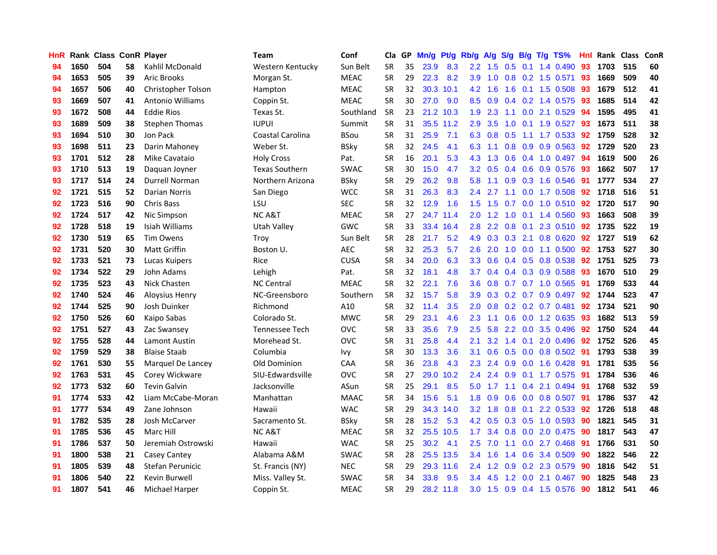| HnR |      | Rank Class ConR Player |    |                       | Team                    | Conf        | Cla       |    | GP Mn/g Pt/g Rb/g |           |                  | A/g             |           |                 | S/g B/g T/g TS%           | Hnl | Rank Class |     | ConR |
|-----|------|------------------------|----|-----------------------|-------------------------|-------------|-----------|----|-------------------|-----------|------------------|-----------------|-----------|-----------------|---------------------------|-----|------------|-----|------|
| 94  | 1650 | 504                    | 58 | Kahlil McDonald       | Western Kentucky        | Sun Belt    | <b>SR</b> | 35 | 23.9              | 8.3       | $2.2\phantom{0}$ | 1.5             | 0.5       | 0.1             | 1.4 0.490                 | 93  | 1703       | 515 | 60   |
| 94  | 1653 | 505                    | 39 | <b>Aric Brooks</b>    | Morgan St.              | <b>MEAC</b> | <b>SR</b> | 29 | 22.3              | 8.2       | 3.9              | 1.0             | 0.8       | 0.2             | 1.5 0.571                 | 93  | 1669       | 509 | 40   |
| 94  | 1657 | 506                    | 40 | Christopher Tolson    | Hampton                 | <b>MEAC</b> | <b>SR</b> | 32 |                   | 30.3 10.1 | 4.2              | 1.6             | 1.6       | 0.1             | 1.5 0.508                 | 93  | 1679       | 512 | 41   |
| 93  | 1669 | 507                    | 41 | Antonio Williams      | Coppin St.              | <b>MEAC</b> | <b>SR</b> | 30 | 27.0              | 9.0       | 8.5              | 0.9             |           |                 | 0.4 0.2 1.4 0.575         | -93 | 1685       | 514 | 42   |
| 93  | 1672 | 508                    | 44 | <b>Eddie Rios</b>     | Texas St.               | Southland   | <b>SR</b> | 23 |                   | 21.2 10.3 |                  | $1.9$ 2.3       |           |                 | 1.1 0.0 2.1 0.529         | -94 | 1595       | 495 | 41   |
| 93  | 1689 | 509                    | 38 | <b>Stephen Thomas</b> | <b>IUPUI</b>            | Summit      | <b>SR</b> | 31 |                   | 35.5 11.2 | $2.9^{\circ}$    | 3.5             |           |                 | 1.0 0.1 1.9 0.527         | 93  | 1673       | 511 | 38   |
| 93  | 1694 | 510                    | 30 | Jon Pack              | <b>Coastal Carolina</b> | <b>BSou</b> | <b>SR</b> | 31 | 25.9              | 7.1       |                  | $6.3 \quad 0.8$ | 0.5       |                 | 1.1 1.7 0.533             | 92  | 1759       | 528 | 32   |
| 93  | 1698 | 511                    | 23 | Darin Mahoney         | Weber St.               | <b>BSky</b> | <b>SR</b> | 32 | 24.5              | 4.1       | 6.3              | 1.1             | 0.8       |                 | 0.9 0.9 0.563             | 92  | 1729       | 520 | 23   |
| 93  | 1701 | 512                    | 28 | Mike Cavataio         | <b>Holy Cross</b>       | Pat.        | <b>SR</b> | 16 | 20.1              | 5.3       | 4.3              | 1.3             |           |                 | 0.6 0.4 1.0 0.497         | 94  | 1619       | 500 | 26   |
| 93  | 1710 | 513                    | 19 | Daguan Joyner         | <b>Texas Southern</b>   | <b>SWAC</b> | <b>SR</b> | 30 | 15.0              | 4.7       | 3.2 <sub>2</sub> | 0.5             |           |                 | 0.4 0.6 0.9 0.576         | 93  | 1662       | 507 | 17   |
| 93  | 1717 | 514                    | 24 | Durrell Norman        | Northern Arizona        | <b>BSky</b> | <b>SR</b> | 29 | 26.2              | 9.8       | 5.8              | 1.1             |           |                 | 0.9 0.3 1.6 0.546         | -91 | 1777       | 534 | 27   |
| 92  | 1721 | 515                    | 52 | <b>Darian Norris</b>  | San Diego               | <b>WCC</b>  | <b>SR</b> | 31 | 26.3              | 8.3       | 2.4              | 2.7             | 1.1       | 0.0             | 1.7 0.508                 | 92  | 1718       | 516 | 51   |
| 92  | 1723 | 516                    | 90 | <b>Chris Bass</b>     | LSU                     | <b>SEC</b>  | <b>SR</b> | 32 | 12.9              | 1.6       | $1.5^{\circ}$    | 1.5             | 0.7       | 0.0             | $1.0 \t0.510$             | 92  | 1720       | 517 | 90   |
| 92  | 1724 | 517                    | 42 | Nic Simpson           | <b>NCA&amp;T</b>        | <b>MEAC</b> | <b>SR</b> | 27 |                   | 24.7 11.4 | 2.0 <sub>1</sub> | 1.2             | 1.0       | 0.1             | 1.4 0.560                 | 93  | 1663       | 508 | 39   |
| 92  | 1728 | 518                    | 19 | Isiah Williams        | <b>Utah Valley</b>      | <b>GWC</b>  | <b>SR</b> | 33 |                   | 33.4 16.4 | 2.8              | 2.2             | 0.8       | 0.1             | 2.3 0.510                 | 92  | 1735       | 522 | 19   |
| 92  | 1730 | 519                    | 65 | <b>Tim Owens</b>      | Troy                    | Sun Belt    | <b>SR</b> | 28 | 21.7              | 5.2       | 4.9              | 0.3             | $0.3$ 2.1 |                 | 0.8 0.620                 | 92  | 1727       | 519 | 62   |
| 92  | 1731 | 520                    | 30 | <b>Matt Griffin</b>   | Boston U.               | <b>AEC</b>  | <b>SR</b> | 32 | 25.3              | 5.7       | $2.6\,$          | 2.0             |           |                 | 1.0 0.0 1.1 0.500         | 92  | 1753       | 527 | 30   |
| 92  | 1733 | 521                    | 73 | Lucas Kuipers         | Rice                    | <b>CUSA</b> | <b>SR</b> | 34 | 20.0              | 6.3       |                  | $3.3 \quad 0.6$ |           |                 | 0.4 0.5 0.8 0.538         | 92  | 1751       | 525 | 73   |
| 92  | 1734 | 522                    | 29 | John Adams            | Lehigh                  | Pat.        | <b>SR</b> | 32 | 18.1              | 4.8       | 3.7              | 0.4             |           |                 | $0.4$ $0.3$ $0.9$ $0.588$ | 93  | 1670       | 510 | 29   |
| 92  | 1735 | 523                    | 43 | Nick Chasten          | <b>NC Central</b>       | <b>MEAC</b> | <b>SR</b> | 32 | 22.1              | 7.6       | $3.6^{\circ}$    | 0.8             |           |                 | 0.7 0.7 1.0 0.565         | -91 | 1769       | 533 | 44   |
| 92  | 1740 | 524                    | 46 | <b>Aloysius Henry</b> | NC-Greensboro           | Southern    | <b>SR</b> | 32 | 15.7              | 5.8       | 3.9              | 0.3             |           |                 | 0.2 0.7 0.9 0.497         | 92  | 1744       | 523 | 47   |
| 92  | 1744 | 525                    | 90 | Josh Duinker          | Richmond                | A10         | <b>SR</b> | 32 | 11.4              | 3.5       | 2.0              | 0.8             |           |                 | $0.2$ 0.2 0.7 0.481       | 92  | 1734       | 521 | 90   |
| 92  | 1750 | 526                    | 60 | Kaipo Sabas           | Colorado St.            | <b>MWC</b>  | <b>SR</b> | 29 | 23.1              | 4.6       | 2.3              | 1.1             |           |                 | 0.6 0.0 1.2 0.635         | 93  | 1682       | 513 | 59   |
| 92  | 1751 | 527                    | 43 | Zac Swansey           | Tennessee Tech          | <b>OVC</b>  | <b>SR</b> | 33 | 35.6              | 7.9       | 2.5              | 5.8             |           |                 | 2.2 0.0 3.5 0.496         | 92  | 1750       | 524 | 44   |
| 92  | 1755 | 528                    | 44 | Lamont Austin         | Morehead St.            | <b>OVC</b>  | <b>SR</b> | 31 | 25.8              | 4.4       | 2.1              | 3.2             |           | $1.4 \quad 0.1$ | 2.0 0.496                 | 92  | 1752       | 526 | 45   |
| 92  | 1759 | 529                    | 38 | <b>Blaise Staab</b>   | Columbia                | Ivy         | <b>SR</b> | 30 | 13.3              | 3.6       | 3.1              | 0.6             | 0.5       | 0.0             | 0.8 0.502                 | 91  | 1793       | 538 | 39   |
| 92  | 1761 | 530                    | 55 | Marquel De Lancey     | Old Dominion            | CAA         | <b>SR</b> | 36 | 23.8              | 4.3       | 2.3              | 2.4             |           | $0.9\quad 0.0$  | 1.6 0.428                 | 91  | 1781       | 535 | 56   |
| 92  | 1763 | 531                    | 45 | Corey Wickware        | SIU-Edwardsville        | <b>OVC</b>  | <b>SR</b> | 27 | 29.0              | 10.2      | 2.4              | 2.4             | 0.9       |                 | $0.1$ 1.7 $0.575$         | -91 | 1784       | 536 | 46   |
| 92  | 1773 | 532                    | 60 | <b>Tevin Galvin</b>   | Jacksonville            | ASun        | <b>SR</b> | 25 | 29.1              | 8.5       | 5.0              | 1.7             | 1.1       |                 | 0.4 2.1 0.494             | -91 | 1768       | 532 | 59   |
| 91  | 1774 | 533                    | 42 | Liam McCabe-Moran     | Manhattan               | <b>MAAC</b> | <b>SR</b> | 34 | 15.6              | 5.1       | 1.8 <sup>°</sup> | 0.9             |           |                 | 0.6 0.0 0.8 0.507 91      |     | 1786       | 537 | 42   |
| 91  | 1777 | 534                    | 49 | Zane Johnson          | Hawaii                  | <b>WAC</b>  | <b>SR</b> | 29 |                   | 34.3 14.0 |                  | $3.2 \quad 1.8$ |           |                 | 0.8 0.1 2.2 0.533         | -92 | 1726       | 518 | 48   |
| 91  | 1782 | 535                    | 28 | Josh McCarver         | Sacramento St.          | <b>BSky</b> | <b>SR</b> | 28 | 15.2              | 5.3       |                  | 4.2 0.5         |           |                 | $0.3$ $0.5$ 1.0 $0.593$   | 90  | 1821       | 545 | 31   |
| 91  | 1785 | 536                    | 45 | Marc Hill             | <b>NC A&amp;T</b>       | <b>MEAC</b> | <b>SR</b> | 32 |                   | 25.5 10.5 | 1.7 <sub>z</sub> | 3.4             |           |                 | 0.8 0.0 2.0 0.475         | -90 | 1817       | 543 | 47   |
| 91  | 1786 | 537                    | 50 | Jeremiah Ostrowski    | Hawaii                  | <b>WAC</b>  | <b>SR</b> | 25 | 30.2              | 4.1       | 2.5              | 7.0             | 1.1       |                 | $0.0$ 2.7 $0.468$         | 91  | 1766       | 531 | 50   |
| 91  | 1800 | 538                    | 21 | Casey Cantey          | Alabama A&M             | SWAC        | <b>SR</b> | 28 |                   | 25.5 13.5 | 3.4              | 1.6             | 1.4       |                 | 0.6 3.4 0.509             | 90  | 1822       | 546 | 22   |
| 91  | 1805 | 539                    | 48 | Stefan Perunicic      | St. Francis (NY)        | <b>NEC</b>  | <b>SR</b> | 29 |                   | 29.3 11.6 | 2.4              | 1.2             | 0.9       |                 | 0.2 2.3 0.579             | 90  | 1816       | 542 | 51   |
| 91  | 1806 | 540                    | 22 | Kevin Burwell         | Miss. Valley St.        | <b>SWAC</b> | <b>SR</b> | 34 | 33.8              | 9.5       | $3.4^{\circ}$    | 4.5             | 1.2       | 0.0             | 2.1 0.467                 | 90  | 1825       | 548 | 23   |
| 91  | 1807 | 541                    | 46 | Michael Harper        | Coppin St.              | <b>MEAC</b> | <b>SR</b> | 29 |                   | 28.2 11.8 |                  | $3.0 \quad 1.5$ |           |                 | 0.9 0.4 1.5 0.576         | 90  | 1812       | 541 | 46   |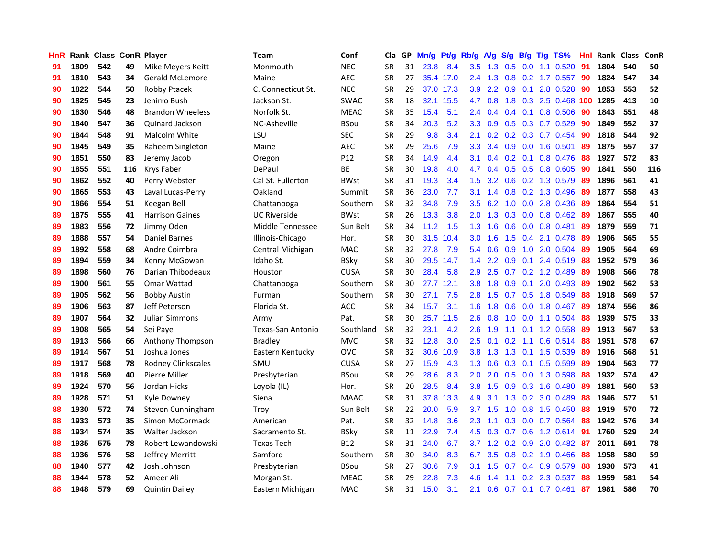| HnR |      | Rank Class ConR Player |     |                           | <b>Team</b>         | Conf        | Cla       |    | GP Mn/g Pt/g Rb/g |           |                  | A/g                                              |     |                 | S/g B/g T/g TS%           | Hnl | Rank Class |     | ConR |
|-----|------|------------------------|-----|---------------------------|---------------------|-------------|-----------|----|-------------------|-----------|------------------|--------------------------------------------------|-----|-----------------|---------------------------|-----|------------|-----|------|
| 91  | 1809 | 542                    | 49  | Mike Meyers Keitt         | Monmouth            | <b>NEC</b>  | <b>SR</b> | 31 | 23.8              | 8.4       | 3.5              | 1.3                                              | 0.5 | 0.0             | 1.1 0.520                 | 91  | 1804       | 540 | 50   |
| 91  | 1810 | 543                    | 34  | <b>Gerald McLemore</b>    | Maine               | <b>AEC</b>  | <b>SR</b> | 27 |                   | 35.4 17.0 | 2.4              | 1.3                                              | 0.8 | 0.2             | 1.7 0.557                 | 90  | 1824       | 547 | 34   |
| 90  | 1822 | 544                    | 50  | Robby Ptacek              | C. Connecticut St.  | <b>NEC</b>  | <b>SR</b> | 29 |                   | 37.0 17.3 | 3.9              | 2.2                                              | 0.9 | 0.1             | 2.8 0.528                 | 90  | 1853       | 553 | 52   |
| 90  | 1825 | 545                    | 23  | Jenirro Bush              | Jackson St.         | <b>SWAC</b> | <b>SR</b> | 18 |                   | 32.1 15.5 | 4.7              | 0.8                                              |     |                 | 1.8 0.3 2.5 0.468 100     |     | 1285       | 413 | 10   |
| 90  | 1830 | 546                    | 48  | <b>Brandon Wheeless</b>   | Norfolk St.         | <b>MEAC</b> | <b>SR</b> | 35 | 15.4              | 5.1       |                  | $2.4 \quad 0.4$                                  |     |                 | $0.4$ 0.1 0.8 0.506       | -90 | 1843       | 551 | 48   |
| 90  | 1840 | 547                    | 36  | Quinard Jackson           | NC-Asheville        | <b>BSou</b> | <b>SR</b> | 34 | 20.3              | 5.2       | 3.3 <sub>2</sub> | 0.9                                              |     |                 | 0.5 0.3 0.7 0.529         | 90  | 1849       | 552 | 37   |
| 90  | 1844 | 548                    | 91  | Malcolm White             | LSU                 | <b>SEC</b>  | <b>SR</b> | 29 | 9.8               | 3.4       | 2.1              | 0.2                                              |     |                 | 0.2 0.3 0.7 0.454         | 90  | 1818       | 544 | 92   |
| 90  | 1845 | 549                    | 35  | Raheem Singleton          | Maine               | <b>AEC</b>  | <b>SR</b> | 29 | 25.6              | 7.9       | 3.3 <sub>2</sub> | 3.4                                              |     |                 | 0.9 0.0 1.6 0.501         | 89  | 1875       | 557 | 37   |
| 90  | 1851 | 550                    | 83  | Jeremy Jacob              | Oregon              | P12         | <b>SR</b> | 34 | 14.9              | 4.4       | 3.1              | 0.4                                              |     | $0.2 \quad 0.1$ | 0.8 0.476                 | 88  | 1927       | 572 | 83   |
| 90  | 1855 | 551                    | 116 | Krys Faber                | DePaul              | ВE          | <b>SR</b> | 30 | 19.8              | 4.0       | 4.7              | 0.4                                              |     |                 | $0.5$ $0.5$ $0.8$ $0.605$ | 90  | 1841       | 550 | 116  |
| 90  | 1862 | 552                    | 40  | Perry Webster             | Cal St. Fullerton   | <b>BWst</b> | <b>SR</b> | 31 | 19.3              | 3.4       | 1.5              | 3.2                                              |     |                 | 0.6 0.2 1.3 0.579         | -89 | 1896       | 561 | 41   |
| 90  | 1865 | 553                    | 43  | Laval Lucas-Perry         | Oakland             | Summit      | <b>SR</b> | 36 | 23.0              | 7.7       | 3.1              | 1.4                                              |     |                 | 0.8 0.2 1.3 0.496         | 89  | 1877       | 558 | 43   |
| 90  | 1866 | 554                    | 51  | Keegan Bell               | Chattanooga         | Southern    | <b>SR</b> | 32 | 34.8              | 7.9       | 3.5              | 6.2                                              | 1.0 | 0.0             | 2.8 0.436                 | 89  | 1864       | 554 | 51   |
| 89  | 1875 | 555                    | 41  | <b>Harrison Gaines</b>    | <b>UC Riverside</b> | <b>BWst</b> | <b>SR</b> | 26 | 13.3              | 3.8       | 2.0 <sub>2</sub> | 1.3                                              | 0.3 | 0.0             | $0.8$ 0.462               | 89  | 1867       | 555 | 40   |
| 89  | 1883 | 556                    | 72  | Jimmy Oden                | Middle Tennessee    | Sun Belt    | <b>SR</b> | 34 | 11.2              | 1.5       | 1.3 <sup>°</sup> | 1.6                                              | 0.6 | 0.0             | 0.8 0.481                 | 89  | 1879       | 559 | 71   |
| 89  | 1888 | 557                    | 54  | <b>Daniel Barnes</b>      | Illinois-Chicago    | Hor.        | <b>SR</b> | 30 | 31.5              | 10.4      | 3.0              | 1.6                                              | 1.5 | 0.4             | 2.1 0.478                 | -89 | 1906       | 565 | 55   |
| 89  | 1892 | 558                    | 68  | Andre Coimbra             | Central Michigan    | <b>MAC</b>  | <b>SR</b> | 32 | 27.8              | 7.9       | 5.4              | 0.6                                              | 0.9 |                 | 1.0 2.0 0.504             | -89 | 1905       | 564 | 69   |
| 89  | 1894 | 559                    | 34  | Kenny McGowan             | Idaho St.           | <b>BSky</b> | <b>SR</b> | 30 |                   | 29.5 14.7 |                  | $1.4$ 2.2                                        |     |                 | 0.9 0.1 2.4 0.519         | -88 | 1952       | 579 | 36   |
| 89  | 1898 | 560                    | 76  | Darian Thibodeaux         | Houston             | <b>CUSA</b> | <b>SR</b> | 30 | 28.4              | 5.8       |                  | $2.9$ 2.5                                        |     |                 | $0.7$ $0.2$ 1.2 $0.489$   | -89 | 1908       | 566 | 78   |
| 89  | 1900 | 561                    | 55  | Omar Wattad               | Chattanooga         | Southern    | <b>SR</b> | 30 |                   | 27.7 12.1 |                  | $3.8$ 1.8                                        |     |                 | 0.9 0.1 2.0 0.493         | -89 | 1902       | 562 | 53   |
| 89  | 1905 | 562                    | 56  | <b>Bobby Austin</b>       | Furman              | Southern    | <b>SR</b> | 30 | 27.1              | 7.5       | 2.8              | 1.5                                              |     |                 | 0.7 0.5 1.8 0.549         | 88  | 1918       | 569 | 57   |
| 89  | 1906 | 563                    | 87  | Jeff Peterson             | Florida St.         | ACC         | <b>SR</b> | 34 | 15.7              | 3.1       | 1.6              | 1.8                                              | 0.6 |                 | 0.0 1.8 0.467             | -89 | 1874       | 556 | 86   |
| 89  | 1907 | 564                    | 32  | Julian Simmons            | Army                | Pat.        | <b>SR</b> | 30 |                   | 25.7 11.5 | 2.6              | 0.8                                              | 1.0 | 0.0             | 1.1 0.504                 | 88  | 1939       | 575 | 33   |
| 89  | 1908 | 565                    | 54  | Sei Paye                  | Texas-San Antonio   | Southland   | <b>SR</b> | 32 | 23.1              | 4.2       | 2.6              | 1.9                                              | 1.1 | 0.1             | 1.2 0.558                 | -89 | 1913       | 567 | 53   |
| 89  | 1913 | 566                    | 66  | Anthony Thompson          | <b>Bradley</b>      | <b>MVC</b>  | <b>SR</b> | 32 | 12.8              | 3.0       | 2.5              | 0.1                                              | 0.2 | 1.1             | $0.6$ 0.514               | -88 | 1951       | 578 | 67   |
| 89  | 1914 | 567                    | 51  | Joshua Jones              | Eastern Kentucky    | OVC         | <b>SR</b> | 32 |                   | 30.6 10.9 | 3.8              | 1.3                                              |     | $1.3 \quad 0.1$ | 1.5 0.539                 | -89 | 1916       | 568 | 51   |
| 89  | 1917 | 568                    | 78  | <b>Rodney Clinkscales</b> | SMU                 | <b>CUSA</b> | <b>SR</b> | 27 | 15.9              | 4.3       | 1.3              | 0.6                                              | 0.3 | 0.1             | $0.5$ 0.599               | 89  | 1904       | 563 | 77   |
| 89  | 1918 | 569                    | 40  | Pierre Miller             | Presbyterian        | <b>BSou</b> | <b>SR</b> | 29 | 28.6              | 8.3       | 2.0              | 2.0                                              |     | $0.5\ 0.0$      | 1.3 0.598                 | 88  | 1932       | 574 | 42   |
| 89  | 1924 | 570                    | 56  | Jordan Hicks              | Loyola (IL)         | Hor.        | <b>SR</b> | 20 | 28.5              | 8.4       | 3.8              | 1.5                                              | 0.9 | 0.3             | 1.6 0.480                 | 89  | 1881       | 560 | 53   |
| 89  | 1928 | 571                    | 51  | Kyle Downey               | Siena               | <b>MAAC</b> | <b>SR</b> | 31 | 37.8              | 13.3      | 4.9              | 3.1                                              |     | $1.3 \quad 0.2$ | 3.0 0.489                 | 88  | 1946       | 577 | 51   |
| 88  | 1930 | 572                    | 74  | Steven Cunningham         | Troy                | Sun Belt    | <b>SR</b> | 22 | 20.0              | 5.9       |                  | $3.7$ 1.5                                        |     |                 | 1.0 0.8 1.5 0.450         | 88  | 1919       | 570 | 72   |
| 88  | 1933 | 573                    | 35  | Simon McCormack           | American            | Pat.        | <b>SR</b> | 32 | 14.8              | 3.6       | $2.3\phantom{0}$ | 1.1                                              |     |                 | 0.3 0.0 0.7 0.564         | 88  | 1942       | 576 | 34   |
| 88  | 1934 | 574                    | 35  | Walter Jackson            | Sacramento St.      | <b>BSky</b> | <b>SR</b> | 11 | 22.9              | 7.4       |                  | $4.5$ 0.3                                        |     |                 | 0.7 0.6 1.2 0.614 91      |     | 1760       | 529 | 24   |
| 88  | 1935 | 575                    | 78  | Robert Lewandowski        | <b>Texas Tech</b>   | <b>B12</b>  | <b>SR</b> | 31 | 24.0              | 6.7       | 3.7              | 1.2                                              |     |                 | $0.2$ $0.9$ $2.0$ $0.482$ | -87 | 2011       | 591 | 78   |
| 88  | 1936 | 576                    | 58  | Jeffrey Merritt           | Samford             | Southern    | <b>SR</b> | 30 | 34.0              | 8.3       | 6.7              | 3.5                                              | 0.8 |                 | 0.2 1.9 0.466             | 88  | 1958       | 580 | 59   |
| 88  | 1940 | 577                    | 42  | Josh Johnson              | Presbyterian        | <b>BSou</b> | <b>SR</b> | 27 | 30.6              | 7.9       | 3.1              | 1.5                                              | 0.7 | 0.4             | 0.9 0.579                 | 88  | 1930       | 573 | 41   |
| 88  | 1944 | 578                    | 52  | Ameer Ali                 | Morgan St.          | <b>MEAC</b> | <b>SR</b> | 29 | 22.8              | 7.3       | 4.6              | $\blacktriangleleft$<br>$\overline{\mathcal{A}}$ | 1.1 |                 | 0.2 2.3 0.537             | 88  | 1959       | 581 | 54   |
| 88  | 1948 | 579                    | 69  | Quintin Dailev            | Eastern Michigan    | MAC         | <b>SR</b> | 31 | 15.0              | 3.1       | 2.1              | 0.6                                              |     |                 | $0.7$ 0.1 0.7 0.461       | 87  | 1981       | 586 | 70   |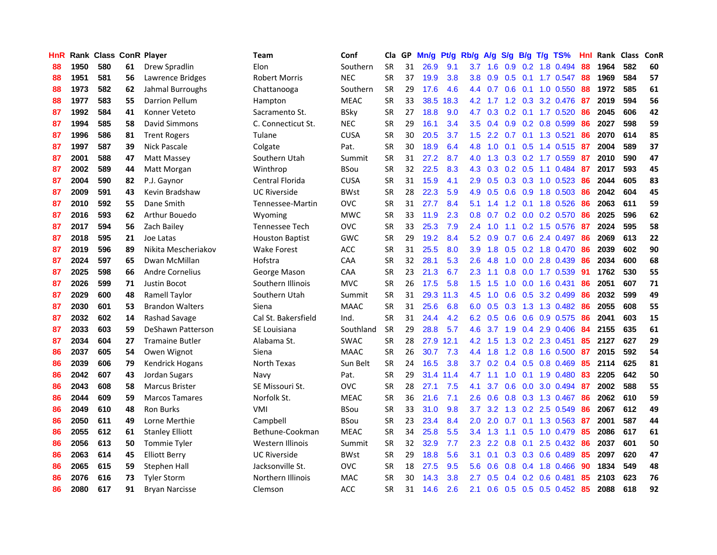| <b>HnR</b> |      | Rank Class ConR Player |    |                        | Team                   | Conf        | Cla       |    | GP Mn/g Pt/g Rb/g |           |                  | A/g       |     |                 | S/g B/g T/g TS%           | Hnl  |      | Rank Class | ConR |
|------------|------|------------------------|----|------------------------|------------------------|-------------|-----------|----|-------------------|-----------|------------------|-----------|-----|-----------------|---------------------------|------|------|------------|------|
| 88         | 1950 | 580                    | 61 | Drew Spradlin          | Elon                   | Southern    | <b>SR</b> | 31 | 26.9              | 9.1       | 3.7              | 1.6       | 0.9 | 0.2             | 1.8 0.494                 | 88   | 1964 | 582        | 60   |
| 88         | 1951 | 581                    | 56 | Lawrence Bridges       | Robert Morris          | <b>NEC</b>  | <b>SR</b> | 37 | 19.9              | 3.8       | 3.8              | 0.9       | 0.5 | 0.1             | 1.7 0.547                 | -88  | 1969 | 584        | 57   |
| 88         | 1973 | 582                    | 62 | Jahmal Burroughs       | Chattanooga            | Southern    | <b>SR</b> | 29 | 17.6              | 4.6       | 4.4              | 0.7       | 0.6 | 0.1             | 1.0 0.550                 | -88  | 1972 | 585        | 61   |
| 88         | 1977 | 583                    | 55 | <b>Darrion Pellum</b>  | Hampton                | <b>MEAC</b> | <b>SR</b> | 33 | 38.5              | 18.3      |                  | 4.2 1.7   |     |                 | 1.2 0.3 3.2 0.476         | 87   | 2019 | 594        | 56   |
| 87         | 1992 | 584                    | 41 | Konner Veteto          | Sacramento St.         | <b>BSky</b> | <b>SR</b> | 27 | 18.8              | 9.0       | 4.7              |           |     |                 | $0.3$ 0.2 0.1 1.7 0.520   | -86  | 2045 | 606        | 42   |
| 87         | 1994 | 585                    | 58 | David Simmons          | C. Connecticut St.     | <b>NEC</b>  | <b>SR</b> | 29 | 16.1              | 3.4       | $3.5^{\circ}$    | 0.4       |     |                 | $0.9$ $0.2$ $0.8$ $0.599$ | 86   | 2027 | 598        | 59   |
| 87         | 1996 | 586                    | 81 | <b>Trent Rogers</b>    | Tulane                 | <b>CUSA</b> | <b>SR</b> | 30 | 20.5              | 3.7       | 1.5              | 2.2       |     |                 | 0.7 0.1 1.3 0.521         | 86   | 2070 | 614        | 85   |
| 87         | 1997 | 587                    | 39 | Nick Pascale           | Colgate                | Pat.        | <b>SR</b> | 30 | 18.9              | 6.4       | 4.8              | 1.0       | 0.1 |                 | 0.5 1.4 0.515             | 87   | 2004 | 589        | 37   |
| 87         | 2001 | 588                    | 47 | Matt Massey            | Southern Utah          | Summit      | <b>SR</b> | 31 | 27.2              | 8.7       | 4.0              | 1.3       |     |                 | 0.3 0.2 1.7 0.559         | 87   | 2010 | 590        | 47   |
| 87         | 2002 | 589                    | 44 | Matt Morgan            | Winthrop               | <b>BSou</b> | <b>SR</b> | 32 | 22.5              | 8.3       | 4.3              | 0.3       |     | $0.2\quad0.5$   | 1.1 0.484                 | -87  | 2017 | 593        | 45   |
| 87         | 2004 | 590                    | 82 | P.J. Gaynor            | Central Florida        | <b>CUSA</b> | <b>SR</b> | 31 | 15.9              | 4.1       | 2.9              | 0.5       |     |                 | $0.3$ $0.3$ 1.0 $0.523$   | -86  | 2044 | 605        | 83   |
| 87         | 2009 | 591                    | 43 | Kevin Bradshaw         | <b>UC Riverside</b>    | <b>BWst</b> | <b>SR</b> | 28 | 22.3              | 5.9       | 4.9              | 0.5       |     | $0.6$ 0.9       | 1.8 0.503                 | 86   | 2042 | 604        | 45   |
| 87         | 2010 | 592                    | 55 | Dane Smith             | Tennessee-Martin       | <b>OVC</b>  | <b>SR</b> | 31 | 27.7              | 8.4       | 5.1              | 1.4       | 1.2 | 0.1             | 1.8 0.526                 | 86   | 2063 | 611        | 59   |
| 87         | 2016 | 593                    | 62 | Arthur Bouedo          | Wyoming                | <b>MWC</b>  | <b>SR</b> | 33 | 11.9              | 2.3       | 0.8              | 0.7       | 0.2 |                 | $0.0$ 0.2 0.570           | 86   | 2025 | 596        | 62   |
| 87         | 2017 | 594                    | 56 | Zach Bailey            | Tennessee Tech         | <b>OVC</b>  | <b>SR</b> | 33 | 25.3              | 7.9       | 2.4              | 1.0       | 1.1 |                 | $0.2$ 1.5 0.576           | -87  | 2024 | 595        | 58   |
| 87         | 2018 | 595                    | 21 | Joe Latas              | <b>Houston Baptist</b> | <b>GWC</b>  | <b>SR</b> | 29 | 19.2              | 8.4       | 5.2              | 0.9       | 0.7 | 0.6             | 2.4 0.497                 | -86  | 2069 | 613        | 22   |
| 87         | 2019 | 596                    | 89 | Nikita Mescheriakov    | <b>Wake Forest</b>     | <b>ACC</b>  | <b>SR</b> | 31 | 25.5              | 8.0       | 3.9              | 1.8       |     |                 | 0.5 0.2 1.8 0.470         | -86  | 2039 | 602        | 90   |
| 87         | 2024 | 597                    | 65 | Dwan McMillan          | Hofstra                | CAA         | <b>SR</b> | 32 | 28.1              | 5.3       | 2.6              | 4.8       |     |                 | 1.0 0.0 2.8 0.439         | -86  | 2034 | 600        | 68   |
| 87         | 2025 | 598                    | 66 | <b>Andre Cornelius</b> | George Mason           | <b>CAA</b>  | <b>SR</b> | 23 | 21.3              | 6.7       | $2.3\phantom{0}$ | 1.1       |     |                 | 0.8 0.0 1.7 0.539         | - 91 | 1762 | 530        | 55   |
| 87         | 2026 | 599                    | 71 | <b>Justin Bocot</b>    | Southern Illinois      | <b>MVC</b>  | <b>SR</b> | 26 | 17.5              | 5.8       | $1.5\,$          | 1.5       |     |                 | 1.0 0.0 1.6 0.431         | 86   | 2051 | 607        | 71   |
| 87         | 2029 | 600                    | 48 | Ramell Taylor          | Southern Utah          | Summit      | <b>SR</b> | 31 |                   | 29.3 11.3 | 4.5              | 1.0       |     |                 | $0.6$ $0.5$ $3.2$ $0.499$ | 86   | 2032 | 599        | 49   |
| 87         | 2030 | 601                    | 53 | <b>Brandon Walters</b> | Siena                  | <b>MAAC</b> | <b>SR</b> | 31 | 25.6              | 6.8       | 6.0              | 0.5       |     |                 | 0.3 1.3 1.3 0.482         | 86   | 2055 | 608        | 55   |
| 87         | 2032 | 602                    | 14 | Rashad Savage          | Cal St. Bakersfield    | Ind.        | <b>SR</b> | 31 | 24.4              | 4.2       | 6.2              | 0.5       |     |                 | 0.6 0.6 0.9 0.575         | 86   | 2041 | 603        | 15   |
| 87         | 2033 | 603                    | 59 | DeShawn Patterson      | SE Louisiana           | Southland   | <b>SR</b> | 29 | 28.8              | 5.7       | 4.6              | 3.7       |     |                 | 1.9 0.4 2.9 0.406         | 84   | 2155 | 635        | 61   |
| 87         | 2034 | 604                    | 27 | <b>Tramaine Butler</b> | Alabama St.            | <b>SWAC</b> | <b>SR</b> | 28 |                   | 27.9 12.1 |                  | $4.2$ 1.5 |     |                 | 1.3 0.2 2.3 0.451         | 85   | 2127 | 627        | 29   |
| 86         | 2037 | 605                    | 54 | Owen Wignot            | Siena                  | <b>MAAC</b> | <b>SR</b> | 26 | 30.7              | 7.3       | 4.4              | 1.8       | 1.2 | 0.8             | 1.6 0.500                 | -87  | 2015 | 592        | 54   |
| 86         | 2039 | 606                    | 79 | Kendrick Hogans        | North Texas            | Sun Belt    | <b>SR</b> | 24 | 16.5              | 3.8       | 3.7 <sup>2</sup> | 0.2       |     | $0.4 \quad 0.5$ | 0.8 0.469                 | 85   | 2114 | 625        | 81   |
| 86         | 2042 | 607                    | 43 | Jordan Sugars          | Navy                   | Pat.        | <b>SR</b> | 29 |                   | 31.4 11.4 | 4.7              | 1.1       | 1.0 |                 | $0.1$ 1.9 0.480           | 83   | 2205 | 642        | 50   |
| 86         | 2043 | 608                    | 58 | <b>Marcus Brister</b>  | SE Missouri St.        | <b>OVC</b>  | <b>SR</b> | 28 | 27.1              | 7.5       | 4.1              | 3.7       | 0.6 | 0.0             | 3.0 0.494                 | -87  | 2002 | 588        | 55   |
| 86         | 2044 | 609                    | 59 | <b>Marcos Tamares</b>  | Norfolk St.            | <b>MEAC</b> | <b>SR</b> | 36 | 21.6              | 7.1       | 2.6              | 0.6       |     |                 | 0.8 0.3 1.3 0.467         | 86   | 2062 | 610        | 59   |
| 86         | 2049 | 610                    | 48 | <b>Ron Burks</b>       | VMI                    | <b>BSou</b> | <b>SR</b> | 33 | 31.0              | 9.8       | 3.7              | 3.2       |     |                 | 1.3 0.2 2.5 0.549         | 86   | 2067 | 612        | 49   |
| 86         | 2050 | 611                    | 49 | Lorne Merthie          | Campbell               | <b>BSou</b> | <b>SR</b> | 23 | 23.4              | 8.4       | 2.0              | 2.0       |     |                 | $0.7$ 0.1 1.3 0.563       | -87  | 2001 | 587        | 44   |
| 86         | 2055 | 612                    | 61 | <b>Stanley Elliott</b> | Bethune-Cookman        | <b>MEAC</b> | <b>SR</b> | 34 | 25.8              | 5.5       |                  | $3.4$ 1.3 |     |                 | 1.1 0.5 1.0 0.479         | -85  | 2086 | 617        | 61   |
| 86         | 2056 | 613                    | 50 | Tommie Tyler           | Western Illinois       | Summit      | <b>SR</b> | 32 | 32.9              | 7.7       | $2.3^{\circ}$    | 2.2       |     | $0.8\quad 0.1$  | 2.5 0.432                 | 86   | 2037 | 601        | 50   |
| 86         | 2063 | 614                    | 45 | <b>Elliott Berry</b>   | <b>UC Riverside</b>    | <b>BWst</b> | <b>SR</b> | 29 | 18.8              | 5.6       | 3.1              | 0.1       |     |                 | 0.3 0.3 0.6 0.489         | 85   | 2097 | 620        | 47   |
| 86         | 2065 | 615                    | 59 | Stephen Hall           | Jacksonville St.       | <b>OVC</b>  | <b>SR</b> | 18 | 27.5              | 9.5       | 5.6              | 0.6       | 0.8 |                 | $0.4$ 1.8 0.466           | 90   | 1834 | 549        | 48   |
| 86         | 2076 | 616                    | 73 | <b>Tyler Storm</b>     | Northern Illinois      | MAC         | <b>SR</b> | 30 | 14.3              | 3.8       | 2.7              | 0.5       | 0.4 | 0.2             | $0.6$ 0.481               | 85   | 2103 | 623        | 76   |
| 86         | 2080 | 617                    | 91 | <b>Bryan Narcisse</b>  | Clemson                | <b>ACC</b>  | <b>SR</b> | 31 | 14.6              | 2.6       | 2.1              | 0.6       |     |                 | $0.5$ 0.5 0.5 0.452       | -85  | 2088 | 618        | 92   |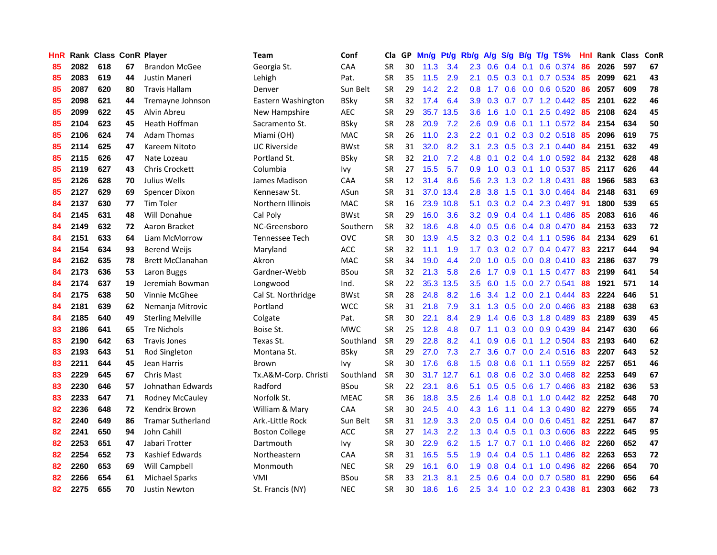| <b>HnR</b> |      | Rank Class ConR Player |    |                          | Team                  | Conf        | Cla       |    | GP Mn/g Pt/g Rb/g |           |                  |                 |     |                 | A/g S/g B/g T/g TS%       | Hnl | Rank Class |     | ConR |
|------------|------|------------------------|----|--------------------------|-----------------------|-------------|-----------|----|-------------------|-----------|------------------|-----------------|-----|-----------------|---------------------------|-----|------------|-----|------|
| 85         | 2082 | 618                    | 67 | <b>Brandon McGee</b>     | Georgia St.           | CAA         | <b>SR</b> | 30 | 11.3              | 3.4       | 2.3              | 0.6             | 0.4 | 0.1             | 0.6 0.374                 | 86  | 2026       | 597 | 67   |
| 85         | 2083 | 619                    | 44 | Justin Maneri            | Lehigh                | Pat.        | <b>SR</b> | 35 | $11.5$            | 2.9       | 2.1              | 0.5             | 0.3 | 0.1             | 0.7 0.534                 | 85  | 2099       | 621 | 43   |
| 85         | 2087 | 620                    | 80 | <b>Travis Hallam</b>     | Denver                | Sun Belt    | <b>SR</b> | 29 | 14.2              | 2.2       | 0.8              | 1.7             |     | $0.6\quad 0.0$  | 0.6 0.520                 | 86  | 2057       | 609 | 78   |
| 85         | 2098 | 621                    | 44 | Tremayne Johnson         | Eastern Washington    | <b>BSky</b> | <b>SR</b> | 32 | 17.4              | 6.4       | 3.9              | 0.3             |     |                 | 0.7 0.7 1.2 0.442         | 85  | 2101       | 622 | 46   |
| 85         | 2099 | 622                    | 45 | Alvin Abreu              | New Hampshire         | <b>AEC</b>  | <b>SR</b> | 29 |                   | 35.7 13.5 |                  | $3.6$ 1.6       |     |                 | 1.0 0.1 2.5 0.492 85      |     | 2108       | 624 | 45   |
| 85         | 2104 | 623                    | 45 | Heath Hoffman            | Sacramento St.        | <b>BSky</b> | <b>SR</b> | 28 | 20.9              | 7.2       | 2.6              | 0.9             |     |                 | $0.6$ $0.1$ 1.1 $0.572$   | -84 | 2154       | 634 | 50   |
| 85         | 2106 | 624                    | 74 | <b>Adam Thomas</b>       | Miami (OH)            | <b>MAC</b>  | <b>SR</b> | 26 | 11.0              | 2.3       | $2.2^{\circ}$    | 0.1             |     |                 | $0.2$ $0.3$ $0.2$ $0.518$ | -85 | 2096       | 619 | 75   |
| 85         | 2114 | 625                    | 47 | Kareem Nitoto            | <b>UC Riverside</b>   | <b>BWst</b> | <b>SR</b> | 31 | 32.0              | 8.2       | 3.1              | 2.3             |     |                 | 0.5 0.3 2.1 0.440         | 84  | 2151       | 632 | 49   |
| 85         | 2115 | 626                    | 47 | Nate Lozeau              | Portland St.          | <b>BSky</b> | <b>SR</b> | 32 | 21.0              | 7.2       | 4.8              | 0.1             |     |                 | $0.2$ 0.4 1.0 0.592       | 84  | 2132       | 628 | 48   |
| 85         | 2119 | 627                    | 43 | <b>Chris Crockett</b>    | Columbia              | Ivy         | <b>SR</b> | 27 | 15.5              | 5.7       | 0.9              | 1.0             |     |                 | $0.3$ $0.1$ $1.0$ $0.537$ | 85  | 2117       | 626 | 44   |
| 85         | 2126 | 628                    | 70 | Julius Wells             | James Madison         | CAA         | <b>SR</b> | 12 | 31.4              | 8.6       | 5.6              | 2.3             |     |                 | 1.3 0.2 1.8 0.431         | 88  | 1966       | 583 | 63   |
| 85         | 2127 | 629                    | 69 | Spencer Dixon            | Kennesaw St.          | ASun        | <b>SR</b> | 31 |                   | 37.0 13.4 | 2.8              | 3.8             | 1.5 | 0.1             | 3.0 0.464                 | 84  | 2148       | 631 | 69   |
| 84         | 2137 | 630                    | 77 | <b>Tim Toler</b>         | Northern Illinois     | <b>MAC</b>  | <b>SR</b> | 16 |                   | 23.9 10.8 | 5.1              | 0.3             |     | $0.2 \quad 0.4$ | 2.3 0.497                 | 91  | 1800       | 539 | 65   |
| 84         | 2145 | 631                    | 48 | Will Donahue             | Cal Poly              | <b>BWst</b> | <b>SR</b> | 29 | 16.0              | 3.6       | $3.2\phantom{0}$ | 0.9             |     |                 | $0.4$ 0.4 1.1 0.486       | 85  | 2083       | 616 | 46   |
| 84         | 2149 | 632                    | 72 | Aaron Bracket            | NC-Greensboro         | Southern    | <b>SR</b> | 32 | 18.6              | 4.8       | 4.0              | 0.5             | 0.6 |                 | 0.4 0.8 0.470             | 84  | 2153       | 633 | 72   |
| 84         | 2151 | 633                    | 64 | Liam McMorrow            | Tennessee Tech        | <b>OVC</b>  | <b>SR</b> | 30 | 13.9              | 4.5       | 3.2 <sub>1</sub> | 0.3             |     |                 | $0.2$ 0.4 1.1 0.596       | -84 | 2134       | 629 | 61   |
| 84         | 2154 | 634                    | 93 | <b>Berend Weijs</b>      | Maryland              | <b>ACC</b>  | <b>SR</b> | 32 | 11.1              | 1.9       | 1.7 <sub>z</sub> | 0.3             |     |                 | $0.2$ 0.7 0.4 0.477       | 83  | 2217       | 644 | 94   |
| 84         | 2162 | 635                    | 78 | <b>Brett McClanahan</b>  | Akron                 | <b>MAC</b>  | <b>SR</b> | 34 | 19.0              | 4.4       | 2.0              | 1.0             |     |                 | 0.5 0.0 0.8 0.410 83      |     | 2186       | 637 | 79   |
| 84         | 2173 | 636                    | 53 | Laron Buggs              | Gardner-Webb          | <b>BSou</b> | <b>SR</b> | 32 | 21.3              | 5.8       | $2.6^{\circ}$    | 1.7             |     |                 | 0.9 0.1 1.5 0.477 83      |     | 2199       | 641 | 54   |
| 84         | 2174 | 637                    | 19 | Jeremiah Bowman          | Longwood              | Ind.        | <b>SR</b> | 22 |                   | 35.3 13.5 | $3.5^{\circ}$    | -6.0            |     |                 | 1.5 0.0 2.7 0.541         | 88  | 1921       | 571 | 14   |
| 84         | 2175 | 638                    | 50 | Vinnie McGhee            | Cal St. Northridge    | <b>BWst</b> | <b>SR</b> | 28 | 24.8              | 8.2       | 1.6              | 3.4             |     |                 | 1.2 0.0 2.1 0.444         | 83  | 2224       | 646 | 51   |
| 84         | 2181 | 639                    | 62 | Nemanja Mitrovic         | Portland              | <b>WCC</b>  | <b>SR</b> | 31 | 21.8              | 7.9       | 3.1              | 1.3             |     |                 | 0.5 0.0 2.0 0.466         | 83  | 2188       | 638 | 63   |
| 84         | 2185 | 640                    | 49 | <b>Sterling Melville</b> | Colgate               | Pat.        | <b>SR</b> | 30 | 22.1              | 8.4       | 2.9              | 1.4             |     |                 | 0.6 0.3 1.8 0.489         | 83  | 2189       | 639 | 45   |
| 83         | 2186 | 641                    | 65 | <b>Tre Nichols</b>       | Boise St.             | <b>MWC</b>  | <b>SR</b> | 25 | 12.8              | 4.8       | 0.7              | 1.1             |     |                 | $0.3$ 0.0 0.9 0.439       | 84  | 2147       | 630 | 66   |
| 83         | 2190 | 642                    | 63 | <b>Travis Jones</b>      | Texas St.             | Southland   | <b>SR</b> | 29 | 22.8              | 8.2       | 4.1              | 0.9             |     |                 | 0.6 0.1 1.2 0.504         | -83 | 2193       | 640 | 62   |
| 83         | 2193 | 643                    | 51 | Rod Singleton            | Montana St.           | <b>BSky</b> | <b>SR</b> | 29 | 27.0              | 7.3       | 2.7              | 3.6             | 0.7 |                 | 0.0 2.4 0.516             | 83  | 2207       | 643 | 52   |
| 83         | 2211 | 644                    | 45 | Jean Harris              | Brown                 | lvy         | <b>SR</b> | 30 | 17.6              | 6.8       | 1.5              | 0.8             | 0.6 |                 | $0.1$ 1.1 0.559           | 82  | 2257       | 651 | 46   |
| 83         | 2229 | 645                    | 67 | Chris Mast               | Tx.A&M-Corp. Christi  | Southland   | <b>SR</b> | 30 |                   | 31.7 12.7 | 6.1              | 0.8             | 0.6 | 0.2             | 3.0 0.468                 | 82  | 2253       | 649 | 67   |
| 83         | 2230 | 646                    | 57 | Johnathan Edwards        | Radford               | <b>BSou</b> | <b>SR</b> | 22 | 23.1              | 8.6       | 5.1              | 0.5             | 0.5 | 0.6             | 1.7 0.466                 | 83  | 2182       | 636 | 53   |
| 83         | 2233 | 647                    | 71 | <b>Rodney McCauley</b>   | Norfolk St.           | <b>MEAC</b> | <b>SR</b> | 36 | 18.8              | 3.5       | 2.6              | 1.4             | 0.8 | 0.1             | $1.0 \t0.442$             | 82  | 2252       | 648 | 70   |
| 82         | 2236 | 648                    | 72 | Kendrix Brown            | William & Mary        | CAA         | <b>SR</b> | 30 | 24.5              | 4.0       | 4.3              | 1.6             | 1.1 |                 | 0.4 1.3 0.490             | 82  | 2279       | 655 | 74   |
| 82         | 2240 | 649                    | 86 | <b>Tramar Sutherland</b> | Ark .- Little Rock    | Sun Belt    | <b>SR</b> | 31 | 12.9              | 3.3       | 2.0              | 0.5             |     |                 | $0.4$ 0.0 0.6 0.451       | 82  | 2251       | 647 | 87   |
| 82         | 2241 | 650                    | 94 | John Cahill              | <b>Boston College</b> | ACC         | <b>SR</b> | 27 | 14.3              | 2.2       |                  | $1.3 \quad 0.4$ |     | $0.5 \quad 0.1$ | 0.3 0.606                 | 83  | 2222       | 645 | 95   |
| 82         | 2253 | 651                    | 47 | Jabari Trotter           | Dartmouth             | Ivy         | <b>SR</b> | 30 | 22.9              | 6.2       | 1.5 <sub>1</sub> | 1.7             |     |                 | 0.7 0.1 1.0 0.466         | 82  | 2260       | 652 | 47   |
| 82         | 2254 | 652                    | 73 | Kashief Edwards          | Northeastern          | CAA         | <b>SR</b> | 31 | 16.5              | 5.5       | 1.9              | 0.4             |     |                 | $0.4$ 0.5 1.1 0.486       | 82  | 2263       | 653 | 72   |
| 82         | 2260 | 653                    | 69 | Will Campbell            | Monmouth              | <b>NEC</b>  | <b>SR</b> | 29 | 16.1              | 6.0       | 1.9              | 0.8             |     | $0.4 \quad 0.1$ | 1.0 0.496                 | 82  | 2266       | 654 | 70   |
| 82         | 2266 | 654                    | 61 | <b>Michael Sparks</b>    | <b>VMI</b>            | <b>BSou</b> | <b>SR</b> | 33 | 21.3              | 8.1       | 2.5              | 0.6             | 0.4 | 0.0             | 0.7 0.580                 | -81 | 2290       | 656 | 64   |
| 82         | 2275 | 655                    | 70 | <b>Justin Newton</b>     | St. Francis (NY)      | <b>NEC</b>  | <b>SR</b> | 30 | 18.6              | 1.6       | 2.5              |                 |     |                 | 3.4 1.0 0.2 2.3 0.438     | -81 | 2303       | 662 | 73   |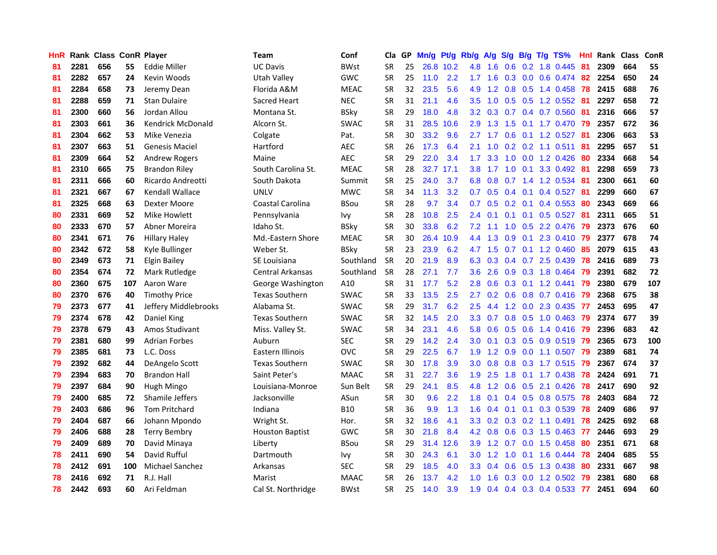| HnR |      | Rank Class ConR Player |     |                        | <b>Team</b>            | Conf        | Cla       |    | GP Mn/g Pt/g Rb/g |           |                  |                 |     |                 | A/g S/g B/g T/g TS%       | Hnl  | Rank Class |     | ConR |
|-----|------|------------------------|-----|------------------------|------------------------|-------------|-----------|----|-------------------|-----------|------------------|-----------------|-----|-----------------|---------------------------|------|------------|-----|------|
| 81  | 2281 | 656                    | 55  | Eddie Miller           | <b>UC Davis</b>        | <b>BWst</b> | <b>SR</b> | 25 |                   | 26.8 10.2 | 4.8              | 1.6             | 0.6 | 0.2             | 1.8 0.445                 | -81  | 2309       | 664 | 55   |
| 81  | 2282 | 657                    | 24  | Kevin Woods            | <b>Utah Valley</b>     | <b>GWC</b>  | <b>SR</b> | 25 | 11.0              | 2.2       | 1.7              | 1.6             | 0.3 | 0.0             | 0.6 0.474                 | -82  | 2254       | 650 | 24   |
| 81  | 2284 | 658                    | 73  | Jeremy Dean            | Florida A&M            | <b>MEAC</b> | <b>SR</b> | 32 | 23.5              | 5.6       | 4.9              | 1.2             | 0.8 | 0.5             | 1.4 0.458                 | -78  | 2415       | 688 | 76   |
| 81  | 2288 | 659                    | 71  | <b>Stan Dulaire</b>    | Sacred Heart           | <b>NEC</b>  | <b>SR</b> | 31 | 21.1              | 4.6       | 3.5              | 1.0             |     |                 | $0.5$ 0.5 1.2 0.552       | -81  | 2297       | 658 | 72   |
| 81  | 2300 | 660                    | 56  | Jordan Allou           | Montana St.            | <b>BSky</b> | <b>SR</b> | 29 | 18.0              | 4.8       |                  | $3.2 \quad 0.3$ |     |                 | 0.7 0.4 0.7 0.560 81      |      | 2316       | 666 | 57   |
| 81  | 2303 | 661                    | 36  | Kendrick McDonald      | Alcorn St.             | <b>SWAC</b> | <b>SR</b> | 31 | 28.5              | 10.6      | 2.9              | 1.3             |     |                 | 1.5 0.1 1.7 0.470 79      |      | 2357       | 672 | 36   |
| 81  | 2304 | 662                    | 53  | Mike Venezia           | Colgate                | Pat.        | <b>SR</b> | 30 | 33.2              | 9.6       | $2.7^{\circ}$    | 1.7             |     |                 | $0.6$ $0.1$ $1.2$ $0.527$ | -81  | 2306       | 663 | 53   |
| 81  | 2307 | 663                    | 51  | Genesis Maciel         | Hartford               | AEC         | <b>SR</b> | 26 | 17.3              | 6.4       | 2.1              | 1.0             |     |                 | $0.2$ 0.2 1.1 0.511       | 81   | 2295       | 657 | 51   |
| 81  | 2309 | 664                    | 52  | <b>Andrew Rogers</b>   | Maine                  | <b>AEC</b>  | <b>SR</b> | 29 | 22.0              | 3.4       | 1.7              | 3.3             |     |                 | 1.0 0.0 1.2 0.426         | 80   | 2334       | 668 | 54   |
| 81  | 2310 | 665                    | 75  | <b>Brandon Riley</b>   | South Carolina St.     | <b>MEAC</b> | <b>SR</b> | 28 | 32.7              | 17.1      | 3.8              | 1.7             |     | $1.0 \quad 0.1$ | 3.3 0.492                 | -81  | 2298       | 659 | 73   |
| 81  | 2311 | 666                    | 60  | Ricardo Andreotti      | South Dakota           | Summit      | <b>SR</b> | 25 | 24.0              | 3.7       | 6.8              | 0.8             | 0.7 |                 | 1.4 1.2 0.534             | -81  | 2300       | 661 | 60   |
| 81  | 2321 | 667                    | 67  | <b>Kendall Wallace</b> | <b>UNLV</b>            | <b>MWC</b>  | <b>SR</b> | 34 | 11.3              | 3.2       | 0.7              | 0.5             |     | $0.4 \quad 0.1$ | $0.4$ 0.527               | -81  | 2299       | 660 | 67   |
| 81  | 2325 | 668                    | 63  | Dexter Moore           | Coastal Carolina       | <b>BSou</b> | <b>SR</b> | 28 | 9.7               | 3.4       | 0.7              | 0.5             |     | $0.2 \quad 0.1$ | $0.4$ 0.553               | 80   | 2343       | 669 | 66   |
| 80  | 2331 | 669                    | 52  | Mike Howlett           | Pennsylvania           | Ivy         | <b>SR</b> | 28 | 10.8              | 2.5       | 2.4              | 0.1             | 0.1 |                 | $0.1$ $0.5$ $0.527$       | -81  | 2311       | 665 | 51   |
| 80  | 2333 | 670                    | 57  | Abner Moreira          | Idaho St.              | <b>BSky</b> | <b>SR</b> | 30 | 33.8              | 6.2       | 7.2              | 1.1             | 1.0 | 0.5             | 2.2 0.476                 | -79  | 2373       | 676 | 60   |
| 80  | 2341 | 671                    | 76  | <b>Hillary Haley</b>   | Md.-Eastern Shore      | <b>MEAC</b> | <b>SR</b> | 30 | 26.4              | 10.9      | 4.4              | 1.3             | 0.9 | 0.1             | 2.3 0.410                 | - 79 | 2377       | 678 | 74   |
| 80  | 2342 | 672                    | 58  | Kyle Bullinger         | Weber St.              | <b>BSkv</b> | <b>SR</b> | 23 | 23.9              | 6.2       |                  | 4.7 1.5         |     |                 | $0.7$ 0.1 1.2 0.460       | 85   | 2079       | 615 | 43   |
| 80  | 2349 | 673                    | 71  | Elgin Bailey           | SE Louisiana           | Southland   | <b>SR</b> | 20 | 21.9              | 8.9       |                  | 6.3 0.3         |     |                 | 0.4 0.7 2.5 0.439         | 78   | 2416       | 689 | 73   |
| 80  | 2354 | 674                    | 72  | Mark Rutledge          | Central Arkansas       | Southland   | <b>SR</b> | 28 | 27.1              | 7.7       |                  | $3.6$ 2.6       |     |                 | 0.9 0.3 1.8 0.464         | -79  | 2391       | 682 | 72   |
| 80  | 2360 | 675                    | 107 | Aaron Ware             | George Washington      | A10         | <b>SR</b> | 31 | 17.7              | 5.2       | 2.8              | 0.6             |     |                 | $0.3$ 0.1 1.2 0.441       | - 79 | 2380       | 679 | 107  |
| 80  | 2370 | 676                    | 40  | <b>Timothy Price</b>   | <b>Texas Southern</b>  | <b>SWAC</b> | <b>SR</b> | 33 | 13.5              | 2.5       | 2.7              | 0.2             |     |                 | 0.6 0.8 0.7 0.416 79      |      | 2368       | 675 | 38   |
| 79  | 2373 | 677                    | 41  | Jeffery Middlebrooks   | Alabama St.            | <b>SWAC</b> | <b>SR</b> | 29 | 31.7              | 6.2       | 2.5              | 4.4             |     |                 | 1.2 0.0 2.3 0.435 77      |      | 2453       | 695 | 47   |
| 79  | 2374 | 678                    | 42  | Daniel King            | <b>Texas Southern</b>  | SWAC        | <b>SR</b> | 32 | 14.5              | 2.0       | 3.3 <sub>2</sub> | 0.7             |     |                 | $0.8$ $0.5$ 1.0 $0.463$   | -79  | 2374       | 677 | 39   |
| 79  | 2378 | 679                    | 43  | Amos Studivant         | Miss. Valley St.       | <b>SWAC</b> | <b>SR</b> | 34 | 23.1              | 4.6       | 5.8              | 0.6             |     |                 | $0.5$ 0.6 1.4 0.416       | -79  | 2396       | 683 | 42   |
| 79  | 2381 | 680                    | 99  | <b>Adrian Forbes</b>   | Auburn                 | <b>SEC</b>  | <b>SR</b> | 29 | 14.2              | 2.4       | 3.0              | 0.1             |     |                 | 0.3 0.5 0.9 0.519 79      |      | 2365       | 673 | 100  |
| 79  | 2385 | 681                    | 73  | L.C. Doss              | Eastern Illinois       | OVC         | <b>SR</b> | 29 | 22.5              | 6.7       | 1.9              | 1.2             | 0.9 |                 | $0.0$ 1.1 0.507           | 79   | 2389       | 681 | 74   |
| 79  | 2392 | 682                    | 44  | DeAngelo Scott         | <b>Texas Southern</b>  | <b>SWAC</b> | <b>SR</b> | 30 | 17.8              | 3.9       | 3.0 <sub>2</sub> | 0.8             | 0.8 |                 | $0.3$ 1.7 0.515           | -79  | 2367       | 674 | 37   |
| 79  | 2394 | 683                    | 70  | <b>Brandon Hall</b>    | Saint Peter's          | <b>MAAC</b> | <b>SR</b> | 31 | 22.7              | 3.6       | 1.9              | 2.5             | 1.8 |                 | $0.1$ 1.7 0.438           | -78  | 2424       | 691 | 71   |
| 79  | 2397 | 684                    | 90  | Hugh Mingo             | Louisiana-Monroe       | Sun Belt    | <b>SR</b> | 29 | 24.1              | 8.5       | 4.8              | 1.2             | 0.6 | 0.5             | 2.1 0.426                 | 78   | 2417       | 690 | 92   |
| 79  | 2400 | 685                    | 72  | Shamile Jeffers        | Jacksonville           | ASun        | <b>SR</b> | 30 | 9.6               | 2.2       | 1.8              | 0.1             |     |                 | 0.4 0.5 0.8 0.575         | 78   | 2403       | 684 | 72   |
| 79  | 2403 | 686                    | 96  | Tom Pritchard          | Indiana                | <b>B10</b>  | <b>SR</b> | 36 | 9.9               | 1.3       | 1.6              | 0.4             |     | $0.1 \quad 0.1$ | 0.3 0.539                 | 78   | 2409       | 686 | 97   |
| 79  | 2404 | 687                    | 66  | Johann Mpondo          | Wright St.             | Hor.        | <b>SR</b> | 32 | 18.6              | 4.1       |                  |                 |     |                 | 3.3 0.2 0.3 0.2 1.1 0.491 | 78   | 2425       | 692 | 68   |
| 79  | 2406 | 688                    | 28  | <b>Terry Bembry</b>    | <b>Houston Baptist</b> | <b>GWC</b>  | <b>SR</b> | 30 | 21.8              | 8.4       |                  | $4.2 \quad 0.8$ |     |                 | 0.6 0.3 1.5 0.463 77      |      | 2446       | 693 | 29   |
| 79  | 2409 | 689                    | 70  | David Minaya           | Liberty                | <b>BSou</b> | <b>SR</b> | 29 |                   | 31.4 12.6 |                  | $3.9$ 1.2       | 0.7 |                 | $0.0$ 1.5 $0.458$         | -80  | 2351       | 671 | 68   |
| 78  | 2411 | 690                    | 54  | David Rufful           | Dartmouth              | lvy         | <b>SR</b> | 30 | 24.3              | 6.1       | 3.0 <sub>1</sub> | 1.2             | 1.0 |                 | $0.1$ 1.6 0.444           | 78   | 2404       | 685 | 55   |
| 78  | 2412 | 691                    | 100 | <b>Michael Sanchez</b> | Arkansas               | <b>SEC</b>  | <b>SR</b> | 29 | 18.5              | 4.0       | 3.3              | 0.4             | 0.6 |                 | 0.5 1.3 0.438             | 80   | 2331       | 667 | 98   |
| 78  | 2416 | 692                    | 71  | R.J. Hall              | Marist                 | <b>MAAC</b> | <b>SR</b> | 26 | 13.7              | 4.2       | 1.0              | 1.6             | 0.3 | 0.0             | 1.2 0.502                 | 79   | 2381       | 680 | 68   |
| 78  | 2442 | 693                    | 60  | Ari Feldman            | Cal St. Northridge     | BWst        | <b>SR</b> | 25 | 14.0              | 3.9       | 1.9              |                 |     |                 | $0.4$ 0.4 0.3 0.4 0.533   | 77   | 2451       | 694 | 60   |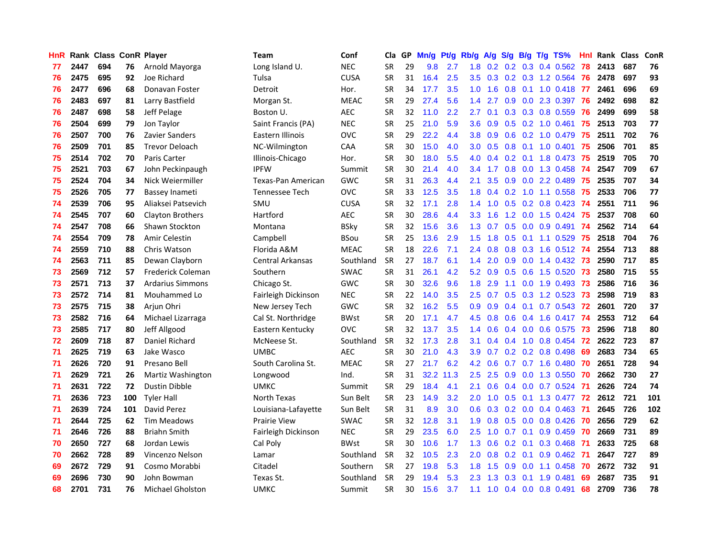| HnR |      | Rank Class ConR Player |     |                         | Team                      | Conf        | Cla       | GP. | Mn/g Pt/g |           | Rb/g A/g         |     |     |                 | S/g B/g T/g TS%         | Hnl |      | Rank Class ConR |     |
|-----|------|------------------------|-----|-------------------------|---------------------------|-------------|-----------|-----|-----------|-----------|------------------|-----|-----|-----------------|-------------------------|-----|------|-----------------|-----|
| 77  | 2447 | 694                    | 76  | Arnold Mayorga          | Long Island U.            | <b>NEC</b>  | <b>SR</b> | 29  | 9.8       | 2.7       | 1.8              | 0.2 | 0.2 | 0.3             | 0.4 0.562               | 78  | 2413 | 687             | 76  |
| 76  | 2475 | 695                    | 92  | Joe Richard             | Tulsa                     | <b>CUSA</b> | <b>SR</b> | 31  | 16.4      | 2.5       | 3.5              | 0.3 |     | $0.2 \quad 0.3$ | 1.2 0.564               | -76 | 2478 | 697             | 93  |
| 76  | 2477 | 696                    | 68  | Donavan Foster          | Detroit                   | Hor.        | <b>SR</b> | 34  | 17.7      | 3.5       | 1.0              | 1.6 | 0.8 | 0.1             | $1.0 \t0.418$           | -77 | 2461 | 696             | 69  |
| 76  | 2483 | 697                    | 81  | Larry Bastfield         | Morgan St.                | <b>MEAC</b> | <b>SR</b> | 29  | 27.4      | 5.6       | 1.4              | 2.7 | 0.9 |                 | 0.0 2.3 0.397           | 76  | 2492 | 698             | 82  |
| 76  | 2487 | 698                    | 58  | Jeff Pelage             | Boston U.                 | <b>AEC</b>  | <b>SR</b> | 32  | 11.0      | 2.2       | 2.7              | 0.1 |     |                 | 0.3 0.3 0.8 0.559       | -76 | 2499 | 699             | 58  |
| 76  | 2504 | 699                    | 79  | Jon Taylor              | Saint Francis (PA)        | <b>NEC</b>  | <b>SR</b> | 25  | 21.0      | 5.9       | 3.6 <sup>2</sup> | 0.9 |     |                 | 0.5 0.2 1.0 0.461 75    |     | 2513 | 703             | 77  |
| 76  | 2507 | 700                    | 76  | Zavier Sanders          | Eastern Illinois          | <b>OVC</b>  | <b>SR</b> | 29  | 22.2      | 4.4       | 3.8              | 0.9 |     |                 | $0.6$ $0.2$ 1.0 $0.479$ | -75 | 2511 | 702             | 76  |
| 76  | 2509 | 701                    | 85  | <b>Trevor Deloach</b>   | NC-Wilmington             | <b>CAA</b>  | <b>SR</b> | 30  | 15.0      | 4.0       | 3.0 <sub>2</sub> | 0.5 |     |                 | 0.8 0.1 1.0 0.401 75    |     | 2506 | 701             | 85  |
| 75  | 2514 | 702                    | 70  | Paris Carter            | Illinois-Chicago          | Hor.        | SR        | 30  | 18.0      | 5.5       | 4.0              | 0.4 |     |                 | 0.2 0.1 1.8 0.473       | 75  | 2519 | 705             | 70  |
| 75  | 2521 | 703                    | 67  | John Peckinpaugh        | <b>IPFW</b>               | Summit      | <b>SR</b> | 30  | 21.4      | 4.0       | 3.4              | 1.7 |     | $0.8\ 0.0$      | 1.3 0.458               | -74 | 2547 | 709             | 67  |
| 75  | 2524 | 704                    | 34  | Nick Weiermiller        | <b>Texas-Pan American</b> | <b>GWC</b>  | <b>SR</b> | 31  | 26.3      | 4.4       | 2.1              | 3.5 | 0.9 |                 | $0.0$ 2.2 $0.489$       | 75  | 2535 | 707             | 34  |
| 75  | 2526 | 705                    | 77  | Bassey Inameti          | Tennessee Tech            | <b>OVC</b>  | <b>SR</b> | 33  | 12.5      | 3.5       | 1.8              | 0.4 | 0.2 |                 | 1.0 1.1 0.558           | 75  | 2533 | 706             | 77  |
| 74  | 2539 | 706                    | 95  | Aliaksei Patsevich      | SMU                       | <b>CUSA</b> | <b>SR</b> | 32  | 17.1      | 2.8       | 1.4              | 1.0 | 0.5 |                 | 0.2 0.8 0.423           | -74 | 2551 | 711             | 96  |
| 74  | 2545 | 707                    | 60  | Clayton Brothers        | Hartford                  | <b>AEC</b>  | <b>SR</b> | 30  | 28.6      | 4.4       | 3.3              | 1.6 | 1.2 | 0.0             | 1.5 0.424               | 75  | 2537 | 708             | 60  |
| 74  | 2547 | 708                    | 66  | Shawn Stockton          | Montana                   | <b>BSky</b> | <b>SR</b> | 32  | 15.6      | 3.6       | 1.3              | 0.7 | 0.5 | 0.0             | $0.9$ 0.491             | -74 | 2562 | 714             | 64  |
| 74  | 2554 | 709                    | 78  | Amir Celestin           | Campbell                  | <b>BSou</b> | <b>SR</b> | 25  | 13.6      | 2.9       | 1.5              | 1.8 | 0.5 | 0.1             | 1.1 0.529               | -75 | 2518 | 704             | 76  |
| 74  | 2559 | 710                    | 88  | Chris Watson            | Florida A&M               | <b>MEAC</b> | <b>SR</b> | 18  | 22.6      | 7.1       | $2.4\,$          | 0.8 | 0.8 | 0.3             | 1.6 0.512 <b>74</b>     |     | 2554 | 713             | 88  |
| 74  | 2563 | 711                    | 85  | Dewan Clayborn          | <b>Central Arkansas</b>   | Southland   | <b>SR</b> | 27  | 18.7      | 6.1       | $1.4^{\circ}$    | 2.0 |     |                 | 0.9 0.0 1.4 0.432 73    |     | 2590 | 717             | 85  |
| 73  | 2569 | 712                    | 57  | Frederick Coleman       | Southern                  | <b>SWAC</b> | <b>SR</b> | 31  | 26.1      | 4.2       | 5.2              | 0.9 |     |                 | 0.5 0.6 1.5 0.520 73    |     | 2580 | 715             | 55  |
| 73  | 2571 | 713                    | 37  | Ardarius Simmons        | Chicago St.               | <b>GWC</b>  | <b>SR</b> | 30  | 32.6      | 9.6       | 1.8              | 2.9 | 1.1 |                 | 0.0 1.9 0.493 73        |     | 2586 | 716             | 36  |
| 73  | 2572 | 714                    | 81  | Mouhammed Lo            | Fairleigh Dickinson       | <b>NEC</b>  | <b>SR</b> | 22  | 14.0      | 3.5       | $2.5^{\circ}$    | 0.7 |     |                 | $0.5$ $0.3$ 1.2 $0.523$ | 73  | 2598 | 719             | 83  |
| 73  | 2575 | 715                    | 38  | Arjun Ohri              | New Jersey Tech           | <b>GWC</b>  | <b>SR</b> | 32  | 16.2      | 5.5       | 0.9              | 0.9 |     |                 | 0.4 0.1 0.7 0.543 72    |     | 2601 | 720             | 37  |
| 73  | 2582 | 716                    | 64  | Michael Lizarraga       | Cal St. Northridge        | <b>BWst</b> | SR        | 20  | 17.1      | 4.7       | 4.5              | 0.8 |     |                 | 0.6 0.4 1.6 0.417 74    |     | 2553 | 712             | 64  |
| 73  | 2585 | 717                    | 80  | Jeff Allgood            | Eastern Kentucky          | <b>OVC</b>  | <b>SR</b> | 32  | 13.7      | 3.5       | 1.4              | 0.6 |     |                 | 0.4 0.0 0.6 0.575       | 73  | 2596 | 718             | 80  |
| 72  | 2609 | 718                    | 87  | Daniel Richard          | McNeese St.               | Southland   | <b>SR</b> | 32  | 17.3      | 2.8       | 3.1              | 0.4 | 0.4 |                 | 1.0 0.8 0.454           | 72  | 2622 | 723             | 87  |
| 71  | 2625 | 719                    | 63  | Jake Wasco              | <b>UMBC</b>               | <b>AEC</b>  | <b>SR</b> | 30  | 21.0      | 4.3       | 3.9              | 0.7 |     |                 | $0.2$ 0.2 0.8 0.498     | 69  | 2683 | 734             | 65  |
| 71  | 2626 | 720                    | 91  | Presano Bell            | South Carolina St.        | <b>MEAC</b> | <b>SR</b> | 27  | 21.7      | 6.2       | 4.2              | 0.6 | 0.7 |                 | $0.7$ 1.6 $0.480$       | -70 | 2651 | 728             | 94  |
| 71  | 2629 | 721                    | 26  | Martiz Washington       | Longwood                  | Ind.        | <b>SR</b> | 31  |           | 32.2 11.3 | 2.5              | 2.5 | 0.9 | 0.0             | 1.3 0.550               | -70 | 2662 | 730             | 27  |
| 71  | 2631 | 722                    | 72  | Dustin Dibble           | <b>UMKC</b>               | Summit      | SR        | 29  | 18.4      | 4.1       | 2.1              | 0.6 |     | $0.4\quad 0.0$  | 0.7 0.524               | -71 | 2626 | 724             | 74  |
| 71  | 2636 | 723                    | 100 | <b>Tyler Hall</b>       | North Texas               | Sun Belt    | <b>SR</b> | 23  | 14.9      | 3.2       | 2.0              | 1.0 | 0.5 | 0.1             | 1.3 0.477               | 72  | 2612 | 721             | 101 |
| 71  | 2639 | 724                    | 101 | David Perez             | Louisiana-Lafayette       | Sun Belt    | <b>SR</b> | 31  | 8.9       | 3.0       | 0.6              | 0.3 |     | $0.2 \quad 0.0$ | 0.4 0.463               | -71 | 2645 | 726             | 102 |
| 71  | 2644 | 725                    | 62  | <b>Tim Meadows</b>      | <b>Prairie View</b>       | <b>SWAC</b> | <b>SR</b> | 32  | 12.8      | 3.1       | 1.9 <sup>°</sup> | 0.8 |     |                 | $0.5$ 0.0 0.8 0.426     | -70 | 2656 | 729             | 62  |
| 71  | 2646 | 726                    | 88  | <b>Briahn Smith</b>     | Fairleigh Dickinson       | <b>NEC</b>  | <b>SR</b> | 29  | 23.5      | 6.0       | $2.5\,$          | 1.0 | 0.7 | 0.1             | 0.9 0.459               | -70 | 2669 | 731             | 89  |
| 70  | 2650 | 727                    | 68  | Jordan Lewis            | Cal Poly                  | <b>BWst</b> | <b>SR</b> | 30  | 10.6      | 1.7       | 1.3              | 0.6 | 0.2 | 0.1             | 0.3 0.468               | -71 | 2633 | 725             | 68  |
| 70  | 2662 | 728                    | 89  | Vincenzo Nelson         | Lamar                     | Southland   | <b>SR</b> | 32  | 10.5      | 2.3       | 2.0              | 0.8 | 0.2 | 0.1             | 0.9 0.462               | -71 | 2647 | 727             | 89  |
| 69  | 2672 | 729                    | 91  | Cosmo Morabbi           | Citadel                   | Southern    | <b>SR</b> | 27  | 19.8      | 5.3       | 1.8              | 1.5 | 0.9 | 0.0             | 1.1 0.458               | 70  | 2672 | 732             | 91  |
| 69  | 2696 | 730                    | 90  | John Bowman             | Texas St.                 | Southland   | <b>SR</b> | 29  | 19.4      | 5.3       | 2.3              | 1.3 | 0.3 | 0.1             | 1.9 0.481               | 69  | 2687 | 735             | 91  |
| 68  | 2701 | 731                    | 76  | <b>Michael Gholston</b> | <b>UMKC</b>               | Summit      | SR        | 30  | 15.6      | 3.7       | 1.1              | 1.0 |     |                 | $0.4$ 0.0 0.8 0.491     | 68  | 2709 | 736             | 78  |